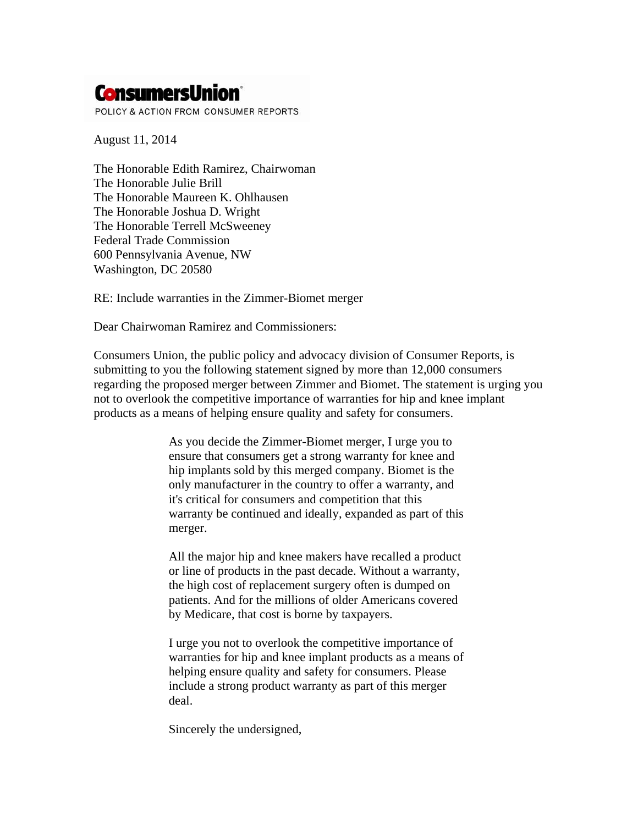# **ConsumersUnion**\*

POLICY & ACTION FROM CONSUMER REPORTS

August 11, 2014

The Honorable Edith Ramirez, Chairwoman The Honorable Julie Brill The Honorable Maureen K. Ohlhausen The Honorable Joshua D. Wright The Honorable Terrell McSweeney Federal Trade Commission 600 Pennsylvania Avenue, NW Washington, DC 20580

RE: Include warranties in the Zimmer-Biomet merger

Dear Chairwoman Ramirez and Commissioners:

Consumers Union, the public policy and advocacy division of Consumer Reports, is submitting to you the following statement signed by more than 12,000 consumers regarding the proposed merger between Zimmer and Biomet. The statement is urging you not to overlook the competitive importance of warranties for hip and knee implant products as a means of helping ensure quality and safety for consumers.

> As you decide the Zimmer-Biomet merger, I urge you to ensure that consumers get a strong warranty for knee and hip implants sold by this merged company. Biomet is the only manufacturer in the country to offer a warranty, and it's critical for consumers and competition that this warranty be continued and ideally, expanded as part of this merger.

> All the major hip and knee makers have recalled a product or line of products in the past decade. Without a warranty, the high cost of replacement surgery often is dumped on patients. And for the millions of older Americans covered by Medicare, that cost is borne by taxpayers.

I urge you not to overlook the competitive importance of warranties for hip and knee implant products as a means of helping ensure quality and safety for consumers. Please include a strong product warranty as part of this merger deal.

Sincerely the undersigned,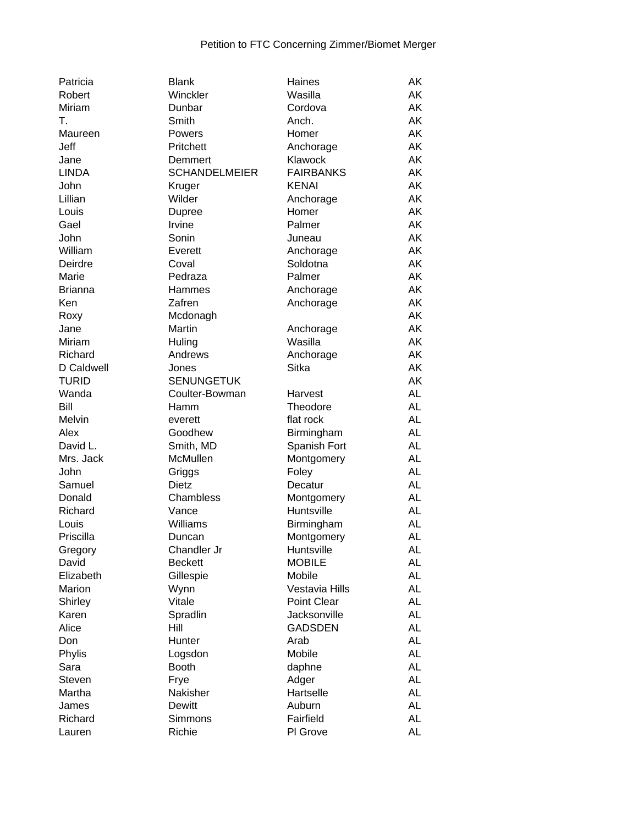| Patricia       | <b>Blank</b>          | Haines           | AΚ        |
|----------------|-----------------------|------------------|-----------|
| Robert         | Winckler              | Wasilla          | AK        |
| Miriam         | Dunbar                | Cordova          | AK        |
| T.             | Smith                 | Anch.            | AK        |
| Maureen        | Powers                | Homer            | AK        |
| Jeff           | Pritchett             | Anchorage        | AK        |
| Jane           | Demmert               | Klawock          | AK        |
| <b>LINDA</b>   | <b>SCHANDELMEIER</b>  | <b>FAIRBANKS</b> | AK        |
| John           | Kruger                | <b>KENAI</b>     | AK        |
| Lillian        | Wilder                | Anchorage        | AK        |
| Louis          | <b>Dupree</b>         | Homer            | AK        |
| Gael           | Irvine                | Palmer           | AK        |
| John           | Sonin                 | Juneau           | AK        |
| William        | Everett               | Anchorage        | AK        |
| Deirdre        | Coval                 | Soldotna         | AK        |
| Marie          | Pedraza               | Palmer           | AK        |
| <b>Brianna</b> | Hammes                | Anchorage        | AK        |
| Ken            | Zafren                | Anchorage        | AK        |
| Roxy           | Mcdonagh              |                  | AK        |
| Jane           | Martin                | Anchorage        | AK        |
| Miriam         | Huling                | Wasilla          | AK        |
| Richard        | Andrews               | Anchorage        | AK        |
| D Caldwell     | Jones                 | <b>Sitka</b>     | AK        |
| <b>TURID</b>   | <b>SENUNGETUK</b>     |                  | AK        |
| Wanda          | Coulter-Bowman        | Harvest          | <b>AL</b> |
| Bill           | Hamm                  | Theodore         | <b>AL</b> |
| Melvin         |                       | flat rock        | <b>AL</b> |
| Alex           | everett<br>Goodhew    | Birmingham       | <b>AL</b> |
| David L.       |                       |                  | <b>AL</b> |
| Mrs. Jack      | Smith, MD<br>McMullen | Spanish Fort     | <b>AL</b> |
|                |                       | Montgomery       | <b>AL</b> |
| John           | Griggs                | Foley            |           |
| Samuel         | Dietz                 | Decatur          | <b>AL</b> |
| Donald         | Chambless             | Montgomery       | <b>AL</b> |
| Richard        | Vance                 | Huntsville       | <b>AL</b> |
| Louis          | Williams              | Birmingham       | <b>AL</b> |
| Priscilla      | Duncan                | Montgomery       | <b>AL</b> |
| Gregory        | Chandler Jr           | Huntsville       | <b>AL</b> |
| David          | <b>Beckett</b>        | <b>MOBILE</b>    | <b>AL</b> |
| Elizabeth      | Gillespie             | Mobile           | <b>AL</b> |
| Marion         | Wynn                  | Vestavia Hills   | <b>AL</b> |
| Shirley        | Vitale                | Point Clear      | <b>AL</b> |
| Karen          | Spradlin              | Jacksonville     | <b>AL</b> |
| Alice          | Hill                  | <b>GADSDEN</b>   | <b>AL</b> |
| Don            | Hunter                | Arab             | <b>AL</b> |
| Phylis         | Logsdon               | Mobile           | <b>AL</b> |
| Sara           | <b>Booth</b>          | daphne           | <b>AL</b> |
| <b>Steven</b>  | Frye                  | Adger            | <b>AL</b> |
| Martha         | Nakisher              | Hartselle        | <b>AL</b> |
| James          | Dewitt                | Auburn           | <b>AL</b> |
| Richard        | Simmons               | Fairfield        | <b>AL</b> |
| Lauren         | Richie                | PI Grove         | <b>AL</b> |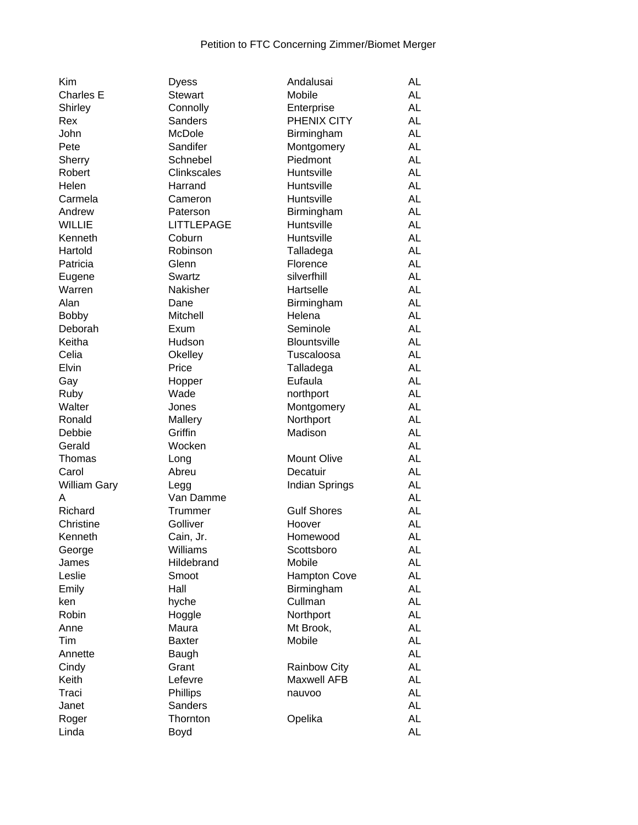| Kim                 | <b>Dyess</b>       | Andalusai           | AL        |
|---------------------|--------------------|---------------------|-----------|
| <b>Charles E</b>    | <b>Stewart</b>     | Mobile              | <b>AL</b> |
| Shirley             | Connolly           | Enterprise          | <b>AL</b> |
| Rex                 | <b>Sanders</b>     | PHENIX CITY         | <b>AL</b> |
| John                | <b>McDole</b>      | Birmingham          | <b>AL</b> |
| Pete                | Sandifer           | Montgomery          | <b>AL</b> |
| Sherry              | Schnebel           | Piedmont            | <b>AL</b> |
| Robert              | <b>Clinkscales</b> | Huntsville          | <b>AL</b> |
| Helen               | Harrand            | Huntsville          | <b>AL</b> |
| Carmela             | Cameron            | Huntsville          | <b>AL</b> |
| Andrew              | Paterson           | Birmingham          | <b>AL</b> |
| <b>WILLIE</b>       | <b>LITTLEPAGE</b>  | Huntsville          | <b>AL</b> |
| Kenneth             | Coburn             | Huntsville          | <b>AL</b> |
| Hartold             | Robinson           | Talladega           | <b>AL</b> |
| Patricia            | Glenn              | Florence            | <b>AL</b> |
| Eugene              | Swartz             | silverfhill         | <b>AL</b> |
| Warren              | Nakisher           | Hartselle           | <b>AL</b> |
| Alan                |                    |                     | <b>AL</b> |
|                     | Dane               | Birmingham          |           |
| <b>Bobby</b>        | Mitchell           | Helena              | <b>AL</b> |
| Deborah             | Exum               | Seminole            | <b>AL</b> |
| Keitha              | Hudson             | <b>Blountsville</b> | <b>AL</b> |
| Celia               | Okelley            | Tuscaloosa          | <b>AL</b> |
| Elvin               | Price              | Talladega           | <b>AL</b> |
| Gay                 | Hopper             | Eufaula             | <b>AL</b> |
| Ruby                | Wade               | northport           | <b>AL</b> |
| Walter              | Jones              | Montgomery          | <b>AL</b> |
| Ronald              | Mallery            | Northport           | <b>AL</b> |
| Debbie              | Griffin            | Madison             | <b>AL</b> |
| Gerald              | Wocken             |                     | <b>AL</b> |
| Thomas              | Long               | <b>Mount Olive</b>  | <b>AL</b> |
| Carol               | Abreu              | Decatuir            | <b>AL</b> |
| <b>William Gary</b> | Legg               | Indian Springs      | <b>AL</b> |
| A                   | Van Damme          |                     | <b>AL</b> |
| Richard             | Trummer            | <b>Gulf Shores</b>  | <b>AL</b> |
| Christine           | Golliver           | Hoover              | <b>AL</b> |
| Kenneth             | Cain, Jr.          | Homewood            | AL        |
| George              | Williams           | Scottsboro          | AL        |
| James               | Hildebrand         | Mobile              | AL        |
| Leslie              |                    |                     | AL        |
|                     | Smoot              | Hampton Cove        |           |
| Emily               | Hall               | Birmingham          | AL        |
| ken                 | hyche              | Cullman             | <b>AL</b> |
| Robin               | Hoggle             | Northport           | <b>AL</b> |
| Anne                | Maura              | Mt Brook,           | AL        |
| Tim                 | <b>Baxter</b>      | Mobile              | AL        |
| Annette             | Baugh              |                     | AL        |
| Cindy               | Grant              | <b>Rainbow City</b> | AL        |
| Keith               | Lefevre            | <b>Maxwell AFB</b>  | AL        |
| Traci               | Phillips           | nauvoo              | AL        |
| Janet               | <b>Sanders</b>     |                     | AL        |
| Roger               | Thornton           | Opelika             | AL        |
| Linda               | Boyd               |                     | AL        |
|                     |                    |                     |           |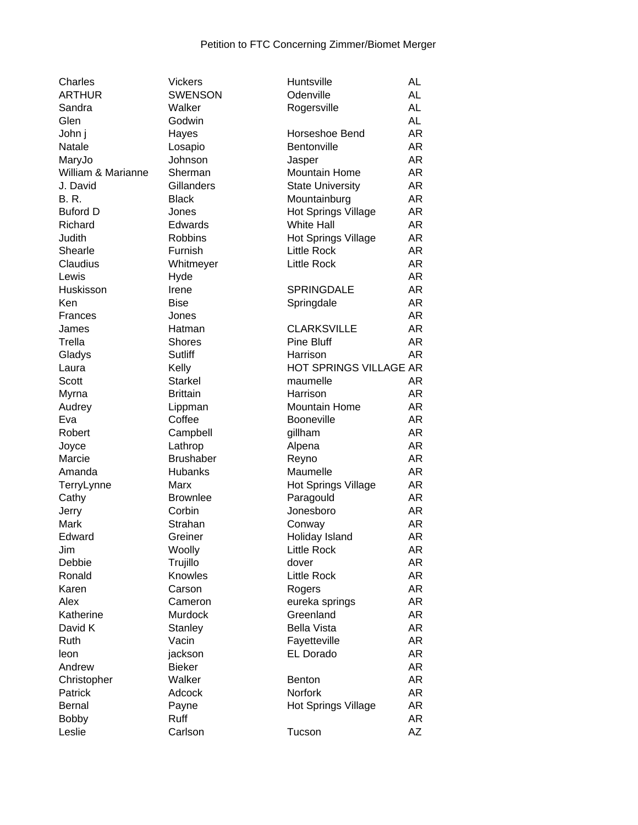| Charles            | <b>Vickers</b>   | Huntsville                | AL        |
|--------------------|------------------|---------------------------|-----------|
| <b>ARTHUR</b>      | <b>SWENSON</b>   | Odenville                 | <b>AL</b> |
| Sandra             | Walker           | Rogersville               | <b>AL</b> |
| Glen               | Godwin           |                           | <b>AL</b> |
| John j             | Hayes            | Horseshoe Bend            | AR        |
| Natale             | Losapio          | Bentonville               | AR        |
| MaryJo             | Johnson          | Jasper                    | AR        |
| William & Marianne | Sherman          | <b>Mountain Home</b>      | AR        |
| J. David           | Gillanders       | <b>State University</b>   | AR        |
| <b>B.R.</b>        | <b>Black</b>     | Mountainburg              | AR        |
| <b>Buford D</b>    | Jones            | Hot Springs Village       | AR        |
| Richard            | Edwards          | <b>White Hall</b>         | AR        |
| Judith             | <b>Robbins</b>   | Hot Springs Village       | AR        |
| Shearle            | Furnish          | <b>Little Rock</b>        | AR        |
| Claudius           | Whitmeyer        | <b>Little Rock</b>        | AR        |
| Lewis              | Hyde             |                           | AR        |
| Huskisson          | Irene            | <b>SPRINGDALE</b>         | AR        |
| Ken                | <b>Bise</b>      | Springdale                | AR        |
| <b>Frances</b>     | Jones            |                           | AR        |
| James              | Hatman           | <b>CLARKSVILLE</b>        | AR        |
| Trella             | <b>Shores</b>    | <b>Pine Bluff</b>         | AR        |
| Gladys             | Sutliff          | Harrison                  | AR        |
| Laura              | Kelly            | HOT SPRINGS VILLAGE AR    |           |
| Scott              | <b>Starkel</b>   | maumelle                  | AR        |
| Myrna              | <b>Brittain</b>  | Harrison                  | AR        |
| Audrey             | Lippman          | <b>Mountain Home</b>      | AR        |
| Eva                | Coffee           | <b>Booneville</b>         | AR        |
| Robert             | Campbell         | gillham                   | <b>AR</b> |
| Joyce              | Lathrop          | Alpena                    | AR        |
| Marcie             | <b>Brushaber</b> | Reyno                     | AR        |
| Amanda             | Hubanks          | Maumelle                  | AR        |
| TerryLynne         | Marx             | Hot Springs Village       | AR        |
| Cathy              | <b>Brownlee</b>  | Paragould                 | AR        |
| Jerry              | Corbin           | Jonesboro                 | AR        |
| Mark               | Strahan          | Conway                    | AR        |
| Edward             | Greiner          | Holiday Island            | AR        |
| Jim                | Woolly           | <b>Little Rock</b>        | AR        |
| Debbie             | Trujillo         | dover                     | AR        |
| Ronald             | Knowles          | <b>Little Rock</b>        | AR        |
| Karen              | Carson           | Rogers                    | AR        |
| Alex               | Cameron          | eureka springs            | AR        |
| Katherine          | Murdock          | Greenland                 | AR        |
| David K            | <b>Stanley</b>   | <b>Bella Vista</b>        | AR        |
| Ruth               | Vacin            |                           | AR        |
| leon               |                  | Fayetteville<br>EL Dorado | AR        |
|                    | jackson          |                           | AR        |
| Andrew             | <b>Bieker</b>    |                           |           |
| Christopher        | Walker           | <b>Benton</b>             | AR        |
| Patrick            | Adcock           | Norfork                   | AR        |
| <b>Bernal</b>      | Payne            | Hot Springs Village       | AR        |
| <b>Bobby</b>       | Ruff             |                           | AR        |
| Leslie             | Carlson          | Tucson                    | AΖ        |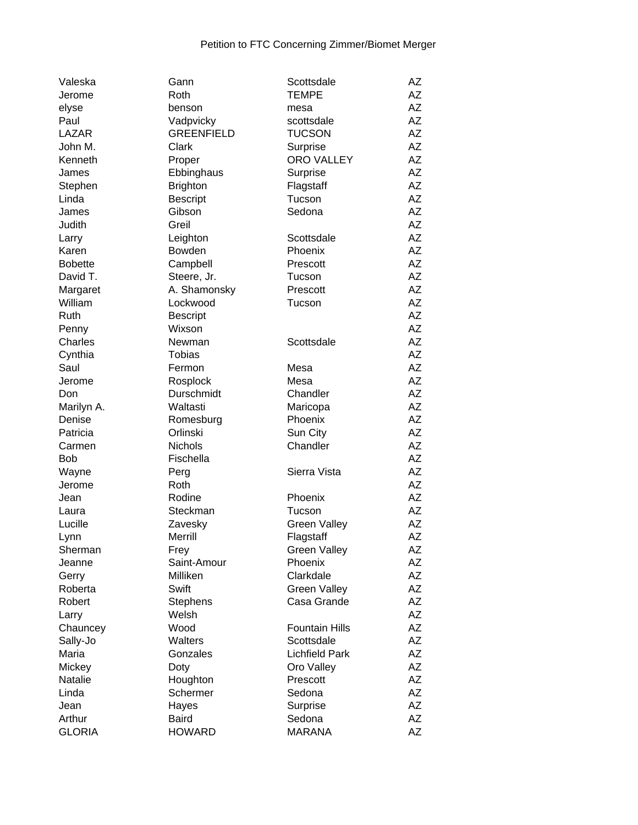| Valeska        | Gann              | Scottsdale            | AΖ        |
|----------------|-------------------|-----------------------|-----------|
| Jerome         | Roth              | <b>TEMPE</b>          | AΖ        |
| elyse          | benson            | mesa                  | AZ        |
| Paul           | Vadpvicky         | scottsdale            | AΖ        |
| LAZAR          | <b>GREENFIELD</b> | <b>TUCSON</b>         | <b>AZ</b> |
| John M.        | Clark             | Surprise              | AΖ        |
| Kenneth        | Proper            | <b>ORO VALLEY</b>     | <b>AZ</b> |
| James          | Ebbinghaus        | Surprise              | AΖ        |
| Stephen        | <b>Brighton</b>   | Flagstaff             | <b>AZ</b> |
| Linda          | <b>Bescript</b>   | Tucson                | AΖ        |
| James          | Gibson            | Sedona                | AZ        |
| Judith         | Greil             |                       | AΖ        |
| Larry          | Leighton          | Scottsdale            | AZ        |
| Karen          | Bowden            | Phoenix               | <b>AZ</b> |
| <b>Bobette</b> |                   |                       | <b>AZ</b> |
|                | Campbell          | Prescott              | AZ        |
| David T.       | Steere, Jr.       | Tucson                |           |
| Margaret       | A. Shamonsky      | Prescott              | AZ        |
| William        | Lockwood          | Tucson                | AΖ        |
| Ruth           | <b>Bescript</b>   |                       | AΖ        |
| Penny          | Wixson            |                       | AZ        |
| Charles        | Newman            | Scottsdale            | <b>AZ</b> |
| Cynthia        | <b>Tobias</b>     |                       | AZ        |
| Saul           | Fermon            | Mesa                  | AΖ        |
| Jerome         | Rosplock          | Mesa                  | AΖ        |
| Don            | Durschmidt        | Chandler              | AZ        |
| Marilyn A.     | Waltasti          | Maricopa              | AΖ        |
| Denise         | Romesburg         | Phoenix               | AΖ        |
| Patricia       | Orlinski          | Sun City              | <b>AZ</b> |
| Carmen         | <b>Nichols</b>    | Chandler              | <b>AZ</b> |
| <b>Bob</b>     | Fischella         |                       | AZ        |
| Wayne          | Perg              | Sierra Vista          | <b>AZ</b> |
| Jerome         | Roth              |                       | <b>AZ</b> |
| Jean           | Rodine            | Phoenix               | <b>AZ</b> |
| Laura          | Steckman          | Tucson                | AΖ        |
| Lucille        | Zavesky           | <b>Green Valley</b>   | AΖ        |
| Lynn           | Merrill           | Flagstaff             | AZ        |
| Sherman        | Frey              | <b>Green Valley</b>   | AΖ        |
| Jeanne         | Saint-Amour       | Phoenix               | AZ        |
| Gerry          | Milliken          | Clarkdale             | AZ        |
| Roberta        | Swift             | <b>Green Valley</b>   | AΖ        |
| Robert         | <b>Stephens</b>   | Casa Grande           | AΖ        |
| Larry          | Welsh             |                       | AZ        |
| Chauncey       | Wood              |                       | AZ        |
|                |                   | <b>Fountain Hills</b> | AZ        |
| Sally-Jo       | Walters           | Scottsdale            |           |
| Maria          | Gonzales          | <b>Lichfield Park</b> | AΖ        |
| Mickey         | Doty              | Oro Valley            | AΖ        |
| Natalie        | Houghton          | Prescott              | AZ        |
| Linda          | Schermer          | Sedona                | AΖ        |
| Jean           | Hayes             | Surprise              | AZ        |
| Arthur         | <b>Baird</b>      | Sedona                | AZ        |
| <b>GLORIA</b>  | <b>HOWARD</b>     | <b>MARANA</b>         | AZ        |
|                |                   |                       |           |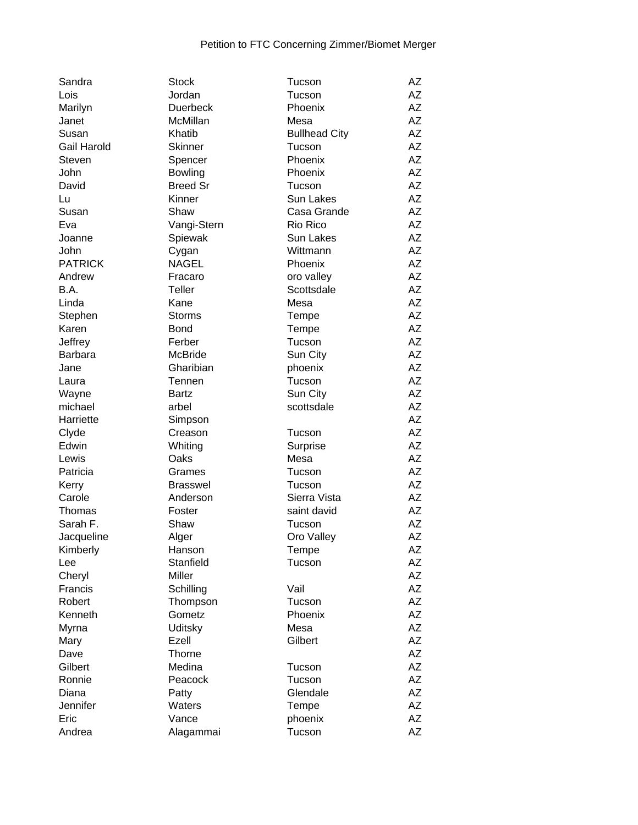| Sandra         | <b>Stock</b>    | Tucson               | AZ        |
|----------------|-----------------|----------------------|-----------|
| Lois           | Jordan          | Tucson               | <b>AZ</b> |
| Marilyn        | <b>Duerbeck</b> | Phoenix              | AZ        |
| Janet          | McMillan        | Mesa                 | AZ        |
| Susan          | Khatib          | <b>Bullhead City</b> | AZ        |
| Gail Harold    | <b>Skinner</b>  | Tucson               | AZ        |
| <b>Steven</b>  | Spencer         | Phoenix              | <b>AZ</b> |
| John           | <b>Bowling</b>  | Phoenix              | AZ        |
| David          | <b>Breed Sr</b> | Tucson               | AZ        |
| Lu             | Kinner          | <b>Sun Lakes</b>     | AZ        |
| Susan          | Shaw            | Casa Grande          | AΖ        |
| Eva            | Vangi-Stern     | Rio Rico             | AZ        |
| Joanne         | Spiewak         | <b>Sun Lakes</b>     | AZ        |
| John           | Cygan           | Wittmann             | <b>AZ</b> |
| <b>PATRICK</b> | <b>NAGEL</b>    | Phoenix              | AZ        |
| Andrew         | Fracaro         | oro valley           | AZ        |
| B.A.           | Teller          | Scottsdale           | AZ        |
| Linda          | Kane            | Mesa                 | AZ        |
| Stephen        | <b>Storms</b>   | Tempe                | AZ        |
| Karen          | <b>Bond</b>     | Tempe                | <b>AZ</b> |
| Jeffrey        | Ferber          | Tucson               | AZ        |
| <b>Barbara</b> | <b>McBride</b>  | Sun City             | AZ        |
| Jane           | Gharibian       | phoenix              | AΖ        |
| Laura          | Tennen          | Tucson               | AZ        |
| Wayne          | <b>Bartz</b>    | Sun City             | AZ        |
| michael        | arbel           | scottsdale           | <b>AZ</b> |
| Harriette      | Simpson         |                      | <b>AZ</b> |
| Clyde          | Creason         | Tucson               | AZ        |
| Edwin          | Whiting         | Surprise             | AZ        |
| Lewis          | Oaks            | Mesa                 | AZ        |
| Patricia       | Grames          | Tucson               | AZ        |
| Kerry          | <b>Brasswel</b> | Tucson               | <b>AZ</b> |
| Carole         | Anderson        | Sierra Vista         | <b>AZ</b> |
| Thomas         | Foster          | saint david          | AZ        |
| Sarah F.       | Shaw            | Tucson               | AΖ        |
| Jacqueline     | Alger           | Oro Valley           | AΖ        |
| Kimberly       | Hanson          | Tempe                | <b>ΑΖ</b> |
| Lee            | Stanfield       | Tucson               | AΖ        |
| Cheryl         | Miller          |                      | AZ        |
| Francis        | Schilling       | Vail                 | AZ        |
| Robert         | Thompson        | Tucson               | ΑZ        |
| Kenneth        | Gometz          | Phoenix              | AZ        |
| Myrna          | Uditsky         | Mesa                 | AΖ        |
| Mary           | Ezell           | Gilbert              | AZ        |
| Dave           | <b>Thorne</b>   |                      | AZ        |
| Gilbert        | Medina          | Tucson               | AZ        |
| Ronnie         | Peacock         | Tucson               | AZ        |
| Diana          |                 | Glendale             | AΖ        |
| Jennifer       | Patty<br>Waters |                      | AΖ        |
| Eric           |                 | Tempe                | AΖ        |
|                | Vance           | phoenix              | <b>AZ</b> |
| Andrea         | Alagammai       | Tucson               |           |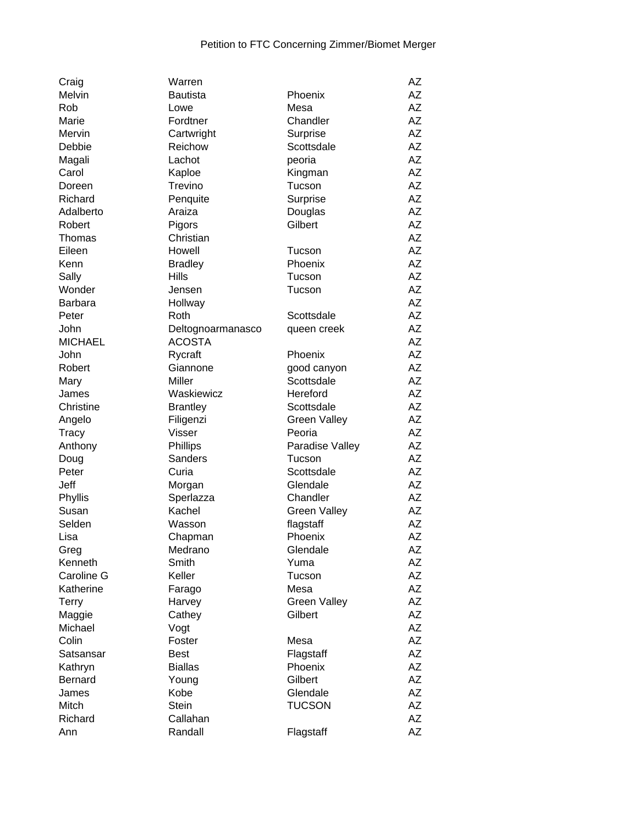| Craig          | Warren            |                     | AZ        |
|----------------|-------------------|---------------------|-----------|
| Melvin         | <b>Bautista</b>   | Phoenix             | AΖ        |
| Rob            | Lowe              | Mesa                | AΖ        |
| Marie          | Fordtner          | Chandler            | <b>AZ</b> |
| Mervin         | Cartwright        | Surprise            | AZ        |
| Debbie         | Reichow           | Scottsdale          | AΖ        |
| Magali         | Lachot            | peoria              | AΖ        |
| Carol          | Kaploe            | Kingman             | AΖ        |
| Doreen         | Trevino           | Tucson              | AΖ        |
| Richard        | Penquite          | Surprise            | AΖ        |
| Adalberto      | Araiza            | Douglas             | AΖ        |
| Robert         | Pigors            | Gilbert             | AΖ        |
| Thomas         | Christian         |                     | AΖ        |
| Eileen         | Howell            | Tucson              | AΖ        |
| Kenn           | <b>Bradley</b>    | Phoenix             | AZ        |
| Sally          | <b>Hills</b>      | Tucson              | AZ        |
| Wonder         | Jensen            | Tucson              | AΖ        |
| <b>Barbara</b> | Hollway           |                     | AΖ        |
| Peter          | Roth              | Scottsdale          | AZ        |
| John           | Deltognoarmanasco | queen creek         | AΖ        |
| <b>MICHAEL</b> | <b>ACOSTA</b>     |                     | AΖ        |
| John           | Rycraft           | Phoenix             | AΖ        |
| Robert         | Giannone          | good canyon         | AΖ        |
| Mary           | <b>Miller</b>     | Scottsdale          | AΖ        |
| James          | Waskiewicz        | Hereford            | AZ        |
| Christine      | <b>Brantley</b>   | Scottsdale          | AΖ        |
| Angelo         | Filigenzi         | <b>Green Valley</b> | AΖ        |
| <b>Tracy</b>   | Visser            | Peoria              | AZ        |
| Anthony        | Phillips          | Paradise Valley     | AΖ        |
| Doug           | Sanders           | Tucson              | AZ        |
| Peter          | Curia             | Scottsdale          | AΖ        |
| Jeff           | Morgan            | Glendale            | AΖ        |
| Phyllis        | Sperlazza         | Chandler            | AΖ        |
| Susan          | Kachel            | <b>Green Valley</b> | AΖ        |
| Selden         | Wasson            | flagstaff           | AZ        |
| Lisa           | Chapman           | Phoenix             | AΖ        |
| Greg           | Medrano           | Glendale            | AΖ        |
| Kenneth        | Smith             | Yuma                | AΖ        |
| Caroline G     | Keller            | Tucson              | AΖ        |
| Katherine      | Farago            | Mesa                | ΑZ        |
| <b>Terry</b>   | Harvey            | <b>Green Valley</b> | AZ        |
| Maggie         | Cathey            | Gilbert             | ΑZ        |
| Michael        | Vogt              |                     | ΑZ        |
| Colin          | Foster            | Mesa                | AZ        |
| Satsansar      | <b>Best</b>       | Flagstaff           | AΖ        |
| Kathryn        | <b>Biallas</b>    | Phoenix             | AZ        |
| <b>Bernard</b> | Young             | Gilbert             | AΖ        |
| James          | Kobe              | Glendale            | AZ        |
| Mitch          | Stein             | <b>TUCSON</b>       | AZ        |
| Richard        | Callahan          |                     | ΑZ        |
| Ann            | Randall           | Flagstaff           | AZ        |
|                |                   |                     |           |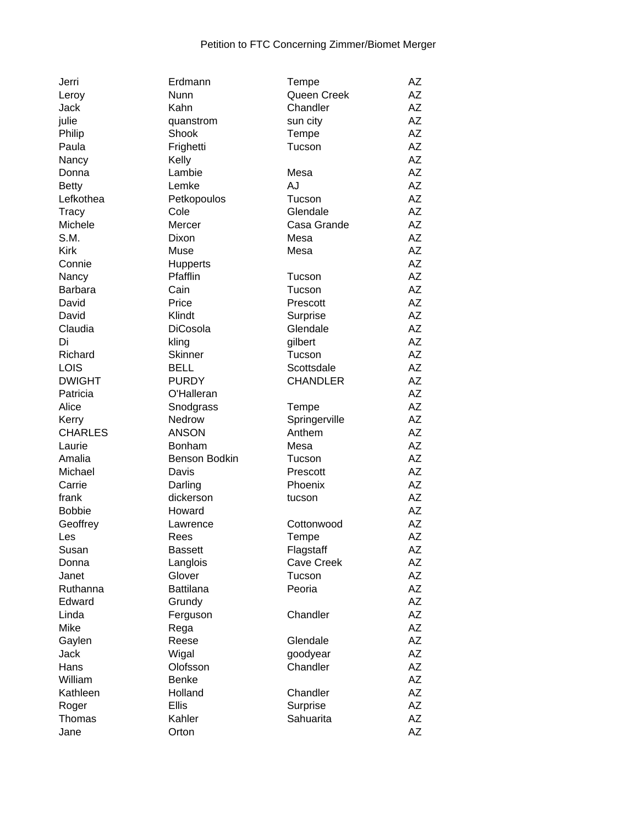| Jerri          | Erdmann          | Tempe           | AZ |
|----------------|------------------|-----------------|----|
| Leroy          | Nunn             | Queen Creek     | AZ |
| Jack           | Kahn             | Chandler        | ΑZ |
| julie          | quanstrom        | sun city        | AZ |
| Philip         | Shook            | Tempe           | AZ |
| Paula          | Frighetti        | Tucson          | AΖ |
| Nancy          | Kelly            |                 | AZ |
| Donna          | Lambie           | Mesa            | AΖ |
| <b>Betty</b>   | Lemke            | <b>AJ</b>       | AΖ |
| Lefkothea      | Petkopoulos      | Tucson          | AZ |
| <b>Tracy</b>   | Cole             | Glendale        | AΖ |
| Michele        | Mercer           | Casa Grande     | AZ |
| S.M.           | Dixon            | Mesa            | AZ |
| <b>Kirk</b>    | Muse             | Mesa            | AZ |
| Connie         | Hupperts         |                 | AZ |
| Nancy          | Pfafflin         | Tucson          | AZ |
| <b>Barbara</b> | Cain             | Tucson          | AΖ |
| David          | Price            | Prescott        | AΖ |
| David          | Klindt           | Surprise        | AZ |
| Claudia        | <b>DiCosola</b>  | Glendale        | AΖ |
| Di             | kling            | gilbert         | AΖ |
|                | <b>Skinner</b>   | Tucson          | AΖ |
| Richard        | <b>BELL</b>      | Scottsdale      | AZ |
| LOIS           |                  |                 |    |
| <b>DWIGHT</b>  | <b>PURDY</b>     | <b>CHANDLER</b> | AΖ |
| Patricia       | O'Halleran       |                 | AZ |
| Alice          | Snodgrass        | Tempe           | AZ |
| Kerry          | Nedrow           | Springerville   | AZ |
| <b>CHARLES</b> | <b>ANSON</b>     | Anthem          | AZ |
| Laurie         | Bonham           | Mesa            | AZ |
| Amalia         | Benson Bodkin    | Tucson          | AZ |
| Michael        | Davis            | Prescott        | AΖ |
| Carrie         | Darling          | Phoenix         | AZ |
| frank          | dickerson        | tucson          | AΖ |
| <b>Bobbie</b>  | Howard           |                 | AΖ |
| Geoffrey       | Lawrence         | Cottonwood      | AZ |
| Les            | Rees             | Tempe           | AΖ |
| Susan          | <b>Bassett</b>   | Flagstaff       | AΖ |
| Donna          | Langlois         | Cave Creek      | AZ |
| Janet          | Glover           | Tucson          | ΑZ |
| Ruthanna       | <b>Battilana</b> | Peoria          | ΑZ |
| Edward         | Grundy           |                 | ΑZ |
| Linda          | Ferguson         | Chandler        | ΑZ |
| Mike           | Rega             |                 | ΑZ |
| Gaylen         | Reese            | Glendale        | ΑZ |
| Jack           | Wigal            | goodyear        | AZ |
| Hans           | Olofsson         | Chandler        | AΖ |
| William        | <b>Benke</b>     |                 | AZ |
| Kathleen       | Holland          | Chandler        | AZ |
| Roger          | <b>Ellis</b>     | Surprise        | AZ |
| Thomas         | Kahler           | Sahuarita       | AZ |
| Jane           | Orton            |                 | AZ |
|                |                  |                 |    |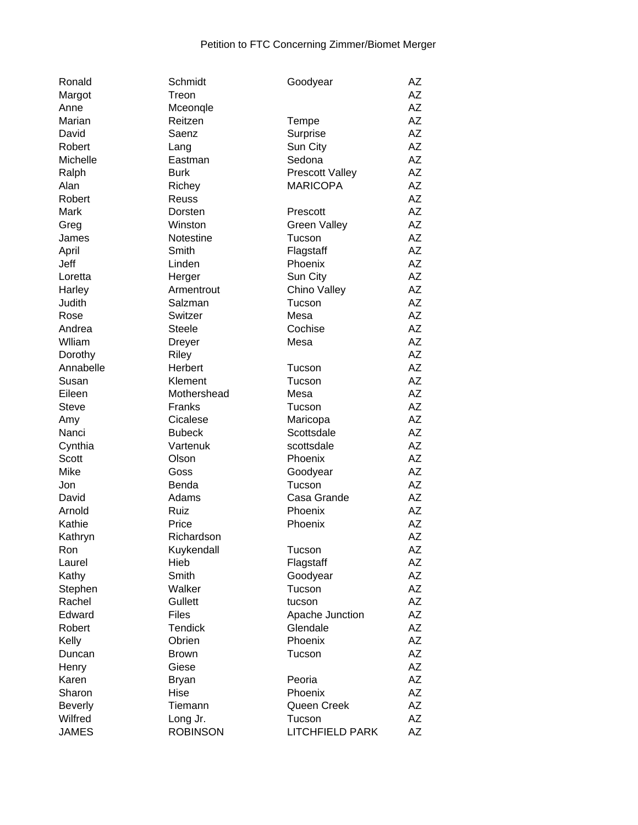| Ronald         | Schmidt         | Goodyear               | AΖ |
|----------------|-----------------|------------------------|----|
| Margot         | Treon           |                        | AΖ |
| Anne           | Mceonqle        |                        | AΖ |
| Marian         | Reitzen         | Tempe                  | AΖ |
| David          | Saenz           | Surprise               | AZ |
| Robert         | Lang            | Sun City               | AZ |
| Michelle       | Eastman         | Sedona                 | AZ |
| Ralph          | <b>Burk</b>     | <b>Prescott Valley</b> | AZ |
| Alan           | Richey          | <b>MARICOPA</b>        | AZ |
| Robert         | Reuss           |                        | AΖ |
| Mark           | Dorsten         | Prescott               | AZ |
| Greg           | Winston         | <b>Green Valley</b>    | AZ |
| James          | Notestine       | Tucson                 | AΖ |
| April          | Smith           | Flagstaff              | AZ |
| Jeff           | Linden          | Phoenix                | AΖ |
| Loretta        | Herger          | Sun City               | AZ |
| Harley         | Armentrout      | Chino Valley           | AZ |
| Judith         | Salzman         | Tucson                 | AZ |
| Rose           | Switzer         | Mesa                   | ΑZ |
| Andrea         | <b>Steele</b>   | Cochise                | ΑZ |
| Wlliam         | <b>Dreyer</b>   | Mesa                   | ΑZ |
| Dorothy        | <b>Riley</b>    |                        | AZ |
| Annabelle      | Herbert         | Tucson                 | ΑZ |
| Susan          | Klement         | Tucson                 | AZ |
| Eileen         | Mothershead     | Mesa                   | AΖ |
| <b>Steve</b>   | Franks          | Tucson                 | AZ |
| Amy            | Cicalese        | Maricopa               | AΖ |
| Nanci          | <b>Bubeck</b>   | Scottsdale             | AΖ |
| Cynthia        | Vartenuk        | scottsdale             | AΖ |
| Scott          | Olson           | Phoenix                | AΖ |
| Mike           | Goss            | Goodyear               | AZ |
| Jon            | Benda           | Tucson                 | AΖ |
| David          | Adams           | Casa Grande            | AΖ |
| Arnold         | Ruiz            | Phoenix                | AΖ |
| Kathie         | Price           | Phoenix                | AΖ |
| Kathryn        | Richardson      |                        | AΖ |
| Ron            | Kuykendall      | Tucson                 | AΖ |
| Laurel         | Hieb            | Flagstaff              | AZ |
| Kathy          | Smith           | Goodyear               | AZ |
| Stephen        | Walker          | Tucson                 | AΖ |
| Rachel         | Gullett         | tucson                 | AZ |
| Edward         | <b>Files</b>    | Apache Junction        | AZ |
| Robert         | <b>Tendick</b>  | Glendale               | ΑZ |
| Kelly          | Obrien          | Phoenix                | AΖ |
| Duncan         | <b>Brown</b>    | Tucson                 | AΖ |
| Henry          | Giese           |                        | AΖ |
| Karen          | <b>Bryan</b>    | Peoria                 | AΖ |
| Sharon         | Hise            | Phoenix                | ΑZ |
| <b>Beverly</b> | Tiemann         | Queen Creek            | AZ |
| Wilfred        | Long Jr.        | Tucson                 | AZ |
| <b>JAMES</b>   | <b>ROBINSON</b> | <b>LITCHFIELD PARK</b> | AZ |
|                |                 |                        |    |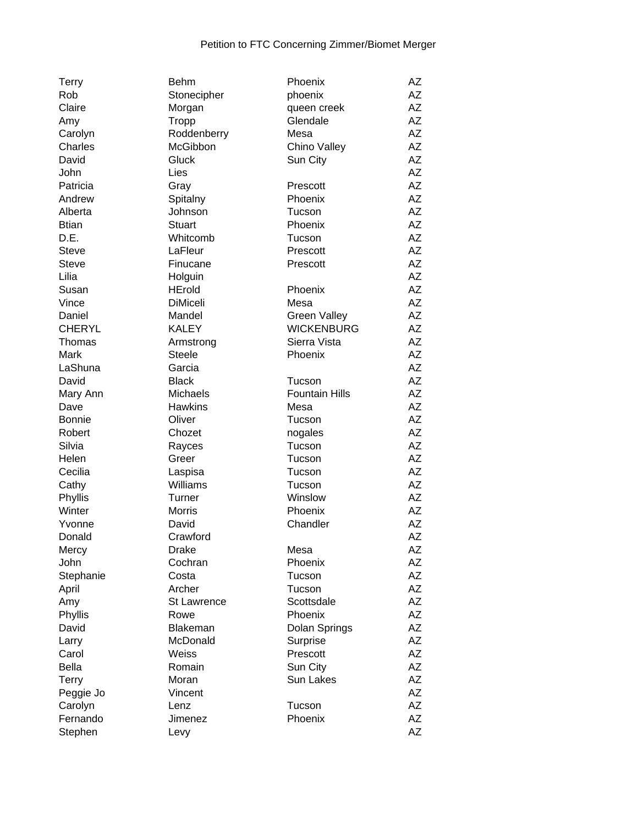| <b>Terry</b>  | <b>Behm</b>     | Phoenix               | AZ        |
|---------------|-----------------|-----------------------|-----------|
| Rob           | Stonecipher     | phoenix               | AZ        |
| Claire        | Morgan          | queen creek           | AZ        |
| Amy           | Tropp           | Glendale              | <b>AZ</b> |
| Carolyn       | Roddenberry     | Mesa                  | <b>AZ</b> |
| Charles       | McGibbon        | Chino Valley          | <b>AZ</b> |
| David         | Gluck           | Sun City              | <b>AZ</b> |
| John          | Lies            |                       | <b>AZ</b> |
| Patricia      | Gray            | Prescott              | <b>AZ</b> |
| Andrew        | Spitalny        | Phoenix               | <b>AZ</b> |
| Alberta       | Johnson         | Tucson                | <b>AZ</b> |
| <b>Btian</b>  | <b>Stuart</b>   | Phoenix               | <b>AZ</b> |
| D.E.          | Whitcomb        | Tucson                | <b>AZ</b> |
| <b>Steve</b>  | LaFleur         | Prescott              | <b>AZ</b> |
| Steve         | Finucane        | Prescott              | <b>AZ</b> |
| Lilia         | Holguin         |                       | <b>AZ</b> |
| Susan         | <b>HErold</b>   | Phoenix               | AZ        |
|               | <b>DiMiceli</b> |                       | <b>AZ</b> |
| Vince         |                 | Mesa                  |           |
| Daniel        | Mandel          | <b>Green Valley</b>   | <b>AZ</b> |
| <b>CHERYL</b> | <b>KALEY</b>    | <b>WICKENBURG</b>     | AZ        |
| Thomas        | Armstrong       | Sierra Vista          | <b>AZ</b> |
| Mark          | <b>Steele</b>   | Phoenix               | <b>AZ</b> |
| LaShuna       | Garcia          |                       | AZ        |
| David         | <b>Black</b>    | Tucson                | AZ        |
| Mary Ann      | <b>Michaels</b> | <b>Fountain Hills</b> | <b>AZ</b> |
| Dave          | <b>Hawkins</b>  | Mesa                  | <b>AZ</b> |
| <b>Bonnie</b> | Oliver          | Tucson                | <b>AZ</b> |
| Robert        | Chozet          | nogales               | <b>AZ</b> |
| Silvia        | Rayces          | Tucson                | <b>AZ</b> |
| Helen         | Greer           | Tucson                | <b>AZ</b> |
| Cecilia       | Laspisa         | Tucson                | <b>AZ</b> |
| Cathy         | Williams        | Tucson                | <b>AZ</b> |
| Phyllis       | Turner          | Winslow               | <b>AZ</b> |
| Winter        | Morris          | Phoenix               | <b>AZ</b> |
| Yvonne        | David           | Chandler              | <b>AZ</b> |
| Donald        | Crawford        |                       | <b>AZ</b> |
| Mercy         | <b>Drake</b>    | Mesa                  | ΑZ        |
| John          | Cochran         | Phoenix               | AΖ        |
| Stephanie     | Costa           | Tucson                | <b>AZ</b> |
| April         | Archer          | Tucson                | <b>AZ</b> |
| Amy           | St Lawrence     | Scottsdale            | <b>AZ</b> |
| Phyllis       | Rowe            | Phoenix               | AZ        |
| David         | <b>Blakeman</b> | Dolan Springs         | <b>AZ</b> |
| Larry         | McDonald        | Surprise              | <b>AZ</b> |
| Carol         | Weiss           | Prescott              | <b>AZ</b> |
| <b>Bella</b>  | Romain          | Sun City              | <b>AZ</b> |
| <b>Terry</b>  | Moran           | Sun Lakes             | AZ        |
| Peggie Jo     | Vincent         |                       | AZ        |
| Carolyn       | Lenz            | Tucson                | AZ        |
| Fernando      | Jimenez         | Phoenix               | <b>AZ</b> |
| Stephen       | Levy            |                       | <b>AZ</b> |
|               |                 |                       |           |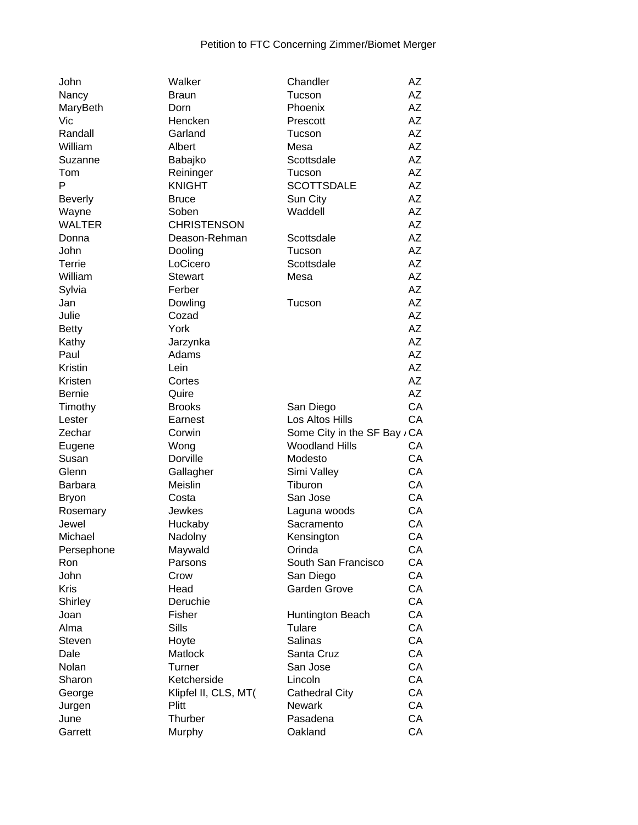| John           | Walker                        | Chandler                               | AΖ        |
|----------------|-------------------------------|----------------------------------------|-----------|
| Nancy          | <b>Braun</b>                  | Tucson                                 | AΖ        |
| MaryBeth       | Dorn                          | Phoenix                                | AΖ        |
| Vic            | Hencken                       | Prescott                               | AΖ        |
| Randall        | Garland                       | Tucson                                 | <b>AZ</b> |
| William        | Albert                        | Mesa                                   | AΖ        |
| Suzanne        | Babajko                       | Scottsdale                             | AΖ        |
| Tom            | Reininger                     | Tucson                                 | AΖ        |
| P              | <b>KNIGHT</b>                 | <b>SCOTTSDALE</b>                      | AΖ        |
| <b>Beverly</b> | <b>Bruce</b>                  | Sun City                               | AΖ        |
| Wayne          | Soben                         | Waddell                                | <b>AZ</b> |
| <b>WALTER</b>  | <b>CHRISTENSON</b>            |                                        | <b>AZ</b> |
| Donna          | Deason-Rehman                 | Scottsdale                             | AΖ        |
| John           | Dooling                       | Tucson                                 | AZ        |
| Terrie         | LoCicero                      | Scottsdale                             | AΖ        |
| William        | <b>Stewart</b>                | Mesa                                   | AZ        |
| Sylvia         | Ferber                        |                                        | AΖ        |
| Jan            | Dowling                       | Tucson                                 | AΖ        |
| Julie          | Cozad                         |                                        | AΖ        |
| <b>Betty</b>   | York                          |                                        | AΖ        |
| Kathy          | Jarzynka                      |                                        | AΖ        |
| Paul           | Adams                         |                                        | AΖ        |
| Kristin        | Lein                          |                                        | AZ        |
| Kristen        | Cortes                        |                                        | AΖ        |
| <b>Bernie</b>  | Quire                         |                                        | AZ        |
| Timothy        | <b>Brooks</b>                 | San Diego                              | CA        |
| Lester         | Earnest                       | Los Altos Hills                        | CA        |
| Zechar         | Corwin                        | Some City in the SF Bay / CA           |           |
| Eugene         | Wong                          | <b>Woodland Hills</b>                  | СA        |
| Susan          | Dorville                      | Modesto                                | CA        |
| Glenn          | Gallagher                     | Simi Valley                            | CA        |
| <b>Barbara</b> | Meislin                       | Tiburon                                | CA        |
| <b>Bryon</b>   | Costa                         | San Jose                               | CA        |
| Rosemary       | Jewkes                        | Laguna woods                           | CA        |
| Jewel          | Huckaby                       | Sacramento                             | CA        |
| Michael        | Nadolny                       | Kensington                             | CA        |
| Persephone     | Maywald                       | Orinda                                 | CA        |
| Ron            | Parsons                       | South San Francisco                    | CA        |
| John           | Crow                          | San Diego                              | CA        |
| <b>Kris</b>    | Head                          | <b>Garden Grove</b>                    | CA        |
| Shirley        | Deruchie                      |                                        | CA        |
| Joan           | Fisher                        | Huntington Beach                       | CA        |
| Alma           | Sills                         | Tulare                                 | CA        |
| Steven         | Hoyte                         | Salinas                                | CA        |
| Dale           | Matlock                       | Santa Cruz                             | CA        |
| Nolan          | Turner                        | San Jose                               | CA        |
| Sharon         | Ketcherside                   | Lincoln                                | CA        |
|                |                               |                                        | CA        |
| George         | Klipfel II, CLS, MT(<br>Plitt | <b>Cathedral City</b><br><b>Newark</b> | CA        |
| Jurgen         | Thurber                       |                                        | CA        |
| June           |                               | Pasadena                               |           |
| Garrett        | Murphy                        | Oakland                                | CA        |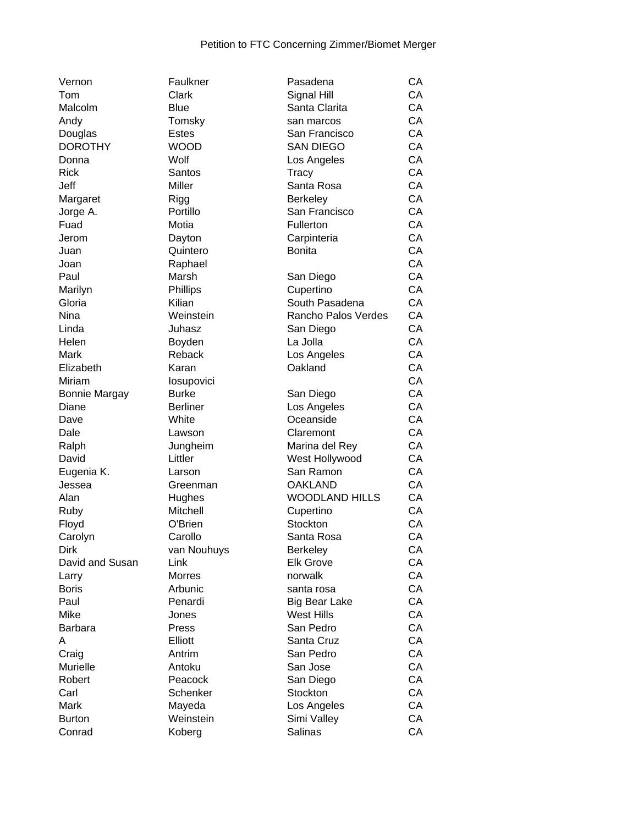| Vernon               | Faulkner        | Pasadena              | CA |
|----------------------|-----------------|-----------------------|----|
| Tom                  | Clark           | Signal Hill           | CA |
| Malcolm              | <b>Blue</b>     | Santa Clarita         | CA |
| Andy                 | Tomsky          | san marcos            | CA |
| Douglas              | <b>Estes</b>    | San Francisco         | CA |
| <b>DOROTHY</b>       | <b>WOOD</b>     | <b>SAN DIEGO</b>      | CA |
| Donna                | Wolf            | Los Angeles           | CA |
| <b>Rick</b>          | Santos          | <b>Tracy</b>          | CA |
| Jeff                 | Miller          | Santa Rosa            | CA |
| Margaret             | Rigg            | <b>Berkeley</b>       | CA |
| Jorge A.             | Portillo        | San Francisco         | CA |
| Fuad                 | Motia           | Fullerton             | CA |
| Jerom                | Dayton          | Carpinteria           | CA |
| Juan                 | Quintero        | <b>Bonita</b>         | CA |
| Joan                 | Raphael         |                       | CA |
| Paul                 | Marsh           | San Diego             | CA |
| Marilyn              | Phillips        | Cupertino             | CA |
| Gloria               | Kilian          | South Pasadena        | CA |
| Nina                 | Weinstein       | Rancho Palos Verdes   | CA |
| Linda                | Juhasz          | San Diego             | CA |
| Helen                | Boyden          | La Jolla              | CA |
| Mark                 | Reback          | Los Angeles           | CA |
| Elizabeth            | Karan           | Oakland               | CA |
| Miriam               | losupovici      |                       | CA |
| <b>Bonnie Margay</b> | <b>Burke</b>    | San Diego             | CA |
| Diane                | <b>Berliner</b> | Los Angeles           | CA |
| Dave                 | White           | Oceanside             | CA |
| Dale                 | Lawson          | Claremont             | CA |
| Ralph                | Jungheim        | Marina del Rey        | CA |
| David                | Littler         | West Hollywood        | CA |
| Eugenia K.           | Larson          | San Ramon             | CA |
| Jessea               | Greenman        | <b>OAKLAND</b>        | CA |
| Alan                 | Hughes          | <b>WOODLAND HILLS</b> | CA |
| Ruby                 | Mitchell        | Cupertino             | CA |
| Floyd                | O'Brien         | Stockton              | CA |
| Carolyn              | Carollo         | Santa Rosa            | CA |
| <b>Dirk</b>          | van Nouhuys     | Berkeley              | CA |
| David and Susan      | Link            | <b>Elk Grove</b>      | CA |
| Larry                | <b>Morres</b>   | norwalk               | CA |
| <b>Boris</b>         | Arbunic         | santa rosa            | CA |
| Paul                 | Penardi         | Big Bear Lake         | CA |
| Mike                 | Jones           | <b>West Hills</b>     | CA |
| <b>Barbara</b>       | Press           | San Pedro             | CA |
| A                    | Elliott         | Santa Cruz            | CA |
| Craig                | Antrim          | San Pedro             | CA |
| Murielle             | Antoku          | San Jose              | CA |
| Robert               | Peacock         | San Diego             | CA |
| Carl                 | Schenker        | Stockton              | CA |
| Mark                 | Mayeda          | Los Angeles           | CA |
| <b>Burton</b>        | Weinstein       | Simi Valley           | CA |
| Conrad               | Koberg          | Salinas               | CA |
|                      |                 |                       |    |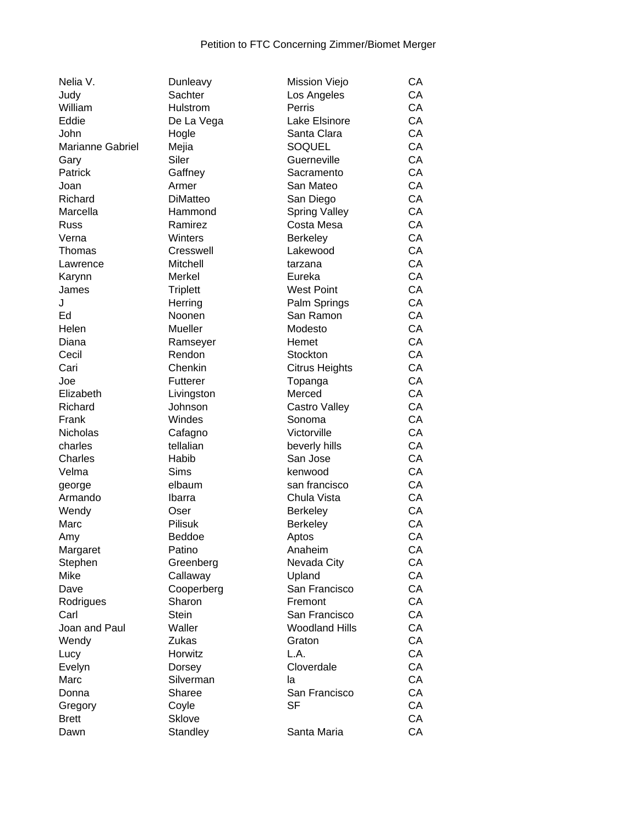| Nelia V.         | Dunleavy        | Mission Viejo         | CA  |
|------------------|-----------------|-----------------------|-----|
| Judy             | Sachter         | Los Angeles           | CA  |
| William          | <b>Hulstrom</b> | Perris                | CA  |
| Eddie            | De La Vega      | Lake Elsinore         | CA  |
| John             | Hogle           | Santa Clara           | CA  |
| Marianne Gabriel | Mejia           | SOQUEL                | CA  |
| Gary             | Siler           | Guerneville           | CA  |
| Patrick          | Gaffney         | Sacramento            | CA  |
| Joan             | Armer           | San Mateo             | CA  |
| Richard          | <b>DiMatteo</b> | San Diego             | CA  |
| Marcella         | Hammond         | <b>Spring Valley</b>  | CA  |
| Russ             | Ramirez         | Costa Mesa            | CA  |
| Verna            | Winters         | <b>Berkeley</b>       | CA  |
| Thomas           | Cresswell       | Lakewood              | CA  |
| Lawrence         | Mitchell        | tarzana               | CA  |
| Karynn           | Merkel          | Eureka                | CA  |
| James            | <b>Triplett</b> | <b>West Point</b>     | CA  |
| J                | Herring         | Palm Springs          | CA  |
| Ed               | Noonen          | San Ramon             | CA  |
| Helen            | Mueller         | Modesto               | CA  |
|                  |                 |                       |     |
| Diana            | Ramseyer        | Hemet                 | CA  |
| Cecil            | Rendon          | Stockton              | CA  |
| Cari             | Chenkin         | <b>Citrus Heights</b> | CA  |
| Joe              | Futterer        | Topanga               | CA  |
| Elizabeth        | Livingston      | Merced                | CA  |
| Richard          | Johnson         | Castro Valley         | CA  |
| Frank            | Windes          | Sonoma                | CA  |
| <b>Nicholas</b>  | Cafagno         | Victorville           | CA  |
| charles          | tellalian       | beverly hills         | CA  |
| Charles          | Habib           | San Jose              | CA  |
| Velma            | <b>Sims</b>     | kenwood               | CA  |
| george           | elbaum          | san francisco         | CA  |
| Armando          | Ibarra          | Chula Vista           | CA  |
| Wendy            | Oser            | <b>Berkeley</b>       | CA  |
| Marc             | Pilisuk         | <b>Berkeley</b>       | CA  |
| Amy              | Beddoe          | Aptos                 | CA  |
| Margaret         | Patino          | Anaheim               | CA  |
| Stephen          | Greenberg       | Nevada City           | СA  |
| Mike             | Callaway        | Upland                | СA  |
| Dave             | Cooperberg      | San Francisco         | СA  |
| Rodrigues        | Sharon          | Fremont               | CA  |
| Carl             | <b>Stein</b>    | San Francisco         | CA  |
| Joan and Paul    | Waller          | <b>Woodland Hills</b> | CA  |
| Wendy            | Zukas           | Graton                | CA  |
| Lucy             | Horwitz         | L.A.                  | CA  |
| Evelyn           | Dorsey          | Cloverdale            | CA  |
| Marc             | Silverman       | la                    | CA  |
| Donna            | Sharee          | San Francisco         | CA  |
| Gregory          | Coyle           | <b>SF</b>             | CA  |
| <b>Brett</b>     | <b>Sklove</b>   |                       | CA  |
| <b>Dawn</b>      | Standley        | Santa Maria           | C.A |

| Nelia V.         | Dunleavy        | Mission Viejo         | CА |
|------------------|-----------------|-----------------------|----|
| Judy             | Sachter         | Los Angeles           | CA |
| William          | Hulstrom        | Perris                | CA |
| Eddie            | De La Vega      | Lake Elsinore         | CA |
| John             | Hogle           | Santa Clara           | CA |
| Marianne Gabriel | Mejia           | <b>SOQUEL</b>         | CA |
| Gary             | Siler           | Guerneville           | CA |
| Patrick          | Gaffney         | Sacramento            | CA |
| Joan             | Armer           | San Mateo             | CA |
| Richard          | <b>DiMatteo</b> | San Diego             | CA |
| Marcella         | Hammond         | <b>Spring Valley</b>  | CA |
| Russ             | Ramirez         | Costa Mesa            | CA |
| Verna            | Winters         | <b>Berkeley</b>       | CA |
| Thomas           | Cresswell       | Lakewood              | CA |
| Lawrence         | Mitchell        | tarzana               | CA |
| Karynn           | Merkel          | Eureka                | CA |
| James            | <b>Triplett</b> | <b>West Point</b>     | CA |
| J                | Herring         | Palm Springs          | CA |
| Ed               | Noonen          | San Ramon             | CA |
| Helen            | Mueller         | Modesto               | CA |
| Diana            | Ramseyer        | Hemet                 | CA |
| Cecil            | Rendon          | Stockton              | CA |
| Cari             | Chenkin         | <b>Citrus Heights</b> | CA |
| Joe              | Futterer        | Topanga               | CA |
| Elizabeth        | Livingston      | Merced                | CA |
| Richard          | Johnson         | Castro Valley         | CA |
| Frank            | Windes          | Sonoma                | CA |
| Nicholas         | Cafagno         | Victorville           | CA |
| charles          | tellalian       | beverly hills         | CA |
| Charles          | Habib           | San Jose              | CA |
| Velma            | Sims            | kenwood               | CA |
| george           | elbaum          | san francisco         | CA |
| Armando          | Ibarra          | Chula Vista           | CA |
| Wendy            | Oser            | <b>Berkeley</b>       | CA |
| Marc             | Pilisuk         | Berkeley              | CA |
| Amy              | Beddoe          | Aptos                 | CA |
| Margaret         | Patino          | Anaheim               | CA |
| Stephen          | Greenberg       | Nevada City           | CA |
| Mike             | Callaway        | Upland                | CA |
| Dave             | Cooperberg      | San Francisco         | CA |
| Rodrigues        | Sharon          | Fremont               | CA |
| Carl             | <b>Stein</b>    | San Francisco         | CA |
| Joan and Paul    | Waller          | <b>Woodland Hills</b> | CA |
| Wendy            | Zukas           | Graton                | CA |
| Lucy             | Horwitz         | L.A.                  | CA |
| Evelyn           | Dorsey          | Cloverdale            | CA |
| Marc             | Silverman       | la                    | CA |
| Donna            | Sharee          | San Francisco         | CA |
| Gregory          | Coyle           | <b>SF</b>             | CA |
| <b>Brett</b>     | <b>Sklove</b>   |                       | CA |
| Dawn             | Standley        | Santa Maria           | CA |
|                  |                 |                       |    |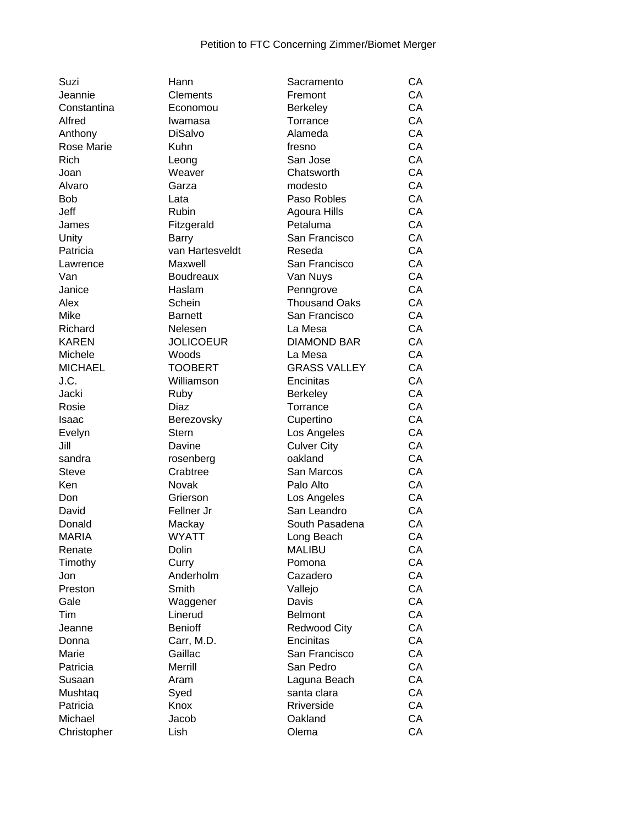| Suzi              | Hann             | Sacramento           | CА |
|-------------------|------------------|----------------------|----|
| Jeannie           | Clements         | Fremont              | CA |
| Constantina       | Economou         | <b>Berkeley</b>      | CA |
| Alfred            | Iwamasa          | Torrance             | CA |
| Anthony           | <b>DiSalvo</b>   | Alameda              | CA |
| <b>Rose Marie</b> | Kuhn             | fresno               | CA |
| Rich              | Leong            | San Jose             | CA |
| Joan              | Weaver           | Chatsworth           | CA |
| Alvaro            | Garza            | modesto              | CA |
| <b>Bob</b>        | Lata             | Paso Robles          | CA |
| Jeff              | Rubin            | Agoura Hills         | CA |
| James             | Fitzgerald       | Petaluma             | CA |
| Unity             | <b>Barry</b>     | San Francisco        | CA |
| Patricia          | van Hartesveldt  | Reseda               | CA |
| Lawrence          | Maxwell          | San Francisco        | CA |
| Van               | <b>Boudreaux</b> | Van Nuys             | CA |
| Janice            | Haslam           | Penngrove            | CA |
| Alex              | Schein           | <b>Thousand Oaks</b> | CA |
| Mike              | <b>Barnett</b>   | San Francisco        | CA |
| Richard           | Nelesen          | La Mesa              | CA |
| <b>KAREN</b>      | <b>JOLICOEUR</b> | <b>DIAMOND BAR</b>   | CA |
| Michele           | Woods            | La Mesa              | CA |
| <b>MICHAEL</b>    | <b>TOOBERT</b>   | <b>GRASS VALLEY</b>  | CA |
| J.C.              | Williamson       | Encinitas            | CA |
| Jacki             | Ruby             | <b>Berkeley</b>      | CA |
| Rosie             | Diaz             | Torrance             | CA |
| Isaac             | Berezovsky       | Cupertino            | CA |
| Evelyn            | <b>Stern</b>     | Los Angeles          | CA |
| Jill              | Davine           | <b>Culver City</b>   | CA |
| sandra            | rosenberg        | oakland              | CA |
| <b>Steve</b>      | Crabtree         | San Marcos           | CA |
| Ken               | Novak            | Palo Alto            | CA |
| Don               | Grierson         | Los Angeles          | CA |
| David             | Fellner Jr       | San Leandro          | CA |
| Donald            | Mackay           | South Pasadena       | CA |
| <b>MARIA</b>      | <b>WYATT</b>     | Long Beach           | CA |
| Renate            | Dolin            | <b>MALIBU</b>        | CA |
| Timothy           | Curry            | Pomona               | CA |
| Jon               | Anderholm        | Cazadero             | CA |
| Preston           | Smith            | Vallejo              | CA |
| Gale              | Waggener         | Davis                | CA |
| Tim               | Linerud          | <b>Belmont</b>       | CA |
| Jeanne            | <b>Benioff</b>   | <b>Redwood City</b>  | CA |
| Donna             | Carr, M.D.       | Encinitas            | CA |
| Marie             | Gaillac          | San Francisco        | CA |
| Patricia          | Merrill          | San Pedro            | CA |
| Susaan            | Aram             | Laguna Beach         | CA |
| Mushtaq           | Syed             | santa clara          | CA |
| Patricia          | Knox             | Rriverside           | CA |
| Michael           | Jacob            | Oakland              | CA |
| Christopher       | Lish             | Olema                | CA |
|                   |                  |                      |    |

| Suzi           | Hann                      | Sacramento           | CА |
|----------------|---------------------------|----------------------|----|
| Jeannie        | Clements                  | Fremont              | CA |
| Constantina    | Economou                  | <b>Berkeley</b>      | CA |
| Alfred         | Iwamasa                   | Torrance             | CA |
| Anthony        | <b>DiSalvo</b>            | Alameda              | CA |
| Rose Marie     | Kuhn                      | fresno               | CA |
| <b>Rich</b>    | Leong                     | San Jose             | CA |
| Joan           | Weaver                    | Chatsworth           | CA |
| Alvaro         | Garza                     | modesto              | CA |
| Bob            | Lata                      | Paso Robles          | CA |
| Jeff           | Rubin                     | Agoura Hills         | CA |
| James          | Fitzgerald                | Petaluma             | CA |
| Unity          | <b>Barry</b>              | San Francisco        | CA |
| Patricia       | van Hartesveldt           | Reseda               | CA |
| Lawrence       | Maxwell                   | San Francisco        | CA |
| Van            | <b>Boudreaux</b>          | Van Nuys             | CA |
| Janice         | Haslam                    | Penngrove            | CA |
| Alex           | Schein                    | <b>Thousand Oaks</b> | CA |
| Mike           |                           | San Francisco        | CA |
| Richard        | <b>Barnett</b><br>Nelesen | La Mesa              | CA |
| <b>KAREN</b>   |                           | <b>DIAMOND BAR</b>   |    |
|                | <b>JOLICOEUR</b>          |                      | CA |
| Michele        | Woods                     | La Mesa              | CA |
| <b>MICHAEL</b> | <b>TOOBERT</b>            | <b>GRASS VALLEY</b>  | CA |
| J.C.           | Williamson                | Encinitas            | CA |
| Jacki          | Ruby                      | <b>Berkeley</b>      | CA |
| Rosie          | Diaz                      | Torrance             | CA |
| Isaac          | Berezovsky                | Cupertino            | CA |
| Evelyn         | <b>Stern</b>              | Los Angeles          | CA |
| Jill           | Davine                    | <b>Culver City</b>   | CA |
| sandra         | rosenberg                 | oakland              | CA |
| <b>Steve</b>   | Crabtree                  | San Marcos           | CA |
| Ken            | Novak                     | Palo Alto            | CA |
| Don            | Grierson                  | Los Angeles          | CA |
| David          | Fellner Jr                | San Leandro          | CA |
| Donald         | Mackay                    | South Pasadena       | CA |
| <b>MARIA</b>   | <b>WYATT</b>              | Long Beach           | CA |
| Renate         | Dolin                     | <b>MALIBU</b>        | CA |
| Timothy        | Curry                     | Pomona               | CA |
| Jon            | Anderholm                 | Cazadero             | CA |
| Preston        | Smith                     | Vallejo              | CA |
| Gale           | Waggener                  | Davis                | CA |
| Tim            | Linerud                   | <b>Belmont</b>       | CA |
| Jeanne         | <b>Benioff</b>            | <b>Redwood City</b>  | CA |
| Donna          | Carr, M.D.                | Encinitas            | CA |
| Marie          | Gaillac                   | San Francisco        | CA |
| Patricia       | Merrill                   | San Pedro            | CA |
| Susaan         | Aram                      | Laguna Beach         | CA |
|                | Syed                      | santa clara          | CA |
| Mushtaq        | Knox                      |                      |    |
| Patricia       |                           | Rriverside           | CA |
| Michael        | Jacob                     | Oakland              | CA |
| Christopher    | Lish                      | Olema                | CA |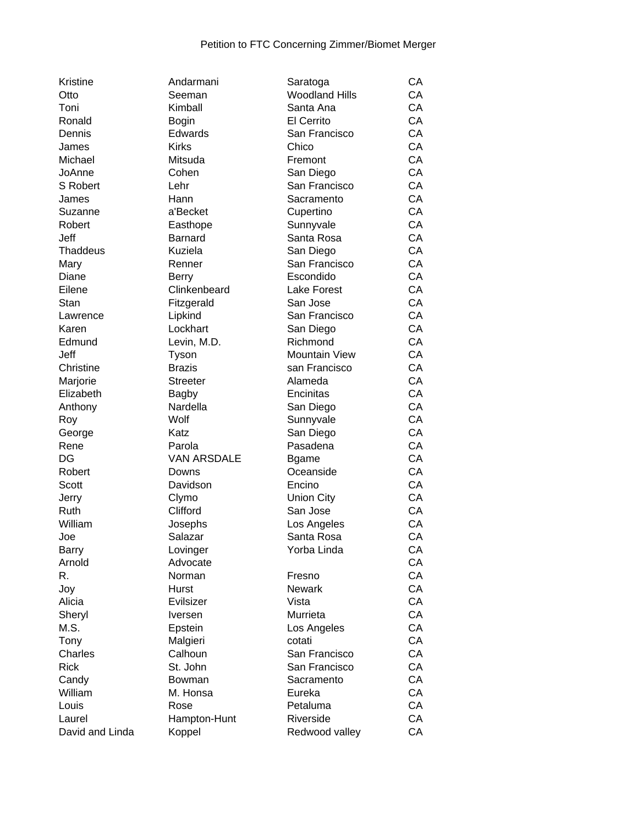| Kristine        | Andarmani                    | Saratoga              | CA |
|-----------------|------------------------------|-----------------------|----|
| Otto            | Seeman                       | <b>Woodland Hills</b> | CA |
| Toni            | Kimball                      | Santa Ana             | CA |
| Ronald          | <b>Bogin</b>                 | El Cerrito            | CA |
| Dennis          | Edwards                      | San Francisco         | CA |
| James           | <b>Kirks</b>                 | Chico                 | CA |
| Michael         | Mitsuda                      | Fremont               | CA |
| JoAnne          | Cohen                        | San Diego             | CA |
| S Robert        | Lehr                         | San Francisco         | CA |
| James           | Hann                         | Sacramento            | CA |
| Suzanne         | a'Becket                     | Cupertino             | CA |
| Robert          | Easthope                     | Sunnyvale             | CA |
| Jeff            | <b>Barnard</b>               | Santa Rosa            | CA |
| <b>Thaddeus</b> | Kuziela                      | San Diego             | CA |
| Mary            | Renner                       | San Francisco         | CA |
| Diane           |                              | Escondido             | CA |
| Eilene          | <b>Berry</b><br>Clinkenbeard | <b>Lake Forest</b>    | CA |
|                 |                              |                       |    |
| Stan            | Fitzgerald                   | San Jose              | CA |
| Lawrence        | Lipkind                      | San Francisco         | CA |
| Karen           | Lockhart                     | San Diego             | CA |
| Edmund          | Levin, M.D.                  | Richmond              | CA |
| Jeff            | Tyson                        | <b>Mountain View</b>  | CA |
| Christine       | <b>Brazis</b>                | san Francisco         | CA |
| Marjorie        | <b>Streeter</b>              | Alameda               | CA |
| Elizabeth       | <b>Bagby</b>                 | Encinitas             | CA |
| Anthony         | Nardella                     | San Diego             | CA |
| Roy             | Wolf                         | Sunnyvale             | CA |
| George          | Katz                         | San Diego             | CA |
| Rene            | Parola                       | Pasadena              | CA |
| DG              | <b>VAN ARSDALE</b>           | <b>Bgame</b>          | CA |
| Robert          | Downs                        | Oceanside             | CA |
| Scott           | Davidson                     | Encino                | CA |
| Jerry           | Clymo                        | <b>Union City</b>     | CA |
| Ruth            | Clifford                     | San Jose              | CA |
| William         | Josephs                      | Los Angeles           | CA |
| Joe             | Salazar                      | Santa Rosa            | CA |
| <b>Barry</b>    | Lovinger                     | Yorba Linda           | CA |
| Arnold          | Advocate                     |                       | CA |
| R.              | Norman                       | Fresno                | CA |
| Joy             | Hurst                        | <b>Newark</b>         | CA |
| Alicia          | Evilsizer                    | Vista                 | CA |
| Sheryl          | <b>Iversen</b>               | Murrieta              | CA |
| M.S.            | Epstein                      | Los Angeles           | CA |
| Tony            | Malgieri                     | cotati                | CA |
| Charles         | Calhoun                      | San Francisco         | CA |
| <b>Rick</b>     | St. John                     | San Francisco         | CA |
|                 |                              |                       |    |
| Candy           | Bowman                       | Sacramento            | CA |
| William         | M. Honsa                     | Eureka                | CA |
| Louis           | Rose                         | Petaluma              | CA |
| Laurel          | Hampton-Hunt                 | Riverside             | CA |
| David and Linda | Koppel                       | Redwood valley        | CA |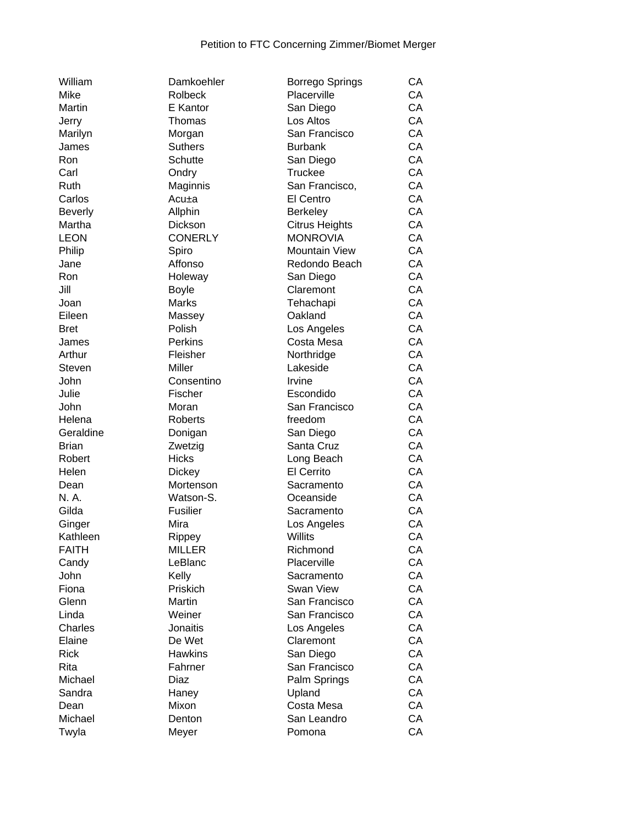| William        | Damkoehler      | <b>Borrego Springs</b>    | CA |
|----------------|-----------------|---------------------------|----|
| Mike           | <b>Rolbeck</b>  | Placerville               | CA |
| Martin         | E Kantor        | San Diego                 | CA |
| Jerry          | Thomas          | Los Altos                 | CA |
| Marilyn        | Morgan          | San Francisco             | CA |
| James          | <b>Suthers</b>  | <b>Burbank</b>            | CA |
| Ron            | <b>Schutte</b>  | San Diego                 | CA |
| Carl           | Ondry           | <b>Truckee</b>            | CA |
| Ruth           | Maginnis        | San Francisco,            | CA |
| Carlos         | Acu±a           | El Centro                 | CA |
| <b>Beverly</b> | Allphin         | Berkeley                  | CA |
| Martha         | <b>Dickson</b>  | <b>Citrus Heights</b>     | CA |
| <b>LEON</b>    | <b>CONERLY</b>  | <b>MONROVIA</b>           | CA |
| Philip         | Spiro           | Mountain View             | CA |
| Jane           | Affonso         | Redondo Beach             | CA |
| Ron            | Holeway         | San Diego                 | CA |
| Jill           | <b>Boyle</b>    | Claremont                 | CA |
| Joan           | <b>Marks</b>    | Tehachapi                 | CA |
| Eileen         | Massey          | Oakland                   | CA |
| <b>Bret</b>    | Polish          |                           | CA |
|                | Perkins         | Los Angeles<br>Costa Mesa | CA |
| James          |                 |                           |    |
| Arthur         | Fleisher        | Northridge                | CA |
| Steven         | Miller          | Lakeside                  | CA |
| John           | Consentino      | Irvine                    | CA |
| Julie          | Fischer         | Escondido                 | CA |
| John           | Moran           | San Francisco             | CA |
| Helena         | Roberts         | freedom                   | CA |
| Geraldine      | Donigan         | San Diego                 | CA |
| <b>Brian</b>   | Zwetzig         | Santa Cruz                | CA |
| Robert         | <b>Hicks</b>    | Long Beach                | CA |
| Helen          | <b>Dickey</b>   | El Cerrito                | CA |
| Dean           | Mortenson       | Sacramento                | CA |
| N. A.          | Watson-S.       | Oceanside                 | CA |
| Gilda          | Fusilier        | Sacramento                | CA |
| Ginger         | Mira            | Los Angeles               | CA |
| Kathleen       | Rippey          | Willits                   | CA |
| <b>FAITH</b>   | <b>MILLER</b>   | Richmond                  | CA |
| Candy          | LeBlanc         | Placerville               | CA |
| John           | Kelly           | Sacramento                | CA |
| Fiona          | Priskich        | Swan View                 | CA |
| Glenn          | Martin          | San Francisco             | CA |
| Linda          | Weiner          | San Francisco             | CA |
| Charles        | <b>Jonaitis</b> | Los Angeles               | CA |
| Elaine         | De Wet          | Claremont                 | CA |
| <b>Rick</b>    | <b>Hawkins</b>  | San Diego                 | CA |
| Rita           | Fahrner         | San Francisco             | CA |
| Michael        | Diaz            | Palm Springs              | CA |
| Sandra         | Haney           | Upland                    | CA |
| Dean           | Mixon           | Costa Mesa                | CA |
| Michael        | Denton          | San Leandro               | CA |
| Twyla          | Meyer           | Pomona                    | CA |
|                |                 |                           |    |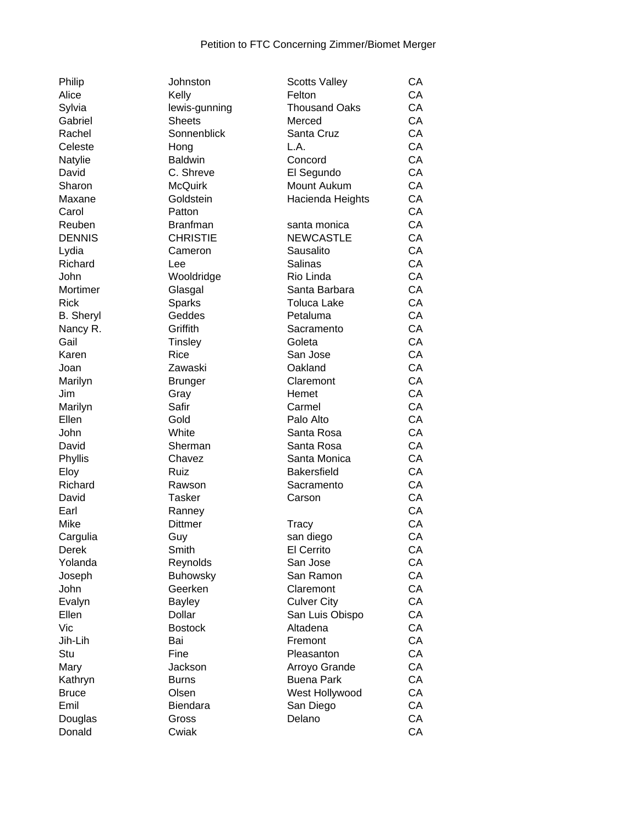| Philip           | Johnston        | <b>Scotts Valley</b> | СA |
|------------------|-----------------|----------------------|----|
| Alice            | Kelly           | Felton               | CA |
| Sylvia           | lewis-gunning   | <b>Thousand Oaks</b> | CA |
| Gabriel          | <b>Sheets</b>   | Merced               | CA |
| Rachel           | Sonnenblick     | Santa Cruz           | CA |
| Celeste          | Hong            | L.A.                 | CA |
| Natylie          | <b>Baldwin</b>  | Concord              | CA |
| David            | C. Shreve       | El Segundo           | CA |
| Sharon           | <b>McQuirk</b>  | Mount Aukum          | CA |
| Maxane           | Goldstein       | Hacienda Heights     | CA |
| Carol            | Patton          |                      | CA |
| Reuben           | <b>Branfman</b> | santa monica         | CA |
| <b>DENNIS</b>    | <b>CHRISTIE</b> | <b>NEWCASTLE</b>     | CA |
| Lydia            | Cameron         | Sausalito            | CA |
| Richard          | Lee             | Salinas              | CA |
| John             | Wooldridge      | Rio Linda            | CA |
| Mortimer         | Glasgal         | Santa Barbara        | CA |
| <b>Rick</b>      | <b>Sparks</b>   | <b>Toluca Lake</b>   | CA |
| <b>B.</b> Sheryl | Geddes          | Petaluma             | CA |
| Nancy R.         | Griffith        | Sacramento           | CA |
| Gail             | Tinsley         | Goleta               | CA |
| Karen            | <b>Rice</b>     | San Jose             | CA |
| Joan             | Zawaski         | Oakland              | CA |
| Marilyn          | <b>Brunger</b>  | Claremont            | CA |
| Jim              | Gray            | Hemet                | CA |
| Marilyn          | Safir           | Carmel               | CA |
| Ellen            | Gold            | Palo Alto            | CA |
| John             | White           | Santa Rosa           | CA |
| David            | Sherman         | Santa Rosa           | CA |
| Phyllis          | Chavez          | Santa Monica         | CA |
| Eloy             | Ruiz            | <b>Bakersfield</b>   | CA |
| Richard          | Rawson          | Sacramento           | CA |
| David            | <b>Tasker</b>   | Carson               | CA |
| Earl             | Ranney          |                      | CA |
| Mike             | <b>Dittmer</b>  | Tracy                | CA |
| Cargulia         | Guy             | san diego            | CA |
| Derek            | Smith           | El Cerrito           | CA |
| Yolanda          | Reynolds        | San Jose             | CA |
| Joseph           | <b>Buhowsky</b> | San Ramon            | CA |
| John             | Geerken         | Claremont            | CA |
| Evalyn           | <b>Bayley</b>   | <b>Culver City</b>   | CA |
| Ellen            | Dollar          | San Luis Obispo      | CA |
| Vic              | <b>Bostock</b>  | Altadena             | CA |
| Jih-Lih          | Bai             | Fremont              | CA |
| Stu              | Fine            | Pleasanton           | CA |
| Mary             | Jackson         | Arroyo Grande        | CA |
| Kathryn          | <b>Burns</b>    | <b>Buena Park</b>    | CA |
| <b>Bruce</b>     | Olsen           | West Hollywood       | CA |
| Emil             | Biendara        | San Diego            | CA |
| Douglas          | Gross           | Delano               | CA |
| Donald           | Cwiak           |                      | CA |
|                  |                 |                      |    |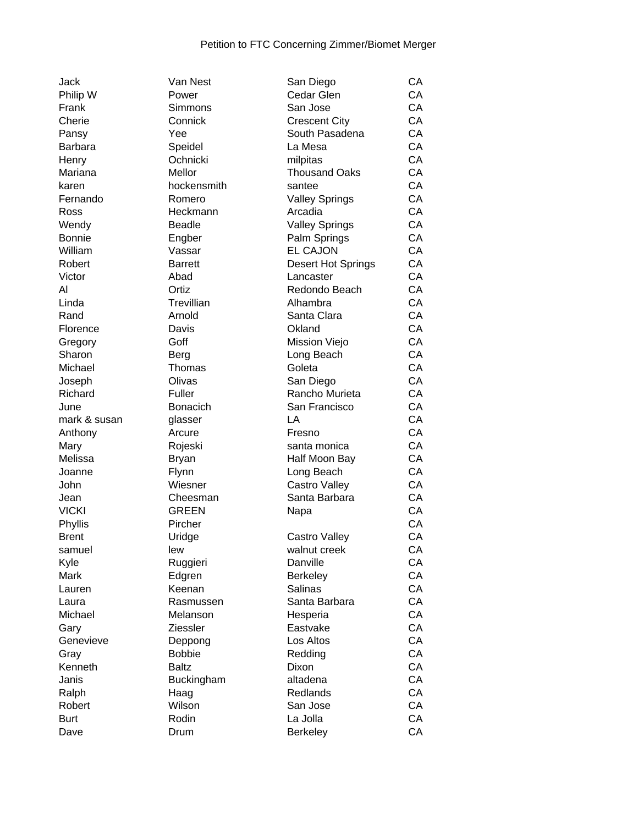| Jack          |
|---------------|
|               |
| Philip W      |
| Frank         |
| Cherie        |
| Pansy         |
| Barbara       |
| Henry         |
| Mariana       |
| karen         |
| Fernando      |
|               |
| Ross          |
| Wendy         |
| <b>Bonnie</b> |
| William       |
| Robert        |
| Victor        |
| Al            |
| Linda         |
| Rand          |
| Florence      |
| Gregory       |
|               |
| Sharon        |
| Michael       |
| Joseph        |
| Richard       |
|               |
| June          |
| mark & susan  |
|               |
| Anthony       |
| Mary          |
| Melissa       |
| Joanne        |
| John          |
| Jean          |
| <b>VICKI</b>  |
| Phyllis       |
| <b>Brent</b>  |
| samuel        |
| Kyle          |
| Mark          |
|               |
| Lauren        |
| Laura         |
| Michael       |
| Gary          |
| Genevieve     |
| Gray          |
| Kenneth       |
| Janis         |
| Ralph         |
| Robert        |
| Burt          |

| Van Nest    |
|-------------|
| Power       |
| Simmons     |
| Connick     |
| Yee         |
| Speidel     |
| Ochnicki    |
|             |
| Mellor      |
| hockensmith |
| Romero      |
| Heckmann    |
| Beadle      |
| Engber      |
| Vassar      |
| Barrett     |
| Abad        |
| Ortiz       |
|             |
| Trevillian  |
| Arnold      |
| Davis       |
| Goff        |
| Berg        |
| Thomas      |
| Olivas      |
| Fuller      |
| Bonacich    |
|             |
| glasser     |
| Arcure      |
| Rojeski     |
| Bryan       |
| Flynn       |
| Wiesner     |
| Cheesman    |
| GREEN       |
| Pircher     |
|             |
| Uridge      |
| lew         |
| Ruggieri    |
| Edgren      |
| Keenan      |
| Rasmussen   |
| Melanson    |
| Ziessler    |
| Deppong     |
| Bobbie      |
|             |
| Baltz       |
| Buckingham  |
| Haag        |
| Wilson      |
| Rodin       |
| Drum        |
|             |

| Jack              | Van Nest        | San Diego                 | CA |
|-------------------|-----------------|---------------------------|----|
| Philip W          | Power           | Cedar Glen                | CA |
| Frank             | Simmons         | San Jose                  | CA |
| Cherie            | Connick         | <b>Crescent City</b>      | CA |
| Pansy             | Yee             | South Pasadena            | CA |
| Barbara           | Speidel         | La Mesa                   | CA |
| Henry             | Ochnicki        | milpitas                  | CA |
| Mariana           | Mellor          | <b>Thousand Oaks</b>      | CA |
| karen             | hockensmith     | santee                    | CA |
| Fernando          | Romero          | <b>Valley Springs</b>     | CA |
| Ross              | Heckmann        | Arcadia                   | CA |
| Wendy             | <b>Beadle</b>   | <b>Valley Springs</b>     | CA |
| Bonnie            | Engber          | Palm Springs              | CA |
| William           | Vassar          | <b>EL CAJON</b>           | CA |
| Robert            | <b>Barrett</b>  | <b>Desert Hot Springs</b> | CA |
| Victor            | Abad            | Lancaster                 | CA |
| Al                | Ortiz           | Redondo Beach             | CA |
| Linda             | Trevillian      | Alhambra                  | CA |
| Rand              | Arnold          | Santa Clara               | CA |
| Florence          | Davis           | Okland                    | CA |
| Gregory           | Goff            | Mission Viejo             | CA |
| Sharon            | Berg            | Long Beach                | CA |
| Michael           | Thomas          | Goleta                    | CA |
|                   | Olivas          | San Diego                 | CA |
| Joseph<br>Richard |                 | Rancho Murieta            | CA |
|                   | Fuller          |                           | CA |
| June              | <b>Bonacich</b> | San Francisco             |    |
| mark & susan      | glasser         | LA                        | CA |
| Anthony           | Arcure          | Fresno                    | CA |
| Mary              | Rojeski         | santa monica              | CA |
| Melissa           | <b>Bryan</b>    | Half Moon Bay             | CA |
| Joanne            | Flynn           | Long Beach                | CA |
| John              | Wiesner         | <b>Castro Valley</b>      | CA |
| Jean              | Cheesman        | Santa Barbara             | CA |
| <b>VICKI</b>      | <b>GREEN</b>    | Napa                      | CA |
| Phyllis           | Pircher         |                           | CA |
| <b>Brent</b>      | Uridge          | Castro Valley             | CA |
| samuel            | lew             | walnut creek              | CA |
| Kyle              | Ruggieri        | Danville                  | CA |
| Mark              | Edgren          | <b>Berkeley</b>           | CA |
| Lauren            | Keenan          | Salinas                   | CA |
| Laura             | Rasmussen       | Santa Barbara             | CA |
| Michael           | Melanson        | Hesperia                  | CA |
| Gary              | <b>Ziessler</b> | Eastvake                  | CA |
| Genevieve         | Deppong         | Los Altos                 | СA |
| Gray              | <b>Bobbie</b>   | Redding                   | CA |
| Kenneth           | <b>Baltz</b>    | Dixon                     | CA |
| Janis             | Buckingham      | altadena                  | CA |
| Ralph             | Haag            | Redlands                  | CA |
| Robert            | Wilson          | San Jose                  | CA |
| <b>Burt</b>       | Rodin           | La Jolla                  | CA |
| Dave              | Drum            | <b>Berkeley</b>           | CA |
|                   |                 |                           |    |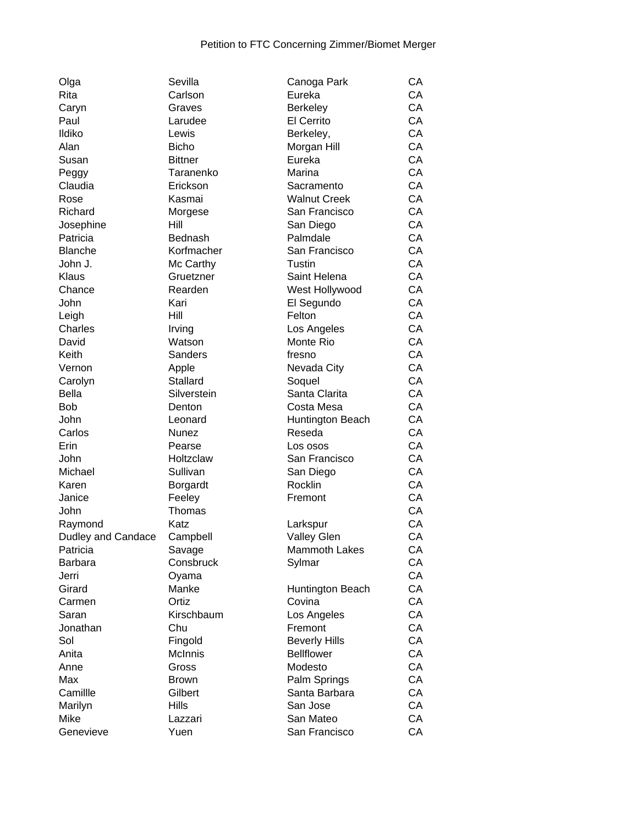| Olga               | Sevilla        | Canoga Park          | CA |
|--------------------|----------------|----------------------|----|
| Rita               | Carlson        | Eureka               | CA |
| Caryn              | Graves         | Berkeley             | CA |
| Paul               | Larudee        | El Cerrito           | CA |
| Ildiko             | Lewis          | Berkeley,            | CA |
| Alan               | <b>Bicho</b>   | Morgan Hill          | CA |
| Susan              | <b>Bittner</b> | Eureka               | CA |
| Peggy              | Taranenko      | Marina               | CA |
| Claudia            | Erickson       | Sacramento           | CA |
| Rose               | Kasmai         | <b>Walnut Creek</b>  | CA |
| Richard            | Morgese        | San Francisco        | CA |
| Josephine          | Hill           | San Diego            | CA |
| Patricia           | Bednash        | Palmdale             | CA |
| <b>Blanche</b>     | Korfmacher     | San Francisco        | CA |
| John J.            | Mc Carthy      | Tustin               | CA |
| Klaus              | Gruetzner      | Saint Helena         | CA |
| Chance             | Rearden        | West Hollywood       | CA |
|                    |                |                      | CA |
| John               | Kari           | El Segundo           | CA |
| Leigh              | Hill           | Felton               | CA |
| Charles            | Irving         | Los Angeles          |    |
| David              | Watson         | Monte Rio            | CA |
| Keith              | <b>Sanders</b> | fresno               | CA |
| Vernon             | Apple          | Nevada City          | CA |
| Carolyn            | Stallard       | Soquel               | CA |
| <b>Bella</b>       | Silverstein    | Santa Clarita        | CA |
| <b>Bob</b>         | Denton         | Costa Mesa           | CA |
| John               | Leonard        | Huntington Beach     | CA |
| Carlos             | Nunez          | Reseda               | CA |
| Erin               | Pearse         | Los osos             | CA |
| John               | Holtzclaw      | San Francisco        | CA |
| Michael            | Sullivan       | San Diego            | CA |
| Karen              | Borgardt       | Rocklin              | CA |
| Janice             | Feeley         | Fremont              | CA |
| John               | Thomas         |                      | CA |
| Raymond            | Katz           | Larkspur             | CA |
| Dudley and Candace | Campbell       | <b>Valley Glen</b>   | CA |
| Patricia           | Savage         | <b>Mammoth Lakes</b> | CA |
| Barbara            | Consbruck      | Sylmar               | СA |
| Jerri              | Oyama          |                      | СA |
| Girard             | Manke          | Huntington Beach     | CA |
| Carmen             | Ortiz          | Covina               | CA |
| Saran              | Kirschbaum     | Los Angeles          | CA |
| Jonathan           | Chu            | Fremont              | CA |
| Sol                | Fingold        | <b>Beverly Hills</b> | CA |
| Anita              | McInnis        | <b>Bellflower</b>    | СA |
| Anne               | Gross          | Modesto              | СA |
| Max                | <b>Brown</b>   | Palm Springs         | CA |
| Camillle           | Gilbert        | Santa Barbara        | CA |
| Marilyn            | Hills          | San Jose             | CA |
| Mike               | Lazzari        | San Mateo            | CA |
| Genevieve          | Yuen           | San Francisco        | CA |
|                    |                |                      |    |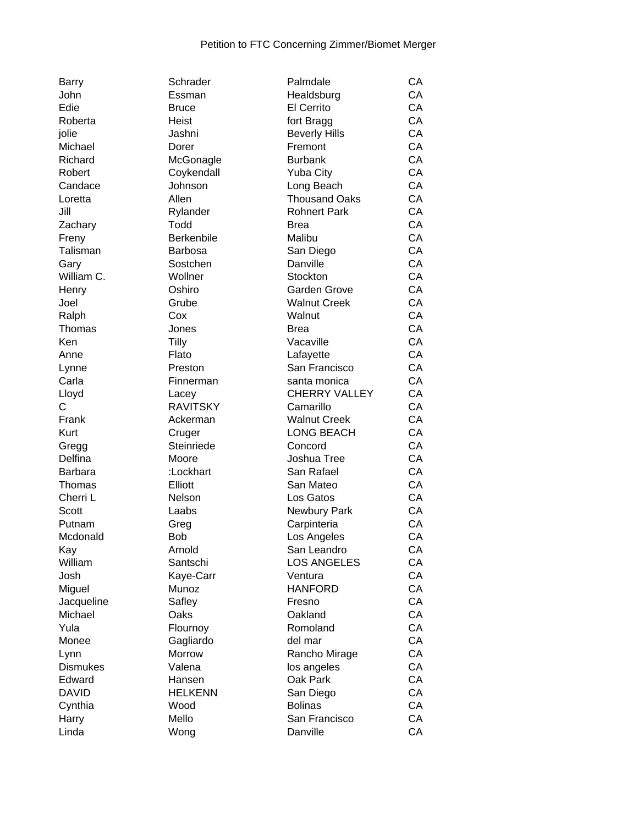| Dally           | ounduer           | <b>Fallituale</b>    | ◡₼ |
|-----------------|-------------------|----------------------|----|
| John            | Essman            | Healdsburg           | CA |
| Edie            | <b>Bruce</b>      | El Cerrito           | CA |
| Roberta         | Heist             | fort Bragg           | CA |
| jolie           | Jashni            | <b>Beverly Hills</b> | CA |
| Michael         | Dorer             | Fremont              | CA |
| Richard         | McGonagle         | <b>Burbank</b>       | CA |
| Robert          | Coykendall        | <b>Yuba City</b>     | CA |
| Candace         | Johnson           | Long Beach           | CA |
| Loretta         | Allen             | <b>Thousand Oaks</b> | CA |
| Jill            | Rylander          | <b>Rohnert Park</b>  | CA |
| Zachary         | Todd              | <b>Brea</b>          | CA |
| Freny           | <b>Berkenbile</b> | Malibu               | CA |
| Talisman        | <b>Barbosa</b>    | San Diego            | CA |
| Gary            | Sostchen          | Danville             | CA |
| William C.      | Wollner           | Stockton             | CA |
| Henry           | Oshiro            | Garden Grove         | CA |
| Joel            | Grube             | <b>Walnut Creek</b>  | CA |
| Ralph           | Cox               | Walnut               | CA |
| Thomas          | Jones             | <b>Brea</b>          | CA |
| Ken             | <b>Tilly</b>      | Vacaville            | CA |
| Anne            | Flato             | Lafayette            | CA |
| Lynne           | Preston           | San Francisco        | CA |
| Carla           | Finnerman         | santa monica         | CA |
| Lloyd           | Lacey             | <b>CHERRY VALLEY</b> | CA |
| С               | <b>RAVITSKY</b>   | Camarillo            | CA |
| Frank           | Ackerman          | <b>Walnut Creek</b>  | CA |
| Kurt            | Cruger            | <b>LONG BEACH</b>    | CA |
| Gregg           | Steinriede        | Concord              | CA |
| Delfina         | Moore             | Joshua Tree          | CA |
| <b>Barbara</b>  | :Lockhart         | San Rafael           | CA |
| Thomas          | Elliott           | San Mateo            | CA |
| Cherri L        | Nelson            | Los Gatos            | CA |
| Scott           | Laabs             | Newbury Park         | CA |
| Putnam          | Greg              | Carpinteria          | CA |
| Mcdonald        | <b>Bob</b>        | Los Angeles          | CA |
| Kay             | Arnold            | San Leandro          | CA |
| William         | Santschi          | LOS ANGELES          | CA |
| Josh            | Kaye-Carr         | Ventura              | CA |
| Miguel          | Munoz             | <b>HANFORD</b>       | CA |
| Jacqueline      | Safley            | Fresno               | CA |
| Michael         | Oaks              | Oakland              | CA |
| Yula            | Flournoy          | Romoland             | CA |
| Monee           | Gagliardo         | del mar              | CA |
| Lynn            | Morrow            | Rancho Mirage        | CA |
| <b>Dismukes</b> | Valena            | los angeles          | CA |
| Edward          | Hansen            | Oak Park             | CA |
| <b>DAVID</b>    | <b>HELKENN</b>    | San Diego            | CA |
| Cynthia         | Wood              | <b>Bolinas</b>       | CA |
| Harry           | Mello             | San Francisco        | CA |
| Linda           | Wong              | Danville             | CA |
|                 |                   |                      |    |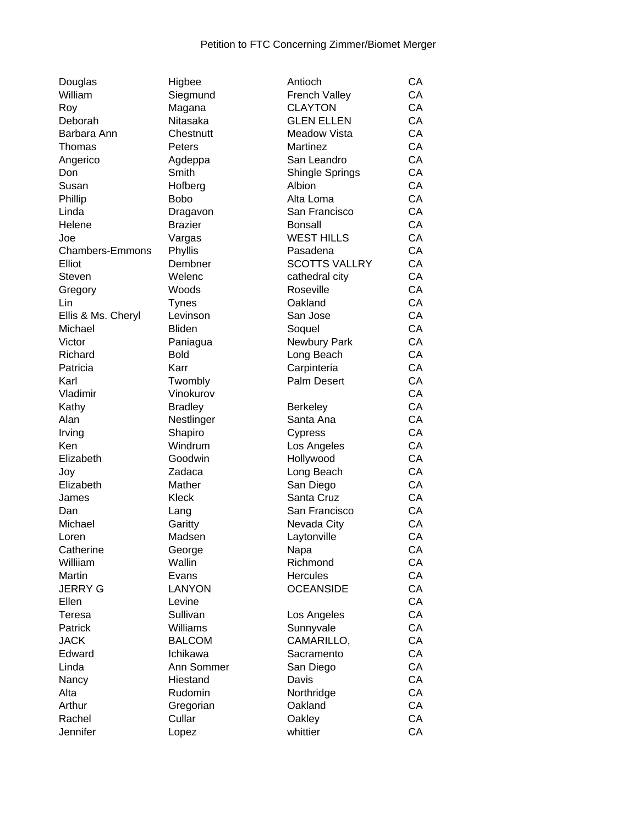| Douglas            | Higbee             | Antioch                 | CA |
|--------------------|--------------------|-------------------------|----|
| William            | Siegmund           | <b>French Valley</b>    | CA |
| Roy                | Magana             | <b>CLAYTON</b>          | CA |
| Deborah            | Nitasaka           | <b>GLEN ELLEN</b>       | CA |
| Barbara Ann        | Chestnutt          | Meadow Vista            | CA |
| Thomas             | Peters             | Martinez                | CA |
| Angerico           | Agdeppa            | San Leandro             | CA |
| Don                | Smith              | <b>Shingle Springs</b>  | CA |
| Susan              | Hofberg            | Albion                  | CA |
| Phillip            | <b>Bobo</b>        | Alta Loma               | CA |
| Linda              | Dragavon           | San Francisco           | CA |
| Helene             | <b>Brazier</b>     | <b>Bonsall</b>          | CA |
| Joe                | Vargas             | <b>WEST HILLS</b>       | CA |
| Chambers-Emmons    | Phyllis            | Pasadena                | CA |
| Elliot             | Dembner            | <b>SCOTTS VALLRY</b>    | CA |
| <b>Steven</b>      | Welenc             | cathedral city          | CA |
| Gregory            | Woods              | Roseville               | CA |
| Lin                | <b>Tynes</b>       | Oakland                 | CA |
| Ellis & Ms. Cheryl | Levinson           | San Jose                | CA |
| Michael            | <b>Bliden</b>      | Soquel                  | CA |
| Victor             | Paniagua           | Newbury Park            | CA |
| Richard            | <b>Bold</b>        | Long Beach              | CA |
| Patricia           | Karr               | Carpinteria             | CA |
| Karl               | Twombly            | Palm Desert             | CA |
| Vladimir           | Vinokurov          |                         | CA |
| Kathy              | <b>Bradley</b>     | <b>Berkeley</b>         | CA |
| Alan               | Nestlinger         | Santa Ana               | CA |
| Irving             | Shapiro            | Cypress                 | CA |
| Ken                | Windrum            | Los Angeles             | CA |
| Elizabeth          | Goodwin            | Hollywood               | CA |
| Joy                | Zadaca             | Long Beach              | CA |
| Elizabeth          | Mather             | San Diego               | CA |
| James              | Kleck              | Santa Cruz              | CA |
| Dan                | Lang               | San Francisco           | CA |
| Michael            | Garitty            | Nevada City             | CA |
| Loren              | Madsen             | Laytonville             | CA |
| Catherine          | George             | Napa                    | CA |
| Williiam           | Wallin             | Richmond                | CA |
| Martin             | Evans              | <b>Hercules</b>         | CA |
| <b>JERRY G</b>     | <b>LANYON</b>      | <b>OCEANSIDE</b>        | CA |
| Ellen              |                    |                         | CA |
| Teresa             | Levine<br>Sullivan |                         | CA |
| Patrick            | Williams           | Los Angeles             | CA |
| <b>JACK</b>        | <b>BALCOM</b>      | Sunnyvale<br>CAMARILLO, | CA |
|                    | Ichikawa           |                         | CA |
| Edward<br>Linda    |                    | Sacramento              |    |
|                    | Ann Sommer         | San Diego               | CA |
| Nancy              | Hiestand           | Davis                   | CA |
| Alta               | Rudomin            | Northridge              | CA |
| Arthur             | Gregorian          | Oakland                 | CA |
| Rachel             | Cullar             | Oakley                  | CA |
| Jennifer           | Lopez              | whittier                | CA |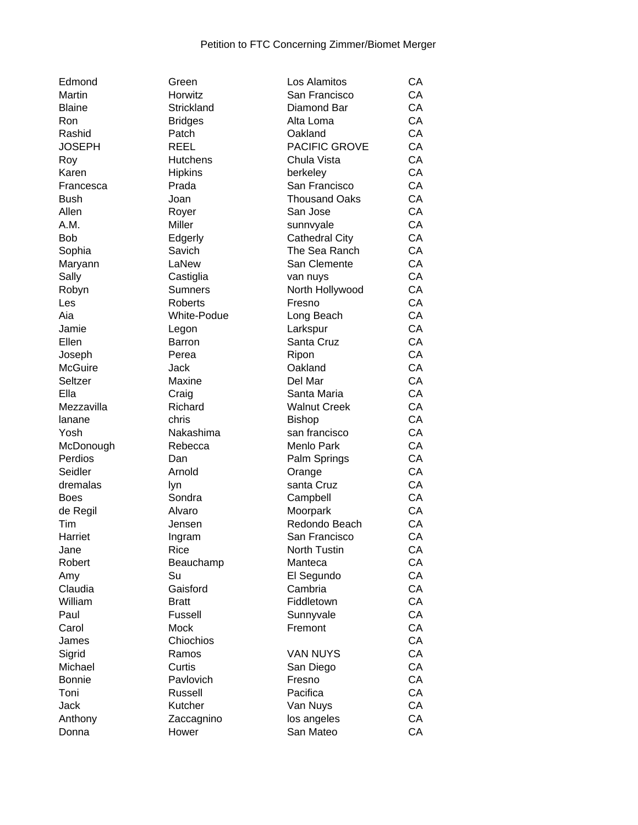| Edmond        | Green           | Los Alamitos          | CA |
|---------------|-----------------|-----------------------|----|
| Martin        | Horwitz         | San Francisco         | CA |
| Blaine        | Strickland      | Diamond Bar           | CA |
| Ron           | <b>Bridges</b>  | Alta Loma             | CA |
| Rashid        | Patch           | Oakland               | CA |
| JOSEPH        | <b>REEL</b>     | PACIFIC GROVE         | CA |
| Roy           | <b>Hutchens</b> | Chula Vista           | CA |
| Karen         | <b>Hipkins</b>  | berkeley              | CA |
| Francesca     | Prada           | San Francisco         | CA |
| Bush          | Joan            | <b>Thousand Oaks</b>  | CA |
| Allen         | Royer           | San Jose              | CA |
| A.M.          | Miller          | sunnvyale             | CA |
| Bob           | Edgerly         | <b>Cathedral City</b> | CA |
| Sophia        | Savich          | The Sea Ranch         | CA |
| Maryann       | LaNew           | San Clemente          | CA |
| Sally         | Castiglia       |                       | CA |
| Robyn         | <b>Sumners</b>  | van nuys              | CA |
|               |                 | North Hollywood       |    |
| Les           | Roberts         | Fresno                | CA |
| Aia           | White-Podue     | Long Beach            | CA |
| Jamie         | Legon           | Larkspur              | CA |
| Ellen         | Barron          | Santa Cruz            | CA |
| Joseph        | Perea           | Ripon                 | CA |
| McGuire       | Jack            | Oakland               | CA |
| Seltzer       | Maxine          | Del Mar               | CA |
| Ella          | Craig           | Santa Maria           | CA |
| Mezzavilla    | Richard         | <b>Walnut Creek</b>   | CA |
| lanane        | chris           | <b>Bishop</b>         | CA |
| Yosh          | Nakashima       | san francisco         | CA |
| McDonough     | Rebecca         | Menlo Park            | CA |
| Perdios       | Dan             | Palm Springs          | CA |
| Seidler       | Arnold          | Orange                | CA |
| dremalas      | lyn             | santa Cruz            | CA |
| Boes          | Sondra          | Campbell              | CA |
| de Regil      | Alvaro          | Moorpark              | CA |
| Tim           | Jensen          | Redondo Beach         | CA |
| Harriet       | Ingram          | San Francisco         | CA |
| Jane          | Rice            | North Tustin          | CA |
| Robert        | Beauchamp       | Manteca               | CA |
| Amy           | Su              | El Segundo            | CA |
| Claudia       | Gaisford        | Cambria               | CA |
| William       | <b>Bratt</b>    | Fiddletown            | CA |
| Paul          | Fussell         | Sunnyvale             | CA |
| Carol         | <b>Mock</b>     | Fremont               | CA |
| James         | Chiochios       |                       | CA |
| Sigrid        | Ramos           | <b>VAN NUYS</b>       | CA |
| Michael       | Curtis          |                       | CA |
| <b>Bonnie</b> |                 | San Diego             |    |
|               | Pavlovich       | Fresno                | CA |
| Toni          | Russell         | Pacifica              | CA |
| Jack          | Kutcher         | Van Nuys              | CA |
| Anthony       | Zaccagnino      | los angeles           | CA |
| Donna         | Hower           | San Mateo             | CA |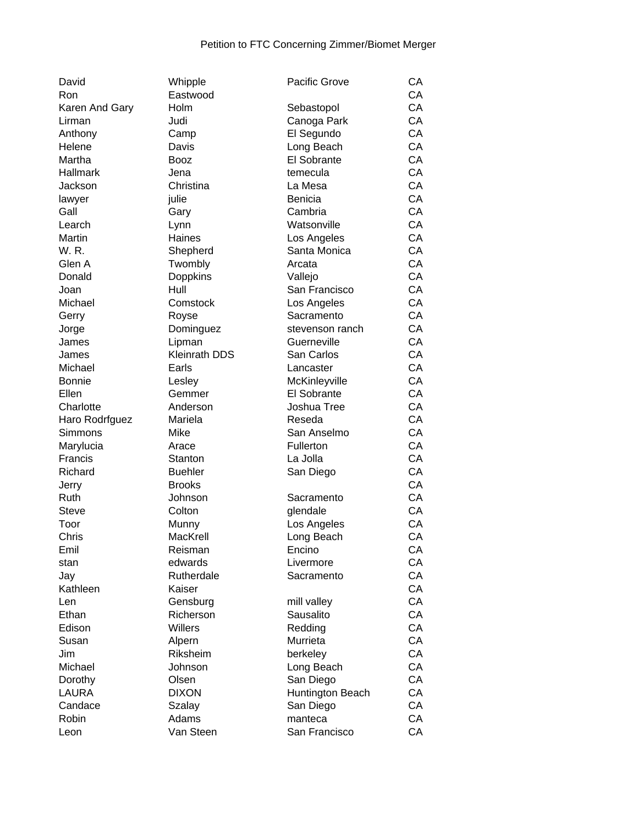| David                     | Whipple              | <b>Pacific Grove</b> | CA       |
|---------------------------|----------------------|----------------------|----------|
| Ron                       | Eastwood             |                      | CA       |
| Karen And Gary            | Holm                 | Sebastopol           | CA       |
| Lirman                    | Judi                 | Canoga Park          | CA       |
| Anthony                   | Camp                 | El Segundo           | CA       |
| Helene                    | Davis                | Long Beach           | CA       |
| Martha                    | <b>Booz</b>          | El Sobrante          | CA       |
| <b>Hallmark</b>           | Jena                 | temecula             | CA       |
| Jackson                   | Christina            | La Mesa              | CA       |
| lawyer                    | julie                | <b>Benicia</b>       | CA       |
| Gall                      | Gary                 | Cambria              | CA       |
| Learch                    | Lynn                 | Watsonville          | CA       |
| Martin                    | Haines               | Los Angeles          | CA       |
| W.R.                      | Shepherd             | Santa Monica         | CA       |
| Glen A                    | Twombly              | Arcata               | CA       |
| Donald                    | Doppkins             | Vallejo              | CA       |
| Joan                      | Hull                 | San Francisco        | CA       |
| Michael                   | Comstock             | Los Angeles          | CA       |
| Gerry                     | Royse                | Sacramento           | CA       |
| Jorge                     | Dominguez            | stevenson ranch      | CA       |
| James                     | Lipman               | Guerneville          | CA       |
| James                     | <b>Kleinrath DDS</b> | San Carlos           | CA       |
| Michael                   | Earls                | Lancaster            | CA       |
| <b>Bonnie</b>             | Lesley               | McKinleyville        | CA       |
| Ellen                     | Gemmer               | El Sobrante          | CA       |
| Charlotte                 | Anderson             | Joshua Tree          | CA       |
|                           | Mariela              | Reseda               | CA       |
| Haro Rodrfguez<br>Simmons | Mike                 | San Anselmo          | CA       |
|                           |                      |                      | CA       |
| Marylucia                 | Arace                | Fullerton            |          |
| Francis                   | Stanton              | La Jolla             | CA<br>CA |
| Richard                   | <b>Buehler</b>       | San Diego            |          |
| Jerry                     | <b>Brooks</b>        |                      | CA       |
| Ruth                      | Johnson              | Sacramento           | CA       |
| <b>Steve</b>              | Colton               | glendale             | CA       |
| Toor                      | Munny                | Los Angeles          | CA       |
| Chris                     | MacKrell             | Long Beach           | CA       |
| Emil                      | Reisman              | Encino               | CA       |
| stan                      | edwards              | Livermore            | CA       |
| Jay                       | Rutherdale           | Sacramento           | CA       |
| Kathleen                  | Kaiser               |                      | CA       |
| Len                       | Gensburg             | mill valley          | CA       |
| Ethan                     | Richerson            | Sausalito            | CA       |
| Edison                    | <b>Willers</b>       | Redding              | CA       |
| Susan                     | Alpern               | Murrieta             | CA       |
| Jim                       | Riksheim             | berkeley             | CA       |
| Michael                   | Johnson              | Long Beach           | CA       |
| Dorothy                   | Olsen                | San Diego            | CA       |
| <b>LAURA</b>              | <b>DIXON</b>         | Huntington Beach     | CA       |
| Candace                   | Szalay               | San Diego            | CA       |
| Robin                     | Adams                | manteca              | CA       |
| Leon                      | Van Steen            | San Francisco        | CA       |
|                           |                      |                      |          |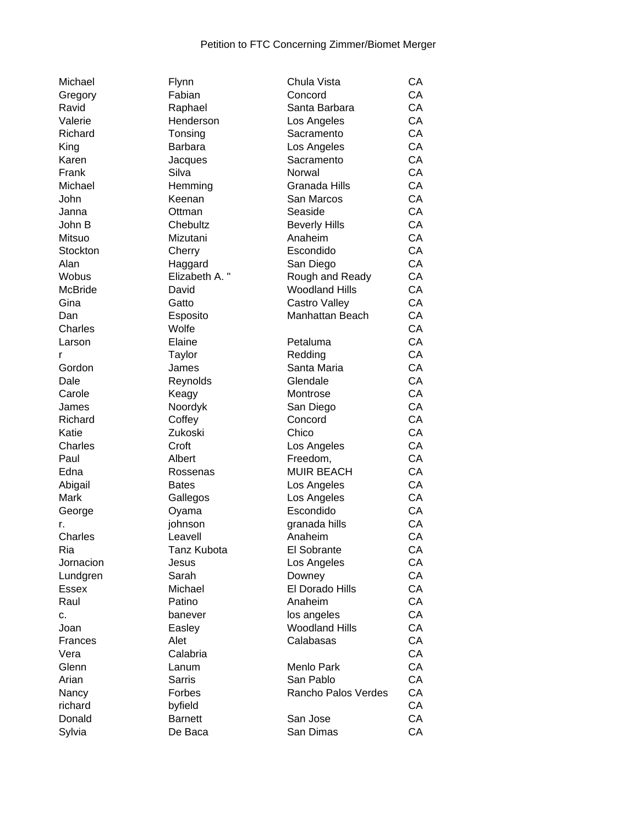| Michael        | Flynn           | Chula Vista           | CA        |
|----------------|-----------------|-----------------------|-----------|
| Gregory        | Fabian          | Concord               | CA        |
| Ravid          | Raphael         | Santa Barbara         | CA        |
| Valerie        | Henderson       | Los Angeles           | CA        |
| Richard        | Tonsing         | Sacramento            | CA        |
| King           | <b>Barbara</b>  | Los Angeles           | CA        |
| Karen          | Jacques         | Sacramento            | CA        |
| Frank          | Silva           | Norwal                | CA        |
| Michael        | Hemming         | Granada Hills         | <b>CA</b> |
| John           | Keenan          | San Marcos            | CA        |
| Janna          | Ottman          | Seaside               | CA        |
| John B         | Chebultz        | <b>Beverly Hills</b>  | CA        |
| Mitsuo         | Mizutani        | Anaheim               | CA        |
| Stockton       | Cherry          | Escondido             | CA        |
| Alan           | Haggard         | San Diego             | CA        |
| Wobus          | Elizabeth A. "  | Rough and Ready       | CA        |
| <b>McBride</b> | David           | <b>Woodland Hills</b> | CA        |
| Gina           | Gatto           | Castro Valley         | CA        |
| Dan            | Esposito        | Manhattan Beach       | CA        |
| Charles        | Wolfe           |                       | CA        |
| Larson         | Elaine          | Petaluma              | CA        |
|                |                 | Redding               | CA        |
| r<br>Gordon    | Taylor<br>James | Santa Maria           | CA        |
|                |                 |                       | CA        |
| Dale           | Reynolds        | Glendale              |           |
| Carole         | Keagy           | Montrose              | CA        |
| James          | Noordyk         | San Diego             | CA        |
| Richard        | Coffey          | Concord               | CA        |
| Katie          | Zukoski         | Chico                 | CA        |
| Charles        | Croft           | Los Angeles           | CA        |
| Paul           | Albert          | Freedom,              | CA        |
| Edna           | Rossenas        | <b>MUIR BEACH</b>     | CA        |
| Abigail        | Bates           | Los Angeles           | CA        |
| Mark           | Gallegos        | Los Angeles           | CA        |
| George         | Oyama           | Escondido             | CA        |
| r.             | johnson         | granada hills         | CA        |
| Charles        | Leavell         | Anaheim               | CA        |
| Ria            | Tanz Kubota     | El Sobrante           | СA        |
| Jornacion      | Jesus           | Los Angeles           | CA        |
| Lundgren       | Sarah           | Downey                | CA        |
| <b>Essex</b>   | Michael         | El Dorado Hills       | CA        |
| Raul           | Patino          | Anaheim               | CA        |
| c.             | banever         | los angeles           | CA        |
| Joan           | Easley          | <b>Woodland Hills</b> | CA        |
| Frances        | Alet            | Calabasas             | CA        |
| Vera           | Calabria        |                       | CA        |
| Glenn          | Lanum           | Menlo Park            | CA        |
| Arian          | <b>Sarris</b>   | San Pablo             | CA        |
| Nancy          | Forbes          | Rancho Palos Verdes   | CA        |
| richard        | byfield         |                       | CA        |
| Donald         | <b>Barnett</b>  | San Jose              | CA        |
| Sylvia         | De Baca         | San Dimas             | CA        |
|                |                 |                       |           |

| CA<br>Ravid<br>Santa Barbara<br>Raphael<br>CA<br>Valerie<br>Henderson<br>Los Angeles<br>CA<br>Richard<br>Tonsing<br>Sacramento<br>CA<br>Barbara<br>King<br>Los Angeles<br>CA<br>Karen<br>Jacques<br>Sacramento<br>Silva<br>CA<br>Frank<br>Norwal<br>CA<br>Michael<br>Hemming<br>Granada Hills<br>CA<br>John<br>San Marcos<br>Keenan<br>CA<br>Seaside<br>Janna<br>Ottman<br>CA<br>John B<br>Chebultz<br><b>Beverly Hills</b><br>CA<br>Mitsuo<br>Mizutani<br>Anaheim<br>CA<br>Stockton<br>Cherry<br>Escondido<br>CA<br>Alan<br>San Diego<br>Haggard<br>CA<br>Wobus<br>Elizabeth A. "<br>Rough and Ready<br>CA<br>McBride<br><b>Woodland Hills</b><br>David<br>CA<br>Gina<br>Gatto<br>Castro Valley<br>Manhattan Beach<br>CA<br>Dan<br>Esposito<br>Wolfe<br>CA<br>Charles<br>CA<br>Elaine<br>Petaluma<br>Larson<br>CA<br>Taylor<br>Redding<br>r<br>CA<br>Gordon<br>Santa Maria<br>James<br>CA<br>Dale<br>Glendale<br>Reynolds<br>CA<br>Carole<br>Keagy<br>Montrose<br>CA<br>Noordyk<br>San Diego<br>James<br>CA<br>Richard<br>Coffey<br>Concord<br>CA<br>Katie<br>Zukoski<br>Chico<br>CA<br>Charles<br>Croft<br>Los Angeles<br>CA<br>Paul<br>Albert<br>Freedom,<br><b>MUIR BEACH</b><br>CA<br>Edna<br>Rossenas<br>Abigail<br>Los Angeles<br>CA<br><b>Bates</b><br>CA<br>Mark<br>Los Angeles<br>Gallegos<br>CA<br>Escondido<br>Oyama<br>George<br>CA<br>johnson<br>granada hills<br>CA<br>Charles<br>Leavell<br>Anaheim<br>CA<br>Ria<br>Tanz Kubota<br>El Sobrante<br>CA<br>Jesus<br>Los Angeles<br>CA<br>Lundgren<br>Sarah<br>Downey<br>CA<br>El Dorado Hills<br>Michael<br>CA<br>Patino<br>Anaheim<br>CA<br>banever<br>los angeles<br><b>Woodland Hills</b><br>CA<br>Easley<br>Calabasas<br>CA<br>Alet<br>CA<br>Calabria<br>CA<br>Menlo Park<br>Lanum<br>San Pablo<br>CA<br><b>Sarris</b><br>CA<br>Forbes<br>Rancho Palos Verdes<br>byfield<br>CA<br><b>Barnett</b><br>CA<br>San Jose | Gregory      | Fabian  | Concord   | CA |
|-------------------------------------------------------------------------------------------------------------------------------------------------------------------------------------------------------------------------------------------------------------------------------------------------------------------------------------------------------------------------------------------------------------------------------------------------------------------------------------------------------------------------------------------------------------------------------------------------------------------------------------------------------------------------------------------------------------------------------------------------------------------------------------------------------------------------------------------------------------------------------------------------------------------------------------------------------------------------------------------------------------------------------------------------------------------------------------------------------------------------------------------------------------------------------------------------------------------------------------------------------------------------------------------------------------------------------------------------------------------------------------------------------------------------------------------------------------------------------------------------------------------------------------------------------------------------------------------------------------------------------------------------------------------------------------------------------------------------------------------------------------------------------------------------------------------------------------------------------------------------------------|--------------|---------|-----------|----|
|                                                                                                                                                                                                                                                                                                                                                                                                                                                                                                                                                                                                                                                                                                                                                                                                                                                                                                                                                                                                                                                                                                                                                                                                                                                                                                                                                                                                                                                                                                                                                                                                                                                                                                                                                                                                                                                                                     |              |         |           |    |
|                                                                                                                                                                                                                                                                                                                                                                                                                                                                                                                                                                                                                                                                                                                                                                                                                                                                                                                                                                                                                                                                                                                                                                                                                                                                                                                                                                                                                                                                                                                                                                                                                                                                                                                                                                                                                                                                                     |              |         |           |    |
|                                                                                                                                                                                                                                                                                                                                                                                                                                                                                                                                                                                                                                                                                                                                                                                                                                                                                                                                                                                                                                                                                                                                                                                                                                                                                                                                                                                                                                                                                                                                                                                                                                                                                                                                                                                                                                                                                     |              |         |           |    |
|                                                                                                                                                                                                                                                                                                                                                                                                                                                                                                                                                                                                                                                                                                                                                                                                                                                                                                                                                                                                                                                                                                                                                                                                                                                                                                                                                                                                                                                                                                                                                                                                                                                                                                                                                                                                                                                                                     |              |         |           |    |
|                                                                                                                                                                                                                                                                                                                                                                                                                                                                                                                                                                                                                                                                                                                                                                                                                                                                                                                                                                                                                                                                                                                                                                                                                                                                                                                                                                                                                                                                                                                                                                                                                                                                                                                                                                                                                                                                                     |              |         |           |    |
|                                                                                                                                                                                                                                                                                                                                                                                                                                                                                                                                                                                                                                                                                                                                                                                                                                                                                                                                                                                                                                                                                                                                                                                                                                                                                                                                                                                                                                                                                                                                                                                                                                                                                                                                                                                                                                                                                     |              |         |           |    |
|                                                                                                                                                                                                                                                                                                                                                                                                                                                                                                                                                                                                                                                                                                                                                                                                                                                                                                                                                                                                                                                                                                                                                                                                                                                                                                                                                                                                                                                                                                                                                                                                                                                                                                                                                                                                                                                                                     |              |         |           |    |
|                                                                                                                                                                                                                                                                                                                                                                                                                                                                                                                                                                                                                                                                                                                                                                                                                                                                                                                                                                                                                                                                                                                                                                                                                                                                                                                                                                                                                                                                                                                                                                                                                                                                                                                                                                                                                                                                                     |              |         |           |    |
|                                                                                                                                                                                                                                                                                                                                                                                                                                                                                                                                                                                                                                                                                                                                                                                                                                                                                                                                                                                                                                                                                                                                                                                                                                                                                                                                                                                                                                                                                                                                                                                                                                                                                                                                                                                                                                                                                     |              |         |           |    |
|                                                                                                                                                                                                                                                                                                                                                                                                                                                                                                                                                                                                                                                                                                                                                                                                                                                                                                                                                                                                                                                                                                                                                                                                                                                                                                                                                                                                                                                                                                                                                                                                                                                                                                                                                                                                                                                                                     |              |         |           |    |
|                                                                                                                                                                                                                                                                                                                                                                                                                                                                                                                                                                                                                                                                                                                                                                                                                                                                                                                                                                                                                                                                                                                                                                                                                                                                                                                                                                                                                                                                                                                                                                                                                                                                                                                                                                                                                                                                                     |              |         |           |    |
|                                                                                                                                                                                                                                                                                                                                                                                                                                                                                                                                                                                                                                                                                                                                                                                                                                                                                                                                                                                                                                                                                                                                                                                                                                                                                                                                                                                                                                                                                                                                                                                                                                                                                                                                                                                                                                                                                     |              |         |           |    |
|                                                                                                                                                                                                                                                                                                                                                                                                                                                                                                                                                                                                                                                                                                                                                                                                                                                                                                                                                                                                                                                                                                                                                                                                                                                                                                                                                                                                                                                                                                                                                                                                                                                                                                                                                                                                                                                                                     |              |         |           |    |
|                                                                                                                                                                                                                                                                                                                                                                                                                                                                                                                                                                                                                                                                                                                                                                                                                                                                                                                                                                                                                                                                                                                                                                                                                                                                                                                                                                                                                                                                                                                                                                                                                                                                                                                                                                                                                                                                                     |              |         |           |    |
|                                                                                                                                                                                                                                                                                                                                                                                                                                                                                                                                                                                                                                                                                                                                                                                                                                                                                                                                                                                                                                                                                                                                                                                                                                                                                                                                                                                                                                                                                                                                                                                                                                                                                                                                                                                                                                                                                     |              |         |           |    |
|                                                                                                                                                                                                                                                                                                                                                                                                                                                                                                                                                                                                                                                                                                                                                                                                                                                                                                                                                                                                                                                                                                                                                                                                                                                                                                                                                                                                                                                                                                                                                                                                                                                                                                                                                                                                                                                                                     |              |         |           |    |
|                                                                                                                                                                                                                                                                                                                                                                                                                                                                                                                                                                                                                                                                                                                                                                                                                                                                                                                                                                                                                                                                                                                                                                                                                                                                                                                                                                                                                                                                                                                                                                                                                                                                                                                                                                                                                                                                                     |              |         |           |    |
|                                                                                                                                                                                                                                                                                                                                                                                                                                                                                                                                                                                                                                                                                                                                                                                                                                                                                                                                                                                                                                                                                                                                                                                                                                                                                                                                                                                                                                                                                                                                                                                                                                                                                                                                                                                                                                                                                     |              |         |           |    |
|                                                                                                                                                                                                                                                                                                                                                                                                                                                                                                                                                                                                                                                                                                                                                                                                                                                                                                                                                                                                                                                                                                                                                                                                                                                                                                                                                                                                                                                                                                                                                                                                                                                                                                                                                                                                                                                                                     |              |         |           |    |
|                                                                                                                                                                                                                                                                                                                                                                                                                                                                                                                                                                                                                                                                                                                                                                                                                                                                                                                                                                                                                                                                                                                                                                                                                                                                                                                                                                                                                                                                                                                                                                                                                                                                                                                                                                                                                                                                                     |              |         |           |    |
|                                                                                                                                                                                                                                                                                                                                                                                                                                                                                                                                                                                                                                                                                                                                                                                                                                                                                                                                                                                                                                                                                                                                                                                                                                                                                                                                                                                                                                                                                                                                                                                                                                                                                                                                                                                                                                                                                     |              |         |           |    |
|                                                                                                                                                                                                                                                                                                                                                                                                                                                                                                                                                                                                                                                                                                                                                                                                                                                                                                                                                                                                                                                                                                                                                                                                                                                                                                                                                                                                                                                                                                                                                                                                                                                                                                                                                                                                                                                                                     |              |         |           |    |
|                                                                                                                                                                                                                                                                                                                                                                                                                                                                                                                                                                                                                                                                                                                                                                                                                                                                                                                                                                                                                                                                                                                                                                                                                                                                                                                                                                                                                                                                                                                                                                                                                                                                                                                                                                                                                                                                                     |              |         |           |    |
|                                                                                                                                                                                                                                                                                                                                                                                                                                                                                                                                                                                                                                                                                                                                                                                                                                                                                                                                                                                                                                                                                                                                                                                                                                                                                                                                                                                                                                                                                                                                                                                                                                                                                                                                                                                                                                                                                     |              |         |           |    |
|                                                                                                                                                                                                                                                                                                                                                                                                                                                                                                                                                                                                                                                                                                                                                                                                                                                                                                                                                                                                                                                                                                                                                                                                                                                                                                                                                                                                                                                                                                                                                                                                                                                                                                                                                                                                                                                                                     |              |         |           |    |
|                                                                                                                                                                                                                                                                                                                                                                                                                                                                                                                                                                                                                                                                                                                                                                                                                                                                                                                                                                                                                                                                                                                                                                                                                                                                                                                                                                                                                                                                                                                                                                                                                                                                                                                                                                                                                                                                                     |              |         |           |    |
|                                                                                                                                                                                                                                                                                                                                                                                                                                                                                                                                                                                                                                                                                                                                                                                                                                                                                                                                                                                                                                                                                                                                                                                                                                                                                                                                                                                                                                                                                                                                                                                                                                                                                                                                                                                                                                                                                     |              |         |           |    |
|                                                                                                                                                                                                                                                                                                                                                                                                                                                                                                                                                                                                                                                                                                                                                                                                                                                                                                                                                                                                                                                                                                                                                                                                                                                                                                                                                                                                                                                                                                                                                                                                                                                                                                                                                                                                                                                                                     |              |         |           |    |
|                                                                                                                                                                                                                                                                                                                                                                                                                                                                                                                                                                                                                                                                                                                                                                                                                                                                                                                                                                                                                                                                                                                                                                                                                                                                                                                                                                                                                                                                                                                                                                                                                                                                                                                                                                                                                                                                                     |              |         |           |    |
|                                                                                                                                                                                                                                                                                                                                                                                                                                                                                                                                                                                                                                                                                                                                                                                                                                                                                                                                                                                                                                                                                                                                                                                                                                                                                                                                                                                                                                                                                                                                                                                                                                                                                                                                                                                                                                                                                     |              |         |           |    |
|                                                                                                                                                                                                                                                                                                                                                                                                                                                                                                                                                                                                                                                                                                                                                                                                                                                                                                                                                                                                                                                                                                                                                                                                                                                                                                                                                                                                                                                                                                                                                                                                                                                                                                                                                                                                                                                                                     |              |         |           |    |
|                                                                                                                                                                                                                                                                                                                                                                                                                                                                                                                                                                                                                                                                                                                                                                                                                                                                                                                                                                                                                                                                                                                                                                                                                                                                                                                                                                                                                                                                                                                                                                                                                                                                                                                                                                                                                                                                                     |              |         |           |    |
|                                                                                                                                                                                                                                                                                                                                                                                                                                                                                                                                                                                                                                                                                                                                                                                                                                                                                                                                                                                                                                                                                                                                                                                                                                                                                                                                                                                                                                                                                                                                                                                                                                                                                                                                                                                                                                                                                     |              |         |           |    |
|                                                                                                                                                                                                                                                                                                                                                                                                                                                                                                                                                                                                                                                                                                                                                                                                                                                                                                                                                                                                                                                                                                                                                                                                                                                                                                                                                                                                                                                                                                                                                                                                                                                                                                                                                                                                                                                                                     | r.           |         |           |    |
|                                                                                                                                                                                                                                                                                                                                                                                                                                                                                                                                                                                                                                                                                                                                                                                                                                                                                                                                                                                                                                                                                                                                                                                                                                                                                                                                                                                                                                                                                                                                                                                                                                                                                                                                                                                                                                                                                     |              |         |           |    |
|                                                                                                                                                                                                                                                                                                                                                                                                                                                                                                                                                                                                                                                                                                                                                                                                                                                                                                                                                                                                                                                                                                                                                                                                                                                                                                                                                                                                                                                                                                                                                                                                                                                                                                                                                                                                                                                                                     |              |         |           |    |
|                                                                                                                                                                                                                                                                                                                                                                                                                                                                                                                                                                                                                                                                                                                                                                                                                                                                                                                                                                                                                                                                                                                                                                                                                                                                                                                                                                                                                                                                                                                                                                                                                                                                                                                                                                                                                                                                                     | Jornacion    |         |           |    |
|                                                                                                                                                                                                                                                                                                                                                                                                                                                                                                                                                                                                                                                                                                                                                                                                                                                                                                                                                                                                                                                                                                                                                                                                                                                                                                                                                                                                                                                                                                                                                                                                                                                                                                                                                                                                                                                                                     |              |         |           |    |
|                                                                                                                                                                                                                                                                                                                                                                                                                                                                                                                                                                                                                                                                                                                                                                                                                                                                                                                                                                                                                                                                                                                                                                                                                                                                                                                                                                                                                                                                                                                                                                                                                                                                                                                                                                                                                                                                                     | <b>Essex</b> |         |           |    |
|                                                                                                                                                                                                                                                                                                                                                                                                                                                                                                                                                                                                                                                                                                                                                                                                                                                                                                                                                                                                                                                                                                                                                                                                                                                                                                                                                                                                                                                                                                                                                                                                                                                                                                                                                                                                                                                                                     | Raul         |         |           |    |
|                                                                                                                                                                                                                                                                                                                                                                                                                                                                                                                                                                                                                                                                                                                                                                                                                                                                                                                                                                                                                                                                                                                                                                                                                                                                                                                                                                                                                                                                                                                                                                                                                                                                                                                                                                                                                                                                                     | c.           |         |           |    |
|                                                                                                                                                                                                                                                                                                                                                                                                                                                                                                                                                                                                                                                                                                                                                                                                                                                                                                                                                                                                                                                                                                                                                                                                                                                                                                                                                                                                                                                                                                                                                                                                                                                                                                                                                                                                                                                                                     | Joan         |         |           |    |
|                                                                                                                                                                                                                                                                                                                                                                                                                                                                                                                                                                                                                                                                                                                                                                                                                                                                                                                                                                                                                                                                                                                                                                                                                                                                                                                                                                                                                                                                                                                                                                                                                                                                                                                                                                                                                                                                                     | Frances      |         |           |    |
|                                                                                                                                                                                                                                                                                                                                                                                                                                                                                                                                                                                                                                                                                                                                                                                                                                                                                                                                                                                                                                                                                                                                                                                                                                                                                                                                                                                                                                                                                                                                                                                                                                                                                                                                                                                                                                                                                     | Vera         |         |           |    |
|                                                                                                                                                                                                                                                                                                                                                                                                                                                                                                                                                                                                                                                                                                                                                                                                                                                                                                                                                                                                                                                                                                                                                                                                                                                                                                                                                                                                                                                                                                                                                                                                                                                                                                                                                                                                                                                                                     | Glenn        |         |           |    |
|                                                                                                                                                                                                                                                                                                                                                                                                                                                                                                                                                                                                                                                                                                                                                                                                                                                                                                                                                                                                                                                                                                                                                                                                                                                                                                                                                                                                                                                                                                                                                                                                                                                                                                                                                                                                                                                                                     | Arian        |         |           |    |
|                                                                                                                                                                                                                                                                                                                                                                                                                                                                                                                                                                                                                                                                                                                                                                                                                                                                                                                                                                                                                                                                                                                                                                                                                                                                                                                                                                                                                                                                                                                                                                                                                                                                                                                                                                                                                                                                                     | Nancy        |         |           |    |
|                                                                                                                                                                                                                                                                                                                                                                                                                                                                                                                                                                                                                                                                                                                                                                                                                                                                                                                                                                                                                                                                                                                                                                                                                                                                                                                                                                                                                                                                                                                                                                                                                                                                                                                                                                                                                                                                                     | richard      |         |           |    |
|                                                                                                                                                                                                                                                                                                                                                                                                                                                                                                                                                                                                                                                                                                                                                                                                                                                                                                                                                                                                                                                                                                                                                                                                                                                                                                                                                                                                                                                                                                                                                                                                                                                                                                                                                                                                                                                                                     | Donald       |         |           |    |
|                                                                                                                                                                                                                                                                                                                                                                                                                                                                                                                                                                                                                                                                                                                                                                                                                                                                                                                                                                                                                                                                                                                                                                                                                                                                                                                                                                                                                                                                                                                                                                                                                                                                                                                                                                                                                                                                                     | Sylvia       | De Baca | San Dimas | CA |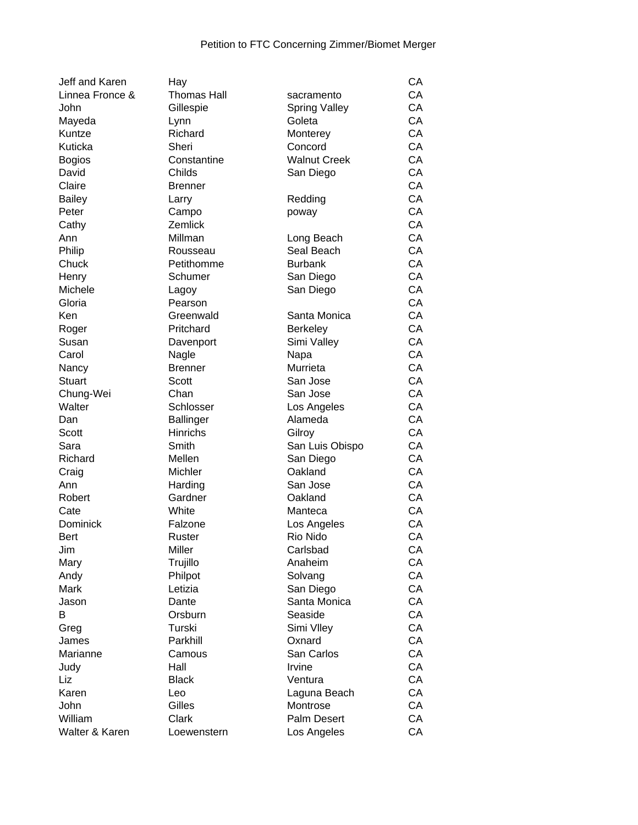| Jeff and Karen  | Hay                |                      | CA |
|-----------------|--------------------|----------------------|----|
| Linnea Fronce & | <b>Thomas Hall</b> | sacramento           | CA |
| John            | Gillespie          | <b>Spring Valley</b> | CA |
| Mayeda          | Lynn               | Goleta               | CA |
| Kuntze          | Richard            | Monterey             | CA |
| Kuticka         | Sheri              | Concord              | CA |
| <b>Bogios</b>   | Constantine        | <b>Walnut Creek</b>  | CA |
| David           | Childs             | San Diego            | CA |
| Claire          | <b>Brenner</b>     |                      | CA |
| <b>Bailey</b>   | Larry              | Redding              | CA |
| Peter           | Campo              | poway                | CA |
| Cathy           | Zemlick            |                      | CA |
| Ann             | Millman            | Long Beach           | CA |
| Philip          | Rousseau           | Seal Beach           | CA |
| Chuck           | Petithomme         | <b>Burbank</b>       | CA |
| Henry           | Schumer            | San Diego            | CA |
| Michele         |                    | San Diego            | CA |
| Gloria          | Lagoy<br>Pearson   |                      | CA |
|                 | Greenwald          |                      | CA |
| Ken             |                    | Santa Monica         | CA |
| Roger           | Pritchard          | <b>Berkeley</b>      | CA |
| Susan           | Davenport          | Simi Valley          |    |
| Carol           | Nagle              | Napa                 | CA |
| Nancy           | <b>Brenner</b>     | Murrieta             | CA |
| <b>Stuart</b>   | Scott              | San Jose             | CA |
| Chung-Wei       | Chan               | San Jose             | CA |
| Walter          | Schlosser          | Los Angeles          | CA |
| Dan             | <b>Ballinger</b>   | Alameda              | CA |
| Scott           | <b>Hinrichs</b>    | Gilroy               | CA |
| Sara            | Smith              | San Luis Obispo      | CA |
| Richard         | Mellen             | San Diego            | CA |
| Craig           | Michler            | Oakland              | CA |
| Ann             | Harding            | San Jose             | CA |
| Robert          | Gardner            | Oakland              | CA |
| Cate            | White              | Manteca              | CA |
| Dominick        | Falzone            | Los Angeles          | CA |
| Bert            | Ruster             | Rio Nido             | CA |
| Jim             | Miller             | Carlsbad             | CA |
| Mary            | Trujillo           | Anaheim              | CA |
| Andy            | Philpot            | Solvang              | CA |
| Mark            | Letizia            | San Diego            | CA |
| Jason           | Dante              | Santa Monica         | CA |
| B               | Orsburn            | Seaside              | CA |
| Greg            | Turski             | Simi Vlley           | CA |
| James           | Parkhill           | Oxnard               | CA |
| Marianne        | Camous             | San Carlos           | CA |
| Judy            | Hall               | Irvine               | CA |
| Liz             | <b>Black</b>       | Ventura              | CA |
| Karen           | Leo                | Laguna Beach         | CA |
| John            | Gilles             | Montrose             | CA |
| William         | Clark              | Palm Desert          | CA |
| Walter & Karen  | Loewenstern        | Los Angeles          | CA |
|                 |                    |                      |    |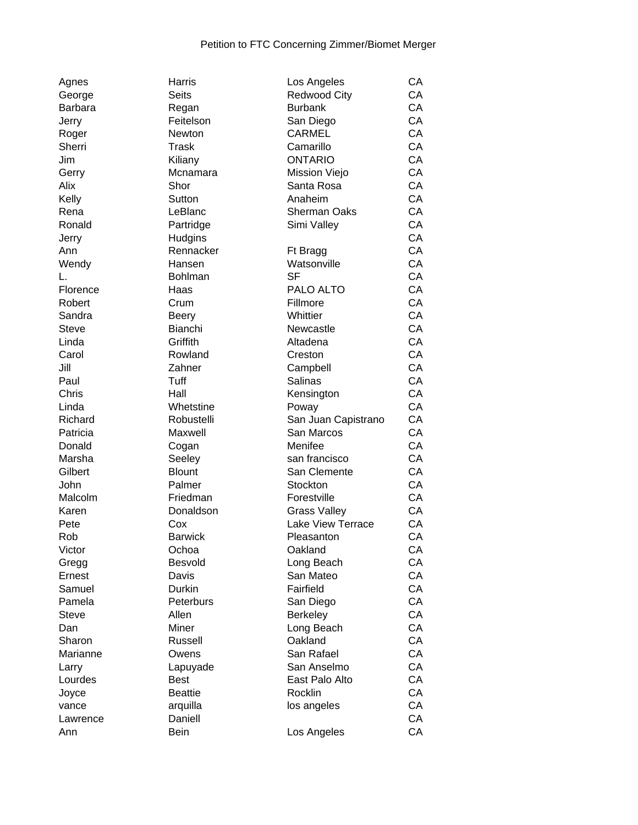| Agnes          | Harris             | Los Angeles             | <b>CA</b> |
|----------------|--------------------|-------------------------|-----------|
| George         | Seits              | <b>Redwood City</b>     | CA        |
| <b>Barbara</b> | Regan              | <b>Burbank</b>          | CA        |
| Jerry          | Feitelson          | San Diego               | CA        |
| Roger          | Newton             | <b>CARMEL</b>           | CA        |
| Sherri         | <b>Trask</b>       | Camarillo               | CA        |
| Jim            | Kiliany            | <b>ONTARIO</b>          | CA        |
| Gerry          | Mcnamara           | Mission Viejo           | CA        |
| Alix           | Shor               | Santa Rosa              | CA        |
| Kelly          | Sutton             | Anaheim                 | CA        |
| Rena           | LeBlanc            | <b>Sherman Oaks</b>     | CA        |
| Ronald         | Partridge          | Simi Valley             | CA        |
| Jerry          | Hudgins            |                         | CA        |
| Ann            | Rennacker          | Ft Bragg                | CA        |
| Wendy          | Hansen             | Watsonville             | CA        |
| L.             | <b>Bohlman</b>     | <b>SF</b>               | CA        |
| Florence       | Haas               | PALO ALTO               | CA        |
| Robert         | Crum               | Fillmore                | CA        |
| Sandra         | <b>Beery</b>       | Whittier                | CA        |
| <b>Steve</b>   | Bianchi            | Newcastle               | CA        |
| Linda          | Griffith           | Altadena                | CA        |
| Carol          | Rowland            | Creston                 | CA        |
| Jill           | Zahner             | Campbell                | CA        |
| Paul           | Tuff               | Salinas                 | CA        |
| Chris          | Hall               | Kensington              | CA        |
| Linda          | Whetstine          | Poway                   | CA        |
| Richard        | Robustelli         | San Juan Capistrano     | CA        |
| Patricia       | Maxwell            | San Marcos              | CA        |
| Donald         | Cogan              | Menifee                 | CA        |
| Marsha         | Seeley             | san francisco           | CA        |
| Gilbert        | <b>Blount</b>      | San Clemente            | CA        |
| John           | Palmer             | Stockton                | CA        |
| Malcolm        | Friedman           | Forestville             | CA        |
| Karen          | Donaldson          | <b>Grass Valley</b>     | CA        |
| Pete           | Cox                | Lake View Terrace       | CA        |
| Rob            | <b>Barwick</b>     | Pleasanton              | CA        |
| Victor         | Ochoa              | Oakland                 | СA        |
|                | Besvold            |                         | CA        |
| Gregg          |                    | Long Beach<br>San Mateo | CA        |
| Ernest         | Davis              |                         | CA        |
| Samuel         | Durkin             | Fairfield               |           |
| Pamela         | Peterburs<br>Allen | San Diego               | СA        |
| <b>Steve</b>   |                    | <b>Berkeley</b>         | CA        |
| Dan            | Miner              | Long Beach              | CA        |
| Sharon         | Russell            | Oakland                 | CA        |
| Marianne       | Owens              | San Rafael              | CA        |
| Larry          | Lapuyade           | San Anselmo             | СA        |
| Lourdes        | <b>Best</b>        | East Palo Alto          | CA        |
| Joyce          | <b>Beattie</b>     | Rocklin                 | CA        |
| vance          | arquilla           | los angeles             | СA        |
| Lawrence       | Daniell            |                         | CA        |
| Ann            | Bein               | Los Angeles             | CA        |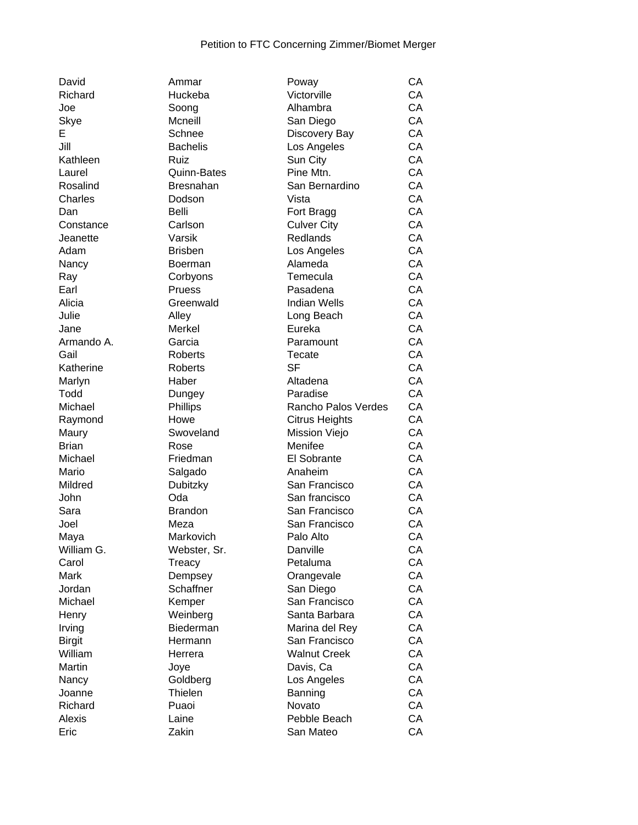| David         | Ammar            | Poway                 | CA            |
|---------------|------------------|-----------------------|---------------|
| Richard       | Huckeba          | Victorville           | CA            |
| Joe           | Soong            | Alhambra              | CA            |
| Skye          | Mcneill          | San Diego             | CA            |
| Е             | Schnee           | Discovery Bay         | CA            |
| Jill          | <b>Bachelis</b>  | Los Angeles           | CA            |
| Kathleen      | Ruiz             | Sun City              | CA            |
| Laurel        | Quinn-Bates      | Pine Mtn.             | CA            |
| Rosalind      | <b>Bresnahan</b> | San Bernardino        | CA            |
| Charles       | Dodson           | Vista                 | CA            |
| Dan           | Belli            | Fort Bragg            | CA            |
| Constance     | Carlson          | <b>Culver City</b>    | CA            |
| Jeanette      | Varsik           | Redlands              | CA            |
| Adam          | <b>Brisben</b>   | Los Angeles           | CA            |
| Nancy         | <b>Boerman</b>   | Alameda               | CA            |
| Ray           | Corbyons         | Temecula              | CA            |
| Earl          | Pruess           | Pasadena              | CA            |
| Alicia        | Greenwald        | <b>Indian Wells</b>   | CA            |
| Julie         | Alley            | Long Beach            | CA            |
| Jane          | Merkel           | Eureka                | CA            |
| Armando A.    | Garcia           | Paramount             | CA            |
| Gail          | <b>Roberts</b>   | Tecate                | CA            |
| Katherine     | Roberts          | <b>SF</b>             | CA            |
| Marlyn        | Haber            | Altadena              | CA            |
| Todd          | Dungey           | Paradise              | CA            |
| Michael       | Phillips         | Rancho Palos Verdes   | CA            |
| Raymond       | Howe             | <b>Citrus Heights</b> | CA            |
| Maury         | Swoveland        | Mission Viejo         | CA            |
| <b>Brian</b>  | Rose             | Menifee               | CA            |
| Michael       | Friedman         | El Sobrante           | CA            |
| Mario         | Salgado          | Anaheim               | CA            |
| Mildred       | Dubitzky         | San Francisco         | CA            |
| John          | Oda              | San francisco         | CA            |
| Sara          | <b>Brandon</b>   | San Francisco         | CA            |
| Joel          | Meza             | San Francisco         | CA            |
| Maya          | Markovich        | Palo Alto             | CA            |
| William G.    | Webster, Sr.     | Danville              | CA            |
| Carol         | Treacy           | Petaluma              | СA            |
| Mark          | Dempsey          | Orangevale            | СA            |
| Jordan        | Schaffner        | San Diego             | CA            |
| Michael       | Kemper           | San Francisco         | CA            |
| Henry         | Weinberg         | Santa Barbara         | CA            |
| Irving        | Biederman        | Marina del Rey        | CA            |
| <b>Birgit</b> | Hermann          | San Francisco         | CA            |
| William       | Herrera          | <b>Walnut Creek</b>   | CA            |
| Martin        | Joye             | Davis, Ca             | CA            |
| Nancy         | Goldberg         | Los Angeles           | CA            |
| Joanne        | Thielen          | Banning               | CA            |
| Richard       | Puaoi            | Novato                | CA            |
| Alexis        | Laine            | Pebble Beach          | СA            |
|               | $\rightarrow$    |                       | $\sim$ $\sim$ |

| Allillidi<br>Huckeba |
|----------------------|
| Soong                |
| Mcneill              |
| Schnee               |
| Bachelis             |
|                      |
| Ruiz                 |
| Quinn-Bates          |
| Bresnahan            |
| Dodson               |
| Belli                |
| Carlson              |
| Varsik               |
| Brisben              |
| Boerman              |
| Corbyons             |
| Pruess               |
| Greenwald            |
| Alley                |
| Merkel               |
| Garcia               |
| Roberts              |
| Roberts              |
| Haber                |
| Dungey               |
| Phillips             |
| Howe                 |
| Swoveland            |
| Rose                 |
| Friedman             |
| Salgado              |
| Dubitzky             |
| Oda                  |
|                      |
| Brandon              |
| Meza                 |
| Markovich            |
| Webster, Si          |
| Treacy               |
| Dempsey              |
| Schaffner            |
| Kemper               |
| Weinberg             |
| Biederman            |
| Hermann              |
| Herrera              |
| Joye                 |
| Goldberg             |
| Thielen              |
| Puaoi                |
| Laine                |
| Zakin                |
|                      |

| Richard       | Huckeba         | Victorville           | CA |
|---------------|-----------------|-----------------------|----|
| Joe           | Soong           | Alhambra              | CA |
| Skye          | Mcneill         | San Diego             | CA |
| E             | Schnee          | Discovery Bay         | CA |
| Jill          | <b>Bachelis</b> | Los Angeles           | CA |
| Kathleen      | Ruiz            | Sun City              | CA |
| Laurel        | Quinn-Bates     | Pine Mtn.             | CA |
| Rosalind      | Bresnahan       | San Bernardino        | CA |
| Charles       | Dodson          | Vista                 | CA |
| Dan           | Belli           | Fort Bragg            | CA |
| Constance     | Carlson         | <b>Culver City</b>    | CA |
| Jeanette      | Varsik          | <b>Redlands</b>       | CA |
| Adam          | <b>Brisben</b>  | Los Angeles           | CA |
| Nancy         | <b>Boerman</b>  | Alameda               | CA |
| Ray           | Corbyons        | Temecula              | CA |
| Earl          | Pruess          | Pasadena              | CA |
| Alicia        | Greenwald       | <b>Indian Wells</b>   | CA |
| Julie         | Alley           | Long Beach            | CA |
| Jane          | Merkel          | Eureka                | CA |
| Armando A.    | Garcia          | Paramount             | CA |
| Gail          | <b>Roberts</b>  | Tecate                | CA |
| Katherine     | Roberts         | <b>SF</b>             | CA |
| Marlyn        | Haber           | Altadena              | CA |
| Todd          | Dungey          | Paradise              | CA |
| Michael       | Phillips        | Rancho Palos Verdes   | CA |
| Raymond       | Howe            | <b>Citrus Heights</b> | CA |
| Maury         | Swoveland       | Mission Viejo         | CA |
| Brian         | Rose            | Menifee               | CA |
| Michael       | Friedman        | El Sobrante           | CA |
| Mario         | Salgado         | Anaheim               | CA |
| Mildred       | Dubitzky        | San Francisco         | CA |
| John          | Oda             | San francisco         | CA |
| Sara          | <b>Brandon</b>  | San Francisco         | CA |
| Joel          | Meza            | San Francisco         | CA |
| Maya          | Markovich       | Palo Alto             | CA |
| William G.    | Webster, Sr.    | Danville              | СA |
| Carol         | Treacy          | Petaluma              | CA |
| Mark          | Dempsey         | Orangevale            | CA |
| Jordan        | Schaffner       | San Diego             | CA |
| Michael       | Kemper          | San Francisco         | CA |
| Henry         | Weinberg        | Santa Barbara         | CA |
| Irving        | Biederman       | Marina del Rey        | CA |
| <b>Birgit</b> | Hermann         | San Francisco         | CA |
| William       | Herrera         | <b>Walnut Creek</b>   | CA |
| Martin        | Joye            | Davis, Ca             | CA |
| Nancy         | Goldberg        | Los Angeles           | CA |
| Joanne        | Thielen         | Banning               | CA |
| Richard       | Puaoi           | Novato                | CA |
| <b>Alexis</b> | Laine           | Pebble Beach          | CA |
| Eric          | Zakin           | San Mateo             | CA |
|               |                 |                       |    |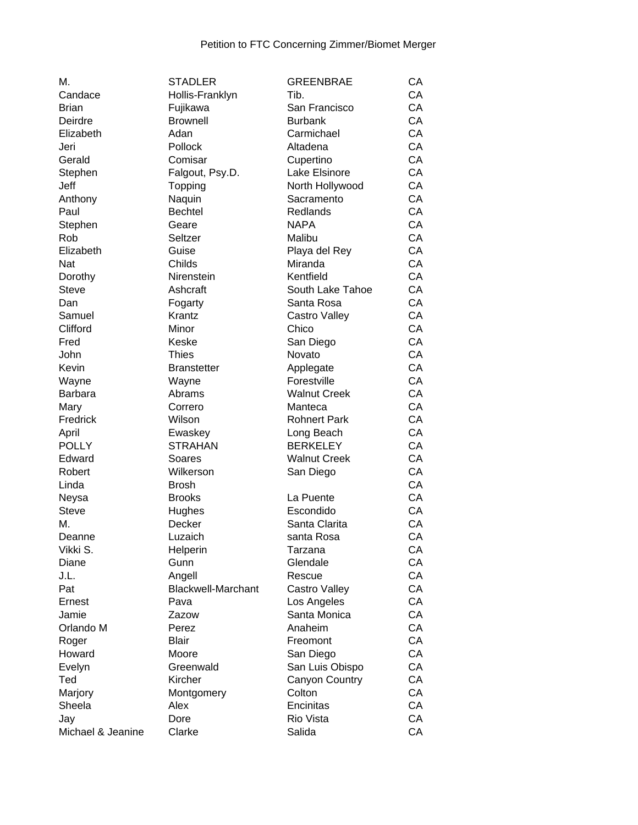| М.                | <b>STADLER</b>            | <b>GREENBRAE</b>       | CA |
|-------------------|---------------------------|------------------------|----|
| Candace           | Hollis-Franklyn           | Tib.                   | CA |
| <b>Brian</b>      | Fujikawa                  | San Francisco          | CA |
| Deirdre           | <b>Brownell</b>           | <b>Burbank</b>         | CA |
| Elizabeth         | Adan                      | Carmichael             | CA |
| Jeri              | Pollock                   | Altadena               | CA |
| Gerald            | Comisar                   | Cupertino              | CA |
| Stephen           | Falgout, Psy.D.           | Lake Elsinore          | CA |
| Jeff              | Topping                   | North Hollywood        | CA |
| Anthony           | Naquin                    | Sacramento             | CA |
| Paul              | <b>Bechtel</b>            | Redlands               | CA |
| Stephen           | Geare                     | <b>NAPA</b>            | CA |
| Rob               | Seltzer                   | Malibu                 | CA |
| Elizabeth         | Guise                     | Playa del Rey          | CA |
| Nat               | Childs                    | Miranda                | CA |
| Dorothy           | Nirenstein                | Kentfield              | CA |
| <b>Steve</b>      | Ashcraft                  | South Lake Tahoe       | CA |
| Dan               | Fogarty                   | Santa Rosa             | CA |
| Samuel            | Krantz                    |                        | CA |
| Clifford          | Minor                     | Castro Valley<br>Chico | CA |
|                   | Keske                     |                        | CA |
| Fred              |                           | San Diego              |    |
| John              | <b>Thies</b>              | Novato                 | CA |
| Kevin             | <b>Branstetter</b>        | Applegate              | CA |
| Wayne             | Wayne                     | Forestville            | CA |
| <b>Barbara</b>    | Abrams                    | <b>Walnut Creek</b>    | CA |
| Mary              | Correro                   | Manteca                | CA |
| Fredrick          | Wilson                    | <b>Rohnert Park</b>    | CA |
| April             | Ewaskey                   | Long Beach             | CA |
| <b>POLLY</b>      | <b>STRAHAN</b>            | <b>BERKELEY</b>        | CA |
| Edward            | Soares                    | <b>Walnut Creek</b>    | CA |
| Robert            | Wilkerson                 | San Diego              | CA |
| Linda             | <b>Brosh</b>              |                        | CA |
| Neysa             | <b>Brooks</b>             | La Puente              | CA |
| <b>Steve</b>      | Hughes                    | Escondido              | CA |
| М.                | Decker                    | Santa Clarita          | CA |
| Deanne            | Luzaich                   | santa Rosa             | CA |
| Vikki S.          | Helperin                  | Tarzana                | CA |
| Diane             | Gunn                      | Glendale               | CA |
| J.L.              | Angell                    | Rescue                 | CA |
| Pat               | <b>Blackwell-Marchant</b> | Castro Valley          | CA |
| Ernest            | Pava                      | Los Angeles            | CA |
| Jamie             | Zazow                     | Santa Monica           | CA |
| Orlando M         | Perez                     | Anaheim                | CA |
| Roger             | <b>Blair</b>              | Freomont               | CA |
| Howard            | Moore                     | San Diego              | CA |
| Evelyn            | Greenwald                 | San Luis Obispo        | CA |
| Ted               | Kircher                   | Canyon Country         | CA |
| Marjory           | Montgomery                | Colton                 | CA |
| Sheela            | Alex                      | Encinitas              | CA |
| Jay               | Dore                      | Rio Vista              | CA |
| Michael & Jeanine | Clarke                    | Salida                 | CA |
|                   |                           |                        |    |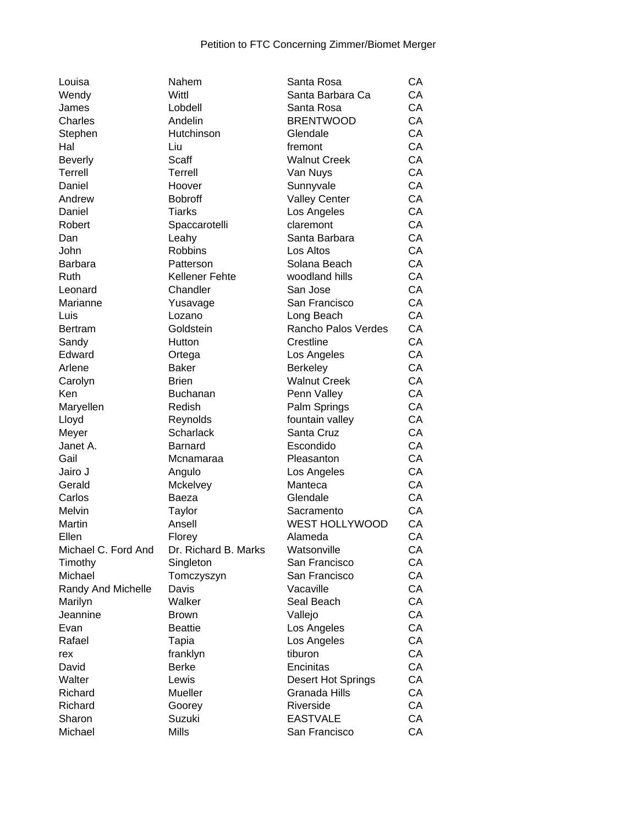| Louisa              | Nahem                 | Santa Rosa            | CA |
|---------------------|-----------------------|-----------------------|----|
| Wendy               | Wittl                 | Santa Barbara Ca      | CA |
| James               | Lobdell               | Santa Rosa            | CA |
| Charles             | Andelin               | <b>BRENTWOOD</b>      | CA |
| Stephen             | Hutchinson            | Glendale              | CA |
| Hal                 | Liu                   | fremont               | CA |
| <b>Beverly</b>      | <b>Scaff</b>          | <b>Walnut Creek</b>   | CA |
| <b>Terrell</b>      | Terrell               | Van Nuys              | CA |
| Daniel              | Hoover                | Sunnyvale             | CA |
| Andrew              | <b>Bobroff</b>        | <b>Valley Center</b>  | CA |
| Daniel              | <b>Tiarks</b>         | Los Angeles           | CA |
| Robert              | Spaccarotelli         | claremont             | CA |
| Dan                 | Leahy                 | Santa Barbara         | CA |
| John                | <b>Robbins</b>        | Los Altos             | CA |
| <b>Barbara</b>      | Patterson             | Solana Beach          | CA |
|                     |                       |                       | CA |
| Ruth                | <b>Kellener Fehte</b> | woodland hills        |    |
| Leonard             | Chandler              | San Jose              | CA |
| Marianne            | Yusavage              | San Francisco         | CA |
| Luis                | Lozano                | Long Beach            | CA |
| <b>Bertram</b>      | Goldstein             | Rancho Palos Verdes   | CA |
| Sandy               | Hutton                | Crestline             | CA |
| Edward              | Ortega                | Los Angeles           | CA |
| Arlene              | <b>Baker</b>          | <b>Berkeley</b>       | CA |
| Carolyn             | <b>Brien</b>          | <b>Walnut Creek</b>   | CA |
| Ken                 | <b>Buchanan</b>       | Penn Valley           | CA |
| Maryellen           | Redish                | Palm Springs          | CA |
| Lloyd               | Reynolds              | fountain valley       | CA |
| Meyer               | <b>Scharlack</b>      | Santa Cruz            | CA |
| Janet A.            | <b>Barnard</b>        | Escondido             | CA |
| Gail                | Mcnamaraa             | Pleasanton            | CA |
| Jairo J             | Angulo                | Los Angeles           | CA |
| Gerald              | Mckelvey              | Manteca               | CA |
| Carlos              | Baeza                 | Glendale              | CA |
| Melvin              | Taylor                | Sacramento            | CA |
| Martin              | Ansell                | <b>WEST HOLLYWOOD</b> | CA |
| Ellen               | Florey                | Alameda               | CA |
| Michael C. Ford And | Dr. Richard B. Marks  | Watsonville           | CA |
| Timothy             | Singleton             | San Francisco         | CA |
| Michael             | Tomczyszyn            | San Francisco         | CA |
| Randy And Michelle  | Davis                 | Vacaville             | CA |
| Marilyn             | Walker                | Seal Beach            | CA |
| Jeannine            | <b>Brown</b>          | Vallejo               | CA |
| Evan                | <b>Beattie</b>        | Los Angeles           | CA |
| Rafael              | Tapia                 | Los Angeles           | CA |
| rex                 | franklyn              | tiburon               | CA |
| David               | <b>Berke</b>          | Encinitas             | CA |
|                     |                       |                       | CA |
| Walter              | Lewis                 | Desert Hot Springs    | CA |
| Richard             | Mueller               | Granada Hills         |    |
| Richard             | Goorey                | Riverside             | CA |
| Sharon              | Suzuki                | <b>EASTVALE</b>       | CA |
| Michael             | <b>Mills</b>          | San Francisco         | CA |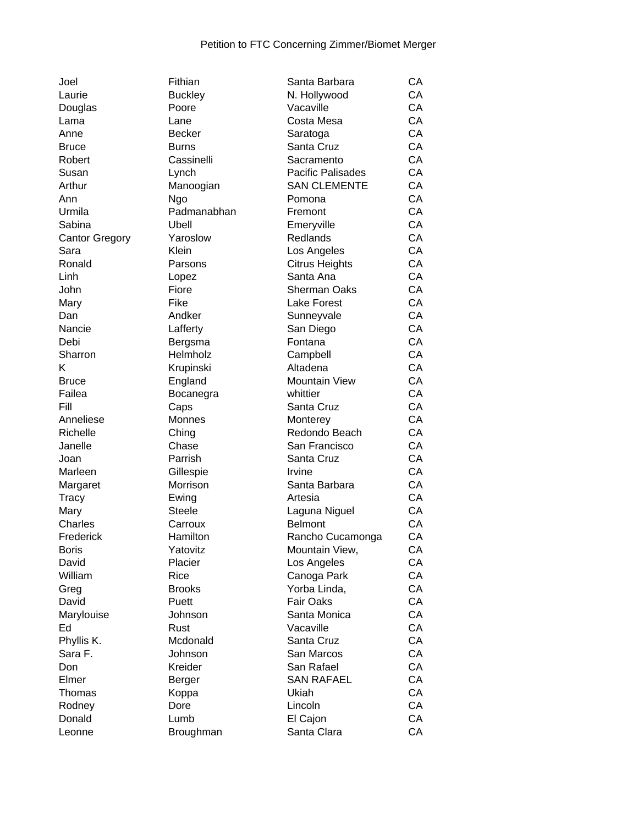| Joel                      |
|---------------------------|
| Laurie                    |
| Douglas                   |
| Lama                      |
| Anne                      |
| Bruce                     |
| Robert                    |
| Susan                     |
| Arthur                    |
| Ann                       |
| Urmila                    |
| Sabina                    |
| <b>Cantor Gregory</b>     |
| Sara                      |
| Ronald                    |
| Linh                      |
| John                      |
| Mary                      |
| Dan                       |
| Nancie                    |
| Debi                      |
| Sharron                   |
| K                         |
| <b>Bruce</b>              |
| Failea                    |
| Fill                      |
| Anneliese                 |
| Richelle                  |
|                           |
| Janelle                   |
| Joan                      |
| Marleen                   |
| Margaret                  |
| Tracy                     |
| Mary                      |
| Charles                   |
| Frederick<br><b>Boris</b> |
|                           |
| David                     |
| William                   |
| Greg                      |
| David                     |
| Marylouise                |
| Ed                        |
| Phyllis K.                |
| Sara F.                   |
| Don                       |
| Elmer                     |
| Thomas                    |
| Rodney                    |
| Donald                    |
|                           |

| Joel                  | Fithian             | Santa Barbara         | CA |
|-----------------------|---------------------|-----------------------|----|
| Laurie                | <b>Buckley</b>      | N. Hollywood          | CA |
| Douglas               | Poore               | Vacaville             | CA |
| Lama                  | Lane                | Costa Mesa            | CA |
| Anne                  | <b>Becker</b>       | Saratoga              | CA |
| <b>Bruce</b>          | <b>Burns</b>        | Santa Cruz            | CA |
| Robert                | Cassinelli          | Sacramento            | CA |
| Susan                 | Lynch               | Pacific Palisades     | CA |
| Arthur                | Manoogian           | <b>SAN CLEMENTE</b>   | CA |
| Ann                   | Ngo                 | Pomona                | CA |
| Urmila                | Padmanabhan         | Fremont               | CA |
| Sabina                | Ubell               | Emeryville            | CA |
| <b>Cantor Gregory</b> | Yaroslow            | Redlands              | CA |
| Sara                  | Klein               | Los Angeles           | CA |
| Ronald                | Parsons             | <b>Citrus Heights</b> | CA |
| Linh                  | Lopez               | Santa Ana             | CA |
| John                  | Fiore               | <b>Sherman Oaks</b>   | CA |
| Mary                  | Fike                | Lake Forest           | CA |
| Dan                   | Andker              | Sunneyvale            | CA |
| Nancie                | Lafferty            | San Diego             | CA |
| Debi                  |                     | Fontana               | CA |
|                       | Bergsma<br>Helmholz |                       | CA |
| Sharron               |                     | Campbell              | CA |
| κ                     | Krupinski           | Altadena              |    |
| <b>Bruce</b>          | England             | Mountain View         | CA |
| Failea                | Bocanegra           | whittier              | CA |
| Fill                  | Caps                | Santa Cruz            | CA |
| Anneliese             | Monnes              | Monterey              | CA |
| Richelle              | Ching               | Redondo Beach         | CA |
| Janelle               | Chase               | San Francisco         | CA |
| Joan                  | Parrish             | Santa Cruz            | CA |
| Marleen               | Gillespie           | Irvine                | CA |
| Margaret              | Morrison            | Santa Barbara         | CA |
| Tracy                 | Ewing               | Artesia               | CA |
| Mary                  | <b>Steele</b>       | Laguna Niguel         | СA |
| Charles               | Carroux             | <b>Belmont</b>        | CA |
| Frederick             | Hamilton            | Rancho Cucamonga      | CA |
| Boris                 | Yatovitz            | Mountain View,        | CA |
| David                 | Placier             | Los Angeles           | СA |
| William               | Rice                | Canoga Park           | СA |
| Greg                  | <b>Brooks</b>       | Yorba Linda,          | СA |
| David                 | Puett               | <b>Fair Oaks</b>      | CA |
| Marylouise            | Johnson             | Santa Monica          | CA |
| Ed                    | Rust                | Vacaville             | CA |
| Phyllis K.            | Mcdonald            | Santa Cruz            | CA |
| Sara F.               | Johnson             | San Marcos            | СA |
| Don                   | Kreider             | San Rafael            | СA |
| Elmer                 | Berger              | <b>SAN RAFAEL</b>     | CA |
| Thomas                | Koppa               | Ukiah                 | CA |
| Rodney                | Dore                | Lincoln               | CA |
| Donald                | Lumb                | El Cajon              | CA |
| Leonne                | Broughman           | Santa Clara           | CA |
|                       |                     |                       |    |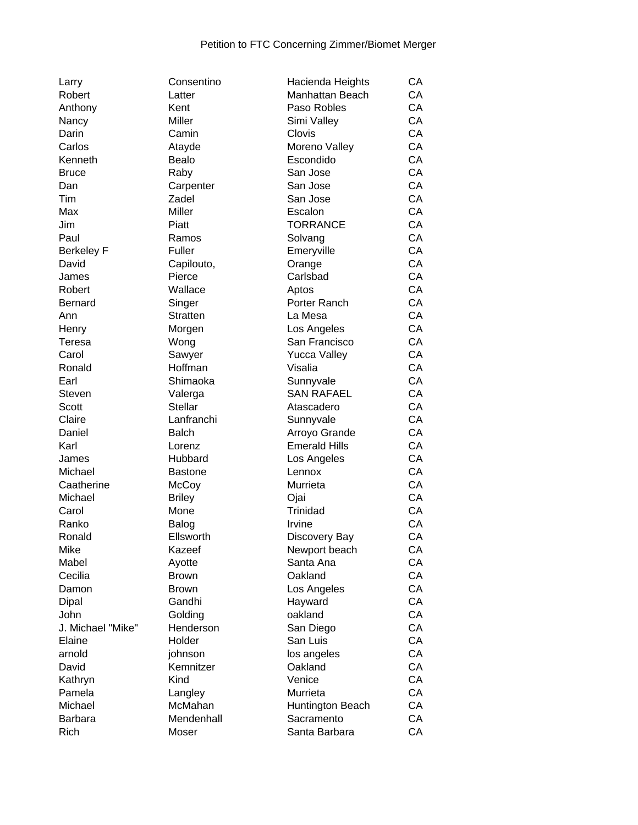| Larry             | Consentino                | Hacienda Heights             | CA |
|-------------------|---------------------------|------------------------------|----|
| Robert            | Latter                    | Manhattan Beach              | CA |
| Anthony           | Kent                      | Paso Robles                  | CA |
| Nancy             | Miller                    | Simi Valley                  | CA |
| Darin             | Camin                     | Clovis                       | CA |
| Carlos            | Atayde                    | Moreno Valley                | CA |
| Kenneth           | Bealo                     | Escondido                    | CA |
| <b>Bruce</b>      | Raby                      | San Jose                     | CA |
| Dan               | Carpenter                 | San Jose                     | CA |
| Tim               | Zadel                     | San Jose                     | CA |
| Max               | Miller                    | Escalon                      | CA |
| Jim               | Piatt                     | <b>TORRANCE</b>              | CA |
| Paul              | Ramos                     | Solvang                      | CA |
| <b>Berkeley F</b> | Fuller                    | Emeryville                   | CA |
| David             | Capilouto,                | Orange                       | CA |
| James             | Pierce                    | Carlsbad                     | CA |
| Robert            | Wallace                   | Aptos                        | CA |
| <b>Bernard</b>    |                           | Porter Ranch                 | CA |
| Ann               | Singer<br><b>Stratten</b> | La Mesa                      | CA |
|                   |                           |                              | CA |
| Henry             | Morgen                    | Los Angeles<br>San Francisco | CA |
| Teresa            | Wong                      |                              |    |
| Carol             | Sawyer                    | <b>Yucca Valley</b>          | CA |
| Ronald            | Hoffman                   | Visalia                      | CA |
| Earl              | Shimaoka                  | Sunnyvale                    | CA |
| <b>Steven</b>     | Valerga                   | <b>SAN RAFAEL</b>            | CA |
| Scott             | <b>Stellar</b>            | Atascadero                   | CA |
| Claire            | Lanfranchi                | Sunnyvale                    | CA |
| Daniel            | <b>Balch</b>              | Arroyo Grande                | CA |
| Karl              | Lorenz                    | <b>Emerald Hills</b>         | CA |
| James             | Hubbard                   | Los Angeles                  | CA |
| Michael           | <b>Bastone</b>            | Lennox                       | CA |
| Caatherine        | McCoy                     | Murrieta                     | CA |
| Michael           | <b>Briley</b>             | Ojai                         | CA |
| Carol             | Mone                      | Trinidad                     | CA |
| Ranko             | Balog                     | Irvine                       | CA |
| Ronald            | Ellsworth                 | Discovery Bay                | CA |
| Mike              | Kazeef                    | Newport beach                | СA |
| Mabel             | Ayotte                    | Santa Ana                    | CA |
| Cecilia           | <b>Brown</b>              | Oakland                      | CA |
| Damon             | <b>Brown</b>              | Los Angeles                  | CA |
| Dipal             | Gandhi                    | Hayward                      | CA |
| John              | Golding                   | oakland                      | CA |
| J. Michael "Mike" | Henderson                 | San Diego                    | CA |
| Elaine            | Holder                    | San Luis                     | CA |
| arnold            | johnson                   | los angeles                  | CA |
| David             | Kemnitzer                 | Oakland                      | CA |
| Kathryn           | Kind                      | Venice                       | CA |
| Pamela            | Langley                   | Murrieta                     | CA |
| Michael           | McMahan                   | Huntington Beach             | CA |
| Barbara           | Mendenhall                | Sacramento                   | CA |
| Rich              | Moser                     | Santa Barbara                | CA |
|                   |                           |                              |    |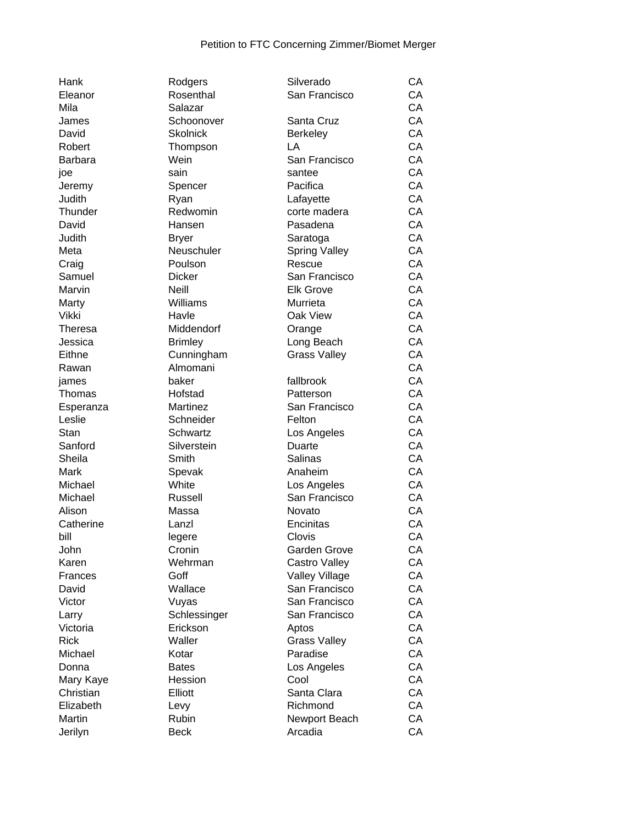| Hank           | Rodgers                | Silverado             | СA |
|----------------|------------------------|-----------------------|----|
| Eleanor        | Rosenthal              | San Francisco         | CA |
| Mila           | Salazar                |                       | CA |
| James          | Schoonover             | Santa Cruz            | CA |
| David          | <b>Skolnick</b>        | <b>Berkeley</b>       | CA |
| Robert         | Thompson               | LA                    | CA |
| <b>Barbara</b> | Wein                   | San Francisco         | CA |
| joe            | sain                   | santee                | CA |
| Jeremy         | Spencer                | Pacifica              | CA |
| Judith         | Ryan                   | Lafayette             | CA |
| Thunder        | Redwomin               | corte madera          | CA |
| David          | Hansen                 | Pasadena              | CA |
| Judith         | <b>Bryer</b>           | Saratoga              | CA |
| Meta           | Neuschuler             | <b>Spring Valley</b>  | CA |
| Craig          | Poulson                | Rescue                | CA |
| Samuel         | <b>Dicker</b>          | San Francisco         | CA |
| Marvin         | <b>Neill</b>           | <b>Elk Grove</b>      | CA |
| Marty          | Williams               | Murrieta              | CA |
| Vikki          | Havle                  | Oak View              | CA |
| Theresa        | Middendorf             | Orange                | CA |
| Jessica        | <b>Brimley</b>         | Long Beach            | CA |
|                |                        |                       | CA |
| Eithne         | Cunningham<br>Almomani | <b>Grass Valley</b>   | CA |
| Rawan          |                        |                       |    |
| james          | baker                  | fallbrook             | CA |
| Thomas         | Hofstad                | Patterson             | CA |
| Esperanza      | Martinez               | San Francisco         | CA |
| Leslie         | Schneider              | Felton                | CA |
| Stan           | Schwartz               | Los Angeles           | CA |
| Sanford        | Silverstein            | Duarte                | CA |
| Sheila         | Smith                  | <b>Salinas</b>        | CA |
| Mark           | Spevak                 | Anaheim               | CA |
| Michael        | White                  | Los Angeles           | CA |
| Michael        | Russell                | San Francisco         | CA |
| Alison         | Massa                  | Novato                | CA |
| Catherine      | Lanzl                  | Encinitas             | CA |
| bill           | legere                 | Clovis                | CA |
| John           | Cronin                 | Garden Grove          | CA |
| Karen          | Wehrman                | Castro Valley         | CA |
| Frances        | Goff                   | <b>Valley Village</b> | CA |
| David          | Wallace                | San Francisco         | CA |
| Victor         | Vuyas                  | San Francisco         | CA |
| Larry          | Schlessinger           | San Francisco         | CA |
| Victoria       | Erickson               | Aptos                 | CA |
| <b>Rick</b>    | Waller                 | <b>Grass Valley</b>   | CA |
| Michael        | Kotar                  | Paradise              | CA |
| Donna          | <b>Bates</b>           | Los Angeles           | CA |
| Mary Kaye      | Hession                | Cool                  | CA |
| Christian      | Elliott                | Santa Clara           | CA |
| Elizabeth      | Levy                   | Richmond              | CA |
| Martin         | Rubin                  | Newport Beach         | CA |
| Jerilyn        | <b>Beck</b>            | Arcadia               | CA |
|                |                        |                       |    |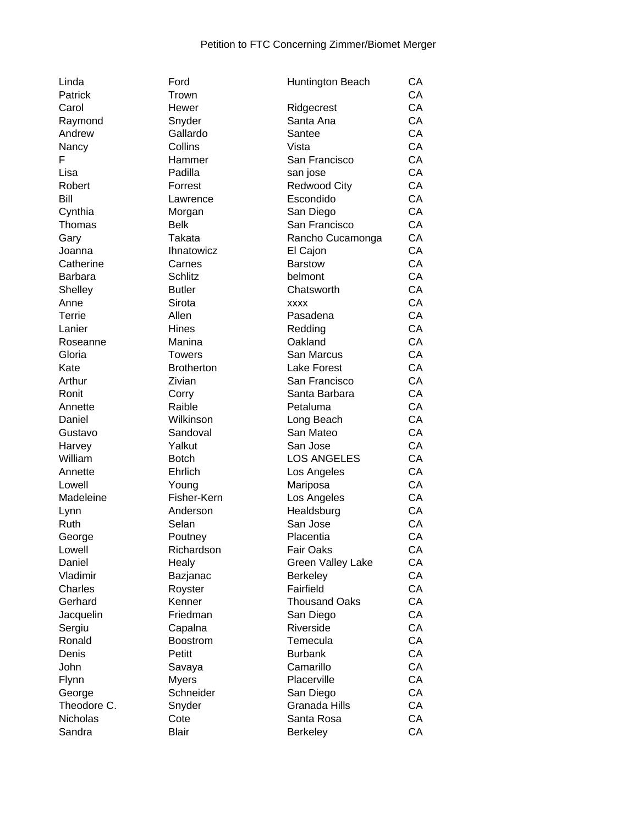| Linda       | Ford              | Huntington Beach           | CA |
|-------------|-------------------|----------------------------|----|
| Patrick     | Trown             |                            | CA |
| Carol       | Hewer             | Ridgecrest                 | CA |
| Raymond     | Snyder            | Santa Ana                  | CA |
| Andrew      | Gallardo          | Santee                     | CA |
| Nancy       | Collins           | Vista                      | CA |
| F           | Hammer            | San Francisco              | CA |
| Lisa        | Padilla           | san jose                   | CA |
| Robert      | Forrest           | <b>Redwood City</b>        | CA |
| Bill        | Lawrence          | Escondido                  | CA |
| Cynthia     | Morgan            | San Diego                  | CA |
| Thomas      | <b>Belk</b>       | San Francisco              | CA |
| Gary        | Takata            | Rancho Cucamonga           | CA |
| Joanna      | <b>Ihnatowicz</b> |                            | CA |
| Catherine   | Carnes            | El Cajon<br><b>Barstow</b> | CA |
|             |                   |                            | CA |
| Barbara     | Schlitz           | belmont                    |    |
| Shelley     | <b>Butler</b>     | Chatsworth                 | CA |
| Anne        | Sirota            | <b>XXXX</b>                | CA |
| Terrie      | Allen             | Pasadena                   | CA |
| Lanier      | Hines             | Redding                    | CA |
| Roseanne    | Manina            | Oakland                    | CA |
| Gloria      | <b>Towers</b>     | San Marcus                 | CA |
| Kate        | <b>Brotherton</b> | Lake Forest                | CA |
| Arthur      | Zivian            | San Francisco              | CA |
| Ronit       | Corry             | Santa Barbara              | CA |
| Annette     | Raible            | Petaluma                   | CA |
| Daniel      | Wilkinson         | Long Beach                 | CA |
| Gustavo     | Sandoval          | San Mateo                  | CA |
| Harvey      | Yalkut            | San Jose                   | CA |
| William     | <b>Botch</b>      | <b>LOS ANGELES</b>         | CA |
| Annette     | Ehrlich           | Los Angeles                | CA |
| Lowell      | Young             | Mariposa                   | CA |
| Madeleine   | Fisher-Kern       | Los Angeles                | CA |
| Lynn        | Anderson          | Healdsburg                 | CA |
| Ruth        | Selan             | San Jose                   | CA |
| George      | Poutney           | Placentia                  | CA |
| Lowell      | Richardson        | <b>Fair Oaks</b>           | CA |
| Daniel      | Healy             | <b>Green Valley Lake</b>   | CA |
| Vladimir    | Bazjanac          | <b>Berkeley</b>            | CA |
| Charles     | Royster           | Fairfield                  | CA |
| Gerhard     | Kenner            | <b>Thousand Oaks</b>       | CA |
| Jacquelin   | Friedman          | San Diego                  | CA |
| Sergiu      | Capalna           | Riverside                  | CA |
| Ronald      | <b>Boostrom</b>   | Temecula                   | CA |
| Denis       | Petitt            | <b>Burbank</b>             | CA |
| John        |                   | Camarillo                  | CA |
|             | Savaya            | Placerville                |    |
| Flynn       | <b>Myers</b>      |                            | CA |
| George      | Schneider         | San Diego                  | CA |
| Theodore C. | Snyder            | Granada Hills              | CA |
| Nicholas    | Cote              | Santa Rosa                 | CA |
| Sandra      | <b>Blair</b>      | <b>Berkeley</b>            | CA |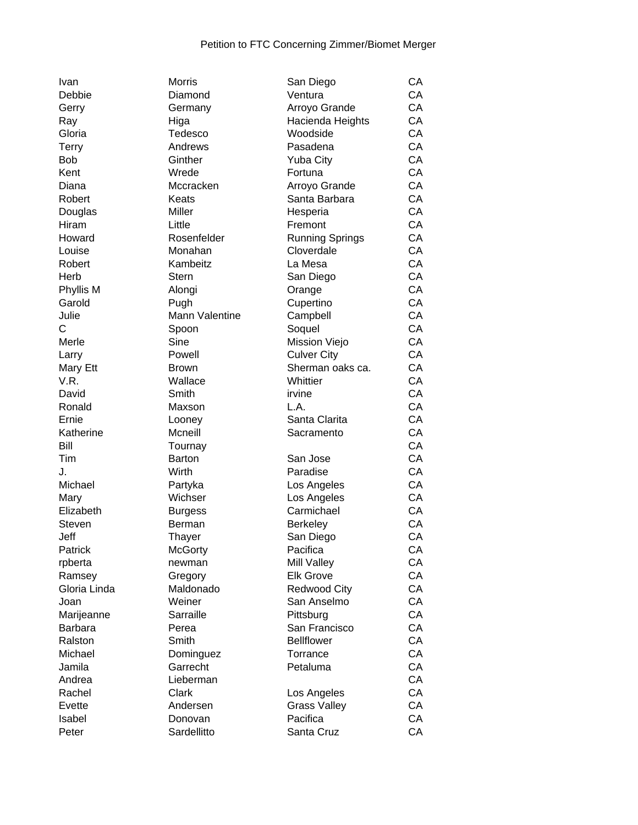| Ivan             | <b>Morris</b>  | San Diego              | CA |
|------------------|----------------|------------------------|----|
| Debbie           | Diamond        | Ventura                | CA |
| Gerry            | Germany        | Arroyo Grande          | CA |
| Ray              | Higa           | Hacienda Heights       | CA |
| Gloria           | Tedesco        | Woodside               | CA |
| <b>Terry</b>     | Andrews        | Pasadena               | CA |
| <b>Bob</b>       | Ginther        | <b>Yuba City</b>       | CA |
| Kent             | Wrede          | Fortuna                | CA |
| Diana            | Mccracken      | Arroyo Grande          | CA |
| Robert           | Keats          | Santa Barbara          | CA |
| Douglas          | Miller         | Hesperia               | CA |
| Hiram            | Little         | Fremont                | CA |
| Howard           | Rosenfelder    | <b>Running Springs</b> | CA |
| Louise           | Monahan        | Cloverdale             | CA |
| Robert           | Kambeitz       | La Mesa                | CA |
| Herb             | <b>Stern</b>   | San Diego              | CA |
| Phyllis M        | Alongi         | Orange                 | CA |
| Garold           | Pugh           | Cupertino              | CA |
| Julie            | Mann Valentine | Campbell               | CA |
| C                | Spoon          | Soquel                 | CA |
| Merle            | Sine           | Mission Viejo          | CA |
|                  | Powell         | <b>Culver City</b>     | CA |
| Larry            | <b>Brown</b>   | Sherman oaks ca.       | CA |
| Mary Ett<br>V.R. | Wallace        | Whittier               | CA |
|                  |                |                        | CA |
| David            | Smith          | irvine                 |    |
| Ronald           | Maxson         | L.A.                   | CA |
| Ernie            | Looney         | Santa Clarita          | CA |
| Katherine        | Mcneill        | Sacramento             | CA |
| Bill             | Tournay        |                        | CA |
| Tim              | <b>Barton</b>  | San Jose               | CA |
| J.               | Wirth          | Paradise               | CA |
| Michael          | Partyka        | Los Angeles            | CA |
| Mary             | Wichser        | Los Angeles            | CA |
| Elizabeth        | <b>Burgess</b> | Carmichael             | CA |
| Steven           | Berman         | <b>Berkeley</b>        | CA |
| Jeff             | Thayer         | San Diego              | CA |
| Patrick          | <b>McGorty</b> | Pacifica               | CA |
| rpberta          | newman         | Mill Valley            | CA |
| Ramsey           | Gregory        | <b>Elk Grove</b>       | CA |
| Gloria Linda     | Maldonado      | <b>Redwood City</b>    | CA |
| Joan             | Weiner         | San Anselmo            | CA |
| Marijeanne       | Sarraille      | Pittsburg              | CA |
| <b>Barbara</b>   | Perea          | San Francisco          | CA |
| Ralston          | Smith          | <b>Bellflower</b>      | CA |
| Michael          | Dominguez      | Torrance               | CA |
| Jamila           | Garrecht       | Petaluma               | CA |
| Andrea           | Lieberman      |                        | CA |
| Rachel           | Clark          | Los Angeles            | CA |
| Evette           | Andersen       | <b>Grass Valley</b>    | CA |
| Isabel           | Donovan        | Pacifica               | CA |
| Peter            | Sardellitto    | Santa Cruz             | CA |
|                  |                |                        |    |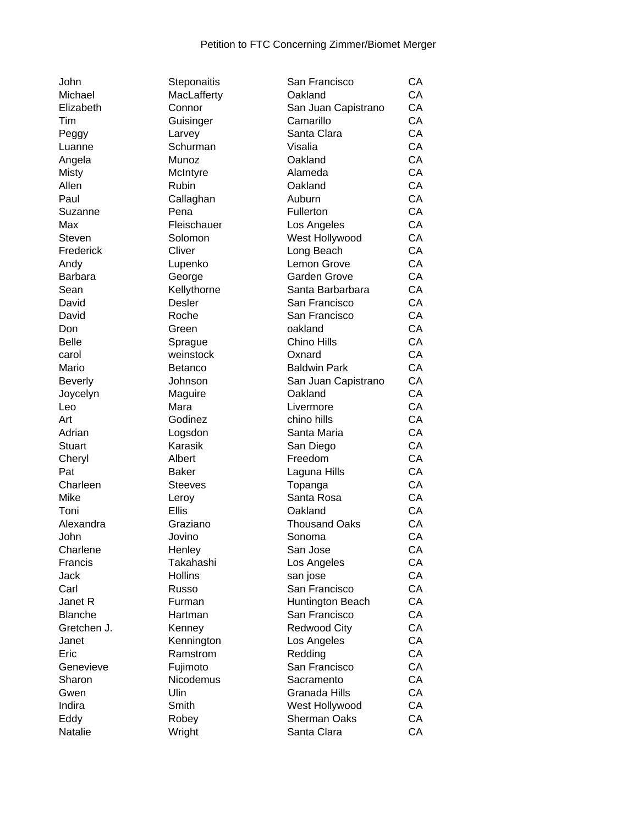| John           |
|----------------|
| Michael        |
| Elizabeth      |
| Tim            |
| Peggy          |
| Luanne         |
| Angela         |
| Misty          |
| Allen          |
|                |
| Paul           |
| Suzanne        |
| Max            |
| Steven         |
| Frederick      |
| Andy           |
| Barbara        |
| Sean           |
| David          |
| David          |
| Don            |
| Belle          |
| carol          |
| Mario          |
| Beverly        |
|                |
|                |
| Joycelyn       |
| Leo            |
| Art            |
| Adrian         |
| <b>Stuart</b>  |
| Cheryl         |
| Pat            |
| Charleen       |
| Mike           |
| Toni           |
| Alexandra      |
| John           |
|                |
| Charlene       |
| Francis        |
| Jack           |
| Carl           |
| Janet R        |
| <b>Blanche</b> |
| Gretchen J.    |
| Janet          |
| Eric           |
| Genevieve      |
| Sharon         |
| Gwen           |
| Indira         |
| Eddy           |

| Steponaitis    |
|----------------|
| MacLafferty    |
| Connor         |
| Guisinger      |
| Larvey         |
| Schurman       |
| Munoz          |
|                |
| McIntyre       |
| Rubin          |
| Callaghan      |
| Pena           |
| Fleischauer    |
| Solomon        |
| Cliver         |
| Lupenko        |
| George         |
| Kellythorne    |
| Desler         |
|                |
| Roche          |
| Green          |
| Sprague        |
| weinstock      |
| Betanco        |
| Johnson        |
| Maguire        |
| Mara           |
| Godinez        |
|                |
| Logsdon        |
| Karasik        |
| Albert         |
| <b>Baker</b>   |
| <b>Steeves</b> |
| Leroy          |
| <b>Ellis</b>   |
| Graziano       |
| Jovino         |
|                |
| Henley         |
| Takahashi      |
| <b>Hollins</b> |
| Russo          |
| Furman         |
| Hartman        |
| Kenney         |
| Kennington     |
| Ramstrom       |
| Fujimoto       |
|                |
| Nicodemus      |
| Ulin           |
| Smith          |
| Robey          |
| Wright         |
|                |

| John           | Steponaitis    | San Francisco        | СA |
|----------------|----------------|----------------------|----|
| Michael        | MacLafferty    | Oakland              | CA |
| Elizabeth      | Connor         | San Juan Capistrano  | CA |
| Tim            | Guisinger      | Camarillo            | CA |
| Peggy          | Larvey         | Santa Clara          | CA |
| Luanne         | Schurman       | Visalia              | CA |
| Angela         | Munoz          | Oakland              | CA |
| Misty          | McIntyre       | Alameda              | CA |
| Allen          | Rubin          | Oakland              | CA |
| Paul           | Callaghan      | Auburn               | CA |
| Suzanne        | Pena           | Fullerton            | CA |
| Max            | Fleischauer    | Los Angeles          | CA |
| Steven         | Solomon        | West Hollywood       | CA |
| Frederick      | Cliver         | Long Beach           | CA |
| Andy           | Lupenko        | Lemon Grove          | CA |
| Barbara        | George         | Garden Grove         | CA |
| Sean           | Kellythorne    | Santa Barbarbara     | CA |
| David          | Desler         | San Francisco        | CA |
| David          | Roche          | San Francisco        | CA |
| Don            | Green          | oakland              | CA |
| Belle          | Sprague        | Chino Hills          | CA |
| carol          | weinstock      | Oxnard               | CA |
| Mario          | <b>Betanco</b> | <b>Baldwin Park</b>  | CA |
| <b>Beverly</b> | Johnson        | San Juan Capistrano  | CA |
| Joycelyn       | Maguire        | Oakland              | CA |
| Leo            | Mara           | Livermore            | CA |
| Art            | Godinez        | chino hills          | CA |
| Adrian         | Logsdon        | Santa Maria          | CA |
| <b>Stuart</b>  | Karasik        | San Diego            | CA |
| Cheryl         | Albert         | Freedom              | CA |
| Pat            | <b>Baker</b>   | Laguna Hills         | CA |
| Charleen       | <b>Steeves</b> | Topanga              | CA |
| Mike           | Leroy          | Santa Rosa           | CA |
| Toni           | <b>Ellis</b>   | Oakland              | CA |
| Alexandra      | Graziano       | <b>Thousand Oaks</b> | CA |
| John           | Jovino         | Sonoma               | CA |
| Charlene       | Henley         | San Jose             | CA |
| Francis        | Takahashi      | Los Angeles          | СA |
| Jack           | <b>Hollins</b> | san jose             | СA |
| Carl           | Russo          | San Francisco        | CA |
| Janet R        | Furman         | Huntington Beach     | СA |
| <b>Blanche</b> | Hartman        | San Francisco        | CA |
| Gretchen J.    | Kenney         | <b>Redwood City</b>  | CA |
| Janet          | Kennington     | Los Angeles          | CA |
| Eric           | Ramstrom       | Redding              | CA |
| Genevieve      | Fujimoto       | San Francisco        | CA |
| Sharon         | Nicodemus      | Sacramento           | СA |
| Gwen           | Ulin           | Granada Hills        | CA |
| Indira         | Smith          | West Hollywood       | CA |
| Eddy           | Robey          | <b>Sherman Oaks</b>  | CA |
| Natalie        | Wright         | Santa Clara          | CA |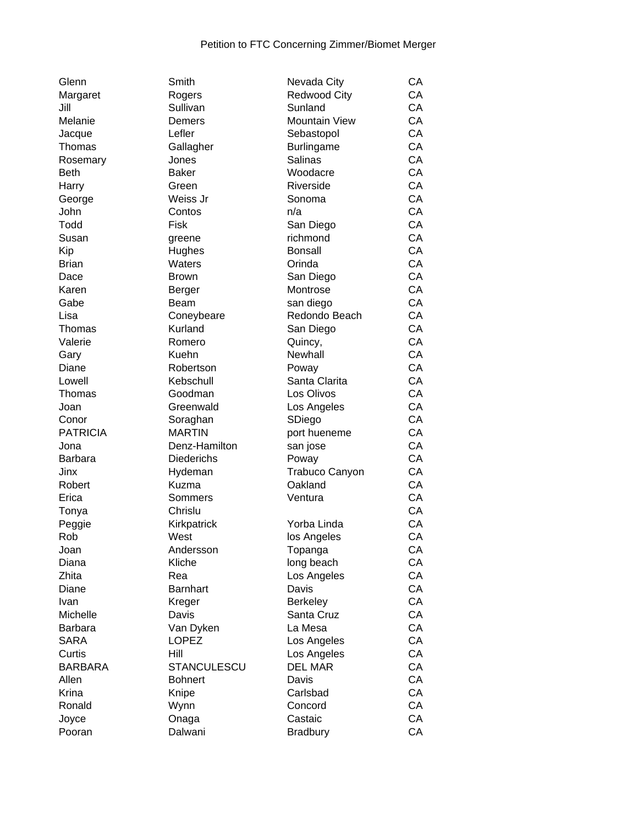| Glenn           |
|-----------------|
| Margaret        |
| Jill            |
| Melanie         |
| Jacque          |
| Thomas          |
| Rosemary        |
| Beth            |
| Harry           |
| George          |
| John            |
| Todd            |
| Susan           |
| Kip             |
| Brian           |
| Dace            |
| Karen           |
| Gabe            |
| Lisa            |
| Thomas          |
| Valerie         |
| Gary            |
| Diane           |
| Lowell          |
| Thomas          |
| Joan            |
| Conor           |
| <b>PATRICIA</b> |
| Jona            |
| Barbara         |
| Jinx            |
| Robert          |
| Erica           |
| Tonya           |
| Peggie          |
| Rob             |
| Joan            |
| Diana           |
| Zhita           |
| Diane           |
| Ivan            |
| Michelle        |
| Barbara         |
| <b>SARA</b>     |
| Curtis          |
| <b>BARBARA</b>  |
| Allen           |
| Krina           |
| Ronald          |
| Joyce           |
|                 |

| Smith           |
|-----------------|
| Rogers          |
| Sullivan        |
| Demers          |
| Lefler          |
| Gallagher       |
|                 |
| Jones           |
| <b>Baker</b>    |
| Green           |
| Weiss Jr        |
| Contos          |
| Fisk            |
| greene          |
| Hughes          |
| Waters          |
| <b>Brown</b>    |
| Berger          |
|                 |
| Beam            |
| Coneybeare      |
| Kurland         |
| Romero          |
| Kuehn           |
| Robertson       |
| Kebschull       |
| Goodman         |
| Greenwald       |
| Soraghan        |
|                 |
| <b>MARTIN</b>   |
| Denz-Hamilton   |
| Diederichs      |
| Hydeman         |
| Kuzma           |
| Sommers         |
| Chrislu         |
| Kirkpatrick     |
| West            |
| Andersson       |
|                 |
| Kliche          |
| Rea             |
| <b>Barnhart</b> |
| Kreger          |
| Davis           |
| Van Dyken       |
| LOPEZ           |
| Hill            |
| STANCULESCU     |
|                 |
| <b>Bohnert</b>  |
| Knipe           |
| Wynn            |
| Onaga           |
| Dalwani         |
|                 |

| Glenn           | Smith           | Nevada City           | CA |
|-----------------|-----------------|-----------------------|----|
| Margaret        | Rogers          | <b>Redwood City</b>   | CA |
| Jill            | Sullivan        | Sunland               | CA |
| Melanie         | Demers          | <b>Mountain View</b>  | CA |
| Jacque          | Lefler          | Sebastopol            | CA |
| Thomas          | Gallagher       | Burlingame            | CA |
| Rosemary        | Jones           | <b>Salinas</b>        | CA |
| Beth            | <b>Baker</b>    | Woodacre              | CA |
| Harry           | Green           | Riverside             | CA |
| George          | Weiss Jr        | Sonoma                | CA |
| John            | Contos          | n/a                   | CA |
| Todd            | Fisk            | San Diego             | CA |
| Susan           |                 | richmond              | CA |
|                 | greene          |                       | CA |
| Kip             | Hughes          | <b>Bonsall</b>        | CA |
| <b>Brian</b>    | Waters          | Orinda                |    |
| Dace            | Brown           | San Diego             | CA |
| Karen           | Berger          | Montrose              | CA |
| Gabe            | Beam            | san diego             | CA |
| Lisa            | Coneybeare      | Redondo Beach         | CA |
| Thomas          | Kurland         | San Diego             | CA |
| Valerie         | Romero          | Quincy,               | CA |
| Gary            | Kuehn           | Newhall               | CA |
| Diane           | Robertson       | Poway                 | CA |
| Lowell          | Kebschull       | Santa Clarita         | CA |
| Thomas          | Goodman         | Los Olivos            | CA |
| Joan            | Greenwald       | Los Angeles           | CA |
| Conor           | Soraghan        | SDiego                | CA |
| <b>PATRICIA</b> | <b>MARTIN</b>   | port hueneme          | CA |
| Jona            | Denz-Hamilton   | san jose              | CA |
| Barbara         | Diederichs      | Poway                 | CA |
| Jinx            | Hydeman         | <b>Trabuco Canyon</b> | CA |
| Robert          | Kuzma           | Oakland               | CA |
| Erica           | Sommers         | Ventura               | CA |
| Tonya           | Chrislu         |                       | CA |
| Peggie          | Kirkpatrick     | Yorba Linda           | CA |
| Rob             | West            | los Angeles           | CA |
| Joan            | Andersson       | Topanga               | CA |
| Diana           | Kliche          | long beach            | CA |
| Zhita           | Rea             | Los Angeles           | CA |
| Diane           | <b>Barnhart</b> | Davis                 | CA |
| Ivan            | Kreger          | <b>Berkeley</b>       | CA |
| Michelle        | Davis           | Santa Cruz            | CA |
| Barbara         |                 | La Mesa               | CA |
|                 | Van Dyken       |                       | CA |
| <b>SARA</b>     | <b>LOPEZ</b>    | Los Angeles           |    |
| Curtis          | Hill            | Los Angeles           | CA |
| <b>BARBARA</b>  | STANCULESCU     | <b>DEL MAR</b>        | CA |
| Allen           | <b>Bohnert</b>  | Davis                 | CA |
| Krina           | Knipe           | Carlsbad              | CA |
| Ronald          | Wynn            | Concord               | CA |
| Joyce           | Onaga           | Castaic               | CA |
| Pooran          | Dalwani         | <b>Bradbury</b>       | CA |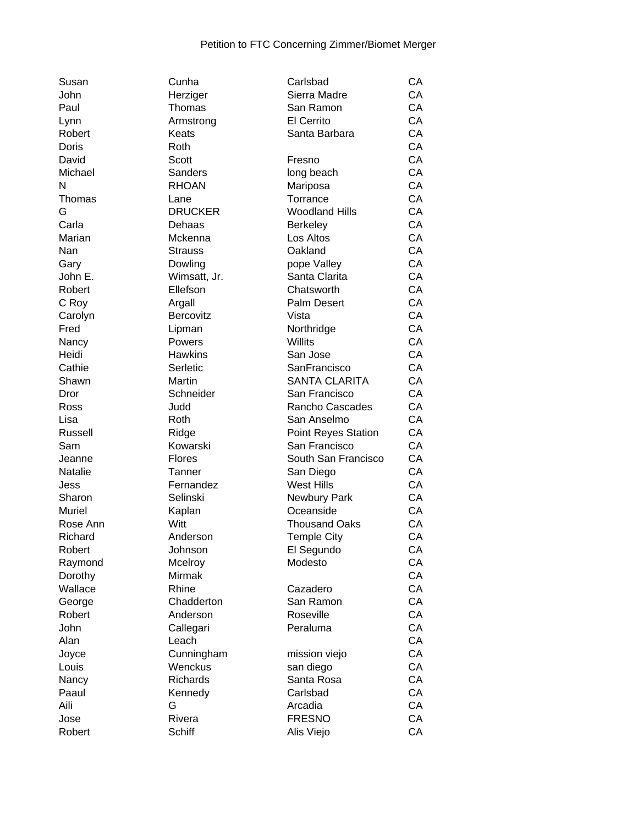| Susan         | Cunha           | Carlsbad                   | CA |
|---------------|-----------------|----------------------------|----|
| John          | Herziger        | Sierra Madre               | CA |
| Paul          | Thomas          | San Ramon                  | CA |
| Lynn          | Armstrong       | El Cerrito                 | CA |
| Robert        | Keats           | Santa Barbara              | CA |
| Doris         | Roth            |                            | CA |
| David         | Scott           | Fresno                     | CA |
| Michael       | <b>Sanders</b>  | long beach                 | CA |
| N             | <b>RHOAN</b>    | Mariposa                   | CA |
| Thomas        | Lane            | Torrance                   | CA |
| G             | <b>DRUCKER</b>  | <b>Woodland Hills</b>      | CA |
| Carla         | Dehaas          |                            | CA |
| Marian        |                 | <b>Berkeley</b>            | CA |
|               | Mckenna         | Los Altos                  |    |
| Nan           | <b>Strauss</b>  | Oakland                    | CA |
| Gary          | Dowling         | pope Valley                | CA |
| John E.       | Wimsatt, Jr.    | Santa Clarita              | CA |
| Robert        | Ellefson        | Chatsworth                 | CA |
| C Roy         | Argall          | <b>Palm Desert</b>         | CA |
| Carolyn       | Bercovitz       | Vista                      | CA |
| Fred          | Lipman          | Northridge                 | CA |
| Nancy         | Powers          | Willits                    | CA |
| Heidi         | <b>Hawkins</b>  | San Jose                   | CA |
| Cathie        | Serletic        | SanFrancisco               | CA |
| Shawn         | Martin          | <b>SANTA CLARITA</b>       | CA |
| Dror          | Schneider       | San Francisco              | CA |
| Ross          | Judd            | Rancho Cascades            | CA |
| Lisa          | Roth            | San Anselmo                | CA |
| Russell       | Ridge           | <b>Point Reyes Station</b> | CA |
| Sam           | Kowarski        | San Francisco              | CA |
| Jeanne        | <b>Flores</b>   | South San Francisco        | CA |
| Natalie       | Tanner          | San Diego                  | CA |
| Jess          | Fernandez       | <b>West Hills</b>          | CA |
|               |                 |                            | CA |
| Sharon        | Selinski        | Newbury Park               |    |
| <b>Muriel</b> | Kaplan          | Oceanside                  | CA |
| Rose Ann      | Witt            | <b>Thousand Oaks</b>       | CA |
| Richard       | Anderson        | <b>Temple City</b>         | CA |
| Robert        | Johnson         | El Segundo                 | CA |
| Raymond       | Mcelroy         | Modesto                    | CA |
| Dorothy       | <b>Mirmak</b>   |                            | CA |
| Wallace       | Rhine           | Cazadero                   | CA |
| George        | Chadderton      | San Ramon                  | CA |
| Robert        | Anderson        | Roseville                  | CA |
| John          | Callegari       | Peraluma                   | CA |
| Alan          | Leach           |                            | CA |
| Joyce         | Cunningham      | mission viejo              | CA |
| Louis         | Wenckus         | san diego                  | CA |
| Nancy         | <b>Richards</b> | Santa Rosa                 | CA |
| Paaul         | Kennedy         | Carlsbad                   | CA |
| Aili          | G               | Arcadia                    | CA |
| Jose          | Rivera          | <b>FRESNO</b>              | CA |
|               |                 |                            |    |
| Robert        | <b>Schiff</b>   | Alis Viejo                 | CA |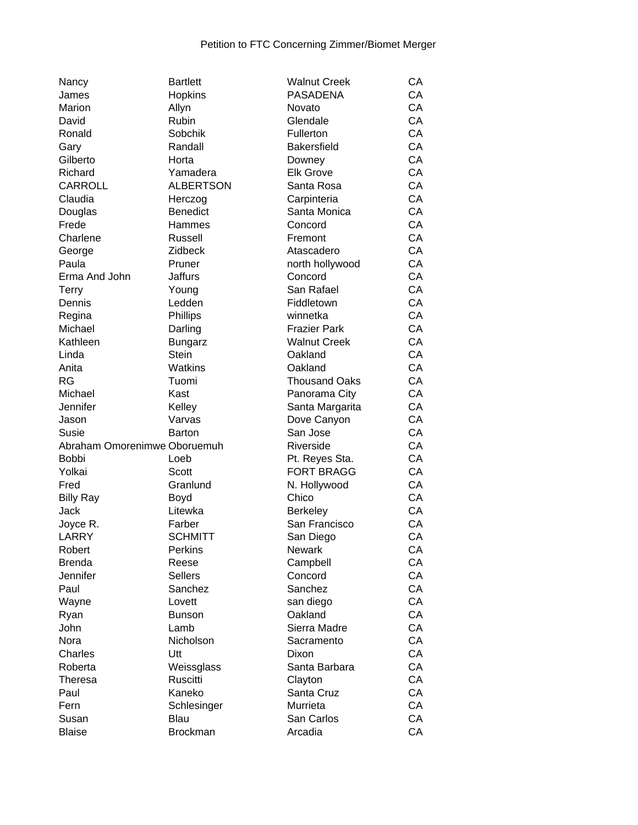| Nancy                        | <b>Bartlett</b>         | <b>Walnut Creek</b>              | CA       |
|------------------------------|-------------------------|----------------------------------|----------|
| James                        | <b>Hopkins</b>          | <b>PASADENA</b>                  | CA       |
| Marion                       | Allyn                   | Novato                           | CA       |
| David                        | Rubin                   | Glendale                         | CA       |
| Ronald                       | Sobchik                 | Fullerton                        | CA       |
| Gary                         | Randall                 | <b>Bakersfield</b>               | CA       |
| Gilberto                     | Horta                   | Downey                           | CA       |
| Richard                      | Yamadera                | <b>Elk Grove</b>                 | CA       |
| <b>CARROLL</b>               | <b>ALBERTSON</b>        | Santa Rosa                       | CA       |
| Claudia                      | Herczog                 | Carpinteria                      | CA       |
| Douglas                      | <b>Benedict</b>         | Santa Monica                     | CA       |
| Frede                        | Hammes                  | Concord                          | CA       |
| Charlene                     | Russell                 | Fremont                          | CA       |
| George                       | Zidbeck                 | Atascadero                       | CA       |
| Paula                        | Pruner                  | north hollywood                  | CA       |
| Erma And John                | <b>Jaffurs</b>          | Concord                          | CA       |
| <b>Terry</b>                 | Young                   | San Rafael                       | CA       |
| Dennis                       | Ledden                  | Fiddletown                       | CA       |
| Regina                       | Phillips                | winnetka                         | CA       |
| Michael                      | Darling                 | <b>Frazier Park</b>              | CA       |
| Kathleen                     | <b>Bungarz</b>          | <b>Walnut Creek</b>              | CA       |
| Linda                        | Stein                   | Oakland                          | CA       |
| Anita                        | Watkins                 | Oakland                          | CA       |
| <b>RG</b>                    | Tuomi                   | <b>Thousand Oaks</b>             | CA       |
| Michael                      | Kast                    | Panorama City                    | CA       |
| Jennifer                     | Kelley                  | Santa Margarita                  | CA       |
| Jason                        | Varvas                  | Dove Canyon                      | CA       |
| Susie                        | <b>Barton</b>           | San Jose                         | CA       |
| Abraham Omorenimwe Oboruemuh |                         | Riverside                        | CA       |
| <b>Bobbi</b>                 | Loeb                    | Pt. Reyes Sta.                   | CA       |
| Yolkai                       | Scott                   | <b>FORT BRAGG</b>                | CA       |
| Fred                         | Granlund                | N. Hollywood                     | CA       |
| <b>Billy Ray</b>             |                         | Chico                            | CA       |
| Jack                         | Boyd<br>Litewka         |                                  | CA       |
|                              | Farber                  | <b>Berkeley</b><br>San Francisco | CA       |
| Joyce R.                     | <b>SCHMITT</b>          |                                  | CA       |
| LARRY                        |                         | San Diego                        |          |
| Robert                       | Perkins                 | Newark                           | CA<br>CA |
| <b>Brenda</b><br>Jennifer    | Reese<br><b>Sellers</b> | Campbell<br>Concord              | CA       |
|                              |                         | Sanchez                          | CA       |
| Paul                         | Sanchez                 |                                  | CA       |
| Wayne                        | Lovett                  | san diego                        | CA       |
| Ryan                         | <b>Bunson</b>           | Oakland<br>Sierra Madre          |          |
| John                         | Lamb                    |                                  | CA       |
| Nora                         | Nicholson               | Sacramento                       | CA       |
| Charles                      | Utt                     | Dixon                            | CA       |
| Roberta                      | Weissglass              | Santa Barbara                    | CA       |
| Theresa                      | Ruscitti                | Clayton                          | CA       |
| Paul                         | Kaneko                  | Santa Cruz                       | CA       |
| Fern                         | Schlesinger             | Murrieta                         | CA       |
| Susan                        | Blau                    | San Carlos                       | CA       |
| <b>Blaise</b>                | <b>Brockman</b>         | Arcadia                          | CA       |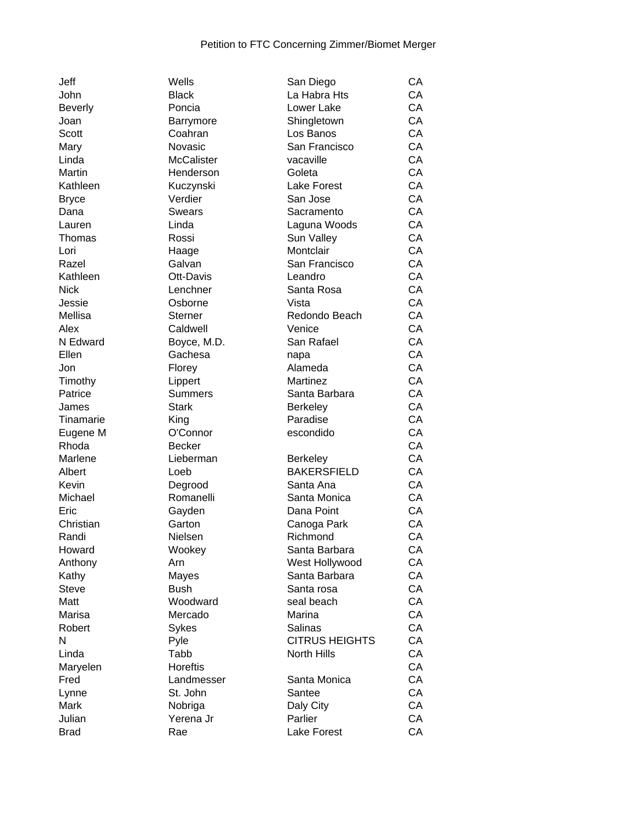| John         |
|--------------|
| Beverly      |
| Joan         |
| Scott        |
| Mary         |
| Linda        |
| Martin       |
| Kathleen     |
| Bryce        |
| Dana         |
| Lauren       |
| Thomas       |
| Lori         |
| Razel        |
| Kathleen     |
| Nick         |
|              |
| Jessie       |
| Mellisa      |
| Alex         |
| N Edward     |
| Ellen        |
| Jon          |
| Timothy      |
| Patrice      |
| James        |
| Tinamarie    |
| Eugene M     |
|              |
| Rhoda        |
| Marlene      |
| Albert       |
| Kevin        |
| Michael      |
| Eric         |
| Christian    |
| Randi        |
| Howard       |
| Anthony      |
| Kathy        |
| <b>Steve</b> |
| Matt         |
| Marisa       |
| Robert       |
| Ν            |
| Linda        |
| Maryelen     |
| Fred         |
| Lynne        |
| Mark         |
| Julian       |

| Wells             | San Diego             | СA |
|-------------------|-----------------------|----|
| <b>Black</b>      | La Habra Hts          | CA |
| Poncia            | Lower Lake            | CA |
| Barrymore         | Shingletown           | CA |
| Coahran           | Los Banos             | CA |
| Novasic           | San Francisco         | CA |
| <b>McCalister</b> | vacaville             | CA |
| Henderson         | Goleta                | CA |
| Kuczynski         | <b>Lake Forest</b>    | CA |
| Verdier           | San Jose              | CA |
| Swears            | Sacramento            | CA |
| Linda             | Laguna Woods          | CA |
| Rossi             | Sun Valley            | CA |
| Haage             | Montclair             | CA |
| Galvan            | San Francisco         | CA |
| Ott-Davis         | Leandro               | CA |
| Lenchner          | Santa Rosa            | CA |
| Osborne           | Vista                 | CA |
| Sterner           | Redondo Beach         | CA |
|                   | Venice                | CA |
| Caldwell          |                       |    |
| Boyce, M.D.       | San Rafael            | CA |
| Gachesa           | napa                  | CA |
| Florey            | Alameda               | CA |
| Lippert           | Martinez              | CA |
| <b>Summers</b>    | Santa Barbara         | CA |
| <b>Stark</b>      | <b>Berkeley</b>       | CA |
| King              | Paradise              | CA |
| O'Connor          | escondido             | CA |
| <b>Becker</b>     |                       | CA |
| Lieberman         | <b>Berkeley</b>       | CA |
| Loeb              | <b>BAKERSFIELD</b>    | CA |
| Degrood           | Santa Ana             | CA |
| Romanelli         | Santa Monica          | CA |
| Gayden            | Dana Point            | CA |
| Garton            | Canoga Park           | CA |
| Nielsen           | Richmond              | СA |
| Wookey            | Santa Barbara         | СA |
| Arn               | West Hollywood        | СA |
| Mayes             | Santa Barbara         | СA |
| <b>Bush</b>       | Santa rosa            | CA |
| Woodward          | seal beach            | CA |
| Mercado           | Marina                | CA |
| Sykes             | Salinas               | CA |
| Pyle              | <b>CITRUS HEIGHTS</b> | СA |
| Tabb              | <b>North Hills</b>    | СA |
| <b>Horeftis</b>   |                       | СA |
| Landmesser        | Santa Monica          | СA |
| St. John          | Santee                | СA |
| Nobriga           | Daly City             | СA |
| Yerena Jr         | Parlier               | СA |
|                   | Lake Forest           | СA |
| Rae               |                       |    |

| John             | <b>Black</b>         | La Habra Hts          | CA |
|------------------|----------------------|-----------------------|----|
| <b>Beverly</b>   | Poncia               | Lower Lake            | CA |
| Joan             | Barrymore            | Shingletown           | CA |
| <b>Scott</b>     | Coahran              | Los Banos             | CA |
| Mary             | Novasic              | San Francisco         | CA |
| Linda            | <b>McCalister</b>    | vacaville             | CA |
| Martin           | Henderson            | Goleta                | CA |
| Kathleen         | Kuczynski            | Lake Forest           | CA |
| <b>Bryce</b>     | Verdier              | San Jose              | CA |
| Dana             | Swears               | Sacramento            | CA |
| Lauren           | Linda                | Laguna Woods          | CA |
| Thomas           | Rossi                | Sun Valley            | CA |
| Lori             | Haage                | Montclair             | CA |
| Razel            | Galvan               | San Francisco         | CA |
| Kathleen         | Ott-Davis            | Leandro               | CA |
| <b>Nick</b>      | Lenchner             | Santa Rosa            | CA |
| Jessie           | Osborne              | Vista                 | CA |
| Mellisa          | Sterner              | Redondo Beach         | CA |
| Alex             | Caldwell             | Venice                | CA |
| N Edward         | Boyce, M.D.          | San Rafael            | CA |
| Ellen            | Gachesa              | napa                  | CA |
| Jon              | Florey               | Alameda               | CA |
| Timothy          | Lippert              | Martinez              | CA |
| Patrice          | <b>Summers</b>       | Santa Barbara         | CA |
| James            | <b>Stark</b>         | <b>Berkeley</b>       | CA |
| <b>Tinamarie</b> | King                 | Paradise              | CA |
| Eugene M         | O'Connor             | escondido             | CA |
| Rhoda            | <b>Becker</b>        |                       | CA |
| Marlene          | Lieberman            | <b>Berkeley</b>       | CA |
| Albert           | Loeb                 | <b>BAKERSFIELD</b>    | CA |
| Kevin            |                      | Santa Ana             | CA |
| Michael          | Degrood<br>Romanelli | Santa Monica          | CA |
| Eric             |                      | Dana Point            | CA |
| Christian        | Gayden               |                       | CA |
|                  | Garton<br>Nielsen    | Canoga Park           |    |
| Randi            |                      | Richmond              | CA |
| Howard           | Wookey               | Santa Barbara         | CA |
| Anthony          | Arn                  | West Hollywood        | CA |
| Kathy            | Mayes                | Santa Barbara         | CA |
| <b>Steve</b>     | <b>Bush</b>          | Santa rosa            | CA |
| Matt             | Woodward             | seal beach            | CA |
| Marisa           | Mercado              | Marina                | CA |
| Robert           | Sykes                | Salinas               | CA |
| N                | Pyle                 | <b>CITRUS HEIGHTS</b> | CA |
| Linda            | Tabb                 | North Hills           | CA |
| Maryelen         | <b>Horeftis</b>      |                       | CA |
| Fred             | Landmesser           | Santa Monica          | CA |
| Lynne            | St. John             | Santee                | CA |
| Mark             | Nobriga              | Daly City             | CA |
| Julian           | Yerena Jr            | Parlier               | CA |
| <b>Brad</b>      | Rae                  | Lake Forest           | CA |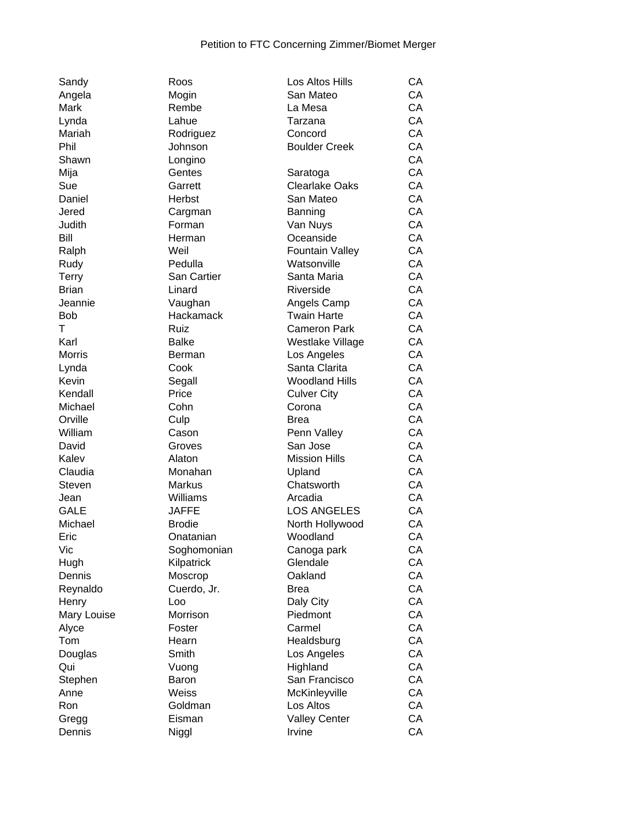| Sandy         | Roos               | Los Altos Hills        | СA |
|---------------|--------------------|------------------------|----|
| Angela        | Mogin              | San Mateo              | CA |
| Mark          | Rembe              | La Mesa                | CA |
|               |                    |                        | CA |
| Lynda         | Lahue              | Tarzana                |    |
| Mariah        | Rodriguez          | Concord                | CA |
| Phil          | Johnson            | <b>Boulder Creek</b>   | CA |
| Shawn         | Longino            |                        | CA |
| Mija          | Gentes             | Saratoga               | CA |
| Sue           | Garrett            | <b>Clearlake Oaks</b>  | CA |
| Daniel        | Herbst             | San Mateo              | CA |
| Jered         | Cargman            | Banning                | CA |
| Judith        | Forman             | Van Nuys               | CA |
| Bill          | Herman             | Oceanside              | CA |
|               | Weil               | <b>Fountain Valley</b> | CA |
| Ralph         |                    |                        | CA |
| Rudy          | Pedulla            | Watsonville            |    |
| Terry         | <b>San Cartier</b> | Santa Maria            | CA |
| <b>Brian</b>  | Linard             | Riverside              | CA |
| Jeannie       | Vaughan            | Angels Camp            | CA |
| <b>Bob</b>    | Hackamack          | <b>Twain Harte</b>     | CA |
| Τ             | Ruiz               | <b>Cameron Park</b>    | CA |
| Karl          | <b>Balke</b>       | Westlake Village       | CA |
| <b>Morris</b> | Berman             | Los Angeles            | CA |
| Lynda         | Cook               | Santa Clarita          | CA |
| Kevin         | Segall             | <b>Woodland Hills</b>  | CA |
| Kendall       | Price              | <b>Culver City</b>     | CA |
| Michael       | Cohn               | Corona                 | CA |
| Orville       | Culp               | <b>Brea</b>            | CA |
| William       | Cason              | Penn Valley            | CA |
|               |                    |                        |    |
| David         | Groves             | San Jose               | CA |
| Kalev         | Alaton             | <b>Mission Hills</b>   | CA |
| Claudia       | Monahan            | Upland                 | CA |
| Steven        | <b>Markus</b>      | Chatsworth             | CA |
| Jean          | Williams           | Arcadia                | CA |
| <b>GALE</b>   | <b>JAFFE</b>       | <b>LOS ANGELES</b>     | CA |
| Michael       | <b>Brodie</b>      | North Hollywood        | CA |
| Eric          | Onatanian          | Woodland               | CA |
| Vic           | Soghomonian        | Canoga park            | CA |
| Hugh          | Kilpatrick         | Glendale               | CA |
| Dennis        | Moscrop            | Oakland                | CA |
| Reynaldo      | Cuerdo, Jr.        | <b>Brea</b>            | CA |
| Henry         | Loo                | Daly City              | CA |
|               | Morrison           | Piedmont               | CA |
| Mary Louise   |                    |                        |    |
| Alyce         | Foster             | Carmel                 | CA |
| Tom           | Hearn              | Healdsburg             | CA |
| Douglas       | Smith              | Los Angeles            | CA |
| Qui           | Vuong              | Highland               | CA |
| Stephen       | Baron              | San Francisco          | CA |
| Anne          | Weiss              | McKinleyville          | CA |
| Ron           | Goldman            | Los Altos              | CA |
| Gregg         | Eisman             | <b>Valley Center</b>   | CA |
| Dennis        | Niggl              | Irvine                 | CA |
|               |                    |                        |    |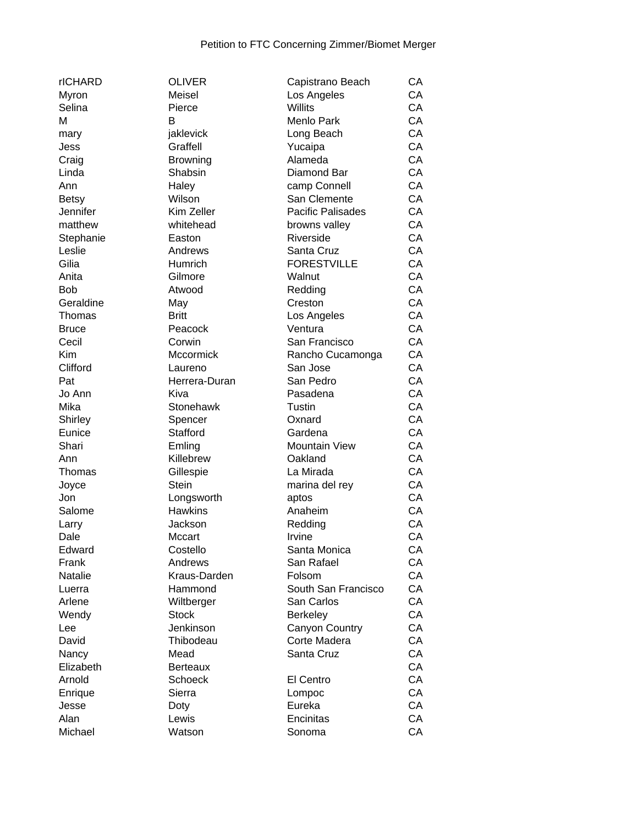| rICHARD   | <b>OLIVER</b>   |
|-----------|-----------------|
| Myron     | Meisel          |
| Selina    | Pierce          |
| M         | B               |
| mary      | jaklevick       |
| Jess      | Graffell        |
| Craig     | <b>Browning</b> |
| Linda     | Shabsin         |
| Ann       | Haley           |
| Betsy     | Wilson          |
| Jennifer  | Kim Zeller      |
| matthew   | whitehead       |
| Stephanie | Easton          |
| Leslie    | Andrews         |
| Gilia     | Humrich         |
| Anita     | Gilmore         |
| Bob       | Atwood          |
| Geraldine | May             |
| Thomas    | Britt           |
| Bruce     | Peacock         |
| Cecil     | Corwin          |
| Kim       | Mccormick       |
| Clifford  | Laureno         |
| Pat       | Herrera-Duran   |
| Jo Ann    | Kiva            |
| Mika      | Stonehawk       |
| Shirley   | Spencer         |
| Eunice    | Stafford        |
| Shari     | Emling          |
| Ann       | Killebrew       |
| Thomas    | Gillespie       |
| Joyce     | <b>Stein</b>    |
| Jon       | Longsworth      |
| Salome    | <b>Hawkins</b>  |
| Larry     | Jackson         |
| Dale      | Mccart          |
| Edward    | Costello        |
| Frank     | Andrews         |
| Natalie   | Kraus-Darden    |
| Luerra    | Hammond         |
| Arlene    | Wiltberger      |
| Wendy     | <b>Stock</b>    |
| Lee       | Jenkinson       |
| David     | Thibodeau       |
| Nancy     | Mead            |
| Elizabeth | Berteaux        |
| Arnold    | Schoeck         |
| Enrique   | Sierra          |
| Jesse     | Doty            |
| Alan      | Lewis           |
| Michael   | Watson          |

| rICHARD        | <b>OLIVER</b>   | Capistrano Beach         | CA |
|----------------|-----------------|--------------------------|----|
| Myron          | Meisel          | Los Angeles              | CA |
| Selina         | Pierce          | Willits                  | CA |
| М              | B               | Menlo Park               | CA |
| mary           | jaklevick       | Long Beach               | CA |
| Jess           | Graffell        | Yucaipa                  | CA |
| Craig          | <b>Browning</b> | Alameda                  | CA |
| Linda          | Shabsin         | Diamond Bar              | CA |
| Ann            | Haley           | camp Connell             | CA |
| <b>Betsy</b>   | Wilson          | San Clemente             | CA |
| Jennifer       | Kim Zeller      | <b>Pacific Palisades</b> | CA |
| matthew        | whitehead       | browns valley            | CA |
| Stephanie      | Easton          | Riverside                | CA |
| Leslie         | Andrews         | Santa Cruz               | CA |
| Gilia          | Humrich         | <b>FORESTVILLE</b>       | CA |
| Anita          | Gilmore         | Walnut                   | CA |
| Bob            | Atwood          | Redding                  | CA |
| Geraldine      | May             | Creston                  | CA |
| Thomas         | <b>Britt</b>    | Los Angeles              | CA |
| Bruce          | Peacock         | Ventura                  | CA |
| Cecil          | Corwin          | San Francisco            | CA |
| Kim            | Mccormick       | Rancho Cucamonga         | CA |
| Clifford       | Laureno         | San Jose                 | CA |
| Pat            | Herrera-Duran   | San Pedro                | CA |
|                | Kiva            |                          | CA |
| Jo Ann<br>Mika |                 | Pasadena                 | CA |
|                | Stonehawk       | Tustin                   |    |
| Shirley        | Spencer         | Oxnard                   | CA |
| Eunice         | Stafford        | Gardena                  | CA |
| Shari          | Emling          | <b>Mountain View</b>     | CA |
| Ann            | Killebrew       | Oakland                  | CA |
| Thomas         | Gillespie       | La Mirada                | CA |
| Joyce          | <b>Stein</b>    | marina del rey           | CA |
| Jon            | Longsworth      | aptos                    | CA |
| Salome         | <b>Hawkins</b>  | Anaheim                  | CA |
| Larry          | Jackson         | Redding                  | CA |
| Dale           | Mccart          | Irvine                   | CA |
| Edward         | Costello        | Santa Monica             | CA |
| Frank          | Andrews         | San Rafael               | CA |
| Natalie        | Kraus-Darden    | Folsom                   | CA |
| Luerra         | Hammond         | South San Francisco      | CA |
| Arlene         | Wiltberger      | San Carlos               | CA |
| Wendy          | <b>Stock</b>    | <b>Berkeley</b>          | CA |
| Lee            | Jenkinson       | Canyon Country           | CA |
| David          | Thibodeau       | Corte Madera             | CA |
| Nancy          | Mead            | Santa Cruz               | CA |
| Elizabeth      | <b>Berteaux</b> |                          | CA |
| Arnold         | <b>Schoeck</b>  | El Centro                | CA |
| Enrique        | Sierra          | Lompoc                   | CA |
| Jesse          | Doty            | Eureka                   | CA |
| Alan           | Lewis           | Encinitas                | CA |
| Michael        | Watson          | Sonoma                   | CA |
|                |                 |                          |    |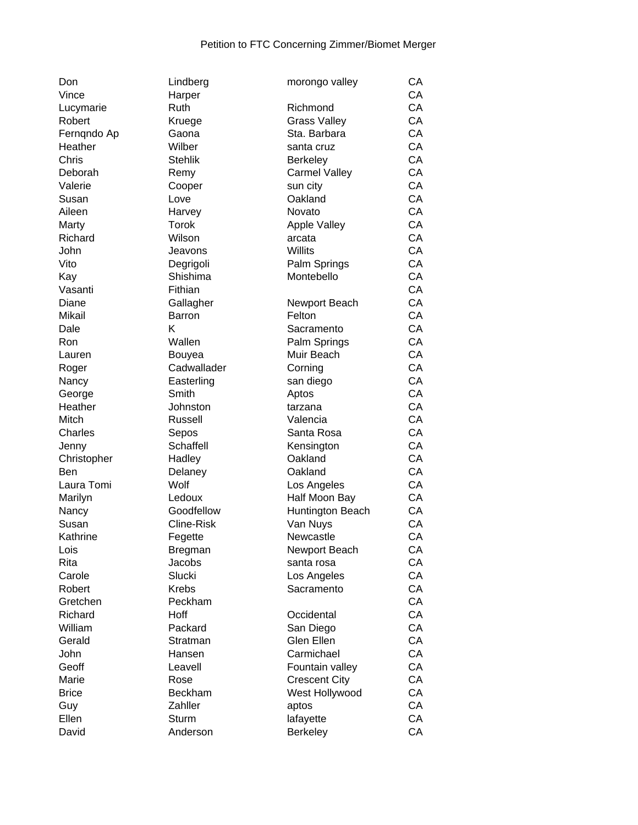| Don          | Lindberg                   | morongo valley       | CA |
|--------------|----------------------------|----------------------|----|
| Vince        | Harper                     |                      | CA |
| Lucymarie    | Ruth                       | Richmond             | CA |
| Robert       | Kruege                     | <b>Grass Valley</b>  | CA |
| Ferngndo Ap  | Gaona                      | Sta. Barbara         | CA |
| Heather      | Wilber                     | santa cruz           | CA |
| Chris        | <b>Stehlik</b>             | <b>Berkeley</b>      | CA |
| Deborah      | Remy                       | <b>Carmel Valley</b> | CA |
| Valerie      | Cooper                     | sun city             | CA |
| Susan        | Love                       | Oakland              | CA |
| Aileen       | Harvey                     | Novato               | CA |
| Marty        | Torok                      | <b>Apple Valley</b>  | CA |
| Richard      | Wilson                     | arcata               | CA |
| John         | Jeavons                    | Willits              | CA |
| Vito         | Degrigoli                  | Palm Springs         | CA |
| Kay          | Shishima                   | Montebello           | CA |
| Vasanti      | Fithian                    |                      | CA |
| Diane        |                            | Newport Beach        | CA |
| Mikail       | Gallagher<br><b>Barron</b> | Felton               | CA |
| Dale         | Κ                          |                      | CA |
| <b>Ron</b>   | Wallen                     | Sacramento           |    |
|              |                            | Palm Springs         | CA |
| Lauren       | Bouyea                     | Muir Beach           | CA |
| Roger        | Cadwallader                | Corning              | CA |
| Nancy        | Easterling                 | san diego            | CA |
| George       | Smith                      | Aptos                | CA |
| Heather      | Johnston                   | tarzana              | CA |
| Mitch        | Russell                    | Valencia             | CA |
| Charles      | Sepos                      | Santa Rosa           | CA |
| Jenny        | Schaffell                  | Kensington           | CA |
| Christopher  | Hadley                     | Oakland              | CA |
| <b>Ben</b>   | Delaney                    | Oakland              | CA |
| Laura Tomi   | Wolf                       | Los Angeles          | CA |
| Marilyn      | Ledoux                     | Half Moon Bay        | CA |
| Nancy        | Goodfellow                 | Huntington Beach     | CA |
| Susan        | <b>Cline-Risk</b>          | Van Nuys             | CA |
| Kathrine     | Fegette                    | Newcastle            | CA |
| Lois         | <b>Bregman</b>             | Newport Beach        | CA |
| Rita         | Jacobs                     | santa rosa           | CA |
| Carole       | Slucki                     | Los Angeles          | CA |
| Robert       | <b>Krebs</b>               | Sacramento           | CA |
| Gretchen     | Peckham                    |                      | CA |
| Richard      | Hoff                       | Occidental           | CA |
| William      | Packard                    | San Diego            | CA |
| Gerald       | Stratman                   | Glen Ellen           | CA |
| John         | Hansen                     | Carmichael           | CA |
| Geoff        | Leavell                    | Fountain valley      | CA |
| Marie        | Rose                       | <b>Crescent City</b> | CA |
| <b>Brice</b> | <b>Beckham</b>             | West Hollywood       | CA |
| Guy          | Zahller                    | aptos                | CA |
| Ellen        | <b>Sturm</b>               | lafayette            | CA |
| David        | Anderson                   | <b>Berkeley</b>      | CA |
|              |                            |                      |    |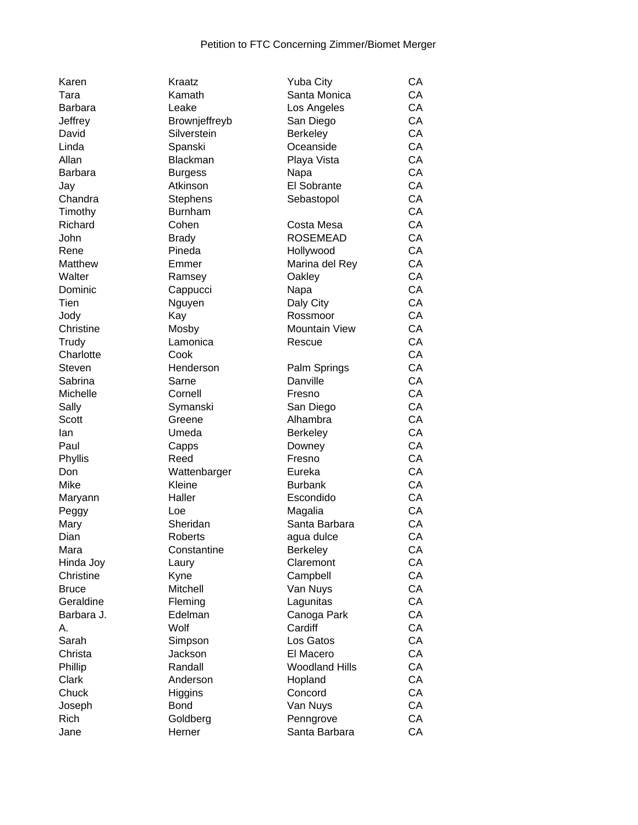| Karen          | Kraatz          | <b>Yuba City</b>      | CA |
|----------------|-----------------|-----------------------|----|
| Tara           | Kamath          | Santa Monica          | CA |
| <b>Barbara</b> | Leake           | Los Angeles           | CA |
| Jeffrey        | Brownjeffreyb   | San Diego             | CA |
| David          | Silverstein     | Berkeley              | CA |
| Linda          | Spanski         | Oceanside             | CA |
| Allan          | Blackman        | Playa Vista           | CA |
| <b>Barbara</b> | <b>Burgess</b>  | Napa                  | CA |
| Jay            | Atkinson        | El Sobrante           | CA |
| Chandra        | <b>Stephens</b> | Sebastopol            | CA |
| Timothy        | <b>Burnham</b>  |                       | CA |
| Richard        | Cohen           | Costa Mesa            | CA |
| John           | <b>Brady</b>    | <b>ROSEMEAD</b>       | CA |
| Rene           | Pineda          | Hollywood             | CA |
| Matthew        | Emmer           | Marina del Rey        | CA |
| Walter         | Ramsey          | Oakley                | CA |
| Dominic        | Cappucci        | Napa                  | CA |
| Tien           | Nguyen          | Daly City             | CA |
| Jody           | Kay             | Rossmoor              | CA |
| Christine      | Mosby           | <b>Mountain View</b>  | CA |
| Trudy          | Lamonica        | Rescue                | CA |
| Charlotte      | Cook            |                       | CA |
| Steven         | Henderson       | Palm Springs          | CA |
| Sabrina        | Sarne           | Danville              | CA |
| Michelle       | Cornell         | Fresno                | CA |
| Sally          | Symanski        | San Diego             | CA |
| <b>Scott</b>   | Greene          | Alhambra              | CA |
| lan            | Umeda           | <b>Berkeley</b>       | CA |
| Paul           | Capps           | Downey                | CA |
| Phyllis        | Reed            | Fresno                | CA |
| Don            | Wattenbarger    | Eureka                | CA |
| Mike           | Kleine          | <b>Burbank</b>        | CA |
| Maryann        | Haller          | Escondido             | CA |
| Peggy          | Loe             | Magalia               | CA |
| Mary           | Sheridan        | Santa Barbara         | CA |
| Dian           | Roberts         | agua dulce            | CA |
| Mara           | Constantine     | Berkeley              | CA |
| Hinda Joy      | Laury           | Claremont             | CA |
| Christine      | Kyne            | Campbell              | CA |
| <b>Bruce</b>   | Mitchell        | Van Nuys              | CA |
| Geraldine      | Fleming         | Lagunitas             | CA |
| Barbara J.     | Edelman         | Canoga Park           | CA |
| А.             | Wolf            | Cardiff               | CA |
| Sarah          | Simpson         | Los Gatos             | CA |
| Christa        | Jackson         | El Macero             | СA |
| Phillip        | Randall         | <b>Woodland Hills</b> | CA |
| Clark          | Anderson        | Hopland               | CA |
| Chuck          | Higgins         | Concord               | CA |
| Joseph         | <b>Bond</b>     | Van Nuys              | CA |
| Rich           | Goldberg        | Penngrove             | CA |
| Jane           | Herner          | Santa Barbara         | CA |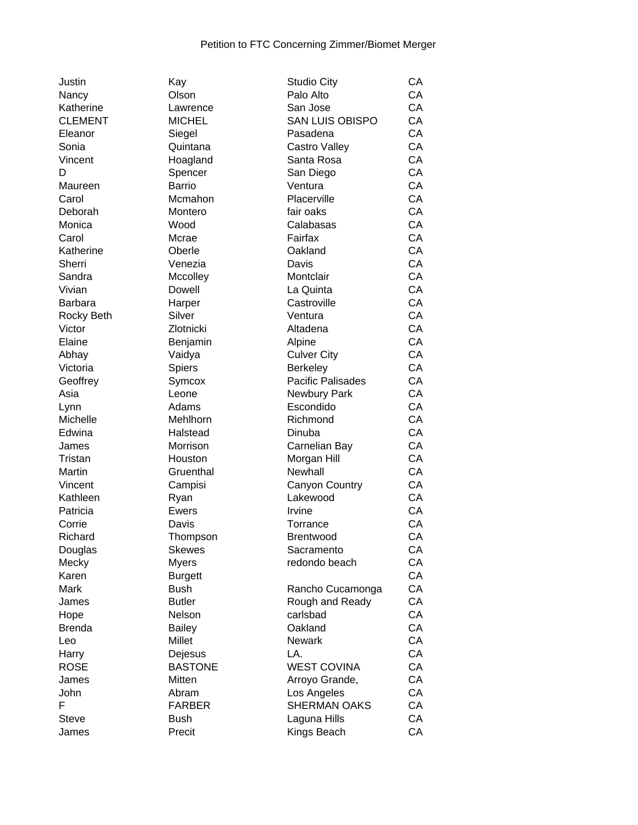| Justin           | Kay            | <b>Studio City</b>     | СA |
|------------------|----------------|------------------------|----|
| Nancy            | Olson          | Palo Alto              | CA |
| Katherine        | Lawrence       | San Jose               | CA |
| <b>CLEMENT</b>   | <b>MICHEL</b>  | <b>SAN LUIS OBISPO</b> | CA |
| Eleanor          | Siegel         | Pasadena               | CA |
| Sonia            | Quintana       | Castro Valley          | CA |
| Vincent          | Hoagland       | Santa Rosa             | CA |
| D                | Spencer        | San Diego              | CA |
| Maureen          | <b>Barrio</b>  | Ventura                | CA |
| Carol            | Mcmahon        | Placerville            | CA |
| Deborah          | Montero        | fair oaks              | CA |
| Monica           | Wood           | Calabasas              | CA |
| Carol            | Mcrae          | Fairfax                | CA |
| Katherine        | Oberle         | Oakland                | CA |
| Sherri           | Venezia        | Davis                  | CA |
| Sandra           | Mccolley       | Montclair              | CA |
| Vivian           | Dowell         | La Quinta              | CA |
| <b>Barbara</b>   | Harper         | Castroville            | CA |
| Rocky Beth       | Silver         | Ventura                | CA |
| Victor           | Zlotnicki      | Altadena               | CA |
| Elaine           | Benjamin       | Alpine                 | CA |
| Abhay            | Vaidya         | <b>Culver City</b>     | CA |
| Victoria         | <b>Spiers</b>  | <b>Berkeley</b>        | CA |
| Geoffrey         | Symcox         | Pacific Palisades      | CA |
| Asia             | Leone          | Newbury Park           | CA |
|                  | Adams          | Escondido              | CA |
| Lynn<br>Michelle | Mehlhorn       | Richmond               | CA |
|                  |                |                        | CA |
| Edwina           | Halstead       | Dinuba                 | CA |
| James            | Morrison       | Carnelian Bay          |    |
| Tristan          | Houston        | Morgan Hill            | CA |
| Martin           | Gruenthal      | Newhall                | CA |
| Vincent          | Campisi        | <b>Canyon Country</b>  | CA |
| Kathleen         | Ryan           | Lakewood               | CA |
| Patricia         | Ewers          | Irvine                 | CA |
| Corrie           | Davis          | Torrance               | CA |
| Richard          | Thompson       | <b>Brentwood</b>       | CA |
| Douglas          | <b>Skewes</b>  | Sacramento             | CA |
| Mecky            | <b>Myers</b>   | redondo beach          | CA |
| Karen            | <b>Burgett</b> |                        | CA |
| Mark             | <b>Bush</b>    | Rancho Cucamonga       | CA |
| James            | <b>Butler</b>  | Rough and Ready        | CA |
| Hope             | Nelson         | carlsbad               | CA |
| <b>Brenda</b>    | <b>Bailey</b>  | Oakland                | CA |
| Leo              | Millet         | <b>Newark</b>          | CA |
| Harry            | Dejesus        | LA.                    | CA |
| <b>ROSE</b>      | <b>BASTONE</b> | <b>WEST COVINA</b>     | CA |
| James            | <b>Mitten</b>  | Arroyo Grande,         | CA |
| John             | Abram          | Los Angeles            | CA |
| F                | <b>FARBER</b>  | <b>SHERMAN OAKS</b>    | CA |
| <b>Steve</b>     | <b>Bush</b>    | Laguna Hills           | CA |
| James            | Precit         | Kings Beach            | CA |
|                  |                |                        |    |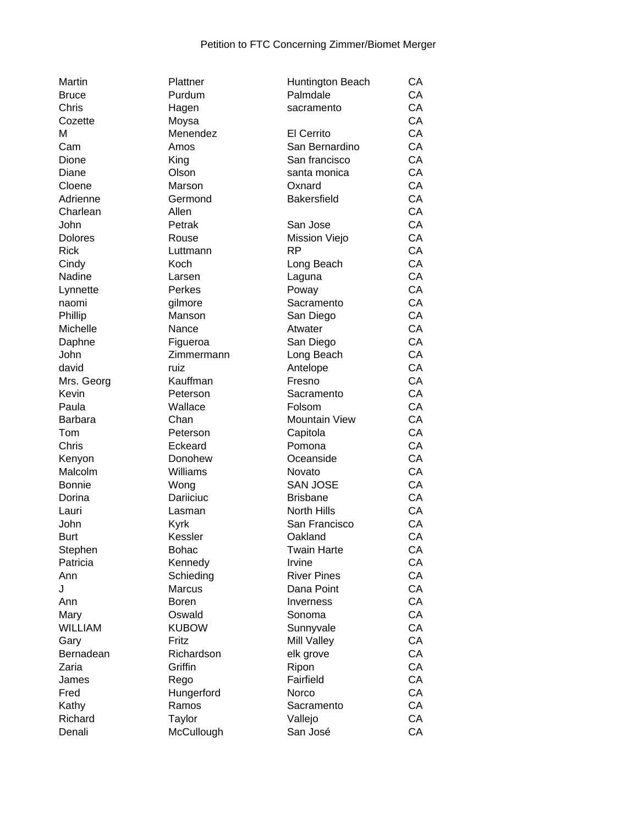| Martin         | Plattner       | Huntington Beach     | СA |
|----------------|----------------|----------------------|----|
| <b>Bruce</b>   | Purdum         | Palmdale             | CA |
| Chris          | Hagen          | sacramento           | CA |
| Cozette        | Moysa          |                      | CA |
| М              | Menendez       | <b>El Cerrito</b>    | CA |
| Cam            | Amos           | San Bernardino       | CA |
| Dione          | King           | San francisco        | CA |
| Diane          | Olson          | santa monica         | CA |
| Cloene         | Marson         | Oxnard               | CA |
| Adrienne       | Germond        | <b>Bakersfield</b>   | CA |
| Charlean       | Allen          |                      | CA |
| John           | Petrak         | San Jose             | CA |
| Dolores        | Rouse          | Mission Viejo        | CA |
| <b>Rick</b>    | Luttmann       | <b>RP</b>            | CA |
| Cindy          | Koch           | Long Beach           | CA |
| Nadine         | Larsen         | Laguna               | CA |
| Lynnette       | Perkes         | Poway                | CA |
| naomi          | gilmore        | Sacramento           | CA |
| Phillip        | Manson         | San Diego            | CA |
| Michelle       | Nance          | Atwater              | CA |
|                |                |                      | CA |
| Daphne         | Figueroa       | San Diego            |    |
| John           | Zimmermann     | Long Beach           | CA |
| david          | ruiz           | Antelope             | CA |
| Mrs. Georg     | Kauffman       | Fresno               | CA |
| Kevin          | Peterson       | Sacramento           | CA |
| Paula          | Wallace        | Folsom               | CA |
| Barbara        | Chan           | <b>Mountain View</b> | CA |
| Tom            | Peterson       | Capitola             | CA |
| Chris          | Eckeard        | Pomona               | CA |
| Kenyon         | Donohew        | Oceanside            | CA |
| Malcolm        | Williams       | Novato               | CA |
| <b>Bonnie</b>  | Wong           | <b>SAN JOSE</b>      | CA |
| Dorina         | Dariiciuc      | <b>Brisbane</b>      | CA |
| Lauri          | Lasman         | North Hills          | CA |
| John           | Kyrk           | San Francisco        | CA |
| <b>Burt</b>    | Kessler        | Oakland              | CA |
| Stephen        | <b>Bohac</b>   | <b>Twain Harte</b>   | CA |
| Patricia       | Kennedy        | Irvine               | CA |
| Ann            | Schieding      | <b>River Pines</b>   | CA |
| J              | <b>Marcus</b>  | Dana Point           | CA |
| Ann            | Boren          | Inverness            | CA |
| Mary           | Oswald         | Sonoma               | CA |
| <b>WILLIAM</b> | <b>KUBOW</b>   | Sunnyvale            | CA |
| Gary           | Fritz          | Mill Valley          | CA |
| Bernadean      | Richardson     | elk grove            | CA |
| Zaria          | <b>Griffin</b> | Ripon                | CA |
| James          | Rego           | Fairfield            | CA |
| Fred           | Hungerford     | Norco                | CA |
| Kathy          | Ramos          | Sacramento           | CA |
| Richard        | Taylor         | Vallejo              | CA |
| Denali         | McCullough     | San José             | CA |
|                |                |                      |    |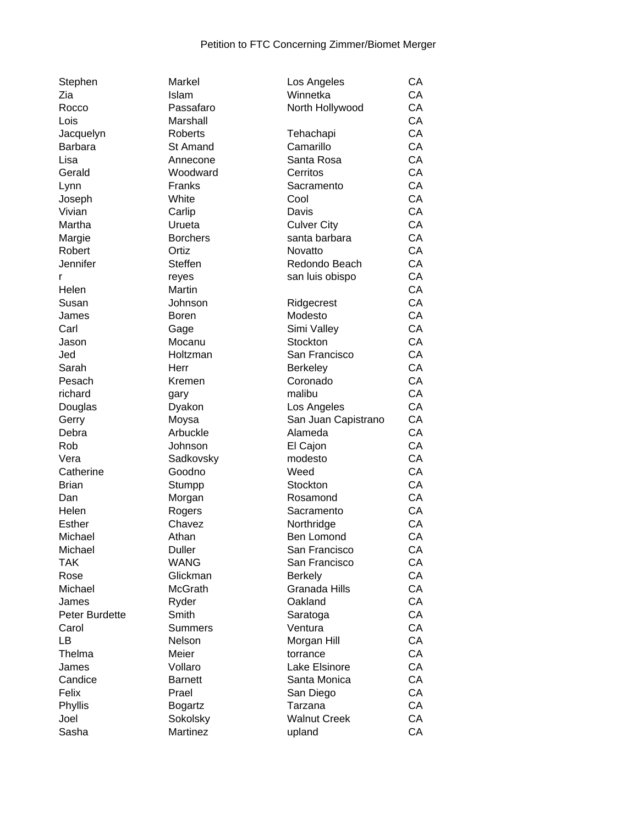| Stephen        | <b>Markel</b>   | Los Angeles         | CA |
|----------------|-----------------|---------------------|----|
| Zia            | Islam           | Winnetka            | CA |
| Rocco          | Passafaro       | North Hollywood     | CA |
| Lois           | Marshall        |                     | CA |
| Jacquelyn      | <b>Roberts</b>  | Tehachapi           | CA |
| <b>Barbara</b> | <b>St Amand</b> | Camarillo           | CA |
| Lisa           | Annecone        | Santa Rosa          | CA |
| Gerald         | Woodward        | Cerritos            | CA |
| Lynn           | Franks          | Sacramento          | CA |
| Joseph         | White           | Cool                | CA |
| Vivian         | Carlip          | Davis               | CA |
| Martha         | Urueta          | <b>Culver City</b>  | CA |
| Margie         | <b>Borchers</b> | santa barbara       | CA |
| Robert         | Ortiz           | Novatto             | CA |
| Jennifer       | <b>Steffen</b>  | Redondo Beach       | CA |
|                |                 |                     | CA |
| r              | reyes           | san luis obispo     |    |
| Helen          | Martin          |                     | CA |
| Susan          | Johnson         | Ridgecrest          | CA |
| James          | <b>Boren</b>    | Modesto             | CA |
| Carl           | Gage            | Simi Valley         | CA |
| Jason          | Mocanu          | Stockton            | CA |
| Jed            | Holtzman        | San Francisco       | CA |
| Sarah          | Herr            | Berkeley            | CA |
| Pesach         | Kremen          | Coronado            | CA |
| richard        | gary            | malibu              | CA |
| Douglas        | Dyakon          | Los Angeles         | CA |
| Gerry          | Moysa           | San Juan Capistrano | CA |
| Debra          | Arbuckle        | Alameda             | CA |
| Rob            | Johnson         | El Cajon            | CA |
| Vera           | Sadkovsky       | modesto             | CA |
| Catherine      | Goodno          | Weed                | CA |
| <b>Brian</b>   | Stumpp          | Stockton            | CA |
| Dan            | Morgan          | Rosamond            | CA |
| Helen          | Rogers          | Sacramento          | CA |
| <b>Esther</b>  | Chavez          | Northridge          | CA |
| Michael        | Athan           | Ben Lomond          | CA |
| Michael        | <b>Duller</b>   | San Francisco       | CA |
| <b>TAK</b>     | <b>WANG</b>     | San Francisco       | СA |
| Rose           | Glickman        | <b>Berkely</b>      | CA |
| Michael        | <b>McGrath</b>  | Granada Hills       | CA |
| James          | Ryder           | Oakland             | CA |
| Peter Burdette | Smith           | Saratoga            | CA |
| Carol          | <b>Summers</b>  | Ventura             | CA |
| LB             | Nelson          | Morgan Hill         | CA |
| Thelma         | Meier           |                     | CA |
|                |                 | torrance            |    |
| James          | Vollaro         | Lake Elsinore       | CA |
| Candice        | <b>Barnett</b>  | Santa Monica        | CA |
| Felix          | Prael           | San Diego           | CA |
| Phyllis        | <b>Bogartz</b>  | Tarzana             | CA |
| Joel           | Sokolsky        | <b>Walnut Creek</b> | CA |
| Sasha          | Martinez        | upland              | CA |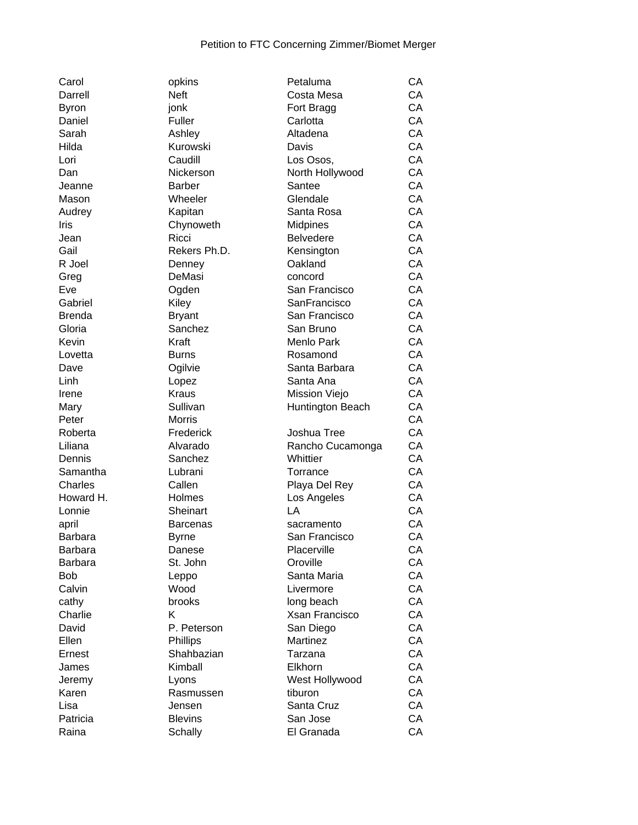| Carol         |
|---------------|
| Darrell       |
| Byron         |
| Daniel        |
| Sarah         |
| Hilda         |
| Lori          |
|               |
| Dan           |
| Jeanne        |
| Mason         |
| Audrey        |
| Iris          |
| Jean          |
| Gail          |
| R Joel        |
| Greg          |
| Eve           |
| Gabriel       |
| <b>Brenda</b> |
| Gloria        |
| Kevin         |
| Lovetta       |
|               |
| Dave          |
| Linh          |
| Irene         |
| Mary          |
| Peter         |
| Roberta       |
| Liliana       |
| Dennis        |
| Samantha      |
| Charles       |
| Howard H.     |
| Lonnie        |
| april         |
| Barbara       |
|               |
| Barbara       |
| Barbara       |
| Bob           |
| Calvin        |
| cathy         |
| Charlie       |
| David         |
| Ellen         |
| Ernest        |
| James         |
| Jeremy        |
| Karen         |
| Lisa          |
|               |
| Patricia      |

| opkins                 | Petaluma                     | CА |
|------------------------|------------------------------|----|
| <b>Neft</b>            | Costa Mesa                   | CA |
| jonk                   | Fort Bragg                   | CA |
| Fuller                 | Carlotta                     | CA |
| Ashley                 | Altadena                     | CA |
| Kurowski               | Davis                        | CA |
| Caudill                | Los Osos,                    | CA |
| Nickerson              | North Hollywood              | CA |
| <b>Barber</b>          | Santee                       | CA |
| Wheeler                | Glendale                     | CA |
| Kapitan                | Santa Rosa                   | CA |
| Chynoweth              | Midpines                     | CA |
| Ricci                  | <b>Belvedere</b>             | CA |
| Rekers Ph.D.           | Kensington                   | CA |
| Denney                 | Oakland                      | CA |
| DeMasi                 | concord                      | CA |
| Ogden                  | San Francisco                | CA |
| Kiley                  | SanFrancisco                 | CA |
| <b>Bryant</b>          | San Francisco                | CA |
| Sanchez                | San Bruno                    | CA |
| Kraft                  | Menlo Park                   | CA |
| Burns                  | Rosamond                     | CA |
| Ogilvie                | Santa Barbara                | CA |
| Lopez                  | Santa Ana                    | CA |
| Kraus                  | Mission Viejo                | CA |
| Sullivan               | Huntington Beach             | CA |
| Morris                 |                              | CA |
| Frederick              | Joshua Tree                  | CA |
| Alvarado               | Rancho Cucamonga             | CA |
| Sanchez                | Whittier                     | CA |
| Lubrani                | Torrance                     | CA |
| Callen                 | Playa Del Rey                | CA |
| Holmes                 | Los Angeles                  | CA |
| Sheinart               | LA                           | CA |
| <b>Barcenas</b>        | sacramento                   | СA |
| Byrne                  | San Francisco                | CA |
| Danese                 | Placerville                  | CА |
| St. John               | Oroville                     | CA |
|                        | Santa Maria                  | СA |
| Leppo<br>Wood          | Livermore                    | CA |
| brooks                 |                              | CA |
| Κ                      | long beach<br>Xsan Francisco | СA |
|                        | San Diego                    | CA |
| P. Peterson            | Martinez                     | CA |
| Phillips<br>Shahbazian | Tarzana                      | CA |
| Kimball                | Elkhorn                      | CA |
|                        |                              |    |
| Lyons                  | West Hollywood               | CA |
| Rasmussen              | tiburon                      | CA |
| Jensen                 | Santa Cruz                   | СA |
| <b>Blevins</b>         | San Jose                     | СA |
| Schally                | El Granada                   | CA |

| Darrell      | <b>Neft</b>     | Costa Mesa       | CA |
|--------------|-----------------|------------------|----|
| <b>Byron</b> | jonk            | Fort Bragg       | CA |
| Daniel       | Fuller          | Carlotta         | CA |
| Sarah        | Ashley          | Altadena         | CA |
| Hilda        | Kurowski        | Davis            | CA |
| Lori         | Caudill         | Los Osos,        | CA |
| Dan          | Nickerson       | North Hollywood  | CA |
| Jeanne       | <b>Barber</b>   | Santee           | CA |
| Mason        | Wheeler         | Glendale         | CA |
| Audrey       | Kapitan         | Santa Rosa       | CA |
| Iris         | Chynoweth       | Midpines         | CA |
| Jean         | Ricci           | <b>Belvedere</b> | CA |
| Gail         | Rekers Ph.D.    | Kensington       | CA |
| R Joel       | Denney          | Oakland          | CA |
| Greg         | DeMasi          | concord          | CA |
| Eve          | Ogden           | San Francisco    | CA |
| Gabriel      | Kiley           | SanFrancisco     | CA |
| Brenda       | <b>Bryant</b>   | San Francisco    | CA |
| Gloria       | Sanchez         | San Bruno        | CA |
| Kevin        | Kraft           | Menlo Park       | CA |
| Lovetta      | <b>Burns</b>    | Rosamond         | CA |
| Dave         | Ogilvie         | Santa Barbara    | CA |
| Linh         | Lopez           | Santa Ana        | CA |
| Irene        | <b>Kraus</b>    | Mission Viejo    | CA |
| Mary         | Sullivan        | Huntington Beach | CA |
| Peter        | <b>Morris</b>   |                  | CA |
| Roberta      | Frederick       | Joshua Tree      | CA |
| Liliana      | Alvarado        | Rancho Cucamonga | CA |
| Dennis       | Sanchez         | Whittier         | CA |
| Samantha     | Lubrani         | Torrance         | CA |
| Charles      | Callen          | Playa Del Rey    | CA |
| Howard H.    | Holmes          | Los Angeles      | CA |
| Lonnie       | Sheinart        | LA               | CA |
| april        | <b>Barcenas</b> | sacramento       | CA |
| Barbara      | <b>Byrne</b>    | San Francisco    | CA |
| Barbara      | Danese          | Placerville      | CA |
| Barbara      | St. John        | Oroville         | CA |
| Bob          | Leppo           | Santa Maria      | CA |
| Calvin       | Wood            | Livermore        | CA |
| cathy        | brooks          | long beach       | CA |
| Charlie      | K               | Xsan Francisco   | CA |
| David        | P. Peterson     | San Diego        | CA |
| Ellen        | Phillips        | Martinez         | CA |
| Ernest       | Shahbazian      | Tarzana          | CA |
| James        | Kimball         | Elkhorn          | CA |
| Jeremy       | Lyons           | West Hollywood   | CA |
| Karen        | Rasmussen       | tiburon          | CA |
| Lisa         | Jensen          | Santa Cruz       | CA |
| Patricia     | <b>Blevins</b>  | San Jose         | CA |
| Raina        | Schally         | El Granada       | CA |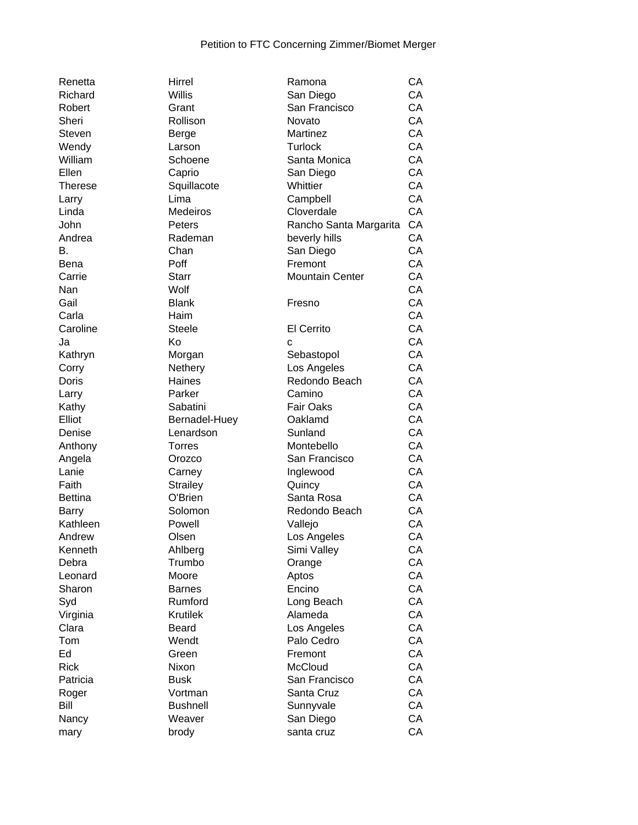| Renetta       | Hirrel          | Ramona                    | СA |
|---------------|-----------------|---------------------------|----|
| Richard       | Willis          | San Diego                 | CA |
| Robert        | Grant           | San Francisco             | CA |
| Sheri         | Rollison        | Novato                    | CA |
| <b>Steven</b> | Berge           | Martinez                  | CA |
| Wendy         | Larson          | <b>Turlock</b>            | CA |
| William       | Schoene         | Santa Monica              | CA |
| Ellen         | Caprio          | San Diego                 | CA |
| Therese       | Squillacote     | Whittier                  | CA |
| Larry         | Lima            | Campbell                  | CA |
| Linda         | Medeiros        | Cloverdale                | CA |
| John          | Peters          | Rancho Santa Margarita    | CA |
| Andrea        | Rademan         | beverly hills             | CA |
| В.            | Chan            | San Diego                 | CA |
| Bena          | Poff            | Fremont                   | CA |
|               | <b>Starr</b>    |                           |    |
| Carrie        |                 | <b>Mountain Center</b>    | CA |
| Nan           | Wolf            |                           | CA |
| Gail          | <b>Blank</b>    | Fresno                    | CA |
| Carla         | Haim            |                           | CA |
| Caroline      | <b>Steele</b>   | <b>El Cerrito</b>         | CA |
| Ja            | Κo              | C                         | CA |
| Kathryn       | Morgan          | Sebastopol                | CA |
| Corry         | Nethery         | Los Angeles               | CA |
| Doris         | Haines          | Redondo Beach             | CA |
| Larry         | Parker          | Camino                    | CA |
| Kathy         | Sabatini        | <b>Fair Oaks</b>          | CA |
| Elliot        | Bernadel-Huey   | Oaklamd                   | CA |
| Denise        | Lenardson       | Sunland                   | CA |
| Anthony       | <b>Torres</b>   | Montebello                | CA |
| Angela        | Orozco          | San Francisco             | CA |
| Lanie         | Carney          | Inglewood                 | CA |
| Faith         | <b>Strailey</b> | Quincy                    | CA |
| Bettina       | O'Brien         | Santa Rosa                | CA |
| Barry         | Solomon         | Redondo Beach             | CA |
| Kathleen      | Powell          | Vallejo                   | CA |
| Andrew        | Olsen           | Los Angeles               | CA |
| Kenneth       | Ahlberg         | Simi Valley               | CA |
| Debra         | Trumbo          | Orange                    | CA |
| Leonard       | Moore           | Aptos                     | CA |
| Sharon        | <b>Barnes</b>   | Encino                    | CA |
| Syd           | Rumford         | Long Beach                | CA |
| Virginia      | <b>Krutilek</b> | Alameda                   | CA |
| Clara         | Beard           |                           | CA |
|               |                 | Los Angeles<br>Palo Cedro |    |
| Tom           | Wendt           |                           | CA |
| Ed            | Green           | Fremont                   | CA |
| <b>Rick</b>   | Nixon           | McCloud                   | CA |
| Patricia      | <b>Busk</b>     | San Francisco             | CA |
| Roger         | Vortman         | Santa Cruz                | CA |
| Bill          | <b>Bushnell</b> | Sunnyvale                 | CA |
| Nancy         | Weaver          | San Diego                 | CA |
| mary          | brody           | santa cruz                | CA |
|               |                 |                           |    |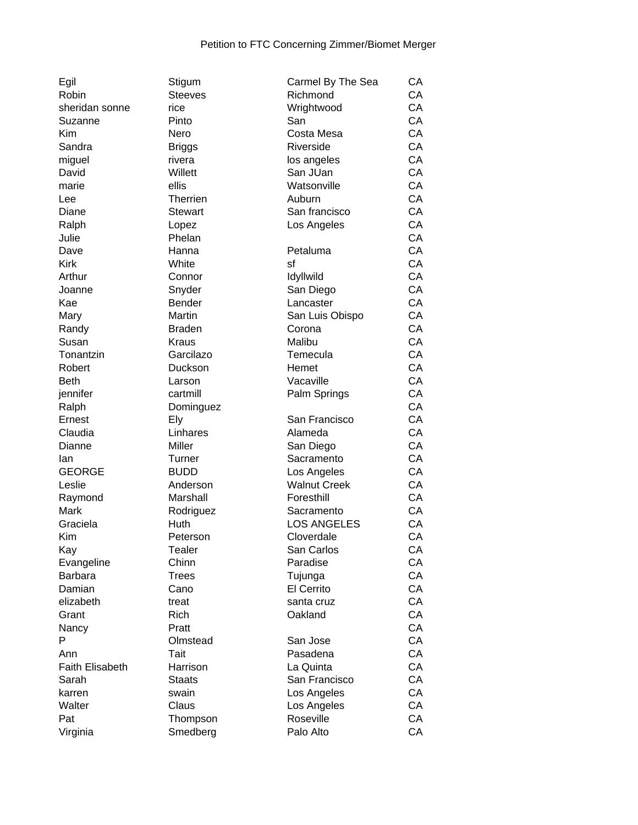| Egil                   | Stigum         | Carmel By The Sea   | СA |
|------------------------|----------------|---------------------|----|
| Robin                  | <b>Steeves</b> | Richmond            | CA |
| sheridan sonne         | rice           | Wrightwood          | CA |
| Suzanne                | Pinto          | San                 | CA |
| Kim                    | Nero           | Costa Mesa          | CA |
| Sandra                 | <b>Briggs</b>  | Riverside           | CA |
| miguel                 | rivera         | los angeles         | CA |
| David                  | Willett        | San JUan            | CA |
| marie                  | ellis          | Watsonville         | CA |
| Lee                    | Therrien       | Auburn              | CA |
|                        |                |                     | CA |
| Diane                  | Stewart        | San francisco       |    |
| Ralph                  | Lopez          | Los Angeles         | CA |
| Julie                  | Phelan         |                     | CA |
| Dave                   | Hanna          | Petaluma            | CA |
| <b>Kirk</b>            | White          | sf                  | CA |
| Arthur                 | Connor         | Idyllwild           | CA |
| Joanne                 | Snyder         | San Diego           | CA |
| Kae                    | <b>Bender</b>  | Lancaster           | CA |
| Mary                   | Martin         | San Luis Obispo     | CA |
| Randy                  | <b>Braden</b>  | Corona              | CA |
| Susan                  | Kraus          | Malibu              | CA |
| Tonantzin              | Garcilazo      | Temecula            | CA |
| Robert                 | Duckson        | Hemet               | CA |
| <b>Beth</b>            | Larson         | Vacaville           | CA |
| jennifer               | cartmill       | Palm Springs        | CA |
| Ralph                  | Dominguez      |                     | CA |
| Ernest                 | Ely            | San Francisco       | CA |
| Claudia                | Linhares       | Alameda             | CA |
| Dianne                 | Miller         | San Diego           | CA |
| lan                    | Turner         | Sacramento          | CA |
| <b>GEORGE</b>          | <b>BUDD</b>    | Los Angeles         | CA |
| Leslie                 | Anderson       | <b>Walnut Creek</b> | CA |
| Raymond                | Marshall       | Foresthill          | CA |
| <b>Mark</b>            | Rodriguez      | Sacramento          | CA |
| Graciela               | Huth           | <b>LOS ANGELES</b>  | CA |
| Kim                    | Peterson       | Cloverdale          | CA |
| Kay                    | Tealer         | San Carlos          | CA |
| Evangeline             | Chinn          | Paradise            | CA |
| <b>Barbara</b>         | <b>Trees</b>   | Tujunga             | CA |
| Damian                 | Cano           | El Cerrito          | CA |
| elizabeth              | treat          | santa cruz          | CA |
| Grant                  | <b>Rich</b>    | Oakland             | CA |
|                        |                |                     |    |
| Nancy                  | Pratt          |                     | CA |
| P                      | Olmstead       | San Jose            | CA |
| Ann                    | Tait           | Pasadena            | CA |
| <b>Faith Elisabeth</b> | Harrison       | La Quinta           | CA |
| Sarah                  | <b>Staats</b>  | San Francisco       | CA |
| karren                 | swain          | Los Angeles         | CA |
| Walter                 | Claus          | Los Angeles         | CA |
| Pat                    | Thompson       | Roseville           | CA |
| Virginia               | Smedberg       | Palo Alto           | CA |

| Richmond            | СA |
|---------------------|----|
| Wrightwood          | CA |
| San                 | CA |
| Costa Mesa          | СA |
| Riverside           | СA |
| los angeles         | СA |
| San JUan            | СA |
| Watsonville         | СA |
| Auburn              | CA |
| San francisco       | СA |
|                     |    |
| Los Angeles         | СA |
|                     | CA |
| Petaluma            | CA |
| sf                  | CA |
| Idyllwild           | CA |
| San Diego           | CA |
| Lancaster           | СA |
| San Luis Obispo     | СA |
| Corona              | СA |
| Malibu              | СA |
| Temecula            | СA |
| Hemet               | СA |
| Vacaville           | СA |
| Palm Springs        | СA |
|                     | CA |
| San Francisco       | CA |
| Alameda             | CA |
| San Diego           | CA |
| Sacramento          | СA |
| Los Angeles         | СA |
| <b>Walnut Creek</b> | CA |
| Foresthill          | СA |
| Sacramento          | CA |
| <b>LOS ANGELES</b>  | СA |
|                     |    |
| Cloverdale          | СA |
| San Carlos          | CA |
| Paradise            | СA |
| Tujunga             | CA |
| El Cerrito          | CA |
| santa cruz          | CA |
| Oakland             | CA |
|                     | СA |
| San Jose            | СA |
| Pasadena            | СA |
| La Quinta           | СA |
| San Francisco       | СA |
| Los Angeles         | СA |
| Los Angeles         | СA |
| Roseville           | СA |
| Palo Alto           | CA |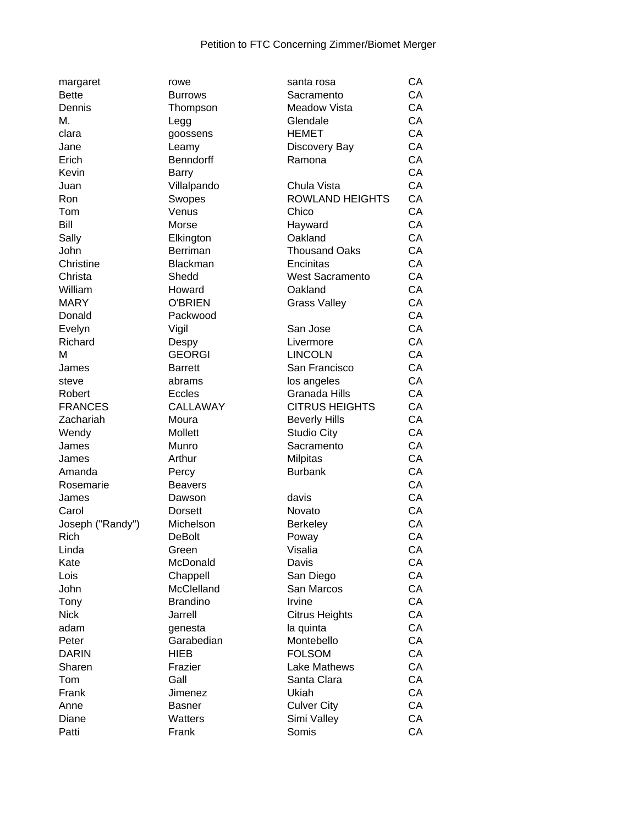| margaret         | rowe            | santa rosa             | СA |
|------------------|-----------------|------------------------|----|
| <b>Bette</b>     | <b>Burrows</b>  | Sacramento             | CA |
| Dennis           | Thompson        | <b>Meadow Vista</b>    | CA |
| Μ.               | Legg            | Glendale               | CA |
| clara            | goossens        | <b>HEMET</b>           | CA |
| Jane             | Leamy           | Discovery Bay          | CA |
| Erich            | Benndorff       | Ramona                 | CA |
| Kevin            | Barry           |                        | CA |
| Juan             | Villalpando     | Chula Vista            | CA |
| Ron              | Swopes          | <b>ROWLAND HEIGHTS</b> | CA |
| Tom              | Venus           | Chico                  | CA |
| Bill             | Morse           | Hayward                | CA |
| Sally            | Elkington       | Oakland                | CA |
| John             | <b>Berriman</b> | <b>Thousand Oaks</b>   | CA |
| Christine        | Blackman        | Encinitas              | CA |
| Christa          | Shedd           | <b>West Sacramento</b> | CA |
| William          | Howard          | Oakland                | CA |
| <b>MARY</b>      | <b>O'BRIEN</b>  | <b>Grass Valley</b>    | CA |
| Donald           | Packwood        |                        | CA |
| Evelyn           | Vigil           | San Jose               | CA |
| Richard          |                 | Livermore              | CA |
| М                | Despy           | <b>LINCOLN</b>         | CA |
|                  | <b>GEORGI</b>   |                        | CA |
| James            | <b>Barrett</b>  | San Francisco          |    |
| steve            | abrams          | los angeles            | CA |
| Robert           | Eccles          | Granada Hills          | CA |
| <b>FRANCES</b>   | CALLAWAY        | <b>CITRUS HEIGHTS</b>  | CA |
| Zachariah        | Moura           | <b>Beverly Hills</b>   | CA |
| Wendy            | Mollett         | <b>Studio City</b>     | CA |
| James            | Munro           | Sacramento             | CA |
| James            | Arthur          | <b>Milpitas</b>        | CA |
| Amanda           | Percy           | <b>Burbank</b>         | CA |
| Rosemarie        | <b>Beavers</b>  |                        | CA |
| James            | Dawson          | davis                  | CA |
| Carol            | <b>Dorsett</b>  | Novato                 | CA |
| Joseph ("Randy") | Michelson       | <b>Berkeley</b>        | CA |
| Rich             | <b>DeBolt</b>   | Poway                  | CA |
| Linda            | Green           | Visalia                | СA |
| Kate             | McDonald        | Davis                  | СA |
| Lois             | Chappell        | San Diego              | CA |
| John             | McClelland      | San Marcos             | CA |
| Tony             | <b>Brandino</b> | Irvine                 | CA |
| <b>Nick</b>      | Jarrell         | <b>Citrus Heights</b>  | CA |
| adam             | genesta         | la quinta              | CA |
| Peter            | Garabedian      | Montebello             | CA |
| <b>DARIN</b>     | <b>HIEB</b>     | <b>FOLSOM</b>          | СA |
| Sharen           | Frazier         | Lake Mathews           | CA |
| Tom              | Gall            | Santa Clara            | CA |
| Frank            | Jimenez         | Ukiah                  | CA |
| Anne             | <b>Basner</b>   | <b>Culver City</b>     | CA |
| Diane            | Watters         | Simi Valley            | CA |
| Patti            | Frank           | Somis                  | CA |
|                  |                 |                        |    |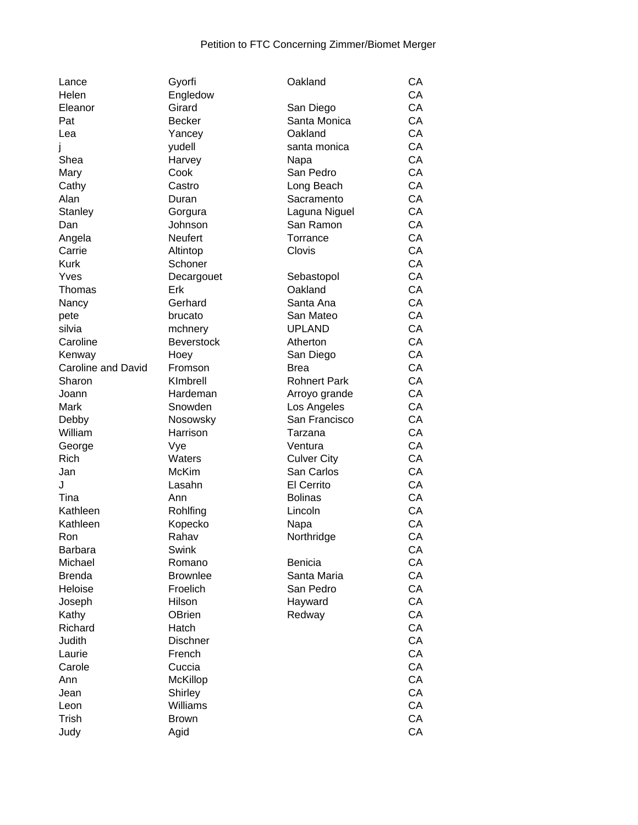| Lance                     | Gyorfi            | Oakland             | CA |
|---------------------------|-------------------|---------------------|----|
| Helen                     | Engledow          |                     | CA |
| Eleanor                   | Girard            | San Diego           | CA |
| Pat                       | <b>Becker</b>     | Santa Monica        | CA |
| Lea                       | Yancey            | Oakland             | CA |
|                           | yudell            | santa monica        | CA |
| Shea                      | Harvey            | Napa                | CA |
| Mary                      | Cook              | San Pedro           | CA |
| Cathy                     | Castro            | Long Beach          | CA |
| Alan                      | Duran             | Sacramento          | CA |
| Stanley                   | Gorgura           | Laguna Niguel       | CA |
| Dan                       | Johnson           | San Ramon           | CA |
|                           | <b>Neufert</b>    | Torrance            | CA |
| Angela                    |                   | Clovis              | CA |
| Carrie                    | Altintop          |                     | CA |
| <b>Kurk</b>               | Schoner           |                     |    |
| Yves                      | Decargouet        | Sebastopol          | CA |
| Thomas                    | Erk               | Oakland             | CA |
| Nancy                     | Gerhard           | Santa Ana           | CA |
| pete                      | brucato           | San Mateo           | CA |
| silvia                    | mchnery           | <b>UPLAND</b>       | CA |
| Caroline                  | <b>Beverstock</b> | Atherton            | CA |
| Kenway                    | Hoey              | San Diego           | CA |
| <b>Caroline and David</b> | Fromson           | <b>Brea</b>         | CA |
| Sharon                    | KImbrell          | <b>Rohnert Park</b> | CA |
| Joann                     | Hardeman          | Arroyo grande       | CA |
| Mark                      | Snowden           | Los Angeles         | CA |
| Debby                     | Nosowsky          | San Francisco       | CA |
| William                   | Harrison          | Tarzana             | CA |
| George                    | Vye               | Ventura             | CA |
| <b>Rich</b>               | Waters            | <b>Culver City</b>  | CA |
| Jan                       | McKim             | San Carlos          | CA |
| J                         | Lasahn            | <b>El Cerrito</b>   | CA |
| Tina                      | Ann               | <b>Bolinas</b>      | CA |
| Kathleen                  | Rohlfing          | Lincoln             | CA |
| Kathleen                  | Kopecko           | Napa                | CA |
| Ron                       | Rahav             | Northridge          | CA |
| <b>Barbara</b>            | Swink             |                     | CA |
| Michael                   | Romano            | <b>Benicia</b>      | CA |
| <b>Brenda</b>             | <b>Brownlee</b>   | Santa Maria         | CA |
| Heloise                   | Froelich          | San Pedro           | CA |
| Joseph                    | Hilson            | Hayward             | CA |
| Kathy                     | OBrien            | Redway              | CA |
| Richard                   | Hatch             |                     | CA |
| Judith                    | <b>Dischner</b>   |                     | CA |
| Laurie                    | French            |                     | CA |
|                           |                   |                     |    |
| Carole                    | Cuccia            |                     | CA |
| Ann                       | McKillop          |                     | CA |
| Jean                      | Shirley           |                     | CA |
| Leon                      | Williams          |                     | CA |
| Trish                     | <b>Brown</b>      |                     | CA |
| Judy                      | Agid              |                     | CA |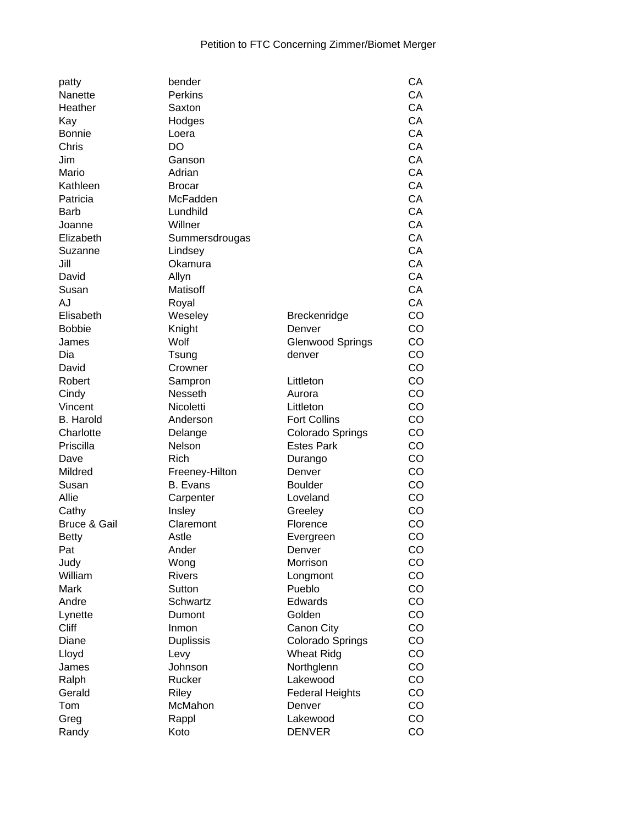| patty                   | bender           |                         | CA |
|-------------------------|------------------|-------------------------|----|
| Nanette                 | <b>Perkins</b>   |                         | CA |
| Heather                 | Saxton           |                         | CA |
| Kay                     | Hodges           |                         | CA |
| <b>Bonnie</b>           | Loera            |                         | CA |
| Chris                   | DO               |                         | CA |
| Jim                     | Ganson           |                         | CA |
| Mario                   | Adrian           |                         | CA |
| Kathleen                | <b>Brocar</b>    |                         | CA |
| Patricia                | McFadden         |                         | CA |
| <b>Barb</b>             | Lundhild         |                         | CA |
| Joanne                  |                  |                         | CA |
|                         | Willner          |                         |    |
| Elizabeth               | Summersdrougas   |                         | CA |
| Suzanne                 | Lindsey          |                         | CA |
| Jill                    | Okamura          |                         | CA |
| David                   | Allyn            |                         | CA |
| Susan                   | Matisoff         |                         | CA |
| AJ                      | Royal            |                         | CA |
| Elisabeth               | Weseley          | Breckenridge            | CO |
| <b>Bobbie</b>           | Knight           | Denver                  | CO |
| James                   | Wolf             | <b>Glenwood Springs</b> | CO |
| Dia                     | Tsung            | denver                  | CO |
| David                   | Crowner          |                         | CO |
| Robert                  | Sampron          | Littleton               | CO |
| Cindy                   | Nesseth          | Aurora                  | CO |
| Vincent                 | Nicoletti        | Littleton               | CO |
| <b>B.</b> Harold        | Anderson         | <b>Fort Collins</b>     | CO |
| Charlotte               | Delange          | Colorado Springs        | CO |
| Priscilla               | Nelson           | <b>Estes Park</b>       | CO |
| Dave                    | Rich             | Durango                 | CO |
| Mildred                 | Freeney-Hilton   | Denver                  | CO |
| Susan                   | <b>B.</b> Evans  | <b>Boulder</b>          | CO |
| Allie                   | Carpenter        | Loveland                | CO |
| Cathy                   | Insley           | Greeley                 | CO |
| <b>Bruce &amp; Gail</b> | Claremont        | Florence                | CO |
|                         | Astle            |                         | CO |
| <b>Betty</b>            | Ander            | Evergreen               | CO |
| Pat                     |                  | Denver                  |    |
| Judy                    | Wong             | Morrison                | CO |
| William                 | <b>Rivers</b>    | Longmont                | CO |
| Mark                    | Sutton           | Pueblo                  | CO |
| Andre                   | Schwartz         | Edwards                 | CO |
| Lynette                 | Dumont           | Golden                  | CO |
| Cliff                   | Inmon            | Canon City              | CO |
| Diane                   | <b>Duplissis</b> | Colorado Springs        | CO |
| Lloyd                   | Levy             | <b>Wheat Ridg</b>       | CO |
| James                   | Johnson          | Northglenn              | CO |
| Ralph                   | Rucker           | Lakewood                | CO |
| Gerald                  | Riley            | <b>Federal Heights</b>  | CO |
| Tom                     | McMahon          | Denver                  | CO |
| Greg                    | Rappl            | Lakewood                | CO |
| Randy                   | Koto             | <b>DENVER</b>           | CO |
|                         |                  |                         |    |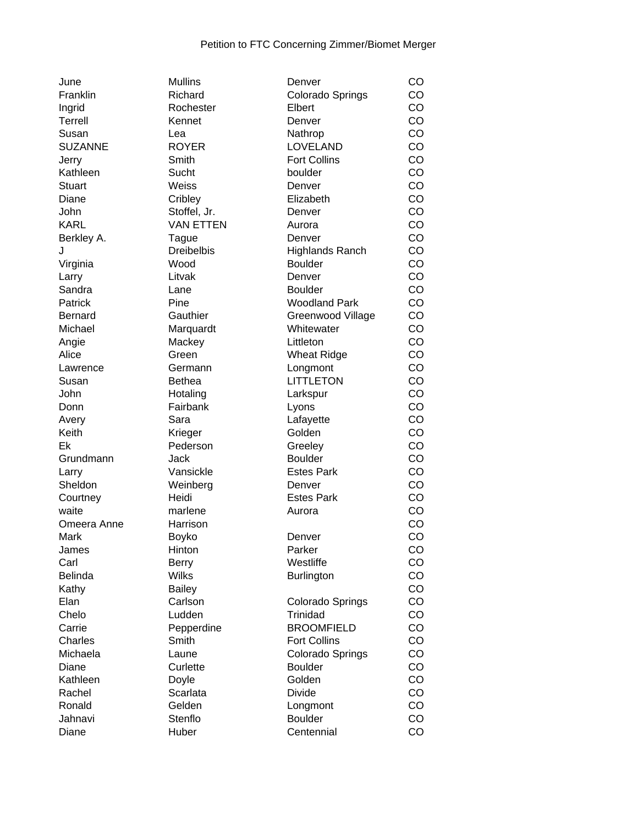| June             | <b>Mullins</b>    | Denver                      | CO |
|------------------|-------------------|-----------------------------|----|
| Franklin         | Richard           | Colorado Springs            | CO |
| Ingrid           | Rochester         | Elbert                      | CO |
| Terrell          | Kennet            | Denver                      | CO |
| Susan            | Lea               | Nathrop                     | CO |
| <b>SUZANNE</b>   | <b>ROYER</b>      | LOVELAND                    | CO |
| Jerry            | Smith             | <b>Fort Collins</b>         | CO |
| Kathleen         | Sucht             | boulder                     | CO |
| <b>Stuart</b>    | Weiss             | Denver                      | CO |
| Diane            | Cribley           | Elizabeth                   | CO |
| John             | Stoffel, Jr.      | Denver                      | CO |
| <b>KARL</b>      | <b>VAN ETTEN</b>  |                             | CO |
|                  |                   | Aurora                      | CO |
| Berkley A.       | Tague             | Denver                      |    |
| J                | <b>Dreibelbis</b> | Highlands Ranch             | CO |
| Virginia         | Wood              | <b>Boulder</b>              | CO |
| Larry            | Litvak            | Denver                      | CO |
| Sandra           | Lane              | <b>Boulder</b>              | CO |
| Patrick          | Pine              | <b>Woodland Park</b>        | CO |
| <b>Bernard</b>   | Gauthier          | Greenwood Village           | CO |
| Michael          | Marquardt         | Whitewater                  | CO |
| Angie            | Mackey            | Littleton                   | CO |
| Alice            | Green             | <b>Wheat Ridge</b>          | CO |
| Lawrence         | Germann           | Longmont                    | CO |
| Susan            | <b>Bethea</b>     | <b>LITTLETON</b>            | CO |
| John             | Hotaling          | Larkspur                    | CO |
| Donn             | Fairbank          | Lyons                       | CO |
| Avery            | Sara              | Lafayette                   | CO |
| Keith            | Krieger           | Golden                      | CO |
| Ek               | Pederson          | Greeley                     | CO |
| Grundmann        | Jack              | <b>Boulder</b>              | CO |
|                  | Vansickle         | <b>Estes Park</b>           | CO |
| Larry<br>Sheldon |                   |                             | CO |
|                  | Weinberg          | Denver<br><b>Estes Park</b> |    |
| Courtney         | Heidi             |                             | CO |
| waite            | marlene           | Aurora                      | CO |
| Omeera Anne      | Harrison          |                             | CO |
| Mark             | Boyko             | Denver                      | CO |
| James            | Hinton            | Parker                      | CO |
| Carl             | <b>Berry</b>      | Westliffe                   | CO |
| <b>Belinda</b>   | <b>Wilks</b>      | <b>Burlington</b>           | CO |
| Kathy            | <b>Bailey</b>     |                             | CO |
| Elan             | Carlson           | Colorado Springs            | CO |
| Chelo            | Ludden            | Trinidad                    | CO |
| Carrie           | Pepperdine        | <b>BROOMFIELD</b>           | CO |
| Charles          | Smith             | <b>Fort Collins</b>         | CO |
| Michaela         | Laune             | Colorado Springs            | CO |
| Diane            | Curlette          | <b>Boulder</b>              | CO |
| Kathleen         | Doyle             | Golden                      | CO |
| Rachel           | Scarlata          | <b>Divide</b>               | CO |
| Ronald           | Gelden            | Longmont                    | CO |
| Jahnavi          | Stenflo           | <b>Boulder</b>              | CO |
|                  |                   |                             |    |
| Diane            | Huber             | Centennial                  | CO |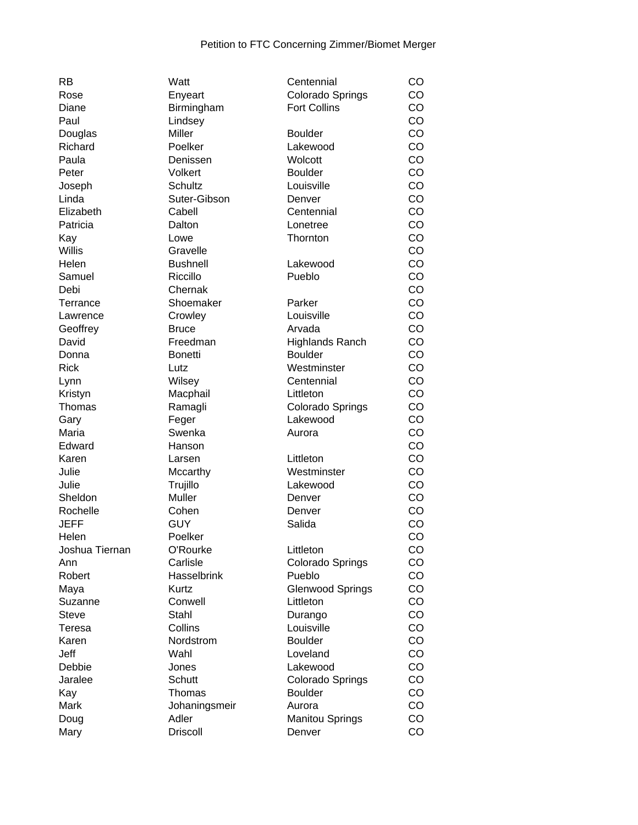| RB                      | Watt                 | Centennial                   | CO |
|-------------------------|----------------------|------------------------------|----|
| Rose                    | Enyeart              | Colorado Springs             | CO |
| Diane                   | Birmingham           | <b>Fort Collins</b>          | CO |
| Paul                    | Lindsey              |                              | CO |
| Douglas                 | Miller               | <b>Boulder</b>               | CO |
| Richard                 | Poelker              | Lakewood                     | CO |
| Paula                   | Denissen             | Wolcott                      | CO |
| Peter                   | Volkert              | <b>Boulder</b>               | CO |
| Joseph                  | <b>Schultz</b>       | Louisville                   | CO |
| Linda                   | Suter-Gibson         | Denver                       | CO |
| Elizabeth               | Cabell               | Centennial                   | CO |
| Patricia                | Dalton               | Lonetree                     | CO |
| Kay                     | Lowe                 | Thornton                     | CO |
| <b>Willis</b>           | Gravelle             |                              | CO |
| Helen                   | <b>Bushnell</b>      | Lakewood                     | CO |
| Samuel                  | Riccillo             | Pueblo                       | CO |
| Debi                    | Chernak              |                              | CO |
| Terrance                | Shoemaker            | Parker                       | CO |
| Lawrence                | Crowley              | Louisville                   | CO |
| Geoffrey                | <b>Bruce</b>         | Arvada                       | CO |
| David                   | Freedman             | <b>Highlands Ranch</b>       | CO |
| Donna                   | <b>Bonetti</b>       | <b>Boulder</b>               | CO |
| <b>Rick</b>             | Lutz                 | Westminster                  | CO |
| Lynn                    | Wilsey               | Centennial                   | CO |
| Kristyn                 | Macphail             | Littleton                    | CO |
| Thomas                  | Ramagli              | Colorado Springs             | CO |
|                         |                      | Lakewood                     | CO |
| Gary<br>Maria           | Feger<br>Swenka      | Aurora                       | CO |
| Edward                  |                      |                              | CO |
| Karen                   | Hanson               | Littleton                    | CO |
| Julie                   | Larsen               | Westminster                  | CO |
|                         | Mccarthy             |                              | CO |
| Julie<br>Sheldon        | Trujillo<br>Muller   | Lakewood                     | CO |
| Rochelle                | Cohen                | Denver<br>Denver             | CO |
| <b>JEFF</b>             | <b>GUY</b>           | Salida                       | CO |
|                         |                      |                              | CO |
| Helen<br>Joshua Tiernan | Poelker              |                              |    |
|                         | O'Rourke<br>Carlisle | Littleton                    | CO |
| Ann                     |                      | Colorado Springs             | CO |
| Robert                  | <b>Hasselbrink</b>   | Pueblo                       | CO |
| Maya                    | Kurtz                | <b>Glenwood Springs</b>      | CO |
| Suzanne                 | Conwell              | Littleton                    | CO |
| <b>Steve</b>            | Stahl                | Durango                      | CO |
| Teresa                  | Collins              | Louisville<br><b>Boulder</b> | CO |
| Karen                   | Nordstrom            |                              | CO |
| Jeff                    | Wahl                 | Loveland                     | CO |
| Debbie                  | Jones                | Lakewood                     | CO |
| Jaralee                 | Schutt               | <b>Colorado Springs</b>      | CO |
| Kay                     | Thomas               | <b>Boulder</b>               | CO |
| Mark                    | Johaningsmeir        | Aurora                       | CO |
| Doug                    | Adler                | <b>Manitou Springs</b>       | CO |
| Mary                    | <b>Driscoll</b>      | Denver                       | CO |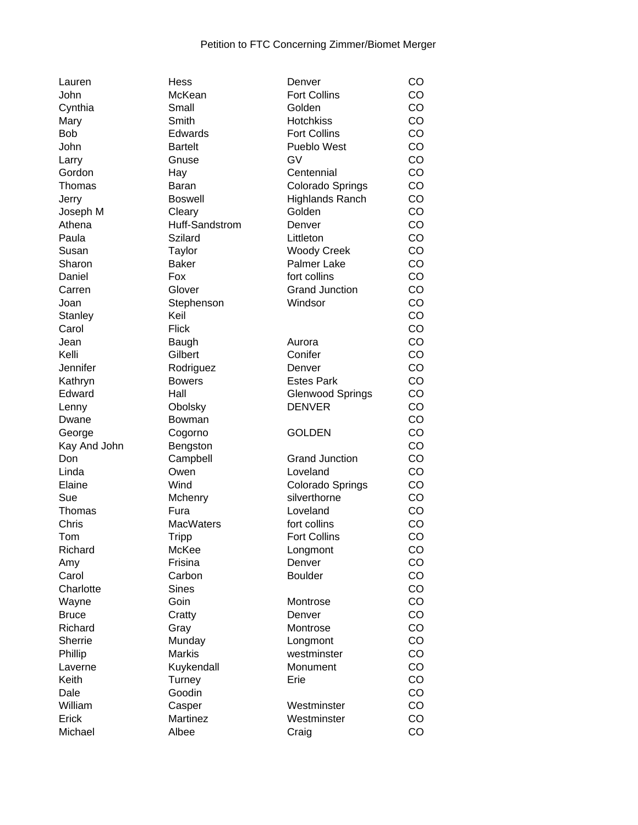| Lauren       | Hess             | Denver                                   | CO        |
|--------------|------------------|------------------------------------------|-----------|
| John         | McKean           | <b>Fort Collins</b>                      | CO        |
| Cynthia      | Small            | Golden                                   | CO        |
| Mary         | Smith            | <b>Hotchkiss</b>                         | CO        |
| <b>Bob</b>   | Edwards          | <b>Fort Collins</b>                      | CO        |
| John         | <b>Bartelt</b>   | Pueblo West                              | CO        |
| Larry        | Gnuse            | GV                                       | CO        |
| Gordon       | Hay              | Centennial                               | CO        |
| Thomas       | Baran            | Colorado Springs                         | CO        |
| Jerry        | <b>Boswell</b>   | <b>Highlands Ranch</b>                   | CO        |
| Joseph M     | Cleary           | Golden                                   | CO        |
| Athena       | Huff-Sandstrom   | Denver                                   | CO        |
| Paula        | Szilard          | Littleton                                | CO        |
| Susan        | Taylor           | <b>Woody Creek</b>                       | CO        |
| Sharon       | <b>Baker</b>     | Palmer Lake                              | CO        |
| Daniel       | Fox              | fort collins                             | CO        |
| Carren       | Glover           | <b>Grand Junction</b>                    | CO        |
| Joan         | Stephenson       | Windsor                                  | CO        |
| Stanley      | Keil             |                                          | CO        |
| Carol        | <b>Flick</b>     |                                          | CO        |
| Jean         | Baugh            | Aurora                                   | CO        |
| Kelli        | Gilbert          | Conifer                                  | CO        |
| Jennifer     | Rodriguez        | Denver                                   | CO        |
| Kathryn      | <b>Bowers</b>    | <b>Estes Park</b>                        | CO        |
|              |                  |                                          | CO        |
| Edward       | Hall             | <b>Glenwood Springs</b><br><b>DENVER</b> | CO        |
| Lenny        | Obolsky          |                                          |           |
| Dwane        | Bowman           |                                          | CO        |
| George       | Cogorno          | <b>GOLDEN</b>                            | CO        |
| Kay And John | Bengston         |                                          | CO        |
| Don          | Campbell         | <b>Grand Junction</b>                    | CO        |
| Linda        | Owen             | Loveland                                 | CO        |
| Elaine       | Wind             | Colorado Springs                         | CO        |
| Sue          | Mchenry          | silverthorne                             | CO        |
| Thomas       | Fura             | Loveland                                 | CO        |
| Chris        | <b>MacWaters</b> | fort collins                             | CO        |
| Tom          | Tripp            | <b>Fort Collins</b>                      | CO        |
| Richard      | McKee            | Longmont                                 | <b>CO</b> |
| Amy          | Frisina          | Denver                                   | CO        |
| Carol        | Carbon           | <b>Boulder</b>                           | CO        |
| Charlotte    | <b>Sines</b>     |                                          | CO        |
| Wayne        | Goin             | Montrose                                 | CO        |
| <b>Bruce</b> | Cratty           | Denver                                   | CO        |
| Richard      | Gray             | Montrose                                 | CO        |
| Sherrie      | Munday           | Longmont                                 | CO        |
| Phillip      | <b>Markis</b>    | westminster                              | CO        |
| Laverne      | Kuykendall       | Monument                                 | CO        |
| Keith        | Turney           | Erie                                     | CO        |
| Dale         | Goodin           |                                          | CO        |
| William      | Casper           | Westminster                              | CO        |
| Erick        | Martinez         | Westminster                              | CO        |
| Michael      | Albee            | Craig                                    | CO        |
|              |                  |                                          |           |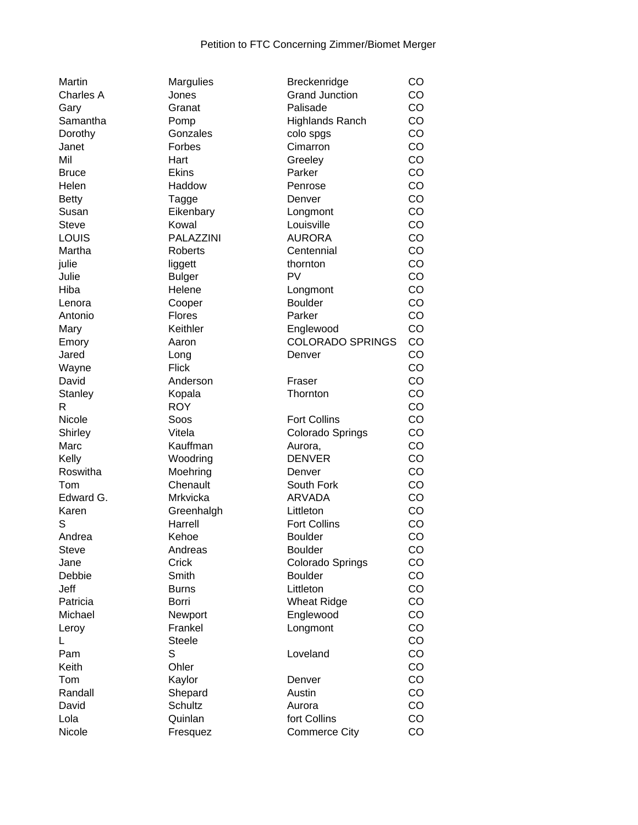| Martin       | <b>Margulies</b> | Breckenridge            | CO |
|--------------|------------------|-------------------------|----|
| Charles A    | Jones            | <b>Grand Junction</b>   | CO |
| Gary         | Granat           | Palisade                | CO |
| Samantha     | Pomp             | <b>Highlands Ranch</b>  | CO |
| Dorothy      | Gonzales         | colo spgs               | CO |
|              |                  |                         |    |
| Janet        | Forbes           | Cimarron                | CO |
| Mil          | Hart             | Greeley                 | CO |
| <b>Bruce</b> | <b>Ekins</b>     | Parker                  | CO |
| Helen        | Haddow           | Penrose                 | CO |
| <b>Betty</b> | Tagge            | Denver                  | CO |
| Susan        | Eikenbary        | Longmont                | CO |
| <b>Steve</b> | Kowal            | Louisville              | CO |
| LOUIS        | PALAZZINI        | <b>AURORA</b>           | CO |
| Martha       | <b>Roberts</b>   | Centennial              | CO |
|              |                  |                         |    |
| julie        | liggett          | thornton                | CO |
| Julie        | <b>Bulger</b>    | <b>PV</b>               | CO |
| Hiba         | Helene           | Longmont                | CO |
| Lenora       | Cooper           | <b>Boulder</b>          | CO |
| Antonio      | <b>Flores</b>    | Parker                  | CO |
| Mary         | Keithler         | Englewood               | CO |
| Emory        | Aaron            | <b>COLORADO SPRINGS</b> | CO |
| Jared        | Long             | Denver                  | CO |
| Wayne        | <b>Flick</b>     |                         | CO |
| David        | Anderson         | Fraser                  | CO |
| Stanley      | Kopala           | Thornton                | CO |
| R            | <b>ROY</b>       |                         | CO |
| Nicole       | Soos             | <b>Fort Collins</b>     | CO |
|              | Vitela           |                         | CO |
| Shirley      |                  | Colorado Springs        |    |
| Marc         | Kauffman         | Aurora,                 | CO |
| Kelly        | Woodring         | <b>DENVER</b>           | CO |
| Roswitha     | Moehring         | Denver                  | CO |
| Tom          | Chenault         | South Fork              | CO |
| Edward G.    | Mrkvicka         | <b>ARVADA</b>           | CO |
| Karen        | Greenhalgh       | Littleton               | CO |
| S            | Harrell          | <b>Fort Collins</b>     | CO |
| Andrea       | Kehoe            | <b>Boulder</b>          | CO |
| <b>Steve</b> | Andreas          | <b>Boulder</b>          | CO |
| Jane         | Crick            | Colorado Springs        | CO |
| Debbie       | Smith            | <b>Boulder</b>          | CO |
| Jeff         | <b>Burns</b>     | Littleton               | CO |
|              |                  |                         |    |
| Patricia     | Borri            | <b>Wheat Ridge</b>      | CO |
| Michael      | Newport          | Englewood               | CO |
| Leroy        | Frankel          | Longmont                | CO |
| L            | <b>Steele</b>    |                         | CO |
| Pam          | S                | Loveland                | CO |
| Keith        | Ohler            |                         | CO |
| Tom          | Kaylor           | Denver                  | CO |
| Randall      | Shepard          | Austin                  | CO |
| David        | Schultz          | Aurora                  | CO |
| Lola         | Quinlan          | fort Collins            | CO |
| Nicole       | Fresquez         | <b>Commerce City</b>    | CO |
|              |                  |                         |    |

| Grand Junction          | CO |
|-------------------------|----|
| Palisade                | CO |
| <b>Highlands Ranch</b>  | CO |
| colo spgs               | CO |
| Cimarron                | CO |
| Greeley                 | CO |
| Parker                  | CO |
| Penrose                 | CO |
| Denver                  | CO |
| Longmont                | CO |
| Louisville              | CO |
| <b>AURORA</b>           | CO |
| Centennial              | CO |
| thornton                | CO |
| PV                      | CO |
| Longmont                | CO |
| <b>Boulder</b>          | CO |
| Parker                  | CO |
| Englewood               | CO |
| <b>COLORADO SPRINGS</b> | CO |
| Denver                  | CO |
|                         | CO |
| Fraser                  | CO |
| Thornton                | CO |
|                         | CO |
| <b>Fort Collins</b>     | CO |
| Colorado Springs        | CO |
| Aurora,                 | CO |
| <b>DENVER</b>           | CO |
| Denver                  | CO |
| South Fork              | CO |
| <b>ARVADA</b>           | CO |
| Littleton               | CO |
| <b>Fort Collins</b>     | CO |
| <b>Boulder</b>          | CO |
| <b>Boulder</b>          | CO |
| Colorado Springs        | CO |
| <b>Boulder</b>          | CO |
| Littleton               | CO |
| <b>Wheat Ridge</b>      | CO |
|                         | CO |
| Englewood               | CO |
| Longmont                |    |
|                         | CO |
| Loveland                | CO |
|                         | CO |
| Denver                  | CO |
| Austin                  | CO |
| Aurora                  | CO |
| fort Collins            | CO |
| <b>Commerce City</b>    | CO |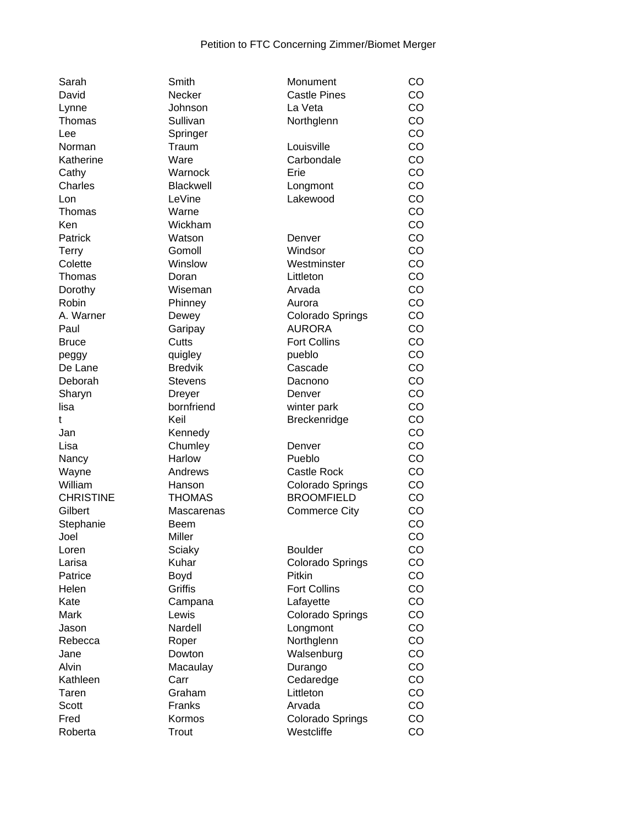| Sarah            | Smith          | Monument             | CO |
|------------------|----------------|----------------------|----|
| David            | Necker         | <b>Castle Pines</b>  | CO |
| Lynne            | Johnson        | La Veta              | CO |
| Thomas           | Sullivan       | Northglenn           | CO |
| Lee              | Springer       |                      | CO |
|                  |                |                      |    |
| Norman           | Traum          | Louisville           | CO |
| Katherine        | Ware           | Carbondale           | CO |
| Cathy            | Warnock        | Erie                 | CO |
| Charles          | Blackwell      | Longmont             | CO |
| Lon              | LeVine         | Lakewood             | CO |
| Thomas           | Warne          |                      | CO |
| Ken              | Wickham        |                      | CO |
| Patrick          | Watson         | Denver               | CO |
|                  |                |                      |    |
| <b>Terry</b>     | Gomoll         | Windsor              | CO |
| Colette          | Winslow        | Westminster          | CO |
| Thomas           | Doran          | Littleton            | CO |
| Dorothy          | Wiseman        | Arvada               | CO |
| Robin            | Phinney        | Aurora               | CO |
| A. Warner        | Dewey          | Colorado Springs     | CO |
| Paul             | Garipay        | <b>AURORA</b>        | CO |
| <b>Bruce</b>     | Cutts          | <b>Fort Collins</b>  | CO |
|                  |                |                      |    |
| peggy            | quigley        | pueblo               | CO |
| De Lane          | <b>Bredvik</b> | Cascade              | CO |
| Deborah          | <b>Stevens</b> | Dacnono              | CO |
| Sharyn           | <b>Dreyer</b>  | Denver               | CO |
| lisa             | bornfriend     | winter park          | CO |
| t                | Keil           | Breckenridge         | CO |
| Jan              | Kennedy        |                      | CO |
| Lisa             | Chumley        | Denver               | CO |
|                  | Harlow         | Pueblo               | CO |
| Nancy            |                |                      |    |
| Wayne            | Andrews        | <b>Castle Rock</b>   | CO |
| William          | Hanson         | Colorado Springs     | CO |
| <b>CHRISTINE</b> | <b>THOMAS</b>  | <b>BROOMFIELD</b>    | CO |
| Gilbert          | Mascarenas     | <b>Commerce City</b> | CO |
| Stephanie        | Beem           |                      | CO |
| Joel             | Miller         |                      | CO |
| Loren            | Sciaky         | <b>Boulder</b>       | CO |
| Larisa           | Kuhar          | Colorado Springs     | CO |
| Patrice          |                | Pitkin               | CO |
|                  | Boyd           |                      |    |
| Helen            | Griffis        | <b>Fort Collins</b>  | CO |
| Kate             | Campana        | Lafayette            | CO |
| Mark             | Lewis          | Colorado Springs     | CO |
| Jason            | Nardell        | Longmont             | CO |
| Rebecca          | Roper          | Northglenn           | CO |
| Jane             | Dowton         | Walsenburg           | CO |
| Alvin            | Macaulay       | Durango              | CO |
| Kathleen         | Carr           | Cedaredge            | CO |
|                  |                | Littleton            | CO |
| Taren            | Graham         |                      |    |
| Scott            | Franks         | Arvada               | CO |
| Fred             | Kormos         | Colorado Springs     | CO |
| Roberta          | Trout          | Westcliffe           | CO |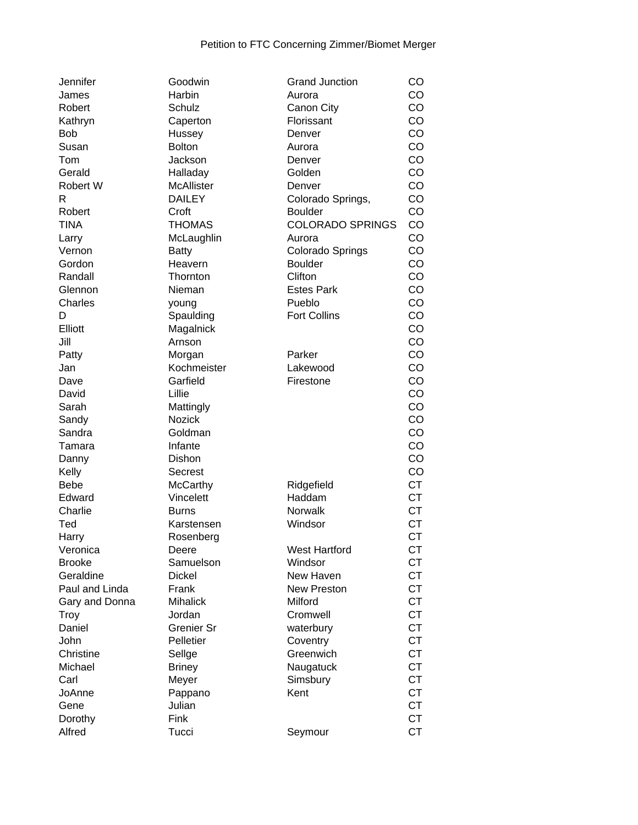| Jennifer       | Goodwin             | <b>Grand Junction</b>   | CO        |
|----------------|---------------------|-------------------------|-----------|
| James          | Harbin              | Aurora                  | CO        |
| Robert         | Schulz              | Canon City              | CO        |
| Kathryn        | Caperton            | Florissant              | CO        |
| <b>Bob</b>     | Hussey              | Denver                  | CO        |
| Susan          | <b>Bolton</b>       | Aurora                  | CO        |
| Tom            | Jackson             | Denver                  | CO        |
| Gerald         | Halladay            | Golden                  | CO        |
| Robert W       | McAllister          | Denver                  | CO        |
| R              | <b>DAILEY</b>       | Colorado Springs,       | CO        |
| Robert         | Croft               | <b>Boulder</b>          | CO        |
| <b>TINA</b>    | <b>THOMAS</b>       | <b>COLORADO SPRINGS</b> | CO        |
| Larry          | McLaughlin          | Aurora                  | CO        |
| Vernon         | <b>Batty</b>        | Colorado Springs        | CO        |
| Gordon         | Heavern             | <b>Boulder</b>          | CO        |
| Randall        | Thornton            | Clifton                 | CO        |
| Glennon        | Nieman              | <b>Estes Park</b>       | CO        |
| Charles        | young               | Pueblo                  | CO        |
| D              |                     | <b>Fort Collins</b>     | CO        |
| Elliott        | Spaulding           |                         | CO        |
|                | Magalnick<br>Arnson |                         |           |
| Jill           |                     |                         | CO        |
| Patty          | Morgan              | Parker                  | CO        |
| Jan            | Kochmeister         | Lakewood                | CO        |
| Dave           | Garfield            | Firestone               | CO        |
| David          | Lillie              |                         | CO        |
| Sarah          | Mattingly           |                         | CO        |
| Sandy          | <b>Nozick</b>       |                         | CO        |
| Sandra         | Goldman             |                         | CO        |
| Tamara         | Infante             |                         | CO        |
| Danny          | Dishon              |                         | CO        |
| Kelly          | Secrest             |                         | CO        |
| <b>Bebe</b>    | <b>McCarthy</b>     | Ridgefield              | <b>CT</b> |
| Edward         | Vincelett           | Haddam                  | <b>CT</b> |
| Charlie        | <b>Burns</b>        | Norwalk                 | <b>CT</b> |
| Ted            | Karstensen          | Windsor                 | <b>CT</b> |
| Harry          | Rosenberg           |                         | <b>CT</b> |
| Veronica       | Deere               | <b>West Hartford</b>    | <b>CT</b> |
| <b>Brooke</b>  | Samuelson           | Windsor                 | <b>CT</b> |
| Geraldine      | <b>Dickel</b>       | New Haven               | <b>CT</b> |
| Paul and Linda | Frank               | <b>New Preston</b>      | <b>CT</b> |
| Gary and Donna | <b>Mihalick</b>     | Milford                 | <b>CT</b> |
| Troy           | Jordan              | Cromwell                | <b>CT</b> |
| Daniel         | Grenier Sr          | waterbury               | <b>CT</b> |
| John           | Pelletier           | Coventry                | <b>CT</b> |
| Christine      | Sellge              | Greenwich               | <b>CT</b> |
| Michael        | <b>Briney</b>       | Naugatuck               | <b>CT</b> |
| Carl           | Meyer               | Simsbury                | <b>CT</b> |
| JoAnne         | Pappano             | Kent                    | <b>CT</b> |
| Gene           | Julian              |                         | <b>CT</b> |
| Dorothy        | Fink                |                         | <b>CT</b> |
| Alfred         | Tucci               | Seymour                 | <b>CT</b> |
|                |                     |                         |           |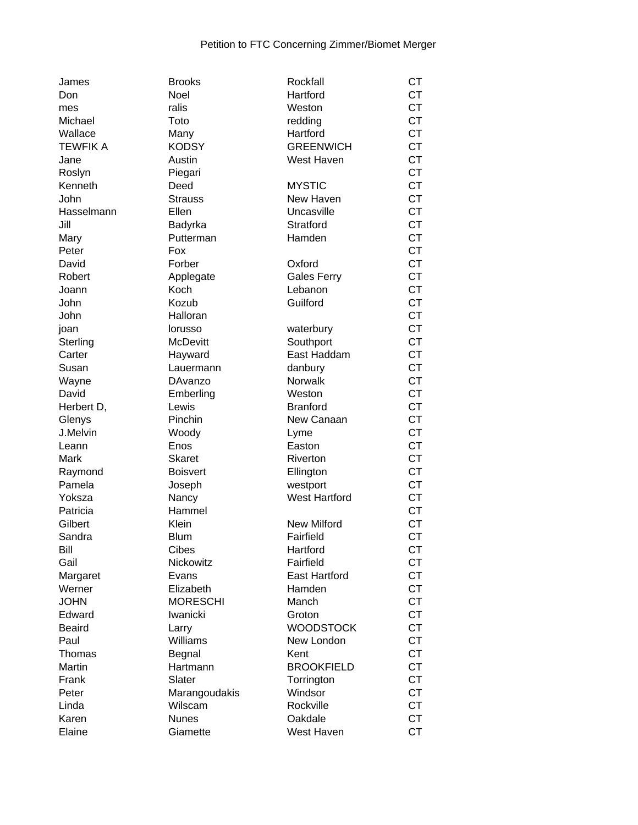| James           | <b>Brooks</b>    | Rockfall             | <b>CT</b> |
|-----------------|------------------|----------------------|-----------|
| Don             | Noel             | Hartford             | <b>CT</b> |
| mes             | ralis            | Weston               | <b>CT</b> |
| Michael         | Toto             | redding              | <b>CT</b> |
| Wallace         | Many             | Hartford             | <b>CT</b> |
| <b>TEWFIK A</b> | <b>KODSY</b>     | <b>GREENWICH</b>     | <b>CT</b> |
| Jane            | Austin           | West Haven           | <b>CT</b> |
| Roslyn          | Piegari          |                      | <b>CT</b> |
| Kenneth         | Deed             | <b>MYSTIC</b>        | <b>CT</b> |
| John            | <b>Strauss</b>   | New Haven            | <b>CT</b> |
| Hasselmann      | Ellen            | Uncasville           | <b>CT</b> |
| Jill            | Badyrka          | Stratford            | <b>CT</b> |
| Mary            | Putterman        | Hamden               | <b>CT</b> |
| Peter           | Fox              |                      | <b>CT</b> |
| David           | Forber           | Oxford               | <b>CT</b> |
| Robert          | Applegate        | <b>Gales Ferry</b>   | <b>CT</b> |
| Joann           | Koch             | Lebanon              | <b>CT</b> |
| John            | Kozub            | Guilford             | <b>CT</b> |
| John            | Halloran         |                      | <b>CT</b> |
| joan            | lorusso          | waterbury            | <b>CT</b> |
| Sterling        | <b>McDevitt</b>  | Southport            | <b>CT</b> |
| Carter          | Hayward          | East Haddam          | <b>CT</b> |
| Susan           | Lauermann        | danbury              | <b>CT</b> |
|                 | DAvanzo          | Norwalk              | <b>CT</b> |
| Wayne<br>David  |                  |                      | <b>CT</b> |
|                 | Emberling        | Weston               | <b>CT</b> |
| Herbert D,      | Lewis<br>Pinchin | <b>Branford</b>      | <b>CT</b> |
| Glenys          |                  | New Canaan           | <b>CT</b> |
| J.Melvin        | Woody            | Lyme                 |           |
| Leann           | Enos             | Easton               | <b>CT</b> |
| Mark            | <b>Skaret</b>    | Riverton             | <b>CT</b> |
| Raymond         | <b>Boisvert</b>  | Ellington            | <b>CT</b> |
| Pamela          | Joseph           | westport             | <b>CT</b> |
| Yoksza          | Nancy            | <b>West Hartford</b> | <b>CT</b> |
| Patricia        | Hammel           |                      | <b>CT</b> |
| Gilbert         | Klein            | <b>New Milford</b>   | <b>CT</b> |
| Sandra          | <b>Blum</b>      | Fairfield            | <b>CT</b> |
| Bill            | Cibes            | Hartford             | <b>CT</b> |
| Gail            | Nickowitz        | Fairfield            | <b>CT</b> |
| Margaret        | Evans            | <b>East Hartford</b> | <b>CT</b> |
| Werner          | Elizabeth        | Hamden               | <b>CT</b> |
| <b>JOHN</b>     | <b>MORESCHI</b>  | Manch                | <b>CT</b> |
| Edward          | Iwanicki         | Groton               | <b>CT</b> |
| <b>Beaird</b>   | Larry            | <b>WOODSTOCK</b>     | <b>CT</b> |
| Paul            | Williams         | New London           | <b>CT</b> |
| Thomas          | Begnal           | Kent                 | <b>CT</b> |
| Martin          | Hartmann         | <b>BROOKFIELD</b>    | <b>CT</b> |
| Frank           | Slater           | Torrington           | <b>CT</b> |
| Peter           | Marangoudakis    | Windsor              | <b>CT</b> |
| Linda           | Wilscam          | Rockville            | <b>CT</b> |
| Karen           | <b>Nunes</b>     | Oakdale              | <b>CT</b> |
| Elaine          | Giamette         | West Haven           | <b>CT</b> |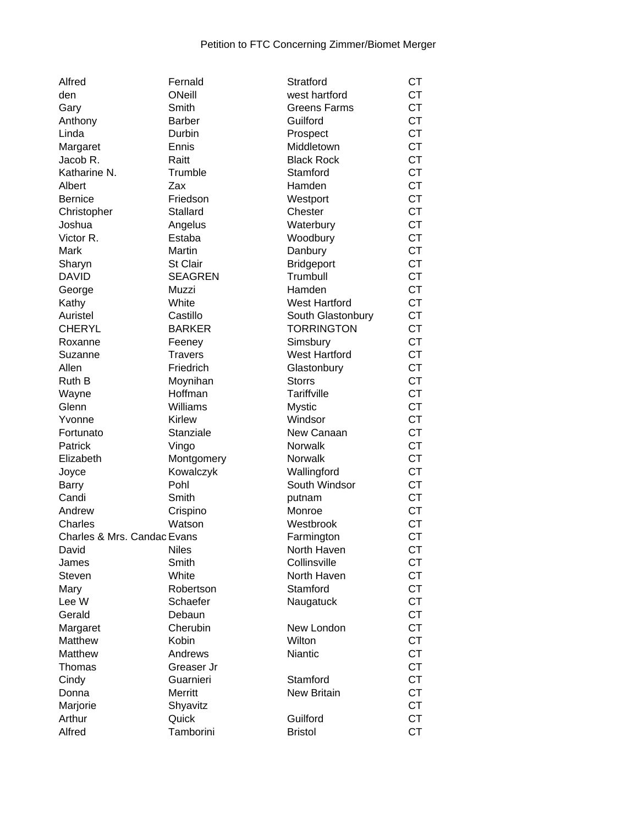| Alfred                      | Fernald            | Stratford                 | <b>CT</b>              |
|-----------------------------|--------------------|---------------------------|------------------------|
| den                         | ONeill             | west hartford             | СT                     |
| Gary                        | Smith              | <b>Greens Farms</b>       | <b>CT</b>              |
| Anthony                     | <b>Barber</b>      | Guilford                  | <b>CT</b>              |
| Linda                       | Durbin             | Prospect                  | <b>CT</b>              |
| Margaret                    | Ennis              | Middletown                | <b>CT</b>              |
| Jacob R.                    | Raitt              | <b>Black Rock</b>         | <b>CT</b>              |
| Katharine N.                | Trumble            | Stamford                  | <b>CT</b>              |
| Albert                      | Zax                | Hamden                    | <b>CT</b>              |
| <b>Bernice</b>              | Friedson           | Westport                  | <b>CT</b>              |
| Christopher                 | Stallard           | Chester                   | <b>CT</b>              |
| Joshua                      | Angelus            | Waterbury                 | <b>CT</b>              |
| Victor R.                   | Estaba             | Woodbury                  | <b>CT</b>              |
| Mark                        | Martin             | Danbury                   | <b>CT</b>              |
| Sharyn                      | St Clair           | Bridgeport                | <b>CT</b>              |
| <b>DAVID</b>                | <b>SEAGREN</b>     | Trumbull                  | <b>CT</b>              |
| George                      | Muzzi              | Hamden                    | <b>CT</b>              |
| Kathy                       | White              | <b>West Hartford</b>      | <b>CT</b>              |
| Auristel                    | Castillo           | South Glastonbury         | <b>CT</b>              |
| <b>CHERYL</b>               | <b>BARKER</b>      | <b>TORRINGTON</b>         | <b>CT</b>              |
| Roxanne                     | Feeney             | Simsbury                  | <b>CT</b>              |
| Suzanne                     | <b>Travers</b>     | <b>West Hartford</b>      | <b>CT</b>              |
| Allen                       | Friedrich          | Glastonbury               | <b>CT</b>              |
| Ruth B                      | Moynihan           | <b>Storrs</b>             | <b>CT</b>              |
| Wayne                       | Hoffman            | Tariffville               | <b>CT</b>              |
| Glenn                       | Williams           | <b>Mystic</b>             | <b>CT</b>              |
| Yvonne                      | <b>Kirlew</b>      | Windsor                   | <b>CT</b>              |
| Fortunato                   | Stanziale          | New Canaan                | <b>CT</b>              |
| Patrick                     | Vingo              | <b>Norwalk</b>            | <b>CT</b>              |
| Elizabeth                   | Montgomery         | Norwalk                   | <b>CT</b>              |
| Joyce                       | Kowalczyk          | Wallingford               | <b>CT</b>              |
|                             | Pohl               | South Windsor             | <b>CT</b>              |
| Barry<br>Candi              | Smith              |                           | <b>CT</b>              |
| Andrew                      |                    | putnam<br>Monroe          | <b>CT</b>              |
| Charles                     | Crispino<br>Watson | Westbrook                 | <b>CT</b>              |
| Charles & Mrs. Candac Evans |                    |                           | <b>CT</b>              |
| David                       | <b>Niles</b>       | Farmington<br>North Haven | СT                     |
|                             | Smith              | Collinsville              | <b>CT</b>              |
| James                       | White              | North Haven               |                        |
| <b>Steven</b>               | Robertson          | Stamford                  | <b>CT</b><br><b>CT</b> |
| Mary                        | Schaefer           |                           | <b>CT</b>              |
| Lee W                       |                    | Naugatuck                 |                        |
| Gerald                      | Debaun             |                           | <b>CT</b>              |
| Margaret                    | Cherubin           | New London                | <b>CT</b>              |
| Matthew                     | Kobin              | Wilton                    | <b>CT</b>              |
| Matthew                     | Andrews            | Niantic                   | <b>CT</b>              |
| Thomas                      | Greaser Jr         |                           | <b>CT</b>              |
| Cindy                       | Guarnieri          | Stamford                  | <b>CT</b>              |
| Donna                       | Merritt            | <b>New Britain</b>        | <b>CT</b>              |
| Marjorie                    | Shyavitz           |                           | <b>CT</b>              |
| Arthur                      | Quick              | Guilford                  | <b>CT</b>              |
| Alfred                      | Tamborini          | <b>Bristol</b>            | <b>CT</b>              |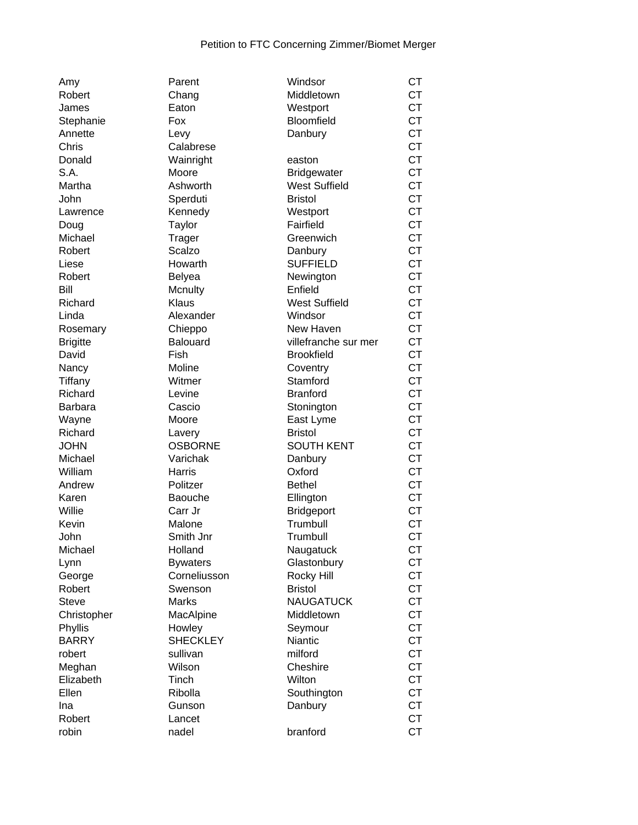| Amy             |
|-----------------|
| Robert          |
| James           |
| Stephanie       |
| Annette         |
| Chris           |
|                 |
| Donald          |
| S.A.            |
| Martha          |
| John            |
| Lawrence        |
| Doug            |
| Michael         |
| Robert          |
| Liese           |
| Robert          |
| Bill            |
| Richard         |
|                 |
| Linda           |
| Rosemary        |
| <b>Brigitte</b> |
| David           |
| Nancy           |
| Tiffany         |
| Richard         |
| Barbara         |
| Wayne           |
| Richard         |
| <b>JOHN</b>     |
| Michael         |
| William         |
| Andrew          |
| Karen           |
| Willie          |
|                 |
| Kevin           |
| John            |
| Michael         |
| Lynn            |
| George          |
| Robert          |
| <b>Steve</b>    |
| Christopher     |
| Phyllis         |
| <b>BARRY</b>    |
| robert          |
| Meghan          |
| Elizabeth       |
| Ellen           |
|                 |
| Ina             |
| Robert          |

| Amy             | Parent          | Windsor              | <b>CT</b> |
|-----------------|-----------------|----------------------|-----------|
| Robert          | Chang           | Middletown           | <b>CT</b> |
| James           | Eaton           | Westport             | <b>CT</b> |
| Stephanie       | Fox             | Bloomfield           | <b>CT</b> |
| Annette         | Levy            | Danbury              | <b>CT</b> |
| Chris           | Calabrese       |                      | <b>CT</b> |
| Donald          | Wainright       | easton               | <b>CT</b> |
| S.A.            | Moore           | <b>Bridgewater</b>   | <b>CT</b> |
| Martha          | Ashworth        | <b>West Suffield</b> | <b>CT</b> |
| John            | Sperduti        | <b>Bristol</b>       | <b>CT</b> |
| Lawrence        | Kennedy         | Westport             | <b>CT</b> |
| Doug            | Taylor          | Fairfield            | <b>CT</b> |
| Michael         | <b>Trager</b>   | Greenwich            | <b>CT</b> |
| Robert          | Scalzo          | Danbury              | <b>CT</b> |
| Liese           | Howarth         | <b>SUFFIELD</b>      | <b>CT</b> |
| Robert          | <b>Belyea</b>   | Newington            | <b>CT</b> |
| Bill            | Mcnulty         | Enfield              | <b>CT</b> |
| Richard         | Klaus           | <b>West Suffield</b> | <b>CT</b> |
| Linda           | Alexander       | Windsor              | <b>CT</b> |
|                 |                 | New Haven            | <b>CT</b> |
| Rosemary        | Chieppo         |                      | <b>CT</b> |
| <b>Brigitte</b> | <b>Balouard</b> | villefranche sur mer |           |
| David           | Fish            | <b>Brookfield</b>    | <b>CT</b> |
| Nancy           | Moline          | Coventry             | <b>CT</b> |
| Tiffany         | Witmer          | Stamford             | <b>CT</b> |
| Richard         | Levine          | <b>Branford</b>      | <b>CT</b> |
| Barbara         | Cascio          | Stonington           | <b>CT</b> |
| Wayne           | Moore           | East Lyme            | <b>CT</b> |
| Richard         | Lavery          | <b>Bristol</b>       | <b>CT</b> |
| JOHN            | <b>OSBORNE</b>  | <b>SOUTH KENT</b>    | <b>CT</b> |
| Michael         | Varichak        | Danbury              | <b>CT</b> |
| William         | Harris          | Oxford               | <b>CT</b> |
| Andrew          | Politzer        | <b>Bethel</b>        | <b>CT</b> |
| Karen           | Baouche         | Ellington            | <b>CT</b> |
| Willie          | Carr Jr         | <b>Bridgeport</b>    | <b>CT</b> |
| Kevin           | Malone          | Trumbull             | <b>CT</b> |
| John            | Smith Jnr       | Trumbull             | <b>CT</b> |
| Michael         | Holland         | Naugatuck            | <b>CT</b> |
| Lynn            | <b>Bywaters</b> | Glastonbury          | CT        |
| George          | Corneliusson    | Rocky Hill           | <b>CT</b> |
| Robert          | Swenson         | <b>Bristol</b>       | <b>CT</b> |
| <b>Steve</b>    | <b>Marks</b>    | <b>NAUGATUCK</b>     | <b>CT</b> |
| Christopher     | MacAlpine       | Middletown           | <b>CT</b> |
| Phyllis         | Howley          | Seymour              | <b>CT</b> |
| <b>BARRY</b>    | <b>SHECKLEY</b> | <b>Niantic</b>       | <b>CT</b> |
| robert          | sullivan        | milford              | <b>CT</b> |
| Meghan          | Wilson          | Cheshire             | <b>CT</b> |
| Elizabeth       | Tinch           | Wilton               | <b>CT</b> |
| Ellen           | Ribolla         | Southington          | <b>CT</b> |
| Ina             | Gunson          | Danbury              | <b>CT</b> |
| Robert          | Lancet          |                      | <b>CT</b> |
| robin           | nadel           | branford             | <b>CT</b> |
|                 |                 |                      |           |

| , ,, , , ,      |                 |                      | ັ່        |
|-----------------|-----------------|----------------------|-----------|
| Robert          | Chang           | Middletown           | <b>CT</b> |
| James           | Eaton           | Westport             | <b>CT</b> |
| Stephanie       | Fox             | Bloomfield           | <b>CT</b> |
| Annette         | Levy            | Danbury              | <b>CT</b> |
| Chris           | Calabrese       |                      | <b>CT</b> |
| Donald          | Wainright       | easton               | <b>CT</b> |
| S.A.            | Moore           | <b>Bridgewater</b>   | <b>CT</b> |
| Martha          | Ashworth        | <b>West Suffield</b> | <b>CT</b> |
| John            | Sperduti        | <b>Bristol</b>       | <b>CT</b> |
| Lawrence        | Kennedy         | Westport             | <b>CT</b> |
| Doug            | Taylor          | Fairfield            | <b>CT</b> |
| Michael         | Trager          | Greenwich            | <b>CT</b> |
| Robert          | Scalzo          | Danbury              | <b>CT</b> |
| Liese           | Howarth         | <b>SUFFIELD</b>      | <b>CT</b> |
| Robert          | <b>Belyea</b>   | Newington            | <b>CT</b> |
| Bill            | Mcnulty         | Enfield              | <b>CT</b> |
| Richard         | Klaus           | <b>West Suffield</b> | <b>CT</b> |
| Linda           | Alexander       | Windsor              | <b>CT</b> |
| Rosemary        | Chieppo         | New Haven            | <b>CT</b> |
| <b>Brigitte</b> | <b>Balouard</b> | villefranche sur mer | <b>CT</b> |
| David           | <b>Fish</b>     | <b>Brookfield</b>    | <b>CT</b> |
| Nancy           | Moline          | Coventry             | <b>CT</b> |
| Tiffany         | Witmer          | Stamford             | <b>CT</b> |
| Richard         | Levine          | <b>Branford</b>      | <b>CT</b> |
| Barbara         | Cascio          | Stonington           | <b>CT</b> |
| Wayne           | Moore           | East Lyme            | <b>CT</b> |
| Richard         | Lavery          | <b>Bristol</b>       | <b>CT</b> |
| <b>JOHN</b>     | <b>OSBORNE</b>  | <b>SOUTH KENT</b>    | <b>CT</b> |
| Michael         | Varichak        | Danbury              | <b>CT</b> |
| William         | Harris          | Oxford               | <b>CT</b> |
| Andrew          | Politzer        | <b>Bethel</b>        | <b>CT</b> |
| Karen           | Baouche         | Ellington            | <b>CT</b> |
| Willie          | Carr Jr         | <b>Bridgeport</b>    | <b>CT</b> |
| Kevin           | Malone          | Trumbull             | <b>CT</b> |
| John            | Smith Jnr       | Trumbull             | <b>CT</b> |
| Michael         | Holland         | Naugatuck            | <b>CT</b> |
| Lynn            | <b>Bywaters</b> | Glastonbury          | CТ        |
| George          | Corneliusson    | Rocky Hill           | <b>CT</b> |
| Robert          | Swenson         | <b>Bristol</b>       | <b>CT</b> |
| <b>Steve</b>    | Marks           | <b>NAUGATUCK</b>     | <b>CT</b> |
| Christopher     | MacAlpine       | Middletown           | <b>CT</b> |
| Phyllis         | Howley          | Seymour              | <b>CT</b> |
| <b>BARRY</b>    | <b>SHECKLEY</b> | <b>Niantic</b>       | <b>CT</b> |
| robert          | sullivan        | milford              | <b>CT</b> |
| Meghan          | Wilson          | Cheshire             | <b>CT</b> |
| Elizabeth       | Tinch           | Wilton               | <b>CT</b> |
| Ellen           | Ribolla         | Southington          | <b>CT</b> |
| Ina             | Gunson          | Danbury              | <b>CT</b> |
| Robert          | Lancet          |                      | <b>CT</b> |
| rohin           | nadel           | hranford             | $C$ T     |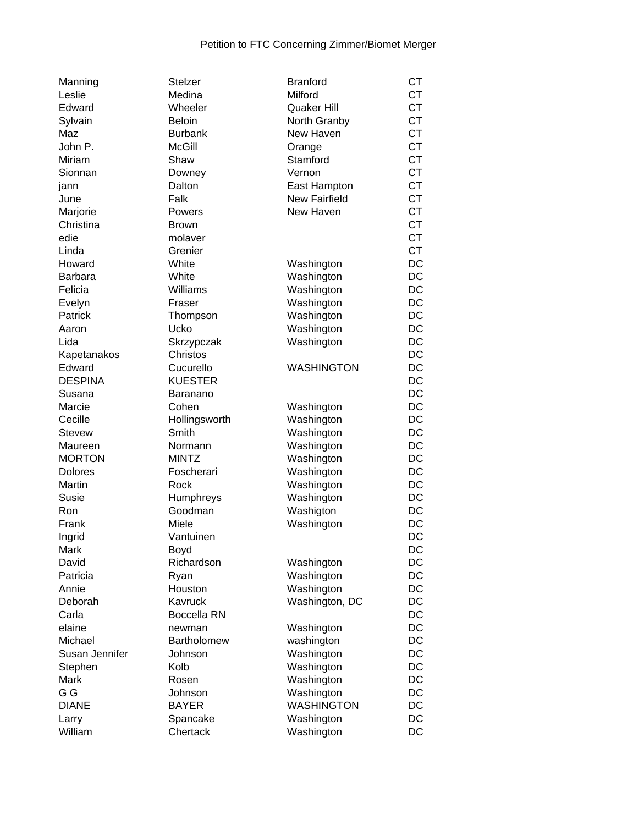| Manning          | <b>Stelzer</b>         | <b>Branford</b>   | СT        |
|------------------|------------------------|-------------------|-----------|
| Leslie           | Medina                 | Milford           | <b>CT</b> |
| Edward           | Wheeler                | Quaker Hill       | <b>CT</b> |
| Sylvain          | <b>Beloin</b>          | North Granby      | <b>CT</b> |
| Maz              | <b>Burbank</b>         | New Haven         | <b>CT</b> |
| John P.          | <b>McGill</b>          | Orange            | <b>CT</b> |
| Miriam           | Shaw                   | Stamford          | <b>CT</b> |
| Sionnan          | Downey                 | Vernon            | <b>CT</b> |
| jann             | Dalton                 | East Hampton      | <b>CT</b> |
| June             | Falk                   | New Fairfield     | <b>CT</b> |
| Marjorie         | Powers                 | New Haven         | <b>CT</b> |
| Christina        | <b>Brown</b>           |                   | <b>CT</b> |
| edie             | molaver                |                   | <b>CT</b> |
| Linda            | Grenier                |                   | <b>CT</b> |
| Howard           | White                  | Washington        | DC        |
| <b>Barbara</b>   | White                  | Washington        | DC        |
| Felicia          | Williams               | Washington        | DC        |
| Evelyn           | Fraser                 | Washington        | DC        |
| Patrick          | Thompson               | Washington        | DC        |
| Aaron            | Ucko                   | Washington        | DC        |
| Lida             | Skrzypczak             | Washington        | DC        |
| Kapetanakos      | Christos               |                   | DC        |
| Edward           | Cucurello              | <b>WASHINGTON</b> | DC        |
| <b>DESPINA</b>   | <b>KUESTER</b>         |                   | DC        |
|                  |                        |                   | DC        |
| Susana<br>Marcie | Baranano<br>Cohen      |                   | DC        |
|                  |                        | Washington        | DC        |
| Cecille          | Hollingsworth<br>Smith | Washington        |           |
| <b>Stevew</b>    |                        | Washington        | DC        |
| Maureen          | Normann                | Washington        | DC        |
| <b>MORTON</b>    | <b>MINTZ</b>           | Washington        | DC        |
| <b>Dolores</b>   | Foscherari             | Washington        | DC        |
| Martin           | Rock                   | Washington        | DC        |
| Susie            | Humphreys              | Washington        | DC        |
| Ron              | Goodman                | Washigton         | DC        |
| Frank            | Miele                  | Washington        | DC        |
| Ingrid           | Vantuinen              |                   | DC        |
| Mark             | Boyd                   |                   | DC        |
| David            | Richardson             | Washington        | DC        |
| Patricia         | Ryan                   | Washington        | DC        |
| Annie            | Houston                | Washington        | DC        |
| Deborah          | Kavruck                | Washington, DC    | DC        |
| Carla            | <b>Boccella RN</b>     |                   | DC        |
| elaine           | newman                 | Washington        | DC        |
| Michael          | Bartholomew            | washington        | DC        |
| Susan Jennifer   | Johnson                | Washington        | DC        |
| Stephen          | Kolb                   | Washington        | DC        |
| Mark             | Rosen                  | Washington        | DC        |
| G G              | Johnson                | Washington        | DC        |
| <b>DIANE</b>     | <b>BAYER</b>           | <b>WASHINGTON</b> | DC        |
| Larry            | Spancake               | Washington        | DC        |
| William          | Chertack               | Washington        | DC        |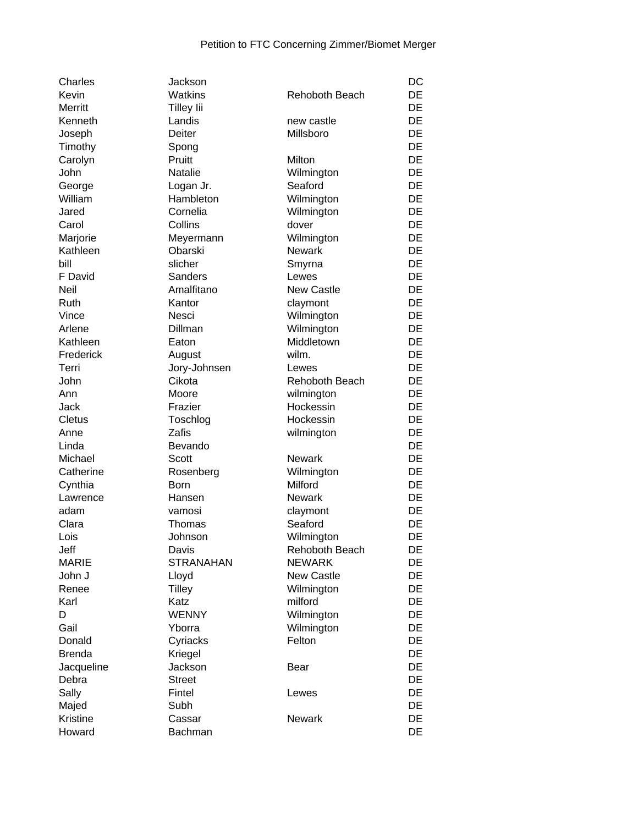| Charles       | Jackson           |                       | DC        |
|---------------|-------------------|-----------------------|-----------|
| Kevin         | <b>Watkins</b>    | <b>Rehoboth Beach</b> | <b>DE</b> |
| Merritt       | <b>Tilley lii</b> |                       | <b>DE</b> |
| Kenneth       | Landis            | new castle            | DE        |
| Joseph        | <b>Deiter</b>     | Millsboro             | DE        |
| Timothy       | Spong             |                       | DE        |
| Carolyn       | Pruitt            | Milton                | DE        |
| John          | Natalie           | Wilmington            | DE        |
| George        | Logan Jr.         | Seaford               | <b>DE</b> |
| William       | Hambleton         | Wilmington            | <b>DE</b> |
| Jared         | Cornelia          | Wilmington            | <b>DE</b> |
| Carol         | Collins           | dover                 | DE        |
| Marjorie      | Meyermann         | Wilmington            | DE        |
| Kathleen      | Obarski           | <b>Newark</b>         | DE        |
| bill          | slicher           | Smyrna                | DE        |
| F David       | <b>Sanders</b>    | Lewes                 | DE        |
| Neil          | Amalfitano        | <b>New Castle</b>     | DE        |
|               |                   |                       | DE        |
| Ruth<br>Vince | Kantor            | claymont              | DE        |
|               | Nesci             | Wilmington            |           |
| Arlene        | Dillman           | Wilmington            | DE        |
| Kathleen      | Eaton             | Middletown            | DE        |
| Frederick     | August            | wilm.                 | <b>DE</b> |
| Terri         | Jory-Johnsen      | Lewes                 | DE        |
| John          | Cikota            | Rehoboth Beach        | DE        |
| Ann           | Moore             | wilmington            | <b>DE</b> |
| Jack          | Frazier           | Hockessin             | DE        |
| <b>Cletus</b> | Toschlog          | Hockessin             | DE        |
| Anne          | Zafis             | wilmington            | DE        |
| Linda         | Bevando           |                       | DE        |
| Michael       | <b>Scott</b>      | <b>Newark</b>         | DE        |
| Catherine     | Rosenberg         | Wilmington            | DE        |
| Cynthia       | <b>Born</b>       | Milford               | DE        |
| Lawrence      | Hansen            | <b>Newark</b>         | DE        |
| adam          | vamosi            | claymont              | DE        |
| Clara         | Thomas            | Seaford               | DE        |
| Lois          | Johnson           | Wilmington            | DE        |
| Jeff          | Davis             | Rehoboth Beach        | DE        |
| <b>MARIE</b>  | <b>STRANAHAN</b>  | <b>NEWARK</b>         | <b>DE</b> |
| John J        | Lloyd             | New Castle            | <b>DE</b> |
| Renee         | <b>Tilley</b>     | Wilmington            | <b>DE</b> |
| Karl          | Katz              | milford               | <b>DE</b> |
| D             | <b>WENNY</b>      | Wilmington            | <b>DE</b> |
| Gail          | Yborra            | Wilmington            | DE        |
| Donald        | Cyriacks          | Felton                | DE        |
| <b>Brenda</b> | Kriegel           |                       | <b>DE</b> |
| Jacqueline    | Jackson           | Bear                  | DE        |
| Debra         | <b>Street</b>     |                       | DE        |
| Sally         | Fintel            | Lewes                 | <b>DE</b> |
| Majed         | Subh              |                       | DE        |
| Kristine      | Cassar            | <b>Newark</b>         | <b>DE</b> |
| Howard        | Bachman           |                       | DE        |
|               |                   |                       |           |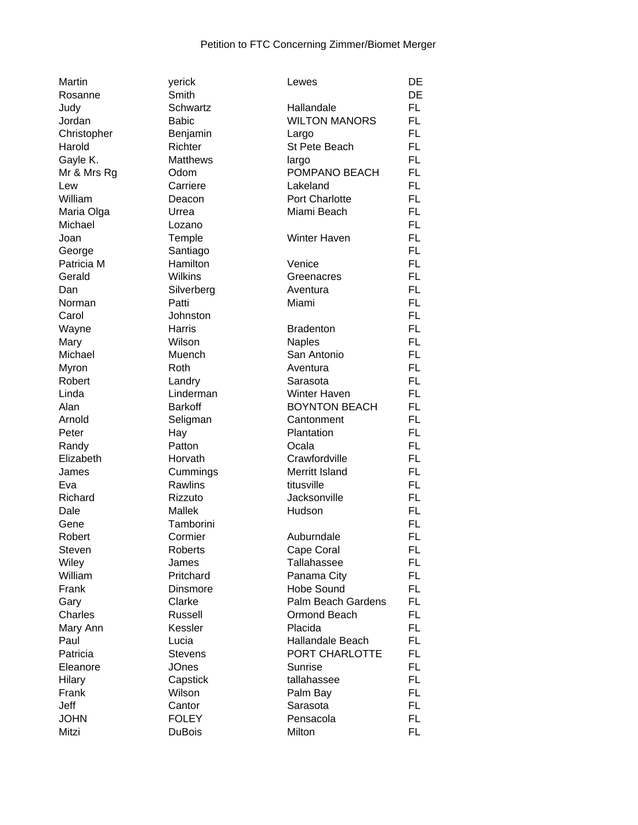| Martin        | yerick          | Lewes                 | DE        |
|---------------|-----------------|-----------------------|-----------|
| Rosanne       | Smith           |                       | DE        |
| Judy          | Schwartz        | Hallandale            | FL.       |
| Jordan        | <b>Babic</b>    | <b>WILTON MANORS</b>  | FL.       |
| Christopher   | Benjamin        | Largo                 | FL.       |
| Harold        | Richter         | St Pete Beach         | <b>FL</b> |
| Gayle K.      | <b>Matthews</b> | largo                 | <b>FL</b> |
| Mr & Mrs Rg   | Odom            | POMPANO BEACH         | <b>FL</b> |
| Lew           | Carriere        | Lakeland              | FL.       |
| William       | Deacon          | <b>Port Charlotte</b> | <b>FL</b> |
| Maria Olga    | Urrea           | Miami Beach           | <b>FL</b> |
| Michael       | Lozano          |                       | <b>FL</b> |
| Joan          | Temple          | <b>Winter Haven</b>   | <b>FL</b> |
| George        | Santiago        |                       | <b>FL</b> |
| Patricia M    | Hamilton        | Venice                | FL.       |
| Gerald        | <b>Wilkins</b>  | Greenacres            | FL.       |
| Dan           | Silverberg      | Aventura              | FL.       |
|               | Patti           | Miami                 | <b>FL</b> |
| Norman        |                 |                       | <b>FL</b> |
| Carol         | Johnston        |                       |           |
| Wayne         | Harris          | <b>Bradenton</b>      | <b>FL</b> |
| Mary          | Wilson          | <b>Naples</b>         | <b>FL</b> |
| Michael       | Muench          | San Antonio           | <b>FL</b> |
| Myron         | Roth            | Aventura              | <b>FL</b> |
| Robert        | Landry          | Sarasota              | FL.       |
| Linda         | Linderman       | Winter Haven          | <b>FL</b> |
| Alan          | <b>Barkoff</b>  | <b>BOYNTON BEACH</b>  | <b>FL</b> |
| Arnold        | Seligman        | Cantonment            | <b>FL</b> |
| Peter         | Hay             | Plantation            | FL.       |
| Randy         | Patton          | Ocala                 | FL.       |
| Elizabeth     | Horvath         | Crawfordville         | FL.       |
| James         | Cummings        | Merritt Island        | <b>FL</b> |
| Eva           | Rawlins         | titusville            | <b>FL</b> |
| Richard       | Rizzuto         | Jacksonville          | <b>FL</b> |
| Dale          | Mallek          | Hudson                | <b>FL</b> |
| Gene          | Tamborini       |                       | <b>FL</b> |
| Robert        | Cormier         | Auburndale            | <b>FL</b> |
| <b>Steven</b> | Roberts         | Cape Coral            | FL        |
| Wiley         | James           | Tallahassee           | FL        |
| William       | Pritchard       | Panama City           | FL.       |
| Frank         | Dinsmore        | <b>Hobe Sound</b>     | FL.       |
| Gary          | Clarke          | Palm Beach Gardens    | FL.       |
| Charles       | Russell         | Ormond Beach          | FL.       |
| Mary Ann      | Kessler         | Placida               | FL.       |
| Paul          | Lucia           | Hallandale Beach      | FL.       |
| Patricia      | <b>Stevens</b>  | PORT CHARLOTTE        | <b>FL</b> |
| Eleanore      | <b>JOnes</b>    | Sunrise               | <b>FL</b> |
| Hilary        | Capstick        | tallahassee           | FL.       |
| Frank         | Wilson          | Palm Bay              | <b>FL</b> |
| Jeff          | Cantor          | Sarasota              | FL.       |
| <b>JOHN</b>   | <b>FOLEY</b>    | Pensacola             | FL.       |
| Mitzi         | <b>DuBois</b>   | Milton                | <b>FL</b> |
|               |                 |                       |           |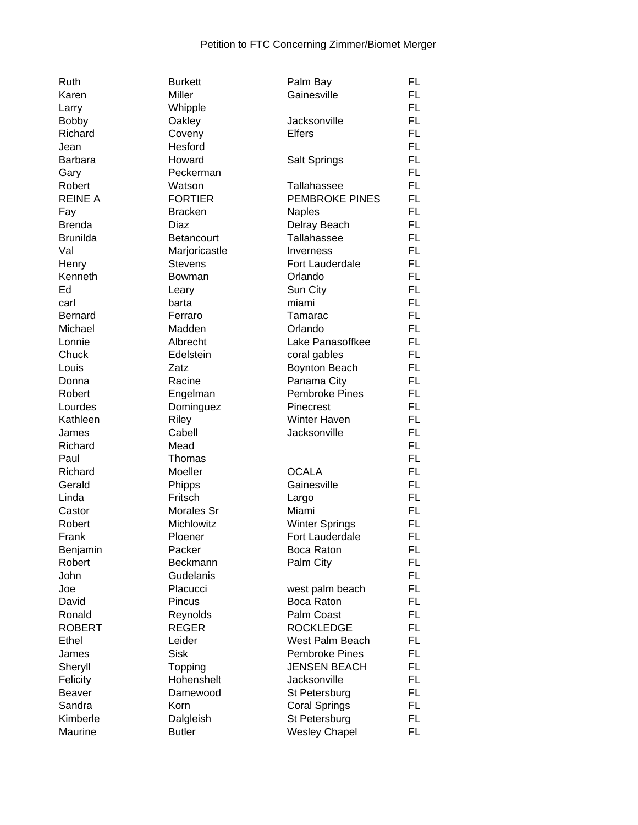| Ruth             | <b>Burkett</b>    | Palm Bay              | FL        |
|------------------|-------------------|-----------------------|-----------|
| Karen            | Miller            | Gainesville           | FL.       |
| Larry            | Whipple           |                       | <b>FL</b> |
| <b>Bobby</b>     | Oakley            | Jacksonville          | FL.       |
| Richard          | Coveny            | <b>Elfers</b>         | <b>FL</b> |
| Jean             | Hesford           |                       | <b>FL</b> |
| <b>Barbara</b>   | Howard            | <b>Salt Springs</b>   | <b>FL</b> |
| Gary             | Peckerman         |                       | <b>FL</b> |
| Robert           | Watson            | Tallahassee           | <b>FL</b> |
| <b>REINE A</b>   | <b>FORTIER</b>    | <b>PEMBROKE PINES</b> | FL.       |
| Fay              | <b>Bracken</b>    | <b>Naples</b>         | FL.       |
| <b>Brenda</b>    | Diaz              | Delray Beach          | FL.       |
| <b>Brunilda</b>  | <b>Betancourt</b> | Tallahassee           | FL.       |
| Val              | Marjoricastle     | Inverness             | FL.       |
|                  | <b>Stevens</b>    | Fort Lauderdale       | <b>FL</b> |
| Henry<br>Kenneth | Bowman            | Orlando               | <b>FL</b> |
|                  |                   |                       | <b>FL</b> |
| Ed               | Leary             | Sun City              |           |
| carl             | barta             | miami                 | <b>FL</b> |
| <b>Bernard</b>   | Ferraro           | Tamarac               | FL        |
| Michael          | Madden            | Orlando               | <b>FL</b> |
| Lonnie           | Albrecht          | Lake Panasoffkee      | FL.       |
| Chuck            | Edelstein         | coral gables          | FL.       |
| Louis            | Zatz              | Boynton Beach         | FL.       |
| Donna            | Racine            | Panama City           | FL.       |
| Robert           | Engelman          | <b>Pembroke Pines</b> | FL.       |
| Lourdes          | Dominguez         | Pinecrest             | FL.       |
| Kathleen         | Riley             | Winter Haven          | FL        |
| James            | Cabell            | Jacksonville          | FL.       |
| Richard          | Mead              |                       | FL.       |
| Paul             | Thomas            |                       | <b>FL</b> |
| Richard          | Moeller           | <b>OCALA</b>          | <b>FL</b> |
| Gerald           | Phipps            | Gainesville           | <b>FL</b> |
| Linda            | Fritsch           | Largo                 | <b>FL</b> |
| Castor           | Morales Sr        | Miami                 | <b>FL</b> |
| Robert           | Michlowitz        | <b>Winter Springs</b> | FL        |
| Frank            | Ploener           | Fort Lauderdale       | FL        |
| Benjamin         | Packer            | Boca Raton            | <b>FL</b> |
| Robert           | Beckmann          | Palm City             | FL.       |
| John             | Gudelanis         |                       | FL.       |
| Joe              | Placucci          | west palm beach       | <b>FL</b> |
| David            | Pincus            | Boca Raton            | <b>FL</b> |
| Ronald           | Reynolds          | Palm Coast            | FL.       |
| <b>ROBERT</b>    | <b>REGER</b>      | <b>ROCKLEDGE</b>      | <b>FL</b> |
| Ethel            | Leider            | West Palm Beach       | FL.       |
| James            | <b>Sisk</b>       | <b>Pembroke Pines</b> | <b>FL</b> |
| Sheryll          | Topping           | <b>JENSEN BEACH</b>   | <b>FL</b> |
| Felicity         | Hohenshelt        | Jacksonville          | FL        |
| Beaver           | Damewood          | St Petersburg         | FL.       |
| Sandra           | Korn              | <b>Coral Springs</b>  | FL.       |
| Kimberle         | Dalgleish         | St Petersburg         | FL.       |
| Maurine          | <b>Butler</b>     | <b>Wesley Chapel</b>  | FL        |
|                  |                   |                       |           |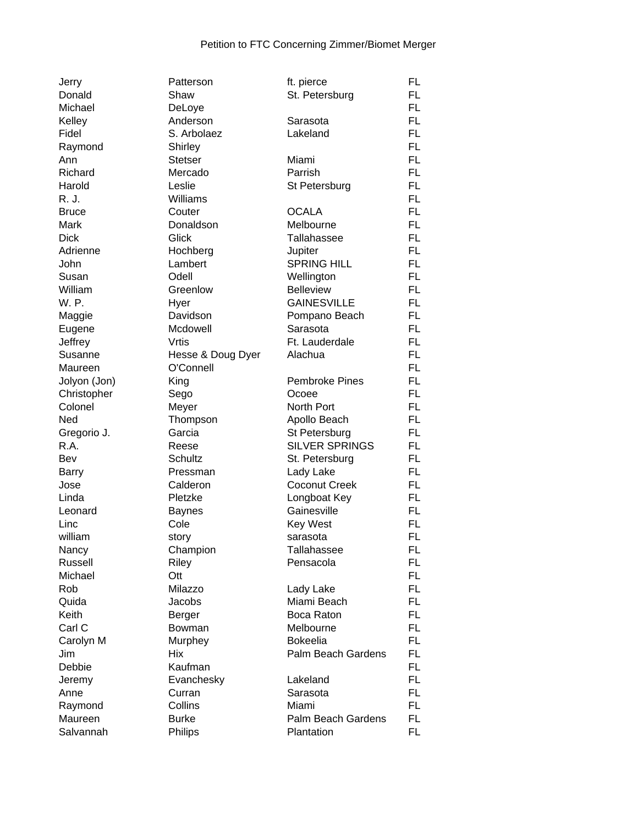| Jerry            | Patterson         | ft. pierce            | FL.       |
|------------------|-------------------|-----------------------|-----------|
| Donald           | Shaw              | St. Petersburg        | FL.       |
| Michael          | DeLoye            |                       | FL.       |
| Kelley           | Anderson          | Sarasota              | FL.       |
| Fidel            | S. Arbolaez       | Lakeland              | FL.       |
| Raymond          | Shirley           |                       | FL.       |
| Ann              | <b>Stetser</b>    | Miami                 | FL.       |
| Richard          | Mercado           | Parrish               | FL.       |
| Harold           | Leslie            | St Petersburg         | FL.       |
| R. J.            | Williams          |                       | FL.       |
| <b>Bruce</b>     | Couter            | <b>OCALA</b>          | FL.       |
| Mark             | Donaldson         | Melbourne             | FL.       |
| <b>Dick</b>      | Glick             | Tallahassee           | FL        |
| Adrienne         | Hochberg          | Jupiter               | FL.       |
| John             | Lambert           | <b>SPRING HILL</b>    | FL.       |
|                  | Odell             |                       | FL.       |
| Susan<br>William | Greenlow          | Wellington            | FL.       |
|                  |                   | <b>Belleview</b>      |           |
| W. P.            | Hyer              | <b>GAINESVILLE</b>    | FL.       |
| Maggie           | Davidson          | Pompano Beach         | FL        |
| Eugene           | Mcdowell          | Sarasota              | FL.       |
| Jeffrey          | Vrtis             | Ft. Lauderdale        | FL.       |
| Susanne          | Hesse & Doug Dyer | Alachua               | FL.       |
| Maureen          | O'Connell         |                       | FL.       |
| Jolyon (Jon)     | King              | <b>Pembroke Pines</b> | FL.       |
| Christopher      | Sego              | Ocoee                 | FL        |
| Colonel          | Meyer             | North Port            | FL.       |
| Ned              | Thompson          | Apollo Beach          | FL.       |
| Gregorio J.      | Garcia            | St Petersburg         | FL.       |
| R.A.             | Reese             | <b>SILVER SPRINGS</b> | FL.       |
| Bev              | Schultz           | St. Petersburg        | FL.       |
| <b>Barry</b>     | Pressman          | Lady Lake             | FL.       |
| Jose             | Calderon          | <b>Coconut Creek</b>  | FL.       |
| Linda            | Pletzke           | Longboat Key          | FL.       |
| Leonard          | <b>Baynes</b>     | Gainesville           | FL.       |
| Linc             | Cole              | <b>Key West</b>       | FL.       |
| william          | story             | sarasota              | <b>FL</b> |
| Nancy            | Champion          | Tallahassee           | FL.       |
| Russell          | Riley             | Pensacola             | FL        |
| Michael          | Ott               |                       | FL.       |
| Rob              | Milazzo           | Lady Lake             | FL.       |
| Quida            | Jacobs            | Miami Beach           | FL.       |
| Keith            | Berger            | Boca Raton            | FL.       |
| Carl C           | Bowman            | Melbourne             | FL.       |
| Carolyn M        | Murphey           | <b>Bokeelia</b>       | FL.       |
| Jim              | Hix               | Palm Beach Gardens    | FL.       |
| Debbie           | Kaufman           |                       | FL.       |
| Jeremy           | Evanchesky        | Lakeland              | FL.       |
| Anne             | Curran            | Sarasota              | FL.       |
| Raymond          | Collins           | Miami                 | FL.       |
| Maureen          | <b>Burke</b>      | Palm Beach Gardens    | FL        |
| Salvannah        | Philips           | Plantation            | FL.       |
|                  |                   |                       |           |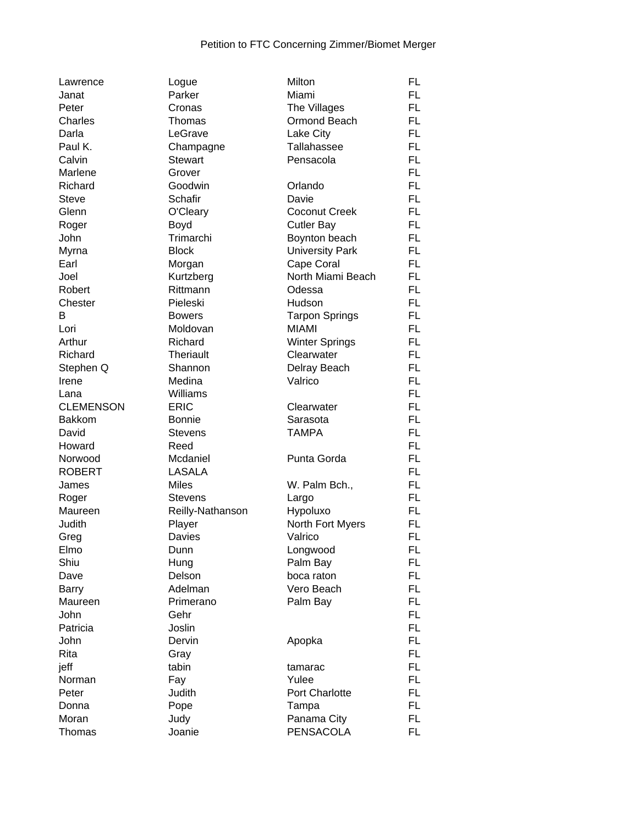| Lawrence           | Logue            | Milton                 | FL        |
|--------------------|------------------|------------------------|-----------|
| Janat              | Parker           | Miami                  | FL.       |
| Peter              | Cronas           | The Villages           | FL        |
| Charles            | Thomas           | Ormond Beach           | <b>FL</b> |
| Darla              | LeGrave          | Lake City              | <b>FL</b> |
| Paul K.            | Champagne        | Tallahassee            | <b>FL</b> |
| Calvin             | <b>Stewart</b>   | Pensacola              | <b>FL</b> |
| Marlene            | Grover           |                        | <b>FL</b> |
| Richard            | Goodwin          | Orlando                | <b>FL</b> |
| <b>Steve</b>       | <b>Schafir</b>   | Davie                  | <b>FL</b> |
| Glenn              | O'Cleary         | <b>Coconut Creek</b>   | <b>FL</b> |
| Roger              | Boyd             | <b>Cutler Bay</b>      | <b>FL</b> |
| John               | Trimarchi        | Boynton beach          | <b>FL</b> |
| Myrna              | <b>Block</b>     | <b>University Park</b> | <b>FL</b> |
| Earl               | Morgan           | Cape Coral             | <b>FL</b> |
| Joel               | Kurtzberg        | North Miami Beach      | FL.       |
| Robert             | Rittmann         | Odessa                 | <b>FL</b> |
| Chester            | Pieleski         | Hudson                 | <b>FL</b> |
| B                  | <b>Bowers</b>    | <b>Tarpon Springs</b>  | <b>FL</b> |
| Lori               | Moldovan         | <b>MIAMI</b>           | <b>FL</b> |
| Arthur             | Richard          | <b>Winter Springs</b>  | <b>FL</b> |
| Richard            | <b>Theriault</b> | Clearwater             | <b>FL</b> |
|                    | Shannon          | Delray Beach           | <b>FL</b> |
| Stephen Q<br>Irene | Medina           | Valrico                | <b>FL</b> |
|                    | Williams         |                        | <b>FL</b> |
| Lana               | <b>ERIC</b>      |                        | <b>FL</b> |
| <b>CLEMENSON</b>   |                  | Clearwater             |           |
| <b>Bakkom</b>      | <b>Bonnie</b>    | Sarasota               | <b>FL</b> |
| David              | Stevens          | <b>TAMPA</b>           | <b>FL</b> |
| Howard             | Reed             |                        | <b>FL</b> |
| Norwood            | Mcdaniel         | Punta Gorda            | <b>FL</b> |
| <b>ROBERT</b>      | <b>LASALA</b>    |                        | <b>FL</b> |
| James              | <b>Miles</b>     | W. Palm Bch.,          | <b>FL</b> |
| Roger              | Stevens          | Largo                  | <b>FL</b> |
| Maureen            | Reilly-Nathanson | Hypoluxo               | <b>FL</b> |
| Judith             | Player           | North Fort Myers       | <b>FL</b> |
| Greg               | Davies           | Valrico                | <b>FL</b> |
| Elmo               | Dunn             | Longwood               | <b>FL</b> |
| Shiu               | Hung             | Palm Bay               | <b>FL</b> |
| Dave               | Delson           | boca raton             | <b>FL</b> |
| Barry              | Adelman          | Vero Beach             | <b>FL</b> |
| Maureen            | Primerano        | Palm Bay               | <b>FL</b> |
| John               | Gehr             |                        | <b>FL</b> |
| Patricia           | Joslin           |                        | <b>FL</b> |
| John               | Dervin           | Apopka                 | FL        |
| Rita               | Gray             |                        | <b>FL</b> |
| jeff               | tabin            | tamarac                | <b>FL</b> |
| Norman             | Fay              | Yulee                  | <b>FL</b> |
| Peter              | Judith           | Port Charlotte         | <b>FL</b> |
| Donna              | Pope             | Tampa                  | <b>FL</b> |
| Moran              | Judy             | Panama City            | <b>FL</b> |
| Thomas             | Joanie           | <b>PENSACOLA</b>       | <b>FL</b> |
|                    |                  |                        |           |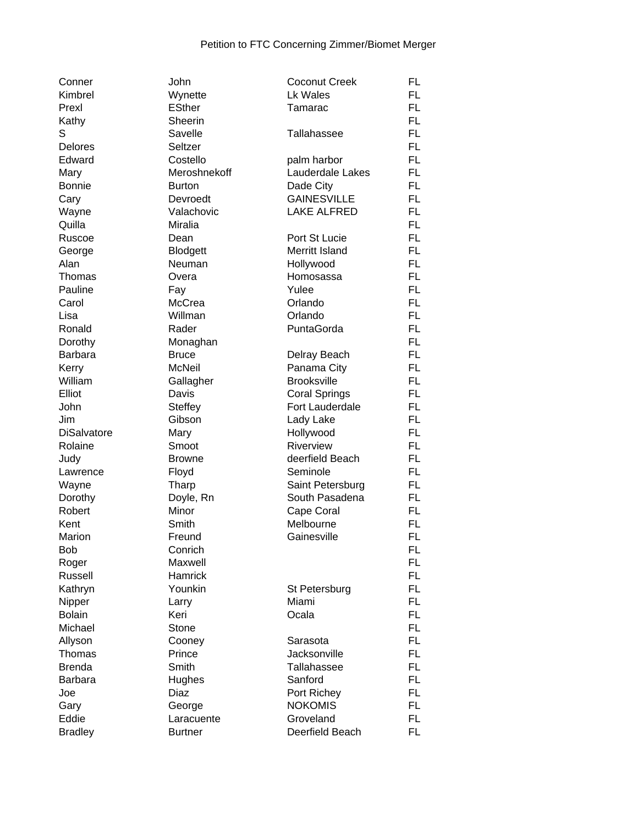| Conner             | John           | <b>Coconut Creek</b> | <b>FL</b> |
|--------------------|----------------|----------------------|-----------|
| Kimbrel            | Wynette        | Lk Wales             | FL.       |
| Prexl              | <b>ESther</b>  | Tamarac              | FL.       |
| Kathy              | Sheerin        |                      | FL.       |
| S                  | Savelle        | Tallahassee          | FL        |
| Delores            | Seltzer        |                      | <b>FL</b> |
| Edward             | Costello       | palm harbor          | <b>FL</b> |
| Mary               | Meroshnekoff   | Lauderdale Lakes     | <b>FL</b> |
| <b>Bonnie</b>      | <b>Burton</b>  | Dade City            | <b>FL</b> |
| Cary               | Devroedt       | <b>GAINESVILLE</b>   | <b>FL</b> |
| Wayne              | Valachovic     | <b>LAKE ALFRED</b>   | <b>FL</b> |
| Quilla             | Miralia        |                      | <b>FL</b> |
| Ruscoe             | Dean           | Port St Lucie        | <b>FL</b> |
| George             | Blodgett       | Merritt Island       | <b>FL</b> |
| Alan               | Neuman         | Hollywood            | FL.       |
| Thomas             | Overa          | Homosassa            | <b>FL</b> |
| Pauline            |                | Yulee                | FL.       |
| Carol              | Fay            | Orlando              | <b>FL</b> |
|                    | McCrea         | Orlando              |           |
| Lisa               | Willman        |                      | <b>FL</b> |
| Ronald             | Rader          | PuntaGorda           | <b>FL</b> |
| Dorothy            | Monaghan       |                      | <b>FL</b> |
| <b>Barbara</b>     | <b>Bruce</b>   | Delray Beach         | FL.       |
| Kerry              | <b>McNeil</b>  | Panama City          | <b>FL</b> |
| William            | Gallagher      | <b>Brooksville</b>   | <b>FL</b> |
| Elliot             | Davis          | <b>Coral Springs</b> | <b>FL</b> |
| John               | <b>Steffey</b> | Fort Lauderdale      | <b>FL</b> |
| Jim                | Gibson         | Lady Lake            | <b>FL</b> |
| <b>DiSalvatore</b> | Mary           | Hollywood            | FL.       |
| Rolaine            | Smoot          | Riverview            | FL.       |
| Judy               | <b>Browne</b>  | deerfield Beach      | FL.       |
| Lawrence           | Floyd          | Seminole             | <b>FL</b> |
| Wayne              | Tharp          | Saint Petersburg     | <b>FL</b> |
| Dorothy            | Doyle, Rn      | South Pasadena       | <b>FL</b> |
| Robert             | Minor          | Cape Coral           | <b>FL</b> |
| Kent               | Smith          | Melbourne            | <b>FL</b> |
| Marion             | Freund         | Gainesville          | <b>FL</b> |
| Bob                | Conrich        |                      | <b>FL</b> |
| Roger              | Maxwell        |                      | <b>FL</b> |
| Russell            | <b>Hamrick</b> |                      | FL        |
| Kathryn            | Younkin        | St Petersburg        | FL        |
| Nipper             | Larry          | Miami                | <b>FL</b> |
| <b>Bolain</b>      | Keri           | Ocala                | <b>FL</b> |
| Michael            | Stone          |                      | <b>FL</b> |
| Allyson            | Cooney         | Sarasota             | <b>FL</b> |
| Thomas             | Prince         | Jacksonville         | <b>FL</b> |
| <b>Brenda</b>      | Smith          | <b>Tallahassee</b>   | <b>FL</b> |
| <b>Barbara</b>     | Hughes         | Sanford              | <b>FL</b> |
| Joe                | Diaz           | Port Richey          | <b>FL</b> |
| Gary               | George         | <b>NOKOMIS</b>       | <b>FL</b> |
| Eddie              | Laracuente     | Groveland            | <b>FL</b> |
| <b>Bradley</b>     | <b>Burtner</b> | Deerfield Beach      | <b>FL</b> |
|                    |                |                      |           |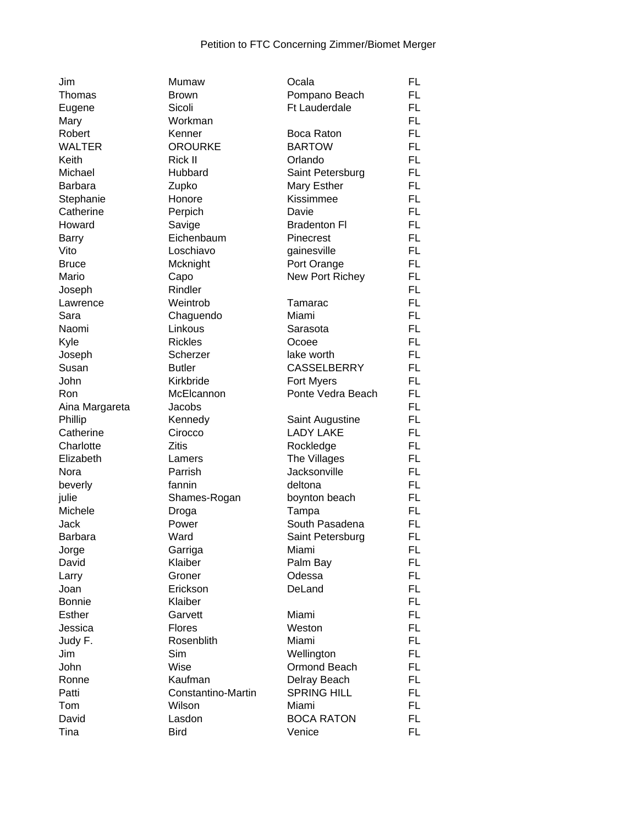| Jim            | Mumaw              | Ocala                | <b>FL</b> |
|----------------|--------------------|----------------------|-----------|
| Thomas         | <b>Brown</b>       | Pompano Beach        | FL.       |
| Eugene         | Sicoli             | <b>Ft Lauderdale</b> | FL.       |
| Mary           | Workman            |                      | FL.       |
| Robert         | Kenner             | Boca Raton           | <b>FL</b> |
| <b>WALTER</b>  | <b>OROURKE</b>     | <b>BARTOW</b>        | <b>FL</b> |
| Keith          | <b>Rick II</b>     | Orlando              | <b>FL</b> |
| Michael        | Hubbard            | Saint Petersburg     | <b>FL</b> |
| <b>Barbara</b> | Zupko              | Mary Esther          | <b>FL</b> |
| Stephanie      | Honore             | Kissimmee            | <b>FL</b> |
| Catherine      | Perpich            | Davie                | <b>FL</b> |
| Howard         | Savige             | <b>Bradenton Fl</b>  | <b>FL</b> |
| <b>Barry</b>   | Eichenbaum         | Pinecrest            | <b>FL</b> |
| Vito           | Loschiavo          | gainesville          | <b>FL</b> |
| <b>Bruce</b>   | Mcknight           | Port Orange          | <b>FL</b> |
| Mario          | Capo               | New Port Richey      | <b>FL</b> |
| Joseph         | Rindler            |                      | <b>FL</b> |
| Lawrence       | Weintrob           | Tamarac              | <b>FL</b> |
| Sara           | Chaguendo          | Miami                | <b>FL</b> |
| Naomi          | Linkous            | Sarasota             | <b>FL</b> |
| Kyle           | <b>Rickles</b>     | Ocoee                | <b>FL</b> |
| Joseph         | Scherzer           | lake worth           | <b>FL</b> |
| Susan          | <b>Butler</b>      | <b>CASSELBERRY</b>   | <b>FL</b> |
| John           | Kirkbride          | Fort Myers           | FL.       |
|                |                    |                      | <b>FL</b> |
| Ron            | McElcannon         | Ponte Vedra Beach    |           |
| Aina Margareta | Jacobs             |                      | <b>FL</b> |
| Phillip        | Kennedy            | Saint Augustine      | <b>FL</b> |
| Catherine      | Cirocco            | <b>LADY LAKE</b>     | FL.       |
| Charlotte      | <b>Zitis</b>       | Rockledge            | FL.       |
| Elizabeth      | Lamers             | The Villages         | <b>FL</b> |
| Nora           | Parrish            | Jacksonville         | <b>FL</b> |
| beverly        | fannin             | deltona              | <b>FL</b> |
| julie          | Shames-Rogan       | boynton beach        | <b>FL</b> |
| Michele        | Droga              | Tampa                | <b>FL</b> |
| Jack           | Power              | South Pasadena       | <b>FL</b> |
| <b>Barbara</b> | Ward               | Saint Petersburg     | <b>FL</b> |
| Jorge          | Garriga            | Miami                | FL        |
| David          | Klaiber            | Palm Bay             | <b>FL</b> |
| Larry          | Groner             | Odessa               | <b>FL</b> |
| Joan           | Erickson           | DeLand               | FL.       |
| <b>Bonnie</b>  | Klaiber            |                      | FL.       |
| <b>Esther</b>  | Garvett            | Miami                | FL.       |
| Jessica        | <b>Flores</b>      | Weston               | <b>FL</b> |
| Judy F.        | Rosenblith         | Miami                | <b>FL</b> |
| Jim            | Sim                | Wellington           | <b>FL</b> |
| John           | Wise               | Ormond Beach         | <b>FL</b> |
| Ronne          | Kaufman            | Delray Beach         | <b>FL</b> |
| Patti          | Constantino-Martin | <b>SPRING HILL</b>   | <b>FL</b> |
| Tom            | Wilson             | Miami                | FL.       |
| David          | Lasdon             | <b>BOCA RATON</b>    | FL        |
| Tina           | <b>Bird</b>        | Venice               | <b>FL</b> |
|                |                    |                      |           |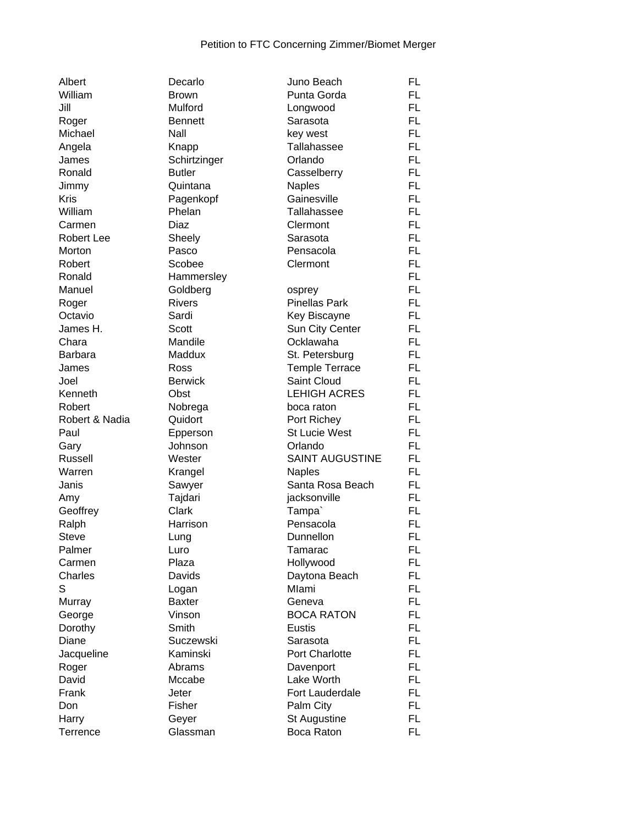| Albert            | Decarlo        | Juno Beach                     | FL        |
|-------------------|----------------|--------------------------------|-----------|
| William           | <b>Brown</b>   | Punta Gorda                    | FL        |
| Jill              | Mulford        | Longwood                       | FL        |
| Roger             | <b>Bennett</b> | Sarasota                       | <b>FL</b> |
| Michael           | Nall           | key west                       | <b>FL</b> |
| Angela            | Knapp          | Tallahassee                    | FL        |
| James             | Schirtzinger   | Orlando                        | FL        |
| Ronald            | <b>Butler</b>  | Casselberry                    | FL        |
| Jimmy             | Quintana       | <b>Naples</b>                  | FL        |
| <b>Kris</b>       | Pagenkopf      | Gainesville                    | FL        |
| William           | Phelan         | Tallahassee                    | FL        |
| Carmen            | Diaz           | Clermont                       | <b>FL</b> |
| <b>Robert Lee</b> | Sheely         | Sarasota                       | FL        |
| Morton            | Pasco          | Pensacola                      | FL        |
| Robert            | Scobee         | Clermont                       | FL        |
| Ronald            |                |                                | FL        |
| Manuel            | Hammersley     |                                | FL        |
|                   | Goldberg       | osprey<br><b>Pinellas Park</b> |           |
| Roger             | <b>Rivers</b>  |                                | FL        |
| Octavio           | Sardi          | Key Biscayne                   | FL        |
| James H.          | Scott          | Sun City Center                | FL        |
| Chara             | Mandile        | Ocklawaha                      | <b>FL</b> |
| <b>Barbara</b>    | Maddux         | St. Petersburg                 | FL        |
| James             | Ross           | <b>Temple Terrace</b>          | FL        |
| Joel              | <b>Berwick</b> | Saint Cloud                    | FL        |
| Kenneth           | Obst           | <b>LEHIGH ACRES</b>            | FL        |
| Robert            | Nobrega        | boca raton                     | FL        |
| Robert & Nadia    | Quidort        | Port Richey                    | FL        |
| Paul              | Epperson       | <b>St Lucie West</b>           | FL        |
| Gary              | Johnson        | Orlando                        | FL        |
| Russell           | Wester         | <b>SAINT AUGUSTINE</b>         | <b>FL</b> |
| Warren            | Krangel        | <b>Naples</b>                  | FL        |
| Janis             | Sawyer         | Santa Rosa Beach               | FL        |
| Amy               | Tajdari        | jacksonville                   | FL        |
| Geoffrey          | Clark          | Tampa`                         | FL        |
| Ralph             | Harrison       | Pensacola                      | FL        |
| <b>Steve</b>      | Lung           | Dunnellon                      | FL        |
| Palmer            | Luro           | Tamarac                        | FL        |
| Carmen            | Plaza          | Hollywood                      | FL        |
| Charles           | Davids         | Daytona Beach                  | FL        |
| S                 | Logan          | Mlami                          | FL        |
| Murray            | <b>Baxter</b>  | Geneva                         | FL        |
| George            | Vinson         | <b>BOCA RATON</b>              | FL        |
| Dorothy           | Smith          | <b>Eustis</b>                  | FL        |
| Diane             | Suczewski      | Sarasota                       | FL        |
| Jacqueline        | Kaminski       | Port Charlotte                 | FL        |
| Roger             | Abrams         | Davenport                      | FL        |
| David             | Mccabe         | Lake Worth                     | FL        |
| Frank             | Jeter          | Fort Lauderdale                | FL        |
|                   |                |                                |           |
| Don               | Fisher         | Palm City                      | FL        |
| Harry             | Geyer          | St Augustine                   | FL        |
| Terrence          | Glassman       | Boca Raton                     | <b>FL</b> |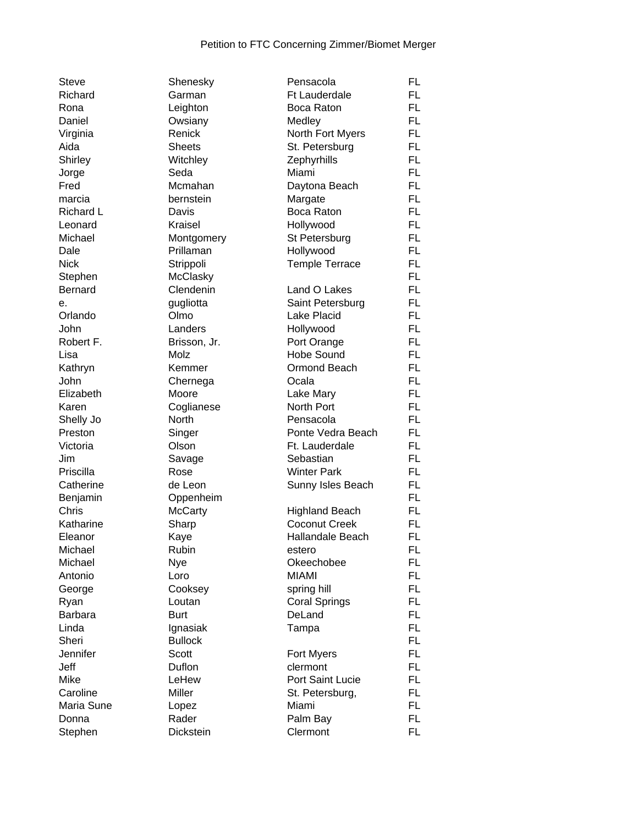| Steve          | Shenesky       | Pensacola             | FL        |
|----------------|----------------|-----------------------|-----------|
| Richard        | Garman         | <b>Ft Lauderdale</b>  | FL        |
| Rona           | Leighton       | Boca Raton            | FL        |
| Daniel         | Owsiany        | Medley                | FL        |
| Virginia       | Renick         | North Fort Myers      | FL        |
| Aida           | <b>Sheets</b>  | St. Petersburg        | FL        |
| Shirley        | Witchley       | Zephyrhills           | FL        |
| Jorge          | Seda           | Miami                 | FL        |
| Fred           | Mcmahan        | Daytona Beach         | FL        |
| marcia         | bernstein      | Margate               | <b>FL</b> |
| Richard L      | Davis          | Boca Raton            | FL        |
| Leonard        | Kraisel        | Hollywood             | <b>FL</b> |
| Michael        | Montgomery     | St Petersburg         | <b>FL</b> |
| Dale           | Prillaman      | Hollywood             | FL        |
| <b>Nick</b>    | Strippoli      | <b>Temple Terrace</b> | FL        |
| Stephen        | McClasky       |                       | FL        |
| <b>Bernard</b> | Clendenin      | Land O Lakes          | FL        |
| е.             | gugliotta      | Saint Petersburg      | FL        |
| Orlando        | Olmo           | Lake Placid           | FL        |
| John           | Landers        | Hollywood             | FL        |
| Robert F.      | Brisson, Jr.   | Port Orange           | FL        |
| Lisa           | Molz           | <b>Hobe Sound</b>     | FL        |
| Kathryn        | Kemmer         | Ormond Beach          | FL        |
| John           | Chernega       | Ocala                 | FL        |
| Elizabeth      | Moore          | Lake Mary             | <b>FL</b> |
| Karen          | Coglianese     | North Port            | FL        |
| Shelly Jo      | North          | Pensacola             | FL        |
| Preston        | Singer         | Ponte Vedra Beach     | FL        |
| Victoria       | Olson          | Ft. Lauderdale        | FL        |
| Jim            | Savage         | Sebastian             | FL        |
| Priscilla      | Rose           | <b>Winter Park</b>    | FL        |
| Catherine      | de Leon        | Sunny Isles Beach     | FL        |
| Benjamin       | Oppenheim      |                       | FL        |
| Chris          | <b>McCarty</b> | <b>Highland Beach</b> | FL        |
| Katharine      | Sharp          | <b>Coconut Creek</b>  | <b>FL</b> |
| Eleanor        | Kaye           | Hallandale Beach      | FL        |
| Michael        | Rubin          | estero                | FL        |
| Michael        | Nye            | Okeechobee            | <b>FL</b> |
| Antonio        | Loro           | <b>MIAMI</b>          | FL        |
| George         | Cooksey        | spring hill           | FL        |
| Ryan           | Loutan         | <b>Coral Springs</b>  | FL        |
| <b>Barbara</b> | <b>Burt</b>    | DeLand                | FL        |
| Linda          | Ignasiak       | Tampa                 | FL        |
| Sheri          | <b>Bullock</b> |                       | FL        |
| Jennifer       | <b>Scott</b>   | Fort Myers            | FL        |
| Jeff           | Duflon         | clermont              | FL        |
| Mike           | LeHew          | Port Saint Lucie      | FL        |
| Caroline       | Miller         | St. Petersburg,       | FL        |
| Maria Sune     | Lopez          | Miami                 | FL        |
| Donna          | Rader          | Palm Bay              | <b>FL</b> |
| Stephen        | Dickstein      | Clermont              | <b>FL</b> |
|                |                |                       |           |

| Pensacoia               | ᄔ         |
|-------------------------|-----------|
| Ft Lauderdale           | FL        |
| Boca Raton              | FL        |
| Medley                  | FL        |
| North Fort Myers        | FL        |
| St. Petersburg          | FL        |
| Zephyrhills             | FL.       |
| Miami                   | FL        |
| Daytona Beach           | <b>FL</b> |
|                         |           |
| Margate                 | FL        |
| <b>Boca Raton</b>       | FL        |
| Hollywood               | FL        |
| St Petersburg           | FL        |
| Hollywood               | FL        |
| Temple Terrace          | FL        |
|                         | FL        |
| Land O Lakes            | FL        |
| Saint Petersburg        | FL        |
| <b>Lake Placid</b>      | FL        |
| Hollywood               | FL        |
|                         | <b>FL</b> |
| Port Orange             |           |
| <b>Hobe Sound</b>       | <b>FL</b> |
| <b>Ormond Beach</b>     | <b>FL</b> |
| Ocala                   | FL        |
| Lake Mary               | FL        |
| <b>North Port</b>       | FL        |
| Pensacola               | FL        |
| Ponte Vedra Beach       | FL        |
| Ft. Lauderdale          | FL        |
| Sebastian               | FL        |
| <b>Winter Park</b>      | FL        |
| Sunny Isles Beach       | FL        |
|                         | FL        |
|                         |           |
| <b>Highland Beach</b>   | FL        |
| <b>Coconut Creek</b>    | FL        |
| Hallandale Beach        | FL        |
| estero                  | FL        |
| Okeechobee              | FL        |
| <b>MIAMI</b>            | FL        |
| spring hill             | FL        |
| <b>Coral Springs</b>    | FL        |
| DeLand                  | FL        |
| Tampa                   | FL        |
|                         | FL        |
| Fort Myers              | FL        |
| clermont                | FL        |
| <b>Port Saint Lucie</b> |           |
|                         | FL        |
| St. Petersburg,         | FL        |
| Miami                   | FL        |
| Palm Bay                | FL        |
| Clermont                | FL        |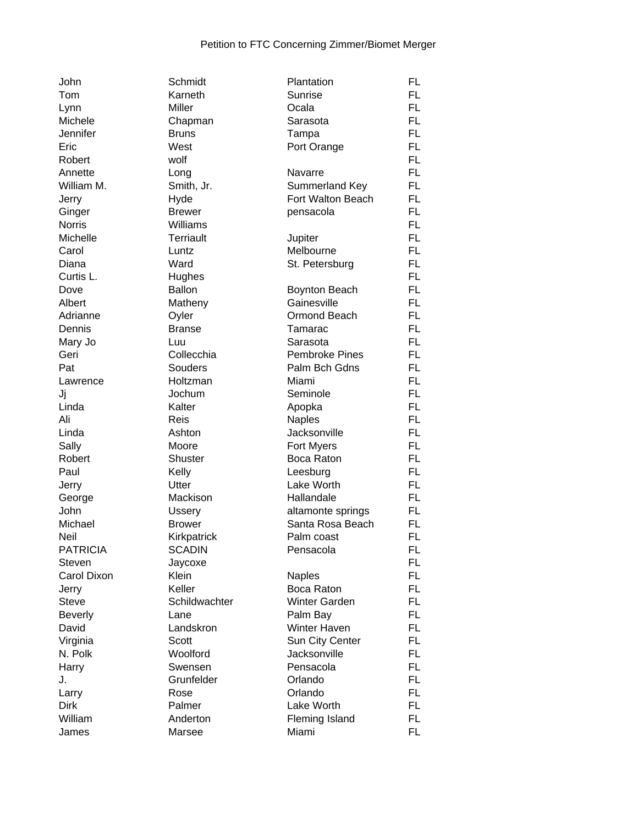| John            | Schmidt                 | Plantation            | FL        |
|-----------------|-------------------------|-----------------------|-----------|
| Tom             | Karneth                 | Sunrise               | FL.       |
| Lynn            | Miller                  | Ocala                 | FL.       |
| Michele         | Chapman                 | Sarasota              | FL.       |
| Jennifer        | <b>Bruns</b>            | Tampa                 | FL.       |
| Eric            | West                    | Port Orange           | FL.       |
| Robert          | wolf                    |                       | <b>FL</b> |
| Annette         | Long                    | Navarre               | FL.       |
| William M.      | Smith, Jr.              | Summerland Key        | FL.       |
| Jerry           | Hyde                    | Fort Walton Beach     | FL.       |
| Ginger          | <b>Brewer</b>           | pensacola             | FL.       |
| <b>Norris</b>   | Williams                |                       | FL.       |
| Michelle        | <b>Terriault</b>        | Jupiter               | FL.       |
| Carol           | Luntz                   | Melbourne             | FL.       |
| Diana           | Ward                    | St. Petersburg        | FL.       |
| Curtis L.       |                         |                       | FL.       |
| Dove            | Hughes<br><b>Ballon</b> |                       | FL.       |
|                 |                         | <b>Boynton Beach</b>  |           |
| Albert          | Matheny                 | Gainesville           | FL.       |
| Adrianne        | Oyler                   | Ormond Beach          | FL        |
| Dennis          | <b>Branse</b>           | Tamarac               | FL.       |
| Mary Jo         | Luu                     | Sarasota              | FL.       |
| Geri            | Collecchia              | <b>Pembroke Pines</b> | FL.       |
| Pat             | Souders                 | Palm Bch Gdns         | FL.       |
| Lawrence        | Holtzman                | Miami                 | FL.       |
| Jj              | Jochum                  | Seminole              | FL.       |
| Linda           | Kalter                  | Apopka                | FL.       |
| Ali             | Reis                    | <b>Naples</b>         | FL.       |
| Linda           | Ashton                  | Jacksonville          | FL.       |
| Sally           | Moore                   | Fort Myers            | FL.       |
| Robert          | <b>Shuster</b>          | Boca Raton            | FL.       |
| Paul            | Kelly                   | Leesburg              | FL.       |
| Jerry           | Utter                   | Lake Worth            | FL.       |
| George          | Mackison                | Hallandale            | FL.       |
| John            | <b>Ussery</b>           | altamonte springs     | FL        |
| Michael         | <b>Brower</b>           | Santa Rosa Beach      | FL.       |
| Neil            | Kirkpatrick             | Palm coast            | <b>FL</b> |
| <b>PATRICIA</b> | <b>SCADIN</b>           | Pensacola             | FL        |
| Steven          | Jaycoxe                 |                       | FL.       |
| Carol Dixon     | Klein                   | <b>Naples</b>         | FL.       |
| Jerry           | Keller                  | Boca Raton            | FL.       |
| <b>Steve</b>    | Schildwachter           | <b>Winter Garden</b>  | FL.       |
| <b>Beverly</b>  | Lane                    | Palm Bay              | FL.       |
| David           | Landskron               | Winter Haven          | FL.       |
| Virginia        | Scott                   | Sun City Center       | FL.       |
| N. Polk         | Woolford                | Jacksonville          | FL.       |
| Harry           | Swensen                 | Pensacola             | FL.       |
| J.              | Grunfelder              | Orlando               | FL.       |
| Larry           | Rose                    | Orlando               | FL.       |
| <b>Dirk</b>     | Palmer                  | Lake Worth            | FL.       |
| William         |                         |                       |           |
|                 | Anderton                | Fleming Island        | FL.       |
| James           | Marsee                  | Miami                 | FL.       |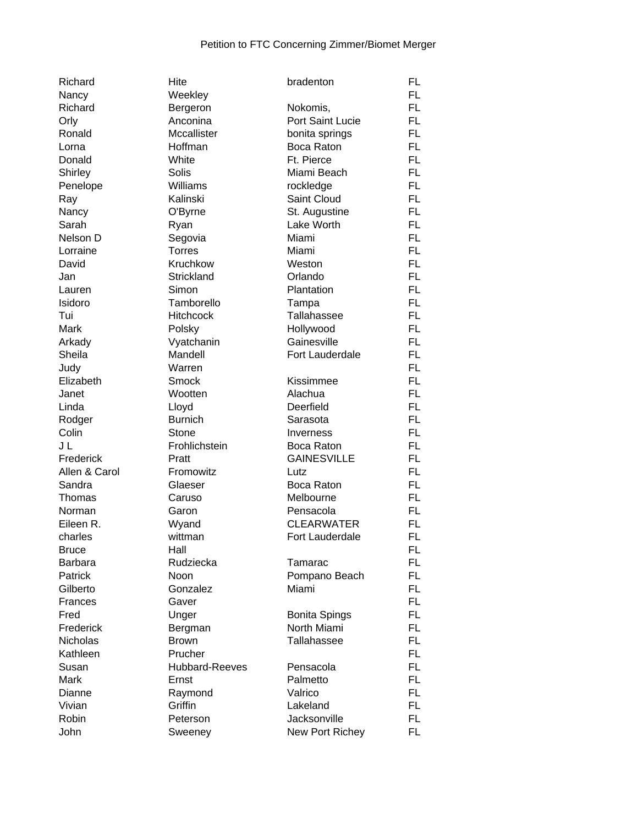| Richard        | Hite                 | bradenton                | <b>FL</b> |
|----------------|----------------------|--------------------------|-----------|
| Nancy          | Weekley              |                          | FL.       |
| Richard        | Bergeron             | Nokomis,                 | FL.       |
| Orly           | Anconina             | Port Saint Lucie         | FL.       |
| Ronald         | Mccallister          | bonita springs           | <b>FL</b> |
| Lorna          | Hoffman              | Boca Raton               | FL.       |
| Donald         | White                | Ft. Pierce               | <b>FL</b> |
| Shirley        | Solis                | Miami Beach              | FL.       |
| Penelope       | Williams             | rockledge                | <b>FL</b> |
| Ray            | Kalinski             | Saint Cloud              | <b>FL</b> |
| Nancy          | O'Byrne              | St. Augustine            | <b>FL</b> |
| Sarah          | Ryan                 | Lake Worth               | <b>FL</b> |
| Nelson D       | Segovia              | Miami                    | <b>FL</b> |
| Lorraine       | <b>Torres</b>        | Miami                    | FL        |
| David          | Kruchkow             | Weston                   | FL.       |
| Jan            | Strickland           | Orlando                  | FL.       |
| Lauren         | Simon                | Plantation               | FL.       |
| Isidoro        | Tamborello           |                          | <b>FL</b> |
| Tui            | <b>Hitchcock</b>     | Tampa<br>Tallahassee     | <b>FL</b> |
| Mark           |                      |                          | <b>FL</b> |
| Arkady         | Polsky<br>Vyatchanin | Hollywood<br>Gainesville | <b>FL</b> |
| Sheila         | Mandell              | Fort Lauderdale          | <b>FL</b> |
| Judy           | Warren               |                          | FL.       |
| Elizabeth      | Smock                | Kissimmee                | <b>FL</b> |
| Janet          | Wootten              | Alachua                  | <b>FL</b> |
| Linda          | Lloyd                | Deerfield                | <b>FL</b> |
| Rodger         | <b>Burnich</b>       | Sarasota                 | FL.       |
| Colin          | Stone                | Inverness                | FL.       |
| J L            | Frohlichstein        | Boca Raton               | FL.       |
| Frederick      | Pratt                | <b>GAINESVILLE</b>       | <b>FL</b> |
| Allen & Carol  | Fromowitz            | Lutz                     | <b>FL</b> |
| Sandra         | Glaeser              | Boca Raton               | <b>FL</b> |
| Thomas         | Caruso               | Melbourne                | FL.       |
| Norman         | Garon                | Pensacola                | <b>FL</b> |
| Eileen R.      | Wyand                | <b>CLEARWATER</b>        | <b>FL</b> |
| charles        | wittman              | Fort Lauderdale          | FL        |
| <b>Bruce</b>   | Hall                 |                          | FL        |
| <b>Barbara</b> | Rudziecka            | Tamarac                  | <b>FL</b> |
| Patrick        | Noon                 | Pompano Beach            | FL.       |
| Gilberto       | Gonzalez             | Miami                    | FL.       |
| Frances        | Gaver                |                          | FL.       |
| Fred           | Unger                | <b>Bonita Spings</b>     | FL.       |
| Frederick      | Bergman              | North Miami              | <b>FL</b> |
| Nicholas       | <b>Brown</b>         | <b>Tallahassee</b>       | <b>FL</b> |
| Kathleen       | Prucher              |                          | <b>FL</b> |
| Susan          | Hubbard-Reeves       | Pensacola                | <b>FL</b> |
| Mark           | Ernst                | Palmetto                 | FL.       |
| Dianne         | Raymond              | Valrico                  | FL.       |
| Vivian         | Griffin              | Lakeland                 | FL.       |
| Robin          | Peterson             | Jacksonville             | FL.       |
| John           | Sweeney              | New Port Richey          | <b>FL</b> |
|                |                      |                          |           |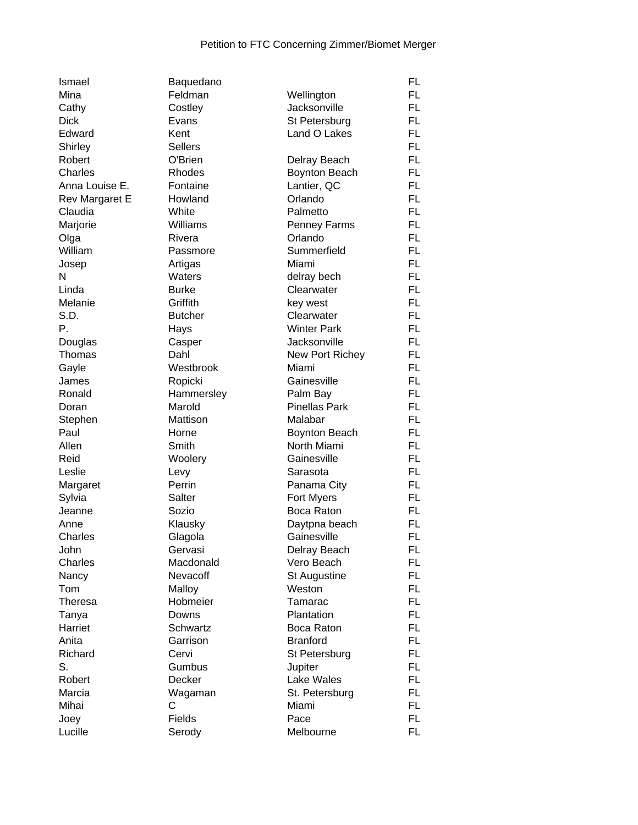| Ismael                | Baquedano      |                      | FL        |
|-----------------------|----------------|----------------------|-----------|
| Mina                  | Feldman        | Wellington           | FL.       |
| Cathy                 | Costley        | Jacksonville         | FL        |
| <b>Dick</b>           | Evans          | St Petersburg        | FL.       |
| Edward                | Kent           | Land O Lakes         | FL.       |
| Shirley               | <b>Sellers</b> |                      | <b>FL</b> |
| Robert                | O'Brien        | Delray Beach         | <b>FL</b> |
| Charles               | Rhodes         | Boynton Beach        | <b>FL</b> |
| Anna Louise E.        | Fontaine       | Lantier, QC          | FL.       |
| <b>Rev Margaret E</b> | Howland        | Orlando              | <b>FL</b> |
| Claudia               | White          | Palmetto             | FL.       |
| Marjorie              | Williams       | Penney Farms         | <b>FL</b> |
| Olga                  | Rivera         | Orlando              | <b>FL</b> |
| William               | Passmore       | Summerfield          | FL.       |
| Josep                 | Artigas        | Miami                | FL.       |
| N                     | Waters         | delray bech          | FL.       |
| Linda                 | <b>Burke</b>   | Clearwater           | <b>FL</b> |
| Melanie               | Griffith       | key west             | <b>FL</b> |
| S.D.                  | <b>Butcher</b> | Clearwater           | <b>FL</b> |
| Ρ.                    | Hays           | <b>Winter Park</b>   | <b>FL</b> |
| Douglas               | Casper         | Jacksonville         | FL.       |
| Thomas                | Dahl           | New Port Richey      | <b>FL</b> |
| Gayle                 | Westbrook      | Miami                | <b>FL</b> |
| James                 | Ropicki        | Gainesville          | FL.       |
| Ronald                | Hammersley     | Palm Bay             | <b>FL</b> |
| Doran                 | Marold         | <b>Pinellas Park</b> | <b>FL</b> |
| Stephen               | Mattison       | Malabar              | FL.       |
| Paul                  | Horne          | <b>Boynton Beach</b> | FL        |
| Allen                 | Smith          | North Miami          | FL.       |
| Reid                  | Woolery        | Gainesville          | FL.       |
| Leslie                | Levy           | Sarasota             | <b>FL</b> |
| Margaret              | Perrin         | Panama City          | <b>FL</b> |
| Sylvia                | Salter         | Fort Myers           | <b>FL</b> |
| Jeanne                | Sozio          | Boca Raton           | FL        |
| Anne                  | Klausky        | Daytpna beach        | <b>FL</b> |
| Charles               | Glagola        | Gainesville          | <b>FL</b> |
| John                  | Gervasi        | Delray Beach         | FL        |
| Charles               | Macdonald      | Vero Beach           | <b>FL</b> |
| Nancy                 | Nevacoff       | St Augustine         | FL.       |
| Tom                   | Malloy         | Weston               | FL        |
| Theresa               | Hobmeier       | Tamarac              | FL.       |
| Tanya                 | Downs          | Plantation           | FL.       |
| Harriet               | Schwartz       | Boca Raton           | <b>FL</b> |
| Anita                 | Garrison       | <b>Branford</b>      | FL        |
| Richard               | Cervi          | St Petersburg        | <b>FL</b> |
| S.                    | Gumbus         | Jupiter              | <b>FL</b> |
| Robert                | Decker         | Lake Wales           | <b>FL</b> |
| Marcia                | Wagaman        | St. Petersburg       | <b>FL</b> |
| Mihai                 | С              | Miami                | FL.       |
| Joey                  | Fields         | Pace                 | FL.       |
| Lucille               | Serody         | Melbourne            | <b>FL</b> |
|                       |                |                      |           |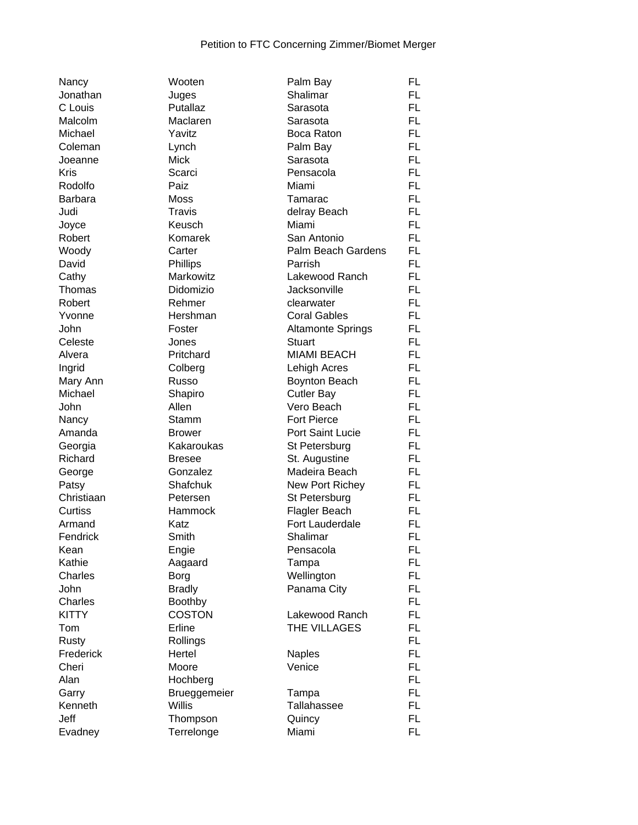| Nancy           |
|-----------------|
| Jonathan        |
| C Louis         |
| Malcolm         |
| Michael         |
| Coleman         |
| Joeanne         |
| Kris            |
| Rodolfo         |
| Barbara         |
| Judi            |
| Joyce           |
| Robert          |
| Woody           |
| David           |
|                 |
| Cathy           |
| Thomas          |
| Robert          |
| Yvonne          |
| John            |
| Celeste         |
| Alvera          |
| Ingrid          |
| Mary Ann        |
| Michael         |
| John            |
| Nancy           |
| Amanda          |
| Georgia         |
| Richard         |
| George          |
| Patsy           |
| Christiaan      |
| Curtiss         |
| Armand          |
| Fendrick        |
| Kean            |
| Kathie          |
| Charles         |
| John            |
| Charles         |
| KITTY           |
|                 |
| Tom             |
| Rusty           |
| Frederick       |
| Cheri           |
| Alan            |
|                 |
| Garry           |
| Kenneth<br>Jeff |

| Nancy        | Wooten        | Palm Bay                 | FL        |
|--------------|---------------|--------------------------|-----------|
| Jonathan     | Juges         | Shalimar                 | FL.       |
| C Louis      | Putallaz      | Sarasota                 | <b>FL</b> |
| Malcolm      | Maclaren      | Sarasota                 | FL        |
| Michael      | Yavitz        | Boca Raton               | FL        |
| Coleman      | Lynch         | Palm Bay                 | FL        |
| Joeanne      | Mick          | Sarasota                 | <b>FL</b> |
| <b>Kris</b>  | Scarci        | Pensacola                | FL.       |
| Rodolfo      | Paiz          | Miami                    | FL        |
| Barbara      | Moss          | Tamarac                  | FL        |
| Judi         | <b>Travis</b> | delray Beach             | FL        |
| Joyce        | Keusch        | Miami                    | FL        |
| Robert       | Komarek       | San Antonio              | FL        |
| Woody        | Carter        | Palm Beach Gardens       | <b>FL</b> |
| David        | Phillips      | Parrish                  | <b>FL</b> |
| Cathy        | Markowitz     | Lakewood Ranch           | FL        |
| Thomas       | Didomizio     | Jacksonville             | FL        |
|              |               |                          |           |
| Robert       | Rehmer        | clearwater               | FL        |
| Yvonne       | Hershman      | <b>Coral Gables</b>      | FL        |
| John         | Foster        | <b>Altamonte Springs</b> | FL        |
| Celeste      | Jones         | <b>Stuart</b>            | <b>FL</b> |
| Alvera       | Pritchard     | <b>MIAMI BEACH</b>       | FL        |
| Ingrid       | Colberg       | Lehigh Acres             | FL.       |
| Mary Ann     | Russo         | <b>Boynton Beach</b>     | FL        |
| Michael      | Shapiro       | <b>Cutler Bay</b>        | FL        |
| John         | Allen         | Vero Beach               | FL        |
| Nancy        | Stamm         | <b>Fort Pierce</b>       | FL        |
| Amanda       | <b>Brower</b> | Port Saint Lucie         | FL        |
| Georgia      | Kakaroukas    | St Petersburg            | FL        |
| Richard      | <b>Bresee</b> | St. Augustine            | FL        |
| George       | Gonzalez      | Madeira Beach            | FL        |
| Patsy        | Shafchuk      | New Port Richey          | FL        |
| Christiaan   | Petersen      | St Petersburg            | FL        |
| Curtiss      | Hammock       | Flagler Beach            | FL        |
| Armand       | Katz          | Fort Lauderdale          | FL        |
| Fendrick     | Smith         | Shalimar                 | FL.       |
| Kean         | Engie         | Pensacola                | FL        |
| Kathie       | Aagaard       | Tampa                    | FL.       |
| Charles      | Borg          | Wellington               | <b>FL</b> |
| John         | <b>Bradly</b> | Panama City              | <b>FL</b> |
| Charles      | Boothby       |                          | FL.       |
| <b>KITTY</b> | <b>COSTON</b> | Lakewood Ranch           | FL        |
| Tom          | Erline        | THE VILLAGES             | FL.       |
| Rusty        | Rollings      |                          | FL.       |
| Frederick    | Hertel        | <b>Naples</b>            | FL.       |
| Cheri        | Moore         | Venice                   | FL.       |
| Alan         | Hochberg      |                          | FL.       |
| Garry        | Brueggemeier  | Tampa                    | FL        |
| Kenneth      | <b>Willis</b> | Tallahassee              | FL        |
| Jeff         | Thompson      | Quincy                   | FL.       |
| Evadney      | Terrelonge    | Miami                    | FL.       |
|              |               |                          |           |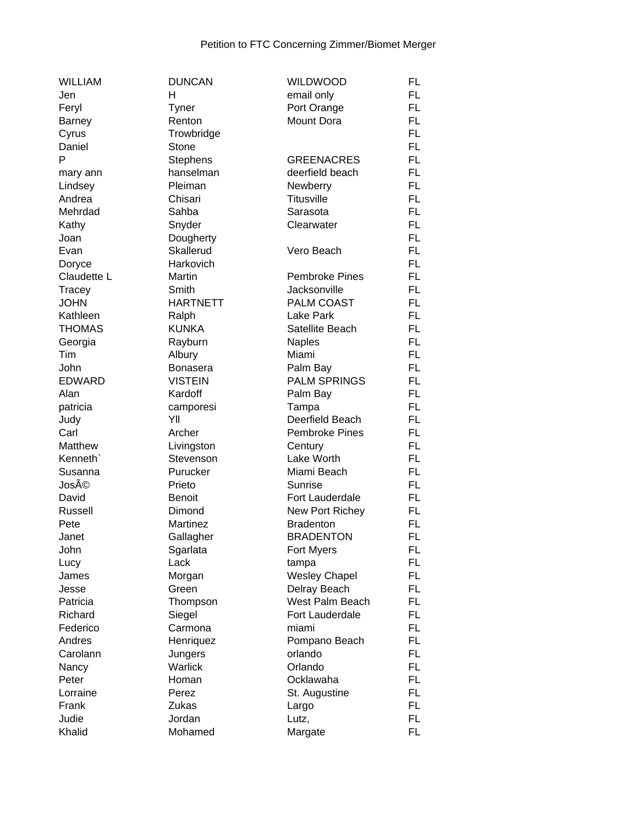| <b>WILLIAM</b> | <b>DUNCAN</b>   | <b>WILDWOOD</b>       | FL        |
|----------------|-----------------|-----------------------|-----------|
| Jen            | H               | email only            | FL.       |
| Feryl          | <b>Tyner</b>    | Port Orange           | FL.       |
| Barney         | Renton          | Mount Dora            | FL.       |
| Cyrus          | Trowbridge      |                       | FL.       |
| Daniel         | Stone           |                       | <b>FL</b> |
| P              | <b>Stephens</b> | <b>GREENACRES</b>     | <b>FL</b> |
| mary ann       | hanselman       | deerfield beach       | <b>FL</b> |
| Lindsey        | Pleiman         | Newberry              | <b>FL</b> |
| Andrea         | Chisari         | Titusville            | FL.       |
| Mehrdad        | Sahba           | Sarasota              | <b>FL</b> |
| Kathy          | Snyder          | Clearwater            | <b>FL</b> |
| Joan           | Dougherty       |                       | <b>FL</b> |
| Evan           | Skallerud       | Vero Beach            | FL.       |
| Doryce         | Harkovich       |                       | FL.       |
| Claudette L    | Martin          | <b>Pembroke Pines</b> | FL.       |
|                | Smith           | Jacksonville          | FL.       |
| Tracey         |                 |                       |           |
| <b>JOHN</b>    | <b>HARTNETT</b> | <b>PALM COAST</b>     | FL.       |
| Kathleen       | Ralph           | Lake Park             | <b>FL</b> |
| <b>THOMAS</b>  | <b>KUNKA</b>    | Satellite Beach       | <b>FL</b> |
| Georgia        | Rayburn         | <b>Naples</b>         | FL.       |
| <b>Tim</b>     | Albury          | Miami                 | FL.       |
| John           | <b>Bonasera</b> | Palm Bay              | <b>FL</b> |
| <b>EDWARD</b>  | <b>VISTEIN</b>  | <b>PALM SPRINGS</b>   | FL.       |
| Alan           | Kardoff         | Palm Bay              | <b>FL</b> |
| patricia       | camporesi       | Tampa                 | FL.       |
| Judy           | YII             | Deerfield Beach       | FL.       |
| Carl           | Archer          | <b>Pembroke Pines</b> | FL.       |
| Matthew        | Livingston      | Century               | FL.       |
| Kenneth'       | Stevenson       | Lake Worth            | FL.       |
| Susanna        | Purucker        | Miami Beach           | FL.       |
| José           | Prieto          | <b>Sunrise</b>        | <b>FL</b> |
| David          | <b>Benoit</b>   | Fort Lauderdale       | FL.       |
| Russell        | Dimond          | New Port Richey       | FL        |
| Pete           | Martinez        | <b>Bradenton</b>      | <b>FL</b> |
| Janet          | Gallagher       | <b>BRADENTON</b>      | <b>FL</b> |
| John           | Sgarlata        | Fort Myers            | FL        |
| Lucy           | Lack            | tampa                 | FL        |
| James          | Morgan          | <b>Wesley Chapel</b>  | FL.       |
| Jesse          | Green           | Delray Beach          | FL        |
| Patricia       | Thompson        | West Palm Beach       | FL.       |
| Richard        | Siegel          | Fort Lauderdale       | FL.       |
| Federico       | Carmona         | miami                 | FL.       |
| Andres         | Henriquez       | Pompano Beach         | FL        |
| Carolann       | Jungers         | orlando               | <b>FL</b> |
| Nancy          | Warlick         | Orlando               | FL.       |
| Peter          | Homan           | Ocklawaha             | FL        |
| Lorraine       | Perez           | St. Augustine         | <b>FL</b> |
| Frank          | <b>Zukas</b>    | Largo                 | FL.       |
| Judie          | Jordan          | Lutz,                 | FL.       |
| Khalid         | Mohamed         | Margate               | FL.       |
|                |                 |                       |           |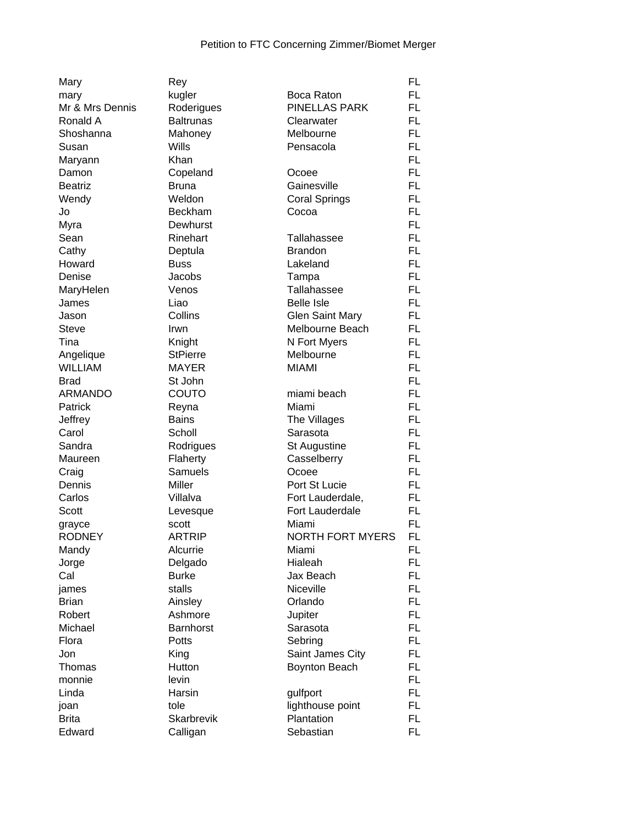| Mary            | Rey               |                         | <b>FL</b> |
|-----------------|-------------------|-------------------------|-----------|
| mary            | kugler            | Boca Raton              | FL        |
| Mr & Mrs Dennis | Roderigues        | PINELLAS PARK           | FL        |
| Ronald A        | <b>Baltrunas</b>  | Clearwater              | <b>FL</b> |
| Shoshanna       | Mahoney           | Melbourne               | <b>FL</b> |
| Susan           | Wills             | Pensacola               | <b>FL</b> |
| Maryann         | Khan              |                         | <b>FL</b> |
| Damon           | Copeland          | Ocoee                   | <b>FL</b> |
| <b>Beatriz</b>  | <b>Bruna</b>      | Gainesville             | <b>FL</b> |
| Wendy           | Weldon            | <b>Coral Springs</b>    | <b>FL</b> |
| Jo              | <b>Beckham</b>    | Cocoa                   | <b>FL</b> |
| Myra            | Dewhurst          |                         | <b>FL</b> |
| Sean            | Rinehart          | Tallahassee             | <b>FL</b> |
| Cathy           | Deptula           | <b>Brandon</b>          | <b>FL</b> |
| Howard          | <b>Buss</b>       | Lakeland                | FL.       |
| Denise          | Jacobs            | Tampa                   | <b>FL</b> |
| MaryHelen       | Venos             | Tallahassee             | FL.       |
| James           | Liao              | <b>Belle Isle</b>       | FL        |
| Jason           | Collins           | <b>Glen Saint Mary</b>  | <b>FL</b> |
| <b>Steve</b>    | Irwn              | Melbourne Beach         | FL        |
| Tina            | Knight            | N Fort Myers            | <b>FL</b> |
| Angelique       | <b>StPierre</b>   | Melbourne               | <b>FL</b> |
| <b>WILLIAM</b>  | <b>MAYER</b>      | <b>MIAMI</b>            | FL.       |
| <b>Brad</b>     | St John           |                         | <b>FL</b> |
| <b>ARMANDO</b>  | COUTO             | miami beach             | <b>FL</b> |
| Patrick         | Reyna             | Miami                   | <b>FL</b> |
| Jeffrey         | <b>Bains</b>      | The Villages            | FL.       |
| Carol           | Scholl            | Sarasota                | FL.       |
| Sandra          | Rodrigues         | <b>St Augustine</b>     | <b>FL</b> |
| Maureen         | Flaherty          | Casselberry             | <b>FL</b> |
| Craig           | Samuels           | Ocoee                   | <b>FL</b> |
| Dennis          | Miller            | Port St Lucie           | <b>FL</b> |
| Carlos          | Villalva          | Fort Lauderdale,        | <b>FL</b> |
| Scott           | Levesque          | Fort Lauderdale         | <b>FL</b> |
| grayce          | scott             | Miami                   | <b>FL</b> |
| <b>RODNEY</b>   | <b>ARTRIP</b>     | <b>NORTH FORT MYERS</b> | <b>FL</b> |
| Mandy           | Alcurrie          | Miami                   | FL        |
| Jorge           | Delgado           | Hialeah                 | <b>FL</b> |
| Cal             | <b>Burke</b>      | Jax Beach               | FL.       |
| james           | stalls            | Niceville               | FL.       |
| <b>Brian</b>    | Ainsley           | Orlando                 | FL.       |
| Robert          | Ashmore           | Jupiter                 | FL.       |
| Michael         | <b>Barnhorst</b>  | Sarasota                | <b>FL</b> |
| Flora           | Potts             | Sebring                 | <b>FL</b> |
| Jon             | King              | Saint James City        | <b>FL</b> |
| Thomas          | Hutton            | <b>Boynton Beach</b>    | <b>FL</b> |
| monnie          | levin             |                         | <b>FL</b> |
| Linda           | Harsin            | gulfport                | FL.       |
| joan            | tole              | lighthouse point        | FL.       |
| <b>Brita</b>    | <b>Skarbrevik</b> | Plantation              | FL.       |
| Edward          | Calligan          | Sebastian               | FL.       |
|                 |                   |                         |           |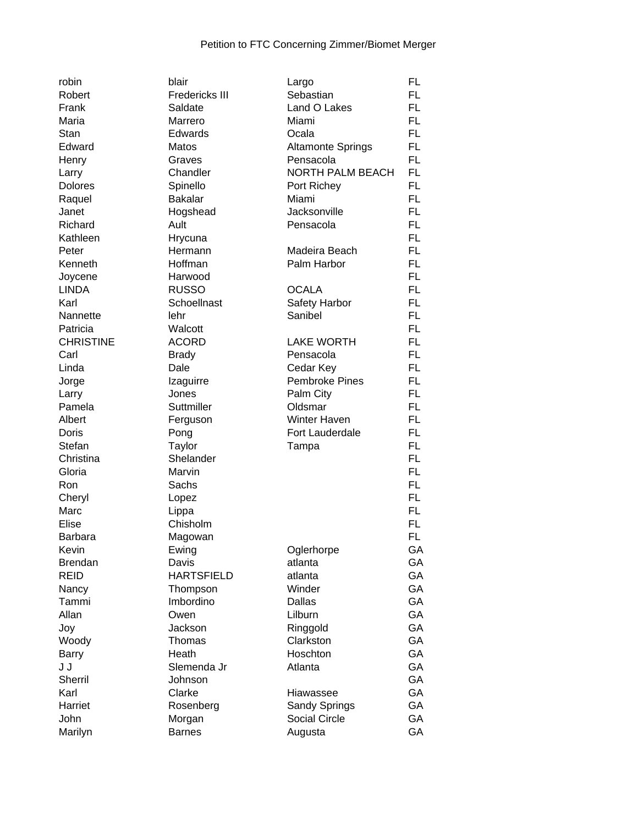| robin            | blair                 | Largo                    | <b>FL</b> |
|------------------|-----------------------|--------------------------|-----------|
| Robert           | <b>Fredericks III</b> | Sebastian                | <b>FL</b> |
| Frank            | Saldate               | Land O Lakes             | <b>FL</b> |
| Maria            | Marrero               | Miami                    | <b>FL</b> |
| Stan             | Edwards               | Ocala                    | <b>FL</b> |
| Edward           | Matos                 | <b>Altamonte Springs</b> | <b>FL</b> |
| Henry            | Graves                | Pensacola                | <b>FL</b> |
| Larry            | Chandler              | <b>NORTH PALM BEACH</b>  | <b>FL</b> |
| <b>Dolores</b>   | Spinello              | Port Richey              | <b>FL</b> |
| Raquel           | <b>Bakalar</b>        | Miami                    | <b>FL</b> |
| Janet            | Hogshead              | Jacksonville             | <b>FL</b> |
| Richard          | Ault                  | Pensacola                | <b>FL</b> |
| Kathleen         | Hrycuna               |                          | <b>FL</b> |
| Peter            | Hermann               | Madeira Beach            | <b>FL</b> |
| Kenneth          | Hoffman               | Palm Harbor              | <b>FL</b> |
| Joycene          | Harwood               |                          | <b>FL</b> |
| <b>LINDA</b>     | <b>RUSSO</b>          | <b>OCALA</b>             | <b>FL</b> |
| Karl             | Schoellnast           | Safety Harbor            | <b>FL</b> |
| Nannette         | lehr                  | Sanibel                  | <b>FL</b> |
| Patricia         | Walcott               |                          | <b>FL</b> |
| <b>CHRISTINE</b> | <b>ACORD</b>          | <b>LAKE WORTH</b>        | <b>FL</b> |
| Carl             | <b>Brady</b>          | Pensacola                | <b>FL</b> |
| Linda            | Dale                  |                          | <b>FL</b> |
|                  |                       | Cedar Key                | <b>FL</b> |
| Jorge            | Izaguirre             | <b>Pembroke Pines</b>    |           |
| Larry            | Jones                 | Palm City                | <b>FL</b> |
| Pamela           | Suttmiller            | Oldsmar                  | <b>FL</b> |
| Albert           | Ferguson              | Winter Haven             | <b>FL</b> |
| Doris            | Pong                  | Fort Lauderdale          | <b>FL</b> |
| Stefan           | Taylor                | Tampa                    | <b>FL</b> |
| Christina        | Shelander             |                          | <b>FL</b> |
| Gloria           | Marvin                |                          | <b>FL</b> |
| Ron              | Sachs                 |                          | <b>FL</b> |
| Cheryl           | Lopez                 |                          | <b>FL</b> |
| Marc             | Lippa                 |                          | <b>FL</b> |
| Elise            | Chisholm              |                          | <b>FL</b> |
| <b>Barbara</b>   | Magowan               |                          | <b>FL</b> |
| Kevin            | Ewing                 | Oglerhorpe               | GA        |
| <b>Brendan</b>   | Davis                 | atlanta                  | GA        |
| <b>REID</b>      | <b>HARTSFIELD</b>     | atlanta                  | GA        |
| Nancy            | Thompson              | Winder                   | GA        |
| Tammi            | Imbordino             | Dallas                   | GA        |
| Allan            | Owen                  | Lilburn                  | GA        |
| Joy              | Jackson               | Ringgold                 | GA        |
| Woody            | Thomas                | Clarkston                | GA        |
| <b>Barry</b>     | Heath                 | Hoschton                 | GA        |
| J J              | Slemenda Jr           | Atlanta                  | GA        |
| Sherril          | Johnson               |                          | GA        |
| Karl             | Clarke                | Hiawassee                | GA        |
| Harriet          | Rosenberg             | Sandy Springs            | GA        |
| John             | Morgan                | <b>Social Circle</b>     | GA        |
| Marilyn          | <b>Barnes</b>         | Augusta                  | GA        |
|                  |                       |                          |           |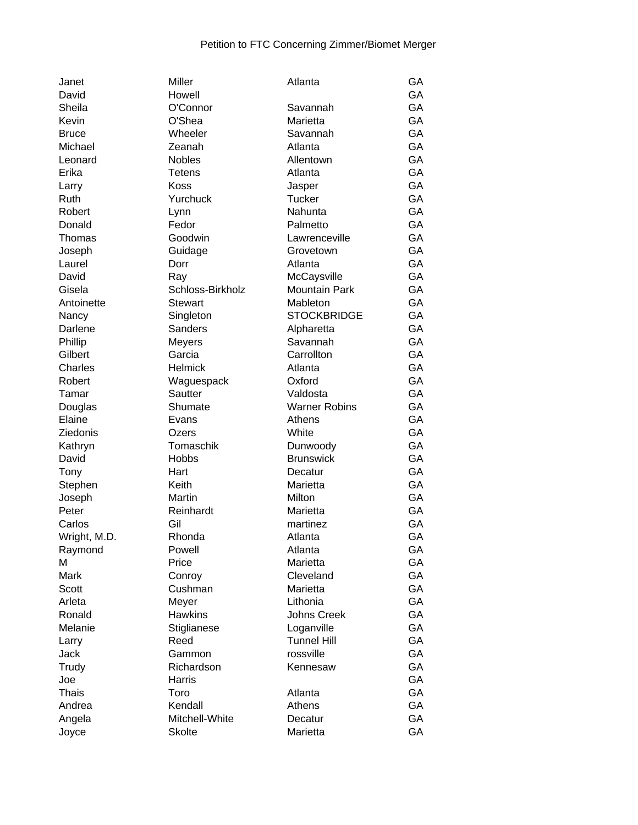| Janet        | Miller           | Atlanta              | GA |
|--------------|------------------|----------------------|----|
| David        | Howell           |                      | GA |
| Sheila       | O'Connor         | Savannah             | GA |
| Kevin        | O'Shea           | Marietta             | GA |
| <b>Bruce</b> | Wheeler          | Savannah             | GA |
| Michael      | Zeanah           | Atlanta              | GA |
| Leonard      | <b>Nobles</b>    | Allentown            | GA |
| Erika        | <b>Tetens</b>    | Atlanta              | GA |
| Larry        | Koss             | Jasper               | GA |
| Ruth         | Yurchuck         | Tucker               | GA |
| Robert       | Lynn             | Nahunta              | GA |
| Donald       | Fedor            | Palmetto             | GA |
| Thomas       | Goodwin          | Lawrenceville        | GA |
| Joseph       | Guidage          | Grovetown            | GA |
| Laurel       | Dorr             | Atlanta              | GA |
| David        | Ray              | McCaysville          | GA |
| Gisela       | Schloss-Birkholz | <b>Mountain Park</b> | GA |
| Antoinette   | <b>Stewart</b>   | Mableton             | GA |
| Nancy        | Singleton        | <b>STOCKBRIDGE</b>   | GA |
| Darlene      | <b>Sanders</b>   | Alpharetta           | GA |
| Phillip      | <b>Meyers</b>    | Savannah             | GA |
| Gilbert      | Garcia           | Carrollton           | GA |
| Charles      | <b>Helmick</b>   | Atlanta              | GA |
|              |                  | Oxford               | GA |
| Robert       | Waguespack       |                      |    |
| Tamar        | Sautter          | Valdosta             | GA |
| Douglas      | Shumate          | <b>Warner Robins</b> | GA |
| Elaine       | Evans            | Athens               | GA |
| Ziedonis     | Ozers            | White                | GA |
| Kathryn      | Tomaschik        | Dunwoody             | GA |
| David        | <b>Hobbs</b>     | <b>Brunswick</b>     | GA |
| Tony         | Hart             | Decatur              | GA |
| Stephen      | Keith            | Marietta             | GA |
| Joseph       | Martin           | Milton               | GA |
| Peter        | Reinhardt        | Marietta             | GA |
| Carlos       | Gil              | martinez             | GA |
| Wright, M.D. | Rhonda           | Atlanta              | GA |
| Raymond      | Powell           | Atlanta              | GA |
| M            | Price            | Marietta             | GA |
| Mark         | Conroy           | Cleveland            | GA |
| Scott        | Cushman          | Marietta             | GA |
| Arleta       | Meyer            | Lithonia             | GA |
| Ronald       | <b>Hawkins</b>   | <b>Johns Creek</b>   | GA |
| Melanie      | Stiglianese      | Loganville           | GA |
| Larry        | Reed             | <b>Tunnel Hill</b>   | GA |
| Jack         | Gammon           | rossville            | GA |
| Trudy        | Richardson       | Kennesaw             | GA |
| Joe          | Harris           |                      | GA |
| <b>Thais</b> | Toro             | Atlanta              | GA |
| Andrea       | Kendall          | Athens               | GA |
| Angela       | Mitchell-White   | Decatur              | GA |
| Joyce        | <b>Skolte</b>    | Marietta             | GA |
|              |                  |                      |    |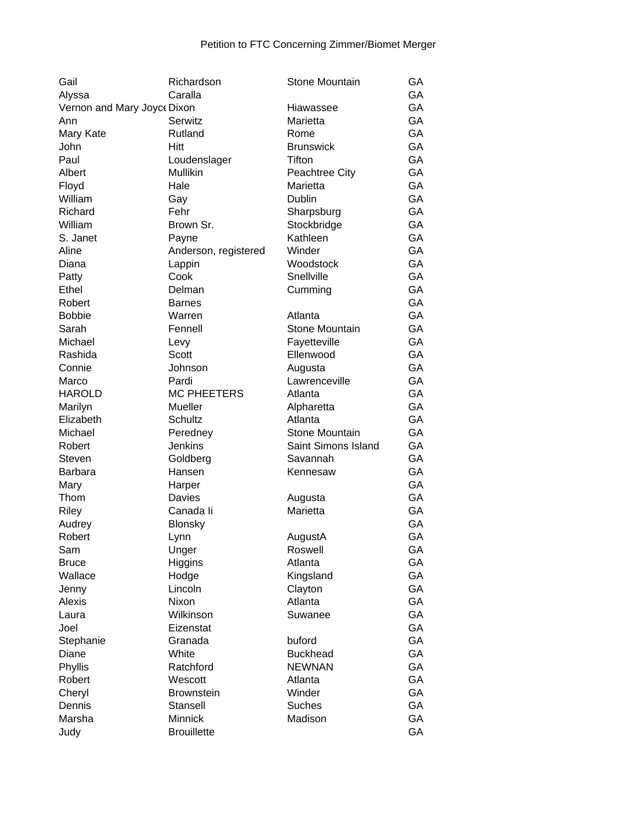| Gail                        | Richardson           | Stone Mountain        | GA |
|-----------------------------|----------------------|-----------------------|----|
| Alyssa                      | Caralla              |                       | GA |
| Vernon and Mary Joyce Dixon |                      | Hiawassee             | GA |
| Ann                         | Serwitz              | Marietta              | GA |
| Mary Kate                   | Rutland              | Rome                  | GA |
| John                        | <b>Hitt</b>          | <b>Brunswick</b>      | GA |
| Paul                        | Loudenslager         | Tifton                | GA |
| Albert                      | Mullikin             | Peachtree City        | GA |
| Floyd                       | Hale                 | Marietta              | GA |
| William                     | Gay                  | Dublin                | GA |
| Richard                     | Fehr                 | Sharpsburg            | GA |
| William                     | Brown Sr.            | Stockbridge           | GA |
| S. Janet                    | Payne                | Kathleen              | GA |
| Aline                       | Anderson, registered | Winder                | GA |
| Diana                       | Lappin               | Woodstock             | GA |
| Patty                       | Cook                 | Snellville            | GA |
| Ethel                       | Delman               | Cumming               | GA |
| Robert                      | <b>Barnes</b>        |                       | GA |
| <b>Bobbie</b>               | Warren               | Atlanta               | GA |
| Sarah                       | Fennell              | Stone Mountain        | GA |
| Michael                     | Levy                 | Fayetteville          | GA |
| Rashida                     | <b>Scott</b>         | Ellenwood             | GA |
| Connie                      | Johnson              | Augusta               | GA |
| Marco                       | Pardi                | Lawrenceville         | GA |
| <b>HAROLD</b>               | <b>MC PHEETERS</b>   | Atlanta               | GA |
| Marilyn                     | Mueller              | Alpharetta            | GA |
| Elizabeth                   | Schultz              | Atlanta               | GA |
| Michael                     | Peredney             | <b>Stone Mountain</b> | GA |
| Robert                      | <b>Jenkins</b>       | Saint Simons Island   | GA |
| Steven                      | Goldberg             | Savannah              | GA |
| Barbara                     | Hansen               | Kennesaw              | GA |
| Mary                        | Harper               |                       | GA |
| Thom                        | Davies               | Augusta               | GA |
| Riley                       | Canada li            | Marietta              | GA |
| Audrey                      | <b>Blonsky</b>       |                       | GA |
| Robert                      | Lynn                 | AugustA               | GA |
| Sam                         | Unger                | Roswell               | GA |
| <b>Bruce</b>                | Higgins              | Atlanta               | GA |
| Wallace                     | Hodge                | Kingsland             | GA |
| Jenny                       | Lincoln              | Clayton               | GA |
| Alexis                      | Nixon                | Atlanta               | GA |
| Laura                       | Wilkinson            | Suwanee               | GA |
| Joel                        | Eizenstat            |                       | GA |
|                             | Granada              | buford                | GA |
| Stephanie<br>Diane          | White                | <b>Buckhead</b>       | GA |
|                             | Ratchford            | <b>NEWNAN</b>         | GA |
| Phyllis                     |                      |                       |    |
| Robert                      | Wescott              | Atlanta               | GA |
| Cheryl                      | <b>Brownstein</b>    | Winder                | GA |
| Dennis                      | Stansell             | <b>Suches</b>         | GA |
| Marsha                      | Minnick              | Madison               | GA |
| Judy                        | <b>Brouillette</b>   |                       | GA |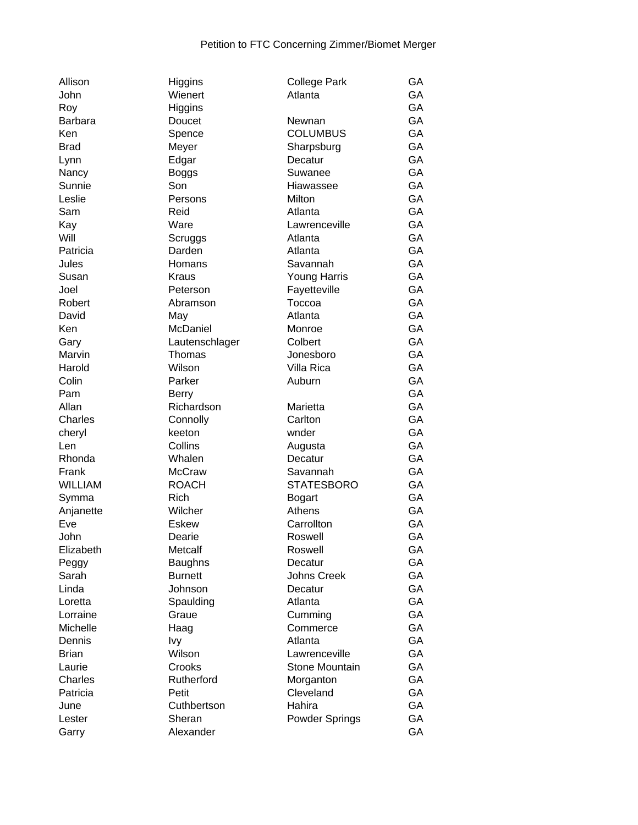| Allison        | Higgins          | <b>College Park</b> | GA        |
|----------------|------------------|---------------------|-----------|
| John           | Wienert          | Atlanta             | GA        |
| Roy            | Higgins          |                     | GA        |
| <b>Barbara</b> | Doucet           | Newnan              | GA        |
| Ken            | Spence           | <b>COLUMBUS</b>     | GA        |
| <b>Brad</b>    | Meyer            | Sharpsburg          | GA        |
| Lynn           | Edgar            | Decatur             | GA        |
| Nancy          | <b>Boggs</b>     | Suwanee             | GA        |
| Sunnie         | Son              | Hiawassee           | GA        |
| Leslie         | Persons          | <b>Milton</b>       | GA        |
| Sam            | Reid             | Atlanta             | GA        |
| Kay            | Ware             | Lawrenceville       | GA        |
| Will           | Scruggs          | Atlanta             | GA        |
| Patricia       | Darden           | Atlanta             | GA        |
| Jules          | Homans           | Savannah            | GA        |
| Susan          | <b>Kraus</b>     | Young Harris        | GA        |
| Joel           | Peterson         | Fayetteville        | GA        |
| Robert         | Abramson         | Toccoa              | GA        |
| David          | May              | Atlanta             | GA        |
| Ken            | McDaniel         | Monroe              | GA        |
|                |                  | Colbert             | GA        |
| Gary           | Lautenschlager   | Jonesboro           | GA        |
| Marvin         | Thomas<br>Wilson |                     | GA        |
| Harold         |                  | Villa Rica          |           |
| Colin          | Parker           | Auburn              | GA        |
| Pam            | <b>Berry</b>     |                     | GA        |
| Allan          | Richardson       | Marietta            | GA        |
| Charles        | Connolly         | Carlton             | GA        |
| cheryl         | keeton           | wnder               | GA        |
| Len            | Collins          | Augusta             | GA        |
| Rhonda         | Whalen           | Decatur             | GA        |
| Frank          | <b>McCraw</b>    | Savannah            | GA        |
| <b>WILLIAM</b> | <b>ROACH</b>     | <b>STATESBORO</b>   | GA        |
| Symma          | <b>Rich</b>      | <b>Bogart</b>       | GA        |
| Anjanette      | Wilcher          | Athens              | GA        |
| Eve            | Eskew            | Carrollton          | GA        |
| John           | Dearie           | Roswell             | <b>GA</b> |
| Elizabeth      | Metcalf          | Roswell             | GA        |
| Peggy          | <b>Baughns</b>   | Decatur             | GA        |
| Sarah          | <b>Burnett</b>   | Johns Creek         | GA        |
| Linda          | Johnson          | Decatur             | GA        |
| Loretta        | Spaulding        | Atlanta             | GA        |
| Lorraine       | Graue            | Cumming             | GA        |
| Michelle       | Haag             | Commerce            | GA        |
| Dennis         | Ivy              | Atlanta             | GA        |
| <b>Brian</b>   | Wilson           | Lawrenceville       | GA        |
| Laurie         | Crooks           | Stone Mountain      | GA        |
| Charles        | Rutherford       | Morganton           | GA        |
| Patricia       | Petit            | Cleveland           | GA        |
| June           | Cuthbertson      | Hahira              | GA        |
| Lester         | Sheran           | Powder Springs      | GA        |
| Garry          | Alexander        |                     | GA        |
|                |                  |                     |           |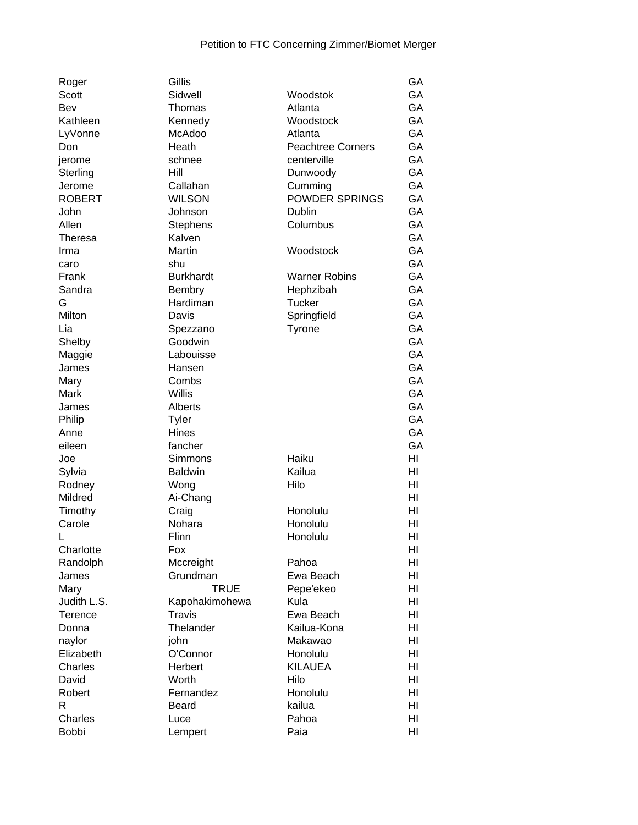| Roger          | Gillis           |                          | GA |
|----------------|------------------|--------------------------|----|
| Scott          | Sidwell          | Woodstok                 | GA |
| Bev            | Thomas           | Atlanta                  | GA |
| Kathleen       | Kennedy          | Woodstock                | GA |
| LyVonne        | McAdoo           | Atlanta                  | GA |
| Don            | Heath            | <b>Peachtree Corners</b> | GA |
| jerome         | schnee           | centerville              | GA |
| Sterling       | Hill             | Dunwoody                 | GA |
| Jerome         | Callahan         | Cumming                  | GA |
| <b>ROBERT</b>  | <b>WILSON</b>    | POWDER SPRINGS           | GA |
| John           | Johnson          | Dublin                   | GA |
| Allen          | <b>Stephens</b>  | Columbus                 | GA |
| <b>Theresa</b> | Kalven           |                          | GA |
| Irma           | Martin           | Woodstock                | GA |
| caro           | shu              |                          | GA |
| Frank          | <b>Burkhardt</b> | <b>Warner Robins</b>     | GA |
| Sandra         | <b>Bembry</b>    | Hephzibah                | GA |
| G              | Hardiman         | <b>Tucker</b>            | GA |
| Milton         | Davis            | Springfield              | GA |
| Lia            | Spezzano         | Tyrone                   | GA |
| Shelby         | Goodwin          |                          | GA |
| Maggie         | Labouisse        |                          | GA |
| James          | Hansen           |                          | GA |
| Mary           | Combs            |                          | GA |
|                | <b>Willis</b>    |                          | GA |
| Mark           |                  |                          | GA |
| James          | Alberts          |                          | GA |
| Philip         | Tyler            |                          |    |
| Anne           | Hines            |                          | GA |
| eileen         | fancher          |                          | GA |
| Joe            | Simmons          | Haiku                    | HI |
| Sylvia         | <b>Baldwin</b>   | Kailua                   | HI |
| Rodney         | Wong             | Hilo                     | HI |
| Mildred        | Ai-Chang         |                          | HI |
| Timothy        | Craig            | Honolulu                 | HI |
| Carole         | Nohara           | Honolulu                 | HI |
| L              | Flinn            | Honolulu                 | HI |
| Charlotte      | Fox              |                          | HI |
| Randolph       | Mccreight        | Pahoa                    | HI |
| James          | Grundman         | Ewa Beach                | HI |
| Mary           | <b>TRUE</b>      | Pepe'ekeo                | HI |
| Judith L.S.    | Kapohakimohewa   | Kula                     | HI |
| Terence        | <b>Travis</b>    | Ewa Beach                | HI |
| Donna          | Thelander        | Kailua-Kona              | HI |
| naylor         | john             | Makawao                  | HI |
| Elizabeth      | O'Connor         | Honolulu                 | HI |
| Charles        | Herbert          | <b>KILAUEA</b>           | HI |
| David          | Worth            | Hilo                     | HI |
| Robert         | Fernandez        | Honolulu                 | HI |
| R              | Beard            | kailua                   | HI |
| Charles        | Luce             | Pahoa                    | HI |
| <b>Bobbi</b>   | Lempert          | Paia                     | HI |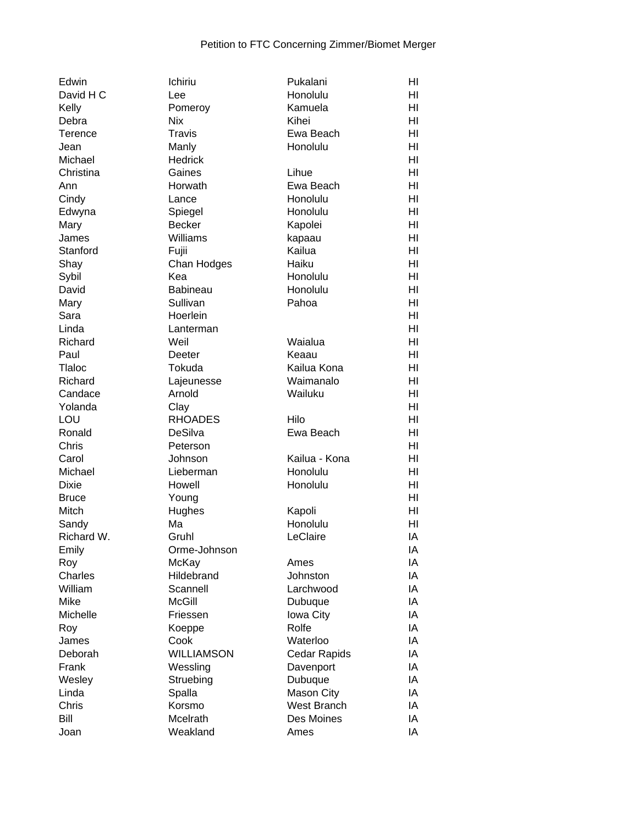| Edwin          | Ichiriu           | Pukalani      | HI             |
|----------------|-------------------|---------------|----------------|
| David H C      | Lee               | Honolulu      | HI             |
| Kelly          | Pomeroy           | Kamuela       | HI             |
| Debra          | <b>Nix</b>        | Kihei         | HI             |
| <b>Terence</b> | Travis            | Ewa Beach     | HI             |
| Jean           | Manly             | Honolulu      | HI             |
| Michael        | <b>Hedrick</b>    |               | HI             |
| Christina      | Gaines            | Lihue         | HI             |
| Ann            | Horwath           | Ewa Beach     | HI             |
| Cindy          | Lance             | Honolulu      | HI             |
| Edwyna         | Spiegel           | Honolulu      | HI             |
| Mary           | <b>Becker</b>     | Kapolei       | HI             |
| James          | Williams          | kapaau        | HI             |
| Stanford       | Fujii             | Kailua        | H <sub>l</sub> |
| Shay           | Chan Hodges       | Haiku         | HI             |
| Sybil          | Kea               | Honolulu      | HI             |
| David          | <b>Babineau</b>   | Honolulu      | HI             |
| Mary           | Sullivan          | Pahoa         | HI             |
| Sara           | Hoerlein          |               | HI             |
| Linda          | Lanterman         |               | HI             |
| Richard        | Weil              | Waialua       | HI             |
| Paul           | Deeter            | Keaau         | HI             |
| Tlaloc         | Tokuda            | Kailua Kona   | HI             |
| Richard        | Lajeunesse        | Waimanalo     | HI             |
| Candace        | Arnold            | Wailuku       | HI             |
| Yolanda        | Clay              |               | HI             |
| LOU            | <b>RHOADES</b>    | Hilo          | HI             |
| Ronald         | DeSilva           | Ewa Beach     | HI             |
| Chris          | Peterson          |               | HI             |
| Carol          | Johnson           | Kailua - Kona | HI             |
| Michael        | Lieberman         | Honolulu      | HI             |
| <b>Dixie</b>   | Howell            | Honolulu      | HI             |
| <b>Bruce</b>   | Young             |               | HI             |
| Mitch          | Hughes            | Kapoli        | HI             |
| Sandy          | Ma                | Honolulu      | HI             |
| Richard W.     | Gruhl             | LeClaire      | IA             |
| Emily          | Orme-Johnson      |               | IA             |
| Roy            | McKay             | Ames          | ΙA             |
| Charles        | Hildebrand        | Johnston      | IA             |
| William        | Scannell          | Larchwood     | IA             |
| Mike           | <b>McGill</b>     | Dubuque       | IA             |
| Michelle       | Friessen          | Iowa City     | IA             |
| Roy            | Koeppe            | Rolfe         | IA             |
| James          | Cook              | Waterloo      | IA             |
| Deborah        | <b>WILLIAMSON</b> |               | IA             |
|                |                   | Cedar Rapids  | IA             |
| Frank          | Wessling          | Davenport     |                |
| Wesley         | Struebing         | Dubuque       | IA             |
| Linda          | Spalla            | Mason City    | IA             |
| Chris          | Korsmo            | West Branch   | IA             |
| Bill           | Mcelrath          | Des Moines    | IA             |
| Joan           | Weakland          | Ames          | IA             |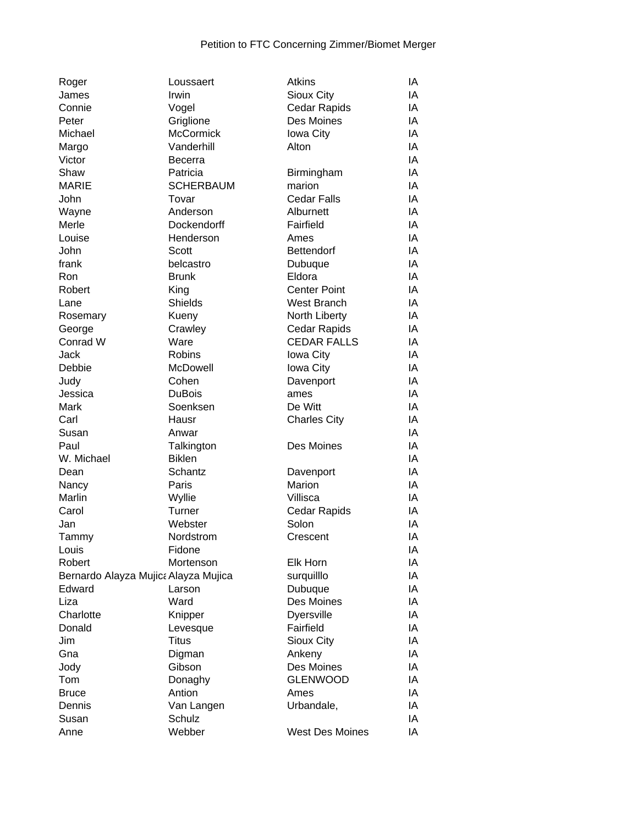| Roger                                | Loussaert        | <b>Atkins</b>          | ΙA |
|--------------------------------------|------------------|------------------------|----|
| James                                | Irwin            | Sioux City             | IA |
| Connie                               | Vogel            | <b>Cedar Rapids</b>    | IA |
| Peter                                | Griglione        | Des Moines             | IA |
| Michael                              | <b>McCormick</b> | Iowa City              | IA |
| Margo                                | Vanderhill       | Alton                  | IA |
| Victor                               | <b>Becerra</b>   |                        | IA |
| Shaw                                 | Patricia         | Birmingham             | IA |
| <b>MARIE</b>                         | <b>SCHERBAUM</b> | marion                 | IA |
| John                                 | Tovar            | <b>Cedar Falls</b>     | IA |
| Wayne                                | Anderson         | Alburnett              | IA |
| Merle                                | Dockendorff      | Fairfield              | IA |
| Louise                               | Henderson        | Ames                   | IA |
| John                                 | Scott            | <b>Bettendorf</b>      | IA |
| frank                                | belcastro        | Dubuque                | IA |
| Ron                                  | <b>Brunk</b>     | Eldora                 | IA |
| Robert                               | King             | <b>Center Point</b>    | IA |
| Lane                                 | Shields          | <b>West Branch</b>     | IA |
| Rosemary                             | Kueny            | North Liberty          | IA |
| George                               | Crawley          | Cedar Rapids           | IA |
| Conrad W                             | Ware             | <b>CEDAR FALLS</b>     | IA |
| Jack                                 | <b>Robins</b>    | Iowa City              | IA |
| Debbie                               | McDowell         | Iowa City              | IA |
|                                      | Cohen            |                        | IA |
| Judy                                 | <b>DuBois</b>    | Davenport              | IA |
| Jessica                              |                  | ames                   | IA |
| Mark                                 | Soenksen         | De Witt                | IA |
| Carl                                 | Hausr            | <b>Charles City</b>    |    |
| Susan                                | Anwar            |                        | IA |
| Paul                                 | Talkington       | Des Moines             | IA |
| W. Michael                           | <b>Biklen</b>    |                        | IA |
| Dean                                 | Schantz          | Davenport              | IA |
| Nancy                                | Paris            | Marion                 | IA |
| Marlin                               | Wyllie           | Villisca               | IA |
| Carol                                | Turner           | Cedar Rapids           | ΙA |
| Jan                                  | Webster          | Solon                  | IA |
| Tammy                                | Nordstrom        | Crescent               | IA |
| Louis                                | Fidone           |                        | ΙA |
| Robert                               | Mortenson        | Elk Horn               | IA |
| Bernardo Alayza Mujica Alayza Mujica |                  | surquilllo             | IA |
| Edward                               | Larson           | Dubuque                | IA |
| Liza                                 | Ward             | Des Moines             | IA |
| Charlotte                            | Knipper          | <b>Dyersville</b>      | IA |
| Donald                               | Levesque         | Fairfield              | IA |
| Jim                                  | <b>Titus</b>     | Sioux City             | IA |
| Gna                                  | Digman           | Ankeny                 | IA |
| Jody                                 | Gibson           | Des Moines             | IA |
| Tom                                  | Donaghy          | <b>GLENWOOD</b>        | IA |
| <b>Bruce</b>                         | Antion           | Ames                   | IA |
| Dennis                               | Van Langen       | Urbandale,             | IA |
| Susan                                | Schulz           |                        | IA |
| Anne                                 | Webber           | <b>West Des Moines</b> | IA |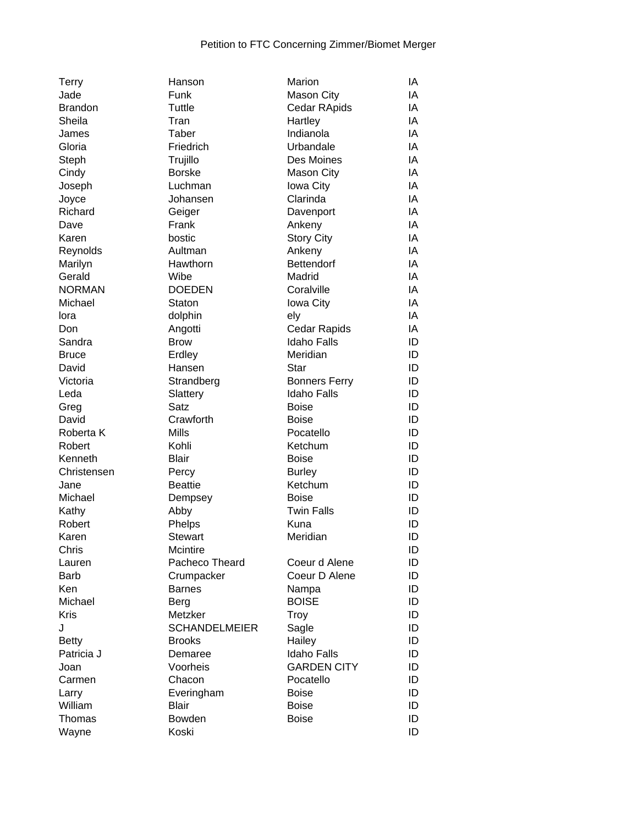| <b>Terry</b>   | Hanson               | Marion               | ΙA |
|----------------|----------------------|----------------------|----|
| Jade           | Funk                 | <b>Mason City</b>    | IA |
| <b>Brandon</b> | Tuttle               | Cedar RApids         | IA |
| Sheila         | Tran                 | Hartley              | IA |
| James          | Taber                | Indianola            | IA |
| Gloria         | Friedrich            | Urbandale            | IA |
| Steph          | Trujillo             | Des Moines           | IA |
| Cindy          | <b>Borske</b>        | Mason City           | IA |
| Joseph         | Luchman              | Iowa City            | IA |
| Joyce          | Johansen             | Clarinda             | IA |
| Richard        | Geiger               | Davenport            | IA |
| Dave           | Frank                | Ankeny               | IA |
| Karen          | bostic               | <b>Story City</b>    | IA |
| Reynolds       | Aultman              | Ankeny               | IA |
| Marilyn        | Hawthorn             | Bettendorf           | IA |
| Gerald         | Wibe                 | Madrid               | IA |
| <b>NORMAN</b>  | <b>DOEDEN</b>        | Coralville           | IA |
| Michael        | Staton               | Iowa City            | IA |
| lora           | dolphin              | ely                  | IA |
| Don            | Angotti              | Cedar Rapids         | IA |
| Sandra         | <b>Brow</b>          | <b>Idaho Falls</b>   | ID |
| <b>Bruce</b>   | Erdley               | Meridian             | ID |
| David          | Hansen               | <b>Star</b>          | ID |
| Victoria       | Strandberg           | <b>Bonners Ferry</b> | ID |
| Leda           | Slattery             | <b>Idaho Falls</b>   | ID |
| Greg           | Satz                 | <b>Boise</b>         | ID |
| David          | Crawforth            | <b>Boise</b>         | ID |
| Roberta K      | <b>Mills</b>         | Pocatello            | ID |
| Robert         | Kohli                | Ketchum              | ID |
| Kenneth        | <b>Blair</b>         | <b>Boise</b>         | ID |
| Christensen    | Percy                | <b>Burley</b>        | ID |
| Jane           | <b>Beattie</b>       | Ketchum              | ID |
| Michael        | Dempsey              | <b>Boise</b>         | ID |
| Kathy          | Abby                 | <b>Twin Falls</b>    | ID |
| Robert         | Phelps               | Kuna                 | ID |
| Karen          | <b>Stewart</b>       | Meridian             | ID |
| Chris          | Mcintire             |                      | ID |
| Lauren         | Pacheco Theard       | Coeur d Alene        | ID |
| Barb           | Crumpacker           | Coeur D Alene        | ID |
| Ken            | <b>Barnes</b>        | Nampa                | ID |
| Michael        | Berg                 | <b>BOISE</b>         | ID |
| <b>Kris</b>    | Metzker              | Troy                 | ID |
| J              | <b>SCHANDELMEIER</b> | Sagle                | ID |
| <b>Betty</b>   | <b>Brooks</b>        | Hailey               | ID |
| Patricia J     | Demaree              | <b>Idaho Falls</b>   | ID |
| Joan           | Voorheis             | <b>GARDEN CITY</b>   | ID |
| Carmen         | Chacon               | Pocatello            | ID |
| Larry          | Everingham           | <b>Boise</b>         | ID |
| William        | <b>Blair</b>         | <b>Boise</b>         | ID |
| Thomas         | Bowden               | <b>Boise</b>         | ID |
| Wayne          | Koski                |                      | ID |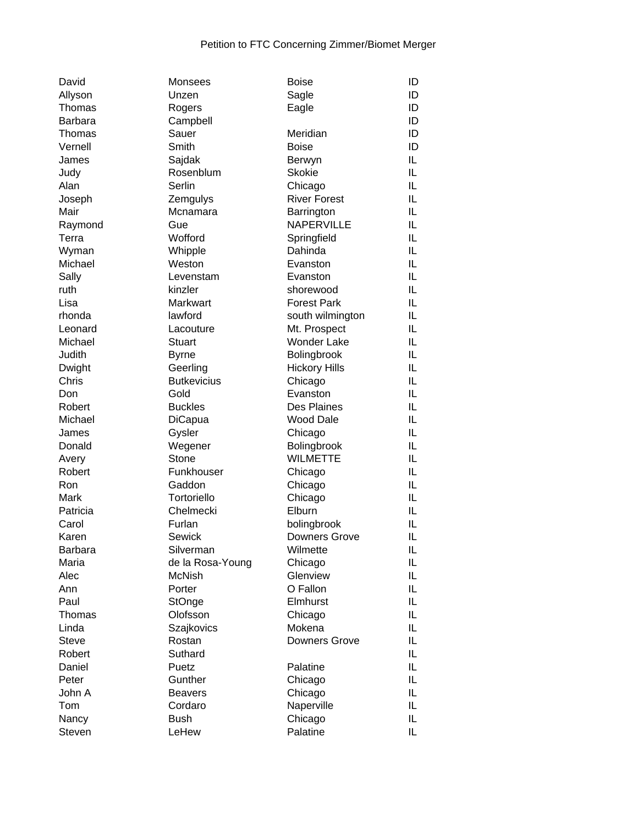| David          | Monsees            | <b>Boise</b>         | ID |
|----------------|--------------------|----------------------|----|
| Allyson        | Unzen              | Sagle                | ID |
| Thomas         | Rogers             | Eagle                | ID |
| <b>Barbara</b> | Campbell           |                      | ID |
| Thomas         | Sauer              | Meridian             | ID |
| Vernell        | Smith              | <b>Boise</b>         | ID |
| James          | Sajdak             | Berwyn               | IL |
| Judy           | Rosenblum          | <b>Skokie</b>        | IL |
| Alan           | Serlin             | Chicago              | IL |
| Joseph         | Zemgulys           | <b>River Forest</b>  | IL |
| Mair           | Mcnamara           | Barrington           | IL |
| Raymond        | Gue                | NAPERVILLE           | IL |
| Terra          | Wofford            | Springfield          | IL |
| Wyman          | Whipple            | Dahinda              | IL |
| Michael        | Weston             | Evanston             | IL |
| Sally          | Levenstam          | Evanston             | IL |
| ruth           | kinzler            | shorewood            | IL |
| Lisa           | Markwart           | <b>Forest Park</b>   | IL |
| rhonda         | lawford            | south wilmington     | IL |
| Leonard        | Lacouture          | Mt. Prospect         | IL |
| Michael        | Stuart             | <b>Wonder Lake</b>   | IL |
|                |                    |                      |    |
| Judith         | <b>Byrne</b>       | Bolingbrook          | IL |
| Dwight         | Geerling           | <b>Hickory Hills</b> | IL |
| Chris          | <b>Butkevicius</b> | Chicago              | IL |
| Don            | Gold               | Evanston             | IL |
| Robert         | <b>Buckles</b>     | Des Plaines          | IL |
| Michael        | <b>DiCapua</b>     | <b>Wood Dale</b>     | IL |
| James          | Gysler             | Chicago              | IL |
| Donald         | Wegener            | Bolingbrook          | IL |
| Avery          | Stone              | <b>WILMETTE</b>      | IL |
| Robert         | Funkhouser         | Chicago              | IL |
| Ron            | Gaddon             | Chicago              | IL |
| Mark           | Tortoriello        | Chicago              | IL |
| Patricia       | Chelmecki          | Elburn               | IL |
| Carol          | Furlan             | bolingbrook          | IL |
| Karen          | Sewick             | <b>Downers Grove</b> | IL |
| Barbara        | Silverman          | Wilmette             | IL |
| Maria          | de la Rosa-Young   | Chicago              | IL |
| Alec           | <b>McNish</b>      | Glenview             | IL |
| Ann            | Porter             | O Fallon             | IL |
| Paul           | StOnge             | Elmhurst             | IL |
| Thomas         | Olofsson           | Chicago              | IL |
| Linda          | Szajkovics         | Mokena               | IL |
| <b>Steve</b>   | Rostan             | Downers Grove        | IL |
| Robert         | Suthard            |                      | IL |
| Daniel         | Puetz              | Palatine             | IL |
| Peter          | Gunther            | Chicago              | IL |
| John A         | <b>Beavers</b>     | Chicago              | IL |
| Tom            | Cordaro            | Naperville           | IL |
| Nancy          | <b>Bush</b>        | Chicago              | IL |
| Steven         | LeHew              | Palatine             | IL |
|                |                    |                      |    |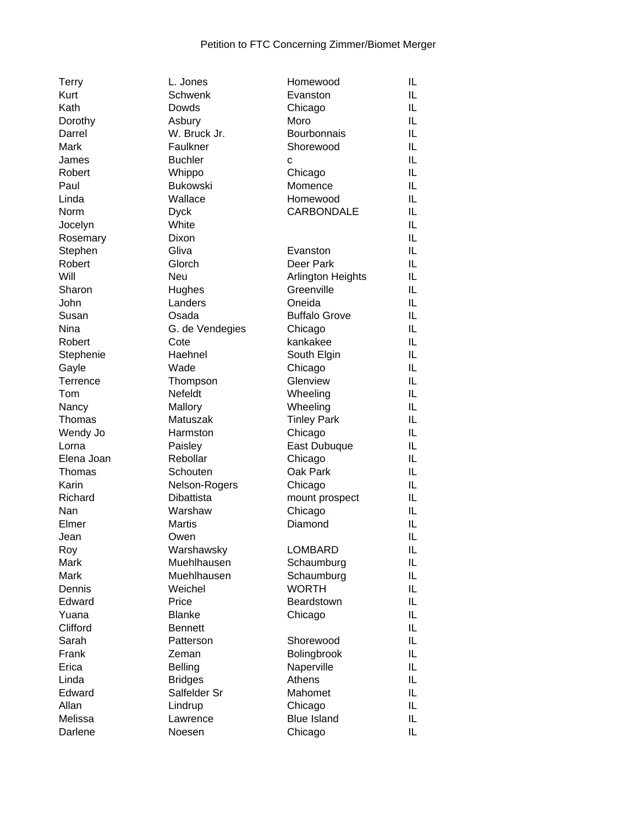| <b>Terry</b> | L. Jones        | Homewood             | IL |
|--------------|-----------------|----------------------|----|
| Kurt         | Schwenk         | Evanston             | IL |
| Kath         | Dowds           | Chicago              | IL |
| Dorothy      | Asbury          | Moro                 | IL |
| Darrel       | W. Bruck Jr.    | Bourbonnais          | IL |
| Mark         | Faulkner        | Shorewood            | IL |
| James        | <b>Buchler</b>  | C                    | IL |
| Robert       | Whippo          | Chicago              | IL |
| Paul         | <b>Bukowski</b> | Momence              | IL |
| Linda        | Wallace         | Homewood             | IL |
| <b>Norm</b>  | <b>Dyck</b>     | <b>CARBONDALE</b>    | IL |
| Jocelyn      | White           |                      | IL |
| Rosemary     | Dixon           |                      | IL |
|              | Gliva           | Evanston             | IL |
| Stephen      |                 |                      |    |
| Robert       | Glorch          | Deer Park            | IL |
| Will         | <b>Neu</b>      | Arlington Heights    | IL |
| Sharon       | Hughes          | Greenville           | IL |
| John         | Landers         | Oneida               | IL |
| Susan        | Osada           | <b>Buffalo Grove</b> | IL |
| <b>Nina</b>  | G. de Vendegies | Chicago              | IL |
| Robert       | Cote            | kankakee             | IL |
| Stephenie    | Haehnel         | South Elgin          | IL |
| Gayle        | Wade            | Chicago              | IL |
| Terrence     | Thompson        | Glenview             | IL |
| Tom          | <b>Nefeldt</b>  | Wheeling             | IL |
| Nancy        | Mallory         | Wheeling             | IL |
| Thomas       | Matuszak        | <b>Tinley Park</b>   | IL |
| Wendy Jo     | Harmston        | Chicago              | IL |
| Lorna        | Paisley         | East Dubuque         | IL |
|              | Rebollar        |                      | IL |
| Elena Joan   |                 | Chicago              |    |
| Thomas       | Schouten        | Oak Park             | IL |
| Karin        | Nelson-Rogers   | Chicago              | IL |
| Richard      | Dibattista      | mount prospect       | IL |
| Nan          | Warshaw         | Chicago              | IL |
| Elmer        | <b>Martis</b>   | Diamond              | IL |
| Jean         | Owen            |                      | IL |
| Roy          | Warshawsky      | <b>LOMBARD</b>       | IL |
| Mark         | Muehlhausen     | Schaumburg           | IL |
| Mark         | Muehlhausen     | Schaumburg           | IL |
| Dennis       | Weichel         | <b>WORTH</b>         | IL |
| Edward       | Price           | Beardstown           | IL |
| Yuana        | <b>Blanke</b>   | Chicago              | IL |
| Clifford     | <b>Bennett</b>  |                      | IL |
| Sarah        | Patterson       | Shorewood            | IL |
| Frank        | Zeman           | Bolingbrook          | IL |
| Erica        | <b>Belling</b>  | Naperville           | IL |
|              |                 |                      |    |
| Linda        | <b>Bridges</b>  | Athens               | IL |
| Edward       | Salfelder Sr    | Mahomet              | IL |
| Allan        | Lindrup         | Chicago              | IL |
| Melissa      | Lawrence        | <b>Blue Island</b>   | IL |
| Darlene      | Noesen          | Chicago              | IL |
|              |                 |                      |    |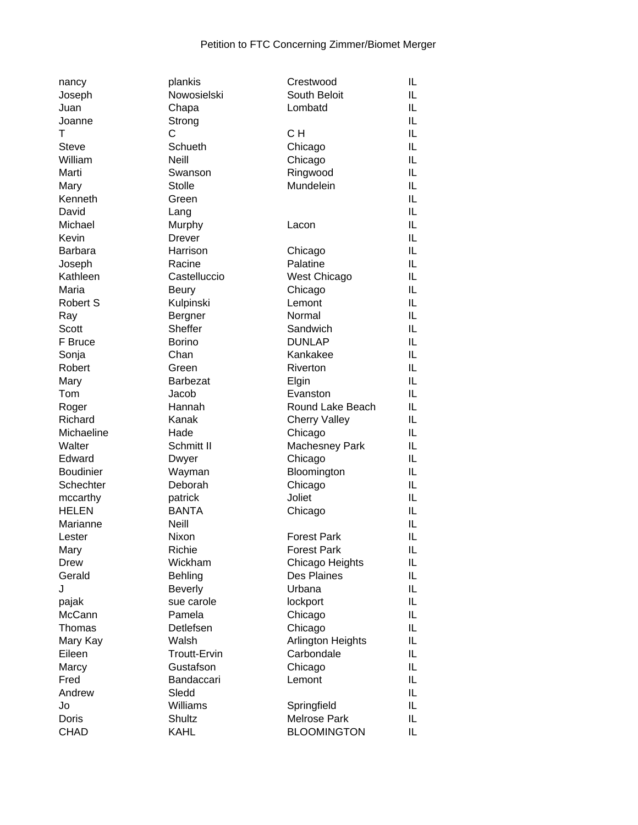| nancy            | plankis             | Crestwood            | IL |
|------------------|---------------------|----------------------|----|
| Joseph           | Nowosielski         | South Beloit         | IL |
| Juan             | Chapa               | Lombatd              | IL |
| Joanne           | Strong              |                      | IL |
| т                | C                   | CH                   | IL |
| <b>Steve</b>     | Schueth             | Chicago              | IL |
| William          | Neill               | Chicago              | IL |
| Marti            | Swanson             | Ringwood             | IL |
| Mary             | <b>Stolle</b>       | Mundelein            | IL |
| Kenneth          | Green               |                      | IL |
| David            |                     |                      | IL |
|                  | Lang                |                      |    |
| Michael          | Murphy              | Lacon                | IL |
| Kevin            | <b>Drever</b>       |                      | IL |
| <b>Barbara</b>   | Harrison            | Chicago              | IL |
| Joseph           | Racine              | Palatine             | IL |
| Kathleen         | Castelluccio        | West Chicago         | IL |
| Maria            | <b>Beury</b>        | Chicago              | IL |
| Robert S         | Kulpinski           | Lemont               | IL |
| Ray              | Bergner             | Normal               | IL |
| Scott            | Sheffer             | Sandwich             | IL |
| F Bruce          | <b>Borino</b>       | <b>DUNLAP</b>        | IL |
| Sonja            | Chan                | Kankakee             | IL |
| Robert           | Green               | Riverton             | IL |
| Mary             | Barbezat            | Elgin                | IL |
| Tom              | Jacob               | Evanston             | IL |
|                  |                     |                      |    |
| Roger            | Hannah              | Round Lake Beach     | IL |
| Richard          | Kanak               | <b>Cherry Valley</b> | IL |
| Michaeline       | Hade                | Chicago              | IL |
| Walter           | Schmitt II          | Machesney Park       | IL |
| Edward           | Dwyer               | Chicago              | IL |
| <b>Boudinier</b> | Wayman              | Bloomington          | IL |
| Schechter        | Deborah             | Chicago              | IL |
| mccarthy         | patrick             | Joliet               | IL |
| <b>HELEN</b>     | <b>BANTA</b>        | Chicago              | IL |
| Marianne         | Neill               |                      | IL |
| Lester           | Nixon               | <b>Forest Park</b>   | IL |
| Mary             | Richie              | <b>Forest Park</b>   | IL |
| <b>Drew</b>      | Wickham             | Chicago Heights      | IL |
| Gerald           | Behling             | Des Plaines          | IL |
| J                | <b>Beverly</b>      | Urbana               | IL |
| pajak            | sue carole          | lockport             | IL |
| McCann           | Pamela              | Chicago              | IL |
| Thomas           | Detlefsen           | Chicago              | IL |
| Mary Kay         | Walsh               | Arlington Heights    | IL |
| Eileen           | <b>Troutt-Ervin</b> | Carbondale           | IL |
|                  |                     |                      |    |
| Marcy            | Gustafson           | Chicago              | IL |
| Fred             | Bandaccari          | Lemont               | IL |
| Andrew           | Sledd               |                      | IL |
| Jo               | Williams            | Springfield          | IL |
| Doris            | Shultz              | <b>Melrose Park</b>  | IL |
| <b>CHAD</b>      | <b>KAHL</b>         | <b>BLOOMINGTON</b>   | IL |
|                  |                     |                      |    |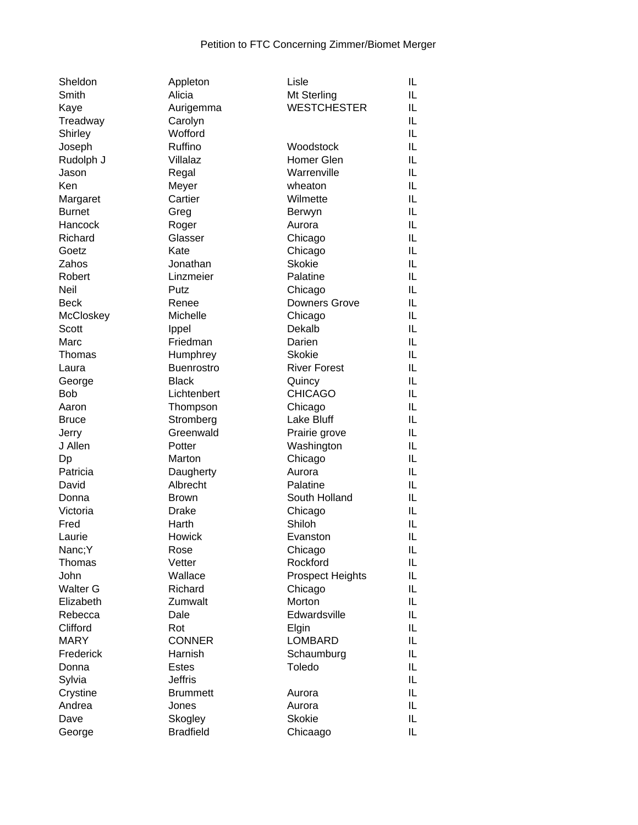| Sheldon         | Appleton          | Lisle                   | IL |
|-----------------|-------------------|-------------------------|----|
| Smith           | Alicia            | Mt Sterling             | IL |
| Kaye            | Aurigemma         | <b>WESTCHESTER</b>      | IL |
| Treadway        | Carolyn           |                         | IL |
| Shirley         | Wofford           |                         | IL |
| Joseph          | Ruffino           | Woodstock               | IL |
| Rudolph J       | Villalaz          | Homer Glen              | IL |
| Jason           | Regal             | Warrenville             | IL |
| Ken             | Meyer             | wheaton                 | IL |
| Margaret        | Cartier           | Wilmette                | IL |
| <b>Burnet</b>   | Greg              | Berwyn                  | IL |
| Hancock         | Roger             | Aurora                  | IL |
| Richard         | Glasser           | Chicago                 | IL |
| Goetz           | Kate              | Chicago                 | IL |
| Zahos           | Jonathan          | <b>Skokie</b>           | IL |
| Robert          | Linzmeier         | Palatine                | IL |
| Neil            | Putz              | Chicago                 | IL |
| <b>Beck</b>     | Renee             | <b>Downers Grove</b>    | IL |
| McCloskey       | Michelle          | Chicago                 | IL |
| Scott           | Ippel             | Dekalb                  | IL |
| Marc            | Friedman          | Darien                  | IL |
| Thomas          | Humphrey          | <b>Skokie</b>           | IL |
| Laura           | <b>Buenrostro</b> | <b>River Forest</b>     | IL |
| George          | <b>Black</b>      | Quincy                  | IL |
| <b>Bob</b>      | Lichtenbert       | <b>CHICAGO</b>          | IL |
| Aaron           | Thompson          | Chicago                 | IL |
| <b>Bruce</b>    | Stromberg         | Lake Bluff              | IL |
| Jerry           | Greenwald         | Prairie grove           | IL |
| J Allen         | Potter            | Washington              | IL |
| Dp              | Marton            | Chicago                 | IL |
| Patricia        | Daugherty         | Aurora                  | IL |
| David           | Albrecht          | Palatine                | IL |
| Donna           | <b>Brown</b>      | South Holland           | IL |
| Victoria        | <b>Drake</b>      | Chicago                 | IL |
| Fred            | Harth             | Shiloh                  | IL |
| Laurie          | Howick            | Evanston                | IL |
| Nanc;Y          | Rose              | Chicago                 | IL |
| Thomas          | Vetter            | Rockford                | IL |
| John            | Wallace           | <b>Prospect Heights</b> | IL |
| <b>Walter G</b> | Richard           | Chicago                 | IL |
| Elizabeth       | Zumwalt           | Morton                  | IL |
| Rebecca         | Dale              | Edwardsville            | IL |
| Clifford        | Rot               | Elgin                   | IL |
| <b>MARY</b>     | <b>CONNER</b>     | <b>LOMBARD</b>          | IL |
| Frederick       | Harnish           | Schaumburg              | IL |
| Donna           | <b>Estes</b>      | Toledo                  | IL |
| Sylvia          | <b>Jeffris</b>    |                         | IL |
| Crystine        | <b>Brummett</b>   | Aurora                  | IL |
| Andrea          | Jones             | Aurora                  | IL |
| Dave            | Skogley           | <b>Skokie</b>           | IL |
| George          | <b>Bradfield</b>  | Chicaago                | IL |
|                 |                   |                         |    |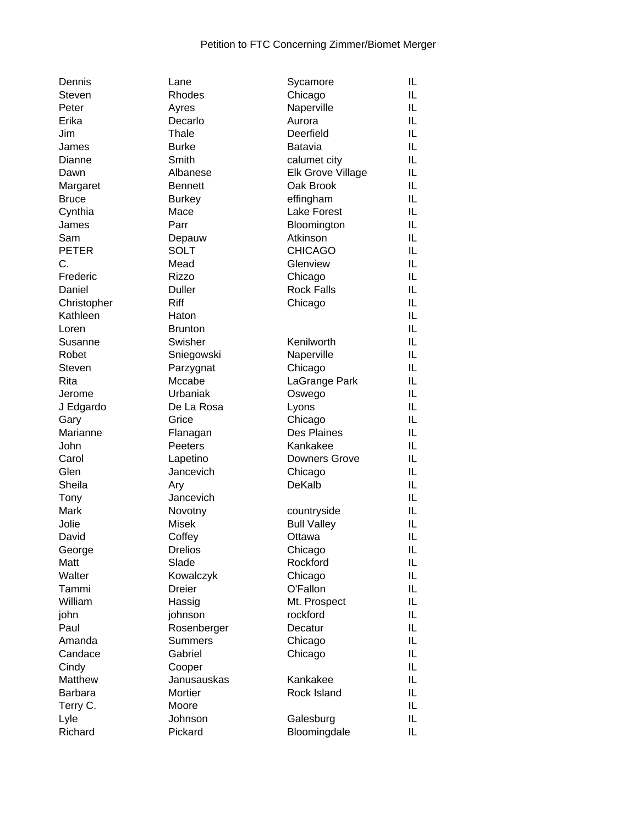| Dennis         | Lane           | Sycamore                 | IL |
|----------------|----------------|--------------------------|----|
| Steven         | Rhodes         | Chicago                  | IL |
| Peter          | Ayres          | Naperville               | IL |
| Erika          | Decarlo        | Aurora                   | IL |
| Jim            | Thale          | Deerfield                | IL |
| James          | <b>Burke</b>   | Batavia                  | IL |
| Dianne         | Smith          | calumet city             | IL |
| Dawn           | Albanese       | <b>Elk Grove Village</b> | IL |
| Margaret       | <b>Bennett</b> | Oak Brook                | IL |
| <b>Bruce</b>   | <b>Burkey</b>  | effingham                | IL |
| Cynthia        | Mace           | Lake Forest              | IL |
| James          | Parr           | Bloomington              | IL |
| Sam            | Depauw         | Atkinson                 | IL |
| <b>PETER</b>   | <b>SOLT</b>    | <b>CHICAGO</b>           | IL |
| C.             | Mead           | Glenview                 | IL |
| Frederic       | <b>Rizzo</b>   | Chicago                  | IL |
| Daniel         | <b>Duller</b>  | <b>Rock Falls</b>        | IL |
| Christopher    | Riff           | Chicago                  | IL |
| Kathleen       | Haton          |                          | IL |
| Loren          | <b>Brunton</b> |                          | IL |
| Susanne        | Swisher        | Kenilworth               | IL |
|                |                |                          |    |
| Robet          | Sniegowski     | Naperville               | IL |
| <b>Steven</b>  | Parzygnat      | Chicago                  | IL |
| Rita           | Mccabe         | LaGrange Park            | IL |
| Jerome         | Urbaniak       | Oswego                   | IL |
| J Edgardo      | De La Rosa     | Lyons                    | IL |
| Gary           | Grice          | Chicago                  | IL |
| Marianne       | Flanagan       | Des Plaines              | IL |
| John           | Peeters        | Kankakee                 | IL |
| Carol          | Lapetino       | <b>Downers Grove</b>     | IL |
| Glen           | Jancevich      | Chicago                  | IL |
| Sheila         | Ary            | DeKalb                   | IL |
| Tony           | Jancevich      |                          | IL |
| Mark           | Novotny        | countryside              | IL |
| Jolie          | Misek          | <b>Bull Valley</b>       | IL |
| David          | Coffey         | Ottawa                   | IL |
| George         | <b>Drelios</b> | Chicago                  | IL |
| Matt           | Slade          | Rockford                 | IL |
| Walter         | Kowalczyk      | Chicago                  | IL |
| Tammi          | <b>Dreier</b>  | O'Fallon                 | IL |
| William        | Hassig         | Mt. Prospect             | IL |
| john           | johnson        | rockford                 | IL |
| Paul           | Rosenberger    | Decatur                  | IL |
| Amanda         | <b>Summers</b> | Chicago                  | IL |
| Candace        | Gabriel        | Chicago                  | IL |
| Cindy          | Cooper         |                          | IL |
| Matthew        | Janusauskas    | Kankakee                 | IL |
| <b>Barbara</b> | Mortier        | Rock Island              | IL |
| Terry C.       | Moore          |                          | IL |
| Lyle           | Johnson        | Galesburg                | IL |
| Richard        | Pickard        | Bloomingdale             | IL |
|                |                |                          |    |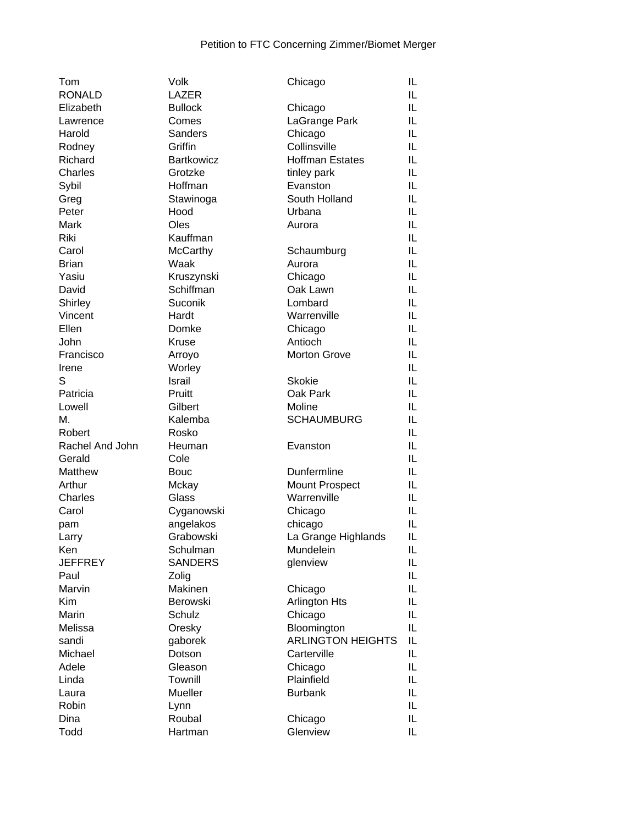| Tom             | Volk              | Chicago                  | IL |
|-----------------|-------------------|--------------------------|----|
| <b>RONALD</b>   | <b>LAZER</b>      |                          | IL |
| Elizabeth       | <b>Bullock</b>    | Chicago                  | IL |
| Lawrence        | Comes             | LaGrange Park            | IL |
| Harold          | <b>Sanders</b>    | Chicago                  | IL |
| Rodney          | Griffin           | Collinsville             | IL |
| Richard         | <b>Bartkowicz</b> | <b>Hoffman Estates</b>   | IL |
| Charles         | Grotzke           | tinley park              | IL |
| Sybil           | Hoffman           | Evanston                 | IL |
| Greg            | Stawinoga         | South Holland            | IL |
| Peter           | Hood              | Urbana                   | IL |
| Mark            | Oles              | Aurora                   | IL |
| Riki            | Kauffman          |                          | IL |
| Carol           | McCarthy          | Schaumburg               | IL |
| <b>Brian</b>    | Waak              | Aurora                   | IL |
| Yasiu           | Kruszynski        | Chicago                  | IL |
| David           | Schiffman         | Oak Lawn                 | IL |
| Shirley         | Suconik           | Lombard                  | IL |
| Vincent         | Hardt             | Warrenville              | IL |
| Ellen           | Domke             | Chicago                  | IL |
| John            | <b>Kruse</b>      | Antioch                  | IL |
| Francisco       | Arroyo            | <b>Morton Grove</b>      | IL |
| Irene           | Worley            |                          | IL |
| S               | <b>Israil</b>     | <b>Skokie</b>            | IL |
|                 |                   |                          |    |
| Patricia        | Pruitt            | Oak Park                 | IL |
| Lowell          | Gilbert           | Moline                   | IL |
| Μ.              | Kalemba           | <b>SCHAUMBURG</b>        | IL |
| Robert          | Rosko             |                          | IL |
| Rachel And John | Heuman            | Evanston                 | IL |
| Gerald          | Cole              |                          | IL |
| Matthew         | <b>Bouc</b>       | Dunfermline              | IL |
| Arthur          | Mckay             | <b>Mount Prospect</b>    | IL |
| Charles         | Glass             | Warrenville              | IL |
| Carol           | Cyganowski        | Chicago                  | IL |
| pam             | angelakos         | chicago                  | IL |
| Larry           | Grabowski         | La Grange Highlands      | IL |
| Ken             | Schulman          | Mundelein                | IL |
| <b>JEFFREY</b>  | <b>SANDERS</b>    | glenview                 | IL |
| Paul            | Zolig             |                          | IL |
| Marvin          | Makinen           | Chicago                  | IL |
| Kim             | <b>Berowski</b>   | Arlington Hts            | IL |
| Marin           | Schulz            | Chicago                  | IL |
| Melissa         | Oresky            | Bloomington              | IL |
| sandi           | gaborek           | <b>ARLINGTON HEIGHTS</b> | IL |
| Michael         | Dotson            | Carterville              | IL |
| Adele           | Gleason           | Chicago                  | IL |
| Linda           | Townill           | Plainfield               | IL |
| Laura           | Mueller           | <b>Burbank</b>           | IL |
| Robin           | Lynn              |                          | IL |
| Dina            | Roubal            | Chicago                  | IL |
| Todd            | Hartman           | Glenview                 | IL |
|                 |                   |                          |    |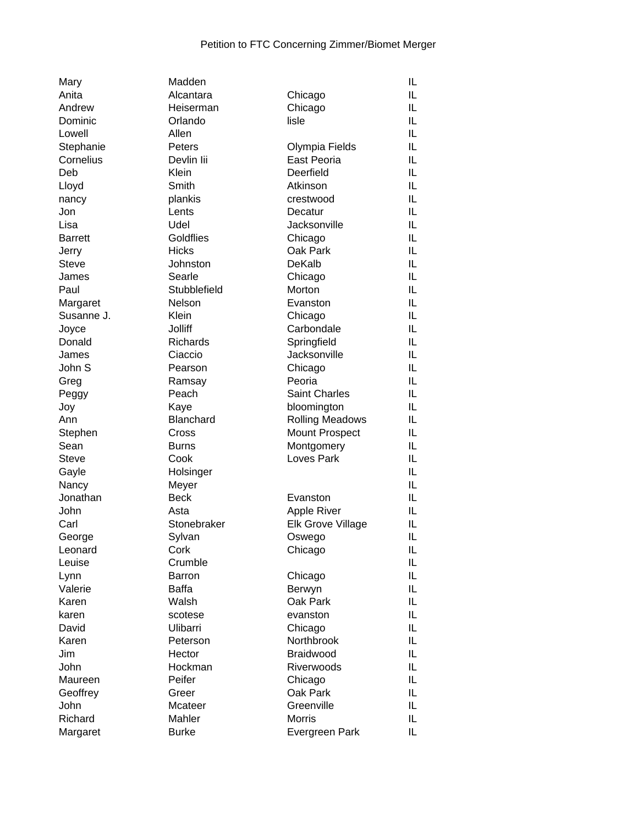| Mary           | Madden          |                        | IL |
|----------------|-----------------|------------------------|----|
| Anita          | Alcantara       | Chicago                | IL |
| Andrew         | Heiserman       | Chicago                | IL |
| Dominic        | Orlando         | lisle                  | IL |
| Lowell         | Allen           |                        | IL |
| Stephanie      | Peters          | Olympia Fields         | IL |
| Cornelius      | Devlin lii      | East Peoria            | IL |
| Deb            | Klein           | Deerfield              | IL |
| Lloyd          | Smith           | Atkinson               | IL |
| nancy          | plankis         | crestwood              | IL |
| Jon            | Lents           | Decatur                | IL |
| Lisa           | Udel            | Jacksonville           | IL |
| <b>Barrett</b> | Goldflies       | Chicago                | IL |
| Jerry          | <b>Hicks</b>    | Oak Park               | IL |
| <b>Steve</b>   | Johnston        | DeKalb                 | IL |
| James          | Searle          | Chicago                | IL |
| Paul           | Stubblefield    | Morton                 | IL |
| Margaret       | Nelson          | Evanston               | IL |
| Susanne J.     | Klein           | Chicago                | IL |
| Joyce          | <b>Jolliff</b>  | Carbondale             | IL |
| Donald         | <b>Richards</b> | Springfield            | IL |
| James          | Ciaccio         | Jacksonville           | IL |
| John S         | Pearson         | Chicago                | IL |
| Greg           | Ramsay          | Peoria                 | IL |
| Peggy          | Peach           | <b>Saint Charles</b>   | IL |
| Joy            | Kaye            | bloomington            | IL |
| Ann            | Blanchard       | <b>Rolling Meadows</b> | IL |
| Stephen        | Cross           | <b>Mount Prospect</b>  | IL |
| Sean           | <b>Burns</b>    | Montgomery             | IL |
| <b>Steve</b>   | Cook            | Loves Park             | IL |
| Gayle          | Holsinger       |                        | IL |
| Nancy          | Meyer           |                        | IL |
| Jonathan       | <b>Beck</b>     | Evanston               | IL |
| John           | Asta            | <b>Apple River</b>     | IL |
| Carl           | Stonebraker     | Elk Grove Village      | IL |
| George         | Sylvan          | Oswego                 | IL |
| Leonard        | Cork            | Chicago                | IL |
| Leuise         | Crumble         |                        | IL |
| Lynn           | Barron          | Chicago                | IL |
| Valerie        | <b>Baffa</b>    | Berwyn                 | IL |
| Karen          | Walsh           | Oak Park               | IL |
| karen          | scotese         | evanston               | IL |
| David          | Ulibarri        | Chicago                | IL |
| Karen          | Peterson        | <b>Northbrook</b>      | IL |
| Jim            | Hector          | Braidwood              | IL |
| John           | Hockman         | <b>Riverwoods</b>      | IL |
| Maureen        | Peifer          | Chicago                | IL |
| Geoffrey       | Greer           | Oak Park               | IL |
| John           | Mcateer         | Greenville             | IL |
| Richard        | Mahler          | <b>Morris</b>          | IL |
| Margaret       | <b>Burke</b>    | Evergreen Park         | IL |
|                |                 |                        |    |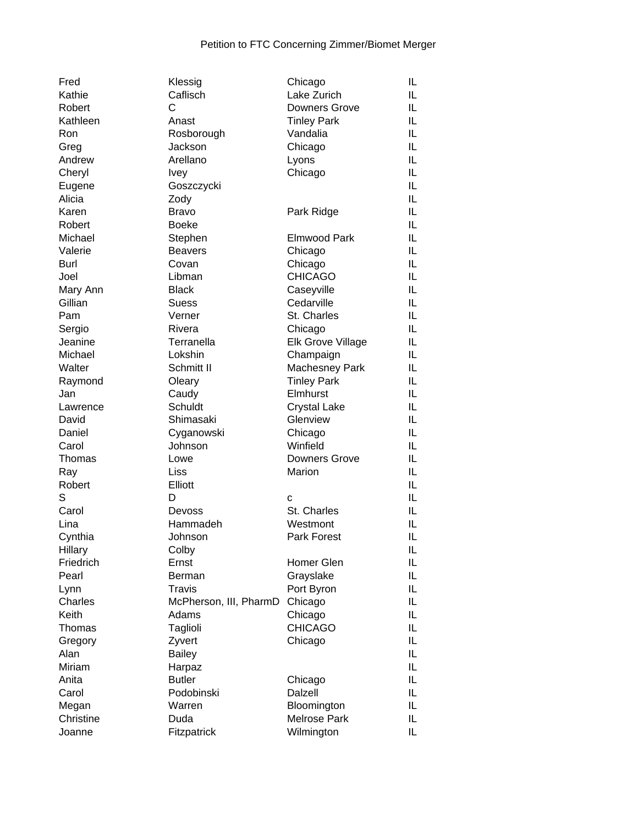| Fred               | Klessig                | Chicago                            | IL |
|--------------------|------------------------|------------------------------------|----|
| Kathie             | Caflisch               | Lake Zurich                        | IL |
| Robert             | C                      | <b>Downers Grove</b>               | IL |
| Kathleen           | Anast                  | <b>Tinley Park</b>                 | IL |
| Ron                | Rosborough             | Vandalia                           | IL |
| Greg               | Jackson                | Chicago                            | IL |
| Andrew             | Arellano               | Lyons                              | IL |
| Cheryl             | <b>Ivey</b>            | Chicago                            | IL |
| Eugene             | Goszczycki             |                                    | IL |
| Alicia             | Zody                   |                                    | IL |
| Karen              | <b>Bravo</b>           | Park Ridge                         | IL |
| Robert             | <b>Boeke</b>           |                                    | IL |
| Michael            | Stephen                | <b>Elmwood Park</b>                | IL |
| Valerie            | <b>Beavers</b>         | Chicago                            | IL |
| Burl               | Covan                  | Chicago                            | IL |
| Joel               | Libman                 | <b>CHICAGO</b>                     | IL |
| Mary Ann           | <b>Black</b>           | Caseyville                         | IL |
| Gillian            | <b>Suess</b>           | Cedarville                         | IL |
| Pam                | Verner                 | St. Charles                        | IL |
| Sergio             | Rivera                 | Chicago                            | IL |
| Jeanine            | Terranella             | <b>Elk Grove Village</b>           | IL |
| Michael            | Lokshin                | Champaign                          | IL |
| Walter             | Schmitt II             | Machesney Park                     | IL |
| Raymond            | Oleary                 | <b>Tinley Park</b>                 | IL |
| Jan                | Caudy                  | Elmhurst                           | IL |
| Lawrence           | <b>Schuldt</b>         | <b>Crystal Lake</b>                | IL |
| David              | Shimasaki              | Glenview                           | IL |
| Daniel             | Cyganowski             | Chicago                            | IL |
| Carol              | Johnson                | Winfield                           | IL |
| Thomas             | Lowe                   | Downers Grove                      | IL |
| Ray                | Liss                   | Marion                             | IL |
| Robert             | Elliott                |                                    | IL |
| S                  | D                      | C                                  | IL |
| Carol              | Devoss                 | St. Charles                        | IL |
| Lina               | Hammadeh               | Westmont                           | IL |
| Cynthia            | Johnson                | <b>Park Forest</b>                 | IL |
| Hillary            | Colby                  |                                    | IL |
| Friedrich          | Ernst                  | Homer Glen                         | IL |
| Pearl              | Berman                 | Grayslake                          | IL |
| Lynn               | Travis                 | Port Byron                         | IL |
| Charles            | McPherson, III, PharmD | Chicago                            | IL |
| Keith              | Adams                  | Chicago                            | IL |
| Thomas             | Taglioli               | <b>CHICAGO</b>                     | IL |
| Gregory            | Zyvert                 | Chicago                            | IL |
| Alan               | <b>Bailey</b>          |                                    | IL |
| Miriam             | Harpaz                 |                                    | IL |
|                    | <b>Butler</b>          |                                    | IL |
| Anita              | Podobinski             | Chicago<br><b>Dalzell</b>          | IL |
| Carol              | Warren                 |                                    | IL |
| Megan<br>Christine |                        | Bloomington<br><b>Melrose Park</b> |    |
|                    | Duda                   |                                    | IL |
| Joanne             | Fitzpatrick            | Wilmington                         | IL |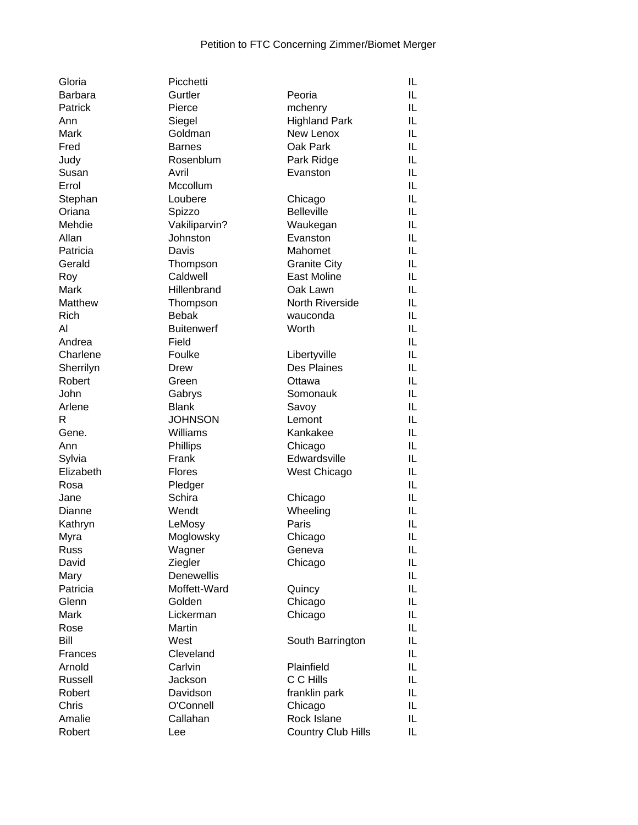| Gloria              | Picchetti         |                             | IL |
|---------------------|-------------------|-----------------------------|----|
| <b>Barbara</b>      | Gurtler           | Peoria                      | IL |
| Patrick             | Pierce            | mchenry                     | IL |
| Ann                 | Siegel            | <b>Highland Park</b>        | IL |
| Mark                | Goldman           | New Lenox                   | IL |
| Fred                | <b>Barnes</b>     | Oak Park                    | IL |
| Judy                | Rosenblum         | Park Ridge                  | IL |
| Susan               | Avril             | Evanston                    | IL |
| Errol               | Mccollum          |                             | IL |
| Stephan             | Loubere           | Chicago                     | IL |
| Oriana              | Spizzo            | <b>Belleville</b>           | IL |
| Mehdie              | Vakiliparvin?     | Waukegan                    | IL |
| Allan               | Johnston          | Evanston                    | IL |
| Patricia            | Davis             | Mahomet                     | IL |
| Gerald              | Thompson          | <b>Granite City</b>         | IL |
| Roy                 | Caldwell          | East Moline                 | IL |
| Mark                | Hillenbrand       | Oak Lawn                    | IL |
| Matthew             | Thompson          | North Riverside             | IL |
| Rich                | <b>Bebak</b>      | wauconda                    | IL |
| Al                  | <b>Buitenwerf</b> | Worth                       | IL |
| Andrea              | Field             |                             | IL |
| Charlene            | Foulke            |                             | IL |
|                     | <b>Drew</b>       | Libertyville<br>Des Plaines | IL |
| Sherrilyn<br>Robert |                   |                             | IL |
|                     | Green             | Ottawa                      |    |
| John                | Gabrys            | Somonauk                    | IL |
| Arlene              | <b>Blank</b>      | Savoy                       | IL |
| R                   | <b>JOHNSON</b>    | Lemont                      | IL |
| Gene.               | Williams          | Kankakee                    | IL |
| Ann                 | Phillips          | Chicago                     | IL |
| Sylvia              | Frank             | Edwardsville                | IL |
| Elizabeth           | <b>Flores</b>     | West Chicago                | IL |
| Rosa                | Pledger           |                             | IL |
| Jane                | Schira            | Chicago                     | IL |
| Dianne              | Wendt             | Wheeling                    | IL |
| Kathryn             | LeMosy            | Paris                       | IL |
| Myra                | Moglowsky         | Chicago                     | IL |
| Russ                | Wagner            | Geneva                      | IL |
| David               | Ziegler           | Chicago                     | IL |
| Mary                | Denewellis        |                             | IL |
| Patricia            | Moffett-Ward      | Quincy                      | IL |
| Glenn               | Golden            | Chicago                     | IL |
| Mark                | Lickerman         | Chicago                     | IL |
| Rose                | Martin            |                             | IL |
| Bill                | West              | South Barrington            | IL |
| Frances             | Cleveland         |                             | IL |
| Arnold              | Carlvin           | Plainfield                  | IL |
| Russell             | Jackson           | C C Hills                   | IL |
| Robert              | Davidson          | franklin park               | IL |
| Chris               | O'Connell         | Chicago                     | IL |
| Amalie              | Callahan          | Rock Islane                 | IL |
| Robert              | Lee               | <b>Country Club Hills</b>   | IL |
|                     |                   |                             |    |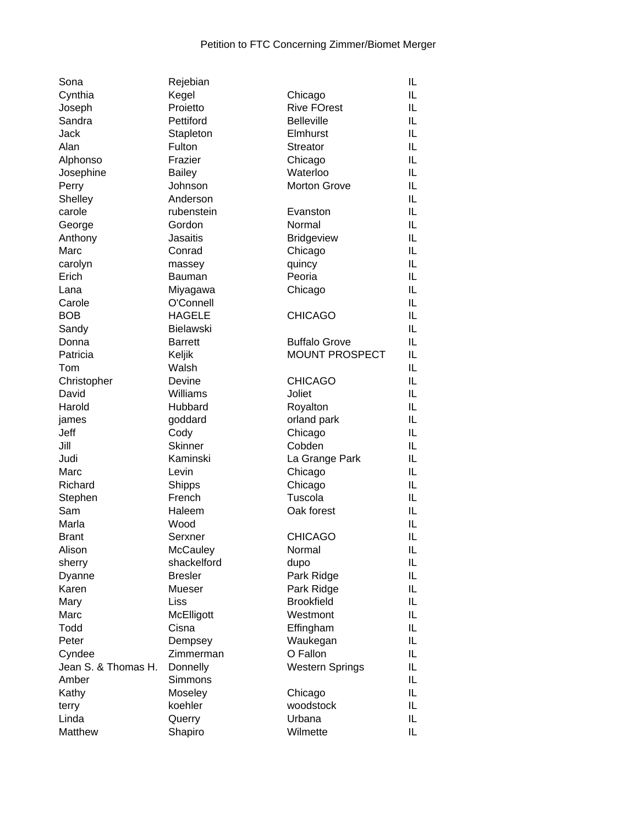| Sona                | Rejebian        |                        | IL |
|---------------------|-----------------|------------------------|----|
| Cynthia             | Kegel           | Chicago                | IL |
| Joseph              | Proietto        | <b>Rive FOrest</b>     | IL |
| Sandra              | Pettiford       | <b>Belleville</b>      | IL |
| Jack                | Stapleton       | Elmhurst               | IL |
| Alan                | Fulton          | <b>Streator</b>        | IL |
| Alphonso            | Frazier         | Chicago                | IL |
| Josephine           | <b>Bailey</b>   | Waterloo               | IL |
| Perry               | Johnson         | <b>Morton Grove</b>    | IL |
| Shelley             | Anderson        |                        | IL |
| carole              | rubenstein      | Evanston               | IL |
| George              | Gordon          | Normal                 | IL |
| Anthony             | <b>Jasaitis</b> | <b>Bridgeview</b>      | IL |
| Marc                | Conrad          | Chicago                | IL |
| carolyn             | massey          | quincy                 | IL |
| Erich               | <b>Bauman</b>   | Peoria                 | IL |
| Lana                | Miyagawa        | Chicago                | IL |
| Carole              | O'Connell       |                        | IL |
| <b>BOB</b>          | <b>HAGELE</b>   | <b>CHICAGO</b>         | IL |
| Sandy               | Bielawski       |                        | IL |
| Donna               | <b>Barrett</b>  | <b>Buffalo Grove</b>   | IL |
| Patricia            | Keljik          | <b>MOUNT PROSPECT</b>  | IL |
| Tom                 | Walsh           |                        | IL |
| Christopher         | Devine          | <b>CHICAGO</b>         | IL |
| David               | Williams        | Joliet                 | IL |
| Harold              | Hubbard         | Royalton               | IL |
| james               | goddard         | orland park            | IL |
| Jeff                | Cody            | Chicago                | IL |
| Jill                | <b>Skinner</b>  | Cobden                 | IL |
| Judi                | Kaminski        | La Grange Park         | IL |
| Marc                | Levin           | Chicago                | IL |
| Richard             | Shipps          | Chicago                | IL |
| Stephen             | French          | Tuscola                | IL |
| Sam                 | Haleem          | Oak forest             | IL |
| Marla               | Wood            |                        | IL |
| <b>Brant</b>        | Serxner         | <b>CHICAGO</b>         | IL |
| Alison              | McCauley        | Normal                 | IL |
| sherry              | shackelford     | dupo                   | IL |
| Dyanne              | <b>Bresler</b>  | Park Ridge             | IL |
| Karen               | <b>Mueser</b>   | Park Ridge             | IL |
| Mary                | Liss            | <b>Brookfield</b>      | IL |
| Marc                | McElligott      | Westmont               | IL |
| Todd                | Cisna           | Effingham              | IL |
| Peter               | Dempsey         | Waukegan               | IL |
| Cyndee              | Zimmerman       | O Fallon               | IL |
| Jean S. & Thomas H. | Donnelly        | <b>Western Springs</b> | IL |
| Amber               | <b>Simmons</b>  |                        | IL |
| Kathy               | Moseley         | Chicago                | IL |
| terry               | koehler         | woodstock              | IL |
| Linda               | Querry          | Urbana                 | IL |
| Matthew             | Shapiro         | Wilmette               | IL |
|                     |                 |                        |    |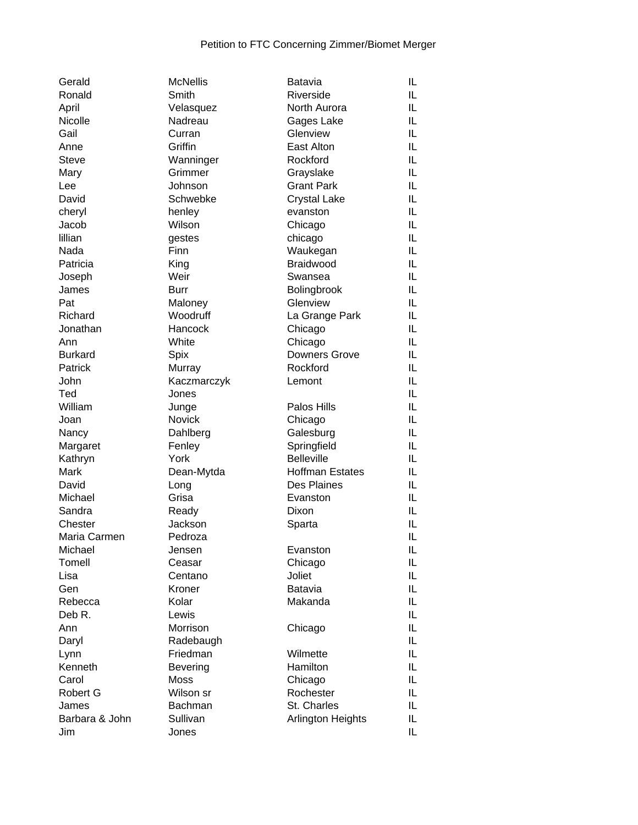| Gerald         | <b>McNellis</b>       | Batavia                | IL |
|----------------|-----------------------|------------------------|----|
| Ronald         | Smith                 | Riverside              | IL |
| April          | Velasquez             | North Aurora           | IL |
| Nicolle        | Nadreau               | Gages Lake             | IL |
| Gail           | Curran                | Glenview               | IL |
| Anne           | Griffin               | East Alton             | IL |
| <b>Steve</b>   | Wanninger             | Rockford               | IL |
| Mary           | Grimmer               | Grayslake              | IL |
| Lee            | Johnson               | <b>Grant Park</b>      | IL |
| David          | Schwebke              | <b>Crystal Lake</b>    | IL |
| cheryl         | henley                | evanston               | IL |
| Jacob          | Wilson                | Chicago                | IL |
| lillian        | gestes                | chicago                | IL |
| Nada           | Finn                  | Waukegan               | IL |
| Patricia       | King                  | Braidwood              | IL |
| Joseph         | Weir                  | Swansea                | IL |
| James          | <b>Burr</b>           | Bolingbrook            | IL |
| Pat            | Maloney               | Glenview               | IL |
| Richard        | Woodruff              | La Grange Park         | IL |
| Jonathan       | Hancock               | Chicago                | IL |
| Ann            | White                 | Chicago                | IL |
| <b>Burkard</b> | Spix                  | Downers Grove          | IL |
| Patrick        |                       | Rockford               | IL |
| John           | Murray<br>Kaczmarczyk |                        | IL |
|                |                       | Lemont                 | IL |
| Ted            | Jones                 |                        |    |
| William        | Junge                 | Palos Hills            | IL |
| Joan           | Novick                | Chicago                | IL |
| Nancy          | Dahlberg              | Galesburg              | IL |
| Margaret       | Fenley                | Springfield            | IL |
| Kathryn        | York                  | <b>Belleville</b>      | IL |
| Mark           | Dean-Mytda            | <b>Hoffman Estates</b> | IL |
| David          | Long                  | Des Plaines            | IL |
| Michael        | Grisa                 | Evanston               | IL |
| Sandra         | Ready                 | Dixon                  | IL |
| Chester        | Jackson               | Sparta                 | IL |
| Maria Carmen   | Pedroza               |                        | IL |
| Michael        | Jensen                | Evanston               | IL |
| Tomell         | Ceasar                | Chicago                | IL |
| Lisa           | Centano               | Joliet                 | IL |
| Gen            | Kroner                | <b>Batavia</b>         | IL |
| Rebecca        | Kolar                 | Makanda                | IL |
| Deb R.         | Lewis                 |                        | IL |
| Ann            | Morrison              | Chicago                | IL |
| Daryl          | Radebaugh             |                        | IL |
| Lynn           | Friedman              | Wilmette               | IL |
| Kenneth        | Bevering              | Hamilton               | IL |
| Carol          | <b>Moss</b>           | Chicago                | IL |
| Robert G       | Wilson sr             | Rochester              | IL |
| James          | <b>Bachman</b>        | St. Charles            | IL |
| Barbara & John | Sullivan              | Arlington Heights      | IL |
| Jim            | Jones                 |                        | IL |
|                |                       |                        |    |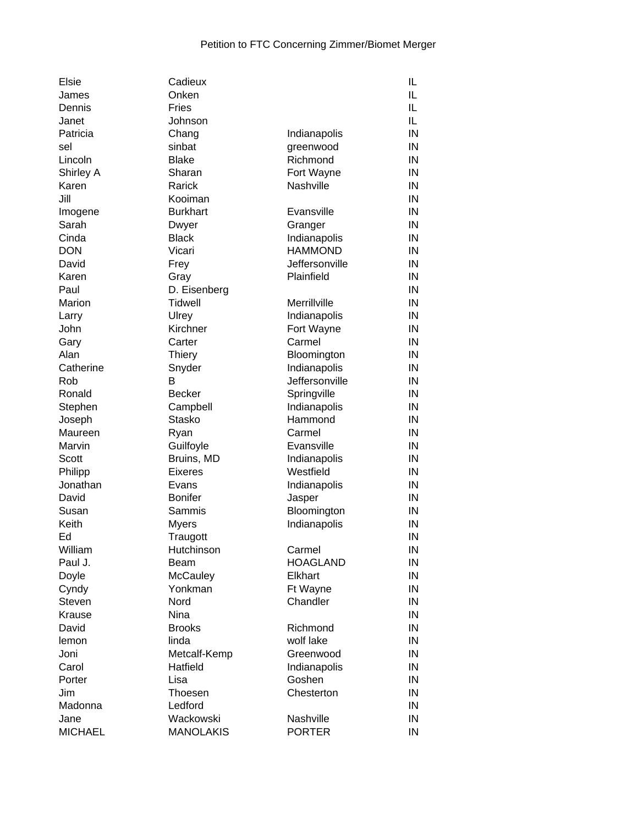| Elsie          | Cadieux          |                 | IL |
|----------------|------------------|-----------------|----|
| James          | Onken            |                 | IL |
| Dennis         | Fries            |                 | IL |
| Janet          | Johnson          |                 | IL |
| Patricia       | Chang            | Indianapolis    | IN |
| sel            | sinbat           | greenwood       | IN |
| Lincoln        | <b>Blake</b>     | Richmond        | IN |
| Shirley A      | Sharan           | Fort Wayne      | IN |
| Karen          | Rarick           | Nashville       | IN |
| Jill           | Kooiman          |                 | IN |
| Imogene        | <b>Burkhart</b>  | Evansville      | IN |
| Sarah          | Dwyer            | Granger         | IN |
| Cinda          | <b>Black</b>     | Indianapolis    | IN |
| <b>DON</b>     | Vicari           | <b>HAMMOND</b>  | IN |
| David          | Frey             | Jeffersonville  | IN |
| Karen          | Gray             | Plainfield      | IN |
| Paul           | D. Eisenberg     |                 | IN |
| Marion         | Tidwell          | Merrillville    | IN |
|                |                  |                 |    |
| Larry          | Ulrey            | Indianapolis    | IN |
| John           | Kirchner         | Fort Wayne      | IN |
| Gary           | Carter           | Carmel          | IN |
| Alan           | <b>Thiery</b>    | Bloomington     | IN |
| Catherine      | Snyder           | Indianapolis    | IN |
| Rob            | В                | Jeffersonville  | IN |
| Ronald         | <b>Becker</b>    | Springville     | IN |
| Stephen        | Campbell         | Indianapolis    | IN |
| Joseph         | <b>Stasko</b>    | Hammond         | IN |
| Maureen        | Ryan             | Carmel          | IN |
| Marvin         | Guilfoyle        | Evansville      | IN |
| Scott          | Bruins, MD       | Indianapolis    | IN |
| Philipp        | <b>Eixeres</b>   | Westfield       | IN |
| Jonathan       | Evans            | Indianapolis    | IN |
| David          | <b>Bonifer</b>   | Jasper          | IN |
| Susan          | Sammis           | Bloomington     | IN |
| Keith          | <b>Myers</b>     | Indianapolis    | IN |
| Ed             | Traugott         |                 | IN |
| William        | Hutchinson       | Carmel          | IN |
| Paul J.        | Beam             | <b>HOAGLAND</b> | IN |
| Doyle          | McCauley         | Elkhart         | IN |
| Cyndy          | Yonkman          | Ft Wayne        | IN |
| Steven         | Nord             | Chandler        | IN |
| Krause         | Nina             |                 | IN |
| David          | <b>Brooks</b>    | Richmond        | IN |
| lemon          | linda            | wolf lake       | IN |
| Joni           | Metcalf-Kemp     | Greenwood       | IN |
| Carol          | Hatfield         | Indianapolis    | IN |
| Porter         | Lisa             | Goshen          | IN |
| Jim            | Thoesen          | Chesterton      | IN |
| Madonna        | Ledford          |                 | IN |
| Jane           | Wackowski        | Nashville       | IN |
| <b>MICHAEL</b> | <b>MANOLAKIS</b> | <b>PORTER</b>   | IN |
|                |                  |                 |    |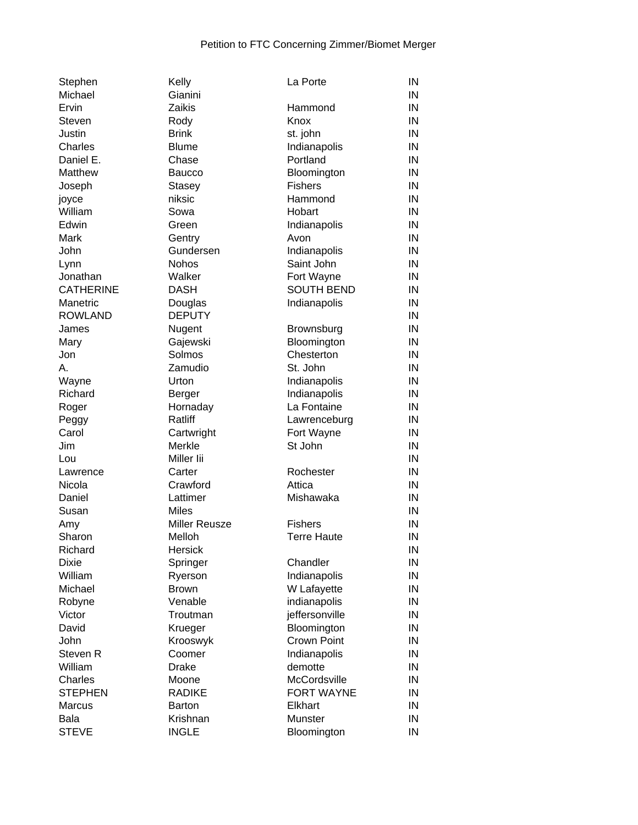| Stephen          | Kelly                    | La Porte           | IN |
|------------------|--------------------------|--------------------|----|
| Michael          | Gianini                  |                    | IN |
| Ervin            | Zaikis                   | Hammond            | IN |
| <b>Steven</b>    | Rody                     | Knox               | IN |
| Justin           | <b>Brink</b>             | st. john           | IN |
| Charles          | <b>Blume</b>             | Indianapolis       | IN |
| Daniel E.        | Chase                    | Portland           | IN |
| Matthew          | <b>Baucco</b>            | Bloomington        | IN |
| Joseph           | <b>Stasey</b>            | <b>Fishers</b>     | IN |
| joyce            | niksic                   | Hammond            | IN |
| William          | Sowa                     | Hobart             | IN |
| Edwin            | Green                    | Indianapolis       | IN |
| Mark             | Gentry                   | Avon               | IN |
| John             | Gundersen                | Indianapolis       | IN |
| Lynn             | Nohos                    | Saint John         | IN |
| Jonathan         | Walker                   | Fort Wayne         | IN |
| <b>CATHERINE</b> | <b>DASH</b>              | <b>SOUTH BEND</b>  | IN |
| Manetric         | Douglas                  | Indianapolis       | IN |
| <b>ROWLAND</b>   | <b>DEPUTY</b>            |                    | IN |
| James            | Nugent                   | Brownsburg         | IN |
| Mary             | Gajewski                 | Bloomington        | IN |
| Jon              | Solmos                   | Chesterton         | IN |
| А.               | Zamudio                  | St. John           | IN |
| Wayne            | Urton                    | Indianapolis       | IN |
| Richard          | Berger                   | Indianapolis       | IN |
| Roger            | Hornaday                 | La Fontaine        | IN |
| Peggy            | Ratliff                  | Lawrenceburg       | IN |
| Carol            | Cartwright               | Fort Wayne         | IN |
| Jim              | Merkle                   | St John            | IN |
| Lou              | Miller lii               |                    | IN |
| Lawrence         | Carter                   | Rochester          | IN |
| Nicola           | Crawford                 | Attica             | IN |
| Daniel           | Lattimer                 | Mishawaka          | IN |
| Susan            | <b>Miles</b>             |                    | IN |
|                  | Miller Reusze            | <b>Fishers</b>     | IN |
| Amy<br>Sharon    |                          |                    | IN |
| Richard          | Melloh<br><b>Hersick</b> | <b>Terre Haute</b> | IN |
|                  |                          |                    | IN |
| <b>Dixie</b>     | Springer                 | Chandler           |    |
| William          | Ryerson                  | Indianapolis       | IN |
| Michael          | <b>Brown</b>             | W Lafayette        | IN |
| Robyne           | Venable                  | indianapolis       | IN |
| Victor           | Troutman                 | jeffersonville     | IN |
| David            | Krueger                  | Bloomington        | IN |
| John             | Krooswyk                 | <b>Crown Point</b> | IN |
| Steven R         | Coomer                   | Indianapolis       | IN |
| William          | <b>Drake</b>             | demotte            | IN |
| Charles          | Moone                    | McCordsville       | IN |
| <b>STEPHEN</b>   | <b>RADIKE</b>            | <b>FORT WAYNE</b>  | IN |
| <b>Marcus</b>    | <b>Barton</b>            | Elkhart            | IN |
| Bala             | Krishnan                 | Munster            | IN |
| <b>STEVE</b>     | <b>INGLE</b>             | Bloomington        | IN |
|                  |                          |                    |    |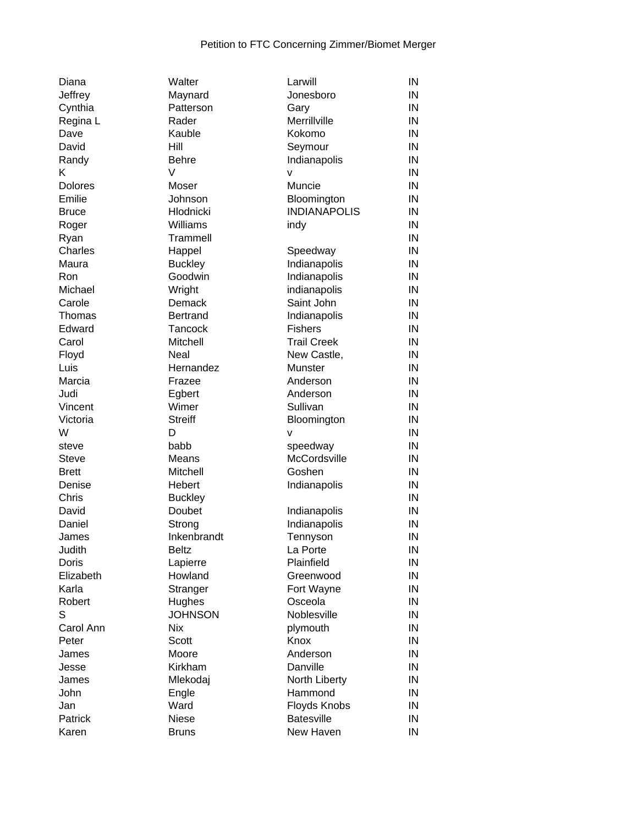| Diana          | Walter          | Larwill             | IN |
|----------------|-----------------|---------------------|----|
| Jeffrey        | Maynard         | Jonesboro           | IN |
| Cynthia        | Patterson       | Gary                | IN |
| Regina L       | Rader           | Merrillville        | IN |
| Dave           | Kauble          | Kokomo              | IN |
| David          | Hill            | Seymour             | IN |
| Randy          | <b>Behre</b>    | Indianapolis        | IN |
| K              | $\vee$          | v                   | IN |
| <b>Dolores</b> | Moser           | Muncie              | IN |
| Emilie         | Johnson         | Bloomington         | IN |
| <b>Bruce</b>   | Hlodnicki       | <b>INDIANAPOLIS</b> | IN |
|                | Williams        | indy                | IN |
| Roger          |                 |                     | IN |
| Ryan           | Trammell        |                     |    |
| Charles        | Happel          | Speedway            | IN |
| Maura          | <b>Buckley</b>  | Indianapolis        | IN |
| Ron            | Goodwin         | Indianapolis        | IN |
| Michael        | Wright          | indianapolis        | IN |
| Carole         | Demack          | Saint John          | IN |
| Thomas         | <b>Bertrand</b> | Indianapolis        | IN |
| Edward         | Tancock         | <b>Fishers</b>      | IN |
| Carol          | <b>Mitchell</b> | <b>Trail Creek</b>  | IN |
| Floyd          | Neal            | New Castle,         | IN |
| Luis           | Hernandez       | Munster             | IN |
| Marcia         | Frazee          | Anderson            | IN |
| Judi           | Egbert          | Anderson            | IN |
| Vincent        | Wimer           | Sullivan            | IN |
| Victoria       | <b>Streiff</b>  | Bloomington         | IN |
| W              | D               | $\mathsf{v}$        | IN |
| steve          | babb            | speedway            | IN |
| <b>Steve</b>   | Means           | McCordsville        | IN |
| <b>Brett</b>   | Mitchell        | Goshen              | IN |
|                |                 |                     | IN |
| Denise         | Hebert          | Indianapolis        |    |
| Chris          | <b>Buckley</b>  |                     | IN |
| David          | Doubet          | Indianapolis        | IN |
| Daniel         | Strong          | Indianapolis        | IN |
| James          | Inkenbrandt     | Tennyson            | IN |
| Judith         | <b>Beltz</b>    | La Porte            | IN |
| Doris          | Lapierre        | Plainfield          | IN |
| Elizabeth      | Howland         | Greenwood           | IN |
| Karla          | Stranger        | Fort Wayne          | IN |
| Robert         | Hughes          | Osceola             | IN |
| S              | <b>JOHNSON</b>  | Noblesville         | IN |
| Carol Ann      | <b>Nix</b>      | plymouth            | IN |
| Peter          | Scott           | Knox                | IN |
| James          | Moore           | Anderson            | IN |
| Jesse          | Kirkham         | Danville            | IN |
| James          | Mlekodaj        | North Liberty       | IN |
| John           | Engle           | Hammond             | IN |
| Jan            | Ward            | Floyds Knobs        | IN |
| Patrick        | <b>Niese</b>    | <b>Batesville</b>   | IN |
| Karen          | <b>Bruns</b>    | New Haven           | IN |
|                |                 |                     |    |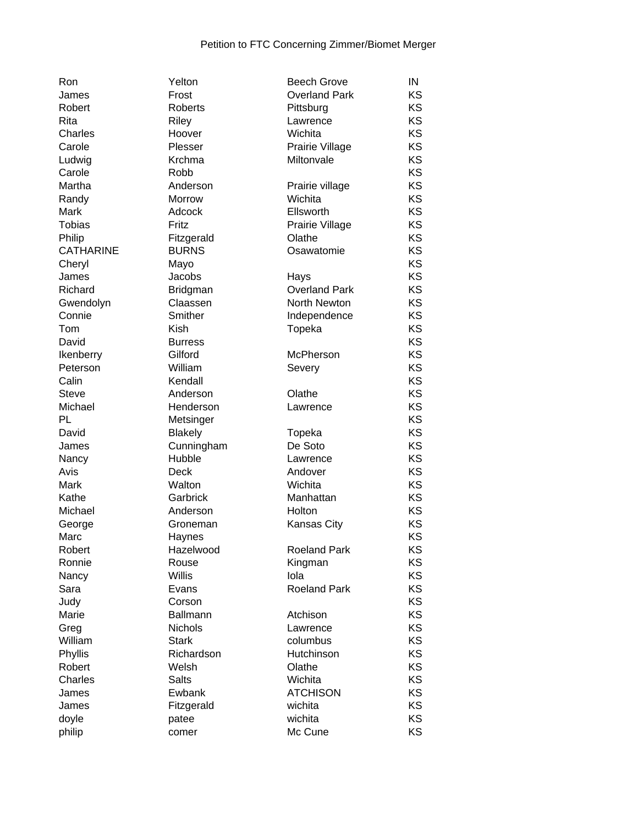| Ron              | Yelton          | <b>Beech Grove</b>   | IN |
|------------------|-----------------|----------------------|----|
| James            | Frost           | <b>Overland Park</b> | KS |
| Robert           | Roberts         | Pittsburg            | KS |
| Rita             | Riley           | Lawrence             | KS |
| Charles          | Hoover          | Wichita              | KS |
| Carole           | Plesser         | Prairie Village      | KS |
| Ludwig           | Krchma          | Miltonvale           | KS |
| Carole           | Robb            |                      | KS |
| Martha           | Anderson        | Prairie village      | KS |
| Randy            | Morrow          | Wichita              | KS |
| Mark             | Adcock          | Ellsworth            | KS |
| <b>Tobias</b>    | Fritz           | Prairie Village      | KS |
| Philip           | Fitzgerald      | Olathe               | KS |
| <b>CATHARINE</b> | <b>BURNS</b>    | Osawatomie           | KS |
| Cheryl           | Mayo            |                      | KS |
| James            | Jacobs          | Hays                 | KS |
| Richard          | <b>Bridgman</b> | <b>Overland Park</b> | KS |
| Gwendolyn        | Claassen        | North Newton         | KS |
| Connie           | Smither         | Independence         | KS |
| Tom              | Kish            | Topeka               | KS |
| David            | <b>Burress</b>  |                      | KS |
| Ikenberry        | Gilford         | McPherson            | KS |
| Peterson         | William         | Severy               | KS |
| Calin            | Kendall         |                      | KS |
| <b>Steve</b>     | Anderson        | Olathe               | KS |
| Michael          | Henderson       | Lawrence             | KS |
| PL               | Metsinger       |                      | KS |
| David            | <b>Blakely</b>  | Topeka               | KS |
| James            | Cunningham      | De Soto              | KS |
| Nancy            | Hubble          | Lawrence             | KS |
| Avis             | Deck            | Andover              | KS |
| Mark             | Walton          | Wichita              | KS |
| Kathe            | Garbrick        | Manhattan            | KS |
| Michael          | Anderson        | Holton               | KS |
| George           | Groneman        | Kansas City          | KS |
| Marc             | Haynes          |                      | KS |
| Robert           | Hazelwood       | <b>Roeland Park</b>  | ΚS |
| Ronnie           | Rouse           | Kingman              | KS |
| Nancy            | <b>Willis</b>   | lola                 | KS |
| Sara             | Evans           | <b>Roeland Park</b>  | KS |
| Judy             | Corson          |                      | KS |
| Marie            | Ballmann        | Atchison             | KS |
| Greg             | Nichols         | Lawrence             | KS |
| William          | <b>Stark</b>    | columbus             | KS |
| Phyllis          | Richardson      | Hutchinson           | KS |
| Robert           | Welsh           | Olathe               | KS |
| Charles          | <b>Salts</b>    | Wichita              | KS |
| James            | Ewbank          | <b>ATCHISON</b>      | KS |
| James            | Fitzgerald      | wichita              | KS |
| doyle            | patee           | wichita              | KS |
| philip           | comer           | Mc Cune              | KS |

| ווטח             | i eiton        | <b>DEECH QIOVE</b>   | ШΝ |
|------------------|----------------|----------------------|----|
| James            | Frost          | <b>Overland Park</b> | KS |
| Robert           | Roberts        | Pittsburg            | KS |
| Rita             | <b>Riley</b>   | Lawrence             | KS |
| <b>Charles</b>   | Hoover         | Wichita              | KS |
| Carole           | Plesser        | Prairie Village      | KS |
| Ludwig           | Krchma         | Miltonvale           | KS |
| Carole           | Robb           |                      | KS |
| Martha           | Anderson       | Prairie village      | KS |
| Randy            | Morrow         | Wichita              | KS |
| Mark             | Adcock         | Ellsworth            | KS |
| <b>Tobias</b>    | Fritz          | Prairie Village      | KS |
| Philip           | Fitzgerald     | Olathe               | KS |
| <b>CATHARINE</b> | <b>BURNS</b>   | Osawatomie           | KS |
| Cheryl           | Mayo           |                      | KS |
| James            | Jacobs         | Hays                 | KS |
| Richard          | Bridgman       | <b>Overland Park</b> | KS |
| Gwendolyn        | Claassen       | North Newton         | KS |
| Connie           | Smither        | Independence         | KS |
| Tom              | Kish           | Topeka               | KS |
| David            | <b>Burress</b> |                      | KS |
| Ikenberry        | Gilford        | <b>McPherson</b>     | KS |
| Peterson         | William        | Severy               | KS |
| Calin            | Kendall        |                      | KS |
| <b>Steve</b>     | Anderson       | Olathe               | KS |
| Michael          | Henderson      | Lawrence             | KS |
| PL               | Metsinger      |                      | KS |
| David            | <b>Blakely</b> | Topeka               | KS |
| James            | Cunningham     | De Soto              | KS |
| Nancy            | Hubble         | Lawrence             | KS |
| Avis             | Deck           | Andover              | KS |
| Mark             | Walton         | Wichita              | KS |
| Kathe            | Garbrick       | Manhattan            | KS |
| Michael          | Anderson       | Holton               | KS |
| George           | Groneman       | Kansas City          | KS |
| Marc             | Haynes         |                      | KS |
| Robert           | Hazelwood      | <b>Roeland Park</b>  | KS |
| Ronnie           | Rouse          | Kingman              | KS |
| Nancy            | <b>Willis</b>  | lola                 | KS |
| Sara             | Evans          | <b>Roeland Park</b>  | KS |
| Judy             | Corson         |                      | KS |
| Marie            | Ballmann       | Atchison             | KS |
| Greg             | Nichols        | Lawrence             | KS |
| William          | <b>Stark</b>   | columbus             | KS |
| Phyllis          | Richardson     | Hutchinson           | KS |
| Robert           | Welsh          | Olathe               | KS |
| Charles          | <b>Salts</b>   | Wichita              | KS |
| James            | Ewbank         | <b>ATCHISON</b>      | KS |
| James            | Fitzgerald     | wichita              | KS |
| doyle            | patee          | wichita              | KS |
| philip           | comer          | Mc Cune              | KS |
|                  |                |                      |    |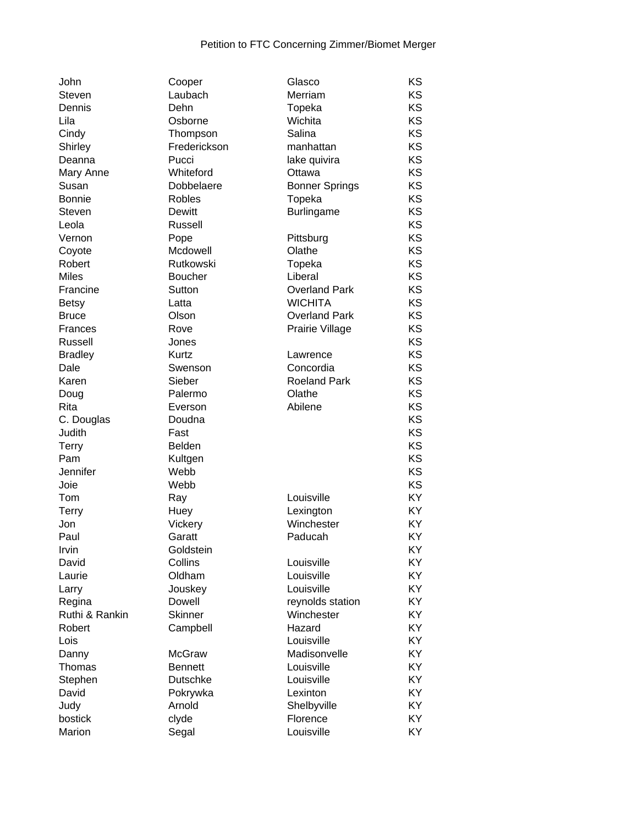| John           | Cooper          | Glasco                | KS        |
|----------------|-----------------|-----------------------|-----------|
| Steven         | Laubach         | Merriam               | KS        |
| Dennis         | Dehn            | Topeka                | KS        |
| Lila           | Osborne         | Wichita               | KS        |
| Cindy          | Thompson        | Salina                | <b>KS</b> |
| Shirley        | Frederickson    | manhattan             | KS        |
| Deanna         | Pucci           | lake quivira          | KS        |
| Mary Anne      | Whiteford       | Ottawa                | KS        |
| Susan          | Dobbelaere      | <b>Bonner Springs</b> | KS        |
| <b>Bonnie</b>  | Robles          | Topeka                | KS        |
| Steven         | Dewitt          | <b>Burlingame</b>     | <b>KS</b> |
| Leola          | Russell         |                       | KS        |
| Vernon         | Pope            | Pittsburg             | KS        |
| Coyote         | Mcdowell        | Olathe                | KS        |
| Robert         | Rutkowski       | Topeka                | KS        |
| <b>Miles</b>   | <b>Boucher</b>  | Liberal               | KS        |
| Francine       | Sutton          | <b>Overland Park</b>  | KS        |
| <b>Betsy</b>   | Latta           | <b>WICHITA</b>        | KS        |
| <b>Bruce</b>   | Olson           | <b>Overland Park</b>  | KS        |
| Frances        | Rove            | Prairie Village       | KS        |
| Russell        | Jones           |                       | KS        |
| <b>Bradley</b> | Kurtz           | Lawrence              | KS        |
| Dale           | Swenson         | Concordia             | KS        |
| Karen          | Sieber          | <b>Roeland Park</b>   | KS        |
| Doug           | Palermo         | Olathe                | KS        |
| Rita           | Everson         | Abilene               | KS        |
| C. Douglas     | Doudna          |                       | KS        |
| Judith         | Fast            |                       | KS        |
| <b>Terry</b>   | <b>Belden</b>   |                       | KS        |
| Pam            | Kultgen         |                       | KS        |
| Jennifer       | Webb            |                       | KS        |
| Joie           | Webb            |                       | KS        |
| Tom            | Ray             | Louisville            | KY        |
| <b>Terry</b>   | Huey            | Lexington             | KY        |
| Jon            | Vickery         | Winchester            | KY        |
| Paul           | Garatt          | Paducah               | KY        |
| Irvin          | Goldstein       |                       | KY        |
| David          | Collins         | Louisville            | KY        |
| Laurie         | Oldham          | Louisville            | KY        |
| Larry          | Jouskey         | Louisville            | KY        |
| Regina         | <b>Dowell</b>   | reynolds station      | KY        |
| Ruthi & Rankin | <b>Skinner</b>  | Winchester            | KY        |
| Robert         | Campbell        | Hazard                | KY        |
| Lois           |                 | Louisville            | KY        |
| Danny          | <b>McGraw</b>   | Madisonvelle          | KY        |
| Thomas         | <b>Bennett</b>  | Louisville            | KY        |
| Stephen        | <b>Dutschke</b> | Louisville            | KY        |
| David          | Pokrywka        | Lexinton              | KY        |
| Judy           | Arnold          | Shelbyville           | KY        |
| bostick        | clyde           | Florence              | KY        |
| Marion         | Segal           | Louisville            | KY        |
|                |                 |                       |           |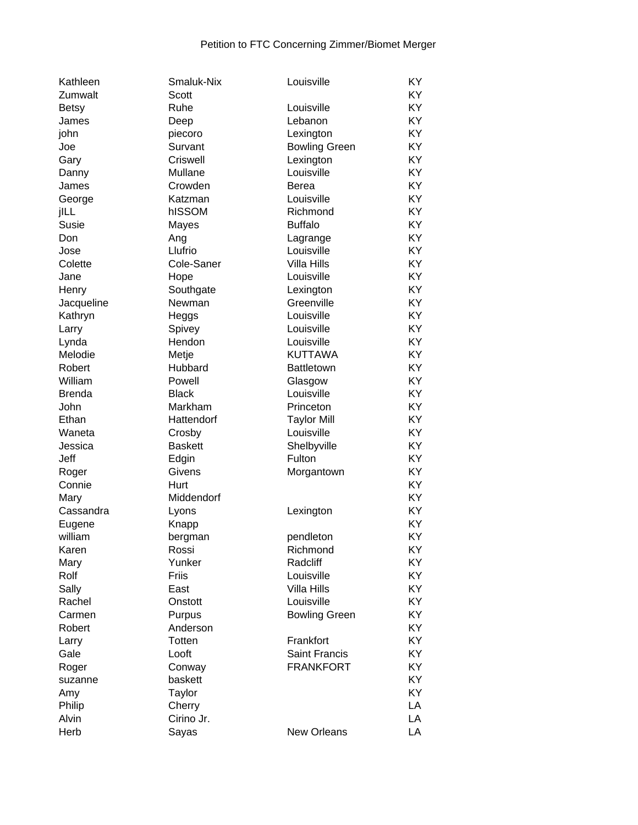| Kathleen      | Smaluk-Nix     | Louisville           | KY |
|---------------|----------------|----------------------|----|
| Zumwalt       | Scott          |                      | KY |
| Betsy         | Ruhe           | Louisville           | KY |
| James         | Deep           | Lebanon              | KY |
| john          | piecoro        | Lexington            | KY |
| Joe           | Survant        | <b>Bowling Green</b> | KY |
| Gary          | Criswell       | Lexington            | KY |
| Danny         | Mullane        | Louisville           | KY |
| James         | Crowden        | Berea                | KY |
| George        | Katzman        | Louisville           | KY |
| jILL          | hISSOM         | Richmond             | KY |
| Susie         | Mayes          | <b>Buffalo</b>       | KY |
| Don           | Ang            | Lagrange             | KY |
| Jose          | Llufrio        | Louisville           | KY |
| Colette       | Cole-Saner     | <b>Villa Hills</b>   | KY |
| Jane          | Hope           | Louisville           | KY |
| Henry         | Southgate      | Lexington            | KY |
| Jacqueline    | Newman         | Greenville           | KY |
| Kathryn       | Heggs          | Louisville           | KY |
| Larry         | Spivey         | Louisville           | KY |
| Lynda         | Hendon         | Louisville           | KY |
| Melodie       | Metje          | <b>KUTTAWA</b>       | KY |
| Robert        | Hubbard        | <b>Battletown</b>    | KY |
| William       | Powell         | Glasgow              | KY |
| <b>Brenda</b> | <b>Black</b>   | Louisville           | KY |
| John          | Markham        | Princeton            | KY |
| Ethan         | Hattendorf     | <b>Taylor Mill</b>   | KY |
| Waneta        | Crosby         | Louisville           | KY |
| Jessica       | <b>Baskett</b> | Shelbyville          | KY |
| Jeff          | Edgin          | Fulton               | KY |
| Roger         | Givens         | Morgantown           | KY |
| Connie        | Hurt           |                      | KY |
| Mary          | Middendorf     |                      | KY |
| Cassandra     | Lyons          | Lexington            | KY |
| Eugene        | Knapp          |                      | KY |
| william       | bergman        | pendleton            | KY |
| Karen         | Rossi          | Richmond             | KY |
| Mary          | Yunker         | Radcliff             | KY |
| Rolf          | Friis          | Louisville           | KY |
| Sally         | East           | <b>Villa Hills</b>   | KY |
| Rachel        | Onstott        | Louisville           | KY |
| Carmen        | Purpus         | <b>Bowling Green</b> | KY |
| Robert        | Anderson       |                      | KY |
| Larry         | Totten         | Frankfort            | KY |
| Gale          | Looft          | <b>Saint Francis</b> | KY |
| Roger         | Conway         | <b>FRANKFORT</b>     | KY |
| suzanne       | baskett        |                      | KY |
| Amy           | Taylor         |                      | KY |
| Philip        | Cherry         |                      | LA |
| Alvin         | Cirino Jr.     |                      | LA |
| Herb          | Sayas          | <b>New Orleans</b>   | LA |
|               |                |                      |    |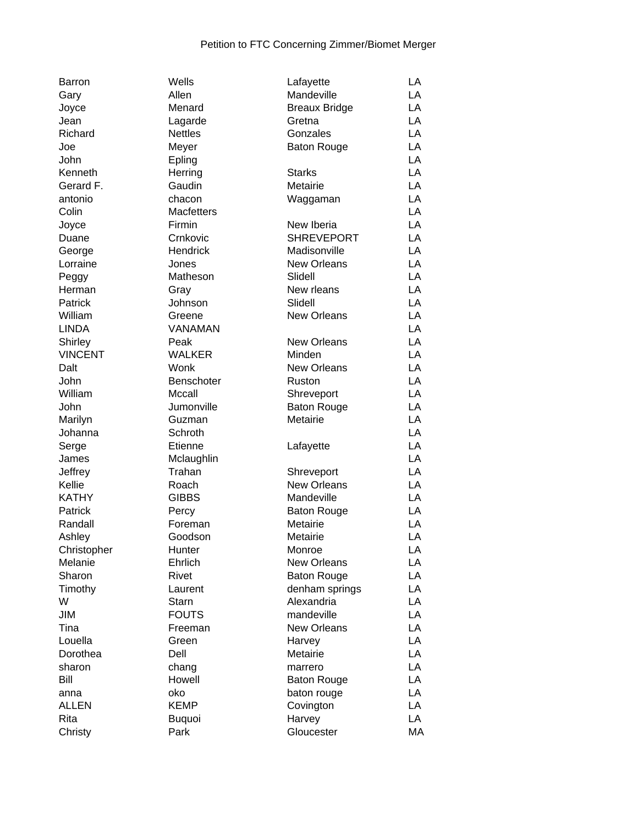| <b>Barron</b>  | Wells             | Lafayette            | LA |
|----------------|-------------------|----------------------|----|
| Gary           | Allen             | Mandeville           | LA |
| Joyce          | Menard            | <b>Breaux Bridge</b> | LA |
| Jean           | Lagarde           | Gretna               | LA |
| Richard        | <b>Nettles</b>    | Gonzales             | LA |
| Joe            | Meyer             | <b>Baton Rouge</b>   | LA |
| John           | Epling            |                      | LA |
| Kenneth        | Herring           | <b>Starks</b>        | LA |
| Gerard F.      | Gaudin            | Metairie             | LA |
| antonio        | chacon            | Waggaman             | LA |
| Colin          | <b>Macfetters</b> |                      | LA |
| Joyce          | Firmin            | New Iberia           | LA |
| Duane          | Crnkovic          | <b>SHREVEPORT</b>    | LA |
| George         | Hendrick          | Madisonville         | LA |
| Lorraine       | Jones             | <b>New Orleans</b>   | LA |
| Peggy          | Matheson          | Slidell              | LA |
| Herman         | Gray              | New rleans           | LA |
| Patrick        | Johnson           | Slidell              | LA |
| William        | Greene            | New Orleans          | LA |
| <b>LINDA</b>   | VANAMAN           |                      | LA |
|                | Peak              | <b>New Orleans</b>   | LA |
| Shirley        |                   |                      |    |
| <b>VINCENT</b> | <b>WALKER</b>     | Minden               | LA |
| Dalt           | Wonk              | <b>New Orleans</b>   | LA |
| John           | Benschoter        | Ruston               | LA |
| William        | Mccall            | Shreveport           | LA |
| John           | Jumonville        | <b>Baton Rouge</b>   | LA |
| Marilyn        | Guzman            | Metairie             | LA |
| Johanna        | Schroth           |                      | LA |
| Serge          | Etienne           | Lafayette            | LA |
| James          | Mclaughlin        |                      | LA |
| Jeffrey        | Trahan            | Shreveport           | LA |
| Kellie         | Roach             | <b>New Orleans</b>   | LA |
| <b>KATHY</b>   | <b>GIBBS</b>      | Mandeville           | LA |
| Patrick        | Percy             | <b>Baton Rouge</b>   | LA |
| Randall        | Foreman           | Metairie             | LA |
| Ashley         | Goodson           | Metairie             | LA |
| Christopher    | Hunter            | Monroe               | LA |
| Melanie        | Ehrlich           | <b>New Orleans</b>   | LA |
| Sharon         | Rivet             | <b>Baton Rouge</b>   | LA |
| Timothy        | Laurent           | denham springs       | LA |
| W              | <b>Starn</b>      | Alexandria           | LA |
| <b>JIM</b>     | <b>FOUTS</b>      | mandeville           | LA |
| Tina           | Freeman           | New Orleans          | LA |
| Louella        | Green             | Harvey               | LA |
| Dorothea       | Dell              | Metairie             | LA |
| sharon         | chang             | marrero              | LA |
| Bill           | Howell            | <b>Baton Rouge</b>   | LA |
| anna           | oko               | baton rouge          | LA |
| <b>ALLEN</b>   | <b>KEMP</b>       | Covington            | LA |
| Rita           | <b>Buquoi</b>     | Harvey               | LA |
| Christy        | Park              | Gloucester           | MA |
|                |                   |                      |    |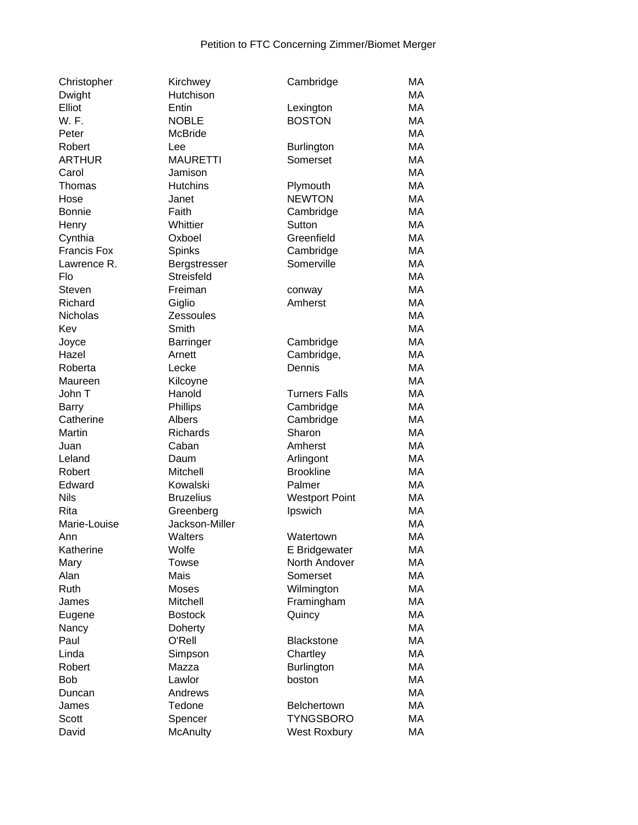| Christopher        | Kirchwey         | Cambridge             | MA        |
|--------------------|------------------|-----------------------|-----------|
| Dwight             | Hutchison        |                       | MA        |
| Elliot             | Entin            | Lexington             | MA        |
| W. F.              | <b>NOBLE</b>     | <b>BOSTON</b>         | MA        |
| Peter              | <b>McBride</b>   |                       | MA        |
| Robert             | Lee              | <b>Burlington</b>     | <b>MA</b> |
| <b>ARTHUR</b>      | <b>MAURETTI</b>  | Somerset              | MA        |
| Carol              | Jamison          |                       | MA        |
| Thomas             | <b>Hutchins</b>  | Plymouth              | MA        |
| Hose               | Janet            | <b>NEWTON</b>         | MA        |
| <b>Bonnie</b>      | Faith            | Cambridge             | MA        |
| Henry              | Whittier         | Sutton                | MA        |
| Cynthia            | Oxboel           | Greenfield            | MA        |
| <b>Francis Fox</b> | Spinks           | Cambridge             | MA        |
| Lawrence R.        | Bergstresser     | Somerville            | MA        |
| Flo                | Streisfeld       |                       | MA        |
| Steven             | Freiman          | conway                | MA        |
| Richard            | Giglio           | Amherst               | MA        |
| Nicholas           | <b>Zessoules</b> |                       | MA        |
| Kev                | Smith            |                       | MA        |
| Joyce              | <b>Barringer</b> | Cambridge             | MA        |
| Hazel              | Arnett           | Cambridge,            | MA        |
| Roberta            | Lecke            | Dennis                | MA        |
| Maureen            | Kilcoyne         |                       | MA        |
| John T             | Hanold           | <b>Turners Falls</b>  | MA        |
| <b>Barry</b>       | <b>Phillips</b>  | Cambridge             | MA        |
| Catherine          | Albers           | Cambridge             | MA        |
| Martin             | Richards         | Sharon                | MA        |
| Juan               | Caban            | Amherst               | MA        |
| Leland             | Daum             | Arlingont             | MA        |
| Robert             | Mitchell         | <b>Brookline</b>      | MA        |
| Edward             | Kowalski         | Palmer                | MA        |
| <b>Nils</b>        | <b>Bruzelius</b> | <b>Westport Point</b> | MA        |
| Rita               | Greenberg        | Ipswich               | MA        |
| Marie-Louise       | Jackson-Miller   |                       | MA        |
| Ann                | Walters          | Watertown             | MA        |
| Katherine          | Wolfe            | E Bridgewater         | MA        |
| Mary               | <b>Towse</b>     | North Andover         | MA        |
| Alan               | Mais             | Somerset              | MA        |
| Ruth               | Moses            | Wilmington            | MA        |
| James              | Mitchell         | Framingham            | MA        |
| Eugene             | <b>Bostock</b>   | Quincy                | MA        |
| Nancy              | Doherty          |                       | MA        |
| Paul               | O'Rell           | <b>Blackstone</b>     | MA        |
| Linda              | Simpson          | Chartley              | MA        |
| Robert             | Mazza            | <b>Burlington</b>     | MA        |
| <b>Bob</b>         | Lawlor           | boston                | MA        |
| Duncan             | Andrews          |                       | MA        |
| James              | Tedone           | Belchertown           | MA        |
| Scott              | Spencer          | <b>TYNGSBORO</b>      | МA        |
| David              | <b>McAnulty</b>  | <b>West Roxbury</b>   | МA        |
|                    |                  |                       |           |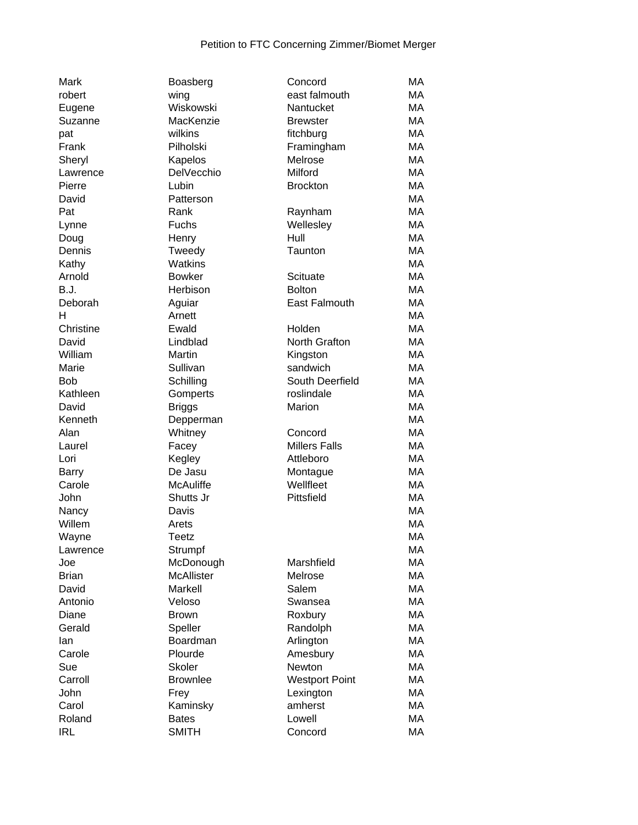| <b>Mark</b>  | Boasberg          | Concord               | МA        |
|--------------|-------------------|-----------------------|-----------|
| robert       | wing              | east falmouth         | MA        |
| Eugene       | Wiskowski         | Nantucket             | MA        |
| Suzanne      | MacKenzie         | <b>Brewster</b>       | MA        |
| pat          | wilkins           | fitchburg             | MA        |
| Frank        | Pilholski         | Framingham            | MA        |
| Sheryl       | Kapelos           | Melrose               | MA        |
| Lawrence     | DelVecchio        | Milford               | MA        |
| Pierre       | Lubin             | <b>Brockton</b>       | MA        |
| David        | Patterson         |                       | MA        |
| Pat          | Rank              | Raynham               | MA        |
| Lynne        | <b>Fuchs</b>      | Wellesley             | MA        |
| Doug         | Henry             | Hull                  | MA        |
| Dennis       | Tweedy            | Taunton               | MA        |
| Kathy        | Watkins           |                       | MA        |
| Arnold       | <b>Bowker</b>     | Scituate              | MA        |
| B.J.         | Herbison          | <b>Bolton</b>         | MA        |
| Deborah      | Aguiar            | <b>East Falmouth</b>  | MA        |
| H            | Arnett            |                       | MA        |
| Christine    | Ewald             | Holden                | МA        |
| David        | Lindblad          | North Grafton         | MA        |
| William      | Martin            | Kingston              | MA        |
| Marie        | Sullivan          | sandwich              | MA        |
| <b>Bob</b>   | Schilling         | South Deerfield       | МA        |
| Kathleen     | Gomperts          | roslindale            | MA        |
| David        | <b>Briggs</b>     | Marion                | MA        |
| Kenneth      | Depperman         |                       | MA        |
| Alan         | Whitney           | Concord               | MA        |
| Laurel       | Facey             | <b>Millers Falls</b>  | MA        |
| Lori         | Kegley            | Attleboro             | MA        |
| <b>Barry</b> | De Jasu           | Montague              | MA        |
| Carole       | <b>McAuliffe</b>  | Wellfleet             | MA        |
| John         | Shutts Jr         | Pittsfield            | MA        |
| Nancy        | Davis             |                       | <b>MA</b> |
| Willem       | Arets             |                       | MA        |
| Wayne        | <b>Teetz</b>      |                       | MA        |
| Lawrence     | Strumpf           |                       | МA        |
| Joe          | McDonough         | Marshfield            | MA        |
| <b>Brian</b> | <b>McAllister</b> | Melrose               | MA        |
| David        | Markell           | Salem                 | MA        |
| Antonio      | Veloso            | Swansea               | MA        |
| Diane        | <b>Brown</b>      | Roxbury               | MA        |
| Gerald       | Speller           | Randolph              | MA        |
| lan          | Boardman          | Arlington             | MA        |
| Carole       | Plourde           | Amesbury              | MA        |
| Sue          | <b>Skoler</b>     | Newton                | MA        |
| Carroll      | <b>Brownlee</b>   | <b>Westport Point</b> | MA        |
| John         | Frey              |                       | MA        |
| Carol        | Kaminsky          | Lexington<br>amherst  | MA        |
| Roland       | <b>Bates</b>      | Lowell                | MA        |
|              |                   |                       |           |
| <b>IRL</b>   | <b>SMITH</b>      | Concord               | MA        |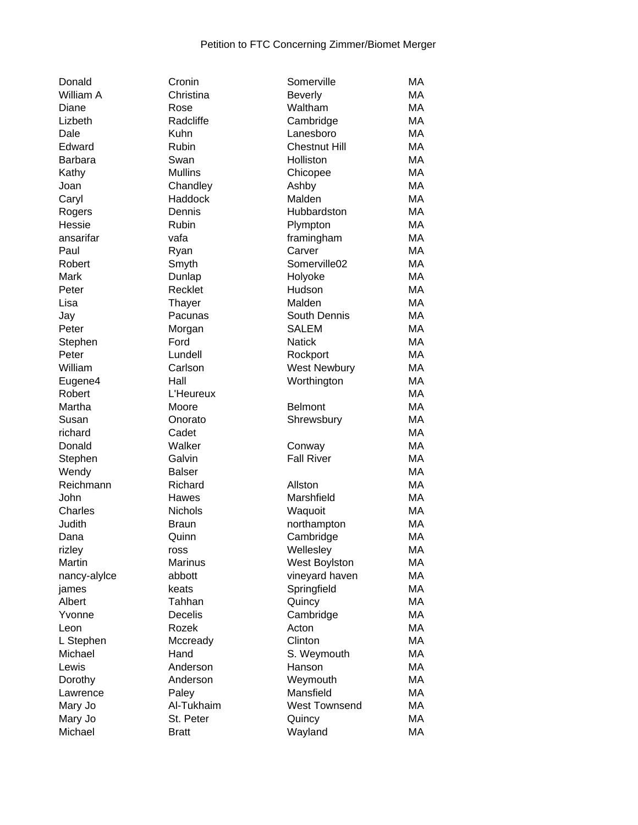| Donald         | Cronin         | Somerville           | MA |
|----------------|----------------|----------------------|----|
| William A      | Christina      | <b>Beverly</b>       | МA |
| Diane          | Rose           | Waltham              | МA |
| Lizbeth        | Radcliffe      | Cambridge            | MA |
| Dale           | Kuhn           | Lanesboro            | MA |
| Edward         | Rubin          | <b>Chestnut Hill</b> | МA |
| <b>Barbara</b> | Swan           | Holliston            | МA |
| Kathy          | <b>Mullins</b> | Chicopee             | MA |
| Joan           | Chandley       | Ashby                | MA |
| Caryl          | Haddock        | Malden               | МA |
| Rogers         | Dennis         | Hubbardston          | MA |
| Hessie         | Rubin          | Plympton             | MA |
| ansarifar      | vafa           | framingham           | МA |
| Paul           | Ryan           | Carver               | MA |
| Robert         | Smyth          | Somerville02         | MA |
| Mark           | Dunlap         | Holyoke              | МA |
| Peter          | Recklet        | Hudson               | МA |
| Lisa           | Thayer         | Malden               | MA |
| Jay            | Pacunas        | South Dennis         | МA |
| Peter          | Morgan         | <b>SALEM</b>         | MA |
| Stephen        | Ford           | <b>Natick</b>        | MA |
| Peter          | Lundell        | Rockport             | MA |
| William        | Carlson        | <b>West Newbury</b>  | МA |
| Eugene4        | Hall           | Worthington          | МA |
| Robert         | L'Heureux      |                      | MA |
| Martha         | Moore          | <b>Belmont</b>       | МA |
| Susan          | Onorato        | Shrewsbury           | MA |
| richard        | Cadet          |                      | MA |
| Donald         | Walker         | Conway               | МA |
| Stephen        | Galvin         | <b>Fall River</b>    | MA |
| Wendy          | <b>Balser</b>  |                      | МA |
| Reichmann      | Richard        | Allston              | МA |
| John           | Hawes          | Marshfield           | MA |
| Charles        | <b>Nichols</b> | Waquoit              | МA |
| Judith         | <b>Braun</b>   | northampton          | МA |
| Dana           | Quinn          | Cambridge            | МA |
| rizley         | ross           | Wellesley            | MA |
| Martin         | Marinus        | West Boylston        | МA |
| nancy-alylce   | abbott         | vineyard haven       | МA |
| james          | keats          | Springfield          | МA |
| Albert         | Tahhan         | Quincy               | МA |
| Yvonne         | <b>Decelis</b> | Cambridge            | МA |
| Leon           | Rozek          | Acton                | МA |
| L Stephen      | Mccready       | Clinton              | МA |
| Michael        | Hand           | S. Weymouth          | МA |
| Lewis          | Anderson       | Hanson               | МA |
| Dorothy        | Anderson       | Weymouth             | МA |
| Lawrence       | Paley          | Mansfield            | МA |
| Mary Jo        | Al-Tukhaim     | <b>West Townsend</b> | МA |
| Mary Jo        | St. Peter      | Quincy               | МA |
| Michael        | <b>Bratt</b>   | Wayland              | МA |
|                |                |                      |    |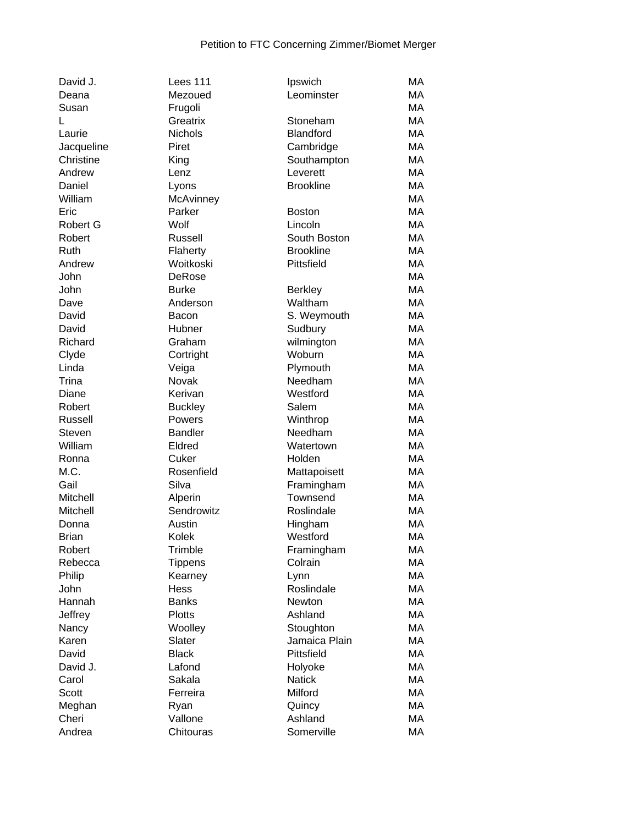| David J.     | Lees 111         | Ipswich             | MA |
|--------------|------------------|---------------------|----|
| Deana        | Mezoued          | Leominster          | MA |
| Susan        | Frugoli          |                     | MA |
| L            | Greatrix         | Stoneham            | MA |
| Laurie       | <b>Nichols</b>   | <b>Blandford</b>    | MA |
| Jacqueline   | Piret            | Cambridge           | MA |
| Christine    | King             | Southampton         | MA |
| Andrew       | Lenz             | Leverett            | MA |
| Daniel       | Lyons            | <b>Brookline</b>    | MA |
| William      | McAvinney        |                     | MA |
| Eric         | Parker           | <b>Boston</b>       | MA |
| Robert G     | Wolf             | Lincoln             | MA |
| Robert       | Russell          | South Boston        | MA |
| Ruth         | Flaherty         | <b>Brookline</b>    | MA |
| Andrew       | Woitkoski        | Pittsfield          | MA |
| John         | DeRose           |                     | MA |
| John         | <b>Burke</b>     | <b>Berkley</b>      | MA |
| Dave         | Anderson         | Waltham             | MA |
| David        | Bacon            | S. Weymouth         | MA |
| David        | Hubner           | Sudbury             | MA |
| Richard      | Graham           | wilmington          | MA |
| Clyde        | Cortright        | Woburn              | MA |
| Linda        | Veiga            | Plymouth            | MA |
| Trina        | Novak            | Needham             | MA |
| Diane        | Kerivan          | Westford            | MA |
| Robert       | <b>Buckley</b>   | Salem               | MA |
| Russell      | Powers           | Winthrop            | MA |
| Steven       | <b>Bandler</b>   | Needham             | MA |
| William      | Eldred           | Watertown           | MA |
| Ronna        | Cuker            | Holden              | MA |
| M.C.         | Rosenfield       | Mattapoisett        | MA |
| Gail         | Silva            | Framingham          | MA |
| Mitchell     | Alperin          | Townsend            | MA |
| Mitchell     | Sendrowitz       | Roslindale          | MA |
| Donna        | Austin           |                     | MA |
|              |                  | Hingham<br>Westford | MA |
| <b>Brian</b> | Kolek<br>Trimble |                     | MA |
| Robert       |                  | Framingham          | MA |
| Rebecca      | <b>Tippens</b>   | Colrain             |    |
| Philip       | Kearney          | Lynn<br>Roslindale  | MA |
| John         | <b>Hess</b>      |                     | MA |
| Hannah       | <b>Banks</b>     | Newton              | MA |
| Jeffrey      | <b>Plotts</b>    | Ashland             | MA |
| Nancy        | Woolley          | Stoughton           | MA |
| Karen        | Slater           | Jamaica Plain       | MA |
| David        | <b>Black</b>     | Pittsfield          | MA |
| David J.     | Lafond           | Holyoke             | MA |
| Carol        | Sakala           | <b>Natick</b>       | MA |
| Scott        | Ferreira         | Milford             | MA |
| Meghan       | Ryan             | Quincy              | MA |
| Cheri        | Vallone          | Ashland             | MA |
| Andrea       | Chitouras        | Somerville          | MA |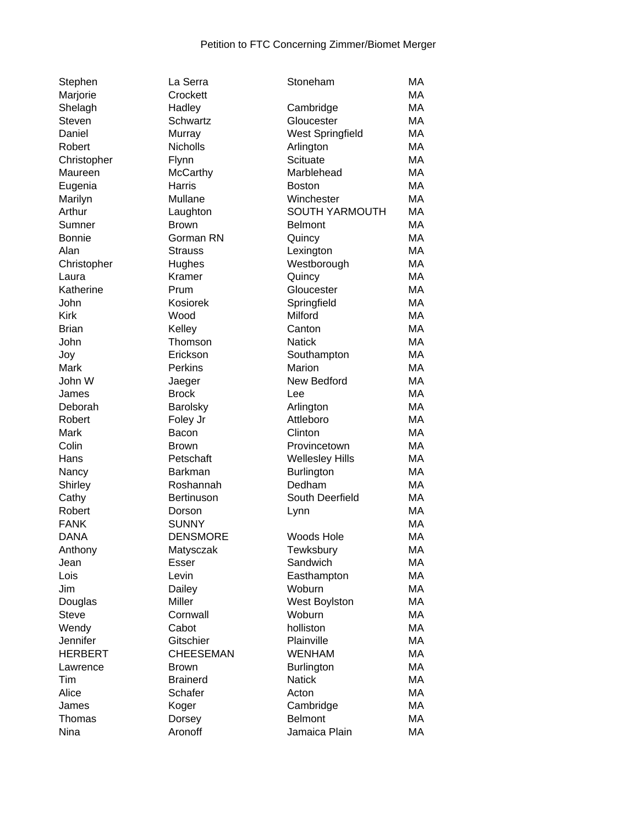| Stephen             |
|---------------------|
| Marjorie            |
| Shelagh             |
| Steven              |
| Daniel              |
| Robert              |
| Christopher         |
| Maureen             |
| Eugenia             |
| Marilyn             |
| Arthur              |
| Sumner              |
| Bonnie              |
| Alan                |
| Christopher         |
| Laura               |
| Katherine           |
| John                |
| Kirk                |
| <b>Brian</b>        |
| John                |
| Joy                 |
| Mark                |
| John W              |
| James               |
| Deborah             |
| Robert              |
| Mark                |
| Colin               |
| Hans                |
|                     |
| Nancy               |
| Shirley             |
| Cathy               |
| Robert              |
| FANK<br><b>DANA</b> |
|                     |
| Anthony             |
| Jean                |
| Lois                |
| Jim                 |
| Douglas             |
| <b>Steve</b>        |
| Wendy               |
| Jennifer            |
| HERBERT             |
| Lawrence            |
| Tim                 |
| Alice               |
| James               |
| Thomas              |

| La Serra       |
|----------------|
| Crockett       |
| Hadley         |
| Schwartz       |
| Murray         |
| Nicholls       |
| Flynn          |
|                |
| McCarthy       |
| Harris         |
| Mullane        |
| Laughton       |
| <b>Brown</b>   |
| Gorman RN      |
| <b>Strauss</b> |
| Hughes         |
| Kramer         |
| Prum           |
| Kosiorek       |
| Wood           |
|                |
| Kelley         |
| Thomson        |
| Erickson       |
| Perkins        |
| Jaeger         |
| <b>Brock</b>   |
| Barolsky       |
| Foley Jr       |
| Bacon          |
| Brown          |
| Petschaft      |
| <b>Barkman</b> |
|                |
| Roshannah      |
| Bertinuson     |
| Dorson         |
| <b>SUNNY</b>   |
| DENSMORE       |
| Matysczak      |
| Esser          |
| Levin          |
| Dailey         |
| Miller         |
| Cornwall       |
| Cabot          |
|                |
| Gitschier      |
| CHEESEMAN      |
| Brown          |
| Brainerd       |
| Schafer        |
| Koger          |
| Dorsey         |
| Aronoff        |
|                |

| Stephen        | La Serra         | Stoneham                | MA        |
|----------------|------------------|-------------------------|-----------|
| Marjorie       | Crockett         |                         | МA        |
| Shelagh        | Hadley           | Cambridge               | MA        |
| Steven         | Schwartz         | Gloucester              | MA        |
| Daniel         | Murray           | <b>West Springfield</b> | MA        |
| Robert         | <b>Nicholls</b>  | Arlington               | MA        |
| Christopher    | Flynn            | Scituate                | MA        |
| Maureen        | <b>McCarthy</b>  | Marblehead              | МA        |
| Eugenia        | Harris           | <b>Boston</b>           | MA        |
| Marilyn        | Mullane          | Winchester              | MA        |
| Arthur         | Laughton         | SOUTH YARMOUTH          | MA        |
| Sumner         | <b>Brown</b>     | <b>Belmont</b>          | MA        |
| Bonnie         | Gorman RN        | Quincy                  | MA        |
| Alan           | <b>Strauss</b>   | Lexington               | <b>MA</b> |
| Christopher    | Hughes           | Westborough             | MA        |
| Laura          | Kramer           | Quincy                  | MA        |
| Katherine      | Prum             | Gloucester              | MA        |
| John           | Kosiorek         | Springfield             | MA        |
| <b>Kirk</b>    | Wood             | Milford                 | MA        |
| <b>Brian</b>   | Kelley           | Canton                  | MA        |
| John           | Thomson          | <b>Natick</b>           | МA        |
| Joy            | Erickson         | Southampton             | MA        |
| Mark           | <b>Perkins</b>   | Marion                  | MA        |
| John W         | Jaeger           | New Bedford             | MA        |
| James          | <b>Brock</b>     | Lee                     | MA        |
| Deborah        | Barolsky         | Arlington               | <b>MA</b> |
| Robert         | Foley Jr         | Attleboro               | MA        |
| Mark           | Bacon            | Clinton                 | MA        |
| Colin          | <b>Brown</b>     | Provincetown            | MA        |
| Hans           | Petschaft        | <b>Wellesley Hills</b>  | MA        |
| Nancy          | <b>Barkman</b>   | <b>Burlington</b>       | MA        |
| Shirley        | Roshannah        | Dedham                  | MA        |
| Cathy          | Bertinuson       | South Deerfield         | MA        |
| Robert         | Dorson           |                         | MA        |
| <b>FANK</b>    | <b>SUNNY</b>     | Lynn                    | MA        |
| <b>DANA</b>    | <b>DENSMORE</b>  | Woods Hole              | MA        |
|                |                  |                         |           |
| Anthony        | Matysczak        | Tewksbury               | МA        |
| Jean           | <b>Esser</b>     | Sandwich                | МA        |
| Lois           | Levin            | Easthampton             | МA        |
| Jim            | Dailey           | Woburn                  | MA        |
| Douglas        | Miller           | West Boylston           | MA        |
| <b>Steve</b>   | Cornwall         | Woburn                  | MA        |
| Wendy          | Cabot            | holliston               | MA        |
| Jennifer       | Gitschier        | Plainville              | <b>MA</b> |
| <b>HERBERT</b> | <b>CHEESEMAN</b> | <b>WENHAM</b>           | MA        |
| Lawrence       | <b>Brown</b>     | <b>Burlington</b>       | MA        |
| Tim            | <b>Brainerd</b>  | <b>Natick</b>           | MA        |
| Alice          | Schafer          | Acton                   | MA        |
| James          | Koger            | Cambridge               | MA        |
| Thomas         | Dorsey           | <b>Belmont</b>          | MA        |
| Nina           | Aronoff          | Jamaica Plain           | MA        |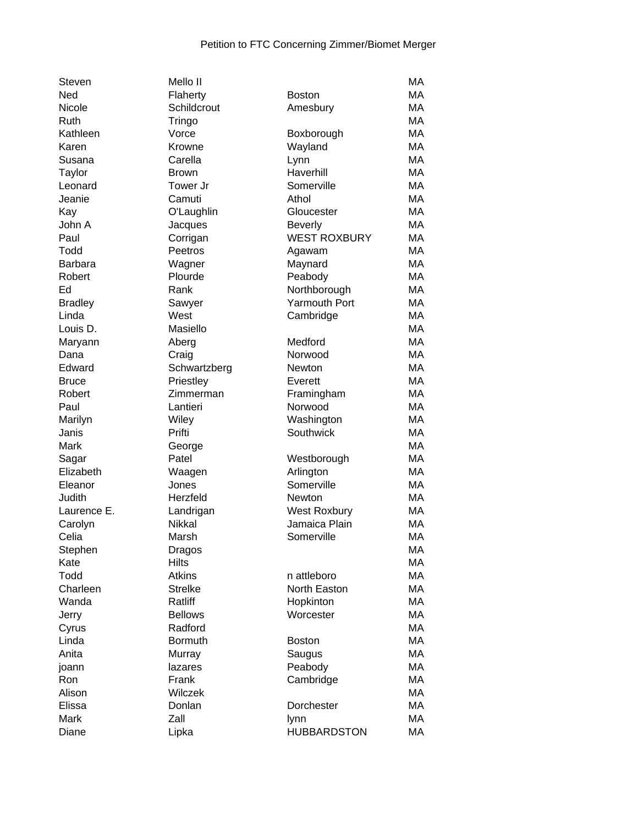| Steven         | Mello II       |                        | MA |
|----------------|----------------|------------------------|----|
| Ned            | Flaherty       | <b>Boston</b>          | MA |
| Nicole         | Schildcrout    | Amesbury               | MA |
| Ruth           | Tringo         |                        | MA |
| Kathleen       | Vorce          | Boxborough             | MA |
| Karen          | Krowne         | Wayland                | MA |
| Susana         | Carella        | Lynn                   | MA |
| Taylor         | <b>Brown</b>   | Haverhill              | MA |
| Leonard        | Tower Jr       | Somerville             | MA |
| Jeanie         | Camuti         | Athol                  | MA |
| Kay            | O'Laughlin     | Gloucester             | MA |
| John A         | Jacques        | <b>Beverly</b>         | MA |
| Paul           | Corrigan       | <b>WEST ROXBURY</b>    | MA |
| Todd           | Peetros        | Agawam                 | MA |
| <b>Barbara</b> | Wagner         | Maynard                | MA |
| Robert         | Plourde        | Peabody                | MA |
| Ed             | Rank           | Northborough           | MA |
| <b>Bradley</b> | Sawyer         | <b>Yarmouth Port</b>   | МA |
| Linda          | West           | Cambridge              | MA |
| Louis D.       | Masiello       |                        | MA |
| Maryann        | Aberg          | Medford                | MA |
| Dana           | Craig          | Norwood                | MA |
| Edward         | Schwartzberg   | Newton                 | MA |
| <b>Bruce</b>   | Priestley      | Everett                | MA |
| Robert         | Zimmerman      | Framingham             | MA |
| Paul           | Lantieri       | Norwood                | MA |
| Marilyn        | Wiley          | Washington             | MA |
| Janis          | Prifti         | Southwick              | MA |
| Mark           | George         |                        | MA |
| Sagar          | Patel          | Westborough            | MA |
| Elizabeth      | Waagen         | Arlington              | МA |
| Eleanor        | Jones          | Somerville             | MA |
| Judith         | Herzfeld       | Newton                 | MA |
| Laurence E.    | Landrigan      | <b>West Roxbury</b>    | МA |
| Carolyn        | Nikkal         | Jamaica Plain          | МA |
| Celia          | Marsh          | Somerville             | MA |
| Stephen        | Dragos         |                        | MA |
| Kate           | <b>Hilts</b>   |                        | MA |
| Todd           | <b>Atkins</b>  | n attleboro            | MA |
| Charleen       | <b>Strelke</b> | North Easton           | MA |
| Wanda          | Ratliff        |                        | MA |
|                | <b>Bellows</b> | Hopkinton<br>Worcester | MA |
| Jerry          | Radford        |                        | MA |
| Cyrus<br>Linda | <b>Bormuth</b> |                        | MA |
| Anita          |                | <b>Boston</b>          | MA |
|                | Murray         | Saugus                 |    |
| joann          | lazares        | Peabody                | MA |
| Ron            | Frank          | Cambridge              | MA |
| Alison         | Wilczek        |                        | MA |
| Elissa         | Donlan         | Dorchester             | MA |
| Mark           | Zall           | lynn                   | MA |
| Diane          | Lipka          | <b>HUBBARDSTON</b>     | MA |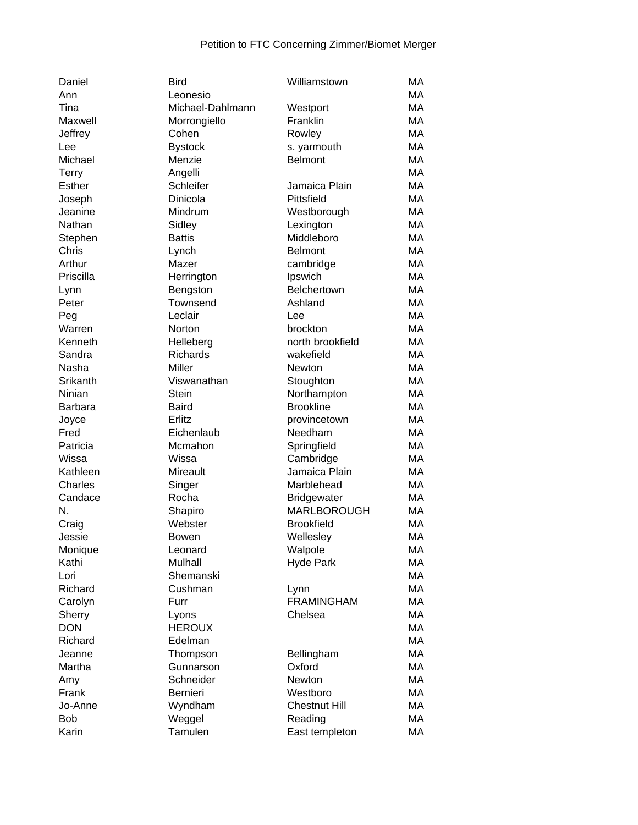| Daniel         | <b>Bird</b>        | Williamstown                             | МA        |
|----------------|--------------------|------------------------------------------|-----------|
| Ann            | Leonesio           |                                          | MA        |
| Tina           | Michael-Dahlmann   | Westport                                 | MA        |
| Maxwell        | Morrongiello       | Franklin                                 | MA        |
| Jeffrey        | Cohen              | Rowley                                   | MA        |
| Lee            | <b>Bystock</b>     | s. yarmouth                              | MA        |
| Michael        | Menzie             | <b>Belmont</b>                           | MA        |
| <b>Terry</b>   | Angelli            |                                          | MA        |
| <b>Esther</b>  | Schleifer          | Jamaica Plain                            | MA        |
| Joseph         | Dinicola           | Pittsfield                               | MA        |
| Jeanine        | Mindrum            | Westborough                              | MA        |
| Nathan         | Sidley             | Lexington                                | MA        |
| Stephen        | <b>Battis</b>      | Middleboro                               | MA        |
| Chris          | Lynch              | <b>Belmont</b>                           | MA        |
| Arthur         | Mazer              | cambridge                                | MA        |
| Priscilla      | Herrington         | Ipswich                                  | MA        |
| Lynn           | Bengston           | Belchertown                              | MA        |
| Peter          | Townsend           | Ashland                                  | MA        |
| Peg            | Leclair            | Lee                                      | MA        |
| Warren         | Norton             | brockton                                 | MA        |
| Kenneth        | Helleberg          | north brookfield                         | MA        |
| Sandra         | Richards           | wakefield                                | MA        |
| Nasha          | Miller             | <b>Newton</b>                            | MA        |
| Srikanth       | Viswanathan        | Stoughton                                | MA        |
| Ninian         | <b>Stein</b>       | Northampton                              | MA        |
| <b>Barbara</b> | <b>Baird</b>       | <b>Brookline</b>                         | MA        |
| Joyce          | Erlitz             | provincetown                             | MA        |
| Fred           | Eichenlaub         | Needham                                  | MA        |
| Patricia       | Mcmahon            | Springfield                              | MA        |
| Wissa          | Wissa              |                                          | MA        |
| Kathleen       | Mireault           | Cambridge<br>Jamaica Plain               | МA        |
|                |                    | Marblehead                               | МA        |
| Charles        | Singer             |                                          |           |
| Candace<br>N.  | Rocha              | <b>Bridgewater</b><br><b>MARLBOROUGH</b> | МA        |
|                | Shapiro<br>Webster |                                          | МA<br>MA  |
| Craig          |                    | <b>Brookfield</b>                        |           |
| Jessie         | Bowen              | Wellesley                                | MA        |
| Monique        | Leonard            | Walpole                                  | МA        |
| Kathi          | <b>Mulhall</b>     | <b>Hyde Park</b>                         | MA        |
| Lori           | Shemanski          |                                          | MA        |
| Richard        | Cushman            | Lynn                                     | MA        |
| Carolyn        | Furr               | <b>FRAMINGHAM</b>                        | MA        |
| Sherry         | Lyons              | Chelsea                                  | MA        |
| <b>DON</b>     | <b>HEROUX</b>      |                                          | MA        |
| Richard        | Edelman            |                                          | MA        |
| Jeanne         | Thompson           | Bellingham                               | <b>MA</b> |
| Martha         | Gunnarson          | Oxford                                   | MA        |
| Amy            | Schneider          | <b>Newton</b>                            | MA        |
| Frank          | <b>Bernieri</b>    | Westboro                                 | MA        |
| Jo-Anne        | Wyndham            | <b>Chestnut Hill</b>                     | MA        |
| <b>Bob</b>     | Weggel             | Reading                                  | MA        |
| Karin          | Tamulen            | East templeton                           | МA        |
|                |                    |                                          |           |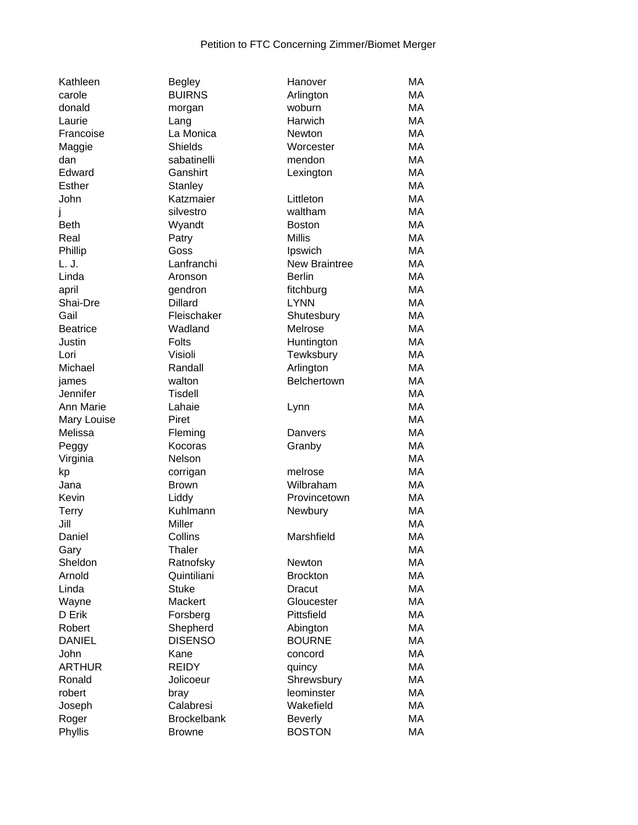| Kathleen                |
|-------------------------|
| carole                  |
| donald                  |
| Laurie                  |
| Francoise               |
| Maggie                  |
| dan                     |
| Edward                  |
| Esther                  |
| John                    |
| j                       |
| <b>Beth</b>             |
| Real                    |
| Phillip                 |
| L. J.                   |
| Linda                   |
| april                   |
| Shai-Dre                |
| Gail                    |
| <b>Beatrice</b>         |
| Justin                  |
| Lori                    |
| Michael                 |
| james                   |
| Jennifer                |
| Ann Marie               |
| Mary Louise             |
|                         |
|                         |
| Melissa                 |
| Peggy                   |
| Virginia                |
| kp                      |
| Jana                    |
| Kevin                   |
| <b>Terry</b><br>Jill    |
|                         |
| Daniel                  |
| Gary                    |
| Sheldon                 |
| Arnold                  |
| Linda                   |
| Wayne                   |
| D Erik                  |
| Robert<br><b>DANIEL</b> |
| John                    |
|                         |
| ARTHUR                  |
| Ronald                  |
| robert                  |
| Joseph<br>Roger         |

| Begley             |
|--------------------|
| <b>BUIRNS</b>      |
| morgan             |
| Lang               |
| La Monica          |
| <b>Shields</b>     |
| sabatinelli        |
|                    |
| Ganshirt           |
| Stanley            |
| Katzmaier          |
| silvestro          |
| Wyandt             |
| Patry              |
| Goss               |
| Lanfranchi         |
| Aronson            |
| gendron            |
| <b>Dillard</b>     |
|                    |
| Fleischaker        |
| Wadland            |
| Folts              |
| Visioli            |
| Randall            |
| walton             |
| <b>Tisdell</b>     |
| Lahaie             |
| Piret              |
| Fleming            |
| Kocoras            |
|                    |
| Nelson             |
| corrigan           |
| <b>Brown</b>       |
| Liddy              |
| Kuhlmann           |
| Miller             |
| Collins            |
| Thaler             |
| Ratnofsky          |
| Quintiliani        |
|                    |
| <b>Stuke</b>       |
| Mackert            |
| Forsberg           |
| Shepherd           |
| <b>DISENSO</b>     |
| Kane               |
| <b>REIDY</b>       |
| Jolicoeur          |
| bray               |
| Calabresi          |
|                    |
| <b>Brockelbank</b> |
| <b>Browne</b>      |

| Kathleen        | <b>Begley</b>      | Hanover              | MA        |
|-----------------|--------------------|----------------------|-----------|
| carole          | <b>BUIRNS</b>      | Arlington            | МA        |
| donald          | morgan             | woburn               | MA        |
| Laurie          | Lang               | Harwich              | MA        |
| Francoise       | La Monica          | Newton               | MA        |
| Maggie          | <b>Shields</b>     | Worcester            | MA        |
| dan             | sabatinelli        | mendon               | MA        |
| Edward          | Ganshirt           | Lexington            | MA        |
| Esther          | Stanley            |                      | MA        |
| John            | Katzmaier          | Littleton            | MA        |
| J               | silvestro          | waltham              | MA        |
| Beth            | Wyandt             | <b>Boston</b>        | MA        |
| Real            | Patry              | <b>Millis</b>        | MA        |
| Phillip         | Goss               | Ipswich              | MA        |
| L. J.           | Lanfranchi         | <b>New Braintree</b> | MA        |
| Linda           | Aronson            | <b>Berlin</b>        | MA        |
| april           | gendron            | fitchburg            | MA        |
| Shai-Dre        | <b>Dillard</b>     | <b>LYNN</b>          | MA        |
| Gail            | Fleischaker        | Shutesbury           | MA        |
| <b>Beatrice</b> | Wadland            | Melrose              | MA        |
| Justin          | <b>Folts</b>       | Huntington           | MA        |
| Lori            | Visioli            | Tewksbury            | MA        |
| Michael         | Randall            | Arlington            | MA        |
| james           | walton             | Belchertown          | MA        |
| Jennifer        | <b>Tisdell</b>     |                      | MA        |
| Ann Marie       | Lahaie             | Lynn                 | MA        |
| Mary Louise     | Piret              |                      | MA        |
| Melissa         | Fleming            | Danvers              | MA        |
| Peggy           | Kocoras            | Granby               | MA        |
| Virginia        | Nelson             |                      | MA        |
| kp              | corrigan           | melrose              | MA        |
| Jana            | <b>Brown</b>       | Wilbraham            | MA        |
| Kevin           | Liddy              | Provincetown         | MA        |
| <b>Terry</b>    | Kuhlmann           | Newbury              | <b>MA</b> |
| Jill            | Miller             |                      | MA        |
|                 | Collins            |                      | MA        |
| Daniel          | Thaler             | Marshfield           | МA        |
| Gary<br>Sheldon |                    |                      | MA        |
|                 | Ratnofsky          | Newton               |           |
| Arnold          | Quintiliani        | <b>Brockton</b>      | MA        |
| Linda           | <b>Stuke</b>       | <b>Dracut</b>        | MA        |
| Wayne           | Mackert            | Gloucester           | MA        |
| D Erik          | Forsberg           | Pittsfield           | MA        |
| Robert          | Shepherd           | Abington             | MA        |
| <b>DANIEL</b>   | <b>DISENSO</b>     | <b>BOURNE</b>        | MA        |
| John            | Kane               | concord              | MA        |
| ARTHUR          | <b>REIDY</b>       | quincy               | MA        |
| Ronald          | Jolicoeur          | Shrewsbury           | MA        |
| robert          | bray               | leominster           | MA        |
| Joseph          | Calabresi          | Wakefield            | MA        |
| Roger           | <b>Brockelbank</b> | <b>Beverly</b>       | MA        |
| Phyllis         | <b>Browne</b>      | <b>BOSTON</b>        | МA        |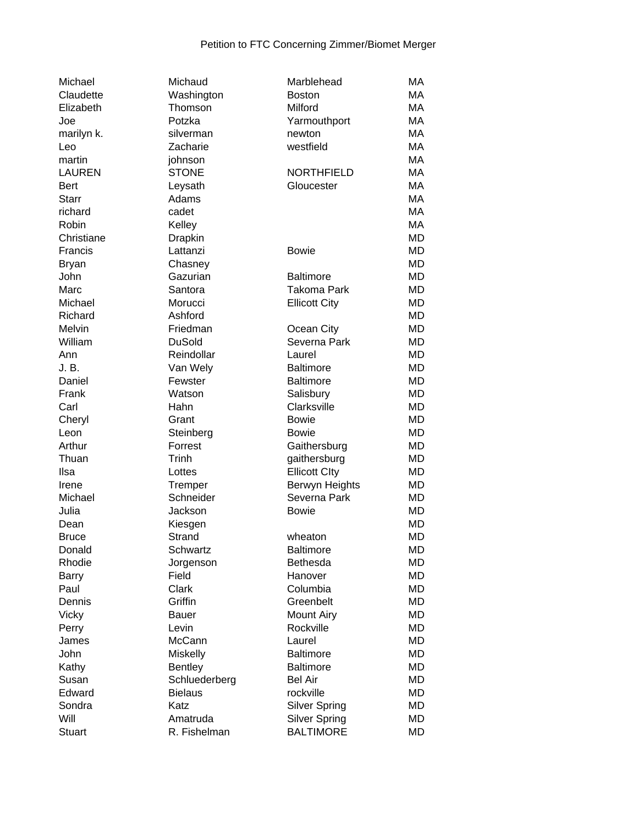| Michael       | Michaud            | Marblehead           | MA        |
|---------------|--------------------|----------------------|-----------|
| Claudette     | Washington         | <b>Boston</b>        | MA        |
| Elizabeth     | Thomson            | Milford              | MA        |
| Joe           | Potzka             | Yarmouthport         | MA        |
| marilyn k.    | silverman          | newton               | MA        |
| Leo           | Zacharie           | westfield            | MA        |
| martin        | johnson            |                      | MA        |
| <b>LAUREN</b> | <b>STONE</b>       | <b>NORTHFIELD</b>    | MA        |
| <b>Bert</b>   | Leysath            | Gloucester           | MA        |
| <b>Starr</b>  | Adams              |                      | MA        |
| richard       | cadet              |                      | MA        |
| Robin         | Kelley             |                      | MA        |
| Christiane    | Drapkin            |                      | <b>MD</b> |
| Francis       | Lattanzi           | <b>Bowie</b>         | <b>MD</b> |
| <b>Bryan</b>  | Chasney            |                      | MD        |
| John          | Gazurian           | <b>Baltimore</b>     | <b>MD</b> |
| Marc          | Santora            | <b>Takoma Park</b>   | <b>MD</b> |
| Michael       |                    |                      | <b>MD</b> |
|               | Morucci<br>Ashford | <b>Ellicott City</b> |           |
| Richard       |                    |                      | <b>MD</b> |
| Melvin        | Friedman           | Ocean City           | <b>MD</b> |
| William       | <b>DuSold</b>      | Severna Park         | <b>MD</b> |
| Ann           | Reindollar         | Laurel               | <b>MD</b> |
| J. B.         | Van Wely           | <b>Baltimore</b>     | <b>MD</b> |
| Daniel        | Fewster            | <b>Baltimore</b>     | MD        |
| Frank         | Watson             | Salisbury            | MD        |
| Carl          | Hahn               | Clarksville          | <b>MD</b> |
| Cheryl        | Grant              | <b>Bowie</b>         | <b>MD</b> |
| Leon          | Steinberg          | <b>Bowie</b>         | MD        |
| Arthur        | Forrest            | Gaithersburg         | MD        |
| Thuan         | Trinh              | gaithersburg         | MD        |
| Ilsa          | Lottes             | <b>Ellicott Clty</b> | MD        |
| Irene         | Tremper            | Berwyn Heights       | <b>MD</b> |
| Michael       | Schneider          | Severna Park         | <b>MD</b> |
| Julia         | Jackson            | <b>Bowie</b>         | <b>MD</b> |
| Dean          | Kiesgen            |                      | MD        |
| <b>Bruce</b>  | Strand             | wheaton              | MD        |
| Donald        | Schwartz           | <b>Baltimore</b>     | <b>MD</b> |
| Rhodie        | Jorgenson          | <b>Bethesda</b>      | MD        |
| <b>Barry</b>  | Field              | Hanover              | MD        |
| Paul          | Clark              | Columbia             | <b>MD</b> |
| Dennis        | Griffin            | Greenbelt            | <b>MD</b> |
| <b>Vicky</b>  | Bauer              | <b>Mount Airy</b>    | <b>MD</b> |
| Perry         | Levin              | Rockville            | <b>MD</b> |
| James         | McCann             | Laurel               | <b>MD</b> |
| John          | <b>Miskelly</b>    | <b>Baltimore</b>     | MD        |
| Kathy         | <b>Bentley</b>     | <b>Baltimore</b>     | MD        |
| Susan         | Schluederberg      | <b>Bel Air</b>       | MD        |
| Edward        | <b>Bielaus</b>     | rockville            | MD        |
| Sondra        | Katz               | <b>Silver Spring</b> | MD        |
| Will          | Amatruda           | <b>Silver Spring</b> | MD        |
| Stuart        | R. Fishelman       | <b>BALTIMORE</b>     | MD        |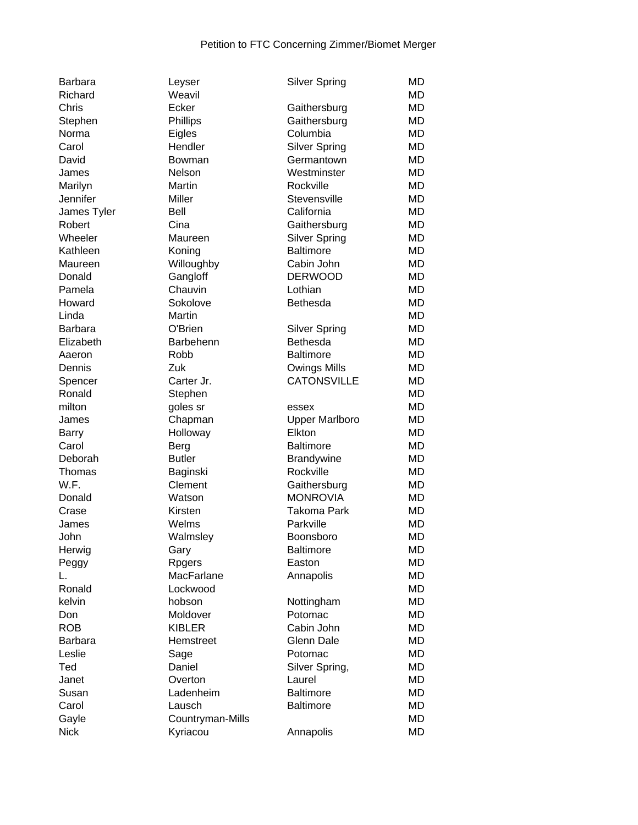| <b>Barbara</b> | Leyser           | <b>Silver Spring</b>            | <b>MD</b> |
|----------------|------------------|---------------------------------|-----------|
| Richard        | Weavil           |                                 | MD        |
| Chris          | Ecker            | Gaithersburg                    | <b>MD</b> |
| Stephen        | Phillips         | Gaithersburg                    | MD        |
| Norma          | Eigles           | Columbia                        | <b>MD</b> |
| Carol          | Hendler          | <b>Silver Spring</b>            | <b>MD</b> |
| David          | Bowman           | Germantown                      | MD        |
| James          | Nelson           | Westminster                     | MD        |
| Marilyn        | <b>Martin</b>    | Rockville                       | <b>MD</b> |
| Jennifer       | Miller           | Stevensville                    | <b>MD</b> |
| James Tyler    | Bell             | California                      | <b>MD</b> |
| Robert         | Cina             | Gaithersburg                    | <b>MD</b> |
| Wheeler        | Maureen          | <b>Silver Spring</b>            | <b>MD</b> |
| Kathleen       | Koning           | <b>Baltimore</b>                | MD        |
| Maureen        | Willoughby       | Cabin John                      | <b>MD</b> |
| Donald         | Gangloff         | <b>DERWOOD</b>                  | <b>MD</b> |
| Pamela         | Chauvin          | Lothian                         | <b>MD</b> |
| Howard         | Sokolove         | Bethesda                        | <b>MD</b> |
| Linda          | Martin           |                                 | <b>MD</b> |
| Barbara        | O'Brien          | <b>Silver Spring</b>            | MD        |
| Elizabeth      | Barbehenn        | Bethesda                        | <b>MD</b> |
| Aaeron         | Robb             | <b>Baltimore</b>                | <b>MD</b> |
| Dennis         | Zuk              | Owings Mills                    | <b>MD</b> |
| Spencer        | Carter Jr.       | <b>CATONSVILLE</b>              | <b>MD</b> |
| Ronald         |                  |                                 | MD        |
| milton         | Stephen          |                                 | MD        |
| James          | goles sr         | essex                           | MD        |
|                | Chapman          | <b>Upper Marlboro</b><br>Elkton | <b>MD</b> |
| Barry          | Holloway         | <b>Baltimore</b>                |           |
| Carol          | Berg             |                                 | <b>MD</b> |
| Deborah        | <b>Butler</b>    | <b>Brandywine</b>               | <b>MD</b> |
| Thomas         | Baginski         | Rockville                       | <b>MD</b> |
| W.F.           | Clement          | Gaithersburg                    | <b>MD</b> |
| Donald         | Watson           | <b>MONROVIA</b>                 | <b>MD</b> |
| Crase          | Kirsten          | Takoma Park                     | <b>MD</b> |
| James          | Welms            | Parkville                       | <b>MD</b> |
| John           | Walmsley         | Boonsboro                       | <b>MD</b> |
| Herwig         | Gary             | <b>Baltimore</b>                | MD        |
| Peggy          | Rpgers           | Easton                          | MD        |
| L.             | MacFarlane       | Annapolis                       | MD        |
| Ronald         | Lockwood         |                                 | <b>MD</b> |
| kelvin         | hobson           | Nottingham                      | <b>MD</b> |
| Don            | Moldover         | Potomac                         | <b>MD</b> |
| <b>ROB</b>     | <b>KIBLER</b>    | Cabin John                      | <b>MD</b> |
| Barbara        | Hemstreet        | <b>Glenn Dale</b>               | MD        |
| Leslie         | Sage             | Potomac                         | <b>MD</b> |
| Ted            | Daniel           | Silver Spring,                  | <b>MD</b> |
| Janet          | Overton          | Laurel                          | <b>MD</b> |
| Susan          | Ladenheim        | <b>Baltimore</b>                | <b>MD</b> |
| Carol          | Lausch           | <b>Baltimore</b>                | <b>MD</b> |
| Gayle          | Countryman-Mills |                                 | MD        |
| <b>Nick</b>    | Kyriacou         | Annapolis                       | <b>MD</b> |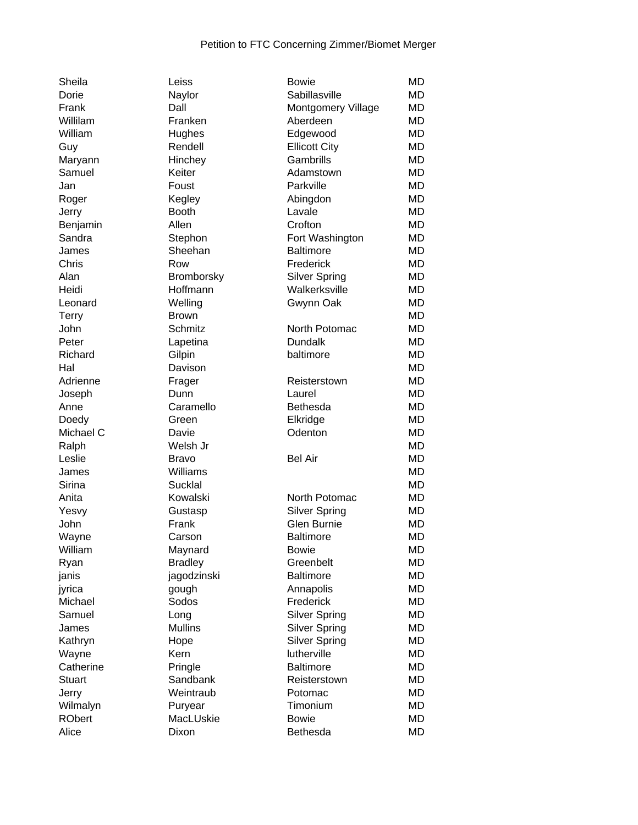| Sheila        |
|---------------|
| Dorie         |
| Frank         |
| Willilam      |
| William       |
| Guy           |
| Maryann       |
| Samuel        |
| Jan           |
| Roger         |
| Jerry         |
| Benjamin      |
| Sandra        |
| James         |
| Chris         |
| Alan          |
| Heidi         |
| Leonard       |
| <b>Terry</b>  |
| John          |
| Peter         |
| Richard       |
| Hal           |
| Adrienne      |
| Joseph        |
| Anne          |
| Doedy         |
| Michael C     |
| Ralph         |
| Leslie        |
| James         |
| Sirina        |
| Anita         |
| Yesvy         |
| John          |
| Wayne         |
| William       |
| Ryan          |
| janis         |
| jyrica        |
| Michael       |
| Samuel        |
| James         |
| Kathryn       |
| Wayne         |
| Catherine     |
| <b>Stuart</b> |
| Jerry         |
| Wilmalyn      |
| RObert        |
|               |

| Sheila        | Leiss             | <b>Bowie</b>              | <b>MD</b> |
|---------------|-------------------|---------------------------|-----------|
| Dorie         | Naylor            | Sabillasville             | <b>MD</b> |
| Frank         | Dall              | <b>Montgomery Village</b> | MD        |
| Willilam      | Franken           | Aberdeen                  | MD        |
| William       | Hughes            | Edgewood                  | MD        |
| Guy           | Rendell           | <b>Ellicott City</b>      | <b>MD</b> |
| Maryann       | Hinchey           | Gambrills                 | MD        |
| Samuel        | Keiter            | Adamstown                 | <b>MD</b> |
| Jan           | Foust             | Parkville                 | MD        |
| Roger         | Kegley            | Abingdon                  | MD        |
| Jerry         | <b>Booth</b>      | Lavale                    | <b>MD</b> |
| Benjamin      | Allen             | Crofton                   | <b>MD</b> |
| Sandra        | Stephon           | Fort Washington           | <b>MD</b> |
| James         | Sheehan           | <b>Baltimore</b>          | <b>MD</b> |
| Chris         | Row               | Frederick                 | <b>MD</b> |
| Alan          | <b>Bromborsky</b> | <b>Silver Spring</b>      | MD        |
| Heidi         | Hoffmann          | Walkerksville             | MD        |
| Leonard       | Welling           | Gwynn Oak                 | <b>MD</b> |
| Terry         | <b>Brown</b>      |                           | <b>MD</b> |
| John          | Schmitz           | North Potomac             | <b>MD</b> |
| Peter         |                   | <b>Dundalk</b>            | <b>MD</b> |
| Richard       | Lapetina          | baltimore                 | <b>MD</b> |
| Hal           | Gilpin            |                           |           |
|               | Davison           |                           | MD        |
| Adrienne      | Frager            | Reisterstown              | <b>MD</b> |
| Joseph        | Dunn              | Laurel                    | <b>MD</b> |
| Anne          | Caramello         | Bethesda                  | <b>MD</b> |
| Doedy         | Green             | Elkridge                  | <b>MD</b> |
| Michael C     | Davie             | Odenton                   | MD        |
| Ralph         | Welsh Jr          |                           | MD        |
| Leslie        | <b>Bravo</b>      | <b>Bel Air</b>            | <b>MD</b> |
| James         | Williams          |                           | <b>MD</b> |
| Sirina        | Sucklal           |                           | <b>MD</b> |
| Anita         | Kowalski          | North Potomac             | <b>MD</b> |
| Yesvy         | Gustasp           | <b>Silver Spring</b>      | <b>MD</b> |
| John          | Frank             | Glen Burnie               | <b>MD</b> |
| Wayne         | Carson            | <b>Baltimore</b>          | <b>MD</b> |
| William       | Maynard           | <b>Bowie</b>              | <b>MD</b> |
| Ryan          | <b>Bradley</b>    | Greenbelt                 | <b>MD</b> |
| janis         | jagodzinski       | <b>Baltimore</b>          | <b>MD</b> |
| jyrica        | gough             | Annapolis                 | MD        |
| Michael       | Sodos             | Frederick                 | MD        |
| Samuel        | Long              | <b>Silver Spring</b>      | MD        |
| James         | <b>Mullins</b>    | <b>Silver Spring</b>      | <b>MD</b> |
| Kathryn       | Hope              | <b>Silver Spring</b>      | <b>MD</b> |
| Wayne         | Kern              | lutherville               | <b>MD</b> |
| Catherine     | Pringle           | <b>Baltimore</b>          | <b>MD</b> |
| <b>Stuart</b> | Sandbank          | Reisterstown              | MD        |
| Jerry         | Weintraub         | Potomac                   | MD        |
| Wilmalyn      | Puryear           | Timonium                  | <b>MD</b> |
| <b>RObert</b> | MacLUskie         | <b>Bowie</b>              | <b>MD</b> |
| Alice         | Dixon             | Bethesda                  | <b>MD</b> |
|               |                   |                           |           |

| Dorie         | Naylor            | Sabillasville        | <b>MD</b> |
|---------------|-------------------|----------------------|-----------|
| Frank         | Dall              | Montgomery Village   | <b>MD</b> |
| Willilam      | Franken           | Aberdeen             | <b>MD</b> |
| William       | Hughes            | Edgewood             | <b>MD</b> |
| Guy           | Rendell           | <b>Ellicott City</b> | <b>MD</b> |
| Maryann       | Hinchey           | Gambrills            | <b>MD</b> |
| Samuel        | Keiter            | Adamstown            | MD        |
| Jan           | Foust             | Parkville            | <b>MD</b> |
| Roger         | Kegley            | Abingdon             | <b>MD</b> |
| Jerry         | <b>Booth</b>      | Lavale               | <b>MD</b> |
| Benjamin      | Allen             | Crofton              | <b>MD</b> |
| Sandra        | Stephon           | Fort Washington      | <b>MD</b> |
| James         | Sheehan           | <b>Baltimore</b>     | <b>MD</b> |
| Chris         | Row               | Frederick            | <b>MD</b> |
| Alan          | <b>Bromborsky</b> | <b>Silver Spring</b> | <b>MD</b> |
| Heidi         | Hoffmann          | Walkerksville        | <b>MD</b> |
| Leonard       | Welling           | Gwynn Oak            | <b>MD</b> |
| Terry         | <b>Brown</b>      |                      | <b>MD</b> |
| John          | Schmitz           | North Potomac        | MD        |
| Peter         | Lapetina          | <b>Dundalk</b>       | MD        |
| Richard       | Gilpin            | baltimore            | <b>MD</b> |
| Hal           | Davison           |                      | <b>MD</b> |
| Adrienne      | Frager            | Reisterstown         | <b>MD</b> |
| Joseph        | Dunn              | Laurel               | <b>MD</b> |
| Anne          | Caramello         | Bethesda             | MD        |
| Doedy         | Green             | Elkridge             | MD        |
| Michael C     | Davie             | Odenton              | <b>MD</b> |
| Ralph         | Welsh Jr          |                      | <b>MD</b> |
| Leslie        | <b>Bravo</b>      | <b>Bel Air</b>       | <b>MD</b> |
| James         | Williams          |                      | <b>MD</b> |
| Sirina        | Sucklal           |                      | MD        |
| Anita         | Kowalski          | North Potomac        | <b>MD</b> |
| Yesvy         | Gustasp           | <b>Silver Spring</b> | <b>MD</b> |
| John          | Frank             | <b>Glen Burnie</b>   | <b>MD</b> |
| Wayne         | Carson            | <b>Baltimore</b>     | <b>MD</b> |
| William       | Maynard           | <b>Bowie</b>         | MD        |
| Ryan          | <b>Bradley</b>    | Greenbelt            | <b>MD</b> |
| janis         | jagodzinski       | <b>Baltimore</b>     | <b>MD</b> |
| jyrica        | gough             | Annapolis            | <b>MD</b> |
| Michael       | Sodos             | Frederick            | <b>MD</b> |
| Samuel        | Long              | <b>Silver Spring</b> | <b>MD</b> |
| James         | <b>Mullins</b>    | <b>Silver Spring</b> | <b>MD</b> |
| Kathryn       | Hope              | <b>Silver Spring</b> | <b>MD</b> |
| Wayne         | Kern              | lutherville          | <b>MD</b> |
| Catherine     | Pringle           | <b>Baltimore</b>     | <b>MD</b> |
| <b>Stuart</b> | Sandbank          | Reisterstown         | <b>MD</b> |
| Jerry         | Weintraub         | Potomac              | <b>MD</b> |
| Wilmalyn      | Puryear           | Timonium             | <b>MD</b> |
| <b>RObert</b> | MacLUskie         | <b>Bowie</b>         | <b>MD</b> |
| Alice         | Dixon             | Bethesda             | <b>MD</b> |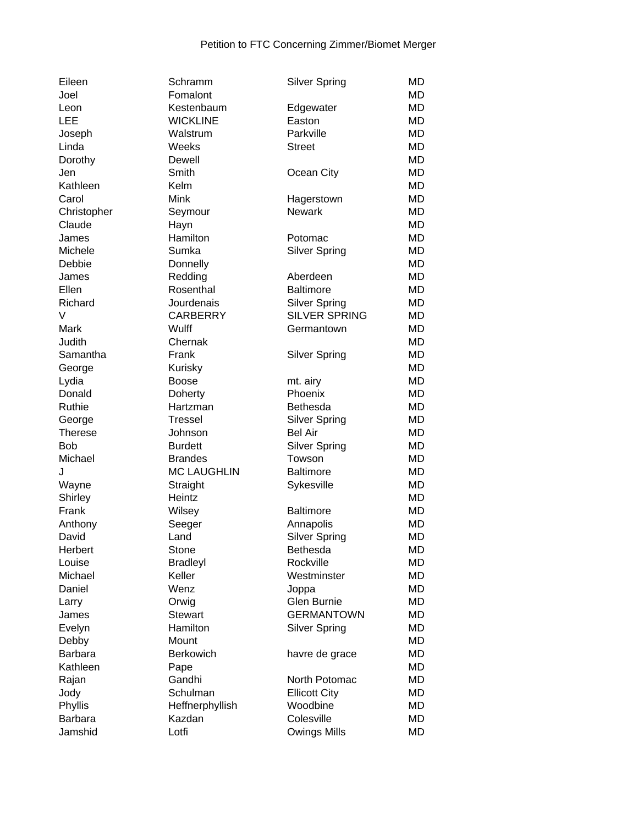| Eileen         | Schramm            | <b>Silver Spring</b>                         | MD        |
|----------------|--------------------|----------------------------------------------|-----------|
| Joel           | Fomalont           |                                              | MD        |
| Leon           | Kestenbaum         | Edgewater                                    | MD        |
| LEE            | <b>WICKLINE</b>    | Easton                                       | MD        |
| Joseph         | Walstrum           | Parkville                                    | <b>MD</b> |
| Linda          | Weeks              | <b>Street</b>                                | <b>MD</b> |
| Dorothy        | Dewell             |                                              | <b>MD</b> |
| Jen            | Smith              | Ocean City                                   | <b>MD</b> |
| Kathleen       | Kelm               |                                              | MD        |
| Carol          | <b>Mink</b>        | Hagerstown                                   | <b>MD</b> |
| Christopher    | Seymour            | <b>Newark</b>                                | <b>MD</b> |
| Claude         | Hayn               |                                              | MD        |
| James          | Hamilton           | Potomac                                      | MD        |
| Michele        | Sumka              | <b>Silver Spring</b>                         | MD        |
| Debbie         | Donnelly           |                                              | MD        |
| James          | Redding            | Aberdeen                                     | <b>MD</b> |
| Ellen          | Rosenthal          | <b>Baltimore</b>                             | MD        |
| Richard        | Jourdenais         |                                              | <b>MD</b> |
| V              | <b>CARBERRY</b>    | <b>Silver Spring</b><br><b>SILVER SPRING</b> | <b>MD</b> |
| Mark           | Wulff              |                                              | <b>MD</b> |
| Judith         | Chernak            | Germantown                                   |           |
|                |                    |                                              | MD        |
| Samantha       | Frank              | <b>Silver Spring</b>                         | MD        |
| George         | Kurisky            |                                              | <b>MD</b> |
| Lydia          | <b>Boose</b>       | mt. airy                                     | <b>MD</b> |
| Donald         | Doherty            | Phoenix                                      | <b>MD</b> |
| Ruthie         | Hartzman           | Bethesda                                     | MD        |
| George         | <b>Tressel</b>     | <b>Silver Spring</b>                         | MD        |
| <b>Therese</b> | Johnson            | <b>Bel Air</b>                               | MD        |
| <b>Bob</b>     | <b>Burdett</b>     | <b>Silver Spring</b>                         | MD        |
| Michael        | <b>Brandes</b>     | Towson                                       | <b>MD</b> |
| J              | <b>MC LAUGHLIN</b> | <b>Baltimore</b>                             | <b>MD</b> |
| Wayne          | Straight           | Sykesville                                   | <b>MD</b> |
| Shirley        | Heintz             |                                              | MD        |
| Frank          | Wilsey             | <b>Baltimore</b>                             | <b>MD</b> |
| Anthony        | Seeger             | Annapolis                                    | <b>MD</b> |
| David          | Land               | <b>Silver Spring</b>                         | <b>MD</b> |
| Herbert        | Stone              | Bethesda                                     | MD        |
| Louise         | <b>Bradleyl</b>    | Rockville                                    | MD        |
| Michael        | Keller             | Westminster                                  | MD        |
| Daniel         | Wenz               | Joppa                                        | MD        |
| Larry          | Orwig              | Glen Burnie                                  | MD        |
| James          | <b>Stewart</b>     | <b>GERMANTOWN</b>                            | MD        |
| Evelyn         | Hamilton           | <b>Silver Spring</b>                         | MD        |
| Debby          | Mount              |                                              | <b>MD</b> |
| <b>Barbara</b> | <b>Berkowich</b>   | havre de grace                               | MD        |
| Kathleen       | Pape               |                                              | MD        |
| Rajan          | Gandhi             | North Potomac                                | MD        |
| Jody           | Schulman           | <b>Ellicott City</b>                         | <b>MD</b> |
| Phyllis        | Heffnerphyllish    | Woodbine                                     | MD        |
| <b>Barbara</b> | Kazdan             | Colesville                                   | MD        |
| Jamshid        | Lotfi              | Owings Mills                                 | MD        |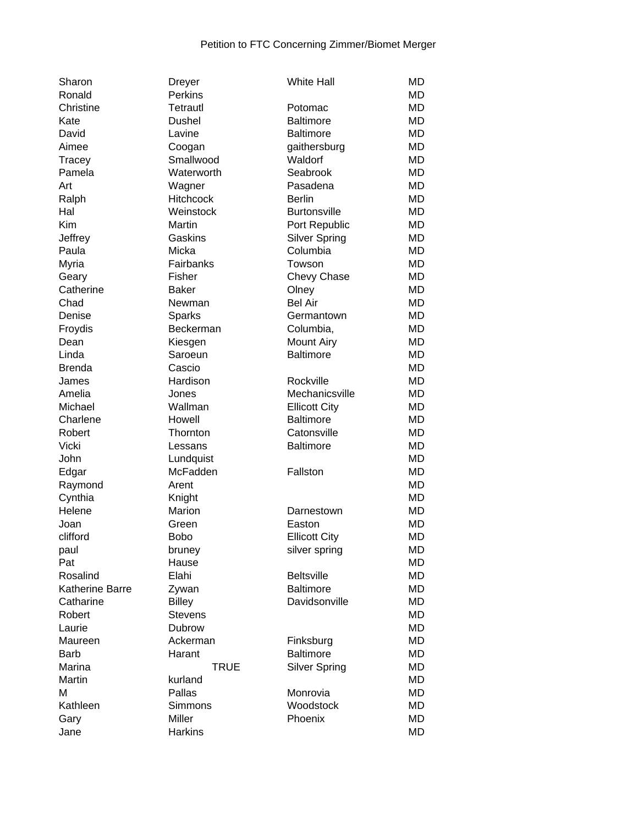| Sharon          | <b>Dreyer</b>    | <b>White Hall</b>    | MD        |
|-----------------|------------------|----------------------|-----------|
| Ronald          | <b>Perkins</b>   |                      | MD        |
| Christine       | Tetrautl         | Potomac              | MD        |
| Kate            | <b>Dushel</b>    | <b>Baltimore</b>     | MD        |
| David           | Lavine           | <b>Baltimore</b>     | MD        |
| Aimee           | Coogan           | gaithersburg         | <b>MD</b> |
| Tracey          | Smallwood        | Waldorf              | <b>MD</b> |
| Pamela          | Waterworth       | Seabrook             | <b>MD</b> |
| Art             | Wagner           | Pasadena             | <b>MD</b> |
| Ralph           | <b>Hitchcock</b> | <b>Berlin</b>        | <b>MD</b> |
| Hal             | Weinstock        | <b>Burtonsville</b>  | <b>MD</b> |
| Kim             | <b>Martin</b>    | Port Republic        | MD        |
| Jeffrey         | Gaskins          | <b>Silver Spring</b> | MD        |
| Paula           | Micka            | Columbia             | MD        |
| Myria           | Fairbanks        | Towson               | MD        |
| Geary           | Fisher           | Chevy Chase          | MD        |
| Catherine       | <b>Baker</b>     | Olney                | MD        |
| Chad            | Newman           | <b>Bel Air</b>       | <b>MD</b> |
| Denise          | Sparks           | Germantown           | <b>MD</b> |
| Froydis         | Beckerman        | Columbia,            | <b>MD</b> |
| Dean            | Kiesgen          | <b>Mount Airy</b>    | <b>MD</b> |
| Linda           | Saroeun          | <b>Baltimore</b>     | <b>MD</b> |
| <b>Brenda</b>   | Cascio           |                      | <b>MD</b> |
| James           | Hardison         | Rockville            | <b>MD</b> |
| Amelia          | Jones            | Mechanicsville       | MD        |
| Michael         | Wallman          | <b>Ellicott City</b> | MD        |
| Charlene        | Howell           | <b>Baltimore</b>     | MD        |
| Robert          | Thornton         | Catonsville          | <b>MD</b> |
| Vicki           | Lessans          | <b>Baltimore</b>     | MD        |
| John            | Lundquist        |                      | <b>MD</b> |
| Edgar           | McFadden         | Fallston             | <b>MD</b> |
| Raymond         | Arent            |                      | <b>MD</b> |
| Cynthia         | Knight           |                      | <b>MD</b> |
| Helene          | Marion           | Darnestown           | <b>MD</b> |
| Joan            | Green            | Easton               | MD        |
| clifford        | <b>Bobo</b>      | <b>Ellicott City</b> | <b>MD</b> |
| paul            | bruney           | silver spring        | <b>MD</b> |
| Pat             | Hause            |                      | MD        |
| Rosalind        | Elahi            | <b>Beltsville</b>    | <b>MD</b> |
| Katherine Barre | Zywan            | <b>Baltimore</b>     | MD        |
| Catharine       | <b>Billey</b>    | Davidsonville        | MD        |
| Robert          | <b>Stevens</b>   |                      | <b>MD</b> |
| Laurie          | Dubrow           |                      | <b>MD</b> |
| Maureen         | Ackerman         | Finksburg            | <b>MD</b> |
| <b>Barb</b>     | Harant           | <b>Baltimore</b>     | <b>MD</b> |
| Marina          | <b>TRUE</b>      | <b>Silver Spring</b> | <b>MD</b> |
| Martin          | kurland          |                      | <b>MD</b> |
| M               | Pallas           | Monrovia             | MD        |
| Kathleen        | Simmons          | Woodstock            | MD        |
|                 | Miller           | Phoenix              | MD        |
| Gary<br>Jane    | <b>Harkins</b>   |                      | MD        |
|                 |                  |                      |           |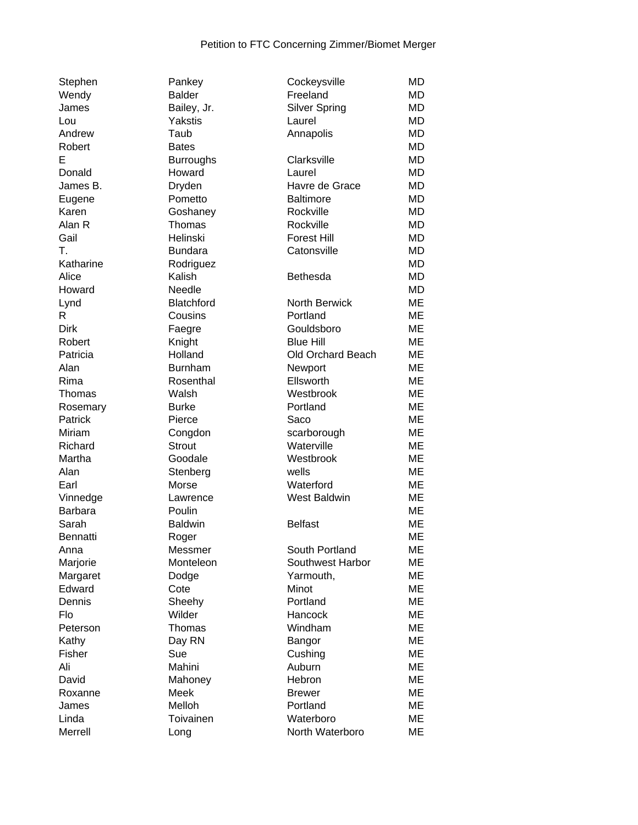| Stephen        | Pankey            | Cockeysville         | MD        |
|----------------|-------------------|----------------------|-----------|
| Wendy          | <b>Balder</b>     | Freeland             | <b>MD</b> |
| James          | Bailey, Jr.       | <b>Silver Spring</b> | MD        |
| Lou            | Yakstis           | Laurel               | MD        |
| Andrew         | Taub              | Annapolis            | MD        |
| Robert         | <b>Bates</b>      |                      | MD        |
| E              | <b>Burroughs</b>  | Clarksville          | <b>MD</b> |
| Donald         | Howard            | Laurel               | <b>MD</b> |
| James B.       | Dryden            | Havre de Grace       | <b>MD</b> |
| Eugene         | Pometto           | <b>Baltimore</b>     | <b>MD</b> |
| Karen          | Goshaney          | Rockville            | <b>MD</b> |
| Alan R         | Thomas            | Rockville            | <b>MD</b> |
| Gail           | Helinski          | <b>Forest Hill</b>   | <b>MD</b> |
| T.             | <b>Bundara</b>    | Catonsville          | <b>MD</b> |
| Katharine      | Rodriguez         |                      | <b>MD</b> |
| Alice          | Kalish            | <b>Bethesda</b>      | MD        |
| Howard         | Needle            |                      | MD        |
| Lynd           | <b>Blatchford</b> | <b>North Berwick</b> | ME        |
| R              | Cousins           | Portland             | ME        |
| Dirk           | Faegre            | Gouldsboro           | ME        |
| Robert         | Knight            | <b>Blue Hill</b>     | ME        |
| Patricia       | Holland           | Old Orchard Beach    | ME        |
| Alan           | <b>Burnham</b>    | Newport              | ME        |
| Rima           | Rosenthal         | Ellsworth            | ME        |
|                |                   |                      |           |
| Thomas         | Walsh             | Westbrook            | ME        |
| Rosemary       | <b>Burke</b>      | Portland             | ME        |
| Patrick        | Pierce            | Saco                 | ME        |
| Miriam         | Congdon           | scarborough          | ME        |
| Richard        | <b>Strout</b>     | Waterville           | ME        |
| Martha         | Goodale           | Westbrook            | ME        |
| Alan           | Stenberg          | wells                | ME        |
| Earl           | Morse             | Waterford            | ME        |
| Vinnedge       | Lawrence          | <b>West Baldwin</b>  | <b>ME</b> |
| <b>Barbara</b> | Poulin            |                      | ME        |
| Sarah          | <b>Baldwin</b>    | <b>Belfast</b>       | ME        |
| Bennatti       | Roger             |                      | <b>ME</b> |
| Anna           | Messmer           | South Portland       | ME        |
| Marjorie       | Monteleon         | Southwest Harbor     | ME        |
| Margaret       | Dodge             | Yarmouth,            | ME        |
| Edward         | Cote              | Minot                | ME        |
| Dennis         | Sheehy            | Portland             | ME        |
| Flo            | Wilder            | Hancock              | ME        |
| Peterson       | Thomas            | Windham              | ME        |
| Kathy          | Day RN            | Bangor               | ME        |
| Fisher         | Sue               | Cushing              | <b>ME</b> |
| Ali            | Mahini            | Auburn               | <b>ME</b> |
| David          | Mahoney           | Hebron               | ME        |
| Roxanne        | Meek              | <b>Brewer</b>        | ME        |
| James          | Melloh            | Portland             | ME        |
| Linda          | Toivainen         | Waterboro            | ME        |
| Merrell        | Long              | North Waterboro      | ME        |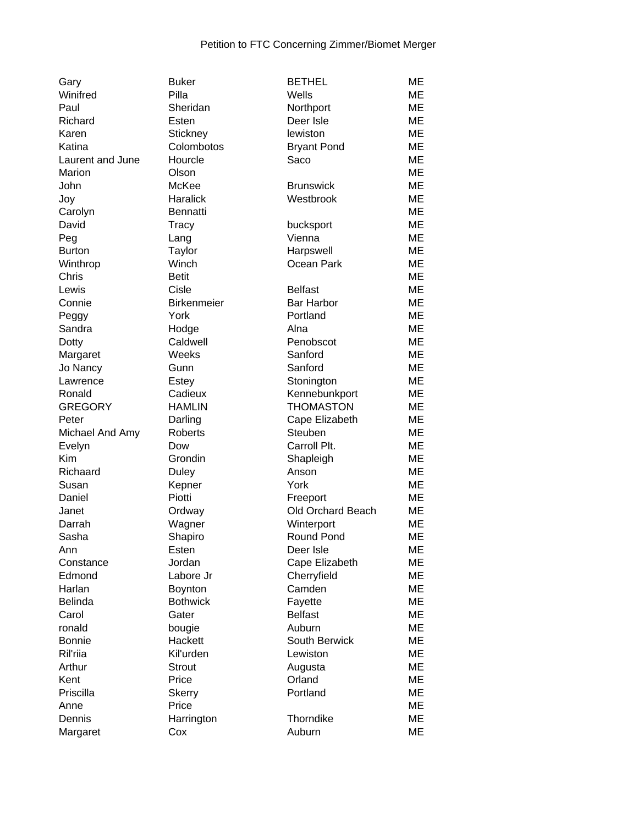| Gary             | <b>Buker</b>       | <b>BETHEL</b>      | МE        |
|------------------|--------------------|--------------------|-----------|
| Winifred         | Pilla              | Wells              | ME        |
| Paul             | Sheridan           | Northport          | ME        |
| Richard          | Esten              | Deer Isle          | ME        |
| Karen            | Stickney           | lewiston           | ME        |
| Katina           | Colombotos         | <b>Bryant Pond</b> | ME        |
| Laurent and June | Hourcle            | Saco               | ME        |
| Marion           | Olson              |                    | ME        |
| John             | McKee              | <b>Brunswick</b>   | ME        |
| Joy              | Haralick           | Westbrook          | ME        |
| Carolyn          | <b>Bennatti</b>    |                    | ME        |
| David            | Tracy              | bucksport          | ME        |
| Peg              | Lang               | Vienna             | ME        |
| <b>Burton</b>    | <b>Taylor</b>      | Harpswell          | ME        |
| Winthrop         | Winch              | Ocean Park         | ME        |
| Chris            | <b>Betit</b>       |                    | ME        |
| Lewis            | Cisle              | <b>Belfast</b>     | ME        |
| Connie           | <b>Birkenmeier</b> | <b>Bar Harbor</b>  | ME        |
| Peggy            | York               | Portland           | ME        |
| Sandra           | Hodge              | Alna               | ME        |
| Dotty            | Caldwell           | Penobscot          | ME        |
| Margaret         | Weeks              | Sanford            | ME        |
| Jo Nancy         | Gunn               | Sanford            | ME        |
| Lawrence         | Estey              | Stonington         | ME        |
| Ronald           | Cadieux            | Kennebunkport      | МE        |
| <b>GREGORY</b>   | <b>HAMLIN</b>      | <b>THOMASTON</b>   | МE        |
| Peter            | Darling            | Cape Elizabeth     | ME        |
| Michael And Amy  | Roberts            | Steuben            | ME        |
| Evelyn           | Dow                | Carroll Plt.       | ME        |
| <b>Kim</b>       | Grondin            | Shapleigh          | ME        |
| Richaard         | <b>Duley</b>       | Anson              | ME        |
| Susan            | Kepner             | York               | ME        |
| Daniel           | Piotti             | Freeport           | ME        |
| Janet            | Ordway             | Old Orchard Beach  | ME        |
| Darrah           | Wagner             | Winterport         | ME        |
| Sasha            | Shapiro            | <b>Round Pond</b>  | ME        |
| Ann              | Esten              | Deer Isle          | ME        |
| Constance        | Jordan             | Cape Elizabeth     | ME        |
| Edmond           | Labore Jr          | Cherryfield        | ME        |
| Harlan           | Boynton            | Camden             | ME        |
| <b>Belinda</b>   | <b>Bothwick</b>    | Fayette            | ME        |
| Carol            | Gater              | <b>Belfast</b>     | ME        |
| ronald           | bougie             | Auburn             | <b>ME</b> |
| <b>Bonnie</b>    | Hackett            | South Berwick      | ME        |
| Ril'rija         | Kil'urden          | Lewiston           | ME        |
| Arthur           | <b>Strout</b>      | Augusta            | ME        |
| Kent             | Price              | Orland             | ME        |
| Priscilla        | <b>Skerry</b>      | Portland           | ME        |
| Anne             | Price              |                    | ME        |
| Dennis           | Harrington         | Thorndike          | ME        |
| Margaret         | Cox                | Auburn             | ME        |
|                  |                    |                    |           |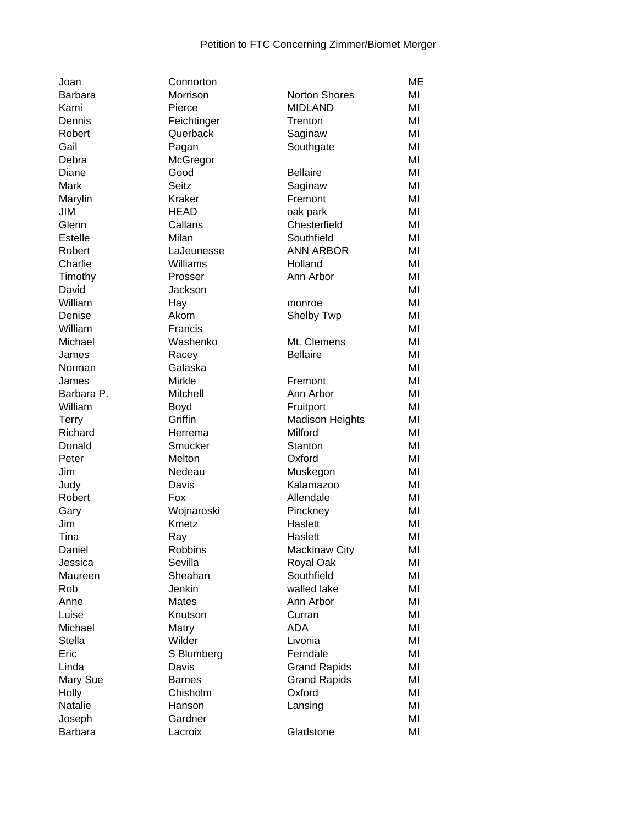| Joan           | Connorton      |                        | <b>ME</b> |
|----------------|----------------|------------------------|-----------|
| <b>Barbara</b> | Morrison       | <b>Norton Shores</b>   | MI        |
| Kami           | Pierce         | <b>MIDLAND</b>         | MI        |
| Dennis         | Feichtinger    | Trenton                | MI        |
| Robert         | Querback       | Saginaw                | MI        |
| Gail           | Pagan          | Southgate              | MI        |
| Debra          | McGregor       |                        | MI        |
| Diane          | Good           | <b>Bellaire</b>        | MI        |
| Mark           | <b>Seitz</b>   | Saginaw                | MI        |
| Marylin        | Kraker         | Fremont                | MI        |
| JIM            | <b>HEAD</b>    | oak park               | MI        |
| Glenn          | Callans        | Chesterfield           | MI        |
| Estelle        | Milan          | Southfield             | MI        |
| Robert         | LaJeunesse     | <b>ANN ARBOR</b>       | MI        |
| Charlie        | Williams       | Holland                | MI        |
| Timothy        | Prosser        | Ann Arbor              | MI        |
| David          | Jackson        |                        | MI        |
| William        | Hay            | monroe                 | MI        |
| Denise         | Akom           | Shelby Twp             | MI        |
| William        | Francis        |                        | MI        |
| Michael        | Washenko       | Mt. Clemens            | MI        |
| James          | Racey          | <b>Bellaire</b>        | MI        |
| Norman         | Galaska        |                        | MI        |
| James          | Mirkle         | Fremont                | MI        |
| Barbara P.     | Mitchell       | Ann Arbor              | MI        |
| William        | Boyd           | Fruitport              | MI        |
| <b>Terry</b>   | Griffin        | <b>Madison Heights</b> | MI        |
| Richard        | Herrema        | Milford                | MI        |
| Donald         | Smucker        | Stanton                | MI        |
| Peter          | Melton         | Oxford                 | MI        |
| Jim            | Nedeau         | Muskegon               | MI        |
| Judy           | Davis          | Kalamazoo              | MI        |
| Robert         | Fox            | Allendale              | MI        |
| Gary           | Wojnaroski     | Pinckney               | MI        |
| Jim            | Kmetz          | Haslett                | MI        |
| Tina           | Ray            | Haslett                | MI        |
| Daniel         | <b>Robbins</b> | <b>Mackinaw City</b>   | MI        |
| Jessica        | Sevilla        | Royal Oak              | MI        |
| Maureen        | Sheahan        | Southfield             | MI        |
| Rob            | Jenkin         | walled lake            | MI        |
| Anne           | <b>Mates</b>   | Ann Arbor              | MI        |
| Luise          | Knutson        | Curran                 | MI        |
| Michael        | Matry          | <b>ADA</b>             | MI        |
| <b>Stella</b>  | Wilder         | Livonia                | MI        |
| Eric           | S Blumberg     | Ferndale               | MI        |
| Linda          | Davis          | <b>Grand Rapids</b>    | MI        |
| Mary Sue       | <b>Barnes</b>  | <b>Grand Rapids</b>    | MI        |
| Holly          | Chisholm       | Oxford                 | MI        |
| Natalie        | Hanson         | Lansing                | MI        |
| Joseph         | Gardner        |                        | MI        |
| <b>Barbara</b> | Lacroix        | Gladstone              | MI        |
|                |                |                        |           |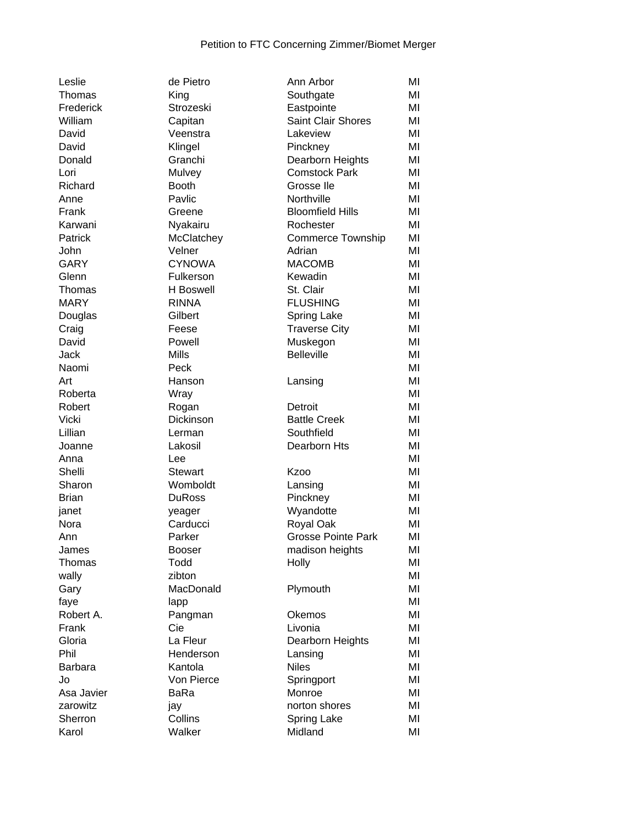| Leslie          |
|-----------------|
| Thomas          |
| Frederick       |
| William         |
| David           |
| David           |
| Donald          |
| Lori            |
| Richard         |
| Anne            |
| Frank           |
| Karwani         |
| Patrick         |
| John            |
| GARY            |
| Glenn           |
| Thomas          |
| <b>MARY</b>     |
| Douglas         |
| Craig           |
| David           |
| Jack            |
| Naomi           |
| Art             |
| Roberta         |
| Robert          |
| Vicki           |
| Lillian         |
| Joanne          |
| Anna            |
| Shelli          |
| Sharon          |
| Brian           |
| janet           |
| Nora            |
| Ann             |
| James           |
| Thomas          |
| wally           |
|                 |
| Gary<br>faye    |
| Robert A.       |
|                 |
| Frank<br>Gloria |
| Phil            |
|                 |
| Barbara         |
| Jo              |
| Asa Javier      |
| zarowitz        |
| Sherron         |
|                 |

| de Pietro        | Ann Arbor                 | MI |
|------------------|---------------------------|----|
| King             | Southgate                 | MI |
| Strozeski        | Eastpointe                | MI |
| Capitan          | <b>Saint Clair Shores</b> | MI |
| Veenstra         | Lakeview                  | MI |
| Klingel          | Pinckney                  | MI |
| Granchi          | Dearborn Heights          | MI |
| Mulvey           | <b>Comstock Park</b>      | MI |
| <b>Booth</b>     | Grosse Ile                | MI |
| Pavlic           | Northville                | ΜI |
| Greene           | <b>Bloomfield Hills</b>   | ΜI |
| Nyakairu         | Rochester                 | MI |
| McClatchey       | <b>Commerce Township</b>  | ΜI |
| Velner           | Adrian                    | MI |
| <b>CYNOWA</b>    | <b>MACOMB</b>             | ΜI |
| Fulkerson        | Kewadin                   | MI |
| <b>H</b> Boswell | St. Clair                 | MI |
| <b>RINNA</b>     | <b>FLUSHING</b>           | ΜI |
| Gilbert          | <b>Spring Lake</b>        | MI |
| Feese            | <b>Traverse City</b>      | MI |
| Powell           | Muskegon                  | МΙ |
| Mills            | <b>Belleville</b>         | МΙ |
| Peck             |                           | MI |
|                  |                           | ΜI |
| Hanson           | Lansing                   |    |
| Wray             |                           | МΙ |
| Rogan            | Detroit                   | MI |
| Dickinson        | <b>Battle Creek</b>       | MI |
| Lerman           | Southfield                | MI |
| Lakosil          | Dearborn Hts              | MI |
| Lee              |                           | MI |
| <b>Stewart</b>   | <b>Kzoo</b>               | MI |
| Womboldt         | Lansing                   | MI |
| <b>DuRoss</b>    | Pinckney                  | ΜI |
| yeager           | Wyandotte                 | ΜI |
| Carducci         | Royal Oak                 | МΙ |
| Parker           | <b>Grosse Pointe Park</b> | МΙ |
| <b>Booser</b>    | madison heights           | ΜI |
| Todd             | Holly                     | ΜI |
| zibton           |                           | ΜI |
| MacDonald        | Plymouth                  | MI |
| lapp             |                           | MI |
| Pangman          | Okemos                    | MI |
| Cie              | Livonia                   | MI |
| La Fleur         | Dearborn Heights          | MI |
| Henderson        | Lansing                   | MI |
| Kantola          | <b>Niles</b>              | MI |
| Von Pierce       | Springport                | MI |
| BaRa             | Monroe                    | ΜI |
| jay              | norton shores             | ΜI |
| Collins          | <b>Spring Lake</b>        | ΜI |
| Walker           | Midland                   | MI |
|                  |                           |    |

| Thomas         | King             | Southgate                 | ΜI |
|----------------|------------------|---------------------------|----|
| Frederick      | Strozeski        | Eastpointe                | ΜI |
| William        | Capitan          | Saint Clair Shores        | ΜI |
| David          | Veenstra         | Lakeview                  | MI |
| David          | Klingel          | Pinckney                  | MI |
| Donald         | Granchi          | Dearborn Heights          | MI |
| Lori           | Mulvey           | <b>Comstock Park</b>      | MI |
| Richard        | <b>Booth</b>     | Grosse Ile                | ΜI |
| Anne           | Pavlic           | Northville                | ΜI |
| Frank          | Greene           | <b>Bloomfield Hills</b>   | ΜI |
| Karwani        | Nyakairu         | Rochester                 | ΜI |
| Patrick        | McClatchey       | <b>Commerce Township</b>  | ΜI |
| John           | Velner           | Adrian                    | MI |
| GARY           | <b>CYNOWA</b>    | <b>MACOMB</b>             | ΜI |
| Glenn          | Fulkerson        | Kewadin                   | МI |
| Thomas         | <b>H</b> Boswell | St. Clair                 | ΜI |
| <b>MARY</b>    | <b>RINNA</b>     | <b>FLUSHING</b>           | MI |
| Douglas        | Gilbert          | <b>Spring Lake</b>        | ΜI |
| Craig          | Feese            | <b>Traverse City</b>      | MI |
| David          | Powell           | Muskegon                  | MI |
| Jack           | <b>Mills</b>     | <b>Belleville</b>         | MI |
| Naomi          | Peck             |                           | MI |
| Art            | Hanson           | Lansing                   | ΜI |
| Roberta        | Wray             |                           | ΜI |
| Robert         | Rogan            | Detroit                   | MI |
| Vicki          | Dickinson        | <b>Battle Creek</b>       | MI |
| Lillian        | Lerman           | Southfield                | ΜI |
| Joanne         | Lakosil          | Dearborn Hts              | ΜI |
| Anna           | Lee              |                           | MI |
| Shelli         | Stewart          | Kzoo                      | MI |
| Sharon         | Womboldt         | Lansing                   | MI |
| Brian          | <b>DuRoss</b>    | Pinckney                  | MI |
| janet          | yeager           | Wyandotte                 | ΜI |
| Nora           | Carducci         | Royal Oak                 | ΜI |
| Ann            | Parker           | <b>Grosse Pointe Park</b> | MI |
| James          | <b>Booser</b>    | madison heights           | MI |
| Thomas         | Todd             | Holly                     | MI |
| wally          | zibton           |                           | MI |
| Gary           | MacDonald        | Plymouth                  | ΜI |
| faye           | lapp             |                           | MI |
| Robert A.      | Pangman          | Okemos                    | MI |
| Frank          | Cie              | Livonia                   | MI |
| Gloria         | La Fleur         | Dearborn Heights          | MI |
| Phil           | Henderson        | Lansing                   | MI |
| <b>Barbara</b> | Kantola          | <b>Niles</b>              | ΜI |
| Jo             | Von Pierce       | Springport                | ΜI |
| Asa Javier     | BaRa             | Monroe                    | ΜI |
| zarowitz       | jay              | norton shores             | ΜI |
| Sherron        | Collins          | <b>Spring Lake</b>        | ΜI |
| Karol          | Walker           | Midland                   | MI |
|                |                  |                           |    |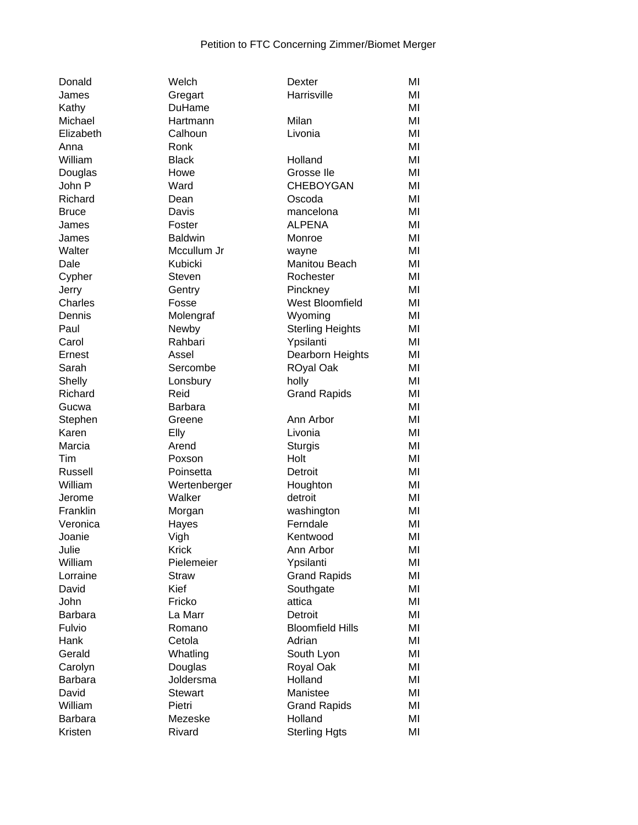| Donald         | Welch          | Dexter                  | MI |
|----------------|----------------|-------------------------|----|
| James          | Gregart        | Harrisville             | MI |
| Kathy          | DuHame         |                         | MI |
| Michael        | Hartmann       | Milan                   | MI |
| Elizabeth      | Calhoun        | Livonia                 | MI |
| Anna           | Ronk           |                         | MI |
| William        | <b>Black</b>   | Holland                 | MI |
| Douglas        | Howe           | Grosse Ile              | MI |
| John P         | Ward           | <b>CHEBOYGAN</b>        | MI |
| Richard        | Dean           | Oscoda                  | MI |
| <b>Bruce</b>   | Davis          | mancelona               | MI |
| James          | Foster         | <b>ALPENA</b>           | MI |
| James          | <b>Baldwin</b> | Monroe                  | MI |
| Walter         | Mccullum Jr    | wayne                   | MI |
| Dale           | Kubicki        | Manitou Beach           | MI |
| Cypher         | Steven         | Rochester               | MI |
| Jerry          | Gentry         | Pinckney                | MI |
| Charles        | Fosse          | <b>West Bloomfield</b>  | MI |
| Dennis         | Molengraf      | Wyoming                 | MI |
| Paul           | Newby          | <b>Sterling Heights</b> | MI |
| Carol          | Rahbari        | Ypsilanti               | MI |
| Ernest         | Assel          | Dearborn Heights        | MI |
| Sarah          | Sercombe       | <b>ROyal Oak</b>        | MI |
| Shelly         | Lonsbury       | holly                   | MI |
| Richard        | Reid           | <b>Grand Rapids</b>     | MI |
| Gucwa          | <b>Barbara</b> |                         | MI |
| Stephen        | Greene         | Ann Arbor               | MI |
| Karen          | Elly           | Livonia                 | MI |
| Marcia         | Arend          | <b>Sturgis</b>          | MI |
| Tim            | Poxson         | Holt                    | MI |
| Russell        | Poinsetta      | Detroit                 | MI |
| William        | Wertenberger   | Houghton                | MI |
| Jerome         | Walker         | detroit                 | MI |
| Franklin       | Morgan         | washington              | MI |
| Veronica       | Hayes          | Ferndale                | MI |
| Joanie         | Vigh           | Kentwood                | MI |
| Julie          | <b>Krick</b>   | Ann Arbor               | MI |
| William        | Pielemeier     | Ypsilanti               | MI |
| Lorraine       | <b>Straw</b>   | <b>Grand Rapids</b>     | MI |
| David          | Kief           | Southgate               | MI |
| John           | Fricko         | attica                  | MI |
| Barbara        | La Marr        | Detroit                 | MI |
| Fulvio         | Romano         | <b>Bloomfield Hills</b> | MI |
| Hank           | Cetola         | Adrian                  | MI |
| Gerald         | Whatling       | South Lyon              | MI |
| Carolyn        | Douglas        | Royal Oak               | MI |
| <b>Barbara</b> | Joldersma      | Holland                 | MI |
| David          | <b>Stewart</b> | Manistee                | MI |
| William        | Pietri         | <b>Grand Rapids</b>     | MI |
| <b>Barbara</b> | Mezeske        | Holland                 | MI |
| Kristen        | Rivard         | <b>Sterling Hgts</b>    | MI |
|                |                |                         |    |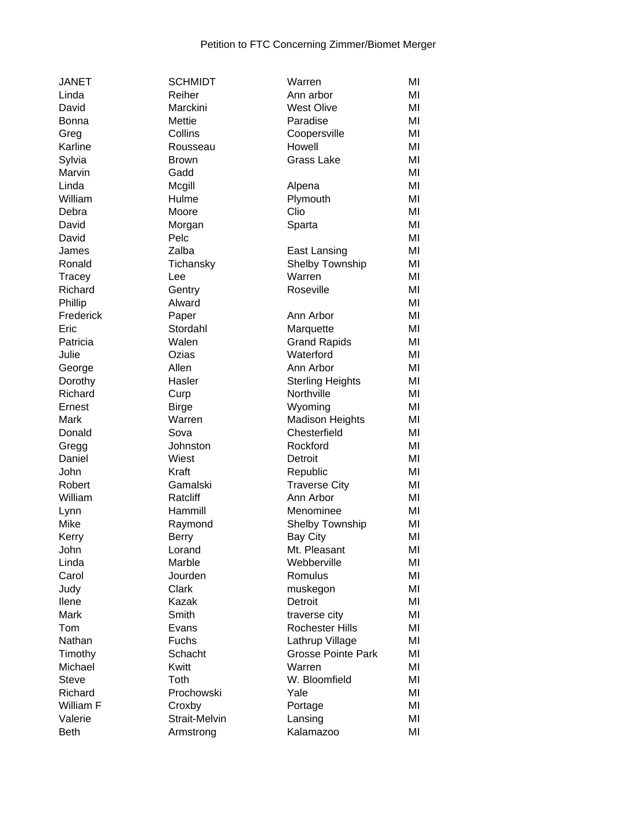| <b>JANET</b> | <b>SCHMIDT</b> | Warren                    | MI |
|--------------|----------------|---------------------------|----|
| Linda        | Reiher         | Ann arbor                 | MI |
| David        | Marckini       | <b>West Olive</b>         | MI |
| <b>Bonna</b> | Mettie         | Paradise                  | MI |
| Greg         | Collins        | Coopersville              | MI |
| Karline      | Rousseau       | Howell                    | MI |
| Sylvia       | <b>Brown</b>   | Grass Lake                | MI |
| Marvin       | Gadd           |                           | MI |
| Linda        | Mcgill         | Alpena                    | MI |
| William      | Hulme          | Plymouth                  | MI |
| Debra        | Moore          | Clio                      | MI |
| David        | Morgan         | Sparta                    | MI |
| David        | Pelc           |                           | MI |
| James        | Zalba          | East Lansing              | MI |
| Ronald       | Tichansky      | Shelby Township           | MI |
| Tracey       | Lee            | Warren                    | MI |
| Richard      | Gentry         | Roseville                 | MI |
| Phillip      | Alward         |                           | MI |
| Frederick    | Paper          | Ann Arbor                 | MI |
| Eric         | Stordahl       | Marquette                 | MI |
| Patricia     | Walen          | <b>Grand Rapids</b>       | MI |
| Julie        | Ozias          | Waterford                 | MI |
| George       | Allen          | Ann Arbor                 | MI |
| Dorothy      | Hasler         | <b>Sterling Heights</b>   | MI |
| Richard      | Curp           | Northville                | MI |
| Ernest       | <b>Birge</b>   | Wyoming                   | MI |
| Mark         | Warren         | <b>Madison Heights</b>    | MI |
| Donald       | Sova           | Chesterfield              | MI |
| Gregg        | Johnston       | Rockford                  | MI |
| Daniel       | Wiest          | Detroit                   | MI |
| John         | Kraft          | Republic                  | MI |
| Robert       | Gamalski       | <b>Traverse City</b>      | MI |
| William      | Ratcliff       | Ann Arbor                 | MI |
| Lynn         | Hammill        | Menominee                 | MI |
| Mike         | Raymond        | Shelby Township           | MI |
| Kerry        | <b>Berry</b>   | Bay City                  | MI |
| John         | Lorand         | Mt. Pleasant              | MI |
| Linda        | Marble         | Webberville               | MI |
| Carol        | Jourden        | Romulus                   | MI |
| Judy         | Clark          | muskegon                  | MI |
| llene        | Kazak          | Detroit                   | MI |
| <b>Mark</b>  | Smith          | traverse city             | MI |
| Tom          | Evans          | <b>Rochester Hills</b>    | MI |
| Nathan       | Fuchs          | Lathrup Village           | MI |
| Timothy      | Schacht        | <b>Grosse Pointe Park</b> | MI |
| Michael      | Kwitt          | Warren                    | MI |
| <b>Steve</b> | Toth           | W. Bloomfield             | MI |
| Richard      | Prochowski     | Yale                      | MI |
| William F    | Croxby         | Portage                   | MI |
| Valerie      | Strait-Melvin  | Lansing                   | MI |
| <b>Beth</b>  | Armstrong      | Kalamazoo                 | MI |
|              |                |                           |    |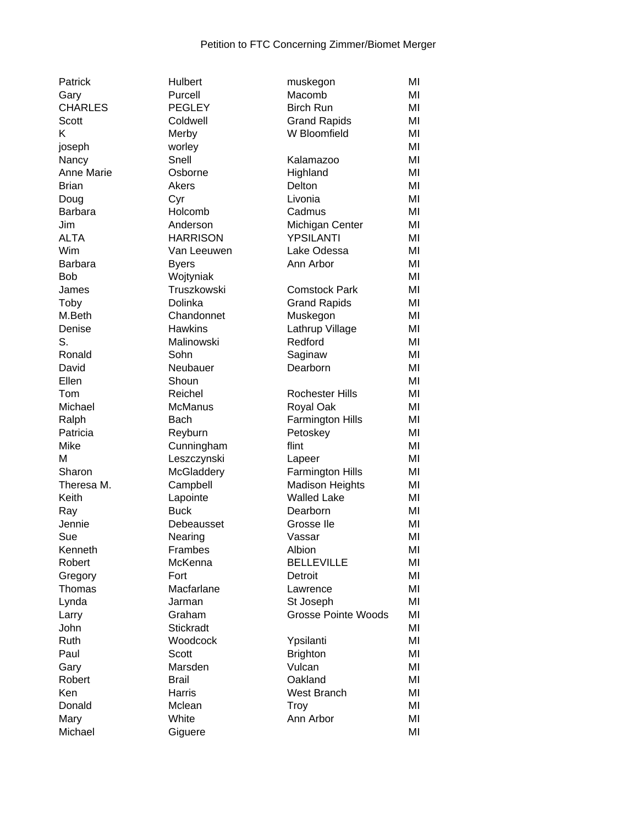| Patrick        | Hulbert          | muskegon                        | MI |
|----------------|------------------|---------------------------------|----|
| Gary           | Purcell          | Macomb                          | MI |
| <b>CHARLES</b> | <b>PEGLEY</b>    | <b>Birch Run</b>                | MI |
| Scott          | Coldwell         | <b>Grand Rapids</b>             | MI |
| K              | Merby            | W Bloomfield                    | MI |
| joseph         | worley           |                                 | MI |
| Nancy          | Snell            | Kalamazoo                       | MI |
| Anne Marie     | Osborne          | Highland                        | MI |
| <b>Brian</b>   | Akers            | Delton                          | MI |
| Doug           | Cyr              | Livonia                         | MI |
| Barbara        | Holcomb          | Cadmus                          | MI |
| Jim            | Anderson         | Michigan Center                 | MI |
| <b>ALTA</b>    | <b>HARRISON</b>  | YPSILANTI                       | MI |
| Wim            | Van Leeuwen      | Lake Odessa                     | MI |
| <b>Barbara</b> | <b>Byers</b>     | Ann Arbor                       | MI |
| <b>Bob</b>     | Wojtyniak        |                                 | MI |
| James          | Truszkowski      | <b>Comstock Park</b>            | MI |
| Toby           | Dolinka          |                                 | MI |
| M.Beth         | Chandonnet       | <b>Grand Rapids</b><br>Muskegon | MI |
| Denise         | <b>Hawkins</b>   |                                 | MI |
| S.             | Malinowski       | Lathrup Village<br>Redford      | MI |
|                |                  |                                 |    |
| Ronald         | Sohn             | Saginaw                         | MI |
| David          | Neubauer         | Dearborn                        | MI |
| Ellen          | Shoun            |                                 | MI |
| Tom            | Reichel          | <b>Rochester Hills</b>          | MI |
| Michael        | <b>McManus</b>   | Royal Oak                       | MI |
| Ralph          | <b>Bach</b>      | <b>Farmington Hills</b>         | MI |
| Patricia       | Reyburn          | Petoskey                        | MI |
| Mike           | Cunningham       | flint                           | MI |
| M              | Leszczynski      | Lapeer                          | MI |
| Sharon         | McGladdery       | Farmington Hills                | MI |
| Theresa M.     | Campbell         | <b>Madison Heights</b>          | MI |
| Keith          | Lapointe         | <b>Walled Lake</b>              | MI |
| Ray            | <b>Buck</b>      | Dearborn                        | MI |
| Jennie         | Debeausset       | Grosse Ile                      | MI |
| Sue            | Nearing          | Vassar                          | MI |
| Kenneth        | Frambes          | Albion                          | MI |
| Robert         | McKenna          | <b>BELLEVILLE</b>               | MI |
| Gregory        | Fort             | Detroit                         | MI |
| Thomas         | Macfarlane       | Lawrence                        | MI |
| Lynda          | Jarman           | St Joseph                       | MI |
| Larry          | Graham           | <b>Grosse Pointe Woods</b>      | MI |
| John           | <b>Stickradt</b> |                                 | MI |
| Ruth           | Woodcock         | Ypsilanti                       | MI |
| Paul           | Scott            | <b>Brighton</b>                 | MI |
| Gary           | Marsden          | Vulcan                          | MI |
| Robert         | <b>Brail</b>     | Oakland                         | MI |
| Ken            | Harris           | West Branch                     | MI |
| Donald         | Mclean           | Troy                            | MI |
| Mary           | White            | Ann Arbor                       | MI |
| Michael        | Giguere          |                                 | MI |
|                |                  |                                 |    |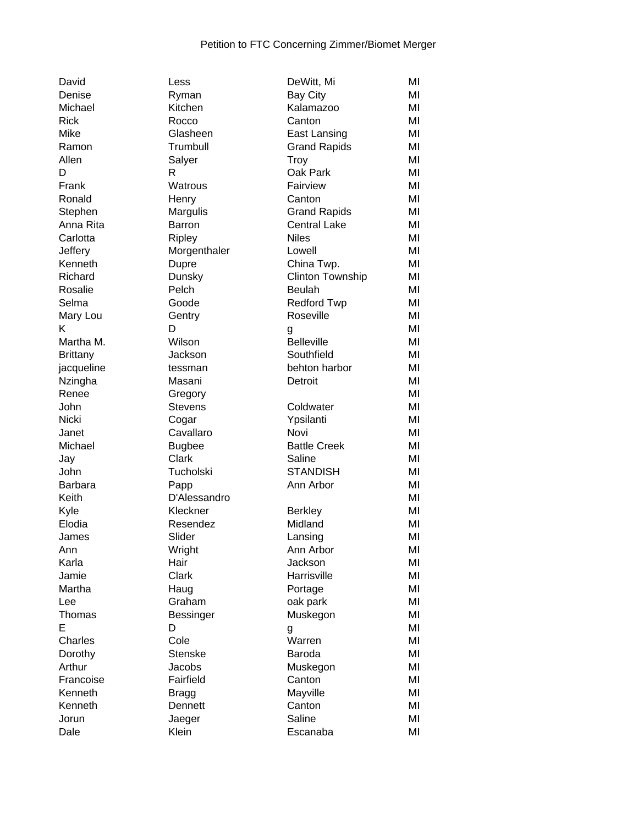| David            |
|------------------|
| Denise           |
| Michael          |
| Rick             |
| Mike             |
| Ramon            |
| Allen            |
| D                |
| Frank            |
| Ronald           |
|                  |
| Stephen          |
| Anna Rita        |
| Carlotta         |
| Jeffery          |
| Kenneth          |
| Richard          |
| Rosalie          |
| Selma            |
| Mary Lou         |
| Κ                |
| Martha M.        |
| <b>Brittany</b>  |
| jacqueline       |
| Nzingha          |
| Renee            |
| John             |
| Nicki            |
| Janet            |
|                  |
|                  |
| Michael          |
| Jay              |
| John             |
| Barbara          |
| Keith            |
| Kyle             |
| Elodia           |
| James            |
| Ann              |
| Karla            |
| Jamie            |
| Martha           |
| Lee              |
| Thomas           |
| E                |
| Charles          |
| Dorothy          |
| Arthur           |
|                  |
| Francoise        |
| Kenneth          |
| Kenneth<br>Jorun |

| Less          | DeWitt, Mi              | ΜI |
|---------------|-------------------------|----|
| Ryman         | <b>Bay City</b>         | ΜI |
| Kitchen       | Kalamazoo               | MI |
| Rocco         | Canton                  | MI |
| Glasheen      | East Lansing            | MI |
| Trumbull      | <b>Grand Rapids</b>     | MI |
| Salyer        | Troy                    | ΜI |
| R             | Oak Park                | MI |
| Watrous       | Fairview                | MI |
| Henry         | Canton                  | MI |
| Margulis      | <b>Grand Rapids</b>     | MI |
| Barron        | <b>Central Lake</b>     | MI |
| <b>Ripley</b> | <b>Niles</b>            | MI |
| Morgenthaler  | Lowell                  | MI |
| Dupre         | China Twp.              | MI |
| Dunsky        | <b>Clinton Township</b> | MI |
| Pelch         | <b>Beulah</b>           | MI |
| Goode         | <b>Redford Twp</b>      | MI |
| Gentry        | Roseville               | MI |
| D             |                         | MI |
| Wilson        | g<br><b>Belleville</b>  | MI |
|               | Southfield              | MI |
| Jackson       |                         | MI |
| tessman       | behton harbor           | MI |
| Masani        | Detroit                 |    |
| Gregory       |                         | MI |
| Stevens       | Coldwater               | MI |
| Cogar         | Ypsilanti               | MI |
| Cavallaro     | Novi                    | MI |
| <b>Bugbee</b> | <b>Battle Creek</b>     | MI |
| Clark         | Saline                  | MI |
| Tucholski     | STANDISH                | MI |
| Papp          | Ann Arbor               | MI |
| D'Alessandro  |                         | MI |
| Kleckner      | <b>Berkley</b>          | MI |
| Resendez      | Midland                 | MI |
| Slider        | Lansing                 | MI |
| Wright        | Ann Arbor               | MI |
| Hair          | Jackson                 | ΜI |
| Clark         | Harrisville             | MI |
| Haug          | Portage                 | MI |
| Graham        | oak park                | MI |
| Bessinger     | Muskegon                | MI |
| D             | g                       | MI |
| Cole          | Warren                  | MI |
| Stenske       | Baroda                  | ΜI |
| Jacobs        | Muskegon                | ΜI |
| Fairfield     | Canton                  | ΜI |
| Bragg         | Mayville                | ΜI |
| Dennett       | Canton                  | ΜI |
| Jaeger        | Saline                  | ΜI |
| Klein         | Escanaba                | ΜI |
|               |                         |    |

| Denise          | Ryman          | <b>Bay City</b>         | MI |
|-----------------|----------------|-------------------------|----|
| Michael         | Kitchen        | Kalamazoo               | MI |
| Rick            | Rocco          | Canton                  | MI |
| Mike            | Glasheen       | East Lansing            | MI |
| Ramon           | Trumbull       | <b>Grand Rapids</b>     | MI |
| Allen           | Salyer         | <b>Troy</b>             | MI |
| D               | R              | Oak Park                | MI |
| Frank           | Watrous        | Fairview                | MI |
| Ronald          | Henry          | Canton                  | MI |
| Stephen         | Margulis       | <b>Grand Rapids</b>     | MI |
| Anna Rita       | <b>Barron</b>  | <b>Central Lake</b>     | MI |
| Carlotta        | <b>Ripley</b>  | <b>Niles</b>            | MI |
| Jeffery         | Morgenthaler   | Lowell                  | MI |
| Kenneth         | Dupre          | China Twp.              | MI |
| Richard         | Dunsky         | <b>Clinton Township</b> | MI |
| Rosalie         | Pelch          | <b>Beulah</b>           | MI |
| Selma           | Goode          | <b>Redford Twp</b>      | MI |
| Mary Lou        | Gentry         | Roseville               | MI |
| ĸ               | D              | g                       | MI |
| Martha M.       | Wilson         | <b>Belleville</b>       | MI |
| <b>Brittany</b> | Jackson        | Southfield              | MI |
| jacqueline      | tessman        | behton harbor           | MI |
| Nzingha         | Masani         | Detroit                 | MI |
| Renee           | Gregory        |                         | MI |
| John            | <b>Stevens</b> | Coldwater               | MI |
| Nicki           | Cogar          | Ypsilanti               | MI |
| Janet           | Cavallaro      | Novi                    | MI |
| Michael         | <b>Bugbee</b>  | <b>Battle Creek</b>     | MI |
| Jay             | Clark          | Saline                  | MI |
| John            | Tucholski      | <b>STANDISH</b>         | MI |
| Barbara         | Papp           | Ann Arbor               | MI |
| Keith           | D'Alessandro   |                         | MI |
| Kyle            | Kleckner       | <b>Berkley</b>          | MI |
| Elodia          | Resendez       | Midland                 | MI |
| James           | Slider         | Lansing                 | MI |
| Ann             | Wright         | Ann Arbor               | MI |
| Karla           | Hair           | Jackson                 | MI |
| Jamie           | Clark          | Harrisville             | MI |
| Martha          | Haug           | Portage                 | MI |
| Lee             | Graham         | oak park                | MI |
| Thomas          | Bessinger      | Muskegon                | MI |
| E               | D              | g                       | MI |
| Charles         | Cole           | Warren                  | MI |
| Dorothy         | <b>Stenske</b> | Baroda                  | MI |
| Arthur          | Jacobs         | Muskegon                | MI |
| Francoise       | Fairfield      | Canton                  | MI |
| Kenneth         | <b>Bragg</b>   | Mayville                | MI |
| Kenneth         | Dennett        | Canton                  | MI |
| Jorun           | Jaeger         | Saline                  | MI |
| Dale            | Klein          | Escanaba                | MI |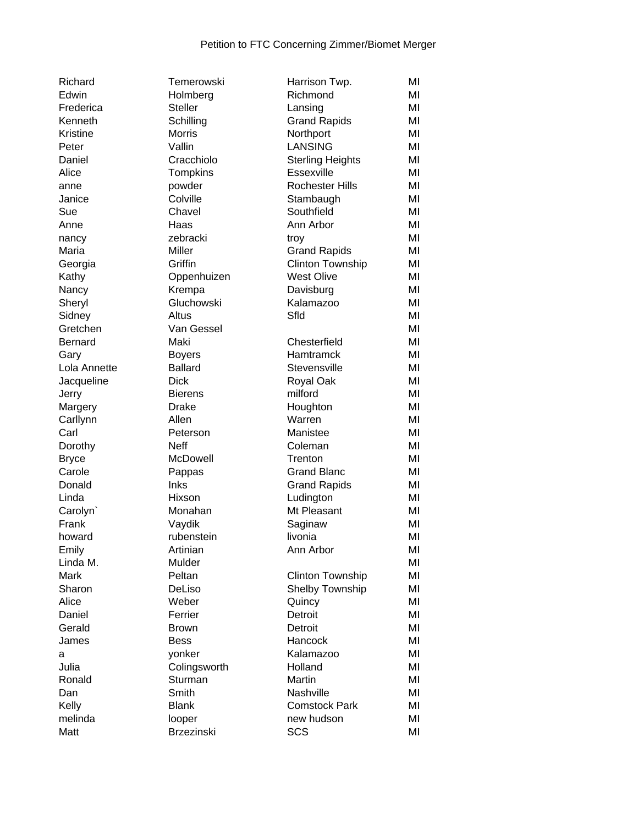| Richard      |
|--------------|
| Edwin        |
| Frederica    |
| Kenneth      |
| Kristine     |
| Peter        |
| Daniel       |
| Alice        |
| anne         |
| Janice       |
| Sue          |
| Anne         |
| nancy        |
| Maria        |
| Georgia      |
| Kathy        |
|              |
| Nancy        |
| Sheryl       |
| Sidney       |
| Gretchen     |
| Bernard      |
| Gary         |
| Lola Annette |
| Jacqueline   |
| Jerry        |
| Margery      |
| Carllynn     |
| Carl         |
| Dorothy      |
| Bryce        |
| Carole       |
| Donald       |
| Linda        |
| Carolyn`     |
| Frank        |
| howard       |
| Emily        |
| Linda M.     |
| Mark         |
| Sharon       |
| Alice        |
| Daniel       |
| Gerald       |
| James        |
| a            |
| Julia        |
| Ronald       |
| Dan          |
| Kelly        |
| melinda      |
| $M - 44$     |

| Harrison Twp.           | ΜI                                                     |
|-------------------------|--------------------------------------------------------|
| Richmond                | MI                                                     |
| Lansing                 | MI                                                     |
| <b>Grand Rapids</b>     | MI                                                     |
| Northport               | MI                                                     |
|                         | ΜI                                                     |
| <b>Sterling Heights</b> | MI                                                     |
| Essexville              | MI                                                     |
| <b>Rochester Hills</b>  | MI                                                     |
|                         | MI                                                     |
|                         | MI                                                     |
|                         | MI                                                     |
| troy                    | ΜI                                                     |
| <b>Grand Rapids</b>     | MI                                                     |
| <b>Clinton Township</b> | MI                                                     |
| <b>West Olive</b>       | MI                                                     |
| Davisburg               | MI                                                     |
| Kalamazoo               | ΜI                                                     |
| Sfld                    | ΜI                                                     |
|                         | ΜI                                                     |
| Chesterfield            | MI                                                     |
| Hamtramck               | ΜI                                                     |
| Stevensville            | MI                                                     |
| Royal Oak               | MI                                                     |
| milford                 | MI                                                     |
| Houghton                | MI                                                     |
| Warren                  | MI                                                     |
| Manistee                | MI                                                     |
| Coleman                 | MI                                                     |
| Trenton                 | MI                                                     |
| <b>Grand Blanc</b>      | MI                                                     |
| <b>Grand Rapids</b>     | MI                                                     |
| Ludington               | MI                                                     |
| Mt Pleasant             | MI                                                     |
| Saginaw                 | MI                                                     |
| livonia                 | MI                                                     |
| Ann Arbor               | ΜI                                                     |
|                         | ΜI                                                     |
| <b>Clinton Township</b> | ΜI                                                     |
| Shelby Township         | MI                                                     |
| Quincy                  | ΜI                                                     |
| Detroit                 | MI                                                     |
| Detroit                 | MI                                                     |
| Hancock                 | MI                                                     |
| Kalamazoo               | MI                                                     |
| Holland                 | MI                                                     |
| Martin                  | ΜI                                                     |
| Nashville               | ΜI                                                     |
| <b>Comstock Park</b>    | ΜI                                                     |
| new hudson              | ΜI                                                     |
| SCS                     | ΜI                                                     |
|                         | <b>LANSING</b><br>Stambaugh<br>Southfield<br>Ann Arbor |

| Edwin        | Holmberg          | Richmond                | MI |
|--------------|-------------------|-------------------------|----|
| Frederica    | <b>Steller</b>    | Lansing                 | MI |
| Kenneth      | Schilling         | <b>Grand Rapids</b>     | MI |
| Kristine     | <b>Morris</b>     | Northport               | MI |
| Peter        | Vallin            | <b>LANSING</b>          | MI |
| Daniel       | Cracchiolo        | <b>Sterling Heights</b> | MI |
| Alice        | Tompkins          | Essexville              | MI |
| anne         | powder            | <b>Rochester Hills</b>  | MI |
| Janice       | Colville          | Stambaugh               | MI |
| Sue          | Chavel            | Southfield              | MI |
| Anne         | Haas              | Ann Arbor               | MI |
| nancy        | zebracki          | troy                    | MI |
| Maria        | Miller            | <b>Grand Rapids</b>     | MI |
| Georgia      | Griffin           | <b>Clinton Township</b> | MI |
| Kathy        | Oppenhuizen       | West Olive              | MI |
| Nancy        | Krempa            | Davisburg               | MI |
| Sheryl       | Gluchowski        | Kalamazoo               | MI |
| Sidney       | Altus             | Sfld                    | MI |
| Gretchen     | Van Gessel        |                         | MI |
| Bernard      | Maki              | Chesterfield            | MI |
| Gary         | <b>Boyers</b>     | <b>Hamtramck</b>        | MI |
| Lola Annette | <b>Ballard</b>    | Stevensville            | MI |
| Jacqueline   | <b>Dick</b>       | Royal Oak               | MI |
| Jerry        | <b>Bierens</b>    | milford                 | MI |
| Margery      | <b>Drake</b>      | Houghton                | MI |
| Carllynn     | Allen             | Warren                  | MI |
| Carl         | Peterson          | Manistee                | MI |
| Dorothy      | <b>Neff</b>       | Coleman                 | MI |
| <b>Bryce</b> | McDowell          | Trenton                 | MI |
| Carole       | Pappas            | <b>Grand Blanc</b>      | MI |
| Donald       | <b>Inks</b>       | <b>Grand Rapids</b>     | MI |
| Linda        | Hixson            | Ludington               | MI |
| Carolyn`     | Monahan           | Mt Pleasant             | MI |
| Frank        | Vaydik            | Saginaw                 | MI |
| howard       | rubenstein        | livonia                 | MI |
| Emily        | Artinian          | Ann Arbor               | MI |
| Linda M.     | Mulder            |                         | MI |
| Mark         | Peltan            | <b>Clinton Township</b> | MI |
| Sharon       | DeLiso            | <b>Shelby Township</b>  | MI |
| Alice        | Weber             | Quincy                  | MI |
| Daniel       | Ferrier           | Detroit                 | MI |
| Gerald       | <b>Brown</b>      | Detroit                 | MI |
| James        | <b>Bess</b>       | Hancock                 | MI |
| а            | yonker            | Kalamazoo               | MI |
| Julia        | Colingsworth      | Holland                 | MI |
| Ronald       | Sturman           | Martin                  | MI |
| Dan          | Smith             | Nashville               | MI |
| Kelly        | <b>Blank</b>      | <b>Comstock Park</b>    | MI |
| melinda      | looper            | new hudson              | MI |
| Matt         | <b>Brzezinski</b> | <b>SCS</b>              | MI |
|              |                   |                         |    |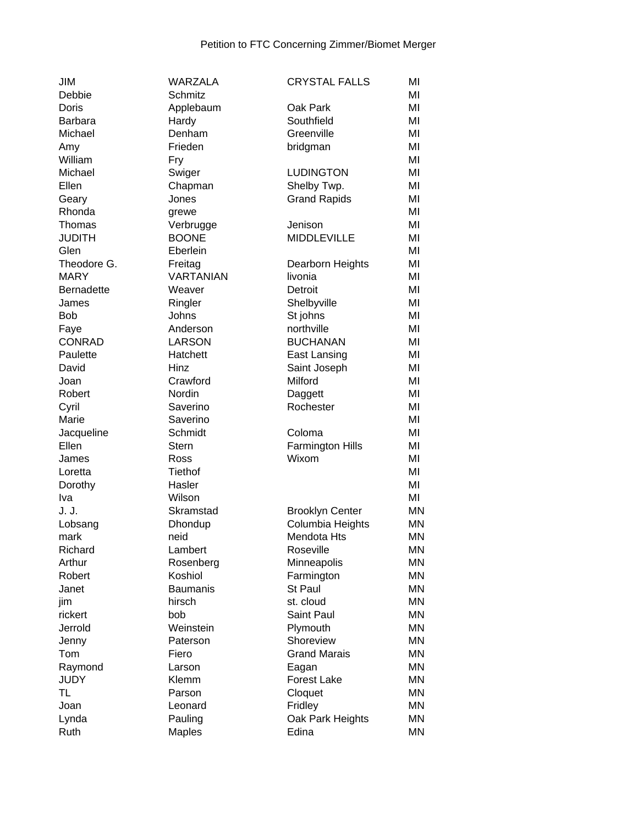| JIM               | <b>WARZALA</b>       | <b>CRYSTAL FALLS</b>                       | MI        |
|-------------------|----------------------|--------------------------------------------|-----------|
| Debbie            | Schmitz              |                                            | MI        |
| Doris             | Applebaum            | Oak Park                                   | MI        |
| <b>Barbara</b>    | Hardy                | Southfield                                 | MI        |
| Michael           | Denham               | Greenville                                 | MI        |
| Amy               | Frieden              | bridgman                                   | MI        |
| William           | Fry                  |                                            | MI        |
| Michael           | Swiger               | <b>LUDINGTON</b>                           | MI        |
| Ellen             | Chapman              | Shelby Twp.                                | MI        |
| Geary             | Jones                | <b>Grand Rapids</b>                        | MI        |
| Rhonda            | grewe                |                                            | MI        |
| Thomas            | Verbrugge            | Jenison                                    | MI        |
| <b>JUDITH</b>     | <b>BOONE</b>         | <b>MIDDLEVILLE</b>                         | MI        |
| Glen              | Eberlein             |                                            | MI        |
| Theodore G.       | Freitag              | Dearborn Heights                           | MI        |
| <b>MARY</b>       | <b>VARTANIAN</b>     | livonia                                    | MI        |
| <b>Bernadette</b> | Weaver               | Detroit                                    | MI        |
| James             | Ringler              | Shelbyville                                | MI        |
| <b>Bob</b>        | Johns                | St johns                                   | MI        |
| Faye              | Anderson             | northville                                 | MI        |
| <b>CONRAD</b>     | <b>LARSON</b>        | <b>BUCHANAN</b>                            | MI        |
| Paulette          | Hatchett             | East Lansing                               | MI        |
| David             | Hinz                 | Saint Joseph                               | MI        |
| Joan              | Crawford             | Milford                                    | MI        |
| Robert            | Nordin               | Daggett                                    | MI        |
| Cyril             | Saverino             | Rochester                                  | MI        |
| Marie             | Saverino             |                                            | MI        |
| Jacqueline        | Schmidt              | Coloma                                     | MI        |
| Ellen             | <b>Stern</b>         |                                            | MI        |
|                   |                      | <b>Farmington Hills</b><br>Wixom           | MI        |
| James<br>Loretta  | Ross<br>Tiethof      |                                            | MI        |
|                   | Hasler               |                                            | MI        |
| Dorothy<br>Iva    | Wilson               |                                            | MI        |
| J. J.             | Skramstad            |                                            | <b>MN</b> |
|                   |                      | <b>Brooklyn Center</b><br>Columbia Heights | <b>MN</b> |
| Lobsang<br>mark   | Dhondup<br>neid      | Mendota Hts                                | <b>MN</b> |
| Richard           | Lambert              | Roseville                                  | <b>MN</b> |
| Arthur            |                      |                                            | <b>MN</b> |
|                   | Rosenberg<br>Koshiol | Minneapolis                                | <b>MN</b> |
| Robert            |                      | Farmington<br>St Paul                      | <b>MN</b> |
| Janet             | <b>Baumanis</b>      |                                            | <b>MN</b> |
| jim               | hirsch               | st. cloud                                  | <b>MN</b> |
| rickert           | bob                  | Saint Paul                                 |           |
| Jerrold           | Weinstein            | Plymouth                                   | <b>MN</b> |
| Jenny             | Paterson             | Shoreview                                  | <b>MN</b> |
| Tom               | Fiero                | <b>Grand Marais</b>                        | <b>MN</b> |
| Raymond           | Larson               | Eagan                                      | <b>MN</b> |
| <b>JUDY</b>       | Klemm                | Forest Lake                                | <b>MN</b> |
| <b>TL</b>         | Parson               | Cloquet                                    | <b>MN</b> |
| Joan              | Leonard              | Fridley                                    | <b>MN</b> |
| Lynda             | Pauling              | Oak Park Heights                           | <b>MN</b> |
| Ruth              | <b>Maples</b>        | Edina                                      | <b>MN</b> |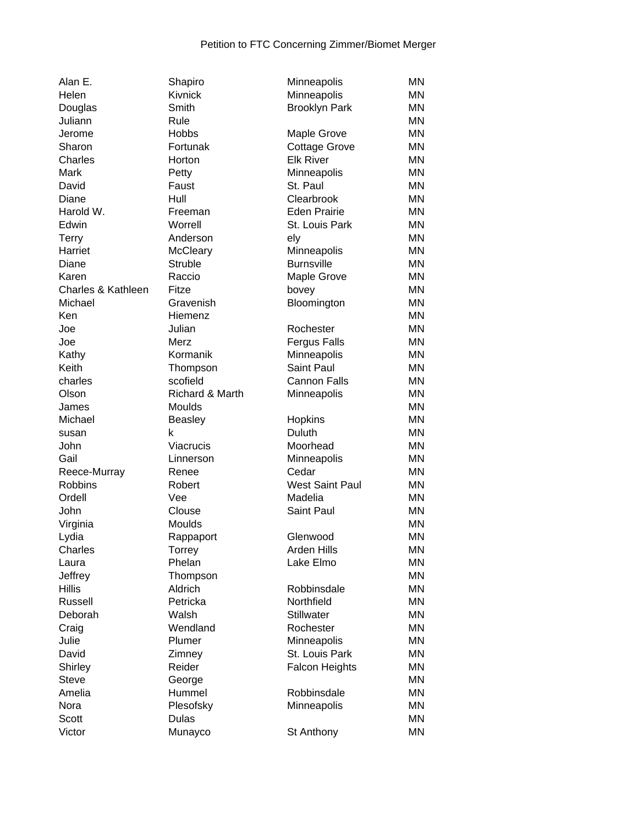| Alan E.                        | Shapiro         | Minneapolis             | MN        |
|--------------------------------|-----------------|-------------------------|-----------|
| Helen                          | <b>Kivnick</b>  | Minneapolis             | ΜN        |
| Douglas                        | Smith           | <b>Brooklyn Park</b>    | ΜN        |
| Juliann                        | Rule            |                         | MN        |
| Jerome                         | <b>Hobbs</b>    | <b>Maple Grove</b>      | ΜN        |
| Sharon                         | Fortunak        | <b>Cottage Grove</b>    | MN        |
| Charles                        | Horton          | <b>Elk River</b>        | <b>MN</b> |
| Mark                           | Petty           | Minneapolis             | <b>MN</b> |
| David                          | Faust           | St. Paul                | MN        |
| Diane                          | Hull            | Clearbrook              | ΜN        |
| Harold W.                      | Freeman         | <b>Eden Prairie</b>     | <b>MN</b> |
| Edwin                          | Worrell         | St. Louis Park          | <b>MN</b> |
| Terry                          | Anderson        | ely                     | <b>MN</b> |
| Harriet                        | McCleary        | Minneapolis             | <b>MN</b> |
| Diane                          | Struble         | <b>Burnsville</b>       | ΜN        |
| Karen                          | Raccio          | Maple Grove             | ΜN        |
| Charles & Kathleen             | Fitze           | bovey                   | MN        |
| Michael                        | Gravenish       | Bloomington             | <b>MN</b> |
| Ken                            | Hiemenz         |                         | <b>MN</b> |
| Joe                            | Julian          | Rochester               | <b>MN</b> |
| Joe                            | Merz            | <b>Fergus Falls</b>     | <b>MN</b> |
| Kathy                          | Kormanik        | Minneapolis             | <b>MN</b> |
| Keith                          | Thompson        | <b>Saint Paul</b>       | <b>MN</b> |
| charles                        | scofield        | <b>Cannon Falls</b>     | <b>MN</b> |
| Olson                          | Richard & Marth | Minneapolis             | <b>MN</b> |
| James                          | Moulds          |                         | <b>MN</b> |
| Michael                        | <b>Beasley</b>  | Hopkins                 | <b>MN</b> |
| susan                          | k               | Duluth                  | ΜN        |
| John                           | Viacrucis       | Moorhead                | MN        |
| Gail                           | Linnerson       |                         | <b>MN</b> |
|                                | Renee           | Minneapolis<br>Cedar    | MN        |
| Reece-Murray<br><b>Robbins</b> | Robert          | <b>West Saint Paul</b>  | <b>MN</b> |
| Ordell                         | Vee             | Madelia                 | <b>MN</b> |
| John                           | Clouse          | Saint Paul              | MN        |
|                                | Moulds          |                         | MN        |
| Virginia                       |                 |                         | <b>MN</b> |
| Lydia<br>Charles               | Rappaport       | Glenwood<br>Arden Hills | <b>MN</b> |
|                                | Torrey          | Lake Elmo               |           |
| Laura                          | Phelan          |                         | MN        |
| Jeffrey                        | Thompson        |                         | ΜN        |
| <b>Hillis</b>                  | Aldrich         | Robbinsdale             | ΜN        |
| Russell                        | Petricka        | Northfield              | ΜN        |
| Deborah                        | Walsh           | <b>Stillwater</b>       | ΜN        |
| Craig                          | Wendland        | Rochester               | ΜN        |
| Julie                          | Plumer          | Minneapolis             | ΜN        |
| David                          | Zimney          | St. Louis Park          | ΜN        |
| Shirley                        | Reider          | <b>Falcon Heights</b>   | ΜN        |
| Steve                          | George          |                         | ΜN        |
| Amelia                         | Hummel          | Robbinsdale             | ΜN        |
| Nora                           | Plesofsky       | Minneapolis             | MN        |
| Scott                          | <b>Dulas</b>    |                         | MN        |
| Victor                         | Munayco         | St Anthony              | ΜN        |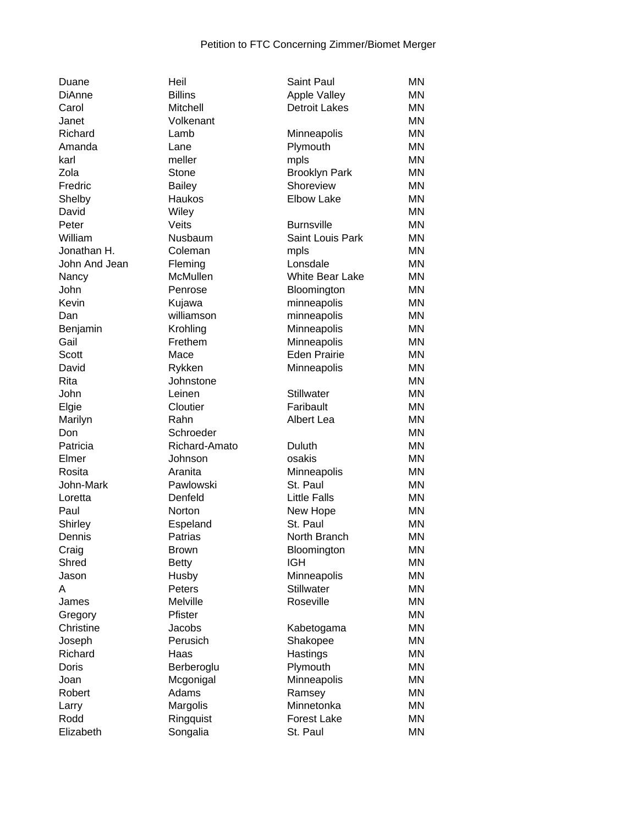| Duane         | Heil           | <b>Saint Paul</b>                    | <b>MN</b> |
|---------------|----------------|--------------------------------------|-----------|
| <b>DiAnne</b> | <b>Billins</b> | Apple Valley<br><b>Detroit Lakes</b> | <b>MN</b> |
| Carol         | Mitchell       |                                      | ΜN        |
| Janet         | Volkenant      |                                      | <b>MN</b> |
| Richard       | Lamb           | Minneapolis                          | <b>MN</b> |
| Amanda        | Lane           | Plymouth                             | <b>MN</b> |
| karl          | meller         | mpls                                 | <b>MN</b> |
| Zola          | Stone          | <b>Brooklyn Park</b>                 | <b>MN</b> |
| Fredric       | <b>Bailey</b>  | Shoreview                            | <b>MN</b> |
| Shelby        | Haukos         | <b>Elbow Lake</b>                    | <b>MN</b> |
| David         | Wiley          |                                      | <b>MN</b> |
| Peter         | Veits          | <b>Burnsville</b>                    | <b>MN</b> |
| William       | Nusbaum        | Saint Louis Park                     | <b>MN</b> |
| Jonathan H.   | Coleman        | mpls                                 | <b>MN</b> |
| John And Jean | Fleming        | Lonsdale                             | <b>MN</b> |
| Nancy         | McMullen       | <b>White Bear Lake</b>               | ΜN        |
| John          | Penrose        | Bloomington                          | ΜN        |
| Kevin         | Kujawa         | minneapolis                          | ΜN        |
| Dan           | williamson     | minneapolis                          | <b>MN</b> |
| Benjamin      | Krohling       | Minneapolis                          | <b>MN</b> |
| Gail          | Frethem        | Minneapolis                          | ΜN        |
| Scott         | Mace           | <b>Eden Prairie</b>                  | <b>MN</b> |
| David         | Rykken         | Minneapolis                          | <b>MN</b> |
| Rita          | Johnstone      |                                      | <b>MN</b> |
| John          | Leinen         | <b>Stillwater</b>                    | <b>MN</b> |
| Elgie         | Cloutier       | Faribault                            | <b>MN</b> |
| Marilyn       | Rahn           | Albert Lea                           | <b>MN</b> |
| Don           | Schroeder      |                                      | <b>MN</b> |
| Patricia      | Richard-Amato  | Duluth                               | <b>MN</b> |
| Elmer         | Johnson        | osakis                               | <b>MN</b> |
| Rosita        | Aranita        | Minneapolis                          | <b>MN</b> |
| John-Mark     | Pawlowski      | St. Paul                             | <b>MN</b> |
| Loretta       | Denfeld        | <b>Little Falls</b>                  | <b>MN</b> |
| Paul          | Norton         | New Hope                             | ΜN        |
| Shirley       | Espeland       | St. Paul                             | <b>MN</b> |
| Dennis        | Patrias        | North Branch                         | <b>MN</b> |
| Craig         | <b>Brown</b>   | Bloomington                          | <b>MN</b> |
| Shred         | <b>Betty</b>   | <b>IGH</b>                           | MN        |
| Jason         | Husby          | Minneapolis                          | <b>MN</b> |
| A             | Peters         | <b>Stillwater</b>                    | MN        |
| James         | Melville       | Roseville                            | <b>MN</b> |
| Gregory       | Pfister        |                                      | MN        |
| Christine     | Jacobs         | Kabetogama                           | <b>MN</b> |
| Joseph        | Perusich       | Shakopee                             | <b>MN</b> |
| Richard       | Haas           | Hastings                             | <b>MN</b> |
| Doris         | Berberoglu     | Plymouth                             | <b>MN</b> |
| Joan          | Mcgonigal      | Minneapolis                          | <b>MN</b> |
| Robert        | Adams          | Ramsey                               | <b>MN</b> |
| Larry         | Margolis       | Minnetonka                           | <b>MN</b> |
| Rodd          | Ringquist      | <b>Forest Lake</b>                   | <b>MN</b> |
| Elizabeth     | Songalia       | St. Paul                             | <b>MN</b> |
|               |                |                                      |           |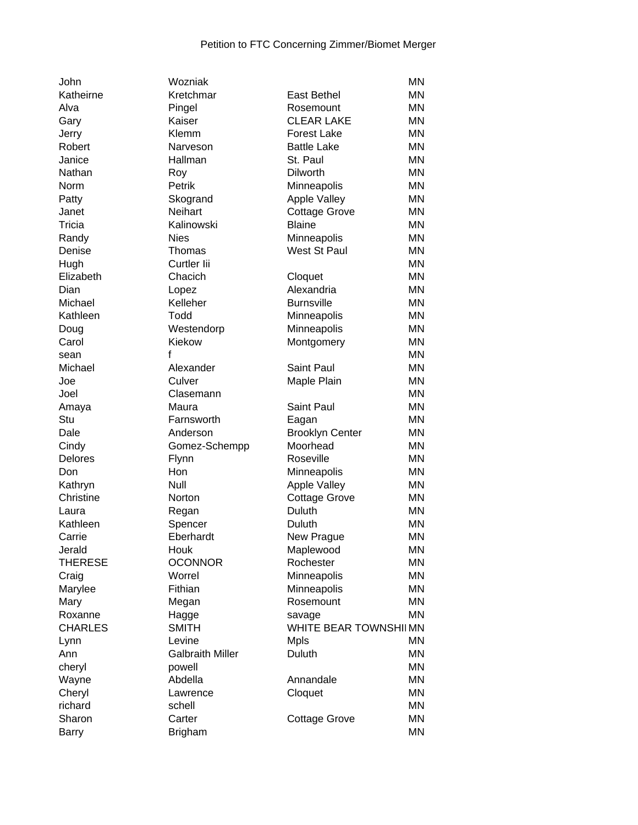| John           | Wozniak                 |                        | <b>MN</b> |
|----------------|-------------------------|------------------------|-----------|
| Katheirne      | Kretchmar               | <b>East Bethel</b>     | <b>MN</b> |
| Alva           | Pingel                  | Rosemount              | <b>MN</b> |
| Gary           | Kaiser                  | <b>CLEAR LAKE</b>      | ΜN        |
| Jerry          | Klemm                   | <b>Forest Lake</b>     | ΜN        |
| Robert         | Narveson                | <b>Battle Lake</b>     | <b>MN</b> |
| Janice         | Hallman                 | St. Paul               | <b>MN</b> |
| Nathan         | Roy                     | <b>Dilworth</b>        | <b>MN</b> |
| Norm           | Petrik                  | Minneapolis            | <b>MN</b> |
| Patty          | Skogrand                | Apple Valley           | ΜN        |
| Janet          | <b>Neihart</b>          | <b>Cottage Grove</b>   | <b>MN</b> |
| Tricia         | Kalinowski              | <b>Blaine</b>          | <b>MN</b> |
| Randy          | <b>Nies</b>             | Minneapolis            | <b>MN</b> |
| Denise         | Thomas                  | West St Paul           | <b>MN</b> |
| Hugh           | Curtler lii             |                        | <b>MN</b> |
| Elizabeth      | Chacich                 | Cloquet                | ΜN        |
| Dian           | Lopez                   | Alexandria             | <b>MN</b> |
| Michael        | Kelleher                | <b>Burnsville</b>      | <b>MN</b> |
| Kathleen       | Todd                    | Minneapolis            | <b>MN</b> |
| Doug           | Westendorp              | Minneapolis            | <b>MN</b> |
| Carol          | Kiekow                  | Montgomery             | <b>MN</b> |
|                | f                       |                        | <b>MN</b> |
| sean           |                         | Saint Paul             | <b>MN</b> |
| Michael        | Alexander               |                        | <b>MN</b> |
| Joe            | Culver                  | Maple Plain            |           |
| Joel           | Clasemann               |                        | <b>MN</b> |
| Amaya          | Maura                   | <b>Saint Paul</b>      | <b>MN</b> |
| Stu            | Farnsworth              | Eagan                  | <b>MN</b> |
| Dale           | Anderson                | <b>Brooklyn Center</b> | <b>MN</b> |
| Cindy          | Gomez-Schempp           | Moorhead               | <b>MN</b> |
| <b>Delores</b> | Flynn                   | Roseville              | <b>MN</b> |
| Don            | Hon                     | Minneapolis            | <b>MN</b> |
| Kathryn        | Null                    | Apple Valley           | <b>MN</b> |
| Christine      | <b>Norton</b>           | <b>Cottage Grove</b>   | <b>MN</b> |
| Laura          | Regan                   | Duluth                 | <b>MN</b> |
| Kathleen       | Spencer                 | Duluth                 | ΜN        |
| Carrie         | Eberhardt               | New Prague             | <b>MN</b> |
| Jerald         | Houk                    | Maplewood              | <b>MN</b> |
| <b>THERESE</b> | <b>OCONNOR</b>          | Rochester              | MN        |
| Craig          | Worrel                  | Minneapolis            | MN        |
| Marylee        | Fithian                 | Minneapolis            | MN        |
| Mary           | Megan                   | Rosemount              | MN        |
| Roxanne        | Hagge                   | savage                 | ΜN        |
| <b>CHARLES</b> | <b>SMITH</b>            | WHITE BEAR TOWNSHIIMN  |           |
| Lynn           | Levine                  | <b>Mpls</b>            | <b>MN</b> |
| Ann            | <b>Galbraith Miller</b> | Duluth                 | <b>MN</b> |
| cheryl         | powell                  |                        | <b>MN</b> |
| Wayne          | Abdella                 | Annandale              | <b>MN</b> |
| Cheryl         | Lawrence                | Cloquet                | <b>MN</b> |
| richard        | schell                  |                        | <b>MN</b> |
| Sharon         | Carter                  | <b>Cottage Grove</b>   | <b>MN</b> |
| <b>Barry</b>   | <b>Brigham</b>          |                        | <b>MN</b> |
|                |                         |                        |           |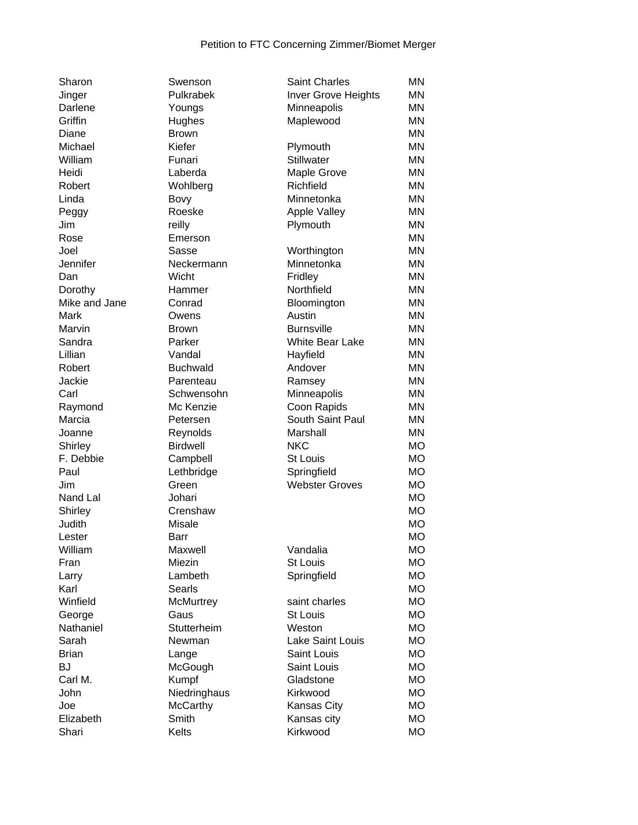| Sharon        | Swenson         | <b>Saint Charles</b>   | <b>MN</b> |
|---------------|-----------------|------------------------|-----------|
| Jinger        | Pulkrabek       | Inver Grove Heights    | ΜN        |
| Darlene       | Youngs          | Minneapolis            | ΜN        |
| Griffin       | Hughes          | Maplewood              | ΜN        |
| Diane         | <b>Brown</b>    |                        | <b>MN</b> |
| Michael       | Kiefer          | Plymouth               | <b>MN</b> |
| William       | Funari          | Stillwater             | <b>MN</b> |
| Heidi         | Laberda         | Maple Grove            | <b>MN</b> |
| Robert        | Wohlberg        | Richfield              | <b>MN</b> |
| Linda         | Bovy            | Minnetonka             | <b>MN</b> |
| Peggy         | Roeske          | <b>Apple Valley</b>    | <b>MN</b> |
| Jim           | reilly          | Plymouth               | <b>MN</b> |
| Rose          | Emerson         |                        | <b>MN</b> |
| Joel          | Sasse           | Worthington            | <b>MN</b> |
| Jennifer      | Neckermann      | Minnetonka             | ΜN        |
| Dan           | Wicht           | Fridley                | ΜN        |
| Dorothy       | Hammer          | Northfield             | ΜN        |
| Mike and Jane | Conrad          | Bloomington            | ΜN        |
| Mark          | Owens           | Austin                 | <b>MN</b> |
| Marvin        | <b>Brown</b>    | <b>Burnsville</b>      | <b>MN</b> |
| Sandra        | Parker          | <b>White Bear Lake</b> | ΜN        |
| Lillian       | Vandal          | Hayfield               | ΜN        |
| Robert        | <b>Buchwald</b> | Andover                | <b>MN</b> |
| Jackie        | Parenteau       | Ramsey                 | <b>MN</b> |
| Carl          | Schwensohn      | Minneapolis            | ΜN        |
| Raymond       | Mc Kenzie       | Coon Rapids            | <b>MN</b> |
| Marcia        | Petersen        | South Saint Paul       | ΜN        |
| Joanne        | Reynolds        | Marshall               | ΜN        |
| Shirley       | <b>Birdwell</b> | <b>NKC</b>             | <b>MO</b> |
| F. Debbie     | Campbell        | <b>St Louis</b>        | <b>MO</b> |
| Paul          | Lethbridge      | Springfield            | <b>MO</b> |
| Jim           | Green           | <b>Webster Groves</b>  | <b>MO</b> |
| Nand Lal      | Johari          |                        | <b>MO</b> |
| Shirley       | Crenshaw        |                        | <b>MO</b> |
| Judith        | <b>Misale</b>   |                        | <b>MO</b> |
| Lester        | Barr            |                        | <b>MO</b> |
| William       | Maxwell         | Vandalia               | MO        |
| Fran          | Miezin          | St Louis               | <b>MO</b> |
| Larry         | Lambeth         | Springfield            | MO        |
| Karl          | Searls          |                        | MO        |
| Winfield      | McMurtrey       | saint charles          | <b>MO</b> |
| George        | Gaus            | <b>St Louis</b>        | <b>MO</b> |
| Nathaniel     | Stutterheim     | Weston                 | МO        |
| Sarah         | Newman          | Lake Saint Louis       | МO        |
| <b>Brian</b>  | Lange           | Saint Louis            | MO        |
| <b>BJ</b>     | McGough         | Saint Louis            | MO        |
| Carl M.       | Kumpf           | Gladstone              | <b>MO</b> |
| John          | Niedringhaus    | Kirkwood               | <b>MO</b> |
| Joe           | <b>McCarthy</b> | Kansas City            | MO        |
| Elizabeth     | Smith           | Kansas city            | <b>MO</b> |
| Shari         | Kelts           | Kirkwood               |           |
|               |                 |                        | <b>MO</b> |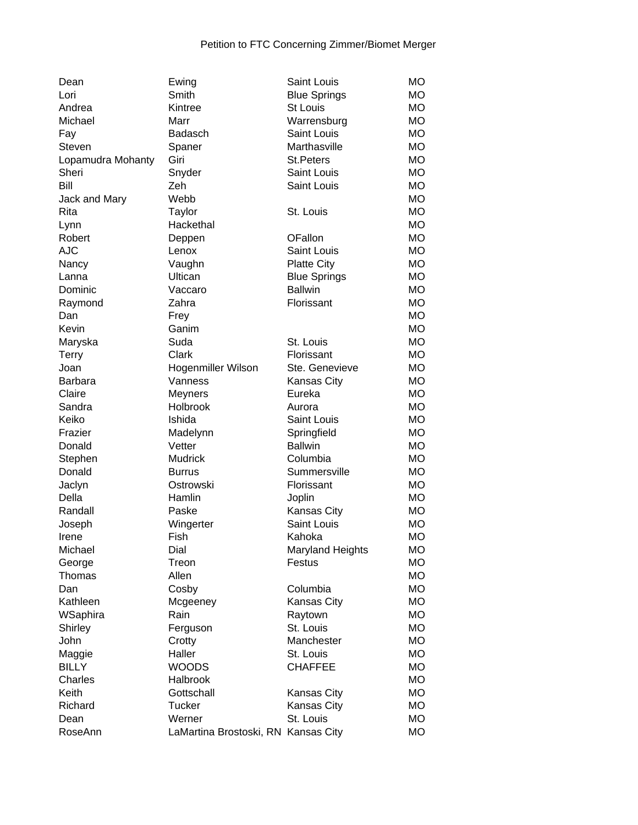| Dean              | Ewing                               | Saint Louis          | <b>MO</b> |
|-------------------|-------------------------------------|----------------------|-----------|
| Lori              | Smith                               | <b>Blue Springs</b>  | МO        |
| Andrea            | Kintree                             | <b>St Louis</b>      | <b>MO</b> |
| Michael           | Marr                                | Warrensburg          | МO        |
| Fay               | <b>Badasch</b>                      | Saint Louis          | МO        |
| Steven            | Spaner                              | Marthasville         | МO        |
| Lopamudra Mohanty | Giri                                | <b>St.Peters</b>     | МO        |
| Sheri             | Snyder                              | <b>Saint Louis</b>   | МO        |
| Bill              | Zeh                                 | Saint Louis          | <b>MO</b> |
| Jack and Mary     | Webb                                |                      | <b>MO</b> |
| Rita              | Taylor                              | St. Louis            | МO        |
| Lynn              | Hackethal                           |                      | <b>MO</b> |
| Robert            | Deppen                              | <b>OFallon</b>       | <b>MO</b> |
| <b>AJC</b>        | Lenox                               | <b>Saint Louis</b>   | МO        |
| Nancy             | Vaughn                              | <b>Platte City</b>   | МO        |
| Lanna             | Ultican                             | <b>Blue Springs</b>  | <b>MO</b> |
| Dominic           | Vaccaro                             | <b>Ballwin</b>       | <b>MO</b> |
| Raymond           | Zahra                               | Florissant           | <b>MO</b> |
| Dan               | Frey                                |                      | <b>MO</b> |
| Kevin             | Ganim                               |                      | <b>MO</b> |
| Maryska           | Suda                                | St. Louis            | <b>MO</b> |
| <b>Terry</b>      | Clark                               | Florissant           | <b>MO</b> |
| Joan              | Hogenmiller Wilson                  | Ste. Genevieve       | <b>MO</b> |
| <b>Barbara</b>    | Vanness                             | Kansas City          | МO        |
| Claire            | Meyners                             | Eureka               | МO        |
| Sandra            | Holbrook                            | Aurora               | МO        |
| Keiko             | Ishida                              | Saint Louis          | МO        |
| Frazier           | Madelynn                            | Springfield          | МO        |
| Donald            | Vetter                              | <b>Ballwin</b>       | МO        |
| Stephen           | <b>Mudrick</b>                      | Columbia             | МO        |
| Donald            | <b>Burrus</b>                       | Summersville         | <b>MO</b> |
| Jaclyn            | Ostrowski                           | Florissant           | <b>MO</b> |
| Della             | Hamlin                              | Joplin               | <b>MO</b> |
| Randall           | Paske                               | <b>Kansas City</b>   | <b>MO</b> |
| Joseph            | Wingerter                           | Saint Louis          | <b>MO</b> |
| Irene             | Fish                                | Kahoka               | <b>MO</b> |
| Michael           | Dial                                | Maryland Heights     | <b>MO</b> |
| George            | Treon                               | Festus               | MO        |
| Thomas            | Allen                               |                      | <b>MO</b> |
| Dan               | Cosby                               | Columbia             | <b>MO</b> |
| Kathleen          |                                     | <b>Kansas City</b>   | <b>MO</b> |
| WSaphira          | Mcgeeney<br>Rain                    |                      | <b>MO</b> |
|                   |                                     | Raytown<br>St. Louis | <b>MO</b> |
| Shirley<br>John   | Ferguson                            |                      | <b>MO</b> |
|                   | Crotty<br>Haller                    | Manchester           | <b>MO</b> |
| Maggie            | <b>WOODS</b>                        | St. Louis            |           |
| <b>BILLY</b>      |                                     | <b>CHAFFEE</b>       | <b>MO</b> |
| Charles           | Halbrook                            |                      | <b>MO</b> |
| Keith             | Gottschall                          | Kansas City          | <b>MO</b> |
| Richard           | Tucker                              | Kansas City          | <b>MO</b> |
| Dean              | Werner                              | St. Louis            | MO        |
| RoseAnn           | LaMartina Brostoski, RN Kansas City |                      | <b>MO</b> |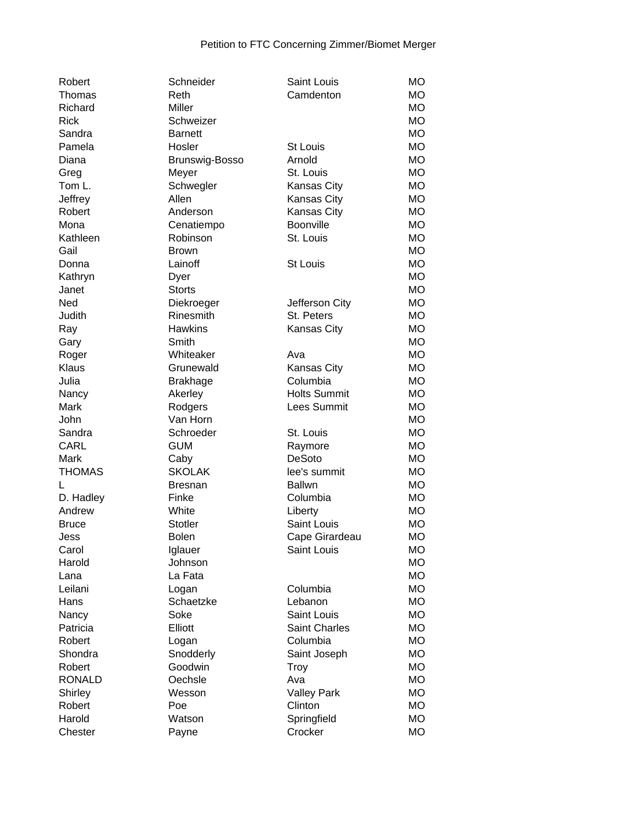| Robert        | Schneider       | <b>Saint Louis</b>  | <b>MO</b> |
|---------------|-----------------|---------------------|-----------|
| Thomas        | Reth            | Camdenton           | <b>MO</b> |
| Richard       | Miller          |                     | МO        |
| <b>Rick</b>   | Schweizer       |                     | <b>MO</b> |
| Sandra        | <b>Barnett</b>  |                     | <b>MO</b> |
| Pamela        | Hosler          | <b>St Louis</b>     | <b>MO</b> |
| Diana         | Brunswig-Bosso  | Arnold              | <b>MO</b> |
| Greg          | Meyer           | St. Louis           | <b>MO</b> |
| Tom L.        | Schwegler       | Kansas City         | <b>MO</b> |
| Jeffrey       | Allen           | Kansas City         | МO        |
| Robert        | Anderson        | Kansas City         | <b>MO</b> |
| Mona          | Cenatiempo      | <b>Boonville</b>    | <b>MO</b> |
| Kathleen      | Robinson        | St. Louis           | <b>MO</b> |
| Gail          | <b>Brown</b>    |                     | <b>MO</b> |
| Donna         | Lainoff         | <b>St Louis</b>     | <b>MO</b> |
| Kathryn       | Dyer            |                     | МO        |
| Janet         | <b>Storts</b>   |                     | <b>MO</b> |
| Ned           | Diekroeger      | Jefferson City      | <b>MO</b> |
| Judith        | Rinesmith       | St. Peters          | <b>MO</b> |
| Ray           | <b>Hawkins</b>  | Kansas City         | <b>MO</b> |
| Gary          | Smith           |                     | <b>MO</b> |
| Roger         | Whiteaker       | Ava                 | <b>MO</b> |
| Klaus         | Grunewald       | <b>Kansas City</b>  | <b>MO</b> |
| Julia         | <b>Brakhage</b> | Columbia            | <b>MO</b> |
| Nancy         | Akerley         | <b>Holts Summit</b> | МO        |
| Mark          | Rodgers         | Lees Summit         | МO        |
| John          | Van Horn        |                     | <b>MO</b> |
| Sandra        | Schroeder       | St. Louis           | МO        |
| <b>CARL</b>   | <b>GUM</b>      | Raymore             | МO        |
| Mark          | Caby            | DeSoto              | МO        |
| <b>THOMAS</b> | <b>SKOLAK</b>   | lee's summit        | МO        |
| L             | Bresnan         | <b>Ballwn</b>       | <b>MO</b> |
| D. Hadley     | Finke           | Columbia            | <b>MO</b> |
| Andrew        | White           | Liberty             | MO        |
| <b>Bruce</b>  | Stotler         | Saint Louis         | МO        |
| Jess          | <b>Bolen</b>    | Cape Girardeau      | <b>MO</b> |
| Carol         | Iglauer         | Saint Louis         | MO        |
| Harold        | Johnson         |                     | <b>MO</b> |
| Lana          | La Fata         |                     | <b>MO</b> |
| Leilani       | Logan           | Columbia            | <b>MO</b> |
| Hans          | Schaetzke       | Lebanon             | <b>MO</b> |
| Nancy         | Soke            | Saint Louis         | <b>MO</b> |
| Patricia      | Elliott         | Saint Charles       | <b>MO</b> |
| Robert        | Logan           | Columbia            | <b>MO</b> |
| Shondra       | Snodderly       | Saint Joseph        | MO        |
| Robert        | Goodwin         | <b>Troy</b>         | MO        |
| <b>RONALD</b> | Oechsle         | Ava                 | <b>MO</b> |
| Shirley       | Wesson          | <b>Valley Park</b>  | <b>MO</b> |
| Robert        | Poe             | Clinton             | <b>MO</b> |
| Harold        | Watson          | Springfield         | MO        |
| Chester       | Payne           | Crocker             | MO        |
|               |                 |                     |           |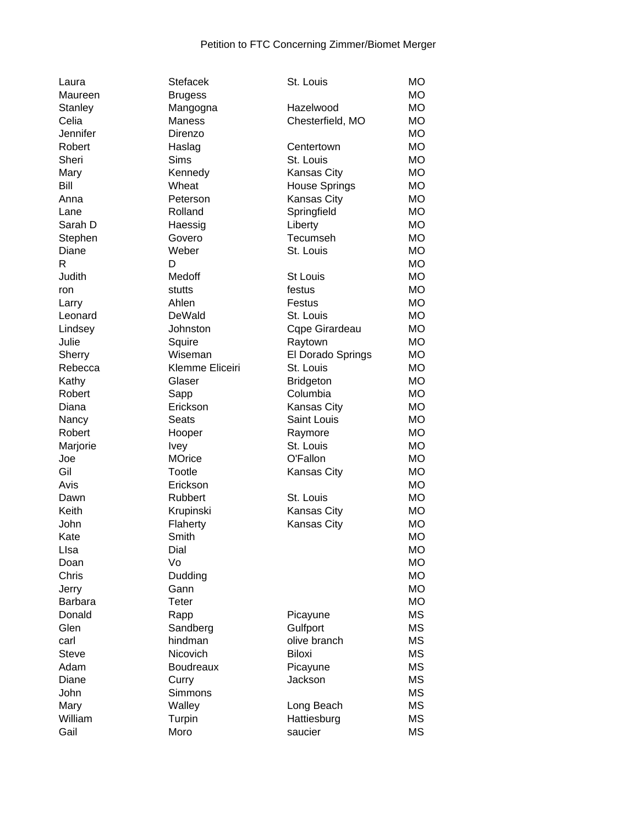| Laura          | <b>Stefacek</b>  | St. Louis            | <b>MO</b> |
|----------------|------------------|----------------------|-----------|
| Maureen        | <b>Brugess</b>   |                      | <b>MO</b> |
| <b>Stanley</b> | Mangogna         | Hazelwood            | <b>MO</b> |
| Celia          | Maness           | Chesterfield, MO     | МO        |
| Jennifer       | Direnzo          |                      | <b>MO</b> |
| Robert         | Haslag           | Centertown           | <b>MO</b> |
| Sheri          | <b>Sims</b>      | St. Louis            | <b>MO</b> |
| Mary           | Kennedy          | Kansas City          | <b>MO</b> |
| Bill           | Wheat            | <b>House Springs</b> | <b>MO</b> |
| Anna           | Peterson         | Kansas City          | <b>MO</b> |
| Lane           | Rolland          | Springfield          | <b>MO</b> |
| Sarah D        | Haessig          | Liberty              | <b>MO</b> |
| Stephen        | Govero           | Tecumseh             | <b>MO</b> |
| Diane          | Weber            | St. Louis            | <b>MO</b> |
| R              | D                |                      | <b>MO</b> |
| Judith         | Medoff           | St Louis             | <b>MO</b> |
| ron            | stutts           | festus               | <b>MO</b> |
| Larry          | Ahlen            | Festus               | <b>MO</b> |
| Leonard        | DeWald           | St. Louis            | <b>MO</b> |
| Lindsey        | Johnston         | Cqpe Girardeau       | <b>MO</b> |
| Julie          | Squire           | Raytown              | <b>MO</b> |
| Sherry         | Wiseman          | El Dorado Springs    | <b>MO</b> |
| Rebecca        | Klemme Eliceiri  | St. Louis            | <b>MO</b> |
|                | Glaser           |                      | <b>MO</b> |
| Kathy          |                  | <b>Bridgeton</b>     |           |
| Robert         | Sapp             | Columbia             | <b>MO</b> |
| Diana          | Erickson         | <b>Kansas City</b>   | <b>MO</b> |
| Nancy          | <b>Seats</b>     | Saint Louis          | <b>MO</b> |
| Robert         | Hooper           | Raymore              | <b>MO</b> |
| Marjorie       | <b>Ivey</b>      | St. Louis            | <b>MO</b> |
| Joe            | <b>MOrice</b>    | O'Fallon             | <b>MO</b> |
| Gil            | Tootle           | Kansas City          | <b>MO</b> |
| Avis           | Erickson         |                      | <b>MO</b> |
| Dawn           | Rubbert          | St. Louis            | <b>MO</b> |
| Keith          | Krupinski        | Kansas City          | <b>MO</b> |
| John           | Flaherty         | Kansas City          | <b>MO</b> |
| Kate           | Smith            |                      | <b>MO</b> |
| Llsa           | Dial             |                      | <b>MO</b> |
| Doan           | Vo               |                      | <b>MO</b> |
| Chris          | Dudding          |                      | <b>MO</b> |
| Jerry          | Gann             |                      | <b>MO</b> |
| <b>Barbara</b> | Teter            |                      | <b>MO</b> |
| Donald         | Rapp             | Picayune             | <b>MS</b> |
| Glen           | Sandberg         | Gulfport             | <b>MS</b> |
| carl           | hindman          | olive branch         | <b>MS</b> |
| <b>Steve</b>   | Nicovich         | <b>Biloxi</b>        | <b>MS</b> |
| Adam           | <b>Boudreaux</b> | Picayune             | <b>MS</b> |
| Diane          | Curry            | Jackson              | <b>MS</b> |
| John           | Simmons          |                      | <b>MS</b> |
| Mary           | Walley           | Long Beach           | <b>MS</b> |
| William        | Turpin           | Hattiesburg          | MS        |
| Gail           | Moro             | saucier              | <b>MS</b> |
|                |                  |                      |           |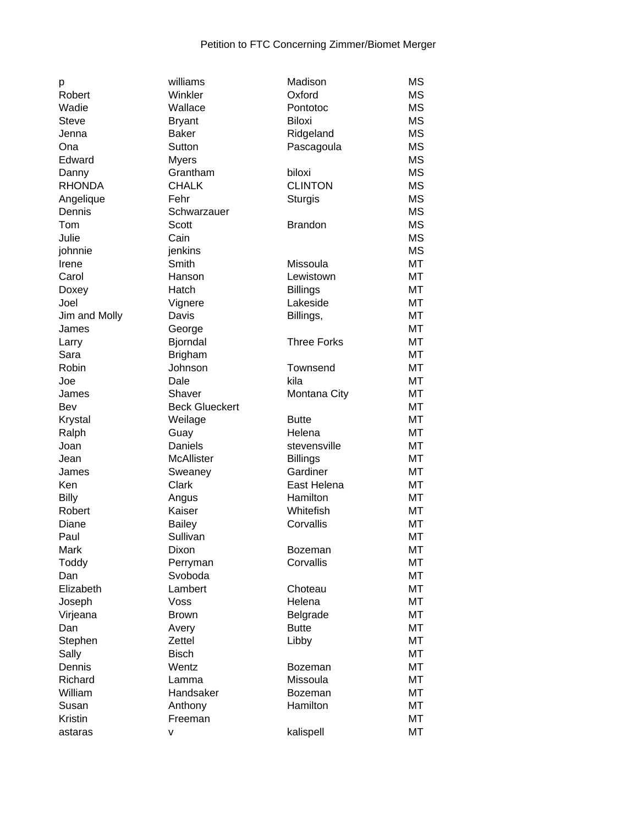| p             | williams              | Madison            | <b>MS</b> |
|---------------|-----------------------|--------------------|-----------|
| Robert        | Winkler               | Oxford             | <b>MS</b> |
| Wadie         | Wallace               | Pontotoc           | <b>MS</b> |
| <b>Steve</b>  | <b>Bryant</b>         | <b>Biloxi</b>      | <b>MS</b> |
| Jenna         | <b>Baker</b>          | Ridgeland          | <b>MS</b> |
| Ona           | Sutton                | Pascagoula         | <b>MS</b> |
| Edward        | <b>Myers</b>          |                    | <b>MS</b> |
| Danny         | Grantham              | biloxi             | <b>MS</b> |
| <b>RHONDA</b> | <b>CHALK</b>          | <b>CLINTON</b>     | <b>MS</b> |
| Angelique     | Fehr                  | <b>Sturgis</b>     | <b>MS</b> |
| Dennis        | Schwarzauer           |                    | <b>MS</b> |
| Tom           | Scott                 | <b>Brandon</b>     | <b>MS</b> |
| Julie         | Cain                  |                    | <b>MS</b> |
| johnnie       | jenkins               |                    | <b>MS</b> |
| Irene         | Smith                 | Missoula           | MT        |
| Carol         | Hanson                | Lewistown          | MT        |
| Doxey         | Hatch                 | <b>Billings</b>    | MT        |
| Joel          | Vignere               | Lakeside           | <b>MT</b> |
| Jim and Molly | Davis                 | Billings,          | <b>MT</b> |
| James         | George                |                    | <b>MT</b> |
| Larry         | Bjorndal              | <b>Three Forks</b> | MT        |
| Sara          | <b>Brigham</b>        |                    | MT        |
| Robin         | Johnson               | Townsend           | <b>MT</b> |
| Joe           | Dale                  | kila               | MT        |
| James         | Shaver                | Montana City       | MT        |
| Bev           | <b>Beck Glueckert</b> |                    | MT        |
| Krystal       | Weilage               | <b>Butte</b>       | MT        |
| Ralph         | Guay                  | Helena             | MT        |
| Joan          | Daniels               | stevensville       | MT        |
| Jean          | McAllister            | <b>Billings</b>    | MT        |
| James         | Sweaney               | Gardiner           | MT        |
| Ken           | <b>Clark</b>          | East Helena        | MT        |
| <b>Billy</b>  | Angus                 | Hamilton           | MT        |
| Robert        | Kaiser                | Whitefish          | MT        |
| Diane         | <b>Bailey</b>         | Corvallis          | MT        |
| Paul          | Sullivan              |                    | MT        |
| Mark          | Dixon                 | <b>Bozeman</b>     | MT        |
| Toddy         | Perryman              | Corvallis          | MT        |
| Dan           | Svoboda               |                    | MT        |
| Elizabeth     | Lambert               | Choteau            | MT        |
| Joseph        | Voss                  | Helena             | MT        |
| Virjeana      | <b>Brown</b>          | Belgrade           | MT        |
| Dan           | Avery                 | <b>Butte</b>       | MT        |
| Stephen       | Zettel                | Libby              | <b>MT</b> |
| Sally         | <b>Bisch</b>          |                    | MT        |
| Dennis        | Wentz                 | <b>Bozeman</b>     | MT        |
| Richard       | Lamma                 | Missoula           | MT        |
| William       | Handsaker             | Bozeman            | MT        |
| Susan         | Anthony               | Hamilton           | MT        |
| Kristin       | Freeman               |                    | MT        |
| astaras       | ۷                     | kalispell          | MT        |
|               |                       |                    |           |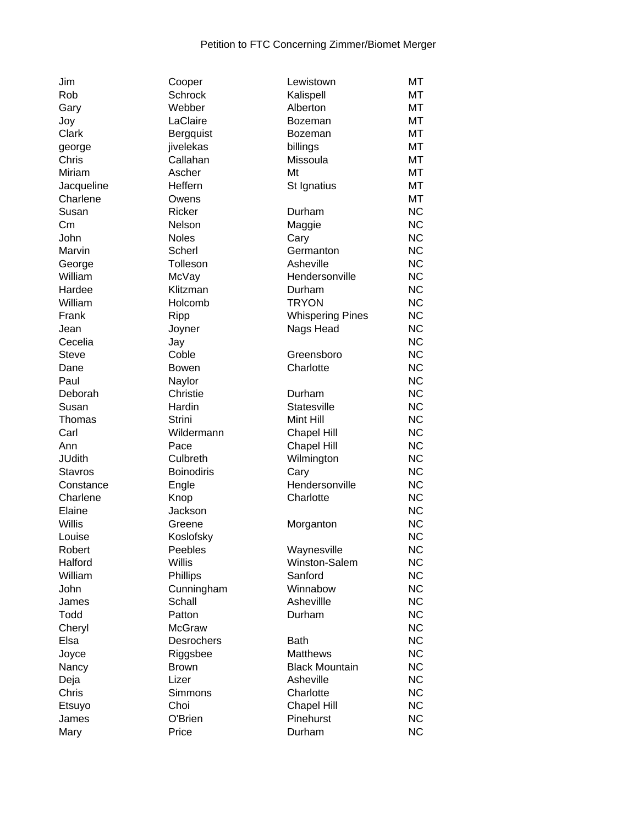| Jim            | Cooper            | Lewistown               | MT        |
|----------------|-------------------|-------------------------|-----------|
| Rob            | <b>Schrock</b>    | Kalispell               | МT        |
| Gary           | Webber            | Alberton                | МT        |
| Joy            | LaClaire          | <b>Bozeman</b>          | МT        |
| Clark          | Bergquist         | Bozeman                 | МT        |
| george         | jivelekas         | billings                | МT        |
| Chris          | Callahan          | Missoula                | МT        |
| Miriam         | Ascher            | Mt                      | MT        |
| Jacqueline     | Heffern           | St Ignatius             | MT        |
| Charlene       | Owens             |                         | MT        |
| Susan          | Ricker            | Durham                  | <b>NC</b> |
| Cm             | Nelson            | Maggie                  | <b>NC</b> |
| John           | <b>Noles</b>      | Cary                    | <b>NC</b> |
| Marvin         | Scherl            | Germanton               | <b>NC</b> |
| George         | Tolleson          | Asheville               | <b>NC</b> |
| William        | McVay             | Hendersonville          | <b>NC</b> |
| Hardee         | Klitzman          | Durham                  | <b>NC</b> |
| William        | Holcomb           | <b>TRYON</b>            | <b>NC</b> |
| Frank          | Ripp              | <b>Whispering Pines</b> | <b>NC</b> |
| Jean           | Joyner            | Nags Head               | <b>NC</b> |
| Cecelia        | Jay               |                         | <b>NC</b> |
| <b>Steve</b>   | Coble             | Greensboro              | <b>NC</b> |
| Dane           | <b>Bowen</b>      | Charlotte               | <b>NC</b> |
| Paul           | Naylor            |                         | <b>NC</b> |
| Deborah        | Christie          | Durham                  | <b>NC</b> |
| Susan          | Hardin            | Statesville             | <b>NC</b> |
| Thomas         | Strini            | Mint Hill               | <b>NC</b> |
| Carl           | Wildermann        | <b>Chapel Hill</b>      | <b>NC</b> |
| Ann            | Pace              | <b>Chapel Hill</b>      | <b>NC</b> |
| <b>JUdith</b>  | Culbreth          | Wilmington              | <b>NC</b> |
| <b>Stavros</b> | <b>Boinodiris</b> | Cary                    | <b>NC</b> |
| Constance      | Engle             | Hendersonville          | <b>NC</b> |
| Charlene       | Knop              | Charlotte               | <b>NC</b> |
| Elaine         | Jackson           |                         | <b>NC</b> |
| Willis         | Greene            | Morganton               | <b>NC</b> |
| Louise         | Koslofsky         |                         | <b>NC</b> |
| Robert         | Peebles           | Waynesville             | <b>NC</b> |
| Halford        | Willis            | Winston-Salem           | <b>NC</b> |
| William        | Phillips          | Sanford                 | <b>NC</b> |
| John           | Cunningham        | Winnabow                | <b>NC</b> |
| James          | Schall            | Ashevillle              | <b>NC</b> |
| Todd           | Patton            | Durham                  | <b>NC</b> |
| Cheryl         | <b>McGraw</b>     |                         | <b>NC</b> |
| Elsa           | Desrochers        | <b>Bath</b>             | <b>NC</b> |
| Joyce          | Riggsbee          | <b>Matthews</b>         | <b>NC</b> |
|                | <b>Brown</b>      | <b>Black Mountain</b>   | <b>NC</b> |
| Nancy          | Lizer             | Asheville               | <b>NC</b> |
| Deja<br>Chris  | <b>Simmons</b>    | Charlotte               | <b>NC</b> |
|                | Choi              |                         | <b>NC</b> |
| Etsuyo         |                   | <b>Chapel Hill</b>      |           |
| James          | O'Brien           | Pinehurst               | <b>NC</b> |
| Mary           | Price             | Durham                  | <b>NC</b> |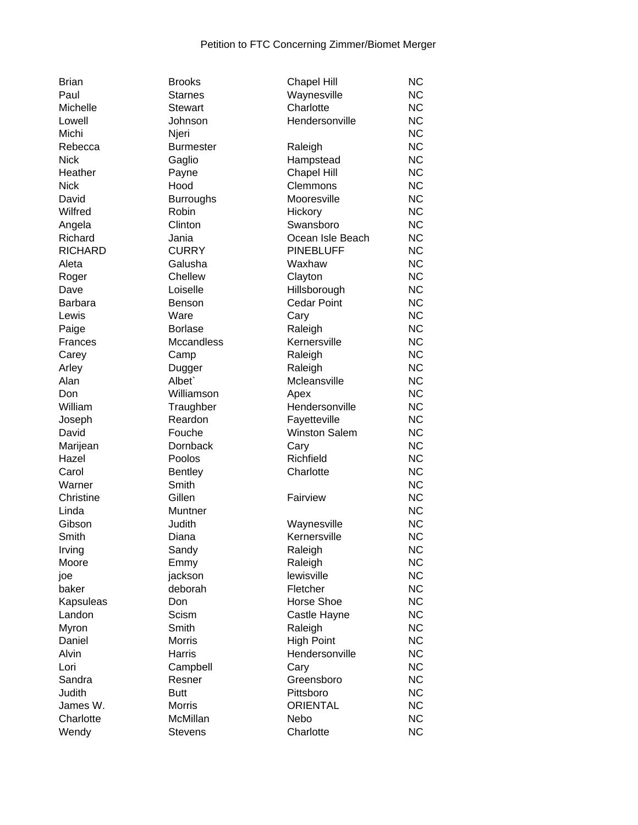| <b>Brian</b>   | <b>Brooks</b>     | <b>Chapel Hill</b>   | <b>NC</b> |
|----------------|-------------------|----------------------|-----------|
| Paul           | <b>Starnes</b>    | Waynesville          | <b>NC</b> |
| Michelle       | <b>Stewart</b>    | Charlotte            | <b>NC</b> |
| Lowell         | Johnson           | Hendersonville       | <b>NC</b> |
| Michi          | Njeri             |                      | <b>NC</b> |
| Rebecca        | <b>Burmester</b>  | Raleigh              | <b>NC</b> |
| <b>Nick</b>    | Gaglio            | Hampstead            | <b>NC</b> |
| Heather        | Payne             | <b>Chapel Hill</b>   | <b>NC</b> |
| <b>Nick</b>    | Hood              | Clemmons             | <b>NC</b> |
| David          | <b>Burroughs</b>  | Mooresville          | <b>NC</b> |
| Wilfred        | Robin             | Hickory              | <b>NC</b> |
| Angela         | Clinton           | Swansboro            | <b>NC</b> |
| Richard        | Jania             | Ocean Isle Beach     | <b>NC</b> |
| <b>RICHARD</b> | <b>CURRY</b>      | <b>PINEBLUFF</b>     | <b>NC</b> |
| Aleta          | Galusha           | Waxhaw               | <b>NC</b> |
| Roger          | Chellew           | Clayton              | <b>NC</b> |
| Dave           | Loiselle          | Hillsborough         | <b>NC</b> |
| <b>Barbara</b> | <b>Benson</b>     | <b>Cedar Point</b>   | <b>NC</b> |
| Lewis          | Ware              | Cary                 | <b>NC</b> |
| Paige          | <b>Borlase</b>    | Raleigh              | <b>NC</b> |
| Frances        | <b>Mccandless</b> | Kernersville         | <b>NC</b> |
|                |                   |                      | <b>NC</b> |
| Carey          | Camp              | Raleigh              | <b>NC</b> |
| Arley          | Dugger<br>Albet`  | Raleigh              |           |
| Alan           |                   | Mcleansville         | <b>NC</b> |
| Don            | Williamson        | Apex                 | <b>NC</b> |
| William        | Traughber         | Hendersonville       | <b>NC</b> |
| Joseph         | Reardon           | Fayetteville         | <b>NC</b> |
| David          | Fouche            | <b>Winston Salem</b> | <b>NC</b> |
| Marijean       | Dornback          | Cary                 | <b>NC</b> |
| Hazel          | Poolos            | Richfield            | <b>NC</b> |
| Carol          | <b>Bentley</b>    | Charlotte            | <b>NC</b> |
| Warner         | Smith             |                      | <b>NC</b> |
| Christine      | Gillen            | Fairview             | <b>NC</b> |
| Linda          | Muntner           |                      | <b>NC</b> |
| Gibson         | Judith            | Waynesville          | <b>NC</b> |
| Smith          | Diana             | Kernersville         | <b>NC</b> |
| Irving         | Sandy             | Raleigh              | <b>NC</b> |
| Moore          | Emmy              | Raleigh              | <b>NC</b> |
| joe            | jackson           | lewisville           | <b>NC</b> |
| baker          | deborah           | Fletcher             | <b>NC</b> |
| Kapsuleas      | Don               | Horse Shoe           | <b>NC</b> |
| Landon         | Scism             | Castle Hayne         | <b>NC</b> |
| Myron          | Smith             | Raleigh              | <b>NC</b> |
| Daniel         | <b>Morris</b>     | <b>High Point</b>    | <b>NC</b> |
| Alvin          | Harris            | Hendersonville       | <b>NC</b> |
| Lori           | Campbell          | Cary                 | <b>NC</b> |
| Sandra         | Resner            | Greensboro           | <b>NC</b> |
| Judith         | <b>Butt</b>       | Pittsboro            | <b>NC</b> |
| James W.       | Morris            | <b>ORIENTAL</b>      | <b>NC</b> |
| Charlotte      | McMillan          | Nebo                 | <b>NC</b> |
| Wendy          | <b>Stevens</b>    | Charlotte            | <b>NC</b> |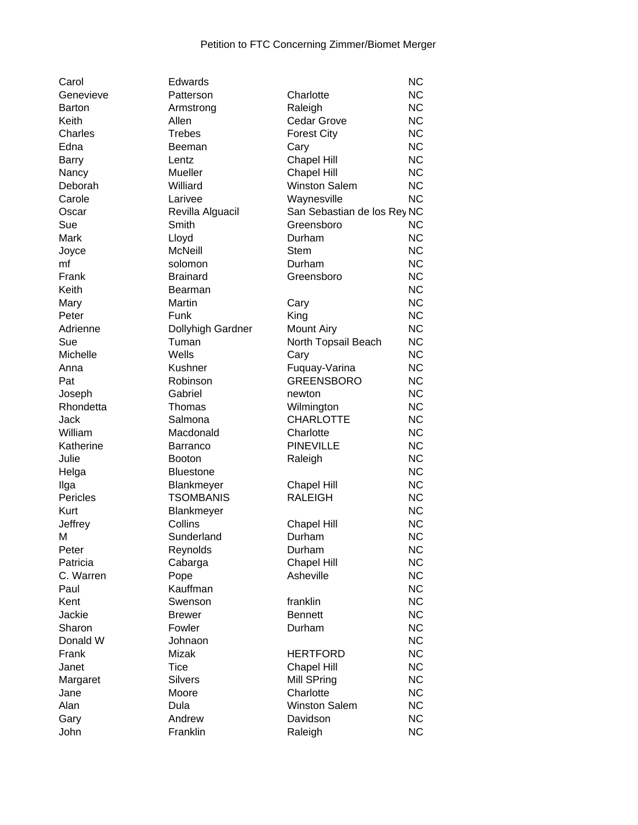| Carol         | Edwards           |                             | <b>NC</b> |
|---------------|-------------------|-----------------------------|-----------|
| Genevieve     | Patterson         | Charlotte                   | <b>NC</b> |
| <b>Barton</b> | Armstrong         | Raleigh                     | <b>NC</b> |
| Keith         | Allen             | <b>Cedar Grove</b>          | <b>NC</b> |
| Charles       | <b>Trebes</b>     | <b>Forest City</b>          | <b>NC</b> |
| Edna          | Beeman            | Cary                        | <b>NC</b> |
| Barry         | Lentz             | <b>Chapel Hill</b>          | <b>NC</b> |
| Nancy         | Mueller           | Chapel Hill                 | <b>NC</b> |
| Deborah       | Williard          | <b>Winston Salem</b>        | <b>NC</b> |
| Carole        | Larivee           | Waynesville                 | <b>NC</b> |
| Oscar         | Revilla Alguacil  | San Sebastian de los Rey NC |           |
| Sue           | Smith             | Greensboro                  | NC        |
| Mark          | Lloyd             | Durham                      | <b>NC</b> |
| Joyce         | <b>McNeill</b>    | <b>Stem</b>                 | <b>NC</b> |
| mf            | solomon           | Durham                      | <b>NC</b> |
| Frank         | <b>Brainard</b>   | Greensboro                  | <b>NC</b> |
| Keith         | Bearman           |                             | <b>NC</b> |
|               |                   |                             |           |
| Mary          | Martin            | Cary                        | <b>NC</b> |
| Peter         | Funk              | King                        | <b>NC</b> |
| Adrienne      | Dollyhigh Gardner | <b>Mount Airy</b>           | <b>NC</b> |
| Sue           | Tuman             | North Topsail Beach         | <b>NC</b> |
| Michelle      | Wells             | Cary                        | <b>NC</b> |
| Anna          | Kushner           | Fuquay-Varina               | <b>NC</b> |
| Pat           | Robinson          | <b>GREENSBORO</b>           | <b>NC</b> |
| Joseph        | Gabriel           | newton                      | <b>NC</b> |
| Rhondetta     | Thomas            | Wilmington                  | <b>NC</b> |
| Jack          | Salmona           | <b>CHARLOTTE</b>            | <b>NC</b> |
| William       | Macdonald         | Charlotte                   | <b>NC</b> |
| Katherine     | Barranco          | <b>PINEVILLE</b>            | <b>NC</b> |
| Julie         | <b>Booton</b>     | Raleigh                     | <b>NC</b> |
| Helga         | <b>Bluestone</b>  |                             | <b>NC</b> |
| Ilga          | Blankmeyer        | <b>Chapel Hill</b>          | <b>NC</b> |
| Pericles      | <b>TSOMBANIS</b>  | <b>RALEIGH</b>              | <b>NC</b> |
| Kurt          | Blankmeyer        |                             | <b>NC</b> |
| Jeffrey       | Collins           | <b>Chapel Hill</b>          | <b>NC</b> |
| М             | Sunderland        | Durham                      | <b>NC</b> |
| Peter         | Reynolds          | Durham                      | <b>NC</b> |
| Patricia      | Cabarga           | <b>Chapel Hill</b>          | <b>NC</b> |
| C. Warren     | Pope              | Asheville                   | <b>NC</b> |
| Paul          | Kauffman          |                             | <b>NC</b> |
| Kent          | Swenson           | franklin                    | <b>NC</b> |
| Jackie        | <b>Brewer</b>     | <b>Bennett</b>              | <b>NC</b> |
| Sharon        | Fowler            | Durham                      | <b>NC</b> |
| Donald W      | Johnaon           |                             | <b>NC</b> |
| Frank         | Mizak             |                             | <b>NC</b> |
|               |                   | <b>HERTFORD</b>             |           |
| Janet         | Tice              | <b>Chapel Hill</b>          | <b>NC</b> |
| Margaret      | <b>Silvers</b>    | Mill SPring                 | <b>NC</b> |
| Jane          | Moore             | Charlotte                   | <b>NC</b> |
| Alan          | Dula              | <b>Winston Salem</b>        | <b>NC</b> |
| Gary          | Andrew            | Davidson                    | <b>NC</b> |
| John          | Franklin          | Raleigh                     | <b>NC</b> |
|               |                   |                             |           |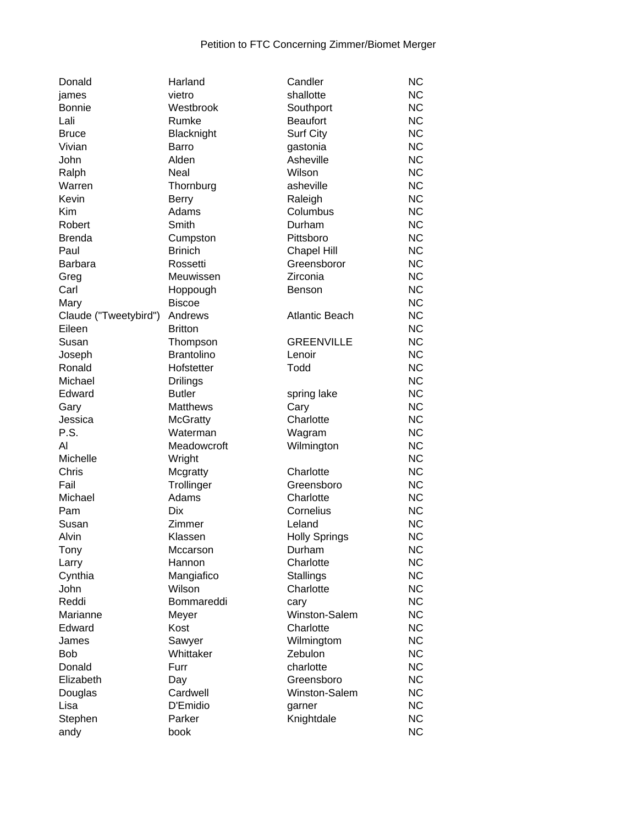| Donald                | Harland           | Candler               | <b>NC</b> |
|-----------------------|-------------------|-----------------------|-----------|
| james                 | vietro            | shallotte             | <b>NC</b> |
| <b>Bonnie</b>         | Westbrook         | Southport             | <b>NC</b> |
| Lali                  | Rumke             | <b>Beaufort</b>       | <b>NC</b> |
| <b>Bruce</b>          | Blacknight        | <b>Surf City</b>      | <b>NC</b> |
| Vivian                | Barro             | gastonia              | <b>NC</b> |
| John                  | Alden             | Asheville             | <b>NC</b> |
| Ralph                 | Neal              | Wilson                | <b>NC</b> |
| Warren                | Thornburg         | asheville             | <b>NC</b> |
| Kevin                 | <b>Berry</b>      | Raleigh               | <b>NC</b> |
| Kim                   | Adams             | Columbus              | <b>NC</b> |
| Robert                | Smith             | Durham                | <b>NC</b> |
| <b>Brenda</b>         | Cumpston          | Pittsboro             | <b>NC</b> |
| Paul                  | <b>Brinich</b>    | <b>Chapel Hill</b>    | <b>NC</b> |
| <b>Barbara</b>        | Rossetti          | Greensboror           | <b>NC</b> |
| Greg                  | Meuwissen         | Zirconia              | <b>NC</b> |
| Carl                  | Hoppough          | Benson                | <b>NC</b> |
| Mary                  | <b>Biscoe</b>     |                       | <b>NC</b> |
| Claude ("Tweetybird") | Andrews           | <b>Atlantic Beach</b> | <b>NC</b> |
| Eileen                | <b>Britton</b>    |                       | <b>NC</b> |
| Susan                 | Thompson          | <b>GREENVILLE</b>     | <b>NC</b> |
| Joseph                | <b>Brantolino</b> | Lenoir                | <b>NC</b> |
| Ronald                | Hofstetter        | Todd                  | <b>NC</b> |
| Michael               | <b>Drilings</b>   |                       | <b>NC</b> |
| Edward                | <b>Butler</b>     | spring lake           | <b>NC</b> |
| Gary                  | <b>Matthews</b>   | Cary                  | <b>NC</b> |
| Jessica               | <b>McGratty</b>   | Charlotte             | <b>NC</b> |
| P.S.                  | Waterman          | Wagram                | <b>NC</b> |
| Al                    | Meadowcroft       | Wilmington            | <b>NC</b> |
| Michelle              | Wright            |                       | <b>NC</b> |
| Chris                 | Mcgratty          | Charlotte             | <b>NC</b> |
| Fail                  | Trollinger        | Greensboro            | <b>NC</b> |
| Michael               | Adams             | Charlotte             | <b>NC</b> |
| Pam                   | <b>Dix</b>        | Cornelius             | <b>NC</b> |
| Susan                 | Zimmer            | Leland                | <b>NC</b> |
| Alvin                 | Klassen           | <b>Holly Springs</b>  | <b>NC</b> |
| Tony                  | Mccarson          | Durham                | <b>NC</b> |
| Larry                 | Hannon            | Charlotte             | <b>NC</b> |
| Cynthia               | Mangiafico        | <b>Stallings</b>      | <b>NC</b> |
| John                  | Wilson            | Charlotte             | <b>NC</b> |
| Reddi                 | Bommareddi        | carv                  | <b>NC</b> |
| Marianne              | Meyer             | Winston-Salem         | <b>NC</b> |
| Edward                | Kost              | Charlotte             | <b>NC</b> |
| James                 | Sawyer            | Wilmingtom            | <b>NC</b> |
| <b>Bob</b>            | Whittaker         | Zebulon               | <b>NC</b> |
| Donald                | Furr              | charlotte             | <b>NC</b> |
| Elizabeth             |                   | Greensboro            | <b>NC</b> |
|                       | Day<br>Cardwell   | Winston-Salem         | <b>NC</b> |
| Douglas<br>Lisa       | D'Emidio          |                       | <b>NC</b> |
|                       |                   | garner                | <b>NC</b> |
| Stephen               | Parker            | Knightdale            |           |
| andy                  | book              |                       | <b>NC</b> |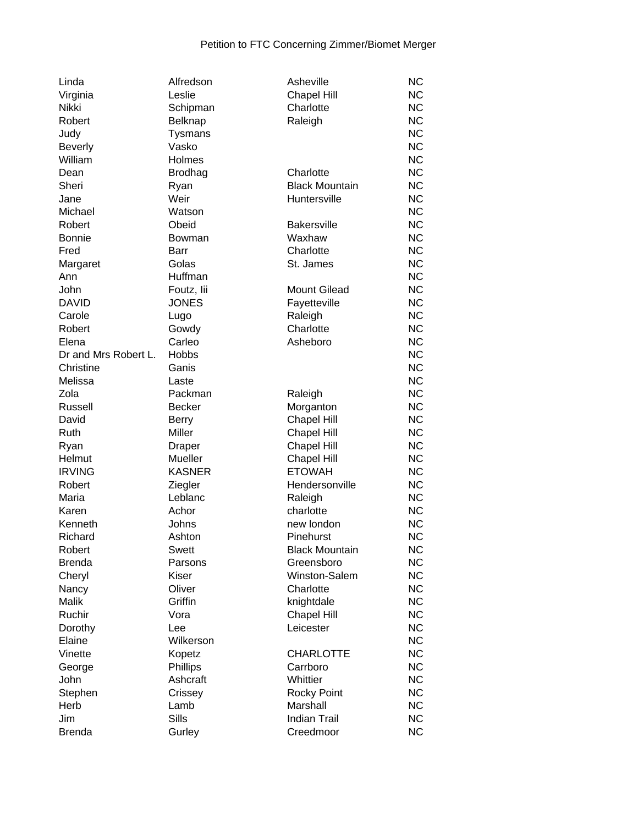| Linda                | Alfredson      | Asheville             | <b>NC</b> |
|----------------------|----------------|-----------------------|-----------|
| Virginia             | Leslie         | <b>Chapel Hill</b>    | <b>NC</b> |
| Nikki                | Schipman       | Charlotte             | <b>NC</b> |
| Robert               | <b>Belknap</b> | Raleigh               | <b>NC</b> |
| Judy                 | <b>Tysmans</b> |                       | <b>NC</b> |
| <b>Beverly</b>       | Vasko          |                       | <b>NC</b> |
| William              | Holmes         |                       | <b>NC</b> |
| Dean                 | <b>Brodhag</b> | Charlotte             | <b>NC</b> |
| Sheri                | Ryan           | <b>Black Mountain</b> | <b>NC</b> |
| Jane                 | Weir           | Huntersville          | <b>NC</b> |
| Michael              | Watson         |                       | <b>NC</b> |
| Robert               | Obeid          | <b>Bakersville</b>    | <b>NC</b> |
| <b>Bonnie</b>        | Bowman         | Waxhaw                | <b>NC</b> |
| Fred                 | Barr           | Charlotte             | <b>NC</b> |
|                      | Golas          | St. James             | <b>NC</b> |
| Margaret<br>Ann      | Huffman        |                       | <b>NC</b> |
| John                 |                | <b>Mount Gilead</b>   | <b>NC</b> |
|                      | Foutz, lii     |                       |           |
| <b>DAVID</b>         | <b>JONES</b>   | Fayetteville          | <b>NC</b> |
| Carole               | Lugo           | Raleigh               | <b>NC</b> |
| Robert               | Gowdy          | Charlotte             | <b>NC</b> |
| Elena                | Carleo         | Asheboro              | <b>NC</b> |
| Dr and Mrs Robert L. | <b>Hobbs</b>   |                       | <b>NC</b> |
| Christine            | Ganis          |                       | <b>NC</b> |
| Melissa              | Laste          |                       | <b>NC</b> |
| Zola                 | Packman        | Raleigh               | <b>NC</b> |
| Russell              | <b>Becker</b>  | Morganton             | <b>NC</b> |
| David                | <b>Berry</b>   | <b>Chapel Hill</b>    | <b>NC</b> |
| Ruth                 | Miller         | <b>Chapel Hill</b>    | <b>NC</b> |
| Ryan                 | Draper         | Chapel Hill           | <b>NC</b> |
| Helmut               | Mueller        | <b>Chapel Hill</b>    | <b>NC</b> |
| <b>IRVING</b>        | <b>KASNER</b>  | <b>ETOWAH</b>         | <b>NC</b> |
| Robert               | Ziegler        | Hendersonville        | <b>NC</b> |
| Maria                | Leblanc        | Raleigh               | <b>NC</b> |
| Karen                | Achor          | charlotte             | <b>NC</b> |
| Kenneth              | Johns          | new london            | <b>NC</b> |
| Richard              | Ashton         | Pinehurst             | <b>NC</b> |
| Robert               | <b>Swett</b>   | <b>Black Mountain</b> | <b>NC</b> |
| <b>Brenda</b>        | Parsons        | Greensboro            | <b>NC</b> |
| Cheryl               | Kiser          | Winston-Salem         | <b>NC</b> |
| Nancy                | Oliver         | Charlotte             | <b>NC</b> |
| Malik                | Griffin        | knightdale            | <b>NC</b> |
| Ruchir               | Vora           | <b>Chapel Hill</b>    | <b>NC</b> |
| Dorothy              | Lee            | Leicester             | <b>NC</b> |
| Elaine               | Wilkerson      |                       | <b>NC</b> |
| Vinette              | Kopetz         | <b>CHARLOTTE</b>      | <b>NC</b> |
| George               | Phillips       | Carrboro              | <b>NC</b> |
| John                 | Ashcraft       | Whittier              | <b>NC</b> |
| Stephen              | Crissey        | Rocky Point           | <b>NC</b> |
| Herb                 | Lamb           | Marshall              | <b>NC</b> |
|                      | Sills          | <b>Indian Trail</b>   |           |
| Jim                  |                |                       | <b>NC</b> |
| <b>Brenda</b>        | Gurley         | Creedmoor             | <b>NC</b> |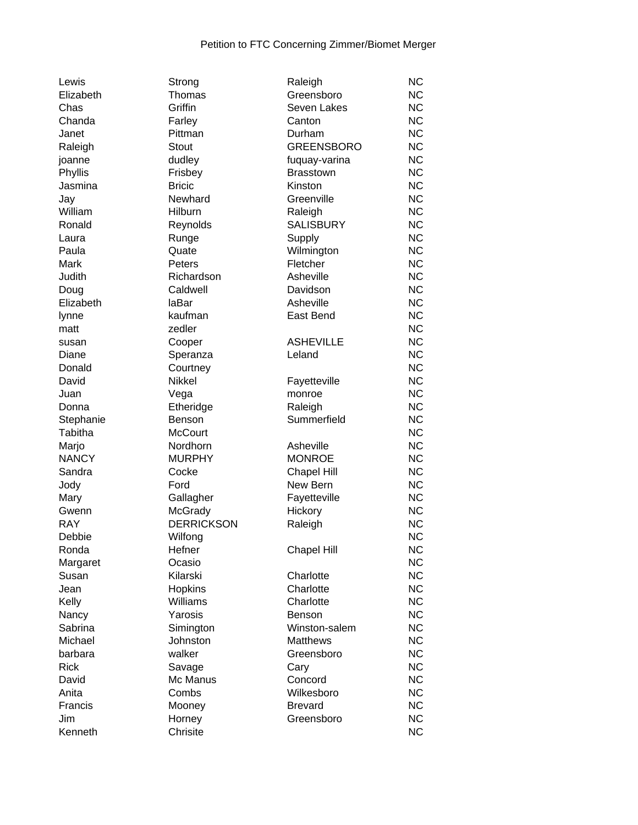| Lewis        |
|--------------|
| Elizabeth    |
| Chas         |
| Chanda       |
| Janet        |
| Raleigh      |
| joanne       |
| Phyllis      |
| Jasmina      |
| Jay          |
| William      |
| Ronald       |
| Laura        |
| Paula        |
| Mark         |
| Judith       |
|              |
| Doug         |
| Elizabeth    |
| lynne        |
| matt         |
| susan        |
| Diane        |
| Donald       |
| David        |
| Juan         |
| Donna        |
| Stephanie    |
| Tabitha      |
| Marjo        |
| <b>NANCY</b> |
| Sandra       |
| Jody         |
| Mary         |
| Gwenn        |
| <b>RAY</b>   |
| Debbie       |
| Ronda        |
| Margaret     |
| Susan        |
| Jean         |
| Kelly        |
| Nancy        |
| Sabrina      |
| Michael      |
| barbara      |
| Rick         |
| David        |
| Anita        |
| Francis      |
| Jim          |
|              |

| trong            |
|------------------|
| homas            |
| riffin           |
| arley            |
| ittman           |
| tout             |
| udley            |
| risbey           |
| ricic            |
| ewhard           |
|                  |
| ilburn           |
| eynolds          |
| unge             |
| uate             |
| eters            |
| ichardson        |
| aldwell          |
| Bar              |
| aufman           |
| edler            |
| ooper            |
| peranza          |
| ourtney          |
| ikkel            |
|                  |
| ega              |
| theridge         |
| enson            |
| <b>IcCourt</b>   |
| ordhorn          |
| <b>IURPHY</b>    |
| ocke             |
| ord              |
| allagher         |
| <b>cGrady</b>    |
| <b>ERRICKSON</b> |
| /ilfong          |
| efner            |
| casio            |
| ilarski          |
| opkins           |
| /illiams         |
| arosis           |
|                  |
| imington         |
| ohnston          |
| alker            |
| avage            |
| lc Manus         |
| ombs             |
| looney           |
| orney            |
| hrisite          |
|                  |

| Lewis        | Strong            | Raleigh            | <b>NC</b> |
|--------------|-------------------|--------------------|-----------|
| Elizabeth    | Thomas            | Greensboro         | <b>NC</b> |
| Chas         | Griffin           | Seven Lakes        | <b>NC</b> |
| Chanda       | Farley            | Canton             | <b>NC</b> |
| Janet        | Pittman           | Durham             | <b>NC</b> |
| Raleigh      | Stout             | <b>GREENSBORO</b>  | <b>NC</b> |
| joanne       | dudley            | fuquay-varina      | <b>NC</b> |
| Phyllis      | Frisbey           | <b>Brasstown</b>   | <b>NC</b> |
| Jasmina      | <b>Bricic</b>     | Kinston            | <b>NC</b> |
| Jay          | Newhard           | Greenville         | <b>NC</b> |
| William      | Hilburn           | Raleigh            | <b>NC</b> |
| Ronald       | Reynolds          | <b>SALISBURY</b>   | <b>NC</b> |
| Laura        | Runge             | Supply             | <b>NC</b> |
| Paula        | Quate             | Wilmington         | <b>NC</b> |
| Mark         | Peters            | Fletcher           | <b>NC</b> |
| Judith       | Richardson        | Asheville          | <b>NC</b> |
| Doug         | Caldwell          | Davidson           | <b>NC</b> |
| Elizabeth    | laBar             | Asheville          | <b>NC</b> |
| lynne        | kaufman           | East Bend          | <b>NC</b> |
| matt         | zedler            |                    | <b>NC</b> |
| susan        | Cooper            | <b>ASHEVILLE</b>   | <b>NC</b> |
| Diane        | Speranza          | Leland             | <b>NC</b> |
| Donald       | Courtney          |                    | <b>NC</b> |
| David        | <b>Nikkel</b>     | Fayetteville       | <b>NC</b> |
| Juan         | Vega              | monroe             | <b>NC</b> |
| Donna        | Etheridge         | Raleigh            | <b>NC</b> |
| Stephanie    | <b>Benson</b>     | Summerfield        | <b>NC</b> |
| Tabitha      | <b>McCourt</b>    |                    | <b>NC</b> |
| Marjo        | Nordhorn          | Asheville          | <b>NC</b> |
| <b>NANCY</b> | <b>MURPHY</b>     | <b>MONROE</b>      | <b>NC</b> |
| Sandra       | Cocke             | <b>Chapel Hill</b> | <b>NC</b> |
| Jody         | Ford              | New Bern           | <b>NC</b> |
| Mary         | Gallagher         | Fayetteville       | <b>NC</b> |
| Gwenn        | McGrady           | Hickory            | <b>NC</b> |
| <b>RAY</b>   | <b>DERRICKSON</b> | Raleigh            | <b>NC</b> |
| Debbie       | Wilfong           |                    | <b>NC</b> |
| Ronda        | Hefner            | <b>Chapel Hill</b> | <b>NC</b> |
| Margaret     | Ocasio            |                    | NC.       |
| Susan        | Kilarski          | Charlotte          | <b>NC</b> |
| Jean         | Hopkins           | Charlotte          | <b>NC</b> |
| Kelly        | Williams          | Charlotte          | <b>NC</b> |
| Nancy        | Yarosis           | Benson             | <b>NC</b> |
| Sabrina      | Simington         | Winston-salem      | <b>NC</b> |
| Michael      | Johnston          | <b>Matthews</b>    | <b>NC</b> |
| barbara      | walker            | Greensboro         | <b>NC</b> |
| <b>Rick</b>  | Savage            | Cary               | <b>NC</b> |
| David        | Mc Manus          | Concord            | <b>NC</b> |
| Anita        | Combs             | Wilkesboro         | <b>NC</b> |
| Francis      | Mooney            | <b>Brevard</b>     | <b>NC</b> |
| Jim          | Horney            | Greensboro         | <b>NC</b> |
| Kenneth      | Chrisite          |                    | NC        |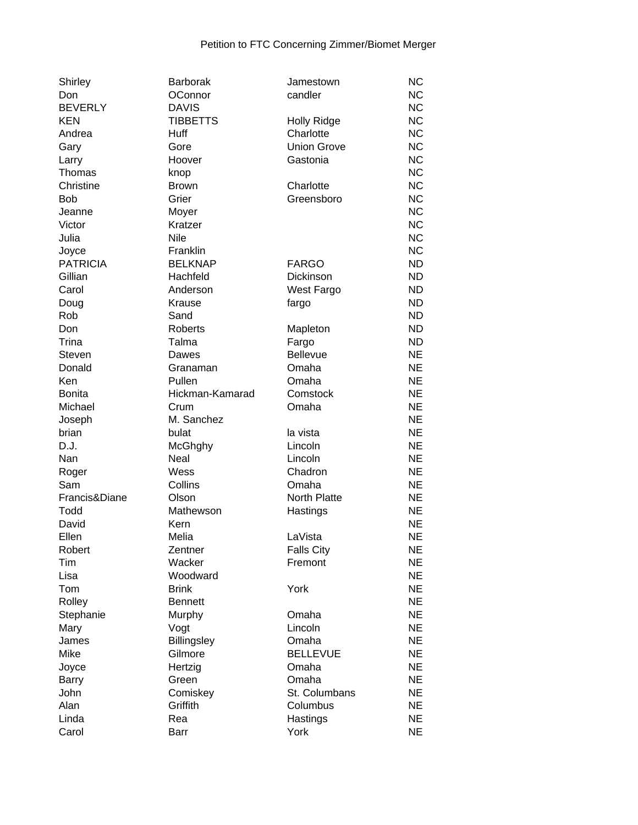| Shirley         | <b>Barborak</b>    | Jamestown          | <b>NC</b>              |
|-----------------|--------------------|--------------------|------------------------|
| Don             | OConnor            | candler            | <b>NC</b>              |
| <b>BEVERLY</b>  | <b>DAVIS</b>       |                    | <b>NC</b>              |
| <b>KEN</b>      | <b>TIBBETTS</b>    | <b>Holly Ridge</b> | <b>NC</b>              |
| Andrea          | Huff               | Charlotte          | <b>NC</b>              |
| Gary            | Gore               | <b>Union Grove</b> | <b>NC</b>              |
| Larry           | Hoover             | Gastonia           | <b>NC</b>              |
| Thomas          | knop               |                    | <b>NC</b>              |
| Christine       | <b>Brown</b>       | Charlotte          | <b>NC</b>              |
| <b>Bob</b>      | Grier              | Greensboro         | <b>NC</b>              |
| Jeanne          | Moyer              |                    | <b>NC</b>              |
| Victor          | Kratzer            |                    | <b>NC</b>              |
| Julia           | Nile               |                    | <b>NC</b>              |
| Joyce           | Franklin           |                    | <b>NC</b>              |
| <b>PATRICIA</b> | <b>BELKNAP</b>     | <b>FARGO</b>       | <b>ND</b>              |
| Gillian         | Hachfeld           | Dickinson          | <b>ND</b>              |
| Carol           | Anderson           | West Fargo         | <b>ND</b>              |
| Doug            | Krause             | fargo              | <b>ND</b>              |
| Rob             | Sand               |                    | <b>ND</b>              |
| Don             | Roberts            | Mapleton           | <b>ND</b>              |
| Trina           | Talma              | Fargo              | <b>ND</b>              |
| Steven          | Dawes              | <b>Bellevue</b>    | <b>NE</b>              |
| Donald          | Granaman           | Omaha              | <b>NE</b>              |
| Ken             | Pullen             | Omaha              | <b>NE</b>              |
|                 | Hickman-Kamarad    |                    | <b>NE</b>              |
| <b>Bonita</b>   |                    | Comstock           | <b>NE</b>              |
| Michael         | Crum<br>M. Sanchez | Omaha              | <b>NE</b>              |
| Joseph          |                    |                    | <b>NE</b>              |
| brian           | bulat              | la vista           |                        |
| D.J.            | McGhghy            | Lincoln            | <b>NE</b><br><b>NE</b> |
| Nan             | Neal<br>Wess       | Lincoln<br>Chadron | <b>NE</b>              |
| Roger           |                    |                    |                        |
| Sam             | Collins            | Omaha              | <b>NE</b>              |
| Francis&Diane   | Olson              | North Platte       | <b>NE</b>              |
| Todd            | Mathewson          | Hastings           | <b>NE</b>              |
| David           | Kern               |                    | <b>NE</b>              |
| Ellen           | Melia              | LaVista            | <b>NE</b>              |
| Robert          | Zentner            | <b>Falls City</b>  | <b>NE</b>              |
| Tim             | Wacker             | Fremont            | <b>NE</b>              |
| Lisa            | Woodward           |                    | <b>NE</b>              |
| Tom             | <b>Brink</b>       | York               | <b>NE</b>              |
| Rolley          | <b>Bennett</b>     |                    | <b>NE</b>              |
| Stephanie       | Murphy             | Omaha              | <b>NE</b>              |
| Mary            | Vogt               | Lincoln            | <b>NE</b>              |
| James           | Billingsley        | Omaha              | <b>NE</b>              |
| Mike            | Gilmore            | <b>BELLEVUE</b>    | <b>NE</b>              |
| Joyce           | Hertzig            | Omaha              | <b>NE</b>              |
| <b>Barry</b>    | Green              | Omaha              | <b>NE</b>              |
| John            | Comiskey           | St. Columbans      | <b>NE</b>              |
| Alan            | Griffith           | Columbus           | <b>NE</b>              |
| Linda           | Rea                | Hastings           | <b>NE</b>              |
| Carol           | Barr               | York               | <b>NE</b>              |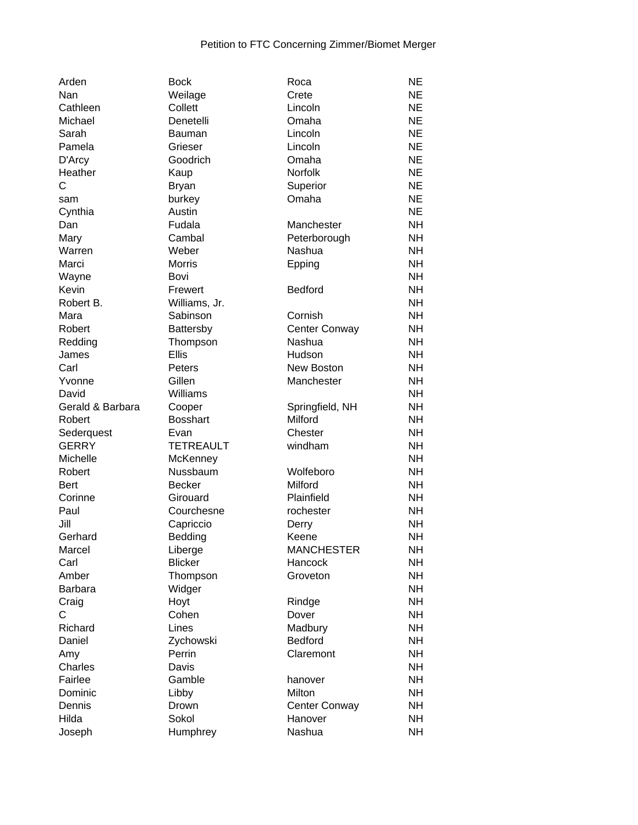| Arden                     | <b>Bock</b>      | Roca                       | <b>NE</b> |
|---------------------------|------------------|----------------------------|-----------|
| Nan                       | Weilage          | Crete                      | <b>NE</b> |
| Cathleen                  | Collett          | Lincoln                    | <b>NE</b> |
| Michael                   | Denetelli        | Omaha                      | <b>NE</b> |
| Sarah                     | <b>Bauman</b>    | Lincoln                    | <b>NE</b> |
| Pamela                    | Grieser          | Lincoln                    | <b>NE</b> |
| D'Arcy                    | Goodrich         | Omaha                      | <b>NE</b> |
| Heather                   | Kaup             | Norfolk                    | <b>NE</b> |
| C                         | <b>Bryan</b>     | Superior                   | <b>NE</b> |
| sam                       | burkey           | Omaha                      | <b>NE</b> |
| Cynthia                   | Austin           |                            | <b>NE</b> |
| Dan                       | Fudala           | Manchester                 | <b>NH</b> |
| Mary                      | Cambal           | Peterborough               | <b>NH</b> |
| Warren                    | Weber            | Nashua                     | <b>NH</b> |
| Marci                     | <b>Morris</b>    | Epping                     | <b>NH</b> |
| Wayne                     | Bovi             |                            | <b>NH</b> |
| Kevin                     | Frewert          | <b>Bedford</b>             | <b>NH</b> |
| Robert B.                 | Williams, Jr.    |                            | <b>NH</b> |
| Mara                      | Sabinson         | Cornish                    | <b>NH</b> |
| Robert                    | Battersby        | Center Conway              | <b>NH</b> |
| Redding                   | Thompson         | Nashua                     | <b>NH</b> |
| James                     | <b>Ellis</b>     | Hudson                     | <b>NH</b> |
| Carl                      | Peters           | New Boston                 | <b>NH</b> |
| Yvonne                    | Gillen           | Manchester                 | <b>NH</b> |
|                           | Williams         |                            | <b>NH</b> |
| David<br>Gerald & Barbara |                  |                            | <b>NH</b> |
|                           | Cooper           | Springfield, NH<br>Milford | <b>NH</b> |
| Robert                    | <b>Bosshart</b>  |                            |           |
| Sederquest                | Evan             | Chester                    | <b>NH</b> |
| <b>GERRY</b>              | <b>TETREAULT</b> | windham                    | <b>NH</b> |
| Michelle                  | McKenney         |                            | <b>NH</b> |
| Robert                    | Nussbaum         | Wolfeboro                  | <b>NH</b> |
| <b>Bert</b>               | <b>Becker</b>    | Milford                    | <b>NH</b> |
| Corinne                   | Girouard         | Plainfield                 | <b>NH</b> |
| Paul                      | Courchesne       | rochester                  | <b>NH</b> |
| Jill                      | Capriccio        | Derry                      | <b>NH</b> |
| Gerhard                   | Bedding          | Keene                      | <b>NH</b> |
| Marcel                    | Liberge          | <b>MANCHESTER</b>          | <b>NH</b> |
| Carl                      | <b>Blicker</b>   | Hancock                    | <b>NH</b> |
| Amber                     | Thompson         | Groveton                   | <b>NH</b> |
| <b>Barbara</b>            | Widger           |                            | <b>NH</b> |
| Craig                     | Hoyt             | Rindge                     | <b>NH</b> |
| C                         | Cohen            | Dover                      | <b>NH</b> |
| Richard                   | Lines            | Madbury                    | <b>NH</b> |
| Daniel                    | Zychowski        | Bedford                    | <b>NH</b> |
| Amy                       | Perrin           | Claremont                  | <b>NH</b> |
| Charles                   | Davis            |                            | <b>NH</b> |
| Fairlee                   | Gamble           | hanover                    | <b>NH</b> |
| Dominic                   | Libby            | Milton                     | <b>NH</b> |
| Dennis                    | Drown            | Center Conway              | <b>NH</b> |
| Hilda                     | Sokol            | Hanover                    | <b>NH</b> |
| Joseph                    | Humphrey         | Nashua                     | <b>NH</b> |
|                           |                  |                            |           |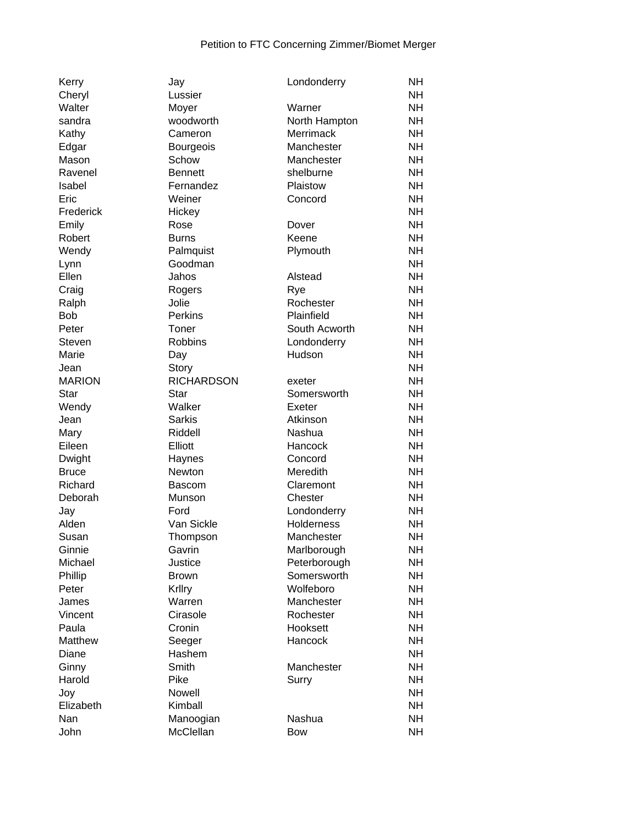| Kerry         | Jay               | Londonderry       | <b>NH</b> |
|---------------|-------------------|-------------------|-----------|
| Cheryl        | Lussier           |                   | NΗ        |
| Walter        | Moyer             | Warner            | NΗ        |
| sandra        | woodworth         | North Hampton     | NΗ        |
| Kathy         | Cameron           | Merrimack         | <b>NH</b> |
| Edgar         | <b>Bourgeois</b>  | Manchester        | <b>NH</b> |
| Mason         | Schow             | Manchester        | <b>NH</b> |
| Ravenel       | <b>Bennett</b>    | shelburne         | <b>NH</b> |
| Isabel        | Fernandez         | Plaistow          | <b>NH</b> |
| Eric          | Weiner            | Concord           | <b>NH</b> |
| Frederick     | Hickey            |                   | <b>NH</b> |
| Emily         | Rose              | Dover             | <b>NH</b> |
| Robert        | <b>Burns</b>      | Keene             | <b>NH</b> |
| Wendy         | Palmquist         | Plymouth          | NΗ        |
|               | Goodman           |                   | <b>NH</b> |
| Lynn<br>Ellen | Jahos             | Alstead           | NΗ        |
|               |                   |                   | <b>NH</b> |
| Craig         | Rogers            | Rye               |           |
| Ralph         | Jolie             | Rochester         | <b>NH</b> |
| <b>Bob</b>    | <b>Perkins</b>    | Plainfield        | <b>NH</b> |
| Peter         | Toner             | South Acworth     | <b>NH</b> |
| Steven        | <b>Robbins</b>    | Londonderry       | <b>NH</b> |
| Marie         | Day               | Hudson            | <b>NH</b> |
| Jean          | Story             |                   | <b>NH</b> |
| <b>MARION</b> | <b>RICHARDSON</b> | exeter            | <b>NH</b> |
| <b>Star</b>   | Star              | Somersworth       | <b>NH</b> |
| Wendy         | Walker            | Exeter            | NΗ        |
| Jean          | Sarkis            | Atkinson          | NΗ        |
| Mary          | Riddell           | Nashua            | <b>NH</b> |
| Eileen        | Elliott           | Hancock           | <b>NH</b> |
| Dwight        | Haynes            | Concord           | <b>NH</b> |
| <b>Bruce</b>  | Newton            | Meredith          | <b>NH</b> |
| Richard       | <b>Bascom</b>     | Claremont         | <b>NH</b> |
| Deborah       | Munson            | Chester           | <b>NH</b> |
| Jay           | Ford              | Londonderry       | <b>NH</b> |
| Alden         | Van Sickle        | <b>Holderness</b> | NΗ        |
| Susan         | Thompson          | Manchester        | <b>NH</b> |
| Ginnie        | Gavrin            | Marlborough       | <b>NH</b> |
| Michael       | Justice           | Peterborough      | <b>NH</b> |
| Phillip       | <b>Brown</b>      | Somersworth       | <b>NH</b> |
| Peter         | Krllry            | Wolfeboro         | <b>NH</b> |
| James         | Warren            | Manchester        | <b>NH</b> |
| Vincent       | Cirasole          | Rochester         | <b>NH</b> |
| Paula         | Cronin            | Hooksett          | <b>NH</b> |
| Matthew       | Seeger            | Hancock           | <b>NH</b> |
| Diane         | Hashem            |                   | <b>NH</b> |
| Ginny         | Smith             | Manchester        | <b>NH</b> |
| Harold        | Pike              |                   | <b>NH</b> |
|               |                   | Surry             |           |
| Joy           | Nowell            |                   | <b>NH</b> |
| Elizabeth     | Kimball           |                   | <b>NH</b> |
| Nan           | Manoogian         | Nashua            | <b>NH</b> |
| John          | McClellan         | <b>Bow</b>        | <b>NH</b> |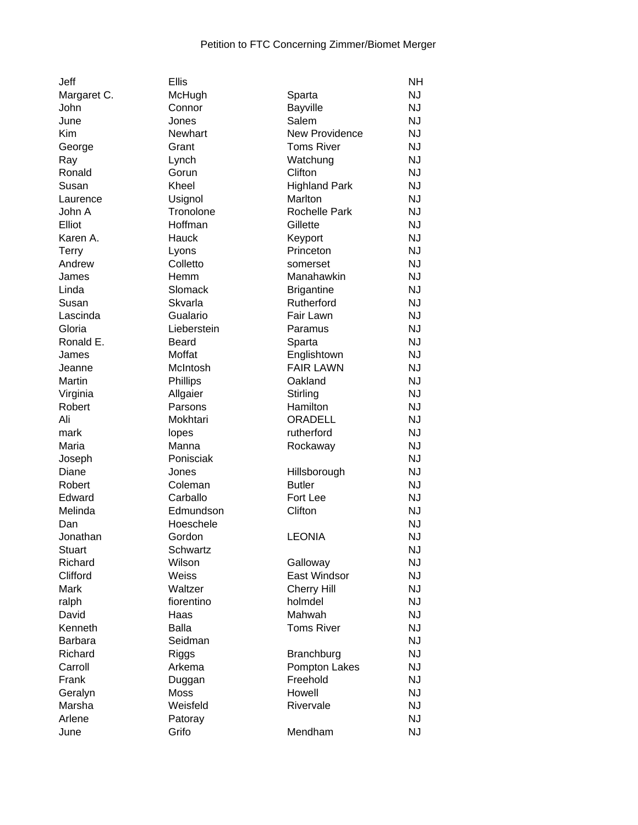| Jeff           | <b>Ellis</b> |                       | <b>NH</b> |
|----------------|--------------|-----------------------|-----------|
| Margaret C.    | McHugh       | Sparta                | <b>NJ</b> |
| John           | Connor       | <b>Bayville</b>       | <b>NJ</b> |
| June           | Jones        | Salem                 | <b>NJ</b> |
| Kim            | Newhart      | <b>New Providence</b> | <b>NJ</b> |
| George         | Grant        | <b>Toms River</b>     | <b>NJ</b> |
| Ray            | Lynch        | Watchung              | <b>NJ</b> |
| Ronald         | Gorun        | Clifton               | <b>NJ</b> |
| Susan          | Kheel        | <b>Highland Park</b>  | <b>NJ</b> |
| Laurence       | Usignol      | Marlton               | <b>NJ</b> |
| John A         | Tronolone    | <b>Rochelle Park</b>  | <b>NJ</b> |
| Elliot         | Hoffman      | Gillette              | <b>NJ</b> |
| Karen A.       | Hauck        | Keyport               | <b>NJ</b> |
| <b>Terry</b>   | Lyons        | Princeton             | <b>NJ</b> |
| Andrew         | Colletto     | somerset              | <b>NJ</b> |
| James          | Hemm         | Manahawkin            | <b>NJ</b> |
| Linda          | Slomack      | <b>Brigantine</b>     | <b>NJ</b> |
| Susan          | Skvarla      | Rutherford            | <b>NJ</b> |
| Lascinda       | Gualario     | Fair Lawn             | <b>NJ</b> |
| Gloria         | Lieberstein  | Paramus               | <b>NJ</b> |
| Ronald E.      | <b>Beard</b> | Sparta                | <b>NJ</b> |
| James          | Moffat       | Englishtown           | <b>NJ</b> |
| Jeanne         | McIntosh     | <b>FAIR LAWN</b>      | <b>NJ</b> |
| Martin         | Phillips     | Oakland               | <b>NJ</b> |
| Virginia       | Allgaier     | Stirling              | <b>NJ</b> |
| Robert         | Parsons      | Hamilton              | <b>NJ</b> |
| Ali            | Mokhtari     | ORADELL               | <b>NJ</b> |
| mark           | lopes        | rutherford            | <b>NJ</b> |
| Maria          | Manna        | Rockaway              | <b>NJ</b> |
| Joseph         | Ponisciak    |                       | <b>NJ</b> |
| Diane          | Jones        | Hillsborough          | <b>NJ</b> |
| Robert         | Coleman      | <b>Butler</b>         | <b>NJ</b> |
| Edward         | Carballo     | Fort Lee              | <b>NJ</b> |
| Melinda        | Edmundson    | Clifton               | <b>NJ</b> |
| Dan            | Hoeschele    |                       | <b>NJ</b> |
| Jonathan       | Gordon       | <b>LEONIA</b>         | <b>NJ</b> |
| Stuart         | Schwartz     |                       | <b>NJ</b> |
| Richard        | Wilson       | Galloway              | <b>NJ</b> |
| Clifford       | Weiss        | <b>East Windsor</b>   | <b>NJ</b> |
| Mark           | Waltzer      | <b>Cherry Hill</b>    | <b>NJ</b> |
| ralph          | fiorentino   | holmdel               | <b>NJ</b> |
| David          | Haas         | Mahwah                | <b>NJ</b> |
| Kenneth        | <b>Balla</b> | <b>Toms River</b>     | <b>NJ</b> |
| <b>Barbara</b> | Seidman      |                       | <b>NJ</b> |
| Richard        | Riggs        | Branchburg            | <b>NJ</b> |
| Carroll        | Arkema       | Pompton Lakes         | <b>NJ</b> |
| Frank          | Duggan       | Freehold              | <b>NJ</b> |
| Geralyn        | Moss         | Howell                | <b>NJ</b> |
| Marsha         | Weisfeld     | Rivervale             | <b>NJ</b> |
| Arlene         | Patoray      |                       | <b>NJ</b> |
| June           | Grifo        | Mendham               | <b>NJ</b> |
|                |              |                       |           |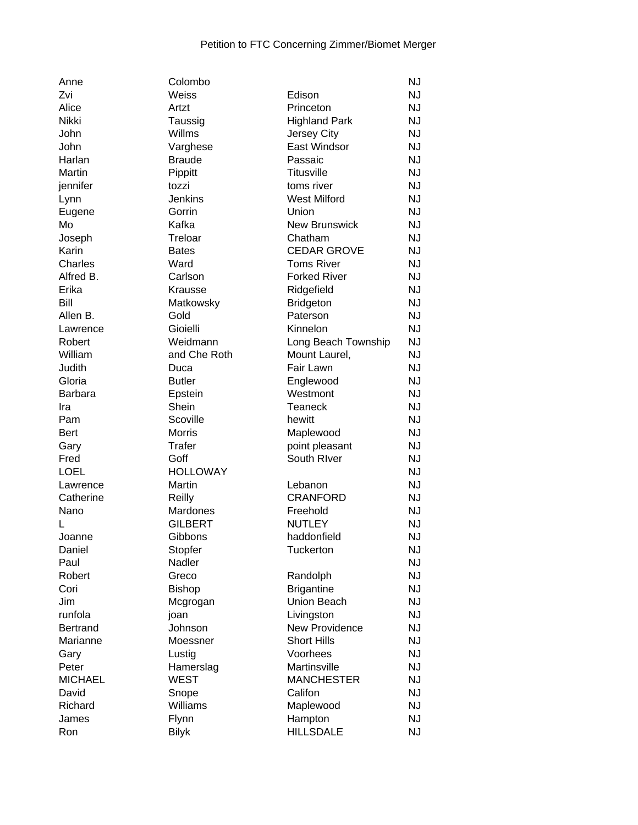| Anne            | Colombo         |                      | <b>NJ</b> |
|-----------------|-----------------|----------------------|-----------|
| Zvi             | Weiss           | Edison               | <b>NJ</b> |
| Alice           | Artzt           | Princeton            | <b>NJ</b> |
| Nikki           | Taussig         | <b>Highland Park</b> | <b>NJ</b> |
| John            | Willms          | Jersey City          | <b>NJ</b> |
| John            | Varghese        | <b>East Windsor</b>  | <b>NJ</b> |
| Harlan          | <b>Braude</b>   | Passaic              | <b>NJ</b> |
| Martin          | Pippitt         | <b>Titusville</b>    | <b>NJ</b> |
| jennifer        | tozzi           | toms river           | <b>NJ</b> |
| Lynn            | <b>Jenkins</b>  | <b>West Milford</b>  | <b>NJ</b> |
| Eugene          | Gorrin          | Union                | <b>NJ</b> |
| Mo              | Kafka           | <b>New Brunswick</b> | <b>NJ</b> |
| Joseph          | Treloar         | Chatham              | <b>NJ</b> |
| Karin           | <b>Bates</b>    | <b>CEDAR GROVE</b>   | <b>NJ</b> |
| Charles         | Ward            | <b>Toms River</b>    | <b>NJ</b> |
| Alfred B.       | Carlson         | <b>Forked River</b>  | <b>NJ</b> |
| Erika           | Krausse         | Ridgefield           | <b>NJ</b> |
| Bill            | Matkowsky       | <b>Bridgeton</b>     | <b>NJ</b> |
| Allen B.        | Gold            | Paterson             | <b>NJ</b> |
| Lawrence        | Gioielli        | Kinnelon             | <b>NJ</b> |
| Robert          | Weidmann        | Long Beach Township  | <b>NJ</b> |
| William         | and Che Roth    | Mount Laurel,        | <b>NJ</b> |
| Judith          | Duca            | Fair Lawn            | <b>NJ</b> |
| Gloria          | <b>Butler</b>   | Englewood            | <b>NJ</b> |
| <b>Barbara</b>  | Epstein         | Westmont             | <b>NJ</b> |
| Ira             | Shein           | <b>Teaneck</b>       | <b>NJ</b> |
| Pam             | Scoville        | hewitt               | <b>NJ</b> |
| <b>Bert</b>     | <b>Morris</b>   | Maplewood            | <b>NJ</b> |
| Gary            | Trafer          | point pleasant       | <b>NJ</b> |
| Fred            | Goff            | South River          | <b>NJ</b> |
| <b>LOEL</b>     | <b>HOLLOWAY</b> |                      | <b>NJ</b> |
| Lawrence        | Martin          | Lebanon              | <b>NJ</b> |
| Catherine       | Reilly          | <b>CRANFORD</b>      | <b>NJ</b> |
| Nano            | Mardones        | Freehold             | <b>NJ</b> |
|                 | <b>GILBERT</b>  | <b>NUTLEY</b>        | <b>NJ</b> |
| Joanne          | Gibbons         | haddonfield          | <b>NJ</b> |
| Daniel          | Stopfer         | <b>Tuckerton</b>     | <b>NJ</b> |
| Paul            | Nadler          |                      | <b>NJ</b> |
| Robert          | Greco           | Randolph             | <b>NJ</b> |
| Cori            | <b>Bishop</b>   | <b>Brigantine</b>    | <b>NJ</b> |
| Jim             | Mcgrogan        | Union Beach          | <b>NJ</b> |
| runfola         | joan            | Livingston           | <b>NJ</b> |
| <b>Bertrand</b> | Johnson         | New Providence       | <b>NJ</b> |
| Marianne        | Moessner        | <b>Short Hills</b>   | <b>NJ</b> |
| Gary            | Lustig          | Voorhees             | <b>NJ</b> |
| Peter           | Hamerslag       | Martinsville         | <b>NJ</b> |
| <b>MICHAEL</b>  | <b>WEST</b>     | <b>MANCHESTER</b>    | <b>NJ</b> |
| David           | Snope           | Califon              | <b>NJ</b> |
| Richard         | Williams        | Maplewood            | <b>NJ</b> |
| James           | Flynn           | Hampton              | <b>NJ</b> |
| Ron             | <b>Bilyk</b>    | <b>HILLSDALE</b>     | <b>NJ</b> |
|                 |                 |                      |           |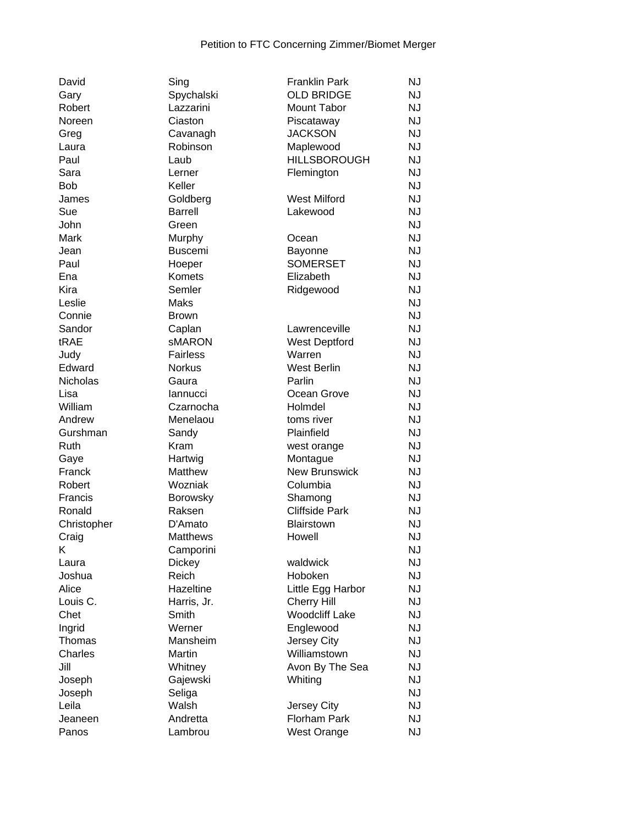| David           | Sing            | <b>Franklin Park</b>  | <b>NJ</b> |
|-----------------|-----------------|-----------------------|-----------|
| Gary            | Spychalski      | <b>OLD BRIDGE</b>     | <b>NJ</b> |
| Robert          | Lazzarini       | Mount Tabor           | <b>NJ</b> |
| Noreen          | Ciaston         | Piscataway            | <b>NJ</b> |
| Greg            | Cavanagh        | <b>JACKSON</b>        | <b>NJ</b> |
| Laura           | Robinson        | Maplewood             | <b>NJ</b> |
| Paul            | Laub            | <b>HILLSBOROUGH</b>   | NJ        |
| Sara            | Lerner          | Flemington            | <b>NJ</b> |
| <b>Bob</b>      | Keller          |                       | <b>NJ</b> |
| James           | Goldberg        | <b>West Milford</b>   | <b>NJ</b> |
| Sue             | <b>Barrell</b>  | Lakewood              | <b>NJ</b> |
| John            | Green           |                       | <b>NJ</b> |
| Mark            | Murphy          | Ocean                 | <b>NJ</b> |
| Jean            | <b>Buscemi</b>  | Bayonne               | <b>NJ</b> |
| Paul            | Hoeper          | <b>SOMERSET</b>       | <b>NJ</b> |
| Ena             | <b>Komets</b>   | Elizabeth             | <b>NJ</b> |
| Kira            | Semler          | Ridgewood             | <b>NJ</b> |
| Leslie          | Maks            |                       | <b>NJ</b> |
| Connie          | <b>Brown</b>    |                       | <b>NJ</b> |
| Sandor          | Caplan          | Lawrenceville         | <b>NJ</b> |
| tRAE            | sMARON          | <b>West Deptford</b>  | <b>NJ</b> |
| Judy            | <b>Fairless</b> | Warren                | <b>NJ</b> |
| Edward          | <b>Norkus</b>   | <b>West Berlin</b>    | <b>NJ</b> |
| <b>Nicholas</b> | Gaura           | Parlin                | <b>NJ</b> |
| Lisa            | lannucci        | Ocean Grove           | <b>NJ</b> |
| William         | Czarnocha       | Holmdel               | <b>NJ</b> |
| Andrew          | Menelaou        | toms river            | <b>NJ</b> |
| Gurshman        | Sandy           | Plainfield            | <b>NJ</b> |
| Ruth            | Kram            | west orange           | <b>NJ</b> |
| Gaye            | Hartwig         | Montague              | <b>NJ</b> |
| Franck          | Matthew         | <b>New Brunswick</b>  | <b>NJ</b> |
| Robert          | Wozniak         | Columbia              | <b>NJ</b> |
| Francis         | <b>Borowsky</b> | Shamong               | <b>NJ</b> |
| Ronald          | Raksen          | <b>Cliffside Park</b> | <b>NJ</b> |
| Christopher     | D'Amato         | Blairstown            | <b>NJ</b> |
| Craig           | Matthews        | Howell                | <b>NJ</b> |
| Κ               | Camporini       |                       | <b>NJ</b> |
| Laura           | <b>Dickey</b>   | waldwick              | <b>NJ</b> |
| Joshua          | Reich           | Hoboken               | <b>NJ</b> |
| Alice           | Hazeltine       | Little Egg Harbor     | <b>NJ</b> |
| Louis C.        | Harris, Jr.     | <b>Cherry Hill</b>    | <b>NJ</b> |
| Chet            | Smith           | <b>Woodcliff Lake</b> | <b>NJ</b> |
| Ingrid          | Werner          | Englewood             | <b>NJ</b> |
| Thomas          | Mansheim        | Jersey City           | <b>NJ</b> |
| Charles         | Martin          | Williamstown          | <b>NJ</b> |
| Jill            | Whitney         | Avon By The Sea       | <b>NJ</b> |
| Joseph          | Gajewski        | Whiting               | <b>NJ</b> |
| Joseph          | Seliga          |                       | <b>NJ</b> |
| Leila           | Walsh           | Jersey City           | <b>NJ</b> |
| Jeaneen         | Andretta        | Florham Park          | <b>NJ</b> |
| Panos           | Lambrou         | West Orange           | <b>NJ</b> |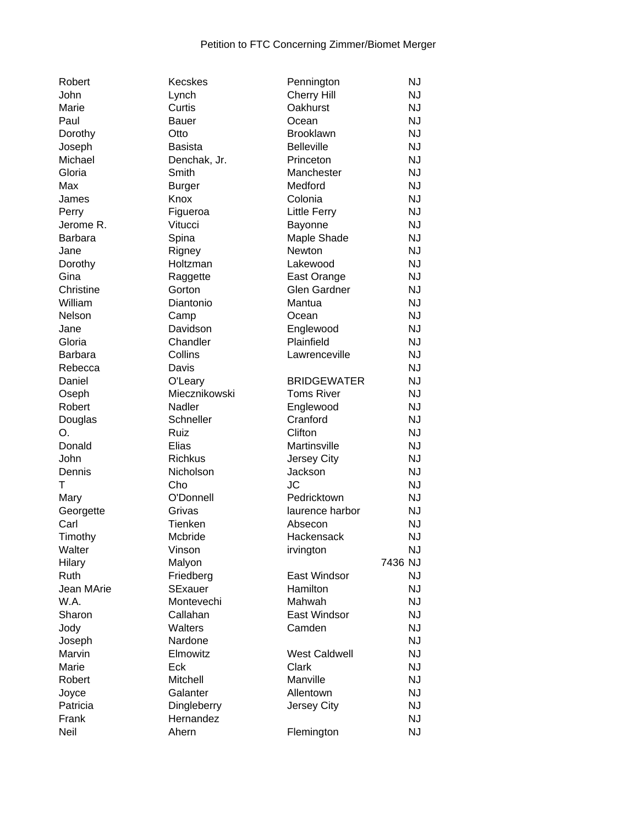| Robert         | Kecskes        | Pennington           | <b>NJ</b> |
|----------------|----------------|----------------------|-----------|
| John           | Lynch          | <b>Cherry Hill</b>   | <b>NJ</b> |
| Marie          | Curtis         | Oakhurst             | <b>NJ</b> |
| Paul           | Bauer          | Ocean                | <b>NJ</b> |
| Dorothy        | Otto           | <b>Brooklawn</b>     | <b>NJ</b> |
| Joseph         | <b>Basista</b> | <b>Belleville</b>    | <b>NJ</b> |
| Michael        | Denchak, Jr.   | Princeton            | <b>NJ</b> |
| Gloria         | Smith          | Manchester           | <b>NJ</b> |
| Max            | <b>Burger</b>  | Medford              | <b>NJ</b> |
| James          | Knox           | Colonia              | <b>NJ</b> |
| Perry          | Figueroa       | <b>Little Ferry</b>  | <b>NJ</b> |
| Jerome R.      | Vitucci        | Bayonne              | <b>NJ</b> |
| <b>Barbara</b> | Spina          | Maple Shade          | <b>NJ</b> |
| Jane           | Rigney         | Newton               | <b>NJ</b> |
| Dorothy        | Holtzman       | Lakewood             | <b>NJ</b> |
| Gina           | Raggette       | East Orange          | <b>NJ</b> |
| Christine      | Gorton         | <b>Glen Gardner</b>  | <b>NJ</b> |
| William        | Diantonio      | Mantua               | <b>NJ</b> |
| Nelson         | Camp           | Ocean                | <b>NJ</b> |
| Jane           | Davidson       | Englewood            | <b>NJ</b> |
| Gloria         | Chandler       | Plainfield           | <b>NJ</b> |
| <b>Barbara</b> | Collins        | Lawrenceville        | <b>NJ</b> |
| Rebecca        | Davis          |                      | <b>NJ</b> |
| Daniel         | O'Leary        | <b>BRIDGEWATER</b>   | <b>NJ</b> |
| Oseph          | Miecznikowski  | <b>Toms River</b>    | <b>NJ</b> |
| Robert         | Nadler         | Englewood            | <b>NJ</b> |
| Douglas        | Schneller      | Cranford             | <b>NJ</b> |
| O.             | Ruiz           | Clifton              | <b>NJ</b> |
| Donald         | Elias          | Martinsville         | <b>NJ</b> |
| John           | <b>Richkus</b> | Jersey City          | <b>NJ</b> |
| Dennis         | Nicholson      | Jackson              | <b>NJ</b> |
| т              | Cho            | <b>JC</b>            | <b>NJ</b> |
| Mary           | O'Donnell      | Pedricktown          | <b>NJ</b> |
| Georgette      | Grivas         | laurence harbor      | <b>NJ</b> |
| Carl           | Tienken        | Absecon              | <b>NJ</b> |
| Timothy        | Mcbride        | Hackensack           | <b>NJ</b> |
| Walter         | Vinson         | irvington            | <b>NJ</b> |
| Hilary         | Malyon         |                      | 7436 NJ   |
| <b>Ruth</b>    | Friedberg      | East Windsor         | <b>NJ</b> |
| Jean MArie     | <b>SExauer</b> | Hamilton             | <b>NJ</b> |
| W.A.           | Montevechi     | Mahwah               | <b>NJ</b> |
| Sharon         | Callahan       | East Windsor         | <b>NJ</b> |
| Jody           | Walters        | Camden               | <b>NJ</b> |
| Joseph         | Nardone        |                      | <b>NJ</b> |
| Marvin         | Elmowitz       | <b>West Caldwell</b> | <b>NJ</b> |
| Marie          | Eck            | Clark                | <b>NJ</b> |
| Robert         | Mitchell       | Manville             | <b>NJ</b> |
| Joyce          | Galanter       | Allentown            | <b>NJ</b> |
| Patricia       | Dingleberry    | Jersey City          | <b>NJ</b> |
| Frank          | Hernandez      |                      | <b>NJ</b> |
| Neil           | Ahern          | Flemington           | <b>NJ</b> |
|                |                |                      |           |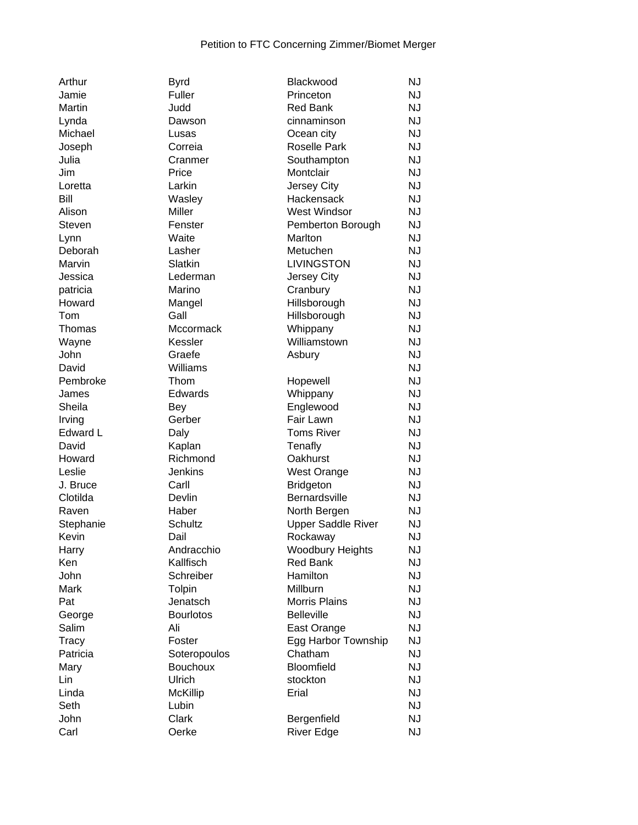| Arthur    | <b>Byrd</b>        | Blackwood                 | <b>NJ</b> |
|-----------|--------------------|---------------------------|-----------|
| Jamie     | Fuller             | Princeton                 | <b>NJ</b> |
| Martin    | Judd               | <b>Red Bank</b>           | <b>NJ</b> |
| Lynda     | Dawson             | cinnaminson               | <b>NJ</b> |
| Michael   | Lusas              | Ocean city                | <b>NJ</b> |
| Joseph    | Correia            | <b>Roselle Park</b>       | <b>NJ</b> |
| Julia     | Cranmer            | Southampton               | <b>NJ</b> |
| Jim       | Price              | Montclair                 | <b>NJ</b> |
| Loretta   | Larkin             | Jersey City               | <b>NJ</b> |
| Bill      | Wasley             | Hackensack                | <b>NJ</b> |
| Alison    | Miller             | <b>West Windsor</b>       | <b>NJ</b> |
| Steven    | Fenster            | Pemberton Borough         | <b>NJ</b> |
| Lynn      | Waite              | Marlton                   | <b>NJ</b> |
| Deborah   | Lasher             | Metuchen                  | <b>NJ</b> |
| Marvin    | Slatkin            | <b>LIVINGSTON</b>         | <b>NJ</b> |
| Jessica   | Lederman           | Jersey City               | <b>NJ</b> |
| patricia  | Marino             | Cranbury                  | <b>NJ</b> |
| Howard    | Mangel             | Hillsborough              | <b>NJ</b> |
| Tom       | Gall               | Hillsborough              | <b>NJ</b> |
| Thomas    | Mccormack          | Whippany                  | <b>NJ</b> |
| Wayne     | Kessler            | Williamstown              | <b>NJ</b> |
| John      | Graefe             | Asbury                    | <b>NJ</b> |
| David     | Williams           |                           | <b>NJ</b> |
| Pembroke  | Thom               | Hopewell                  | <b>NJ</b> |
| James     | Edwards            | Whippany                  | <b>NJ</b> |
| Sheila    |                    | Englewood                 | <b>NJ</b> |
| Irving    | Bey<br>Gerber      | Fair Lawn                 | <b>NJ</b> |
| Edward L  | Daly               | <b>Toms River</b>         | <b>NJ</b> |
| David     |                    | Tenafly                   | <b>NJ</b> |
| Howard    | Kaplan<br>Richmond | Oakhurst                  | <b>NJ</b> |
| Leslie    | <b>Jenkins</b>     |                           | <b>NJ</b> |
|           |                    | West Orange               | <b>NJ</b> |
| J. Bruce  | Carll<br>Devlin    | <b>Bridgeton</b>          | <b>NJ</b> |
| Clotilda  |                    | <b>Bernardsville</b>      |           |
| Raven     | Haber              | North Bergen              | <b>NJ</b> |
| Stephanie | Schultz            | <b>Upper Saddle River</b> | <b>NJ</b> |
| Kevin     | Dail               | Rockaway                  | <b>NJ</b> |
| Harry     | Andracchio         | <b>Woodbury Heights</b>   | <b>NJ</b> |
| Ken       | Kallfisch          | <b>Red Bank</b>           | <b>NJ</b> |
| John      | Schreiber          | Hamilton                  | <b>NJ</b> |
| Mark      | Tolpin             | Millburn                  | <b>NJ</b> |
| Pat       | Jenatsch           | <b>Morris Plains</b>      | <b>NJ</b> |
| George    | <b>Bourlotos</b>   | <b>Belleville</b>         | <b>NJ</b> |
| Salim     | Ali                | East Orange               | <b>NJ</b> |
| Tracy     | Foster             | Egg Harbor Township       | <b>NJ</b> |
| Patricia  | Soteropoulos       | Chatham                   | <b>NJ</b> |
| Mary      | <b>Bouchoux</b>    | Bloomfield                | <b>NJ</b> |
| Lin       | Ulrich             | stockton                  | <b>NJ</b> |
| Linda     | <b>McKillip</b>    | Erial                     | <b>NJ</b> |
| Seth      | Lubin              |                           | <b>NJ</b> |
| John      | Clark              | Bergenfield               | <b>NJ</b> |
| Carl      | Oerke              | <b>River Edge</b>         | <b>NJ</b> |

| Jamie     | Fuller           | Princeton                 | NJ        |
|-----------|------------------|---------------------------|-----------|
| Martin    | Judd             | <b>Red Bank</b>           | NJ        |
| Lynda     | Dawson           | cinnaminson               | <b>NJ</b> |
| Michael   | Lusas            | Ocean city                | <b>NJ</b> |
| Joseph    | Correia          | <b>Roselle Park</b>       | <b>NJ</b> |
| Julia     | Cranmer          | Southampton               | NJ        |
| Jim       | Price            | Montclair                 | <b>NJ</b> |
| Loretta   | Larkin           | Jersey City               | NJ        |
| Bill      | Wasley           | Hackensack                | NJ        |
| Alison    | Miller           | <b>West Windsor</b>       | <b>NJ</b> |
| Steven    | Fenster          | Pemberton Borough         | <b>NJ</b> |
| Lynn      | Waite            | Marlton                   | <b>NJ</b> |
| Deborah   | Lasher           | Metuchen                  | <b>NJ</b> |
| Marvin    | Slatkin          | <b>LIVINGSTON</b>         | NJ        |
| Jessica   | Lederman         | Jersey City               | NJ        |
| patricia  | Marino           | Cranbury                  | NJ        |
| Howard    | Mangel           | Hillsborough              | <b>NJ</b> |
| Tom       | Gall             | Hillsborough              | <b>NJ</b> |
| Thomas    | Mccormack        | Whippany                  | NJ        |
| Wayne     | Kessler          | Williamstown              | NJ        |
| John      | Graefe           | Asbury                    | NJ        |
| David     | Williams         |                           | <b>NJ</b> |
| Pembroke  | Thom             | Hopewell                  | <b>NJ</b> |
| James     | Edwards          | Whippany                  | <b>NJ</b> |
| Sheila    | Bey              | Englewood                 | <b>NJ</b> |
| Irving    | Gerber           | Fair Lawn                 | <b>NJ</b> |
| Edward L  | Daly             | <b>Toms River</b>         | <b>NJ</b> |
| David     | Kaplan           | Tenafly                   | <b>NJ</b> |
| Howard    | Richmond         | Oakhurst                  | <b>NJ</b> |
| Leslie    | <b>Jenkins</b>   | <b>West Orange</b>        | <b>NJ</b> |
| J. Bruce  | Carll            | <b>Bridgeton</b>          | NJ        |
| Clotilda  | Devlin           | <b>Bernardsville</b>      | <b>NJ</b> |
| Raven     | Haber            | North Bergen              | NJ        |
| Stephanie | Schultz          | <b>Upper Saddle River</b> | <b>NJ</b> |
| Kevin     | Dail             | Rockaway                  | <b>NJ</b> |
| Harry     | Andracchio       | <b>Woodbury Heights</b>   | <b>NJ</b> |
| Ken       | Kallfisch        | <b>Red Bank</b>           | NJ        |
| John      | Schreiber        | Hamilton                  | <b>NJ</b> |
| Mark      | Tolpin           | Millburn                  | NJ        |
| Pat       | Jenatsch         | <b>Morris Plains</b>      | NJ        |
| George    | <b>Bourlotos</b> | <b>Belleville</b>         | NJ        |
| Salim     | Ali              | East Orange               | <b>NJ</b> |
| Tracy     | Foster           | Egg Harbor Township       | <b>NJ</b> |
| Patricia  | Soteropoulos     | Chatham                   | NJ        |
| Mary      | <b>Bouchoux</b>  | Bloomfield                | NJ        |
| Lin       | Ulrich           | stockton                  | NJ        |
| Linda     | <b>McKillip</b>  | Erial                     | NJ        |
| Seth      | Lubin            |                           | <b>NJ</b> |
| John      | Clark            | Bergenfield               | <b>NJ</b> |
| Carl      | Oerke            | <b>River Edge</b>         | <b>NJ</b> |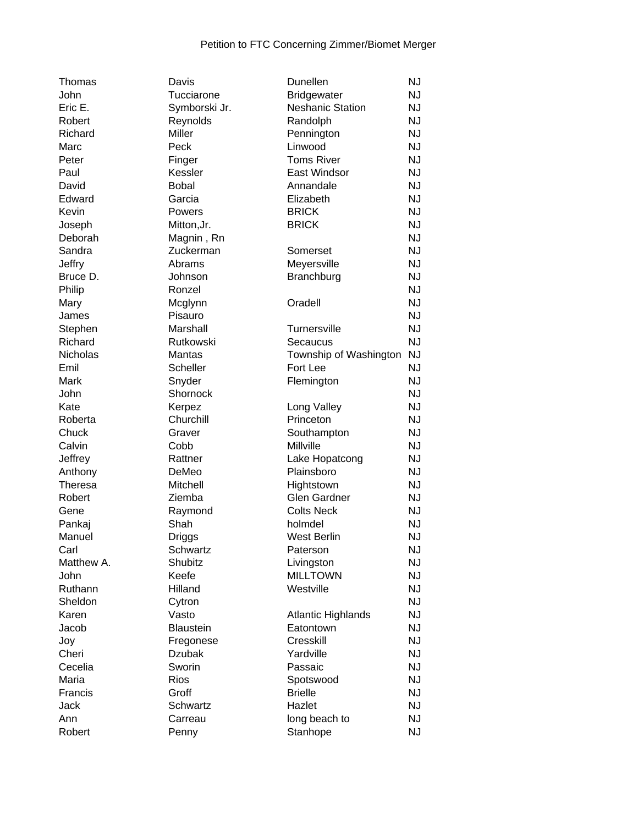| Thomas                   | Davis               | Dunellen                          | <b>NJ</b> |
|--------------------------|---------------------|-----------------------------------|-----------|
| John                     | Tucciarone          | <b>Bridgewater</b>                | <b>NJ</b> |
| Eric E.                  | Symborski Jr.       | <b>Neshanic Station</b>           | <b>NJ</b> |
| Robert                   | Reynolds            | Randolph                          | <b>NJ</b> |
| Richard                  | Miller              | Pennington                        | <b>NJ</b> |
| Marc                     | Peck                | Linwood                           | <b>NJ</b> |
| Peter                    | Finger              | <b>Toms River</b>                 | <b>NJ</b> |
| Paul                     | Kessler             | East Windsor                      | <b>NJ</b> |
| David                    | <b>Bobal</b>        | Annandale                         | <b>NJ</b> |
| Edward                   | Garcia              | Elizabeth                         | <b>NJ</b> |
| Kevin                    | Powers              | <b>BRICK</b>                      | <b>NJ</b> |
| Joseph                   | Mitton, Jr.         | <b>BRICK</b>                      | <b>NJ</b> |
| Deborah                  | Magnin, Rn          |                                   | <b>NJ</b> |
| Sandra                   | Zuckerman           | Somerset                          | <b>NJ</b> |
| <b>Jeffry</b>            | Abrams              | Meyersville                       | <b>NJ</b> |
| Bruce D.                 | Johnson             | Branchburg                        | <b>NJ</b> |
| Philip                   | Ronzel              |                                   | <b>NJ</b> |
| Mary                     | Mcglynn             | Oradell                           | <b>NJ</b> |
| James                    | Pisauro             |                                   | <b>NJ</b> |
| Stephen                  | Marshall            | Turnersville                      | <b>NJ</b> |
| Richard                  | Rutkowski           | Secaucus                          | <b>NJ</b> |
| Nicholas                 | <b>Mantas</b>       | Township of Washington            | <b>NJ</b> |
| Emil                     | Scheller            | Fort Lee                          | <b>NJ</b> |
| Mark                     | Snyder              | Flemington                        | <b>NJ</b> |
| John                     | Shornock            |                                   | <b>NJ</b> |
| Kate                     |                     |                                   | <b>NJ</b> |
| Roberta                  | Kerpez<br>Churchill | Long Valley<br>Princeton          | <b>NJ</b> |
| Chuck                    | Graver              | Southampton                       | <b>NJ</b> |
| Calvin                   | Cobb                | Millville                         | <b>NJ</b> |
|                          | Rattner             |                                   | <b>NJ</b> |
| Jeffrey                  | DeMeo               | Lake Hopatcong<br>Plainsboro      | <b>NJ</b> |
| Anthony                  |                     |                                   | <b>NJ</b> |
| <b>Theresa</b><br>Robert | Mitchell<br>Ziemba  | Hightstown<br><b>Glen Gardner</b> | <b>NJ</b> |
| Gene                     |                     | <b>Colts Neck</b>                 | <b>NJ</b> |
|                          | Raymond<br>Shah     | holmdel                           | <b>NJ</b> |
| Pankaj                   |                     |                                   | <b>NJ</b> |
| Manuel                   | Driggs<br>Schwartz  | <b>West Berlin</b>                | <b>NJ</b> |
| Carl<br>Matthew A.       | Shubitz             | Paterson                          | <b>NJ</b> |
| <b>John</b>              | Keefe               | Livingston<br><b>MILLTOWN</b>     |           |
| Ruthann                  | Hilland             | Westville                         | <b>NJ</b> |
|                          |                     |                                   | <b>NJ</b> |
| Sheldon                  | Cytron              |                                   | <b>NJ</b> |
| Karen                    | Vasto               | <b>Atlantic Highlands</b>         | <b>NJ</b> |
| Jacob                    | <b>Blaustein</b>    | Eatontown                         | <b>NJ</b> |
| Joy                      | Fregonese           | Cresskill                         | <b>NJ</b> |
| Cheri                    | <b>Dzubak</b>       | Yardville                         | <b>NJ</b> |
| Cecelia                  | Sworin              | Passaic                           | <b>NJ</b> |
| Maria                    | <b>Rios</b>         | Spotswood                         | <b>NJ</b> |
| Francis                  | Groff               | <b>Brielle</b>                    | <b>NJ</b> |
| Jack                     | Schwartz            | Hazlet                            | <b>NJ</b> |
| Ann                      | Carreau             | long beach to                     | <b>NJ</b> |
| Robert                   | Penny               | Stanhope                          | <b>NJ</b> |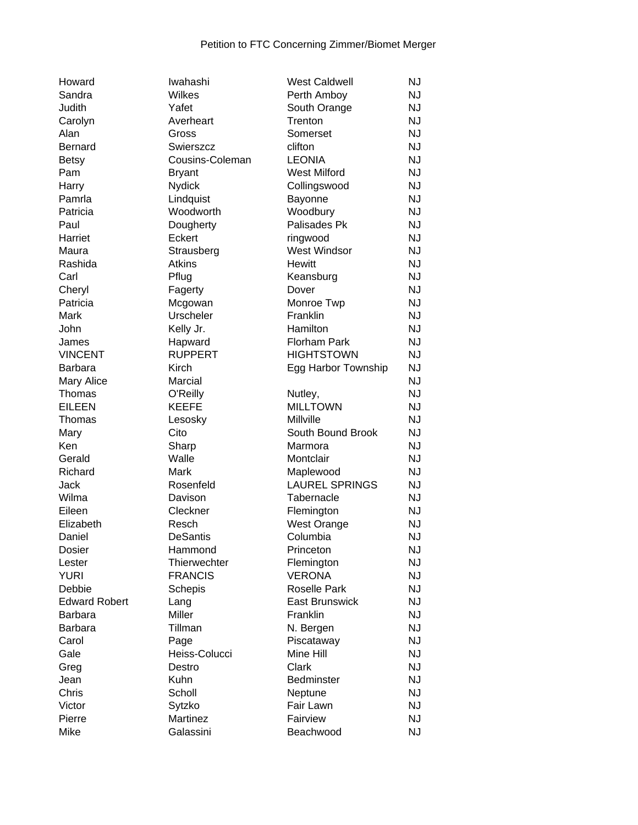| Howard               | Iwahashi        | <b>West Caldwell</b>  | NJ        |
|----------------------|-----------------|-----------------------|-----------|
| Sandra               | Wilkes          | Perth Amboy           | NJ        |
| Judith               | Yafet           | South Orange          | <b>NJ</b> |
| Carolyn              | Averheart       | Trenton               | <b>NJ</b> |
| Alan                 | Gross           | Somerset              | <b>NJ</b> |
| Bernard              | Swierszcz       | clifton               | <b>NJ</b> |
| <b>Betsy</b>         | Cousins-Coleman | <b>LEONIA</b>         | <b>NJ</b> |
| Pam                  | <b>Bryant</b>   | <b>West Milford</b>   | <b>NJ</b> |
| Harry                | <b>Nydick</b>   | Collingswood          | <b>NJ</b> |
| Pamrla               | Lindquist       | Bayonne               | <b>NJ</b> |
| Patricia             | Woodworth       | Woodbury              | <b>NJ</b> |
| Paul                 | Dougherty       | Palisades Pk          | <b>NJ</b> |
| Harriet              | Eckert          | ringwood              | <b>NJ</b> |
| Maura                | Strausberg      | <b>West Windsor</b>   | <b>NJ</b> |
| Rashida              | <b>Atkins</b>   | <b>Hewitt</b>         | <b>NJ</b> |
| Carl                 | Pflug           | Keansburg             | <b>NJ</b> |
| Cheryl               | Fagerty         | Dover                 | <b>NJ</b> |
| Patricia             | Mcgowan         | Monroe Twp            | <b>NJ</b> |
| Mark                 | Urscheler       | Franklin              | <b>NJ</b> |
| John                 | Kelly Jr.       | Hamilton              | <b>NJ</b> |
| James                | Hapward         | <b>Florham Park</b>   | <b>NJ</b> |
| <b>VINCENT</b>       | <b>RUPPERT</b>  | <b>HIGHTSTOWN</b>     | <b>NJ</b> |
| <b>Barbara</b>       | Kirch           | Egg Harbor Township   | <b>NJ</b> |
| Mary Alice           | Marcial         |                       | <b>NJ</b> |
| Thomas               | O'Reilly        | Nutley,               | <b>NJ</b> |
| <b>EILEEN</b>        | <b>KEEFE</b>    | <b>MILLTOWN</b>       | <b>NJ</b> |
| Thomas               | Lesosky         | Millville             | <b>NJ</b> |
| Mary                 | Cito            | South Bound Brook     | <b>NJ</b> |
| Ken                  | Sharp           | Marmora               | <b>NJ</b> |
| Gerald               | Walle           | Montclair             | <b>NJ</b> |
| Richard              | Mark            | Maplewood             | <b>NJ</b> |
| Jack                 | Rosenfeld       | <b>LAUREL SPRINGS</b> | <b>NJ</b> |
| Wilma                | Davison         | Tabernacle            | <b>NJ</b> |
| Eileen               | Cleckner        | Flemington            | <b>NJ</b> |
| Elizabeth            | Resch           | West Orange           | <b>NJ</b> |
| Daniel               | <b>DeSantis</b> | Columbia              | <b>NJ</b> |
| Dosier               | Hammond         | Princeton             | <b>NJ</b> |
| Lester               | Thierwechter    | Flemington            | <b>NJ</b> |
| <b>YURI</b>          | <b>FRANCIS</b>  | <b>VERONA</b>         | <b>NJ</b> |
| Debbie               | Schepis         | <b>Roselle Park</b>   | <b>NJ</b> |
| <b>Edward Robert</b> | Lang            | <b>East Brunswick</b> | <b>NJ</b> |
| <b>Barbara</b>       | Miller          | Franklin              | <b>NJ</b> |
| Barbara              | Tillman         | N. Bergen             | <b>NJ</b> |
| Carol                | Page            | Piscataway            | <b>NJ</b> |
| Gale                 | Heiss-Colucci   | Mine Hill             | <b>NJ</b> |
| Greg                 | Destro          | Clark                 | <b>NJ</b> |
| Jean                 | Kuhn            | Bedminster            | <b>NJ</b> |
| Chris                | Scholl          | Neptune               | <b>NJ</b> |
| Victor               | Sytzko          | Fair Lawn             | <b>NJ</b> |
| Pierre               | Martinez        | Fairview              | NJ        |
| Mike                 | Galassini       | Beachwood             | <b>NJ</b> |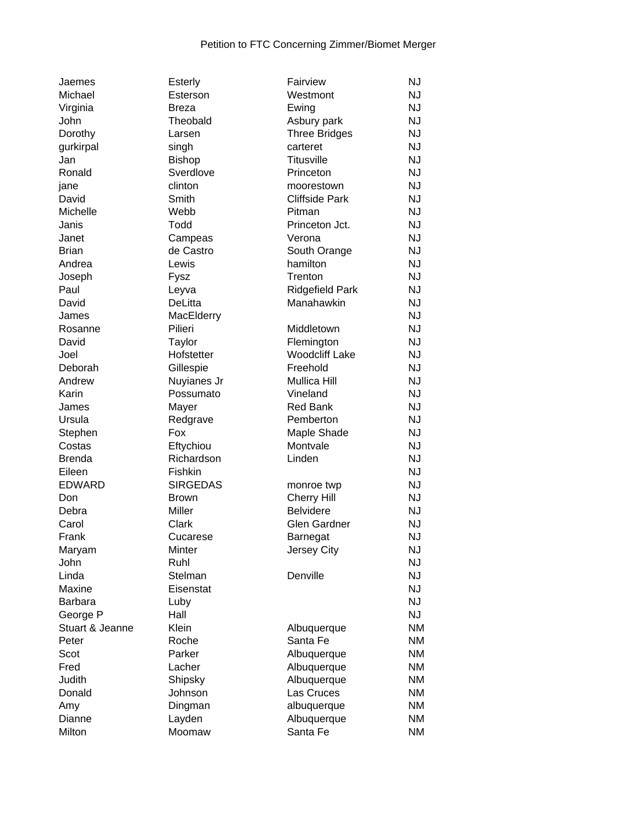| Jaemes         |
|----------------|
| Michael        |
| Virginia       |
| John           |
| Dorothy        |
| gurkirpal      |
| Jan            |
| Ronald         |
| jane           |
| David          |
| Michelle       |
| Janis          |
| Janet          |
| <b>Brian</b>   |
| Andrea         |
| Joseph         |
| Paul           |
| David          |
| James          |
| Rosanne        |
| David          |
| Joel           |
| Deborah        |
| Andrew         |
| Karin          |
| James          |
| Ursula         |
| Stephen        |
| Costas         |
| Brenda         |
|                |
| Eileen         |
| EDWARD         |
| Don            |
| Debra          |
| Carol          |
| Frank          |
| Maryam         |
| John           |
| Linda          |
| Maxine         |
| Barbara        |
| George P       |
| Stuart & Jeann |
| Peter          |
| Scot           |
| Fred           |
| Judith         |
| Donald         |
| Amy            |
| Dianne         |

| Jaemes          | <b>Esterly</b>  | Fairview              | <b>NJ</b> |
|-----------------|-----------------|-----------------------|-----------|
| Michael         | Esterson        | Westmont              | <b>NJ</b> |
| Virginia        | Breza           | Ewing                 | <b>NJ</b> |
| John            | Theobald        | Asbury park           | <b>NJ</b> |
| Dorothy         | Larsen          | <b>Three Bridges</b>  | <b>NJ</b> |
| gurkirpal       | singh           | carteret              | <b>NJ</b> |
| Jan             | <b>Bishop</b>   | <b>Titusville</b>     | <b>NJ</b> |
| Ronald          | Sverdlove       | Princeton             | <b>NJ</b> |
| jane            | clinton         | moorestown            | <b>NJ</b> |
| David           | Smith           | <b>Cliffside Park</b> | <b>NJ</b> |
| Michelle        | Webb            | Pitman                | <b>NJ</b> |
| Janis           | Todd            | Princeton Jct.        | <b>NJ</b> |
| Janet           | Campeas         | Verona                | <b>NJ</b> |
| <b>Brian</b>    | de Castro       | South Orange          | <b>NJ</b> |
| Andrea          | Lewis           | hamilton              | <b>NJ</b> |
| Joseph          | Fysz            | Trenton               | <b>NJ</b> |
| Paul            | Leyva           | Ridgefield Park       | <b>NJ</b> |
| David           | DeLitta         | Manahawkin            | <b>NJ</b> |
| James           | MacElderry      |                       | <b>NJ</b> |
| Rosanne         | Pilieri         | Middletown            | <b>NJ</b> |
| David           | Taylor          | Flemington            | <b>NJ</b> |
| Joel            | Hofstetter      | <b>Woodcliff Lake</b> | <b>NJ</b> |
| Deborah         | Gillespie       | Freehold              | <b>NJ</b> |
| Andrew          |                 | Mullica Hill          | <b>NJ</b> |
|                 | Nuyianes Jr     |                       | <b>NJ</b> |
| Karin           | Possumato       | Vineland              | <b>NJ</b> |
| James           | Mayer           | <b>Red Bank</b>       |           |
| Ursula          | Redgrave        | Pemberton             | <b>NJ</b> |
| Stephen         | Fox             | Maple Shade           | <b>NJ</b> |
| Costas          | Eftychiou       | Montvale              | <b>NJ</b> |
| <b>Brenda</b>   | Richardson      | Linden                | <b>NJ</b> |
| Eileen          | Fishkin         |                       | <b>NJ</b> |
| <b>EDWARD</b>   | <b>SIRGEDAS</b> | monroe twp            | <b>NJ</b> |
| Don             | <b>Brown</b>    | <b>Cherry Hill</b>    | <b>NJ</b> |
| Debra           | Miller          | <b>Belvidere</b>      | <b>NJ</b> |
| Carol           | Clark           | <b>Glen Gardner</b>   | <b>NJ</b> |
| Frank           | Cucarese        | Barnegat              | <b>NJ</b> |
| Maryam          | Minter          | <b>Jersey City</b>    | <b>NJ</b> |
| John            | Ruhl            |                       | <b>NJ</b> |
| Linda           | Stelman         | Denville              | <b>NJ</b> |
| Maxine          | Eisenstat       |                       | <b>NJ</b> |
| <b>Barbara</b>  | Luby            |                       | <b>NJ</b> |
| George P        | Hall            |                       | <b>NJ</b> |
| Stuart & Jeanne | Klein           | Albuquerque           | <b>NM</b> |
| Peter           | Roche           | Santa Fe              | <b>NM</b> |
| Scot            | Parker          | Albuquerque           | <b>NM</b> |
| Fred            | Lacher          | Albuquerque           | <b>NM</b> |
| Judith          | Shipsky         | Albuquerque           | <b>NM</b> |
| Donald          | Johnson         | Las Cruces            | <b>NM</b> |
| Amy             | Dingman         | albuquerque           | <b>NM</b> |
| Dianne          | Layden          | Albuquerque           | <b>NM</b> |
| Milton          | Moomaw          | Santa Fe              | <b>NM</b> |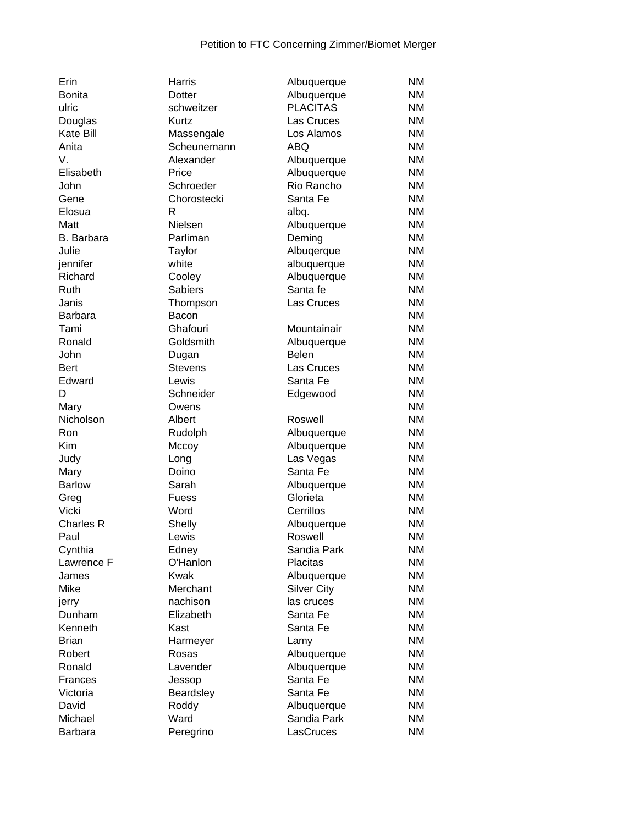| Erin              | Harris             | Albuquerque        | <b>NM</b> |
|-------------------|--------------------|--------------------|-----------|
| <b>Bonita</b>     | Dotter             | Albuquerque        | <b>NM</b> |
| ulric             | schweitzer         | <b>PLACITAS</b>    | ΝM        |
| Douglas           | Kurtz              | Las Cruces         | ΝM        |
| <b>Kate Bill</b>  | Massengale         | Los Alamos         | <b>NM</b> |
| Anita             | Scheunemann        | ABQ                | <b>NM</b> |
| V.                | Alexander          | Albuquerque        | <b>NM</b> |
| Elisabeth         | Price              | Albuquerque        | <b>NM</b> |
| John              | Schroeder          | Rio Rancho         | <b>NM</b> |
| Gene              | Chorostecki        | Santa Fe           | <b>NM</b> |
| Elosua            | R                  | albq.              | <b>NM</b> |
| Matt              | Nielsen            | Albuquerque        | <b>NM</b> |
| B. Barbara        | Parliman           | Deming             | <b>NM</b> |
| Julie             | <b>Taylor</b>      | Albuqerque         | <b>NM</b> |
| jennifer          | white              | albuquerque        | <b>NM</b> |
| Richard           | Cooley             | Albuquerque        | <b>NM</b> |
| Ruth              | <b>Sabiers</b>     | Santa fe           | ΝM        |
| Janis             | Thompson           | Las Cruces         | <b>NM</b> |
| <b>Barbara</b>    | Bacon              |                    | <b>NM</b> |
| Tami              | Ghafouri           | Mountainair        | <b>NM</b> |
| Ronald            | Goldsmith          | Albuquerque        | <b>NM</b> |
| John              | Dugan              | Belen              | <b>NM</b> |
| <b>Bert</b>       | <b>Stevens</b>     | Las Cruces         | <b>NM</b> |
| Edward            | Lewis              | Santa Fe           | <b>NM</b> |
|                   |                    |                    | <b>NM</b> |
| D                 | Schneider<br>Owens | Edgewood           | ΝM        |
| Mary<br>Nicholson |                    |                    | <b>NM</b> |
|                   | Albert             | Roswell            |           |
| Ron               | Rudolph            | Albuquerque        | ΝM        |
| Kim               | Mccoy              | Albuquerque        | ΝM        |
| Judy              | Long               | Las Vegas          | <b>NM</b> |
| Mary              | Doino              | Santa Fe           | ΝM        |
| <b>Barlow</b>     | Sarah              | Albuquerque        | <b>NM</b> |
| Greg              | Fuess              | Glorieta           | <b>NM</b> |
| Vicki             | Word               | Cerrillos          | <b>NM</b> |
| <b>Charles R</b>  | Shelly             | Albuquerque        | NM        |
| Paul              | Lewis              | Roswell            | <b>NM</b> |
| Cynthia           | Edney              | Sandia Park        | <b>NM</b> |
| Lawrence F        | O'Hanlon           | <b>Placitas</b>    | <b>NM</b> |
| James             | <b>Kwak</b>        | Albuquerque        | <b>NM</b> |
| <b>Mike</b>       | Merchant           | <b>Silver City</b> | <b>NM</b> |
| jerry             | nachison           | las cruces         | ΝM        |
| Dunham            | Elizabeth          | Santa Fe           | <b>NM</b> |
| Kenneth           | Kast               | Santa Fe           | <b>NM</b> |
| <b>Brian</b>      | Harmeyer           | Lamy               | <b>NM</b> |
| Robert            | Rosas              | Albuquerque        | ΝM        |
| Ronald            | Lavender           | Albuquerque        | <b>NM</b> |
| Frances           | Jessop             | Santa Fe           | <b>NM</b> |
| Victoria          | Beardsley          | Santa Fe           | <b>NM</b> |
| David             | Roddy              | Albuquerque        | NM        |
| Michael           | Ward               | Sandia Park        | NM        |
| Barbara           | Peregrino          | LasCruces          | NM        |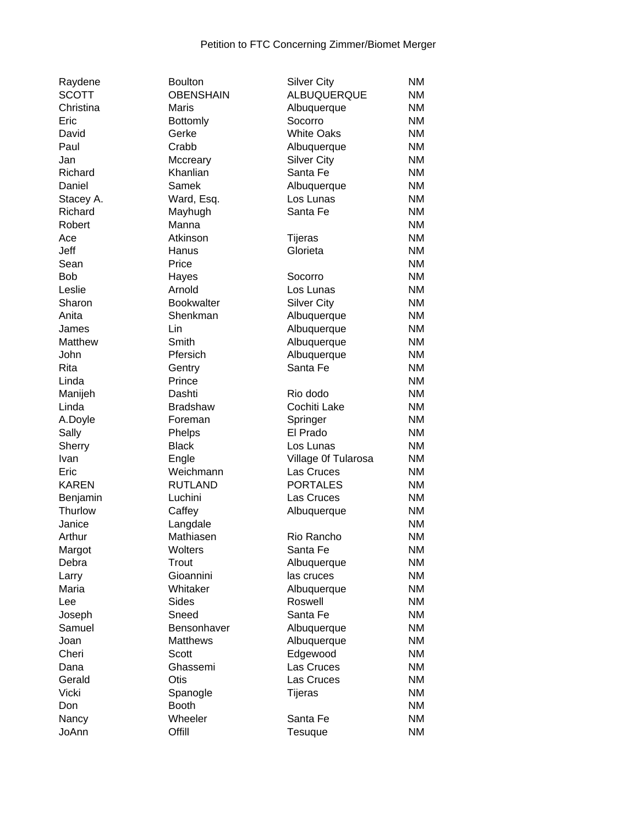| ALBUQUERQUE<br>Albuquerque<br>Socorro<br><b>White Oaks</b><br>Albuquerque<br><b>Silver City</b><br>Santa Fe | <b>NM</b><br>ΝM<br><b>NM</b><br><b>NM</b><br><b>NM</b><br><b>NM</b>                         |
|-------------------------------------------------------------------------------------------------------------|---------------------------------------------------------------------------------------------|
|                                                                                                             |                                                                                             |
|                                                                                                             |                                                                                             |
|                                                                                                             |                                                                                             |
|                                                                                                             |                                                                                             |
|                                                                                                             |                                                                                             |
|                                                                                                             |                                                                                             |
|                                                                                                             | <b>NM</b>                                                                                   |
|                                                                                                             | <b>NM</b>                                                                                   |
| Los Lunas                                                                                                   | <b>NM</b>                                                                                   |
| Santa Fe                                                                                                    | <b>NM</b>                                                                                   |
|                                                                                                             | <b>NM</b>                                                                                   |
| <b>Tijeras</b>                                                                                              | <b>NM</b>                                                                                   |
| Glorieta                                                                                                    | <b>NM</b>                                                                                   |
|                                                                                                             | <b>NM</b>                                                                                   |
| Socorro                                                                                                     | <b>NM</b>                                                                                   |
| Los Lunas                                                                                                   | <b>NM</b>                                                                                   |
| <b>Silver City</b>                                                                                          | <b>NM</b>                                                                                   |
| Albuquerque                                                                                                 | <b>NM</b>                                                                                   |
| Albuquerque                                                                                                 | <b>NM</b>                                                                                   |
| Albuquerque                                                                                                 | <b>NM</b>                                                                                   |
| Albuquerque                                                                                                 | <b>NM</b>                                                                                   |
| Santa Fe                                                                                                    | <b>NM</b>                                                                                   |
|                                                                                                             | <b>NM</b>                                                                                   |
| Rio dodo                                                                                                    | <b>NM</b>                                                                                   |
| Cochiti Lake                                                                                                | <b>NM</b>                                                                                   |
|                                                                                                             | <b>NM</b>                                                                                   |
| El Prado                                                                                                    | <b>NM</b>                                                                                   |
| Los Lunas                                                                                                   | <b>NM</b>                                                                                   |
|                                                                                                             | <b>NM</b>                                                                                   |
| Las Cruces                                                                                                  | <b>NM</b>                                                                                   |
| <b>PORTALES</b>                                                                                             | <b>NM</b>                                                                                   |
| Las Cruces                                                                                                  | ΝM                                                                                          |
|                                                                                                             | <b>NM</b>                                                                                   |
|                                                                                                             | <b>NM</b>                                                                                   |
| Rio Rancho                                                                                                  | <b>NM</b>                                                                                   |
| Santa Fe                                                                                                    | <b>NM</b>                                                                                   |
| Albuquerque                                                                                                 | <b>NM</b>                                                                                   |
| las cruces                                                                                                  | ΝM                                                                                          |
|                                                                                                             | <b>NM</b>                                                                                   |
| Roswell                                                                                                     | <b>NM</b>                                                                                   |
| Santa Fe                                                                                                    | <b>NM</b>                                                                                   |
|                                                                                                             | <b>NM</b>                                                                                   |
| Albuquerque                                                                                                 | <b>NM</b>                                                                                   |
| Edgewood                                                                                                    | <b>NM</b>                                                                                   |
| Las Cruces                                                                                                  | <b>NM</b>                                                                                   |
| Las Cruces                                                                                                  | <b>NM</b>                                                                                   |
| <b>Tijeras</b>                                                                                              | <b>NM</b>                                                                                   |
|                                                                                                             | <b>NM</b>                                                                                   |
| Santa Fe                                                                                                    | <b>NM</b>                                                                                   |
| Tesuque                                                                                                     | <b>NM</b>                                                                                   |
|                                                                                                             | Albuquerque<br>Springer<br>Village Of Tularosa<br>Albuquerque<br>Albuquerque<br>Albuquerque |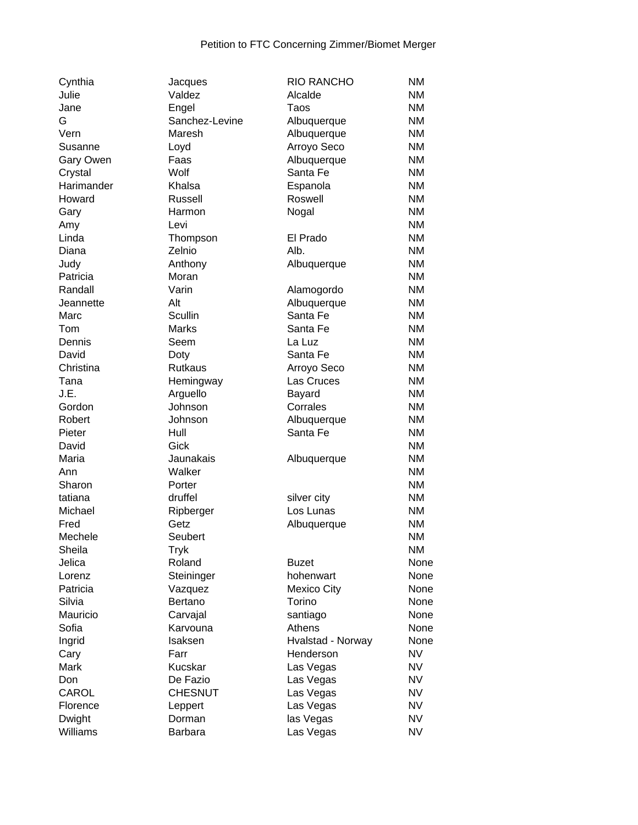| Cynthia    | Jacques        | <b>RIO RANCHO</b>  | <b>NM</b> |
|------------|----------------|--------------------|-----------|
| Julie      | Valdez         | Alcalde            | <b>NM</b> |
| Jane       | Engel          | Taos               | <b>NM</b> |
| G          | Sanchez-Levine | Albuquerque        | <b>NM</b> |
| Vern       | Maresh         | Albuquerque        | <b>NM</b> |
| Susanne    | Loyd           | Arroyo Seco        | <b>NM</b> |
| Gary Owen  | Faas           | Albuquerque        | <b>NM</b> |
| Crystal    | Wolf           | Santa Fe           | <b>NM</b> |
| Harimander | Khalsa         | Espanola           | <b>NM</b> |
| Howard     | Russell        | Roswell            | <b>NM</b> |
| Gary       | Harmon         | Nogal              | <b>NM</b> |
| Amy        | Levi           |                    | <b>NM</b> |
| Linda      | Thompson       | El Prado           | <b>NM</b> |
| Diana      | Zelnio         | Alb.               | <b>NM</b> |
| Judy       | Anthony        | Albuquerque        | <b>NM</b> |
| Patricia   | Moran          |                    | <b>NM</b> |
| Randall    | Varin          | Alamogordo         | <b>NM</b> |
| Jeannette  | Alt            | Albuquerque        | <b>NM</b> |
| Marc       | Scullin        | Santa Fe           | <b>NM</b> |
| Tom        | <b>Marks</b>   | Santa Fe           | <b>NM</b> |
| Dennis     | Seem           | La Luz             | <b>NM</b> |
|            |                |                    |           |
| David      | Doty           | Santa Fe           | <b>NM</b> |
| Christina  | Rutkaus        | Arroyo Seco        | <b>NM</b> |
| Tana       | Hemingway      | Las Cruces         | <b>NM</b> |
| J.E.       | Arguello       | Bayard             | <b>NM</b> |
| Gordon     | Johnson        | Corrales           | <b>NM</b> |
| Robert     | Johnson        | Albuquerque        | <b>NM</b> |
| Pieter     | Hull           | Santa Fe           | <b>NM</b> |
| David      | Gick           |                    | <b>NM</b> |
| Maria      | Jaunakais      | Albuquerque        | <b>NM</b> |
| Ann        | Walker         |                    | <b>NM</b> |
| Sharon     | Porter         |                    | <b>NM</b> |
| tatiana    | druffel        | silver city        | <b>NM</b> |
| Michael    | Ripberger      | Los Lunas          | <b>NM</b> |
| Fred       | Getz           | Albuquerque        | <b>NM</b> |
| Mechele    | Seubert        |                    | <b>NM</b> |
| Sheila     | <b>Tryk</b>    |                    | <b>NM</b> |
| Jelica     | Roland         | <b>Buzet</b>       | None      |
| Lorenz     | Steininger     | hohenwart          | None      |
| Patricia   | Vazquez        | <b>Mexico City</b> | None      |
| Silvia     | Bertano        | Torino             | None      |
| Mauricio   | Carvajal       | santiago           | None      |
| Sofia      | Karvouna       | Athens             | None      |
| Ingrid     | Isaksen        | Hvalstad - Norway  | None      |
| Cary       | Farr           | Henderson          | <b>NV</b> |
| Mark       | Kucskar        | Las Vegas          | <b>NV</b> |
| Don        | De Fazio       | Las Vegas          | <b>NV</b> |
| CAROL      | <b>CHESNUT</b> | Las Vegas          | <b>NV</b> |
| Florence   | Leppert        | Las Vegas          | <b>NV</b> |
| Dwight     | Dorman         | las Vegas          | <b>NV</b> |
| Williams   | Barbara        | Las Vegas          | <b>NV</b> |
|            |                |                    |           |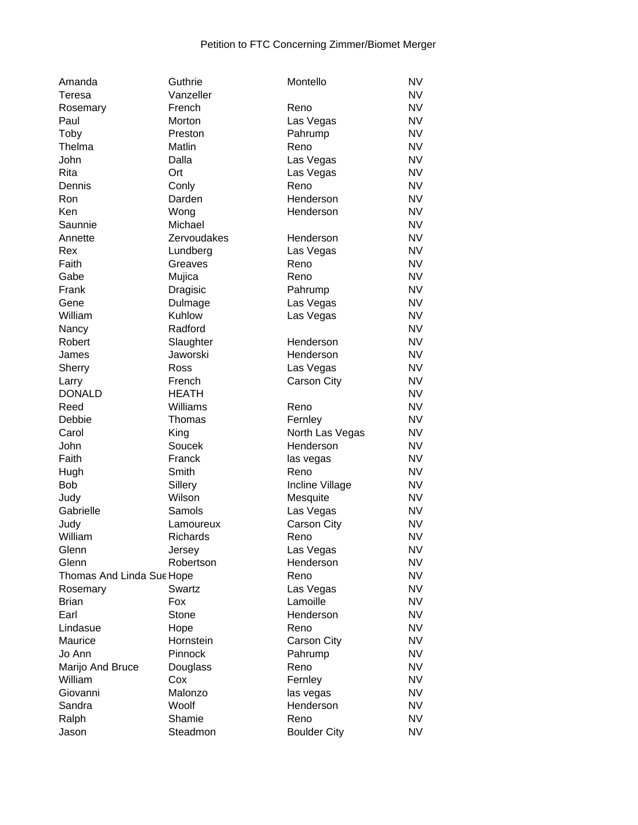| Amanda                    | Guthrie         | Montello            | <b>NV</b> |
|---------------------------|-----------------|---------------------|-----------|
| Teresa                    | Vanzeller       |                     | <b>NV</b> |
| Rosemary                  | French          | Reno                | <b>NV</b> |
| Paul                      | Morton          | Las Vegas           | <b>NV</b> |
| Toby                      | Preston         | Pahrump             | <b>NV</b> |
| Thelma                    | Matlin          | Reno                | <b>NV</b> |
| John                      | Dalla           | Las Vegas           | <b>NV</b> |
| Rita                      | Ort             | Las Vegas           | <b>NV</b> |
| Dennis                    | Conly           | Reno                | <b>NV</b> |
| Ron                       | Darden          | Henderson           | <b>NV</b> |
| Ken                       | Wong            | Henderson           | <b>NV</b> |
| Saunnie                   | Michael         |                     | <b>NV</b> |
| Annette                   | Zervoudakes     | Henderson           | <b>NV</b> |
| Rex                       | Lundberg        | Las Vegas           | <b>NV</b> |
| Faith                     | Greaves         | Reno                | <b>NV</b> |
| Gabe                      | Mujica          | Reno                | <b>NV</b> |
| Frank                     | Dragisic        | Pahrump             | <b>NV</b> |
| Gene                      | Dulmage         | Las Vegas           | <b>NV</b> |
| William                   | Kuhlow          | Las Vegas           | <b>NV</b> |
| Nancy                     | Radford         |                     | <b>NV</b> |
| Robert                    | Slaughter       | Henderson           | <b>NV</b> |
| James                     | Jaworski        | Henderson           | <b>NV</b> |
| Sherry                    | Ross            | Las Vegas           | <b>NV</b> |
|                           | French          |                     | <b>NV</b> |
| Larry<br><b>DONALD</b>    | <b>HEATH</b>    | Carson City         | <b>NV</b> |
|                           | Williams        |                     | <b>NV</b> |
| Reed                      |                 | Reno                |           |
| Debbie                    | Thomas          | Fernley             | <b>NV</b> |
| Carol                     | King            | North Las Vegas     | <b>NV</b> |
| John                      | Soucek          | Henderson           | <b>NV</b> |
| Faith                     | Franck          | las vegas           | <b>NV</b> |
| Hugh                      | Smith           | Reno                | <b>NV</b> |
| <b>Bob</b>                | Sillery         | Incline Village     | <b>NV</b> |
| Judy                      | Wilson          | Mesquite            | <b>NV</b> |
| Gabrielle                 | Samols          | Las Vegas           | <b>NV</b> |
| Judy                      | Lamoureux       | Carson City         | <b>NV</b> |
| William                   | <b>Richards</b> | Reno                | <b>NV</b> |
| Glenn                     | Jersey          | Las Vegas           | <b>NV</b> |
| Glenn                     | Robertson       | Henderson           | <b>NV</b> |
| Thomas And Linda Sue Hope |                 | Reno                | <b>NV</b> |
| Rosemary                  | Swartz          | Las Vegas           | <b>NV</b> |
| <b>Brian</b>              | <b>Fox</b>      | Lamoille            | <b>NV</b> |
| Earl                      | Stone           | Henderson           | <b>NV</b> |
| Lindasue                  | Hope            | Reno                | <b>NV</b> |
| Maurice                   | Hornstein       | Carson City         | <b>NV</b> |
| Jo Ann                    | Pinnock         | Pahrump             | <b>NV</b> |
| Marijo And Bruce          | Douglass        | Reno                | <b>NV</b> |
| William                   | Cox             | Fernley             | <b>NV</b> |
| Giovanni                  | Malonzo         | las vegas           | <b>NV</b> |
| Sandra                    | Woolf           | Henderson           | <b>NV</b> |
| Ralph                     | Shamie          | Reno                | <b>NV</b> |
| Jason                     | Steadmon        | <b>Boulder City</b> | <b>NV</b> |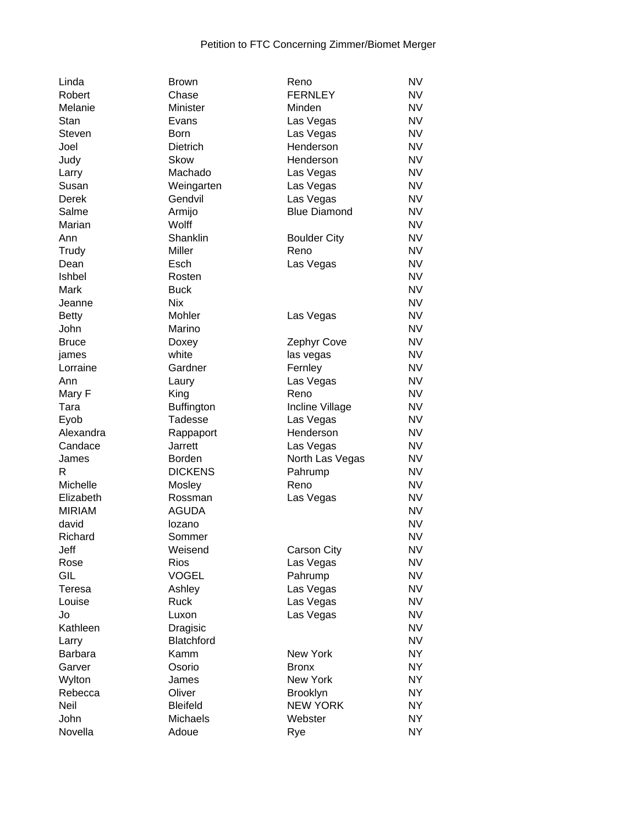| Linda          | <b>Brown</b>      | Reno                | <b>NV</b> |
|----------------|-------------------|---------------------|-----------|
| Robert         | Chase             | <b>FERNLEY</b>      | <b>NV</b> |
| Melanie        | Minister          | Minden              | <b>NV</b> |
| Stan           | Evans             | Las Vegas           | <b>NV</b> |
| <b>Steven</b>  | <b>Born</b>       | Las Vegas           | <b>NV</b> |
| Joel           | Dietrich          | Henderson           | <b>NV</b> |
| Judy           | <b>Skow</b>       | Henderson           | <b>NV</b> |
| Larry          | Machado           | Las Vegas           | <b>NV</b> |
| Susan          | Weingarten        | Las Vegas           | <b>NV</b> |
| <b>Derek</b>   | Gendvil           | Las Vegas           | <b>NV</b> |
| Salme          | Armijo            | <b>Blue Diamond</b> | <b>NV</b> |
|                | Wolff             |                     | <b>NV</b> |
| Marian         |                   |                     |           |
| Ann            | Shanklin          | <b>Boulder City</b> | <b>NV</b> |
| Trudy          | Miller            | Reno                | <b>NV</b> |
| Dean           | Esch              | Las Vegas           | <b>NV</b> |
| Ishbel         | Rosten            |                     | <b>NV</b> |
| Mark           | <b>Buck</b>       |                     | <b>NV</b> |
| Jeanne         | <b>Nix</b>        |                     | <b>NV</b> |
| <b>Betty</b>   | Mohler            | Las Vegas           | <b>NV</b> |
| John           | Marino            |                     | <b>NV</b> |
| <b>Bruce</b>   | Doxey             | Zephyr Cove         | <b>NV</b> |
| james          | white             | las vegas           | <b>NV</b> |
| Lorraine       | Gardner           | Fernley             | <b>NV</b> |
| Ann            | Laury             | Las Vegas           | <b>NV</b> |
| Mary F         | King              | Reno                | <b>NV</b> |
| Tara           | <b>Buffington</b> | Incline Village     | <b>NV</b> |
| Eyob           | Tadesse           | Las Vegas           | <b>NV</b> |
| Alexandra      | Rappaport         | Henderson           | <b>NV</b> |
| Candace        | <b>Jarrett</b>    | Las Vegas           | <b>NV</b> |
| James          | Borden            | North Las Vegas     | <b>NV</b> |
| R              | <b>DICKENS</b>    | Pahrump             | <b>NV</b> |
| Michelle       |                   | Reno                | <b>NV</b> |
|                | Mosley            |                     |           |
| Elizabeth      | Rossman           | Las Vegas           | <b>NV</b> |
| <b>MIRIAM</b>  | <b>AGUDA</b>      |                     | <b>NV</b> |
| david          | lozano            |                     | <b>NV</b> |
| Richard        | Sommer            |                     | <b>NV</b> |
| Jeff           | Weisend           | Carson City         | <b>NV</b> |
| Rose           | <b>Rios</b>       | Las Vegas           | <b>NV</b> |
| GIL            | <b>VOGEL</b>      | Pahrump             | <b>NV</b> |
| Teresa         | Ashley            | Las Vegas           | <b>NV</b> |
| Louise         | Ruck              | Las Vegas           | <b>NV</b> |
| Jo             | Luxon             | Las Vegas           | <b>NV</b> |
| Kathleen       | Dragisic          |                     | <b>NV</b> |
| Larry          | <b>Blatchford</b> |                     | <b>NV</b> |
| <b>Barbara</b> | Kamm              | <b>New York</b>     | <b>NY</b> |
| Garver         | Osorio            | <b>Bronx</b>        | <b>NY</b> |
| Wylton         | James             | New York            | <b>NY</b> |
| Rebecca        | Oliver            | <b>Brooklyn</b>     | <b>NY</b> |
| Neil           | <b>Bleifeld</b>   | <b>NEW YORK</b>     | <b>NY</b> |
| John           | Michaels          | Webster             | <b>NY</b> |
|                |                   |                     |           |
| Novella        | Adoue             | Rye                 | <b>NY</b> |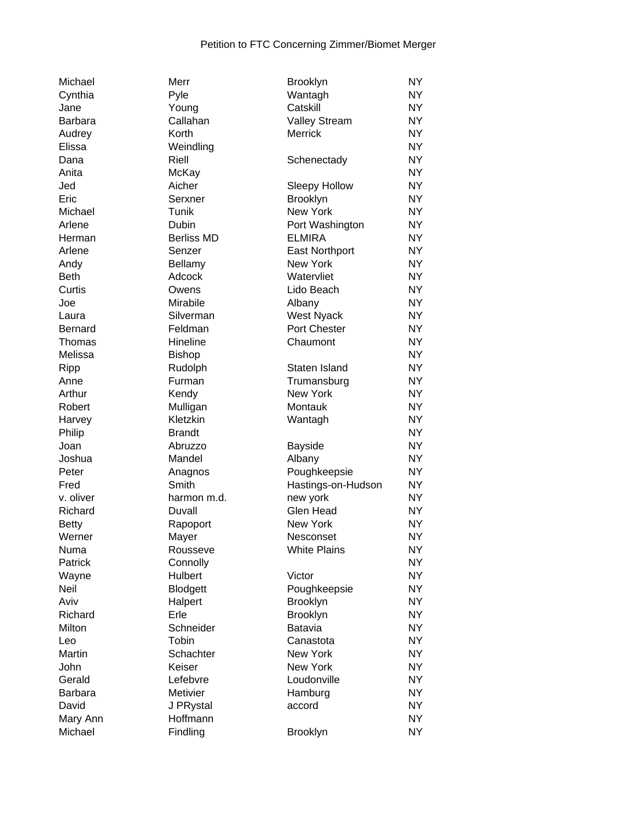| Michael        | Merr              | Brooklyn              | <b>NY</b>      |
|----------------|-------------------|-----------------------|----------------|
| Cynthia        | Pyle              | Wantagh               | NY <sub></sub> |
| Jane           | Young             | Catskill              | NY <sub></sub> |
| <b>Barbara</b> | Callahan          | <b>Valley Stream</b>  | NY <sub></sub> |
| Audrey         | Korth             | <b>Merrick</b>        | NY <sub></sub> |
| Elissa         | Weindling         |                       | NY <sub></sub> |
| Dana           | Riell             | Schenectady           | NY <sub></sub> |
| Anita          | McKay             |                       | <b>NY</b>      |
| Jed            | Aicher            | Sleepy Hollow         | <b>NY</b>      |
| Eric           | Serxner           | Brooklyn              | <b>NY</b>      |
| Michael        | Tunik             | New York              | <b>NY</b>      |
| Arlene         | Dubin             | Port Washington       | <b>NY</b>      |
| Herman         | <b>Berliss MD</b> | <b>ELMIRA</b>         | <b>NY</b>      |
| Arlene         | Senzer            | <b>East Northport</b> | <b>NY</b>      |
| Andy           | Bellamy           | New York              | <b>NY</b>      |
| <b>Beth</b>    | Adcock            | Watervliet            | <b>NY</b>      |
| Curtis         | Owens             | Lido Beach            | NY <sub></sub> |
| Joe            | Mirabile          | Albany                | <b>NY</b>      |
| Laura          | Silverman         | <b>West Nyack</b>     | <b>NY</b>      |
| <b>Bernard</b> | Feldman           | Port Chester          | <b>NY</b>      |
| Thomas         | Hineline          | Chaumont              | <b>NY</b>      |
| Melissa        | <b>Bishop</b>     |                       | <b>NY</b>      |
| Ripp           | Rudolph           | Staten Island         | <b>NY</b>      |
| Anne           | Furman            | Trumansburg           | <b>NY</b>      |
|                |                   | <b>New York</b>       | <b>NY</b>      |
| Arthur         | Kendy             |                       | <b>NY</b>      |
| Robert         | Mulligan          | Montauk               |                |
| Harvey         | Kletzkin          | Wantagh               | <b>NY</b>      |
| Philip         | <b>Brandt</b>     |                       | <b>NY</b>      |
| Joan           | Abruzzo           | <b>Bayside</b>        | <b>NY</b>      |
| Joshua         | Mandel            | Albany                | NY <sub></sub> |
| Peter          | Anagnos           | Poughkeepsie          | NY <sub></sub> |
| Fred           | Smith             | Hastings-on-Hudson    | <b>NY</b>      |
| v. oliver      | harmon m.d.       | new york              | <b>NY</b>      |
| Richard        | Duvall            | <b>Glen Head</b>      | <b>NY</b>      |
| <b>Betty</b>   | Rapoport          | New York              | NY <sub></sub> |
| Werner         | Mayer             | Nesconset             | NY             |
| Numa           | Rousseve          | <b>White Plains</b>   | NY.            |
| Patrick        | Connolly          |                       | NY             |
| Wayne          | <b>Hulbert</b>    | Victor                | <b>NY</b>      |
| Neil           | Blodgett          | Poughkeepsie          | <b>NY</b>      |
| Aviv           | Halpert           | <b>Brooklyn</b>       | <b>NY</b>      |
| Richard        | Erle              | Brooklyn              | <b>NY</b>      |
| Milton         | Schneider         | Batavia               | NY <sub></sub> |
| Leo            | Tobin             | Canastota             | <b>NY</b>      |
| Martin         | Schachter         | New York              | <b>NY</b>      |
| John           | Keiser            | New York              | NY <sub></sub> |
| Gerald         | Lefebvre          | Loudonville           | NY             |
| <b>Barbara</b> | Metivier          | Hamburg               | <b>NY</b>      |
| David          | J PRystal         | accord                | <b>NY</b>      |
| Mary Ann       | Hoffmann          |                       | <b>NY</b>      |
| Michael        | Findling          | <b>Brooklyn</b>       | <b>NY</b>      |
|                |                   |                       |                |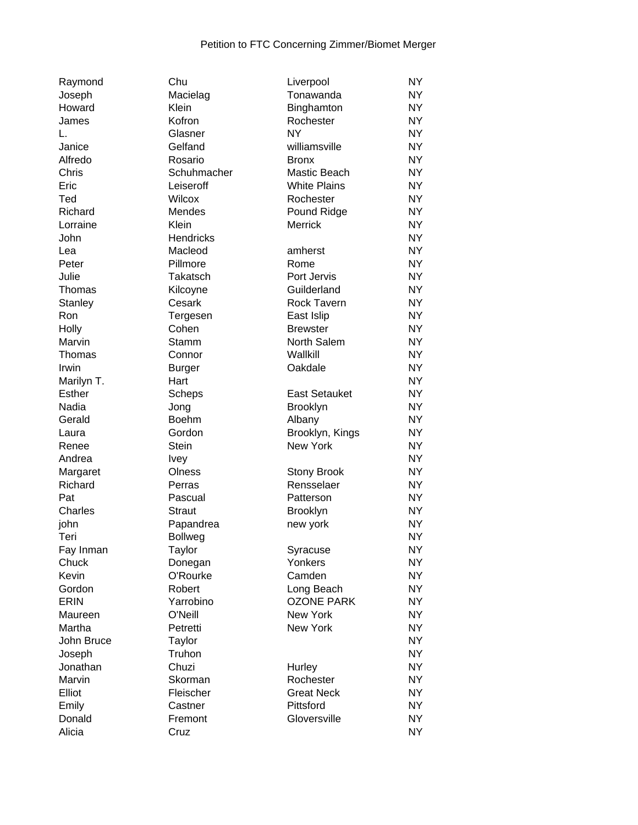| Raymond        | Chu              | Liverpool            | <b>NY</b> |
|----------------|------------------|----------------------|-----------|
| Joseph         | Macielag         | Tonawanda            | NY.       |
| Howard         | Klein            | Binghamton           | <b>NY</b> |
| James          | Kofron           | Rochester            | <b>NY</b> |
| L.             | Glasner          | <b>NY</b>            | <b>NY</b> |
| Janice         | Gelfand          | williamsville        | <b>NY</b> |
| Alfredo        | Rosario          | <b>Bronx</b>         | <b>NY</b> |
| Chris          | Schuhmacher      | Mastic Beach         | <b>NY</b> |
| Eric           | Leiseroff        | <b>White Plains</b>  | <b>NY</b> |
| Ted            | Wilcox           | Rochester            | <b>NY</b> |
| Richard        | Mendes           | Pound Ridge          | NY.       |
| Lorraine       | Klein            | Merrick              | <b>NY</b> |
| John           | <b>Hendricks</b> |                      | <b>NY</b> |
|                |                  |                      |           |
| Lea            | Macleod          | amherst              | <b>NY</b> |
| Peter          | Pillmore         | Rome                 | <b>NY</b> |
| Julie          | Takatsch         | Port Jervis          | <b>NY</b> |
| Thomas         | Kilcoyne         | Guilderland          | NY.       |
| <b>Stanley</b> | Cesark           | <b>Rock Tavern</b>   | NY.       |
| Ron            | Tergesen         | East Islip           | NY.       |
| Holly          | Cohen            | <b>Brewster</b>      | NY.       |
| Marvin         | Stamm            | North Salem          | NY.       |
| Thomas         | Connor           | Wallkill             | <b>NY</b> |
| Irwin          | <b>Burger</b>    | Oakdale              | <b>NY</b> |
| Marilyn T.     | Hart             |                      | NY.       |
| <b>Esther</b>  | Scheps           | <b>East Setauket</b> | <b>NY</b> |
| Nadia          | Jong             | <b>Brooklyn</b>      | <b>NY</b> |
| Gerald         | Boehm            | Albany               | <b>NY</b> |
| Laura          | Gordon           | Brooklyn, Kings      | <b>NY</b> |
| Renee          | <b>Stein</b>     | <b>New York</b>      | <b>NY</b> |
| Andrea         | <b>Ivey</b>      |                      | <b>NY</b> |
| Margaret       | Olness           | <b>Stony Brook</b>   | NY.       |
| Richard        | Perras           | Rensselaer           | <b>NY</b> |
| Pat            | Pascual          | Patterson            | NY.       |
| Charles        | <b>Straut</b>    | <b>Brooklyn</b>      | NY.       |
| john           | Papandrea        | new york             | <b>NY</b> |
| Teri           | <b>Bollweg</b>   |                      | NY        |
| Fay Inman      | Taylor           | Syracuse             | NY.       |
| Chuck          | Donegan          | Yonkers              | <b>NY</b> |
| Kevin          | O'Rourke         | Camden               | <b>NY</b> |
| Gordon         | Robert           | Long Beach           | <b>NY</b> |
| ERIN           | Yarrobino        | <b>OZONE PARK</b>    | <b>NY</b> |
| Maureen        | O'Neill          | New York             | <b>NY</b> |
| Martha         | Petretti         | New York             | <b>NY</b> |
|                |                  |                      | <b>NY</b> |
| John Bruce     | Taylor<br>Truhon |                      |           |
| Joseph         |                  |                      | <b>NY</b> |
| Jonathan       | Chuzi            | Hurley               | <b>NY</b> |
| Marvin         | Skorman          | Rochester            | <b>NY</b> |
| Elliot         | Fleischer        | <b>Great Neck</b>    | <b>NY</b> |
| Emily          | Castner          | Pittsford            | NY.       |
| Donald         | Fremont          | Gloversville         | NY.       |
| Alicia         | Cruz             |                      | NY.       |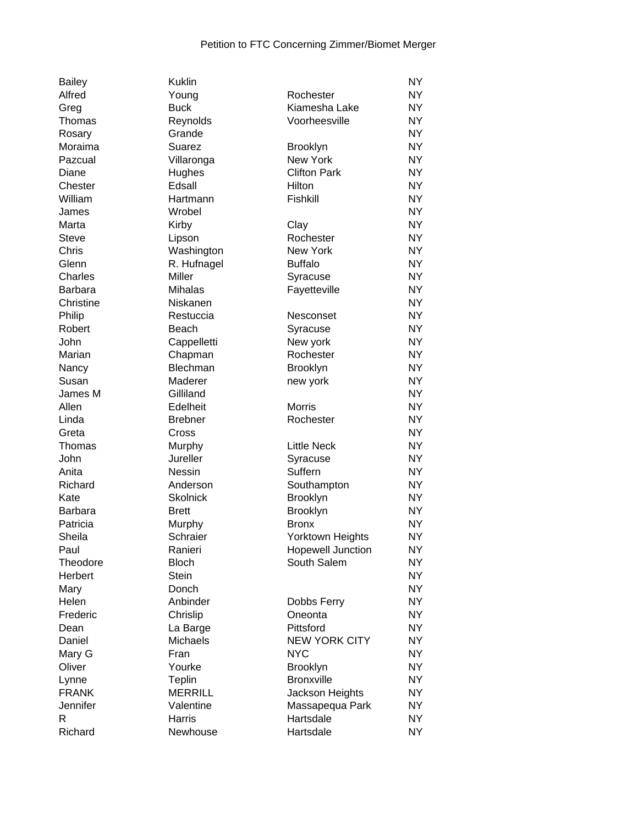| <b>Bailey</b>    | <b>Kuklin</b>   |                          | <b>NY</b> |
|------------------|-----------------|--------------------------|-----------|
| Alfred           | Young           | Rochester                | <b>NY</b> |
| Greg             | <b>Buck</b>     | Kiamesha Lake            | <b>NY</b> |
| Thomas           | Reynolds        | Voorheesville            | <b>NY</b> |
| Rosary           | Grande          |                          | <b>NY</b> |
| Moraima          | Suarez          | <b>Brooklyn</b>          | <b>NY</b> |
| Pazcual          | Villaronga      | New York                 | <b>NY</b> |
| Diane            | Hughes          | <b>Clifton Park</b>      | <b>NY</b> |
| Chester          | Edsall          | Hilton                   | <b>NY</b> |
| William          | Hartmann        | Fishkill                 | <b>NY</b> |
| James            | Wrobel          |                          | <b>NY</b> |
| Marta            | Kirby           | Clay                     | <b>NY</b> |
| <b>Steve</b>     | Lipson          | Rochester                | <b>NY</b> |
| Chris            | Washington      | New York                 | <b>NY</b> |
| Glenn            | R. Hufnagel     | <b>Buffalo</b>           | <b>NY</b> |
| Charles          | <b>Miller</b>   | Syracuse                 | <b>NY</b> |
| <b>Barbara</b>   | Mihalas         | Fayetteville             | <b>NY</b> |
| Christine        | Niskanen        |                          | <b>NY</b> |
| Philip           | Restuccia       | Nesconset                | <b>NY</b> |
| Robert           | Beach           | Syracuse                 | <b>NY</b> |
| John             | Cappelletti     | New york                 | <b>NY</b> |
| Marian           | Chapman         | Rochester                | <b>NY</b> |
| Nancy            | Blechman        | <b>Brooklyn</b>          | <b>NY</b> |
| Susan            | Maderer         |                          | <b>NY</b> |
|                  | Gilliland       | new york                 | <b>NY</b> |
| James M<br>Allen | Edelheit        | <b>Morris</b>            | <b>NY</b> |
|                  |                 |                          |           |
| Linda            | <b>Brebner</b>  | Rochester                | <b>NY</b> |
| Greta            | Cross           |                          | <b>NY</b> |
| Thomas           | Murphy          | <b>Little Neck</b>       | <b>NY</b> |
| John             | Jureller        | Syracuse                 | <b>NY</b> |
| Anita            | Nessin          | Suffern                  | <b>NY</b> |
| Richard          | Anderson        | Southampton              | <b>NY</b> |
| Kate             | <b>Skolnick</b> | <b>Brooklyn</b>          | <b>NY</b> |
| <b>Barbara</b>   | <b>Brett</b>    | Brooklyn                 | <b>NY</b> |
| Patricia         | Murphy          | <b>Bronx</b>             | <b>NY</b> |
| Sheila           | Schraier        | <b>Yorktown Heights</b>  | <b>NY</b> |
| Paul             | Ranieri         | <b>Hopewell Junction</b> | <b>NY</b> |
| Theodore         | <b>Bloch</b>    | South Salem              | <b>NY</b> |
| Herbert          | <b>Stein</b>    |                          | <b>NY</b> |
| Mary             | Donch           |                          | <b>NY</b> |
| Helen            | Anbinder        | Dobbs Ferry              | <b>NY</b> |
| Frederic         | Chrislip        | Oneonta                  | <b>NY</b> |
| Dean             | La Barge        | Pittsford                | <b>NY</b> |
| Daniel           | <b>Michaels</b> | <b>NEW YORK CITY</b>     | <b>NY</b> |
| Mary G           | Fran            | <b>NYC</b>               | <b>NY</b> |
| Oliver           | Yourke          | <b>Brooklyn</b>          | <b>NY</b> |
| Lynne            | Teplin          | <b>Bronxville</b>        | <b>NY</b> |
| <b>FRANK</b>     | <b>MERRILL</b>  | Jackson Heights          | <b>NY</b> |
| Jennifer         | Valentine       | Massapequa Park          | <b>NY</b> |
| R                | Harris          | Hartsdale                | <b>NY</b> |
| Richard          | Newhouse        | Hartsdale                | <b>NY</b> |
|                  |                 |                          |           |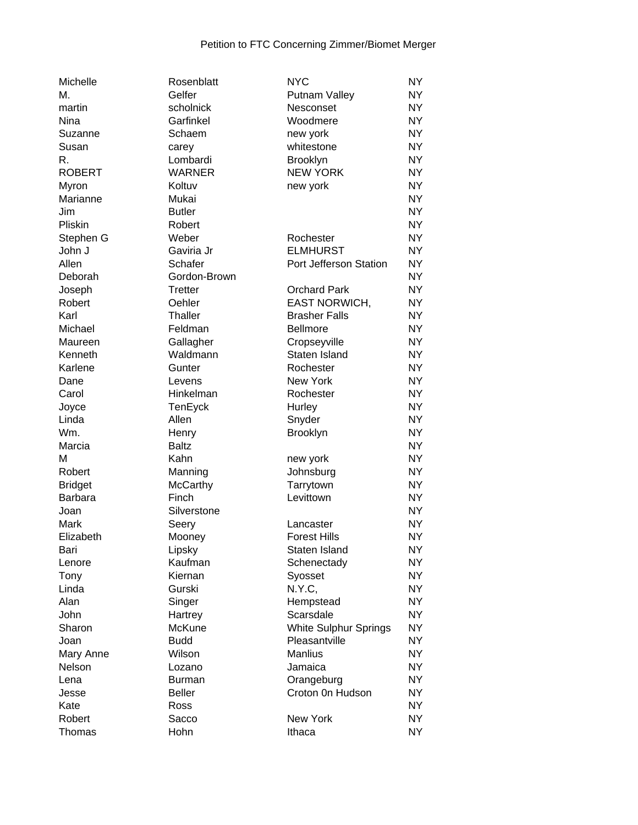| М.<br>Gelfer<br><b>NY</b><br>Putnam Valley<br>scholnick<br><b>NY</b><br>martin<br>Nesconset<br>Garfinkel<br><b>NY</b><br>Nina<br>Woodmere<br><b>NY</b><br>Schaem<br>Suzanne<br>new york<br>whitestone<br><b>NY</b><br>Susan<br>carey<br>R.<br>Lombardi<br><b>NY</b><br><b>Brooklyn</b><br><b>NEW YORK</b><br><b>ROBERT</b><br><b>WARNER</b><br><b>NY</b><br><b>NY</b><br>Myron<br>Koltuv<br>new york<br><b>NY</b><br>Marianne<br>Mukai<br><b>NY</b><br><b>Butler</b><br>Jim<br><b>NY</b><br>Pliskin<br>Robert<br><b>NY</b><br>Stephen G<br>Weber<br>Rochester<br>Gaviria Jr<br><b>ELMHURST</b><br><b>NY</b><br>John J<br>Allen<br><b>NY</b><br>Schafer<br>Port Jefferson Station<br>Gordon-Brown<br><b>NY</b><br>Deborah<br><b>NY</b><br><b>Tretter</b><br><b>Orchard Park</b><br>Joseph<br>Oehler<br><b>EAST NORWICH,</b><br><b>NY</b><br>Robert<br>Karl<br>Thaller<br><b>Brasher Falls</b><br><b>NY</b><br><b>NY</b><br>Michael<br>Feldman<br><b>Bellmore</b><br><b>NY</b><br>Gallagher<br>Cropseyville<br>Maureen<br>Waldmann<br>Staten Island<br><b>NY</b><br>Kenneth<br>Karlene<br><b>NY</b><br>Gunter<br>Rochester<br>New York<br><b>NY</b><br>Dane<br>Levens<br><b>NY</b><br>Carol<br>Hinkelman<br>Rochester<br><b>NY</b><br>Joyce<br>Hurley<br>TenEyck<br>Allen<br>Linda<br>Snyder<br><b>NY</b><br>Wm.<br><b>NY</b><br><b>Brooklyn</b><br>Henry<br><b>NY</b><br>Marcia<br><b>Baltz</b><br>M<br>Kahn<br><b>NY</b><br>new york<br><b>NY</b><br>Robert<br>Manning<br>Johnsburg<br><b>McCarthy</b><br><b>NY</b><br><b>Bridget</b><br>Tarrytown<br><b>Barbara</b><br>Finch<br>Levittown<br><b>NY</b><br>Silverstone<br><b>NY</b><br>Joan<br><b>NY</b><br>Mark<br>Seery<br>Lancaster<br><b>NY</b><br>Elizabeth<br>Mooney<br><b>Forest Hills</b><br>Lipsky<br>Staten Island<br><b>NY</b><br>Bari<br>Kaufman<br><b>NY</b><br>Schenectady<br>Lenore<br>Kiernan<br>Syosset<br><b>NY</b><br>Tony<br>N.Y.C,<br><b>NY</b><br>Linda<br>Gurski<br>Singer<br><b>NY</b><br>Alan<br>Hempstead<br>Scarsdale<br><b>NY</b><br>John<br>Hartrey<br>Sharon<br>McKune<br>White Sulphur Springs<br><b>NY</b><br><b>NY</b><br>Pleasantville<br>Joan<br><b>Budd</b><br>Wilson<br><b>Manlius</b><br><b>NY</b><br>Mary Anne<br>Nelson<br><b>NY</b><br>Jamaica<br>Lozano<br><b>NY</b><br>Lena<br>Orangeburg<br><b>Burman</b><br><b>Beller</b><br>Croton 0n Hudson<br>NY <sub></sub><br>Jesse<br><b>NY</b><br>Kate<br>Ross<br><b>NY</b><br>Robert<br>Sacco<br>New York<br><b>NY</b><br>Thomas<br>Hohn<br>Ithaca | Michelle | Rosenblatt | <b>NYC</b> | <b>NY</b> |
|-----------------------------------------------------------------------------------------------------------------------------------------------------------------------------------------------------------------------------------------------------------------------------------------------------------------------------------------------------------------------------------------------------------------------------------------------------------------------------------------------------------------------------------------------------------------------------------------------------------------------------------------------------------------------------------------------------------------------------------------------------------------------------------------------------------------------------------------------------------------------------------------------------------------------------------------------------------------------------------------------------------------------------------------------------------------------------------------------------------------------------------------------------------------------------------------------------------------------------------------------------------------------------------------------------------------------------------------------------------------------------------------------------------------------------------------------------------------------------------------------------------------------------------------------------------------------------------------------------------------------------------------------------------------------------------------------------------------------------------------------------------------------------------------------------------------------------------------------------------------------------------------------------------------------------------------------------------------------------------------------------------------------------------------------------------------------------------------------------------------------------------------------------------------------------------------------------------------------------------------------------------------------------------------------------------------------------------------------------------------------------------------------------------------------------------------------------------------------------------------|----------|------------|------------|-----------|
|                                                                                                                                                                                                                                                                                                                                                                                                                                                                                                                                                                                                                                                                                                                                                                                                                                                                                                                                                                                                                                                                                                                                                                                                                                                                                                                                                                                                                                                                                                                                                                                                                                                                                                                                                                                                                                                                                                                                                                                                                                                                                                                                                                                                                                                                                                                                                                                                                                                                                         |          |            |            |           |
|                                                                                                                                                                                                                                                                                                                                                                                                                                                                                                                                                                                                                                                                                                                                                                                                                                                                                                                                                                                                                                                                                                                                                                                                                                                                                                                                                                                                                                                                                                                                                                                                                                                                                                                                                                                                                                                                                                                                                                                                                                                                                                                                                                                                                                                                                                                                                                                                                                                                                         |          |            |            |           |
|                                                                                                                                                                                                                                                                                                                                                                                                                                                                                                                                                                                                                                                                                                                                                                                                                                                                                                                                                                                                                                                                                                                                                                                                                                                                                                                                                                                                                                                                                                                                                                                                                                                                                                                                                                                                                                                                                                                                                                                                                                                                                                                                                                                                                                                                                                                                                                                                                                                                                         |          |            |            |           |
|                                                                                                                                                                                                                                                                                                                                                                                                                                                                                                                                                                                                                                                                                                                                                                                                                                                                                                                                                                                                                                                                                                                                                                                                                                                                                                                                                                                                                                                                                                                                                                                                                                                                                                                                                                                                                                                                                                                                                                                                                                                                                                                                                                                                                                                                                                                                                                                                                                                                                         |          |            |            |           |
|                                                                                                                                                                                                                                                                                                                                                                                                                                                                                                                                                                                                                                                                                                                                                                                                                                                                                                                                                                                                                                                                                                                                                                                                                                                                                                                                                                                                                                                                                                                                                                                                                                                                                                                                                                                                                                                                                                                                                                                                                                                                                                                                                                                                                                                                                                                                                                                                                                                                                         |          |            |            |           |
|                                                                                                                                                                                                                                                                                                                                                                                                                                                                                                                                                                                                                                                                                                                                                                                                                                                                                                                                                                                                                                                                                                                                                                                                                                                                                                                                                                                                                                                                                                                                                                                                                                                                                                                                                                                                                                                                                                                                                                                                                                                                                                                                                                                                                                                                                                                                                                                                                                                                                         |          |            |            |           |
|                                                                                                                                                                                                                                                                                                                                                                                                                                                                                                                                                                                                                                                                                                                                                                                                                                                                                                                                                                                                                                                                                                                                                                                                                                                                                                                                                                                                                                                                                                                                                                                                                                                                                                                                                                                                                                                                                                                                                                                                                                                                                                                                                                                                                                                                                                                                                                                                                                                                                         |          |            |            |           |
|                                                                                                                                                                                                                                                                                                                                                                                                                                                                                                                                                                                                                                                                                                                                                                                                                                                                                                                                                                                                                                                                                                                                                                                                                                                                                                                                                                                                                                                                                                                                                                                                                                                                                                                                                                                                                                                                                                                                                                                                                                                                                                                                                                                                                                                                                                                                                                                                                                                                                         |          |            |            |           |
|                                                                                                                                                                                                                                                                                                                                                                                                                                                                                                                                                                                                                                                                                                                                                                                                                                                                                                                                                                                                                                                                                                                                                                                                                                                                                                                                                                                                                                                                                                                                                                                                                                                                                                                                                                                                                                                                                                                                                                                                                                                                                                                                                                                                                                                                                                                                                                                                                                                                                         |          |            |            |           |
|                                                                                                                                                                                                                                                                                                                                                                                                                                                                                                                                                                                                                                                                                                                                                                                                                                                                                                                                                                                                                                                                                                                                                                                                                                                                                                                                                                                                                                                                                                                                                                                                                                                                                                                                                                                                                                                                                                                                                                                                                                                                                                                                                                                                                                                                                                                                                                                                                                                                                         |          |            |            |           |
|                                                                                                                                                                                                                                                                                                                                                                                                                                                                                                                                                                                                                                                                                                                                                                                                                                                                                                                                                                                                                                                                                                                                                                                                                                                                                                                                                                                                                                                                                                                                                                                                                                                                                                                                                                                                                                                                                                                                                                                                                                                                                                                                                                                                                                                                                                                                                                                                                                                                                         |          |            |            |           |
|                                                                                                                                                                                                                                                                                                                                                                                                                                                                                                                                                                                                                                                                                                                                                                                                                                                                                                                                                                                                                                                                                                                                                                                                                                                                                                                                                                                                                                                                                                                                                                                                                                                                                                                                                                                                                                                                                                                                                                                                                                                                                                                                                                                                                                                                                                                                                                                                                                                                                         |          |            |            |           |
|                                                                                                                                                                                                                                                                                                                                                                                                                                                                                                                                                                                                                                                                                                                                                                                                                                                                                                                                                                                                                                                                                                                                                                                                                                                                                                                                                                                                                                                                                                                                                                                                                                                                                                                                                                                                                                                                                                                                                                                                                                                                                                                                                                                                                                                                                                                                                                                                                                                                                         |          |            |            |           |
|                                                                                                                                                                                                                                                                                                                                                                                                                                                                                                                                                                                                                                                                                                                                                                                                                                                                                                                                                                                                                                                                                                                                                                                                                                                                                                                                                                                                                                                                                                                                                                                                                                                                                                                                                                                                                                                                                                                                                                                                                                                                                                                                                                                                                                                                                                                                                                                                                                                                                         |          |            |            |           |
|                                                                                                                                                                                                                                                                                                                                                                                                                                                                                                                                                                                                                                                                                                                                                                                                                                                                                                                                                                                                                                                                                                                                                                                                                                                                                                                                                                                                                                                                                                                                                                                                                                                                                                                                                                                                                                                                                                                                                                                                                                                                                                                                                                                                                                                                                                                                                                                                                                                                                         |          |            |            |           |
|                                                                                                                                                                                                                                                                                                                                                                                                                                                                                                                                                                                                                                                                                                                                                                                                                                                                                                                                                                                                                                                                                                                                                                                                                                                                                                                                                                                                                                                                                                                                                                                                                                                                                                                                                                                                                                                                                                                                                                                                                                                                                                                                                                                                                                                                                                                                                                                                                                                                                         |          |            |            |           |
|                                                                                                                                                                                                                                                                                                                                                                                                                                                                                                                                                                                                                                                                                                                                                                                                                                                                                                                                                                                                                                                                                                                                                                                                                                                                                                                                                                                                                                                                                                                                                                                                                                                                                                                                                                                                                                                                                                                                                                                                                                                                                                                                                                                                                                                                                                                                                                                                                                                                                         |          |            |            |           |
|                                                                                                                                                                                                                                                                                                                                                                                                                                                                                                                                                                                                                                                                                                                                                                                                                                                                                                                                                                                                                                                                                                                                                                                                                                                                                                                                                                                                                                                                                                                                                                                                                                                                                                                                                                                                                                                                                                                                                                                                                                                                                                                                                                                                                                                                                                                                                                                                                                                                                         |          |            |            |           |
|                                                                                                                                                                                                                                                                                                                                                                                                                                                                                                                                                                                                                                                                                                                                                                                                                                                                                                                                                                                                                                                                                                                                                                                                                                                                                                                                                                                                                                                                                                                                                                                                                                                                                                                                                                                                                                                                                                                                                                                                                                                                                                                                                                                                                                                                                                                                                                                                                                                                                         |          |            |            |           |
|                                                                                                                                                                                                                                                                                                                                                                                                                                                                                                                                                                                                                                                                                                                                                                                                                                                                                                                                                                                                                                                                                                                                                                                                                                                                                                                                                                                                                                                                                                                                                                                                                                                                                                                                                                                                                                                                                                                                                                                                                                                                                                                                                                                                                                                                                                                                                                                                                                                                                         |          |            |            |           |
|                                                                                                                                                                                                                                                                                                                                                                                                                                                                                                                                                                                                                                                                                                                                                                                                                                                                                                                                                                                                                                                                                                                                                                                                                                                                                                                                                                                                                                                                                                                                                                                                                                                                                                                                                                                                                                                                                                                                                                                                                                                                                                                                                                                                                                                                                                                                                                                                                                                                                         |          |            |            |           |
|                                                                                                                                                                                                                                                                                                                                                                                                                                                                                                                                                                                                                                                                                                                                                                                                                                                                                                                                                                                                                                                                                                                                                                                                                                                                                                                                                                                                                                                                                                                                                                                                                                                                                                                                                                                                                                                                                                                                                                                                                                                                                                                                                                                                                                                                                                                                                                                                                                                                                         |          |            |            |           |
|                                                                                                                                                                                                                                                                                                                                                                                                                                                                                                                                                                                                                                                                                                                                                                                                                                                                                                                                                                                                                                                                                                                                                                                                                                                                                                                                                                                                                                                                                                                                                                                                                                                                                                                                                                                                                                                                                                                                                                                                                                                                                                                                                                                                                                                                                                                                                                                                                                                                                         |          |            |            |           |
|                                                                                                                                                                                                                                                                                                                                                                                                                                                                                                                                                                                                                                                                                                                                                                                                                                                                                                                                                                                                                                                                                                                                                                                                                                                                                                                                                                                                                                                                                                                                                                                                                                                                                                                                                                                                                                                                                                                                                                                                                                                                                                                                                                                                                                                                                                                                                                                                                                                                                         |          |            |            |           |
|                                                                                                                                                                                                                                                                                                                                                                                                                                                                                                                                                                                                                                                                                                                                                                                                                                                                                                                                                                                                                                                                                                                                                                                                                                                                                                                                                                                                                                                                                                                                                                                                                                                                                                                                                                                                                                                                                                                                                                                                                                                                                                                                                                                                                                                                                                                                                                                                                                                                                         |          |            |            |           |
|                                                                                                                                                                                                                                                                                                                                                                                                                                                                                                                                                                                                                                                                                                                                                                                                                                                                                                                                                                                                                                                                                                                                                                                                                                                                                                                                                                                                                                                                                                                                                                                                                                                                                                                                                                                                                                                                                                                                                                                                                                                                                                                                                                                                                                                                                                                                                                                                                                                                                         |          |            |            |           |
|                                                                                                                                                                                                                                                                                                                                                                                                                                                                                                                                                                                                                                                                                                                                                                                                                                                                                                                                                                                                                                                                                                                                                                                                                                                                                                                                                                                                                                                                                                                                                                                                                                                                                                                                                                                                                                                                                                                                                                                                                                                                                                                                                                                                                                                                                                                                                                                                                                                                                         |          |            |            |           |
|                                                                                                                                                                                                                                                                                                                                                                                                                                                                                                                                                                                                                                                                                                                                                                                                                                                                                                                                                                                                                                                                                                                                                                                                                                                                                                                                                                                                                                                                                                                                                                                                                                                                                                                                                                                                                                                                                                                                                                                                                                                                                                                                                                                                                                                                                                                                                                                                                                                                                         |          |            |            |           |
|                                                                                                                                                                                                                                                                                                                                                                                                                                                                                                                                                                                                                                                                                                                                                                                                                                                                                                                                                                                                                                                                                                                                                                                                                                                                                                                                                                                                                                                                                                                                                                                                                                                                                                                                                                                                                                                                                                                                                                                                                                                                                                                                                                                                                                                                                                                                                                                                                                                                                         |          |            |            |           |
|                                                                                                                                                                                                                                                                                                                                                                                                                                                                                                                                                                                                                                                                                                                                                                                                                                                                                                                                                                                                                                                                                                                                                                                                                                                                                                                                                                                                                                                                                                                                                                                                                                                                                                                                                                                                                                                                                                                                                                                                                                                                                                                                                                                                                                                                                                                                                                                                                                                                                         |          |            |            |           |
|                                                                                                                                                                                                                                                                                                                                                                                                                                                                                                                                                                                                                                                                                                                                                                                                                                                                                                                                                                                                                                                                                                                                                                                                                                                                                                                                                                                                                                                                                                                                                                                                                                                                                                                                                                                                                                                                                                                                                                                                                                                                                                                                                                                                                                                                                                                                                                                                                                                                                         |          |            |            |           |
|                                                                                                                                                                                                                                                                                                                                                                                                                                                                                                                                                                                                                                                                                                                                                                                                                                                                                                                                                                                                                                                                                                                                                                                                                                                                                                                                                                                                                                                                                                                                                                                                                                                                                                                                                                                                                                                                                                                                                                                                                                                                                                                                                                                                                                                                                                                                                                                                                                                                                         |          |            |            |           |
|                                                                                                                                                                                                                                                                                                                                                                                                                                                                                                                                                                                                                                                                                                                                                                                                                                                                                                                                                                                                                                                                                                                                                                                                                                                                                                                                                                                                                                                                                                                                                                                                                                                                                                                                                                                                                                                                                                                                                                                                                                                                                                                                                                                                                                                                                                                                                                                                                                                                                         |          |            |            |           |
|                                                                                                                                                                                                                                                                                                                                                                                                                                                                                                                                                                                                                                                                                                                                                                                                                                                                                                                                                                                                                                                                                                                                                                                                                                                                                                                                                                                                                                                                                                                                                                                                                                                                                                                                                                                                                                                                                                                                                                                                                                                                                                                                                                                                                                                                                                                                                                                                                                                                                         |          |            |            |           |
|                                                                                                                                                                                                                                                                                                                                                                                                                                                                                                                                                                                                                                                                                                                                                                                                                                                                                                                                                                                                                                                                                                                                                                                                                                                                                                                                                                                                                                                                                                                                                                                                                                                                                                                                                                                                                                                                                                                                                                                                                                                                                                                                                                                                                                                                                                                                                                                                                                                                                         |          |            |            |           |
|                                                                                                                                                                                                                                                                                                                                                                                                                                                                                                                                                                                                                                                                                                                                                                                                                                                                                                                                                                                                                                                                                                                                                                                                                                                                                                                                                                                                                                                                                                                                                                                                                                                                                                                                                                                                                                                                                                                                                                                                                                                                                                                                                                                                                                                                                                                                                                                                                                                                                         |          |            |            |           |
|                                                                                                                                                                                                                                                                                                                                                                                                                                                                                                                                                                                                                                                                                                                                                                                                                                                                                                                                                                                                                                                                                                                                                                                                                                                                                                                                                                                                                                                                                                                                                                                                                                                                                                                                                                                                                                                                                                                                                                                                                                                                                                                                                                                                                                                                                                                                                                                                                                                                                         |          |            |            |           |
|                                                                                                                                                                                                                                                                                                                                                                                                                                                                                                                                                                                                                                                                                                                                                                                                                                                                                                                                                                                                                                                                                                                                                                                                                                                                                                                                                                                                                                                                                                                                                                                                                                                                                                                                                                                                                                                                                                                                                                                                                                                                                                                                                                                                                                                                                                                                                                                                                                                                                         |          |            |            |           |
|                                                                                                                                                                                                                                                                                                                                                                                                                                                                                                                                                                                                                                                                                                                                                                                                                                                                                                                                                                                                                                                                                                                                                                                                                                                                                                                                                                                                                                                                                                                                                                                                                                                                                                                                                                                                                                                                                                                                                                                                                                                                                                                                                                                                                                                                                                                                                                                                                                                                                         |          |            |            |           |
|                                                                                                                                                                                                                                                                                                                                                                                                                                                                                                                                                                                                                                                                                                                                                                                                                                                                                                                                                                                                                                                                                                                                                                                                                                                                                                                                                                                                                                                                                                                                                                                                                                                                                                                                                                                                                                                                                                                                                                                                                                                                                                                                                                                                                                                                                                                                                                                                                                                                                         |          |            |            |           |
|                                                                                                                                                                                                                                                                                                                                                                                                                                                                                                                                                                                                                                                                                                                                                                                                                                                                                                                                                                                                                                                                                                                                                                                                                                                                                                                                                                                                                                                                                                                                                                                                                                                                                                                                                                                                                                                                                                                                                                                                                                                                                                                                                                                                                                                                                                                                                                                                                                                                                         |          |            |            |           |
|                                                                                                                                                                                                                                                                                                                                                                                                                                                                                                                                                                                                                                                                                                                                                                                                                                                                                                                                                                                                                                                                                                                                                                                                                                                                                                                                                                                                                                                                                                                                                                                                                                                                                                                                                                                                                                                                                                                                                                                                                                                                                                                                                                                                                                                                                                                                                                                                                                                                                         |          |            |            |           |
|                                                                                                                                                                                                                                                                                                                                                                                                                                                                                                                                                                                                                                                                                                                                                                                                                                                                                                                                                                                                                                                                                                                                                                                                                                                                                                                                                                                                                                                                                                                                                                                                                                                                                                                                                                                                                                                                                                                                                                                                                                                                                                                                                                                                                                                                                                                                                                                                                                                                                         |          |            |            |           |
|                                                                                                                                                                                                                                                                                                                                                                                                                                                                                                                                                                                                                                                                                                                                                                                                                                                                                                                                                                                                                                                                                                                                                                                                                                                                                                                                                                                                                                                                                                                                                                                                                                                                                                                                                                                                                                                                                                                                                                                                                                                                                                                                                                                                                                                                                                                                                                                                                                                                                         |          |            |            |           |
|                                                                                                                                                                                                                                                                                                                                                                                                                                                                                                                                                                                                                                                                                                                                                                                                                                                                                                                                                                                                                                                                                                                                                                                                                                                                                                                                                                                                                                                                                                                                                                                                                                                                                                                                                                                                                                                                                                                                                                                                                                                                                                                                                                                                                                                                                                                                                                                                                                                                                         |          |            |            |           |
|                                                                                                                                                                                                                                                                                                                                                                                                                                                                                                                                                                                                                                                                                                                                                                                                                                                                                                                                                                                                                                                                                                                                                                                                                                                                                                                                                                                                                                                                                                                                                                                                                                                                                                                                                                                                                                                                                                                                                                                                                                                                                                                                                                                                                                                                                                                                                                                                                                                                                         |          |            |            |           |
|                                                                                                                                                                                                                                                                                                                                                                                                                                                                                                                                                                                                                                                                                                                                                                                                                                                                                                                                                                                                                                                                                                                                                                                                                                                                                                                                                                                                                                                                                                                                                                                                                                                                                                                                                                                                                                                                                                                                                                                                                                                                                                                                                                                                                                                                                                                                                                                                                                                                                         |          |            |            |           |
|                                                                                                                                                                                                                                                                                                                                                                                                                                                                                                                                                                                                                                                                                                                                                                                                                                                                                                                                                                                                                                                                                                                                                                                                                                                                                                                                                                                                                                                                                                                                                                                                                                                                                                                                                                                                                                                                                                                                                                                                                                                                                                                                                                                                                                                                                                                                                                                                                                                                                         |          |            |            |           |
|                                                                                                                                                                                                                                                                                                                                                                                                                                                                                                                                                                                                                                                                                                                                                                                                                                                                                                                                                                                                                                                                                                                                                                                                                                                                                                                                                                                                                                                                                                                                                                                                                                                                                                                                                                                                                                                                                                                                                                                                                                                                                                                                                                                                                                                                                                                                                                                                                                                                                         |          |            |            |           |
|                                                                                                                                                                                                                                                                                                                                                                                                                                                                                                                                                                                                                                                                                                                                                                                                                                                                                                                                                                                                                                                                                                                                                                                                                                                                                                                                                                                                                                                                                                                                                                                                                                                                                                                                                                                                                                                                                                                                                                                                                                                                                                                                                                                                                                                                                                                                                                                                                                                                                         |          |            |            |           |
|                                                                                                                                                                                                                                                                                                                                                                                                                                                                                                                                                                                                                                                                                                                                                                                                                                                                                                                                                                                                                                                                                                                                                                                                                                                                                                                                                                                                                                                                                                                                                                                                                                                                                                                                                                                                                                                                                                                                                                                                                                                                                                                                                                                                                                                                                                                                                                                                                                                                                         |          |            |            |           |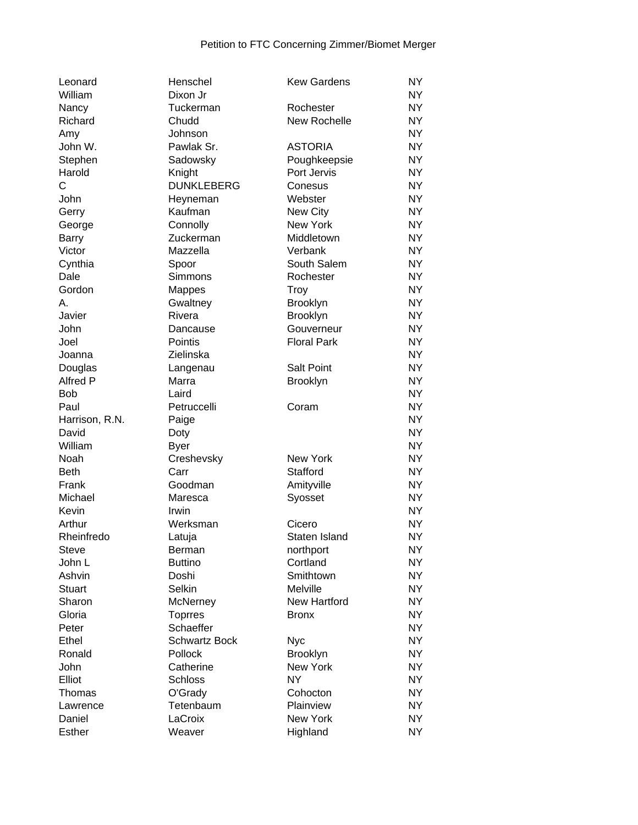| Leonard         | Henschel             | <b>Kew Gardens</b>  | <b>NY</b>      |
|-----------------|----------------------|---------------------|----------------|
| William         | Dixon Jr             |                     | <b>NY</b>      |
| Nancy           | Tuckerman            | Rochester           | <b>NY</b>      |
| Richard         | Chudd                | New Rochelle        | <b>NY</b>      |
| Amy             | Johnson              |                     | <b>NY</b>      |
| John W.         | Pawlak Sr.           | <b>ASTORIA</b>      | <b>NY</b>      |
| Stephen         | Sadowsky             | Poughkeepsie        | <b>NY</b>      |
| Harold          | Knight               | Port Jervis         | <b>NY</b>      |
| C               | <b>DUNKLEBERG</b>    | Conesus             | <b>NY</b>      |
| John            | Heyneman             | Webster             | <b>NY</b>      |
| Gerry           | Kaufman              | New City            | <b>NY</b>      |
| George          | Connolly             | <b>New York</b>     | <b>NY</b>      |
| <b>Barry</b>    | Zuckerman            | Middletown          | <b>NY</b>      |
| Victor          | Mazzella             | Verbank             | <b>NY</b>      |
| Cynthia         | Spoor                | South Salem         | <b>NY</b>      |
| Dale            | Simmons              | Rochester           | <b>NY</b>      |
| Gordon          | <b>Mappes</b>        | <b>Troy</b>         | <b>NY</b>      |
| А.              | Gwaltney             | <b>Brooklyn</b>     | <b>NY</b>      |
| Javier          | Rivera               | <b>Brooklyn</b>     | <b>NY</b>      |
| John            | Dancause             | Gouverneur          | <b>NY</b>      |
| Joel            | Pointis              | <b>Floral Park</b>  | <b>NY</b>      |
| Joanna          | Zielinska            |                     | <b>NY</b>      |
| Douglas         | Langenau             | <b>Salt Point</b>   | NY.            |
| <b>Alfred P</b> | Marra                | Brooklyn            | <b>NY</b>      |
| <b>Bob</b>      | Laird                |                     | <b>NY</b>      |
| Paul            | Petruccelli          | Coram               | <b>NY</b>      |
| Harrison, R.N.  | Paige                |                     | <b>NY</b>      |
| David           | Doty                 |                     | <b>NY</b>      |
| William         | <b>Byer</b>          |                     | <b>NY</b>      |
| Noah            | Creshevsky           | <b>New York</b>     | <b>NY</b>      |
| <b>Beth</b>     | Carr                 | Stafford            | <b>NY</b>      |
| Frank           | Goodman              | Amityville          | <b>NY</b>      |
| Michael         | Maresca              | Syosset             | <b>NY</b>      |
| Kevin           | Irwin                |                     | <b>NY</b>      |
| Arthur          | Werksman             | Cicero              | <b>NY</b>      |
| Rheinfredo      | Latuja               | Staten Island       | <b>NY</b>      |
| Steve           | Berman               | northport           | NΥ             |
| John L          | <b>Buttino</b>       | Cortland            | NY             |
| Ashvin          | Doshi                | Smithtown           | NY <sub></sub> |
| Stuart          | Selkin               | Melville            | NY <sub></sub> |
| Sharon          | McNerney             | <b>New Hartford</b> | <b>NY</b>      |
| Gloria          | <b>Toprres</b>       | <b>Bronx</b>        | <b>NY</b>      |
| Peter           | Schaeffer            |                     | <b>NY</b>      |
| Ethel           | <b>Schwartz Bock</b> | <b>Nyc</b>          | NY <sub></sub> |
| Ronald          | Pollock              | <b>Brooklyn</b>     | NY <sub></sub> |
| John            | Catherine            | New York            | NY             |
| Elliot          |                      | <b>NY</b>           | <b>NY</b>      |
|                 | <b>Schloss</b>       |                     | NY <sub></sub> |
| Thomas          | O'Grady              | Cohocton            | <b>NY</b>      |
| Lawrence        | Tetenbaum            | Plainview           |                |
| Daniel          | LaCroix              | New York            | <b>NY</b>      |
| <b>Esther</b>   | Weaver               | Highland            | <b>NY</b>      |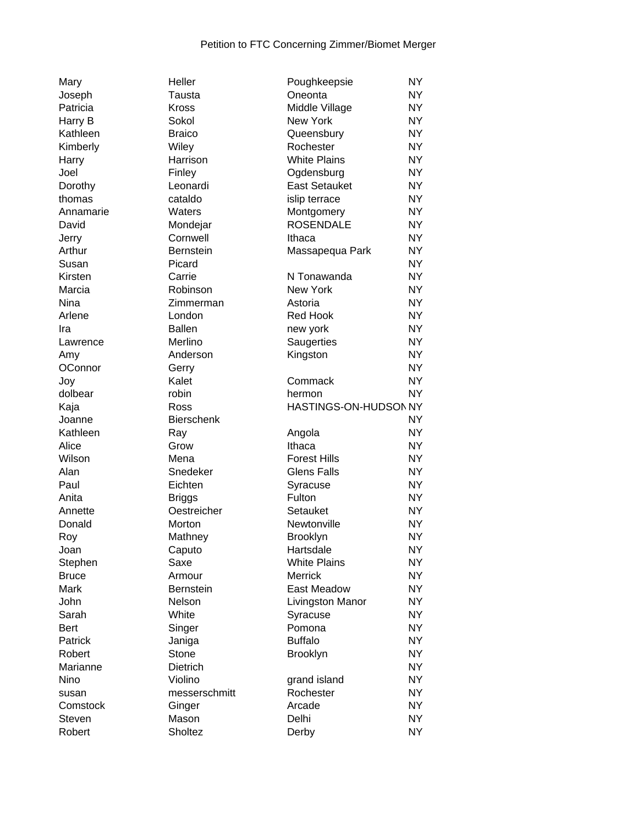| Mary          |
|---------------|
| Joseph        |
| Patricia      |
| Harry B       |
| Kathleen      |
| Kimberly      |
| Harry         |
| Joel          |
| Dorothy       |
| thomas        |
| Annamarie     |
| David         |
|               |
| Jerry         |
| Arthur        |
| Susan         |
| Kirsten       |
| Marcia        |
| Nina          |
| Arlene        |
| Ira           |
| Lawrence      |
| Amy           |
| OConnor       |
| Joy           |
| dolbear       |
| Kaja          |
| Joanne        |
| Kathleen      |
| Alice         |
| Wilson        |
| Alan          |
| Paul          |
|               |
| Anita         |
| Annette       |
| Donald        |
| Roy           |
| Joan          |
| Stephen       |
| <b>Bruce</b>  |
| Mark          |
| John          |
| Sarah         |
| Bert          |
| Patrick       |
| Robert        |
| Marianne      |
| Nino          |
| susan         |
| Comstock      |
| Steven        |
| <b>Dobort</b> |

| Mary            | Heller            | Poughkeepsie                  | NY.            |
|-----------------|-------------------|-------------------------------|----------------|
| Joseph          | Tausta            | Oneonta                       | NY.            |
| Patricia        | Kross             | Middle Village                | NY <sub></sub> |
| Harry B         | Sokol             | New York                      | NY <sub></sub> |
| Kathleen        | <b>Braico</b>     | Queensbury                    | <b>NY</b>      |
| Kimberly        | Wiley             | Rochester                     | <b>NY</b>      |
| Harry           | Harrison          | <b>White Plains</b>           | <b>NY</b>      |
| Joel            | Finley            | Ogdensburg                    | <b>NY</b>      |
| Dorothy         | Leonardi          | <b>East Setauket</b>          | <b>NY</b>      |
| thomas          | cataldo           | islip terrace                 | <b>NY</b>      |
| Annamarie       | Waters            | Montgomery                    | NY <sub></sub> |
| David           | Mondejar          | <b>ROSENDALE</b>              | NY <sub></sub> |
| Jerry           | Cornwell          | Ithaca                        | <b>NY</b>      |
| Arthur          | Bernstein         | Massapequa Park               | <b>NY</b>      |
| Susan           | Picard            |                               | NY <sub></sub> |
| Kirsten         | Carrie            | N Tonawanda                   | NY <sub></sub> |
| Marcia          | Robinson          | New York                      | NY <sub></sub> |
| Nina            | Zimmerman         | Astoria                       | <b>NY</b>      |
| Arlene          | London            | Red Hook                      | <b>NY</b>      |
| Ira             | <b>Ballen</b>     | new york                      | <b>NY</b>      |
| Lawrence        | Merlino           | Saugerties                    | NY.            |
| Amy             | Anderson          | Kingston                      | <b>NY</b>      |
| OConnor         | Gerry             |                               | NY <sub></sub> |
| Joy             | Kalet             | Commack                       | <b>NY</b>      |
| dolbear         | robin             | hermon                        | <b>NY</b>      |
| Kaja            | Ross              | HASTINGS-ON-HUDSON NY         |                |
| Joanne          | <b>Bierschenk</b> |                               | NY.            |
| Kathleen        |                   |                               | NY <sub></sub> |
|                 | Ray<br>Grow       | Angola                        | NY <sub></sub> |
| Alice<br>Wilson | Mena              | Ithaca<br><b>Forest Hills</b> | NY <sub></sub> |
|                 |                   |                               | <b>NY</b>      |
| Alan            | Snedeker          | <b>Glens Falls</b>            |                |
| Paul            | Eichten           | Syracuse                      | <b>NY</b>      |
| Anita           | <b>Briggs</b>     | Fulton                        | <b>NY</b>      |
| Annette         | Oestreicher       | Setauket                      | NY <sub></sub> |
| Donald          | Morton            | Newtonville                   | NY.            |
| Roy             | Mathney           | <b>Brooklyn</b>               | <b>NY</b>      |
| Joan            | Caputo            | Hartsdale                     | <b>NY</b>      |
| Stephen         | Saxe              | <b>White Plains</b>           | NY <sub></sub> |
| Bruce           | Armour            | <b>Merrick</b>                | NY <sub></sub> |
| Mark            | Bernstein         | East Meadow                   | NY <sub></sub> |
| John            | Nelson            | Livingston Manor              | NY             |
| Sarah           | White             | Syracuse                      | NY <sub></sub> |
| Bert            | Singer            | Pomona                        | NY <sub></sub> |
| Patrick         | Janiga            | <b>Buffalo</b>                | NY <sub></sub> |
| Robert          | Stone             | <b>Brooklyn</b>               | NY <sub></sub> |
| Marianne        | Dietrich          |                               | NY <sub></sub> |
| Nino            | Violino           | grand island                  | NY             |
| susan           | messerschmitt     | Rochester                     | NY <sub></sub> |
| Comstock        | Ginger            | Arcade                        | NY <sub></sub> |
| Steven          | Mason             | Delhi                         | NY <sub></sub> |
| Robert          | Sholtez           | Derby                         | NY <sub></sub> |

| Joseph       | Tausta            | Oneonta               | NY.            |
|--------------|-------------------|-----------------------|----------------|
| Patricia     | <b>Kross</b>      | Middle Village        | NY <sub></sub> |
| Harry B      | Sokol             | New York              | NY <sub></sub> |
| Kathleen     | <b>Braico</b>     | Queensbury            | <b>NY</b>      |
| Kimberly     | Wiley             | Rochester             | <b>NY</b>      |
| Harry        | Harrison          | <b>White Plains</b>   | <b>NY</b>      |
| Joel         | Finley            | Ogdensburg            | <b>NY</b>      |
| Dorothy      | Leonardi          | <b>East Setauket</b>  | <b>NY</b>      |
| thomas       | cataldo           | islip terrace         | <b>NY</b>      |
| Annamarie    | Waters            | Montgomery            | <b>NY</b>      |
| David        | Mondejar          | <b>ROSENDALE</b>      | <b>NY</b>      |
| Jerry        | Cornwell          | Ithaca                | <b>NY</b>      |
| Arthur       | <b>Bernstein</b>  | Massapequa Park       | <b>NY</b>      |
| Susan        | Picard            |                       | <b>NY</b>      |
| Kirsten      | Carrie            | N Tonawanda           | <b>NY</b>      |
| Marcia       | Robinson          | New York              | <b>NY</b>      |
| Nina         | Zimmerman         | Astoria               | <b>NY</b>      |
| Arlene       | London            | Red Hook              | <b>NY</b>      |
| Ira          | <b>Ballen</b>     | new york              | <b>NY</b>      |
| Lawrence     | Merlino           | Saugerties            | NY.            |
| Amy          | Anderson          | Kingston              | <b>NY</b>      |
| OConnor      | Gerry             |                       | <b>NY</b>      |
| Joy          | Kalet             | Commack               | <b>NY</b>      |
| dolbear      | robin             | hermon                | <b>NY</b>      |
| Kaja         | Ross              | HASTINGS-ON-HUDSON NY |                |
| Joanne       | <b>Bierschenk</b> |                       | <b>NY</b>      |
| Kathleen     | Ray               | Angola                | <b>NY</b>      |
| Alice        | Grow              | Ithaca                | <b>NY</b>      |
| Wilson       | Mena              | <b>Forest Hills</b>   | <b>NY</b>      |
| Alan         | Snedeker          | <b>Glens Falls</b>    | <b>NY</b>      |
| Paul         | Eichten           | Syracuse              | <b>NY</b>      |
| Anita        | <b>Briggs</b>     | Fulton                | <b>NY</b>      |
| Annette      | Oestreicher       | Setauket              | <b>NY</b>      |
| Donald       | Morton            | Newtonville           | <b>NY</b>      |
| Roy          | Mathney           | Brooklyn              | <b>NY</b>      |
| Joan         | Caputo            | Hartsdale             | <b>NY</b>      |
| Stephen      | Saxe              | <b>White Plains</b>   | NY             |
| <b>Bruce</b> | Armour            | <b>Merrick</b>        | NY             |
| Mark         | <b>Bernstein</b>  | East Meadow           | <b>NY</b>      |
| John         | Nelson            | Livingston Manor      | <b>NY</b>      |
| Sarah        | White             | Syracuse              | <b>NY</b>      |
| Bert         | Singer            | Pomona                | <b>NY</b>      |
| Patrick      | Janiga            | <b>Buffalo</b>        | NY <sub></sub> |
| Robert       | Stone             | <b>Brooklyn</b>       | <b>NY</b>      |
| Marianne     | Dietrich          |                       | NY             |
| Nino         | Violino           | grand island          | NY             |
| susan        | messerschmitt     | Rochester             | NY.            |
| Comstock     | Ginger            | Arcade                | NY.            |
| Steven       | Mason             | Delhi                 | NY             |
| Robert       | Sholtez           | Derby                 | NY.            |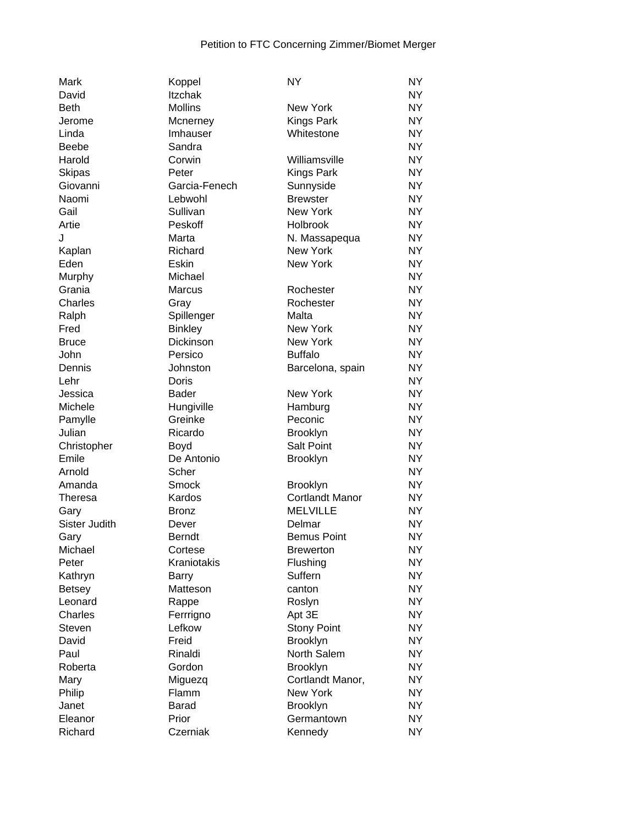| Mark          | Koppel           | <b>NY</b>              | <b>NY</b> |
|---------------|------------------|------------------------|-----------|
| David         | <b>Itzchak</b>   |                        | <b>NY</b> |
| <b>Beth</b>   | <b>Mollins</b>   | <b>New York</b>        | <b>NY</b> |
| Jerome        | Mcnerney         | Kings Park             | <b>NY</b> |
| Linda         | Imhauser         | Whitestone             | <b>NY</b> |
| <b>Beebe</b>  | Sandra           |                        | <b>NY</b> |
| Harold        | Corwin           | Williamsville          | <b>NY</b> |
| Skipas        | Peter            | <b>Kings Park</b>      | <b>NY</b> |
| Giovanni      | Garcia-Fenech    | Sunnyside              | NY.       |
| Naomi         | Lebwohl          | <b>Brewster</b>        | <b>NY</b> |
| Gail          | Sullivan         | New York               | <b>NY</b> |
| Artie         | Peskoff          | <b>Holbrook</b>        | <b>NY</b> |
| J             | Marta            | N. Massapequa          | <b>NY</b> |
| Kaplan        | Richard          | New York               | <b>NY</b> |
| Eden          | Eskin            | New York               | <b>NY</b> |
| Murphy        | Michael          |                        | <b>NY</b> |
| Grania        | <b>Marcus</b>    | Rochester              | <b>NY</b> |
| Charles       |                  | Rochester              | <b>NY</b> |
|               | Gray             |                        |           |
| Ralph         | Spillenger       | Malta                  | <b>NY</b> |
| Fred          | <b>Binkley</b>   | <b>New York</b>        | <b>NY</b> |
| <b>Bruce</b>  | <b>Dickinson</b> | New York               | <b>NY</b> |
| John          | Persico          | <b>Buffalo</b>         | <b>NY</b> |
| Dennis        | Johnston         | Barcelona, spain       | <b>NY</b> |
| Lehr          | Doris            |                        | <b>NY</b> |
| Jessica       | <b>Bader</b>     | New York               | <b>NY</b> |
| Michele       | Hungiville       | Hamburg                | <b>NY</b> |
| Pamylle       | Greinke          | Peconic                | <b>NY</b> |
| Julian        | Ricardo          | Brooklyn               | <b>NY</b> |
| Christopher   | Boyd             | <b>Salt Point</b>      | <b>NY</b> |
| Emile         | De Antonio       | Brooklyn               | <b>NY</b> |
| Arnold        | Scher            |                        | <b>NY</b> |
| Amanda        | Smock            | <b>Brooklyn</b>        | <b>NY</b> |
| Theresa       | Kardos           | <b>Cortlandt Manor</b> | <b>NY</b> |
| Gary          | <b>Bronz</b>     | <b>MELVILLE</b>        | <b>NY</b> |
| Sister Judith | Dever            | Delmar                 | <b>NY</b> |
| Gary          | <b>Berndt</b>    | <b>Bemus Point</b>     | <b>NY</b> |
| Michael       | Cortese          | <b>Brewerton</b>       | <b>NY</b> |
| Peter         | Kraniotakis      | Flushing               | <b>NY</b> |
| Kathryn       | <b>Barry</b>     | Suffern                | <b>NY</b> |
| <b>Betsey</b> | Matteson         | canton                 | <b>NY</b> |
| Leonard       | Rappe            | Roslyn                 | <b>NY</b> |
| Charles       |                  |                        | <b>NY</b> |
|               | Ferrrigno        | Apt 3E                 |           |
| Steven        | Lefkow           | <b>Stony Point</b>     | <b>NY</b> |
| David         | Freid            | Brooklyn               | <b>NY</b> |
| Paul          | Rinaldi          | North Salem            | <b>NY</b> |
| Roberta       | Gordon           | Brooklyn               | <b>NY</b> |
| Mary          | Miguezq          | Cortlandt Manor,       | <b>NY</b> |
| Philip        | Flamm            | New York               | <b>NY</b> |
| Janet         | <b>Barad</b>     | <b>Brooklyn</b>        | <b>NY</b> |
| Eleanor       | Prior            | Germantown             | <b>NY</b> |
| Richard       | Czerniak         | Kennedy                | <b>NY</b> |
|               |                  |                        |           |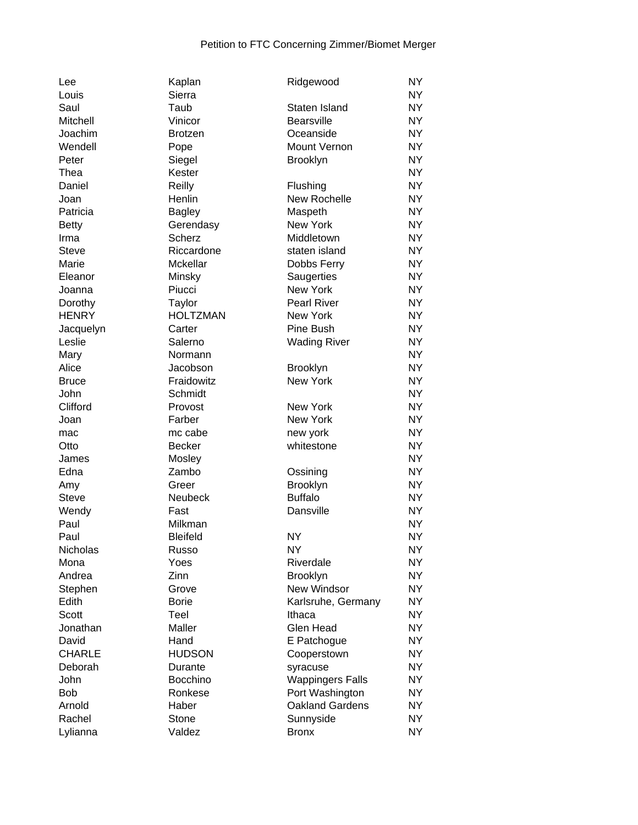| Lee           | Kaplan          | Ridgewood               | <b>NY</b> |
|---------------|-----------------|-------------------------|-----------|
| Louis         | Sierra          |                         | <b>NY</b> |
| Saul          | Taub            | Staten Island           | <b>NY</b> |
| Mitchell      | Vinicor         | Bearsville              | <b>NY</b> |
| Joachim       | <b>Brotzen</b>  | Oceanside               | <b>NY</b> |
| Wendell       | Pope            | Mount Vernon            | <b>NY</b> |
| Peter         | Siegel          | Brooklyn                | <b>NY</b> |
| Thea          | Kester          |                         | <b>NY</b> |
| Daniel        | Reilly          | Flushing                | NY.       |
| Joan          | Henlin          | New Rochelle            | NY.       |
| Patricia      | <b>Bagley</b>   | Maspeth                 | <b>NY</b> |
| <b>Betty</b>  | Gerendasy       | <b>New York</b>         | <b>NY</b> |
| Irma          | <b>Scherz</b>   | Middletown              | <b>NY</b> |
| <b>Steve</b>  | Riccardone      | staten island           | <b>NY</b> |
| Marie         | <b>Mckellar</b> | Dobbs Ferry             | <b>NY</b> |
| Eleanor       | Minsky          | Saugerties              | <b>NY</b> |
| Joanna        | Piucci          | New York                | <b>NY</b> |
| Dorothy       | Taylor          | <b>Pearl River</b>      | <b>NY</b> |
| <b>HENRY</b>  | <b>HOLTZMAN</b> | New York                | <b>NY</b> |
| Jacquelyn     | Carter          | Pine Bush               | <b>NY</b> |
| Leslie        | Salerno         |                         | <b>NY</b> |
|               |                 | <b>Wading River</b>     | <b>NY</b> |
| Mary          | Normann         |                         |           |
| Alice         | Jacobson        | <b>Brooklyn</b>         | <b>NY</b> |
| <b>Bruce</b>  | Fraidowitz      | New York                | <b>NY</b> |
| John          | Schmidt         |                         | <b>NY</b> |
| Clifford      | Provost         | <b>New York</b>         | <b>NY</b> |
| Joan          | Farber          | New York                | <b>NY</b> |
| mac           | mc cabe         | new york                | <b>NY</b> |
| Otto          | <b>Becker</b>   | whitestone              | <b>NY</b> |
| James         | Mosley          |                         | <b>NY</b> |
| Edna          | Zambo           | Ossining                | <b>NY</b> |
| Amy           | Greer           | <b>Brooklyn</b>         | <b>NY</b> |
| <b>Steve</b>  | Neubeck         | <b>Buffalo</b>          | <b>NY</b> |
| Wendy         | Fast            | Dansville               | <b>NY</b> |
| Paul          | Milkman         |                         | <b>NY</b> |
| Paul          | <b>Bleifeld</b> | <b>NY</b>               | <b>NY</b> |
| Nicholas      | Russo           | <b>NY</b>               | <b>NY</b> |
| Mona          | Yoes            | Riverdale               | <b>NY</b> |
| Andrea        | Zinn            | <b>Brooklyn</b>         | <b>NY</b> |
| Stephen       | Grove           | New Windsor             | <b>NY</b> |
| Edith         | <b>Borie</b>    | Karlsruhe, Germany      | <b>NY</b> |
| Scott         | Teel            | Ithaca                  | <b>NY</b> |
| Jonathan      | Maller          | Glen Head               | <b>NY</b> |
| David         | Hand            | E Patchogue             | <b>NY</b> |
| <b>CHARLE</b> | <b>HUDSON</b>   | Cooperstown             | <b>NY</b> |
| Deborah       | Durante         | syracuse                | <b>NY</b> |
| John          | <b>Bocchino</b> | <b>Wappingers Falls</b> | <b>NY</b> |
| <b>Bob</b>    | Ronkese         | Port Washington         | <b>NY</b> |
| Arnold        | Haber           | <b>Oakland Gardens</b>  | <b>NY</b> |
| Rachel        | Stone           | Sunnyside               | <b>NY</b> |
| Lylianna      | Valdez          | <b>Bronx</b>            | <b>NY</b> |
|               |                 |                         |           |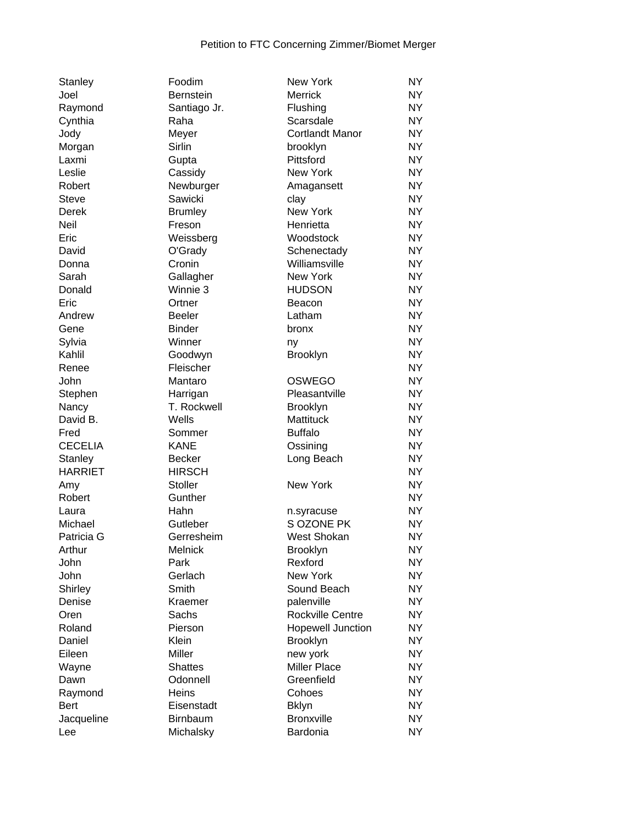| Stanley        | Foodim           | New York                 | <b>NY</b>      |
|----------------|------------------|--------------------------|----------------|
| Joel           | <b>Bernstein</b> | Merrick                  | <b>NY</b>      |
| Raymond        | Santiago Jr.     | Flushing                 | <b>NY</b>      |
| Cynthia        | Raha             | Scarsdale                | NY <sub></sub> |
| Jody           | Meyer            | <b>Cortlandt Manor</b>   | <b>NY</b>      |
| Morgan         | Sirlin           | brooklyn                 | <b>NY</b>      |
| Laxmi          | Gupta            | Pittsford                | <b>NY</b>      |
| Leslie         | Cassidy          | New York                 | <b>NY</b>      |
| Robert         | Newburger        | Amagansett               | <b>NY</b>      |
| <b>Steve</b>   | Sawicki          | clay                     | <b>NY</b>      |
| Derek          | <b>Brumley</b>   | New York                 | <b>NY</b>      |
| Neil           | Freson           | Henrietta                | <b>NY</b>      |
| Eric           | Weissberg        | Woodstock                | <b>NY</b>      |
| David          | O'Grady          | Schenectady              | <b>NY</b>      |
| Donna          | Cronin           | Williamsville            | NY.            |
| Sarah          | Gallagher        | New York                 | <b>NY</b>      |
| Donald         | Winnie 3         | <b>HUDSON</b>            | <b>NY</b>      |
| Eric           | Ortner           | Beacon                   | NY <sub></sub> |
| Andrew         | <b>Beeler</b>    | Latham                   | <b>NY</b>      |
| Gene           | <b>Binder</b>    | bronx                    | <b>NY</b>      |
| Sylvia         | Winner           | ny                       | <b>NY</b>      |
| Kahlil         | Goodwyn          | Brooklyn                 | <b>NY</b>      |
| Renee          | Fleischer        |                          | <b>NY</b>      |
| John           | Mantaro          | <b>OSWEGO</b>            | <b>NY</b>      |
| Stephen        | Harrigan         | Pleasantville            | <b>NY</b>      |
| Nancy          | T. Rockwell      | <b>Brooklyn</b>          | <b>NY</b>      |
| David B.       | Wells            | <b>Mattituck</b>         | <b>NY</b>      |
| Fred           | Sommer           | <b>Buffalo</b>           | NY <sub></sub> |
| <b>CECELIA</b> | <b>KANE</b>      | Ossining                 | <b>NY</b>      |
| Stanley        | <b>Becker</b>    | Long Beach               | <b>NY</b>      |
| <b>HARRIET</b> | <b>HIRSCH</b>    |                          | <b>NY</b>      |
| Amy            | <b>Stoller</b>   | <b>New York</b>          | <b>NY</b>      |
| Robert         | Gunther          |                          | <b>NY</b>      |
| Laura          | Hahn             | n.syracuse               | <b>NY</b>      |
| Michael        | Gutleber         | S OZONE PK               | <b>NY</b>      |
| Patricia G     | Gerresheim       | West Shokan              | <b>NY</b>      |
| Arthur         | Melnick          | Brooklyn                 | <b>NY</b>      |
| John           | Park             | Rexford                  | <b>NY</b>      |
| John           | Gerlach          | New York                 | <b>NY</b>      |
| Shirley        | Smith            | Sound Beach              | NY <sub></sub> |
| Denise         | Kraemer          | palenville               | <b>NY</b>      |
| Oren           | Sachs            | Rockville Centre         | <b>NY</b>      |
| Roland         | Pierson          | <b>Hopewell Junction</b> | <b>NY</b>      |
| Daniel         | Klein            | <b>Brooklyn</b>          | <b>NY</b>      |
| Eileen         | Miller           | new york                 | <b>NY</b>      |
| Wayne          | <b>Shattes</b>   | Miller Place             | <b>NY</b>      |
| Dawn           | Odonnell         | Greenfield               | <b>NY</b>      |
| Raymond        | <b>Heins</b>     | Cohoes                   | NY <sub></sub> |
| Bert           | Eisenstadt       | <b>Bklyn</b>             | NY <sub></sub> |
| Jacqueline     | <b>Birnbaum</b>  | <b>Bronxville</b>        | <b>NY</b>      |
| Lee            | Michalsky        | Bardonia                 | NY.            |
|                |                  |                          |                |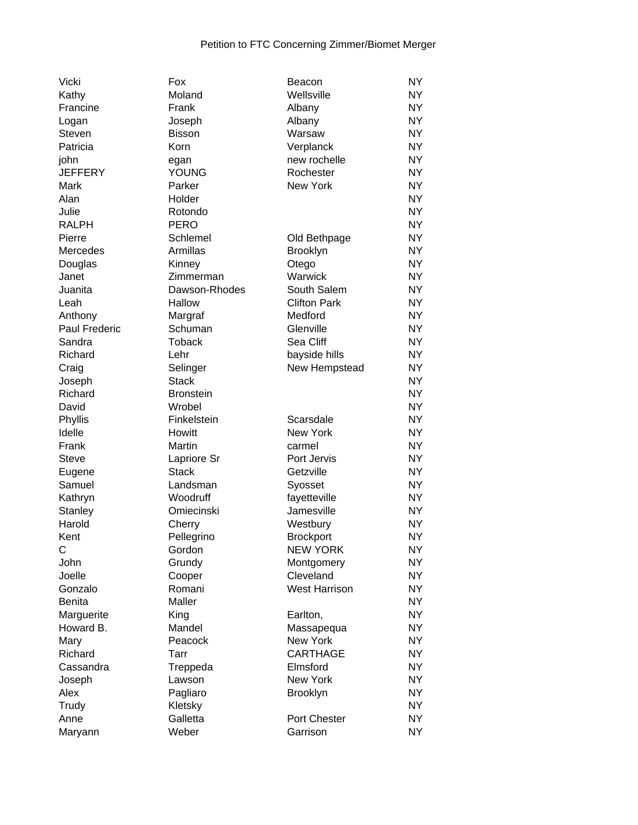| Vicki           | Fox              | Beacon               | <b>NY</b>      |
|-----------------|------------------|----------------------|----------------|
| Kathy           | Moland           | Wellsville           | <b>NY</b>      |
| Francine        | Frank            | Albany               | <b>NY</b>      |
| Logan           | Joseph           | Albany               | <b>NY</b>      |
| Steven          | Bisson           | Warsaw               | <b>NY</b>      |
| Patricia        | Korn             | Verplanck            | <b>NY</b>      |
| john            | egan             | new rochelle         | NY             |
| <b>JEFFERY</b>  | <b>YOUNG</b>     | Rochester            | NY             |
| Mark            | Parker           | <b>New York</b>      | <b>NY</b>      |
| Alan            | Holder           |                      | <b>NY</b>      |
| Julie           | Rotondo          |                      | <b>NY</b>      |
| <b>RALPH</b>    | <b>PERO</b>      |                      | <b>NY</b>      |
| Pierre          | Schlemel         | Old Bethpage         | <b>NY</b>      |
| <b>Mercedes</b> | Armillas         | <b>Brooklyn</b>      | <b>NY</b>      |
| Douglas         | Kinney           | Otego                | <b>NY</b>      |
| Janet           | Zimmerman        | Warwick              | <b>NY</b>      |
| Juanita         | Dawson-Rhodes    | South Salem          | NY.            |
| Leah            | Hallow           | <b>Clifton Park</b>  | <b>NY</b>      |
| Anthony         | Margraf          | Medford              | <b>NY</b>      |
| Paul Frederic   | Schuman          | Glenville            | <b>NY</b>      |
| Sandra          | <b>Toback</b>    | Sea Cliff            | <b>NY</b>      |
| Richard         | Lehr             | bayside hills        | <b>NY</b>      |
| Craig           | Selinger         | New Hempstead        | <b>NY</b>      |
| Joseph          | <b>Stack</b>     |                      | <b>NY</b>      |
| Richard         | <b>Bronstein</b> |                      | <b>NY</b>      |
| David           | Wrobel           |                      | <b>NY</b>      |
| Phyllis         | Finkelstein      | Scarsdale            | <b>NY</b>      |
| Idelle          | Howitt           | New York             | <b>NY</b>      |
| Frank           | Martin           | carmel               | NY.            |
| <b>Steve</b>    | Lapriore Sr      | Port Jervis          | <b>NY</b>      |
| Eugene          | <b>Stack</b>     | Getzville            | <b>NY</b>      |
| Samuel          | Landsman         | Syosset              | NY.            |
| Kathryn         | Woodruff         | fayetteville         | NY             |
| Stanley         | Omiecinski       | Jamesville           | NY             |
| Harold          | Cherry           | Westbury             | NY             |
| Kent            | Pellegrino       | <b>Brockport</b>     | <b>NY</b>      |
| C               | Gordon           | <b>NEW YORK</b>      | <b>NY</b>      |
| John            | Grundy           | Montgomery           | NY <sub></sub> |
| Joelle          | Cooper           | Cleveland            | NY             |
| Gonzalo         | Romani           | <b>West Harrison</b> | NY.            |
| <b>Benita</b>   | Maller           |                      | NY.            |
| Marguerite      | King             | Earlton,             | NY             |
| Howard B.       | Mandel           | Massapequa           | NY             |
| Mary            | Peacock          | New York             | NY             |
| Richard         | Tarr             | <b>CARTHAGE</b>      | NY.            |
| Cassandra       | Treppeda         | Elmsford             | NY.            |
| Joseph          | Lawson           | New York             | NY <sub></sub> |
| Alex            | Pagliaro         | <b>Brooklyn</b>      | NY <sub></sub> |
| Trudy           | Kletsky          |                      | NY             |
| Anne            | Galletta         | Port Chester         | <b>NY</b>      |
| Maryann         | Weber            | Garrison             | NY.            |
|                 |                  |                      |                |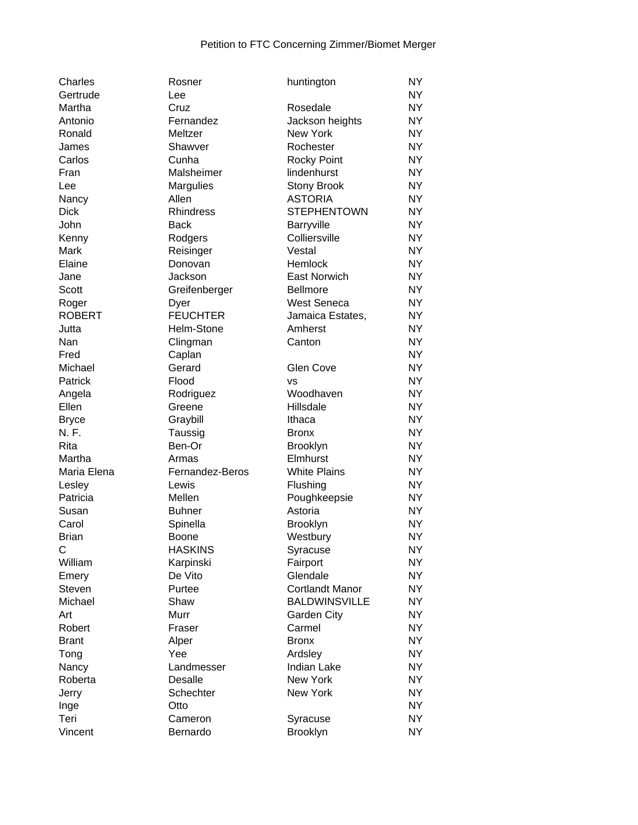| Charles       | Rosner           | huntington             | <b>NY</b>      |
|---------------|------------------|------------------------|----------------|
| Gertrude      | Lee              |                        | <b>NY</b>      |
| Martha        | Cruz             | Rosedale               | NY.            |
| Antonio       | Fernandez        | Jackson heights        | <b>NY</b>      |
| Ronald        | Meltzer          | <b>New York</b>        | <b>NY</b>      |
| James         | Shawver          | Rochester              | <b>NY</b>      |
| Carlos        | Cunha            | <b>Rocky Point</b>     | <b>NY</b>      |
| Fran          | Malsheimer       | lindenhurst            | <b>NY</b>      |
| Lee           | Margulies        | <b>Stony Brook</b>     | <b>NY</b>      |
| Nancy         | Allen            | <b>ASTORIA</b>         | <b>NY</b>      |
| <b>Dick</b>   | <b>Rhindress</b> | <b>STEPHENTOWN</b>     | <b>NY</b>      |
| John          | <b>Back</b>      | Barryville             | NY <sub></sub> |
| Kenny         | Rodgers          | Colliersville          | <b>NY</b>      |
| Mark          | Reisinger        | Vestal                 | <b>NY</b>      |
| Elaine        | Donovan          | Hemlock                | <b>NY</b>      |
| Jane          | Jackson          | <b>East Norwich</b>    | <b>NY</b>      |
| <b>Scott</b>  | Greifenberger    | <b>Bellmore</b>        | <b>NY</b>      |
| Roger         | Dyer             | <b>West Seneca</b>     | <b>NY</b>      |
| <b>ROBERT</b> | <b>FEUCHTER</b>  | Jamaica Estates,       | <b>NY</b>      |
| Jutta         | Helm-Stone       | Amherst                | <b>NY</b>      |
| Nan           | Clingman         | Canton                 | <b>NY</b>      |
| Fred          | Caplan           |                        | <b>NY</b>      |
| Michael       | Gerard           | Glen Cove              | <b>NY</b>      |
| Patrick       | Flood            | <b>VS</b>              | <b>NY</b>      |
| Angela        | Rodriguez        | Woodhaven              | <b>NY</b>      |
| Ellen         | Greene           | Hillsdale              | <b>NY</b>      |
| <b>Bryce</b>  | Graybill         | Ithaca                 | <b>NY</b>      |
| N. F.         | Taussig          | <b>Bronx</b>           | <b>NY</b>      |
| Rita          | Ben-Or           | <b>Brooklyn</b>        | <b>NY</b>      |
| Martha        | Armas            | Elmhurst               | <b>NY</b>      |
| Maria Elena   | Fernandez-Beros  | <b>White Plains</b>    | <b>NY</b>      |
| Lesley        | Lewis            | Flushing               | <b>NY</b>      |
| Patricia      | Mellen           | Poughkeepsie           | <b>NY</b>      |
| Susan         | <b>Buhner</b>    | Astoria                | NY.            |
| Carol         | Spinella         | <b>Brooklyn</b>        | <b>NY</b>      |
| <b>Brian</b>  | Boone            | Westbury               | <b>NY</b>      |
| C             | <b>HASKINS</b>   | Syracuse               | <b>NY</b>      |
| William       | Karpinski        | Fairport               | <b>NY</b>      |
| Emery         | De Vito          | Glendale               | <b>NY</b>      |
| Steven        | Purtee           | <b>Cortlandt Manor</b> | <b>NY</b>      |
| Michael       | Shaw             | <b>BALDWINSVILLE</b>   | <b>NY</b>      |
| Art           | Murr             | Garden City            | <b>NY</b>      |
| Robert        | Fraser           | Carmel                 | <b>NY</b>      |
| <b>Brant</b>  | Alper            | <b>Bronx</b>           | <b>NY</b>      |
| Tong          | Yee              | Ardsley                | <b>NY</b>      |
| Nancy         | Landmesser       | <b>Indian Lake</b>     | <b>NY</b>      |
| Roberta       | Desalle          | New York               | <b>NY</b>      |
| Jerry         | Schechter        | New York               | <b>NY</b>      |
| Inge          | Otto             |                        | <b>NY</b>      |
| Teri          | Cameron          | Syracuse               | NY             |
| Vincent       | Bernardo         | <b>Brooklyn</b>        | <b>NY</b>      |
|               |                  |                        |                |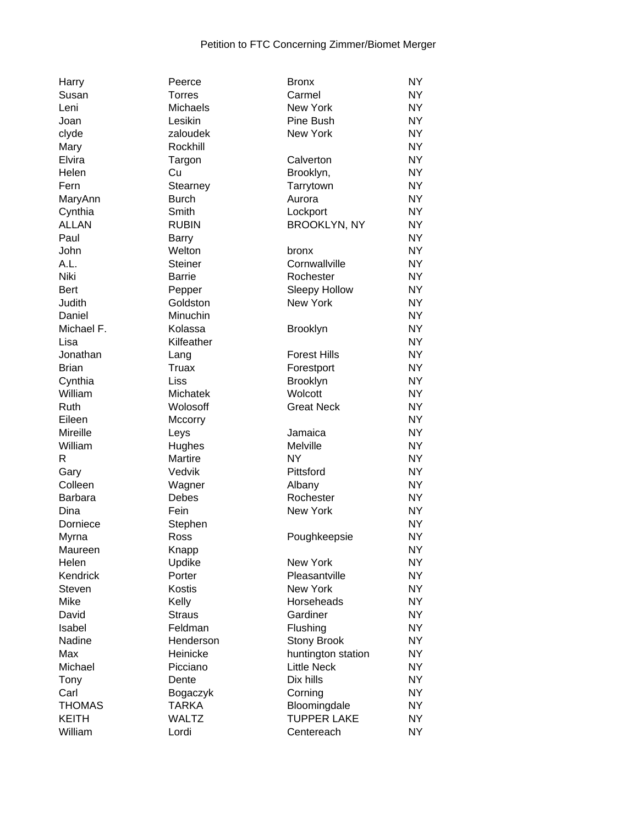| Harry         | Peerce               | <b>Bronx</b>         | <b>NY</b>      |
|---------------|----------------------|----------------------|----------------|
| Susan         | <b>Torres</b>        | Carmel               | <b>NY</b>      |
| Leni          | Michaels             | <b>New York</b>      | <b>NY</b>      |
| Joan          | Lesikin              | Pine Bush            | NY <sub></sub> |
| clyde         | zaloudek             | New York             | <b>NY</b>      |
| Mary          | Rockhill             |                      | <b>NY</b>      |
| Elvira        | Targon               | Calverton            | <b>NY</b>      |
| Helen         | Cu                   | Brooklyn,            | <b>NY</b>      |
| Fern          | Stearney             | Tarrytown            | NY <sub></sub> |
| MaryAnn       | <b>Burch</b>         | Aurora               | <b>NY</b>      |
| Cynthia       | Smith                | Lockport             | <b>NY</b>      |
| <b>ALLAN</b>  | <b>RUBIN</b>         | <b>BROOKLYN, NY</b>  | <b>NY</b>      |
| Paul          | <b>Barry</b>         |                      | <b>NY</b>      |
| John          | Welton               | bronx                | NY <sub></sub> |
| A.L.          | Steiner              | Cornwallville        | <b>NY</b>      |
| Niki          | <b>Barrie</b>        | Rochester            | <b>NY</b>      |
| Bert          | Pepper               | <b>Sleepy Hollow</b> | <b>NY</b>      |
| Judith        | Goldston             | New York             | <b>NY</b>      |
| Daniel        | Minuchin             |                      | <b>NY</b>      |
| Michael F.    | Kolassa              | Brooklyn             | <b>NY</b>      |
| Lisa          | Kilfeather           |                      | <b>NY</b>      |
| Jonathan      |                      | <b>Forest Hills</b>  | <b>NY</b>      |
| <b>Brian</b>  | Lang<br><b>Truax</b> |                      | NY <sub></sub> |
|               |                      | Forestport           | <b>NY</b>      |
| Cynthia       | Liss                 | Brooklyn             |                |
| William       | Michatek             | Wolcott              | <b>NY</b>      |
| Ruth          | Wolosoff             | <b>Great Neck</b>    | <b>NY</b>      |
| Eileen        | Mccorry              |                      | <b>NY</b>      |
| Mireille      | Leys                 | Jamaica              | <b>NY</b>      |
| William       | Hughes               | Melville             | <b>NY</b>      |
| R             | Martire              | <b>NY</b>            | <b>NY</b>      |
| Gary          | Vedvik               | Pittsford            | <b>NY</b>      |
| Colleen       | Wagner               | Albany               | <b>NY</b>      |
| Barbara       | <b>Debes</b>         | Rochester            | <b>NY</b>      |
| Dina          | Fein                 | New York             | <b>NY</b>      |
| Dorniece      | Stephen              |                      | <b>NY</b>      |
| Myrna         | Ross                 | Poughkeepsie         | <b>NY</b>      |
| Maureen       | Knapp                |                      | <b>NY</b>      |
| Helen         | Updike               | New York             | <b>NY</b>      |
| Kendrick      | Porter               | Pleasantville        | NY             |
| <b>Steven</b> | <b>Kostis</b>        | <b>New York</b>      | NY <sub></sub> |
| Mike          | Kelly                | Horseheads           | NY <sub></sub> |
| David         | <b>Straus</b>        | Gardiner             | NY <sub></sub> |
| Isabel        | Feldman              | Flushing             | NY <sub></sub> |
| Nadine        | Henderson            | <b>Stony Brook</b>   | <b>NY</b>      |
| Max           | Heinicke             | huntington station   | <b>NY</b>      |
| Michael       | Picciano             | <b>Little Neck</b>   | <b>NY</b>      |
| Tony          | Dente                | Dix hills            | <b>NY</b>      |
| Carl          | Bogaczyk             | Corning              | NY <sub></sub> |
| <b>THOMAS</b> | <b>TARKA</b>         | Bloomingdale         | NY <sub></sub> |
| <b>KEITH</b>  | <b>WALTZ</b>         | <b>TUPPER LAKE</b>   | NY <sub></sub> |
| William       | Lordi                | Centereach           | NY.            |
|               |                      |                      |                |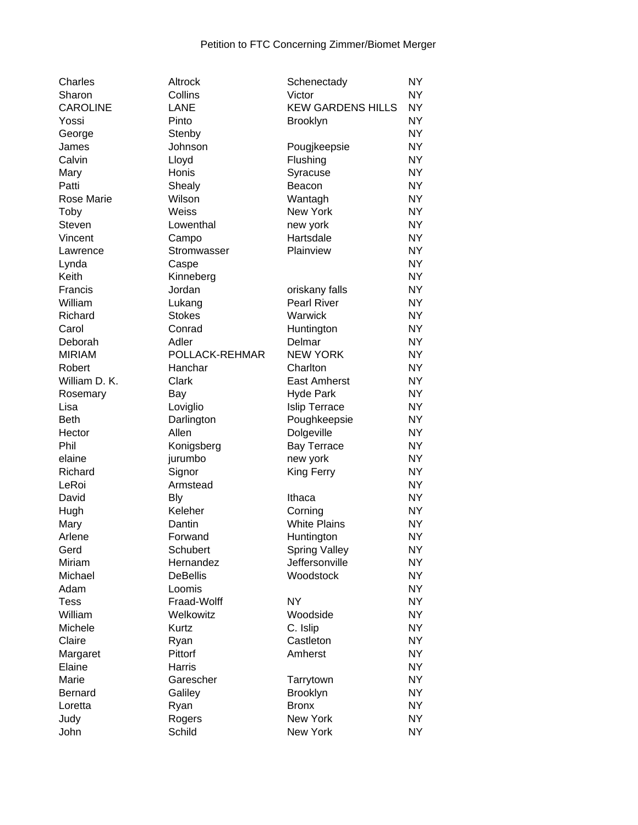| Charles         | Altrock         | Schenectady                        | <b>NY</b> |
|-----------------|-----------------|------------------------------------|-----------|
| Sharon          | Collins         | Victor                             | <b>NY</b> |
| <b>CAROLINE</b> | <b>LANE</b>     | <b>KEW GARDENS HILLS</b>           | <b>NY</b> |
| Yossi           | Pinto           | Brooklyn                           | <b>NY</b> |
| George          | Stenby          |                                    | <b>NY</b> |
| James           | Johnson         | Pougjkeepsie                       | <b>NY</b> |
| Calvin          | Lloyd           | Flushing                           | <b>NY</b> |
| Mary            | Honis           | Syracuse                           | <b>NY</b> |
| Patti           | Shealy          | Beacon                             | <b>NY</b> |
| Rose Marie      | Wilson          | Wantagh                            | <b>NY</b> |
| Toby            | Weiss           | New York                           | <b>NY</b> |
| Steven          | Lowenthal       | new york                           | <b>NY</b> |
| Vincent         | Campo           | Hartsdale                          | <b>NY</b> |
| Lawrence        | Stromwasser     | Plainview                          | <b>NY</b> |
| Lynda           | Caspe           |                                    | <b>NY</b> |
| Keith           | Kinneberg       |                                    | <b>NY</b> |
| Francis         | Jordan          | oriskany falls                     | <b>NY</b> |
| William         | Lukang          | <b>Pearl River</b>                 | <b>NY</b> |
| Richard         | <b>Stokes</b>   | Warwick                            | <b>NY</b> |
| Carol           | Conrad          | Huntington                         | <b>NY</b> |
| Deborah         | Adler           | Delmar                             | <b>NY</b> |
| <b>MIRIAM</b>   | POLLACK-REHMAR  | <b>NEW YORK</b>                    | <b>NY</b> |
| Robert          | Hanchar         | Charlton                           | <b>NY</b> |
| William D. K.   | Clark           | <b>East Amherst</b>                | <b>NY</b> |
| Rosemary        | Bay             | <b>Hyde Park</b>                   | <b>NY</b> |
| Lisa            | Loviglio        | <b>Islip Terrace</b>               | <b>NY</b> |
| <b>Beth</b>     | Darlington      | Poughkeepsie                       | <b>NY</b> |
| Hector          | Allen           | Dolgeville                         | <b>NY</b> |
| Phil            | Konigsberg      | <b>Bay Terrace</b>                 | <b>NY</b> |
| elaine          | jurumbo         | new york                           | <b>NY</b> |
| Richard         | Signor          | King Ferry                         | <b>NY</b> |
| LeRoi           | Armstead        |                                    | <b>NY</b> |
| David           | <b>Bly</b>      | Ithaca                             | <b>NY</b> |
|                 | Keleher         | Corning                            | <b>NY</b> |
| Hugh<br>Mary    | Dantin          | <b>White Plains</b>                | <b>NY</b> |
| Arlene          | Forwand         |                                    | <b>NY</b> |
| Gerd            | Schubert        | Huntington<br><b>Spring Valley</b> | <b>NY</b> |
| Miriam          | Hernandez       | Jeffersonville                     | <b>NY</b> |
| Michael         | <b>DeBellis</b> | Woodstock                          | <b>NY</b> |
| Adam            | Loomis          |                                    | <b>NY</b> |
| <b>Tess</b>     | Fraad-Wolff     | <b>NY</b>                          | <b>NY</b> |
| William         |                 |                                    |           |
|                 | Welkowitz       | Woodside                           | <b>NY</b> |
| Michele         | Kurtz           | C. Islip<br>Castleton              | <b>NY</b> |
| Claire          | Ryan            | Amherst                            | <b>NY</b> |
| Margaret        | Pittorf         |                                    | <b>NY</b> |
| Elaine          | Harris          |                                    | <b>NY</b> |
| Marie           | Garescher       | Tarrytown                          | <b>NY</b> |
| <b>Bernard</b>  | Galiley         | <b>Brooklyn</b>                    | <b>NY</b> |
| Loretta         | Ryan            | <b>Bronx</b>                       | <b>NY</b> |
| Judy            | Rogers          | New York                           | <b>NY</b> |
| John            | Schild          | New York                           | <b>NY</b> |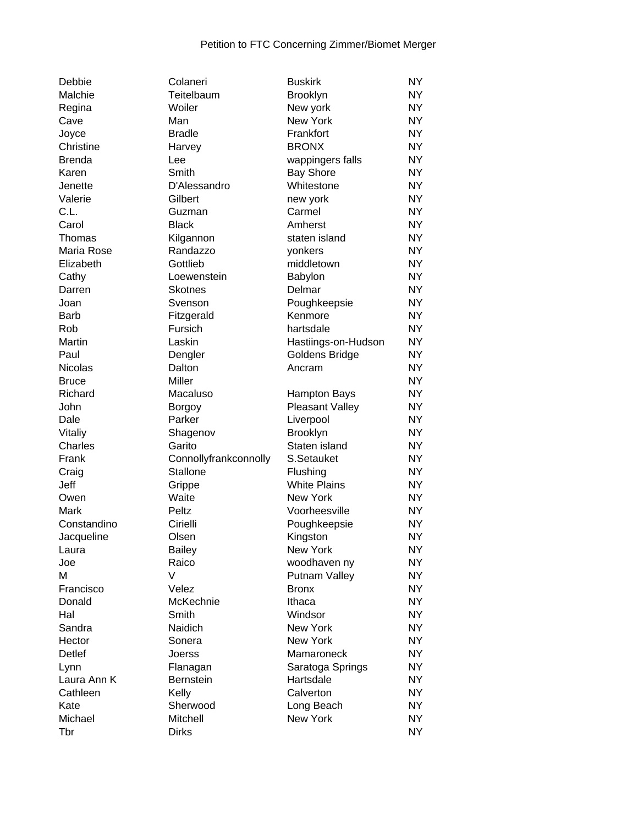| Debbie         | Colaneri              | <b>Buskirk</b>      | <b>NY</b>      |
|----------------|-----------------------|---------------------|----------------|
| Malchie        | Teitelbaum            | <b>Brooklyn</b>     | NY.            |
| Regina         | Woiler                | New york            | NY <sub></sub> |
| Cave           | Man                   | New York            | NY <sub></sub> |
| Joyce          | <b>Bradle</b>         | Frankfort           | NY <sub></sub> |
| Christine      | Harvey                | <b>BRONX</b>        | <b>NY</b>      |
| <b>Brenda</b>  | Lee                   | wappingers falls    | NY.            |
| Karen          | Smith                 | <b>Bay Shore</b>    | NY.            |
| Jenette        | D'Alessandro          | Whitestone          | <b>NY</b>      |
| Valerie        | Gilbert               | new york            | <b>NY</b>      |
| C.L.           | Guzman                | Carmel              | <b>NY</b>      |
| Carol          | <b>Black</b>          | Amherst             | <b>NY</b>      |
| Thomas         | Kilgannon             | staten island       | <b>NY</b>      |
| Maria Rose     | Randazzo              | yonkers             | <b>NY</b>      |
| Elizabeth      | Gottlieb              | middletown          | <b>NY</b>      |
| Cathy          | Loewenstein           | Babylon             | <b>NY</b>      |
| Darren         | <b>Skotnes</b>        | Delmar              | <b>NY</b>      |
| Joan           | Svenson               | Poughkeepsie        | <b>NY</b>      |
| <b>Barb</b>    | Fitzgerald            | Kenmore             | <b>NY</b>      |
| Rob            | Fursich               | hartsdale           | <b>NY</b>      |
| <b>Martin</b>  | Laskin                | Hastiings-on-Hudson | NY.            |
| Paul           | Dengler               | Goldens Bridge      | NY.            |
| <b>Nicolas</b> | Dalton                | Ancram              | <b>NY</b>      |
| <b>Bruce</b>   | Miller                |                     | <b>NY</b>      |
| Richard        | Macaluso              | <b>Hampton Bays</b> | NY.            |
| John           | <b>Borgoy</b>         | Pleasant Valley     | NY.            |
| Dale           | Parker                | Liverpool           | NY.            |
| Vitaliy        | Shagenov              | <b>Brooklyn</b>     | <b>NY</b>      |
| Charles        | Garito                | Staten island       | <b>NY</b>      |
| Frank          | Connollyfrankconnolly | S.Setauket          | <b>NY</b>      |
| Craig          | Stallone              | Flushing            | <b>NY</b>      |
| Jeff           | Grippe                | <b>White Plains</b> | NY.            |
| Owen           | Waite                 | New York            | NY.            |
| Mark           | Peltz                 | Voorheesville       | <b>NY</b>      |
| Constandino    | Cirielli              | Poughkeepsie        | NY             |
| Jacqueline     | Olsen                 | Kingston            | <b>NY</b>      |
| Laura          | <b>Bailey</b>         | New York            | <b>NY</b>      |
| Joe            | Raico                 | woodhaven ny        | NY.            |
| M              | V                     | Putnam Valley       | NY.            |
| Francisco      | Velez                 | <b>Bronx</b>        | NY <sub></sub> |
| Donald         | McKechnie             | Ithaca              | NY <sub></sub> |
| Hal            | Smith                 | Windsor             | NY <sub></sub> |
| Sandra         | Naidich               | New York            | <b>NY</b>      |
| Hector         |                       | New York            | <b>NY</b>      |
| <b>Detlef</b>  | Sonera                | Mamaroneck          | NY.            |
|                | Joerss                |                     |                |
| Lynn           | Flanagan              | Saratoga Springs    | NY.            |
| Laura Ann K    | <b>Bernstein</b>      | Hartsdale           | NY <sub></sub> |
| Cathleen       | Kelly                 | Calverton           | NY <sub></sub> |
| Kate           | Sherwood              | Long Beach          | NY <sub></sub> |
| Michael        | Mitchell              | New York            | NY.            |
| Tbr            | <b>Dirks</b>          |                     | NY.            |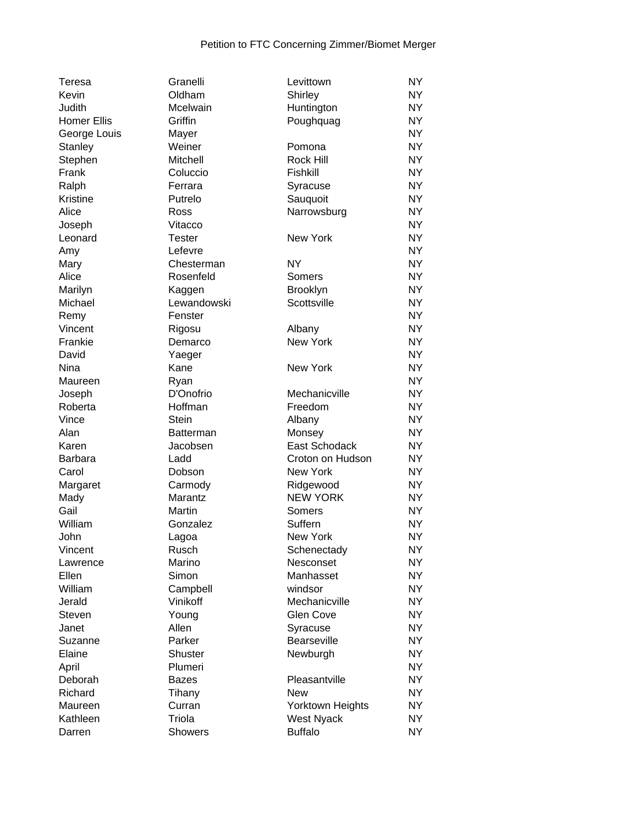| Teresa             | Granelli         | Levittown          | <b>NY</b> |
|--------------------|------------------|--------------------|-----------|
| Kevin              | Oldham           | Shirley            | <b>NY</b> |
| Judith             | Mcelwain         | Huntington         | <b>NY</b> |
| <b>Homer Ellis</b> | Griffin          | Poughquag          | <b>NY</b> |
| George Louis       | Mayer            |                    | <b>NY</b> |
| <b>Stanley</b>     | Weiner           | Pomona             | <b>NY</b> |
| Stephen            | Mitchell         | Rock Hill          | <b>NY</b> |
| Frank              | Coluccio         | Fishkill           | <b>NY</b> |
| Ralph              | Ferrara          | Syracuse           | <b>NY</b> |
| Kristine           | Putrelo          | Sauquoit           | <b>NY</b> |
| Alice              | Ross             | Narrowsburg        | <b>NY</b> |
| Joseph             | Vitacco          |                    | <b>NY</b> |
| Leonard            | <b>Tester</b>    | New York           | <b>NY</b> |
| Amy                | Lefevre          |                    | <b>NY</b> |
| Mary               | Chesterman       | <b>NY</b>          | <b>NY</b> |
| Alice              | Rosenfeld        | Somers             | <b>NY</b> |
| Marilyn            | Kaggen           | Brooklyn           | <b>NY</b> |
| Michael            | Lewandowski      | Scottsville        | <b>NY</b> |
| Remy               | Fenster          |                    | <b>NY</b> |
| Vincent            | Rigosu           | Albany             | <b>NY</b> |
| Frankie            | Demarco          | New York           | <b>NY</b> |
| David              | Yaeger           |                    | <b>NY</b> |
| Nina               | Kane             | New York           | <b>NY</b> |
| Maureen            | Ryan             |                    | <b>NY</b> |
| Joseph             | D'Onofrio        | Mechanicville      | <b>NY</b> |
| Roberta            | Hoffman          | Freedom            | <b>NY</b> |
| Vince              | <b>Stein</b>     | Albany             | <b>NY</b> |
| Alan               | <b>Batterman</b> | Monsey             | <b>NY</b> |
| Karen              | Jacobsen         | East Schodack      | <b>NY</b> |
| <b>Barbara</b>     | Ladd             | Croton on Hudson   | <b>NY</b> |
| Carol              | Dobson           | <b>New York</b>    | <b>NY</b> |
| Margaret           | Carmody          | Ridgewood          | <b>NY</b> |
| Mady               | Marantz          | <b>NEW YORK</b>    | <b>NY</b> |
| Gail               | Martin           | Somers             | <b>NY</b> |
| William            | Gonzalez         | Suffern            | <b>NY</b> |
| John               | Lagoa            | <b>New York</b>    | <b>NY</b> |
| Vincent            | Rusch            | Schenectady        | <b>NY</b> |
| Lawrence           | Marino           | Nesconset          | NΥ        |
| Ellen              | Simon            | Manhasset          | <b>NY</b> |
| William            | Campbell         | windsor            | <b>NY</b> |
| Jerald             | Vinikoff         | Mechanicville      | <b>NY</b> |
| Steven             | Young            | <b>Glen Cove</b>   | <b>NY</b> |
| Janet              | Allen            | Syracuse           | <b>NY</b> |
| Suzanne            | Parker           | <b>Bearseville</b> | <b>NY</b> |
| Elaine             | Shuster          | Newburgh           | <b>NY</b> |
| April              | Plumeri          |                    | <b>NY</b> |
| Deborah            | Bazes            | Pleasantville      | <b>NY</b> |
| Richard            | Tihany           | New                | <b>NY</b> |
| Maureen            | Curran           | Yorktown Heights   | <b>NY</b> |
| Kathleen           | Triola           | <b>West Nyack</b>  | <b>NY</b> |
| Darren             | <b>Showers</b>   | <b>Buffalo</b>     | <b>NY</b> |
|                    |                  |                    |           |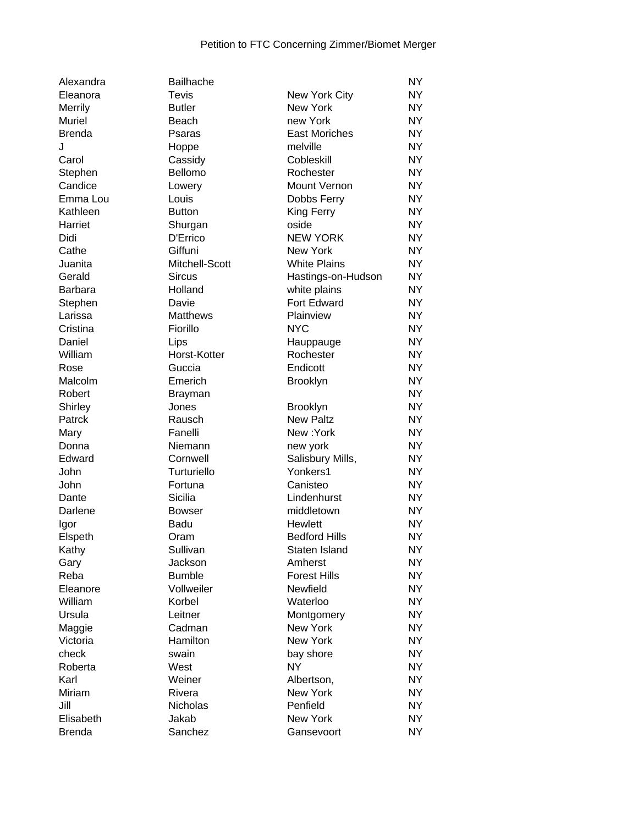| Alexandra             |
|-----------------------|
| Eleanora              |
| Merrily               |
| Muriel                |
| Brenda                |
| J                     |
| Carol                 |
| Stephen               |
| Candice               |
|                       |
| Emma Lou              |
| Kathleen              |
| Harriet               |
| Didi                  |
| Cathe                 |
| Juanita               |
| Gerald                |
| Barbara               |
| Stephen               |
| Larissa               |
| Cristina              |
| Daniel                |
| William               |
| Rose                  |
| Malcolm               |
| Robert                |
| Shirley               |
|                       |
| Patrck                |
| Mary                  |
| Donna                 |
| Edward                |
| John                  |
| John                  |
| Dante                 |
| Darlene               |
| Igor                  |
| Elspeth               |
| Kathy                 |
| Gary                  |
| Reba                  |
| Eleanore              |
| William               |
| Ursula                |
|                       |
| Maggie                |
| Victoria              |
| check                 |
| Roberta               |
| Karl                  |
| Miriam                |
| Jill                  |
| Elisabeth             |
| S <sub>non</sub><br>г |

| Alexandra         | Bailhache               |                              | <b>NY</b> |
|-------------------|-------------------------|------------------------------|-----------|
| Eleanora          | <b>Tevis</b>            | New York City                | ΝY        |
| Merrily           | <b>Butler</b>           | New York                     | ΝY        |
| Muriel            | Beach                   | new York                     | NY        |
| Brenda            | Psaras                  | <b>East Moriches</b>         | <b>NY</b> |
| J                 | Hoppe                   | melville                     | <b>NY</b> |
| Carol             | Cassidy                 | Cobleskill                   | <b>NY</b> |
| Stephen           | Bellomo                 | Rochester                    | <b>NY</b> |
| Candice           | Lowery                  | Mount Vernon                 | <b>NY</b> |
| Emma Lou          | Louis                   | Dobbs Ferry                  | <b>NY</b> |
| Kathleen          | <b>Button</b>           | King Ferry                   | <b>NY</b> |
| Harriet           | Shurgan                 | oside                        | <b>NY</b> |
| Didi              | D'Errico                | <b>NEW YORK</b>              | <b>NY</b> |
| Cathe             | Giffuni                 | <b>New York</b>              | <b>NY</b> |
| Juanita           | Mitchell-Scott          | <b>White Plains</b>          | <b>NY</b> |
| Gerald            | <b>Sircus</b>           | Hastings-on-Hudson           | ΝY        |
| Barbara           | Holland                 | white plains                 | <b>NY</b> |
| Stephen           | Davie                   | Fort Edward                  | <b>NY</b> |
| Larissa           | <b>Matthews</b>         | Plainview                    | <b>NY</b> |
| Cristina          | Fiorillo                | <b>NYC</b>                   | <b>NY</b> |
| Daniel            | Lips                    | Hauppauge                    | <b>NY</b> |
| William           | Horst-Kotter            | Rochester                    | <b>NY</b> |
| Rose              | Guccia                  | Endicott                     | <b>NY</b> |
| Malcolm           | Emerich                 | <b>Brooklyn</b>              | <b>NY</b> |
| Robert            |                         |                              | <b>NY</b> |
|                   | <b>Brayman</b><br>Jones |                              | <b>NY</b> |
| Shirley<br>Patrck | Rausch                  | Brooklyn<br><b>New Paltz</b> | <b>NY</b> |
|                   |                         | New:York                     | <b>NY</b> |
| Mary              | Fanelli                 |                              |           |
| Donna             | Niemann                 | new york                     | <b>NY</b> |
| Edward            | Cornwell                | Salisbury Mills,             | NY        |
| John              | Turturiello             | Yonkers1                     | <b>NY</b> |
| John              | Fortuna                 | Canisteo                     | <b>NY</b> |
| Dante             | Sicilia                 | Lindenhurst                  | <b>NY</b> |
| Darlene           | <b>Bowser</b>           | middletown                   | <b>NY</b> |
| Igor              | Badu                    | Hewlett                      | <b>NY</b> |
| Elspeth           | Oram                    | <b>Bedford Hills</b>         | <b>NY</b> |
| Kathy             | Sullivan                | Staten Island                | <b>NY</b> |
| Gary              | Jackson                 | Amherst                      | <b>NY</b> |
| Reba              | <b>Bumble</b>           | <b>Forest Hills</b>          | <b>NY</b> |
| Eleanore          | Vollweiler              | Newfield                     | <b>NY</b> |
| William           | Korbel                  | Waterloo                     | NY        |
| Ursula            | Leitner                 | Montgomery                   | ΝY        |
| Maggie            | Cadman                  | <b>New York</b>              | <b>NY</b> |
| Victoria          | Hamilton                | New York                     | <b>NY</b> |
| check             | swain                   | bay shore                    | <b>NY</b> |
| Roberta           | West                    | <b>NY</b>                    | <b>NY</b> |
| Karl              | Weiner                  | Albertson,                   | <b>NY</b> |
| Miriam            | Rivera                  | New York                     | <b>NY</b> |
| Jill              | Nicholas                | Penfield                     | <b>NY</b> |
| Elisabeth         | Jakab                   | New York                     | <b>NY</b> |
| Brenda            | Sanchez                 | Gansevoort                   | <b>NY</b> |
|                   |                         |                              |           |

| Eleanora      | <b>Tevis</b>    | New York City        | <b>NY</b> |
|---------------|-----------------|----------------------|-----------|
| Merrily       | <b>Butler</b>   | <b>New York</b>      | NY        |
| Muriel        | Beach           | new York             | <b>NY</b> |
| <b>Brenda</b> | Psaras          | East Moriches        | <b>NY</b> |
| J             | Hoppe           | melville             | <b>NY</b> |
| Carol         | Cassidy         | Cobleskill           | <b>NY</b> |
| Stephen       | Bellomo         | Rochester            | <b>NY</b> |
| Candice       | Lowery          | Mount Vernon         | <b>NY</b> |
| Emma Lou      | Louis           | Dobbs Ferry          | <b>NY</b> |
| Kathleen      | <b>Button</b>   | King Ferry           | <b>NY</b> |
| Harriet       | Shurgan         | oside                | <b>NY</b> |
| Didi          | D'Errico        | <b>NEW YORK</b>      | <b>NY</b> |
| Cathe         | Giffuni         | New York             | <b>NY</b> |
| Juanita       | Mitchell-Scott  | <b>White Plains</b>  | <b>NY</b> |
| Gerald        | <b>Sircus</b>   | Hastings-on-Hudson   | <b>NY</b> |
| Barbara       | Holland         | white plains         | <b>NY</b> |
| Stephen       | Davie           | Fort Edward          | <b>NY</b> |
| Larissa       | <b>Matthews</b> | Plainview            | <b>NY</b> |
| Cristina      | Fiorillo        | <b>NYC</b>           | <b>NY</b> |
| Daniel        | Lips            | Hauppauge            | NY        |
| William       | Horst-Kotter    | Rochester            | <b>NY</b> |
| Rose          | Guccia          | Endicott             | <b>NY</b> |
| Malcolm       | Emerich         | <b>Brooklyn</b>      | <b>NY</b> |
| Robert        | <b>Brayman</b>  |                      | <b>NY</b> |
| Shirley       | Jones           | <b>Brooklyn</b>      | <b>NY</b> |
| Patrck        | Rausch          | <b>New Paltz</b>     | <b>NY</b> |
| Mary          | Fanelli         | New:York             | <b>NY</b> |
| Donna         | Niemann         | new york             | <b>NY</b> |
| Edward        | Cornwell        | Salisbury Mills,     | <b>NY</b> |
| John          | Turturiello     | Yonkers1             | <b>NY</b> |
| John          | Fortuna         | Canisteo             | <b>NY</b> |
| Dante         | Sicilia         | Lindenhurst          | <b>NY</b> |
| Darlene       | <b>Bowser</b>   | middletown           | <b>NY</b> |
| Igor          | Badu            | Hewlett              | <b>NY</b> |
| Elspeth       | Oram            | <b>Bedford Hills</b> | <b>NY</b> |
| Kathy         | Sullivan        | Staten Island        | <b>NY</b> |
| Gary          | Jackson         | Amherst              | ΝY        |
| Reba          | <b>Bumble</b>   | <b>Forest Hills</b>  | <b>NY</b> |
| Eleanore      | Vollweiler      | Newfield             | <b>NY</b> |
| William       | Korbel          | Waterloo             | <b>NY</b> |
| Ursula        | Leitner         | Montgomery           | <b>NY</b> |
| Maggie        | Cadman          | New York             | <b>NY</b> |
| Victoria      | Hamilton        | New York             | <b>NY</b> |
| check         | swain           | bay shore            | <b>NY</b> |
| Roberta       | West            | <b>NY</b>            | <b>NY</b> |
| Karl          | Weiner          | Albertson,           | <b>NY</b> |
| Miriam        | Rivera          | <b>New York</b>      | <b>NY</b> |
| Jill          | Nicholas        | Penfield             | <b>NY</b> |
| Elisabeth     | Jakab           | New York             | <b>NY</b> |
| Brenda        | Sanchez         | Gansevoort           | <b>NY</b> |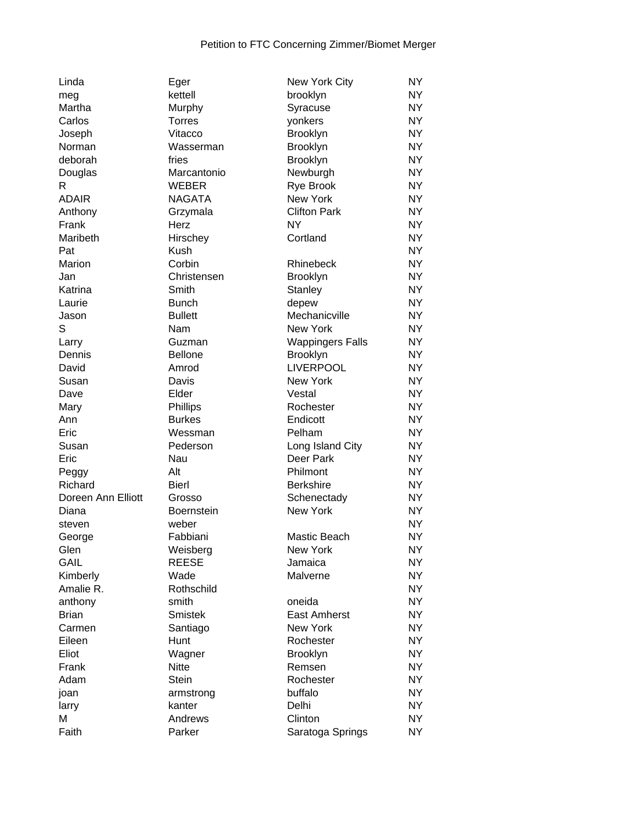| Linda              | Eger                | New York City           | <b>NY</b>      |
|--------------------|---------------------|-------------------------|----------------|
| meg                | kettell             | brooklyn                | <b>NY</b>      |
| Martha             | Murphy              | Syracuse                | <b>NY</b>      |
| Carlos             | <b>Torres</b>       | yonkers                 | <b>NY</b>      |
| Joseph             | Vitacco             | Brooklyn                | <b>NY</b>      |
| Norman             | Wasserman           | Brooklyn                | <b>NY</b>      |
| deborah            | fries               | Brooklyn                | <b>NY</b>      |
| Douglas            | Marcantonio         | Newburgh                | <b>NY</b>      |
| R.                 | <b>WEBER</b>        | <b>Rye Brook</b>        | <b>NY</b>      |
| <b>ADAIR</b>       | <b>NAGATA</b>       | New York                | <b>NY</b>      |
| Anthony            | Grzymala            | <b>Clifton Park</b>     | <b>NY</b>      |
| Frank              | Herz                | <b>NY</b>               | <b>NY</b>      |
| Maribeth           | Hirschey            | Cortland                | <b>NY</b>      |
| Pat                | <b>Kush</b>         |                         | <b>NY</b>      |
| Marion             | Corbin              | Rhinebeck               | <b>NY</b>      |
| Jan                | Christensen         | Brooklyn                | <b>NY</b>      |
| Katrina            | Smith               | Stanley                 | <b>NY</b>      |
| Laurie             | <b>Bunch</b>        | depew                   | <b>NY</b>      |
| Jason              | <b>Bullett</b>      | Mechanicville           | <b>NY</b>      |
| S                  | Nam                 | New York                | <b>NY</b>      |
| Larry              | Guzman              | <b>Wappingers Falls</b> | <b>NY</b>      |
| Dennis             | <b>Bellone</b>      | <b>Brooklyn</b>         | <b>NY</b>      |
| David              | Amrod               | <b>LIVERPOOL</b>        | <b>NY</b>      |
| Susan              | Davis               | <b>New York</b>         | <b>NY</b>      |
| Dave               | Elder               | Vestal                  | <b>NY</b>      |
| Mary               | Phillips            | Rochester               | <b>NY</b>      |
| Ann                | <b>Burkes</b>       | Endicott                | <b>NY</b>      |
| Eric               | Wessman             | Pelham                  | <b>NY</b>      |
| Susan              | Pederson            | Long Island City        | <b>NY</b>      |
| Eric               | Nau                 | Deer Park               | <b>NY</b>      |
| Peggy              | Alt                 | Philmont                | <b>NY</b>      |
| Richard            | <b>Bierl</b>        | <b>Berkshire</b>        | <b>NY</b>      |
| Doreen Ann Elliott | Grosso              | Schenectady             | <b>NY</b>      |
| Diana              | <b>Boernstein</b>   | New York                | <b>NY</b>      |
| steven             | weber               |                         | <b>NY</b>      |
| George             | Fabbiani            | Mastic Beach            | <b>NY</b>      |
| Glen               | Weisberg            | New York                | <b>NY</b>      |
| <b>GAIL</b>        | <b>REESE</b>        | Jamaica                 | <b>NY</b>      |
| Kimberly           | Wade                | Malverne                | <b>NY</b>      |
| Amalie R.          | Rothschild          |                         | NY <sub></sub> |
| anthony            | smith               | oneida                  | <b>NY</b>      |
| <b>Brian</b>       | <b>Smistek</b>      | <b>East Amherst</b>     | <b>NY</b>      |
| Carmen             | Santiago            | <b>New York</b>         | <b>NY</b>      |
| Eileen             | Hunt                | Rochester               | <b>NY</b>      |
| Eliot              | Wagner              | <b>Brooklyn</b>         | <b>NY</b>      |
| Frank              | <b>Nitte</b>        | Remsen                  | <b>NY</b>      |
| Adam               | <b>Stein</b>        | Rochester               | <b>NY</b>      |
|                    |                     | buffalo                 | <b>NY</b>      |
| joan               | armstrong<br>kanter | Delhi                   | NY <sub></sub> |
| larry<br>M         | Andrews             | Clinton                 | <b>NY</b>      |
| Faith              | Parker              |                         | <b>NY</b>      |
|                    |                     | Saratoga Springs        |                |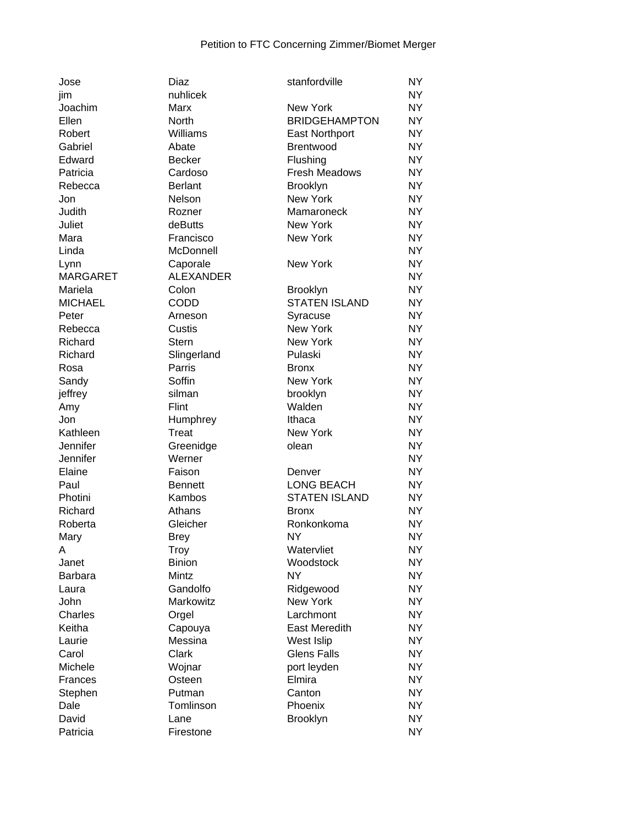| Jose            | Diaz              | stanfordville               | <b>NY</b> |
|-----------------|-------------------|-----------------------------|-----------|
| jim             | nuhlicek          |                             | <b>NY</b> |
| Joachim         | Marx              | New York                    | <b>NY</b> |
| Ellen           | North             | <b>BRIDGEHAMPTON</b>        | <b>NY</b> |
| Robert          | Williams          | <b>East Northport</b>       | <b>NY</b> |
| Gabriel         | Abate             | Brentwood                   | <b>NY</b> |
| Edward          | <b>Becker</b>     | Flushing                    | <b>NY</b> |
| Patricia        | Cardoso           | <b>Fresh Meadows</b>        | <b>NY</b> |
| Rebecca         | <b>Berlant</b>    | <b>Brooklyn</b>             | <b>NY</b> |
| Jon             | Nelson            | New York                    | <b>NY</b> |
| Judith          | Rozner            | Mamaroneck                  | <b>NY</b> |
| Juliet          | deButts           | New York                    | <b>NY</b> |
| Mara            | Francisco         | New York                    | <b>NY</b> |
| Linda           | McDonnell         |                             | <b>NY</b> |
| Lynn            | Caporale          | New York                    | <b>NY</b> |
| <b>MARGARET</b> | <b>ALEXANDER</b>  |                             | <b>NY</b> |
| Mariela         | Colon             | <b>Brooklyn</b>             | <b>NY</b> |
| <b>MICHAEL</b>  | CODD              | <b>STATEN ISLAND</b>        | <b>NY</b> |
|                 |                   |                             | <b>NY</b> |
| Peter           | Arneson<br>Custis | Syracuse                    | <b>NY</b> |
| Rebecca         |                   | New York<br><b>New York</b> |           |
| Richard         | <b>Stern</b>      |                             | <b>NY</b> |
| Richard         | Slingerland       | Pulaski                     | <b>NY</b> |
| Rosa            | Parris            | <b>Bronx</b>                | <b>NY</b> |
| Sandy           | Soffin            | <b>New York</b>             | <b>NY</b> |
| jeffrey         | silman            | brooklyn                    | <b>NY</b> |
| Amy             | Flint             | Walden                      | <b>NY</b> |
| Jon             | Humphrey          | Ithaca                      | <b>NY</b> |
| Kathleen        | <b>Treat</b>      | New York                    | <b>NY</b> |
| Jennifer        | Greenidge         | olean                       | <b>NY</b> |
| Jennifer        | Werner            |                             | <b>NY</b> |
| Elaine          | Faison            | Denver                      | <b>NY</b> |
| Paul            | <b>Bennett</b>    | <b>LONG BEACH</b>           | <b>NY</b> |
| Photini         | Kambos            | <b>STATEN ISLAND</b>        | <b>NY</b> |
| Richard         | Athans            | <b>Bronx</b>                | <b>NY</b> |
| Roberta         | Gleicher          | Ronkonkoma                  | <b>NY</b> |
| Mary            | <b>Brey</b>       | <b>NY</b>                   | <b>NY</b> |
| Α               | Troy              | Watervliet                  | <b>NY</b> |
| Janet           | <b>Binion</b>     | Woodstock                   | <b>NY</b> |
| <b>Barbara</b>  | Mintz             | NY                          | <b>NY</b> |
| Laura           | Gandolfo          | Ridgewood                   | <b>NY</b> |
| John            | Markowitz         | New York                    | <b>NY</b> |
| Charles         | Orgel             | Larchmont                   | <b>NY</b> |
| Keitha          | Capouya           | <b>East Meredith</b>        | <b>NY</b> |
| Laurie          | Messina           | West Islip                  | <b>NY</b> |
| Carol           | Clark             | <b>Glens Falls</b>          | <b>NY</b> |
| Michele         | Wojnar            | port leyden                 | <b>NY</b> |
| Frances         | Osteen            | Elmira                      | <b>NY</b> |
| Stephen         | Putman            | Canton                      | <b>NY</b> |
| Dale            | Tomlinson         | Phoenix                     | <b>NY</b> |
| David           | Lane              | <b>Brooklyn</b>             | <b>NY</b> |
| Patricia        |                   |                             | <b>NY</b> |
|                 | Firestone         |                             |           |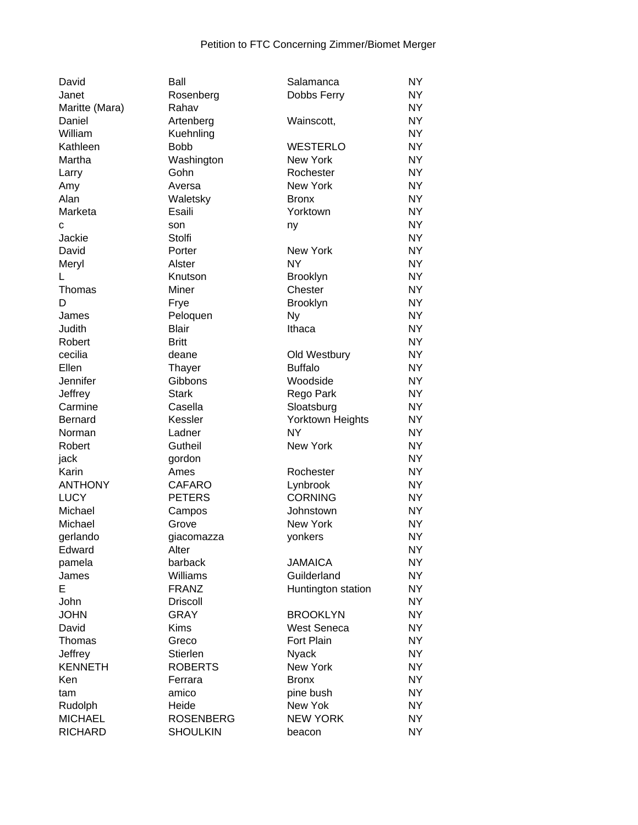| David          | Ball             | Salamanca          | <b>NY</b> |
|----------------|------------------|--------------------|-----------|
| Janet          | Rosenberg        | Dobbs Ferry        | <b>NY</b> |
| Maritte (Mara) | Rahav            |                    | <b>NY</b> |
| Daniel         | Artenberg        | Wainscott,         | <b>NY</b> |
| William        | Kuehnling        |                    | <b>NY</b> |
| Kathleen       | <b>Bobb</b>      | <b>WESTERLO</b>    | <b>NY</b> |
| Martha         | Washington       | <b>New York</b>    | <b>NY</b> |
| Larry          | Gohn             | Rochester          | <b>NY</b> |
| Amy            | Aversa           | New York           | <b>NY</b> |
| Alan           | Waletsky         | <b>Bronx</b>       | <b>NY</b> |
| Marketa        | Esaili           | Yorktown           | <b>NY</b> |
| C              | son              | ny                 | <b>NY</b> |
| Jackie         | Stolfi           |                    | <b>NY</b> |
| David          | Porter           | <b>New York</b>    | <b>NY</b> |
| Meryl          | Alster           | <b>NY</b>          | <b>NY</b> |
| L              | Knutson          | Brooklyn           | <b>NY</b> |
| Thomas         | Miner            | Chester            | <b>NY</b> |
| D              | Frye             | <b>Brooklyn</b>    | <b>NY</b> |
| James          | Peloquen         | <b>Ny</b>          | <b>NY</b> |
| Judith         | <b>Blair</b>     | Ithaca             | <b>NY</b> |
| Robert         | <b>Britt</b>     |                    | <b>NY</b> |
| cecilia        | deane            | Old Westbury       | <b>NY</b> |
| Ellen          | Thayer           | <b>Buffalo</b>     | <b>NY</b> |
| Jennifer       | Gibbons          | Woodside           | <b>NY</b> |
| Jeffrey        | <b>Stark</b>     | Rego Park          | <b>NY</b> |
| Carmine        | Casella          | Sloatsburg         | NY.       |
| <b>Bernard</b> | Kessler          | Yorktown Heights   | <b>NY</b> |
| Norman         | Ladner           | <b>NY</b>          | <b>NY</b> |
| Robert         | Gutheil          | New York           | <b>NY</b> |
| jack           | gordon           |                    | <b>NY</b> |
| Karin          | Ames             | Rochester          | <b>NY</b> |
| <b>ANTHONY</b> | <b>CAFARO</b>    | Lynbrook           | <b>NY</b> |
| <b>LUCY</b>    | <b>PETERS</b>    | <b>CORNING</b>     | <b>NY</b> |
| Michael        | Campos           | Johnstown          | <b>NY</b> |
| Michael        | Grove            | New York           | <b>NY</b> |
| gerlando       | giacomazza       | yonkers            | <b>NY</b> |
| Edward         | Alter            |                    | NY        |
| pamela         | barback          | <b>JAMAICA</b>     | <b>NY</b> |
| James          | Williams         | Guilderland        | <b>NY</b> |
| Е              | <b>FRANZ</b>     | Huntington station | <b>NY</b> |
| John           | <b>Driscoll</b>  |                    | <b>NY</b> |
| <b>JOHN</b>    | <b>GRAY</b>      | <b>BROOKLYN</b>    | <b>NY</b> |
| David          | <b>Kims</b>      | <b>West Seneca</b> | <b>NY</b> |
| Thomas         | Greco            | <b>Fort Plain</b>  | <b>NY</b> |
| Jeffrey        | Stierlen         | <b>Nyack</b>       | <b>NY</b> |
| <b>KENNETH</b> | <b>ROBERTS</b>   | New York           | <b>NY</b> |
| Ken            | Ferrara          | <b>Bronx</b>       | <b>NY</b> |
| tam            | amico            | pine bush          | <b>NY</b> |
| Rudolph        | Heide            | New Yok            | <b>NY</b> |
| <b>MICHAEL</b> | <b>ROSENBERG</b> | <b>NEW YORK</b>    | <b>NY</b> |
| <b>RICHARD</b> | <b>SHOULKIN</b>  | beacon             | <b>NY</b> |
|                |                  |                    |           |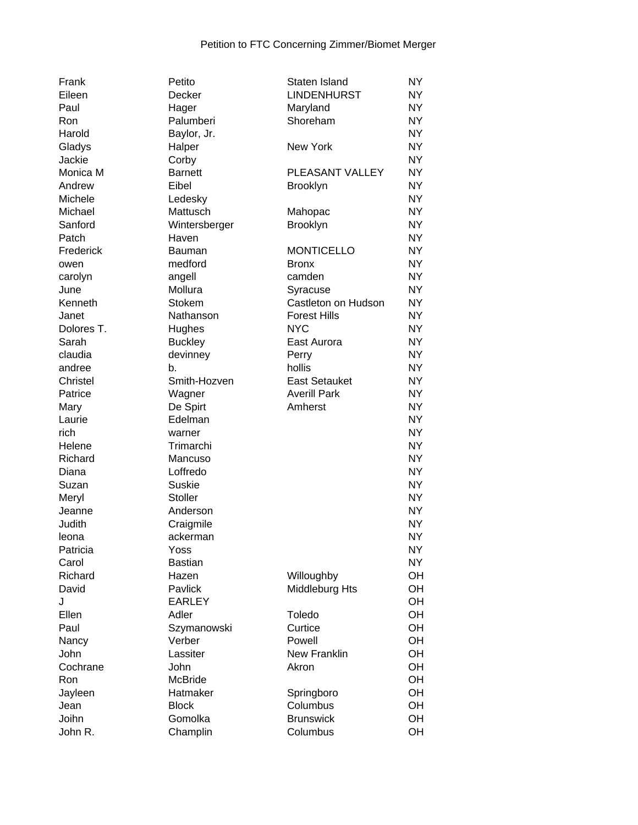| Frank           | Petito            | Staten Island        | <b>NY</b> |
|-----------------|-------------------|----------------------|-----------|
| Eileen          | Decker            | <b>LINDENHURST</b>   | <b>NY</b> |
| Paul            | Hager             | Maryland             | <b>NY</b> |
| Ron             | Palumberi         | Shoreham             | <b>NY</b> |
| Harold          | Baylor, Jr.       |                      | <b>NY</b> |
| Gladys          | Halper            | <b>New York</b>      | <b>NY</b> |
| Jackie          | Corby             |                      | <b>NY</b> |
| Monica M        | <b>Barnett</b>    | PLEASANT VALLEY      | <b>NY</b> |
| Andrew          | Eibel             | <b>Brooklyn</b>      | <b>NY</b> |
| Michele         | Ledesky           |                      | <b>NY</b> |
| Michael         | Mattusch          | Mahopac              | <b>NY</b> |
| Sanford         | Wintersberger     | Brooklyn             | <b>NY</b> |
| Patch           | Haven             |                      | <b>NY</b> |
| Frederick       | <b>Bauman</b>     | <b>MONTICELLO</b>    | <b>NY</b> |
|                 | medford           | <b>Bronx</b>         | <b>NY</b> |
| owen            |                   | camden               | <b>NY</b> |
| carolyn<br>June | angell<br>Mollura |                      | <b>NY</b> |
| Kenneth         |                   | Syracuse             |           |
|                 | Stokem            | Castleton on Hudson  | <b>NY</b> |
| Janet           | Nathanson         | <b>Forest Hills</b>  | <b>NY</b> |
| Dolores T.      | Hughes            | <b>NYC</b>           | <b>NY</b> |
| Sarah           | <b>Buckley</b>    | East Aurora          | <b>NY</b> |
| claudia         | devinney          | Perry                | <b>NY</b> |
| andree          | b.                | hollis               | <b>NY</b> |
| Christel        | Smith-Hozven      | <b>East Setauket</b> | <b>NY</b> |
| Patrice         | Wagner            | <b>Averill Park</b>  | <b>NY</b> |
| Mary            | De Spirt          | Amherst              | <b>NY</b> |
| Laurie          | Edelman           |                      | <b>NY</b> |
| rich            | warner            |                      | <b>NY</b> |
| Helene          | Trimarchi         |                      | <b>NY</b> |
| Richard         | Mancuso           |                      | <b>NY</b> |
| Diana           | Loffredo          |                      | <b>NY</b> |
| Suzan           | <b>Suskie</b>     |                      | <b>NY</b> |
| Meryl           | Stoller           |                      | <b>NY</b> |
| Jeanne          | Anderson          |                      | <b>NY</b> |
| Judith          | Craigmile         |                      | <b>NY</b> |
| leona           | ackerman          |                      | <b>NY</b> |
| Patricia        | Yoss              |                      | <b>NY</b> |
| Carol           | <b>Bastian</b>    |                      | <b>NY</b> |
| Richard         | Hazen             | Willoughby           | OH        |
| David           | Pavlick           | Middleburg Hts       | OH        |
| J               | <b>EARLEY</b>     |                      | OH        |
| Ellen           | Adler             | Toledo               | OH        |
| Paul            | Szymanowski       | Curtice              | OH        |
| Nancy           | Verber            | Powell               | OH        |
| John            | Lassiter          | New Franklin         | OH        |
| Cochrane        | John              | Akron                | OH        |
| Ron             | <b>McBride</b>    |                      | OH        |
| Jayleen         | Hatmaker          | Springboro           | OH        |
| Jean            | <b>Block</b>      | Columbus             | OH        |
| Joihn           | Gomolka           | <b>Brunswick</b>     | OH        |
| John R.         | Champlin          | Columbus             | OH        |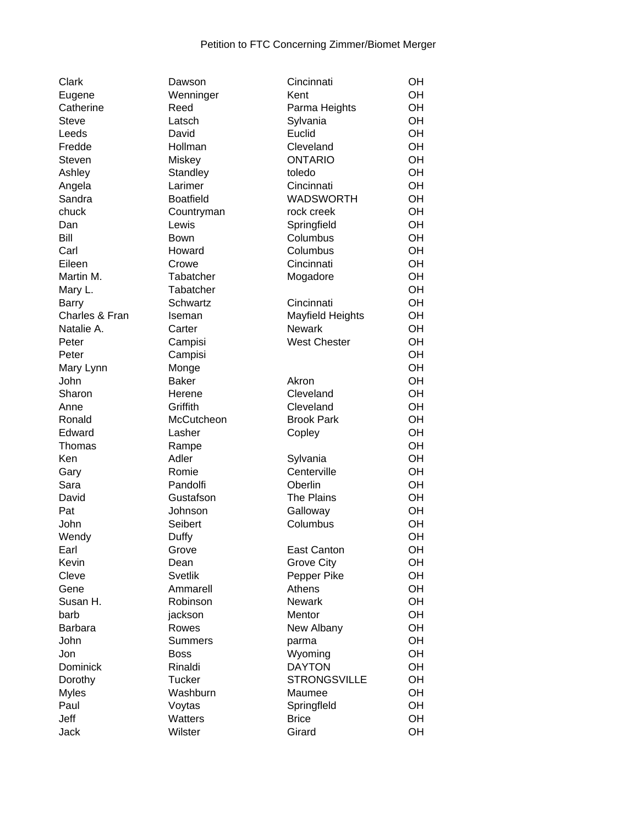| Clark           | Dawson           | Cincinnati          | OН |
|-----------------|------------------|---------------------|----|
| Eugene          | Wenninger        | Kent                | OН |
| Catherine       | Reed             | Parma Heights       | OH |
| <b>Steve</b>    | Latsch           | Sylvania            | OH |
| Leeds           | David            | Euclid              | OH |
| Fredde          | Hollman          | Cleveland           | OH |
| Steven          | Miskey           | <b>ONTARIO</b>      | OH |
| Ashley          | Standley         | toledo              | OH |
| Angela          | Larimer          | Cincinnati          | OH |
| Sandra          | <b>Boatfield</b> | <b>WADSWORTH</b>    | OH |
| chuck           | Countryman       | rock creek          | OH |
| Dan             | Lewis            | Springfield         | OH |
| Bill            | Bown             | Columbus            | OH |
| Carl            | Howard           | Columbus            | OH |
| Eileen          | Crowe            | Cincinnati          | OH |
| Martin M.       | Tabatcher        | Mogadore            | OH |
| Mary L.         | Tabatcher        |                     | OH |
| <b>Barry</b>    | Schwartz         | Cincinnati          | OH |
| Charles & Fran  | Iseman           | Mayfield Heights    | OH |
| Natalie A.      | Carter           | <b>Newark</b>       | OH |
|                 |                  | <b>West Chester</b> | OH |
| Peter           | Campisi          |                     |    |
| Peter           | Campisi          |                     | OH |
| Mary Lynn       | Monge            |                     | OH |
| John            | <b>Baker</b>     | Akron               | OH |
| Sharon          | Herene           | Cleveland           | OH |
| Anne            | Griffith         | Cleveland           | OH |
| Ronald          | McCutcheon       | <b>Brook Park</b>   | OH |
| Edward          | Lasher           | Copley              | OH |
| Thomas          | Rampe            |                     | OH |
| Ken             | Adler            | Sylvania            | OH |
| Gary            | Romie            | Centerville         | OH |
| Sara            | Pandolfi         | Oberlin             | OH |
| David           | Gustafson        | <b>The Plains</b>   | OH |
| Pat             | Johnson          | Galloway            | OH |
| John            | Seibert          | Columbus            | OH |
| Wendy           | Duffy            |                     | OH |
| Earl            | Grove            | East Canton         | OН |
| Kevin           | Dean             | <b>Grove City</b>   | OH |
| Cleve           | <b>Svetlik</b>   | Pepper Pike         | OH |
| Gene            | Ammarell         | Athens              | OH |
| Susan H.        | Robinson         | <b>Newark</b>       | OH |
| barb            | jackson          | Mentor              | OH |
| <b>Barbara</b>  | Rowes            | New Albany          | OH |
| John            | <b>Summers</b>   | parma               | OH |
| Jon             | <b>Boss</b>      | Wyoming             | OH |
| <b>Dominick</b> | Rinaldi          | <b>DAYTON</b>       | OH |
| Dorothy         | <b>Tucker</b>    | <b>STRONGSVILLE</b> | OH |
| <b>Myles</b>    | Washburn         | Maumee              | OH |
| Paul            | Voytas           | Springfleld         | OH |
| Jeff            | Watters          | <b>Brice</b>        | OH |
| Jack            | Wilster          | Girard              | OH |
|                 |                  |                     |    |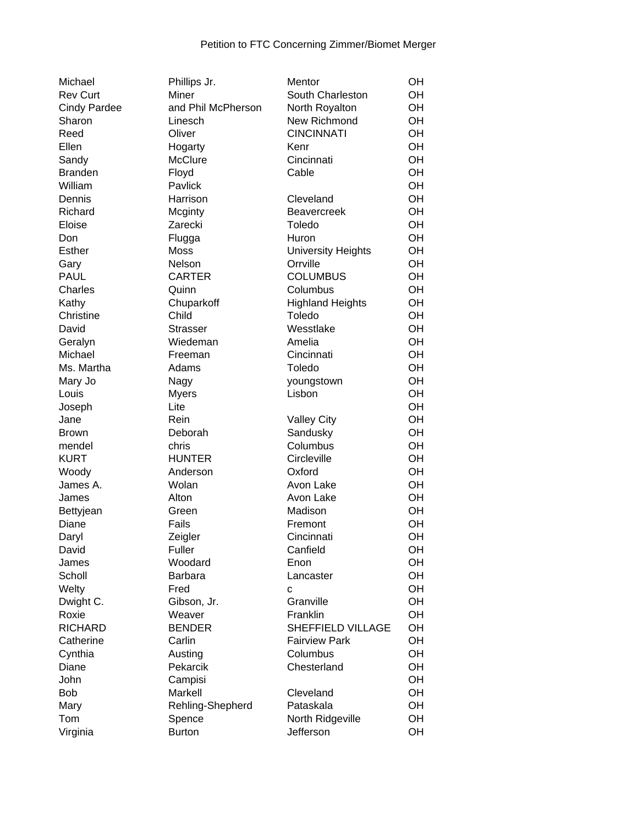| Michael             | Phillips Jr.       | Mentor                    | OH       |
|---------------------|--------------------|---------------------------|----------|
| <b>Rev Curt</b>     | Miner              | South Charleston          | OH       |
| <b>Cindy Pardee</b> | and Phil McPherson | North Royalton            | OH       |
| Sharon              | Linesch            | New Richmond              | OH       |
| Reed                | Oliver             | <b>CINCINNATI</b>         | OH       |
| Ellen               | Hogarty            | Kenr                      | OH       |
| Sandy               | McClure            | Cincinnati                | OH       |
| <b>Branden</b>      | Floyd              | Cable                     | OH       |
| William             | Pavlick            |                           | OH       |
| Dennis              | Harrison           | Cleveland                 | OH       |
| Richard             | Mcginty            | <b>Beavercreek</b>        | OH       |
| Eloise              | Zarecki            | Toledo                    | OH       |
| Don                 | Flugga             | Huron                     | OH       |
| <b>Esther</b>       | <b>Moss</b>        | <b>University Heights</b> | OH       |
| Gary                | Nelson             | Orrville                  | OH       |
| <b>PAUL</b>         | <b>CARTER</b>      | <b>COLUMBUS</b>           | OH       |
| Charles             | Quinn              | Columbus                  | OH       |
| Kathy               | Chuparkoff         | <b>Highland Heights</b>   | OH       |
| Christine           | Child              | Toledo                    | OH       |
| David               | <b>Strasser</b>    | Wesstlake                 | OH       |
| Geralyn             | Wiedeman           | Amelia                    | OH       |
| Michael             | Freeman            | Cincinnati                | OH       |
| Ms. Martha          | Adams              | Toledo                    | OH       |
| Mary Jo             | Nagy               | youngstown                | OH       |
| Louis               | <b>Myers</b>       | Lisbon                    | OH       |
| Joseph              | Lite               |                           | OH       |
| Jane                | Rein               | <b>Valley City</b>        | OH       |
| <b>Brown</b>        | Deborah            | Sandusky                  | OH       |
| mendel              | chris              | Columbus                  | OH       |
| <b>KURT</b>         | <b>HUNTER</b>      | Circleville               | OH       |
| Woody               | Anderson           | Oxford                    | OH       |
| James A.            | Wolan              | Avon Lake                 | OH       |
|                     | Alton              | Avon Lake                 | OH       |
| James               | Green              | Madison                   | OH       |
| Bettyjean<br>Diane  | Fails              | Fremont                   | OH       |
|                     |                    | Cincinnati                | OH       |
| Daryl<br>David      | Zeigler<br>Fuller  | Canfield                  | OH       |
|                     | Woodard            | Enon                      | OH       |
| James               |                    |                           |          |
| Scholl              | <b>Barbara</b>     | Lancaster                 | OH<br>OH |
| Welty               | Fred               | C                         |          |
| Dwight C.<br>Roxie  | Gibson, Jr.        | Granville                 | OH       |
|                     | Weaver             | Franklin                  | OH       |
| <b>RICHARD</b>      | <b>BENDER</b>      | SHEFFIELD VILLAGE         | OH       |
| Catherine           | Carlin             | <b>Fairview Park</b>      | OH       |
| Cynthia             | Austing            | Columbus                  | OH       |
| Diane               | Pekarcik           | Chesterland               | OH       |
| John                | Campisi            |                           | OH       |
| Bob                 | Markell            | Cleveland                 | OH       |
| Mary                | Rehling-Shepherd   | Pataskala                 | OH       |
| Tom                 | Spence             | North Ridgeville          | OH       |
| Virginia            | <b>Burton</b>      | Jefferson                 | OH       |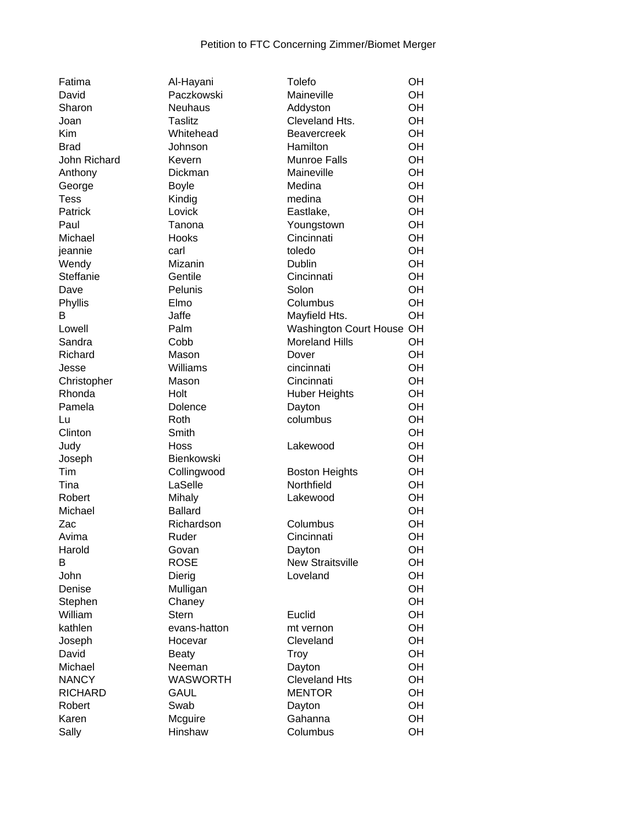| Fatima         | Al-Hayani       | Tolefo                        | OН |
|----------------|-----------------|-------------------------------|----|
| David          | Paczkowski      | Maineville                    | OH |
| Sharon         | <b>Neuhaus</b>  | Addyston                      | OH |
| Joan           | Taslitz         | Cleveland Hts.                | OH |
| Kim            | Whitehead       | <b>Beavercreek</b>            | OH |
| <b>Brad</b>    | Johnson         | Hamilton                      | OH |
|                |                 |                               | OH |
| John Richard   | Kevern          | <b>Munroe Falls</b>           |    |
| Anthony        | Dickman         | Maineville                    | OH |
| George         | <b>Boyle</b>    | Medina                        | OH |
| <b>Tess</b>    | Kindig          | medina                        | OH |
| Patrick        | Lovick          | Eastlake,                     | OH |
| Paul           | Tanona          | Youngstown                    | OH |
| Michael        | Hooks           | Cincinnati                    | OH |
| jeannie        | carl            | toledo                        | OH |
| Wendy          | Mizanin         | <b>Dublin</b>                 | OH |
|                |                 |                               |    |
| Steffanie      | Gentile         | Cincinnati                    | OH |
| Dave           | Pelunis         | Solon                         | OH |
| Phyllis        | Elmo            | Columbus                      | OH |
| B              | Jaffe           | Mayfield Hts.                 | OH |
| Lowell         | Palm            | <b>Washington Court House</b> | OH |
| Sandra         | Cobb            | <b>Moreland Hills</b>         | OH |
| Richard        | Mason           | Dover                         | OH |
| Jesse          | Williams        | cincinnati                    | OH |
| Christopher    | Mason           | Cincinnati                    | OH |
| Rhonda         | Holt            |                               | OH |
|                |                 | <b>Huber Heights</b>          |    |
| Pamela         | Dolence         | Dayton                        | OH |
| Lu             | Roth            | columbus                      | OH |
| Clinton        | Smith           |                               | OH |
| Judy           | Hoss            | Lakewood                      | OH |
| Joseph         | Bienkowski      |                               | OH |
| <b>Tim</b>     | Collingwood     | <b>Boston Heights</b>         | OH |
| Tina           | LaSelle         | Northfield                    | OH |
| Robert         | Mihaly          | Lakewood                      | OH |
| Michael        | <b>Ballard</b>  |                               | OH |
| Zac            | Richardson      | Columbus                      | OH |
|                |                 |                               |    |
| Avima          | Ruder           | Cincinnati                    | OH |
| Harold         | Govan           | Dayton                        | OH |
| B              | <b>ROSE</b>     | New Straitsville              | OH |
| John           | Dierig          | Loveland                      | OH |
| Denise         | Mulligan        |                               | OH |
| Stephen        | Chaney          |                               | OH |
| William        | <b>Stern</b>    | Euclid                        | OH |
| kathlen        | evans-hatton    | mt vernon                     | OH |
| Joseph         | Hocevar         | Cleveland                     | OH |
| David          | <b>Beaty</b>    | Troy                          | OH |
| Michael        | Neeman          | Dayton                        | OH |
|                |                 |                               |    |
| <b>NANCY</b>   | <b>WASWORTH</b> | <b>Cleveland Hts</b>          | OH |
| <b>RICHARD</b> | <b>GAUL</b>     | <b>MENTOR</b>                 | OH |
| Robert         | Swab            | Dayton                        | OH |
| Karen          | Mcguire         | Gahanna                       | OH |
| Sally          | Hinshaw         | Columbus                      | OH |
|                |                 |                               |    |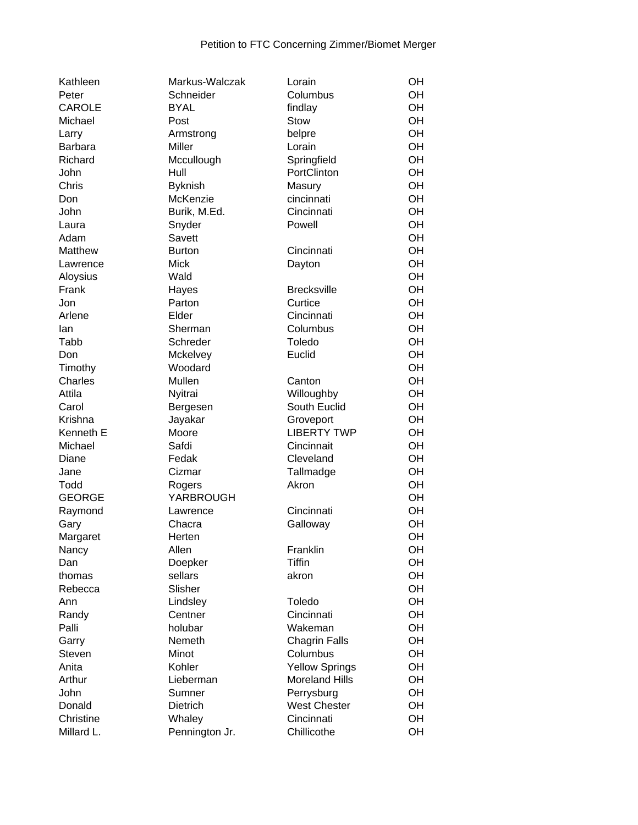| Kathleen       | Markus-Walczak | Lorain                | OH |
|----------------|----------------|-----------------------|----|
| Peter          | Schneider      | Columbus              | OH |
| <b>CAROLE</b>  | <b>BYAL</b>    | findlay               | OH |
| Michael        | Post           | Stow                  | OH |
| Larry          | Armstrong      | belpre                | OH |
| <b>Barbara</b> | Miller         | Lorain                | OH |
| Richard        | Mccullough     | Springfield           | OH |
| John           | Hull           | PortClinton           | OH |
| Chris          | <b>Byknish</b> | Masury                | OH |
| Don            | McKenzie       | cincinnati            | OH |
| John           | Burik, M.Ed.   | Cincinnati            | OH |
| Laura          | Snyder         | Powell                | OH |
| Adam           | Savett         |                       | OH |
| Matthew        | <b>Burton</b>  | Cincinnati            | OH |
| Lawrence       | <b>Mick</b>    | Dayton                | OH |
| Aloysius       | Wald           |                       | OH |
| Frank          | Hayes          | <b>Brecksville</b>    | OH |
| Jon            | Parton         | Curtice               | OH |
| Arlene         | Elder          | Cincinnati            | OH |
| lan            | Sherman        | Columbus              | OH |
| Tabb           | Schreder       | Toledo                | OH |
| Don            | Mckelvey       | Euclid                | OH |
| Timothy        | Woodard        |                       | OH |
| Charles        | Mullen         | Canton                | OH |
| Attila         | Nyitrai        | Willoughby            | OH |
| Carol          | Bergesen       | South Euclid          | OH |
| Krishna        | Jayakar        | Groveport             | OH |
| Kenneth E      | Moore          | <b>LIBERTY TWP</b>    | OH |
| Michael        | Safdi          | Cincinnait            | OH |
| Diane          | Fedak          | Cleveland             | OH |
| Jane           | Cizmar         | Tallmadge             | OH |
| Todd           | Rogers         | Akron                 | OH |
| <b>GEORGE</b>  | YARBROUGH      |                       | OH |
| Raymond        | Lawrence       | Cincinnati            | OH |
| Gary           | Chacra         | Galloway              | OH |
| Margaret       | Herten         |                       | OH |
| Nancy          | Allen          | Franklin              | OH |
| Dan            | Doepker        | <b>Tiffin</b>         | OН |
| thomas         | sellars        | akron                 | OH |
| Rebecca        | Slisher        |                       | OH |
| Ann            | Lindsley       | Toledo                | OH |
| Randy          | Centner        | Cincinnati            | OH |
| Palli          | holubar        | Wakeman               | OH |
| Garry          | Nemeth         | <b>Chagrin Falls</b>  | OH |
| <b>Steven</b>  | Minot          | Columbus              | OH |
| Anita          | Kohler         | <b>Yellow Springs</b> | OH |
| Arthur         | Lieberman      | <b>Moreland Hills</b> | OH |
| John           | Sumner         | Perrysburg            | OH |
| Donald         | Dietrich       | <b>West Chester</b>   | OH |
| Christine      |                | Cincinnati            | OH |
|                | Whaley         |                       |    |
| Millard L.     | Pennington Jr. | Chillicothe           | OH |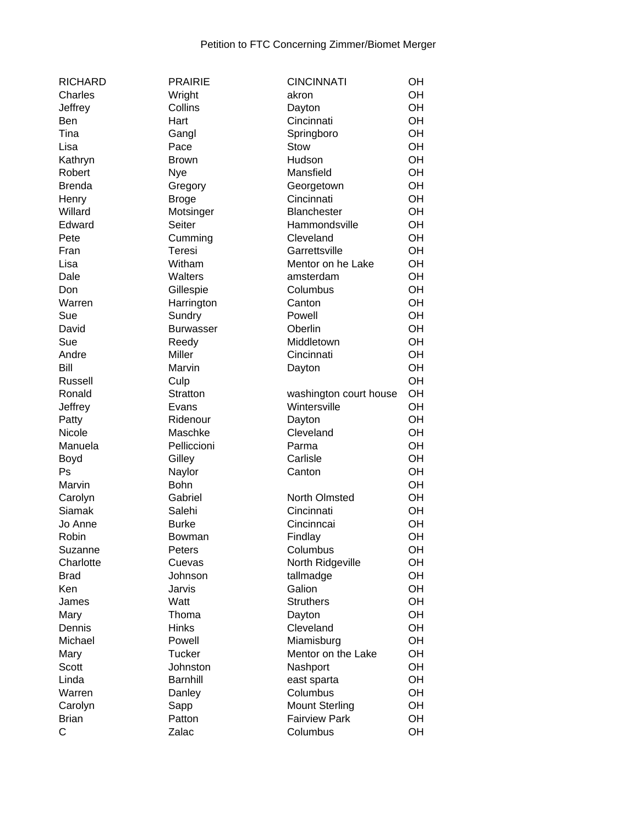| <b>RICHARD</b> | <b>PRAIRIE</b>   | <b>CINCINNATI</b>      | OH |
|----------------|------------------|------------------------|----|
| Charles        | Wright           | akron                  | OH |
| Jeffrey        | Collins          | Dayton                 | OH |
| Ben            | Hart             | Cincinnati             | OH |
| Tina           | Gangl            | Springboro             | OH |
| Lisa           | Pace             | Stow                   | OH |
| Kathryn        | <b>Brown</b>     | Hudson                 | OH |
| Robert         | Nye              | Mansfield              | OH |
| <b>Brenda</b>  | Gregory          | Georgetown             | OH |
| Henry          | <b>Broge</b>     | Cincinnati             | OH |
| Willard        | Motsinger        | <b>Blanchester</b>     | OH |
| Edward         | Seiter           | Hammondsville          | OH |
| Pete           | Cumming          | Cleveland              | OH |
| Fran           | Teresi           | Garrettsville          | OH |
| Lisa           | Witham           | Mentor on he Lake      | OH |
| Dale           | Walters          | amsterdam              | OH |
| Don            |                  | Columbus               | OH |
|                | Gillespie        |                        |    |
| Warren         | Harrington       | Canton                 | OH |
| Sue            | Sundry           | Powell                 | OH |
| David          | <b>Burwasser</b> | Oberlin                | OH |
| Sue            | Reedy            | Middletown             | OH |
| Andre          | Miller           | Cincinnati             | OH |
| Bill           | Marvin           | Dayton                 | OH |
| Russell        | Culp             |                        | OH |
| Ronald         | Stratton         | washington court house | OH |
| Jeffrey        | Evans            | Wintersville           | OH |
| Patty          | Ridenour         | Dayton                 | OH |
| Nicole         | Maschke          | Cleveland              | OH |
| Manuela        | Pelliccioni      | Parma                  | OH |
| Boyd           | Gilley           | Carlisle               | OH |
| Ps             | Naylor           | Canton                 | OH |
| Marvin         | <b>Bohn</b>      |                        | OH |
| Carolyn        | Gabriel          | North Olmsted          | OH |
| <b>Siamak</b>  | Salehi           | Cincinnati             | OH |
| Jo Anne        | <b>Burke</b>     | Cincinncai             | OH |
| Robin          | Bowman           | Findlay                | OH |
| Suzanne        | Peters           | Columbus               | OH |
| Charlotte      | Cuevas           | North Ridgeville       | OH |
| <b>Brad</b>    | Johnson          | tallmadge              | OH |
| Ken            | Jarvis           | Galion                 | OH |
| James          | Watt             | <b>Struthers</b>       | OH |
| Mary           | Thoma            | Dayton                 | OH |
| Dennis         | <b>Hinks</b>     | Cleveland              | OH |
| Michael        | Powell           | Miamisburg             | OH |
| Mary           | <b>Tucker</b>    | Mentor on the Lake     | OH |
| Scott          | Johnston         | Nashport               | OH |
| Linda          | <b>Barnhill</b>  | east sparta            | OH |
| Warren         |                  | Columbus               | OH |
|                | Danley           |                        | OH |
| Carolyn        | Sapp             | <b>Mount Sterling</b>  |    |
| <b>Brian</b>   | Patton           | <b>Fairview Park</b>   | OH |
| C              | Zalac            | Columbus               | OH |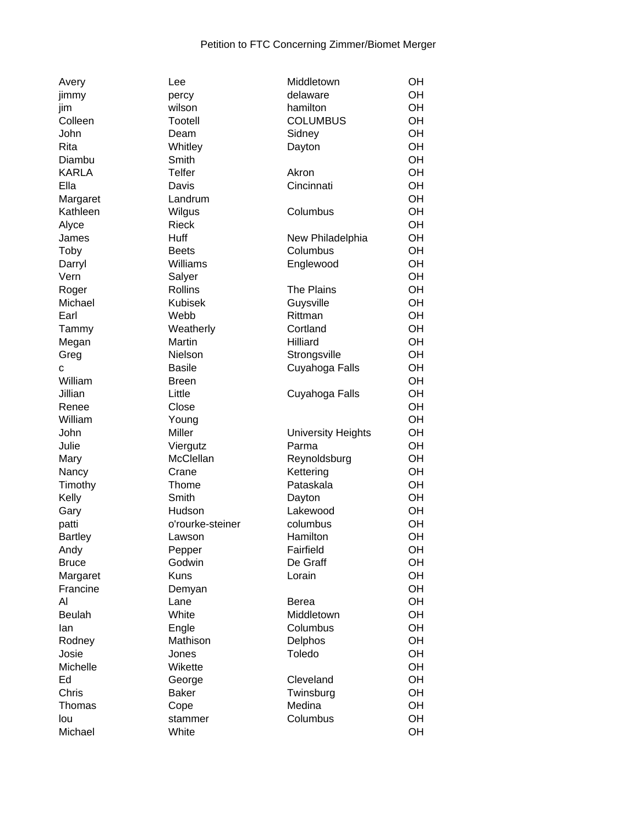| Avery                  | Lee              | Middletown                | OH       |
|------------------------|------------------|---------------------------|----------|
| jimmy                  | percy            | delaware                  | OH       |
| jim                    | wilson           | hamilton                  | OH       |
| Colleen                | Tootell          | <b>COLUMBUS</b>           | OH       |
| John                   | Deam             | Sidney                    | OH       |
| Rita                   | Whitley          | Dayton                    | OH       |
| Diambu                 | Smith            |                           | OH       |
| <b>KARLA</b>           | <b>Telfer</b>    | Akron                     | OH       |
| Ella                   | Davis            | Cincinnati                | OH       |
| Margaret               | Landrum          |                           | OH       |
| Kathleen               | Wilgus           | Columbus                  | OH       |
| Alyce                  | <b>Rieck</b>     |                           | OH       |
| James                  | Huff             | New Philadelphia          | OH       |
| Toby                   | <b>Beets</b>     | Columbus                  | OH       |
| Darryl                 | Williams         | Englewood                 | OH       |
| Vern                   | Salyer           |                           | OH       |
| Roger                  | Rollins          | The Plains                | OH       |
| Michael                | <b>Kubisek</b>   | Guysville                 | OH       |
| Earl                   | Webb             | Rittman                   | OH       |
| Tammy                  | Weatherly        | Cortland                  | OH       |
| Megan                  | Martin           | Hilliard                  | OH       |
| Greg                   | Nielson          | Strongsville              | OH       |
| С                      | <b>Basile</b>    | Cuyahoga Falls            | OH       |
| William                | <b>Breen</b>     |                           | OH       |
| Jillian                | Little           | Cuyahoga Falls            | OH       |
| Renee                  | Close            |                           | OH       |
| William                | Young            |                           | OH       |
| John                   | Miller           | <b>University Heights</b> | OH       |
| Julie                  | Viergutz         | Parma                     | OH       |
| Mary                   | McClellan        | Reynoldsburg              | OH       |
| Nancy                  | Crane            | Kettering                 | OH       |
|                        | Thome            | Pataskala                 | OH       |
| Timothy                | Smith            |                           | OH       |
| Kelly<br>Gary          | Hudson           | Dayton<br>Lakewood        | OH       |
| patti                  | o'rourke-steiner | columbus                  | OH       |
|                        |                  | Hamilton                  | OH       |
| <b>Bartley</b><br>Andy | Lawson<br>Pepper | Fairfield                 | OH       |
| <b>Bruce</b>           | Godwin           | De Graff                  | OH       |
|                        | <b>Kuns</b>      | Lorain                    | OH       |
| Margaret<br>Francine   |                  |                           |          |
| AI                     | Demyan           |                           | OH<br>OH |
|                        | Lane<br>White    | Berea                     | OH       |
| <b>Beulah</b>          |                  | Middletown                |          |
| lan                    | Engle            | Columbus                  | OH       |
| Rodney                 | Mathison         | Delphos                   | OH       |
| Josie                  | Jones            | Toledo                    | OH       |
| Michelle               | Wikette          |                           | OH       |
| Ed                     | George           | Cleveland                 | OH       |
| Chris                  | <b>Baker</b>     | Twinsburg                 | OH       |
| Thomas                 | Cope             | Medina                    | OH       |
| lou                    | stammer          | Columbus                  | OH       |
| Michael                | White            |                           | OH       |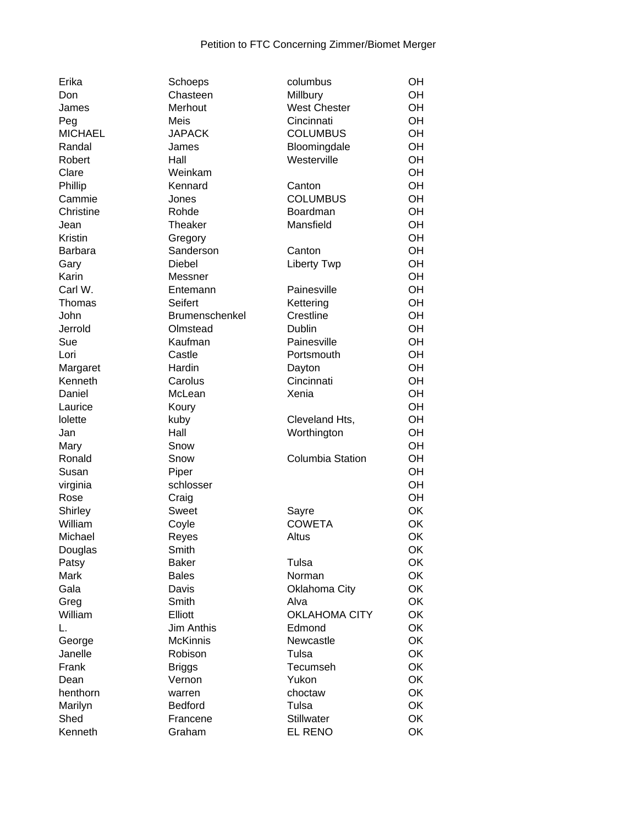| Erika          | Schoeps               | columbus                | OH |
|----------------|-----------------------|-------------------------|----|
| Don            | Chasteen              | Millbury                | OH |
| James          | Merhout               | <b>West Chester</b>     | OH |
| Peg            | Meis                  | Cincinnati              | OH |
| <b>MICHAEL</b> | <b>JAPACK</b>         | <b>COLUMBUS</b>         | OH |
| Randal         | James                 | Bloomingdale            | OH |
| Robert         | Hall                  | Westerville             | OH |
| Clare          | Weinkam               |                         | OH |
| Phillip        | Kennard               | Canton                  | OH |
| Cammie         | Jones                 | <b>COLUMBUS</b>         | OH |
| Christine      | Rohde                 | <b>Boardman</b>         | OH |
|                | Theaker               | Mansfield               | OH |
| Jean           |                       |                         |    |
| Kristin        | Gregory               |                         | OH |
| <b>Barbara</b> | Sanderson             | Canton                  | OH |
| Gary           | Diebel                | <b>Liberty Twp</b>      | OH |
| Karin          | Messner               |                         | OH |
| Carl W.        | Entemann              | Painesville             | OH |
| Thomas         | Seifert               | Kettering               | OH |
| John           | <b>Brumenschenkel</b> | Crestline               | OH |
| Jerrold        | Olmstead              | Dublin                  | OH |
| Sue            | Kaufman               | Painesville             | OH |
| Lori           | Castle                | Portsmouth              | OH |
| Margaret       | Hardin                | Dayton                  | OH |
| Kenneth        | Carolus               | Cincinnati              | OH |
| Daniel         | McLean                | Xenia                   | OH |
| Laurice        | Koury                 |                         | OH |
| lolette        | kuby                  | Cleveland Hts,          | OH |
| Jan            | Hall                  | Worthington             | OH |
| Mary           | Snow                  |                         | OH |
| Ronald         | Snow                  | <b>Columbia Station</b> | OH |
| Susan          | Piper                 |                         | OH |
|                | schlosser             |                         | OH |
| virginia       |                       |                         | OH |
| Rose           | Craig                 |                         |    |
| Shirley        | <b>Sweet</b>          | Sayre                   | OK |
| William        | Coyle                 | <b>COWETA</b>           | OK |
| Michael        | Reyes                 | Altus                   | OK |
| Douglas        | Smith                 |                         | OK |
| Patsy          | <b>Baker</b>          | Tulsa                   | OK |
| Mark           | <b>Bales</b>          | Norman                  | OK |
| Gala           | Davis                 | <b>Oklahoma City</b>    | OK |
| Greg           | Smith                 | Alva                    | OK |
| William        | Elliott               | <b>OKLAHOMA CITY</b>    | OK |
| L.             | <b>Jim Anthis</b>     | Edmond                  | OK |
| George         | <b>McKinnis</b>       | Newcastle               | OK |
| Janelle        | Robison               | Tulsa                   | OK |
| Frank          | <b>Briggs</b>         | Tecumseh                | OK |
| Dean           | Vernon                | Yukon                   | OK |
| henthorn       | warren                | choctaw                 | OK |
| Marilyn        | Bedford               | Tulsa                   | OK |
| Shed           | Francene              | <b>Stillwater</b>       | OK |
| Kenneth        | Graham                | <b>EL RENO</b>          | OK |
|                |                       |                         |    |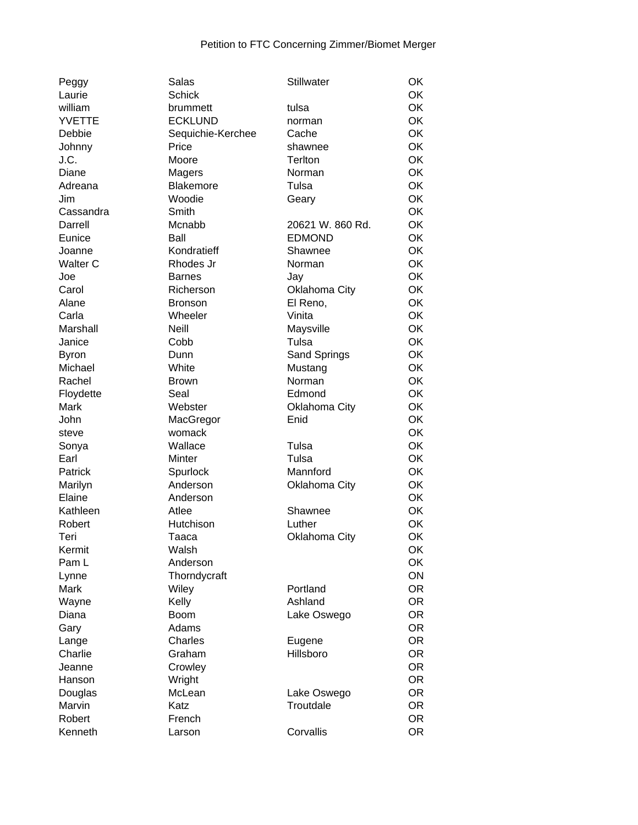| Peggy            | Salas             | Stillwater           | OK        |
|------------------|-------------------|----------------------|-----------|
| Laurie           | <b>Schick</b>     |                      | OK        |
| william          | brummett          | tulsa                | OK        |
| <b>YVETTE</b>    | <b>ECKLUND</b>    | norman               | OK        |
| Debbie           | Sequichie-Kerchee | Cache                | OK        |
| Johnny           | Price             | shawnee              | OK        |
| J.C.             | Moore             | <b>Terlton</b>       | OK        |
| Diane            | Magers            | Norman               | <b>OK</b> |
| Adreana          | Blakemore         | Tulsa                | <b>OK</b> |
| Jim              | Woodie            | Geary                | OK        |
| Cassandra        | Smith             |                      | <b>OK</b> |
| Darrell          | Mcnabb            | 20621 W. 860 Rd.     | OK        |
| Eunice           | Ball              | <b>EDMOND</b>        | <b>OK</b> |
|                  | Kondratieff       | Shawnee              | <b>OK</b> |
| Joanne           |                   |                      | <b>OK</b> |
| Walter C         | Rhodes Jr         | Norman               |           |
| Joe              | <b>Barnes</b>     | Jay                  | OK        |
| Carol            | Richerson         | <b>Oklahoma City</b> | OK        |
| Alane            | <b>Bronson</b>    | El Reno,             | OK        |
| Carla            | Wheeler           | Vinita               | <b>OK</b> |
| Marshall         | Neill             | Maysville            | <b>OK</b> |
| Janice           | Cobb              | Tulsa                | <b>OK</b> |
| <b>Byron</b>     | Dunn              | Sand Springs         | OK        |
| Michael          | White             | Mustang              | OK        |
| Rachel           | <b>Brown</b>      | Norman               | <b>OK</b> |
| Floydette        | Seal              | Edmond               | <b>OK</b> |
| Mark             | Webster           | Oklahoma City        | OK        |
| John             | MacGregor         | Enid                 | <b>OK</b> |
| steve            | womack            |                      | OK        |
| Sonya            | Wallace           | Tulsa                | OK        |
| Earl             | Minter            | Tulsa                | OK        |
| Patrick          | Spurlock          | Mannford             | OK        |
| Marilyn          | Anderson          | Oklahoma City        | OK        |
| Elaine           | Anderson          |                      | <b>OK</b> |
| Kathleen         | Atlee             | Shawnee              | <b>OK</b> |
| Robert           | Hutchison         | Luther               | OK        |
| Teri             | Taaca             | Oklahoma City        | OK        |
| Kermit           | Walsh             |                      | OK        |
| Pam L            | Anderson          |                      | OK        |
| Lynne            | Thorndycraft      |                      | ON        |
| Mark             | Wiley             | Portland             | OR.       |
| Wayne            | Kelly             | Ashland              | OR.       |
| Diana            | <b>Boom</b>       | Lake Oswego          | <b>OR</b> |
| Gary             | Adams             |                      | <b>OR</b> |
|                  | Charles           |                      | OR.       |
| Lange<br>Charlie | Graham            | Eugene<br>Hillsboro  | OR.       |
|                  |                   |                      |           |
| Jeanne           | Crowley           |                      | <b>OR</b> |
| Hanson           | Wright            |                      | OR.       |
| Douglas          | McLean            | Lake Oswego          | <b>OR</b> |
| Marvin           | Katz              | Troutdale            | <b>OR</b> |
| Robert           | French            |                      | OR.       |
| Kenneth          | Larson            | Corvallis            | <b>OR</b> |
|                  |                   |                      |           |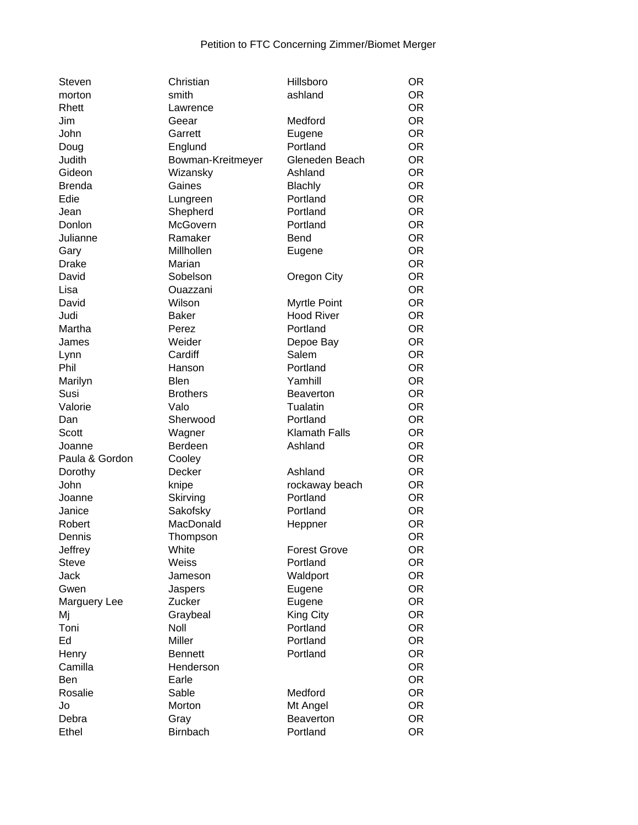| Steven         | Christian         | Hillsboro            | <b>OR</b>              |
|----------------|-------------------|----------------------|------------------------|
| morton         | smith             | ashland              | <b>OR</b>              |
| Rhett          | Lawrence          |                      | <b>OR</b>              |
| Jim            | Geear             | Medford              | <b>OR</b>              |
| John           | Garrett           | Eugene               | <b>OR</b>              |
| Doug           | Englund           | Portland             | <b>OR</b>              |
| Judith         | Bowman-Kreitmeyer | Gleneden Beach       | <b>OR</b>              |
| Gideon         | Wizansky          | Ashland              | <b>OR</b>              |
| <b>Brenda</b>  | Gaines            | Blachly              | <b>OR</b>              |
| Edie           | Lungreen          | Portland             | <b>OR</b>              |
| Jean           | Shepherd          | Portland             | <b>OR</b>              |
| Donlon         | McGovern          | Portland             | <b>OR</b>              |
| Julianne       | Ramaker           | <b>Bend</b>          | <b>OR</b>              |
| Gary           | Millhollen        | Eugene               | <b>OR</b>              |
| <b>Drake</b>   | Marian            |                      | <b>OR</b>              |
| David          | Sobelson          | Oregon City          | <b>OR</b>              |
| Lisa           | Ouazzani          |                      | <b>OR</b>              |
| David          | Wilson            | Myrtle Point         | <b>OR</b>              |
| Judi           | Baker             | <b>Hood River</b>    | <b>OR</b>              |
| Martha         | Perez             | Portland             | <b>OR</b>              |
| James          | Weider            | Depoe Bay            | <b>OR</b>              |
| Lynn           | Cardiff           | Salem                | <b>OR</b>              |
| Phil           | Hanson            | Portland             | <b>OR</b>              |
| Marilyn        | <b>Blen</b>       | Yamhill              | <b>OR</b>              |
| Susi           | <b>Brothers</b>   | <b>Beaverton</b>     | <b>OR</b>              |
| Valorie        | Valo              | Tualatin             | <b>OR</b>              |
| Dan            | Sherwood          | Portland             | <b>OR</b>              |
| <b>Scott</b>   | Wagner            | <b>Klamath Falls</b> | <b>OR</b>              |
| Joanne         | Berdeen           | Ashland              | <b>OR</b>              |
| Paula & Gordon | Cooley            |                      | <b>OR</b>              |
| Dorothy        | Decker            | Ashland              | <b>OR</b>              |
| John           | knipe             | rockaway beach       | <b>OR</b>              |
| Joanne         | Skirving          | Portland             | <b>OR</b>              |
| Janice         | Sakofsky          | Portland             | <b>OR</b>              |
| Robert         | MacDonald         | Heppner              | <b>OR</b>              |
| Dennis         | Thompson          |                      | <b>OR</b>              |
| Jeffrey        | White             | <b>Forest Grove</b>  | <b>OR</b>              |
| <b>Steve</b>   | Weiss             | Portland             | <b>OR</b>              |
| <b>Jack</b>    | Jameson           | Waldport             | <b>OR</b>              |
| Gwen           | Jaspers           | Eugene               | <b>OR</b>              |
| Marguery Lee   | Zucker            | Eugene               | <b>OR</b>              |
| Mj             | Graybeal          | <b>King City</b>     | <b>OR</b>              |
| Toni           | Noll              | Portland             | <b>OR</b>              |
| Ed             | Miller            | Portland             | <b>OR</b>              |
| Henry          | <b>Bennett</b>    | Portland             | <b>OR</b>              |
| Camilla        | Henderson         |                      | <b>OR</b>              |
|                |                   |                      |                        |
| Ben<br>Rosalie | Earle<br>Sable    | Medford              | <b>OR</b><br><b>OR</b> |
| Jo             | Morton            |                      | <b>OR</b>              |
|                |                   | Mt Angel             |                        |
| Debra          | Gray              | Beaverton            | <b>OR</b>              |
| Ethel          | <b>Birnbach</b>   | Portland             | <b>OR</b>              |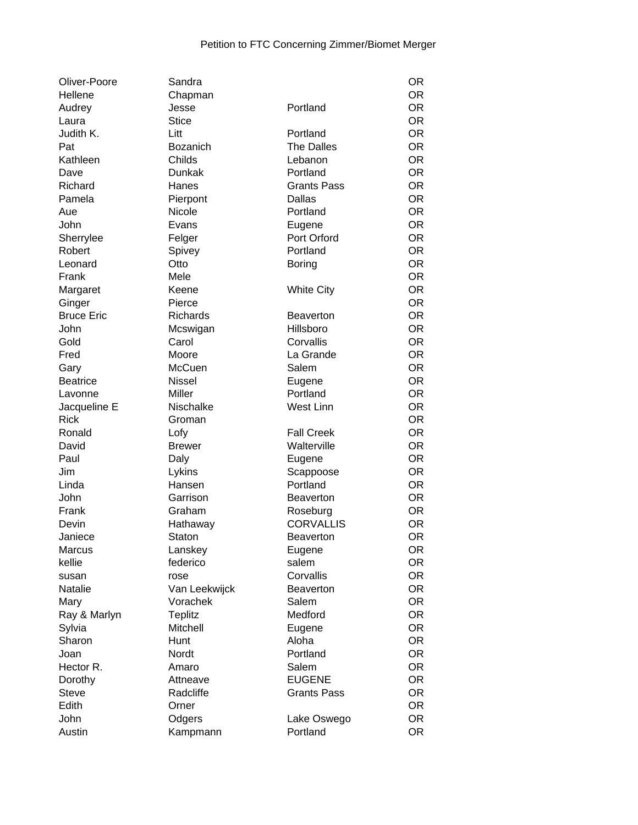| Oliver-Poore      | Sandra         |                    | <b>OR</b> |
|-------------------|----------------|--------------------|-----------|
| Hellene           | Chapman        |                    | OR.       |
| Audrey            | Jesse          | Portland           | <b>OR</b> |
| Laura             | <b>Stice</b>   |                    | <b>OR</b> |
| Judith K.         | Litt           | Portland           | <b>OR</b> |
| Pat               | Bozanich       | <b>The Dalles</b>  | <b>OR</b> |
| Kathleen          | Childs         | Lebanon            | <b>OR</b> |
| Dave              | Dunkak         | Portland           | <b>OR</b> |
| Richard           | Hanes          | <b>Grants Pass</b> | <b>OR</b> |
| Pamela            | Pierpont       | Dallas             | <b>OR</b> |
| Aue               | Nicole         | Portland           | <b>OR</b> |
| John              | Evans          | Eugene             | <b>OR</b> |
| Sherrylee         | Felger         | Port Orford        | <b>OR</b> |
| Robert            | Spivey         | Portland           | <b>OR</b> |
| Leonard           | Otto           | <b>Boring</b>      | <b>OR</b> |
| Frank             | Mele           |                    | <b>OR</b> |
|                   | Keene          | <b>White City</b>  | <b>OR</b> |
| Margaret          |                |                    |           |
| Ginger            | Pierce         |                    | <b>OR</b> |
| <b>Bruce Eric</b> | Richards       | <b>Beaverton</b>   | <b>OR</b> |
| John              | Mcswigan       | Hillsboro          | <b>OR</b> |
| Gold              | Carol          | Corvallis          | <b>OR</b> |
| Fred              | Moore          | La Grande          | <b>OR</b> |
| Gary              | <b>McCuen</b>  | Salem              | <b>OR</b> |
| <b>Beatrice</b>   | <b>Nissel</b>  | Eugene             | <b>OR</b> |
| Lavonne           | Miller         | Portland           | <b>OR</b> |
| Jacqueline E      | Nischalke      | West Linn          | <b>OR</b> |
| <b>Rick</b>       | Groman         |                    | <b>OR</b> |
| Ronald            | Lofy           | <b>Fall Creek</b>  | <b>OR</b> |
| David             | <b>Brewer</b>  | Walterville        | <b>OR</b> |
| Paul              | Daly           | Eugene             | <b>OR</b> |
| Jim               | Lykins         | Scappoose          | <b>OR</b> |
| Linda             | Hansen         | Portland           | <b>OR</b> |
| John              | Garrison       | <b>Beaverton</b>   | <b>OR</b> |
| Frank             | Graham         | Roseburg           | <b>OR</b> |
| Devin             | Hathaway       | <b>CORVALLIS</b>   | <b>OR</b> |
| Janiece           | Staton         | <b>Beaverton</b>   | <b>OR</b> |
| <b>Marcus</b>     | Lanskey        | Eugene             | <b>OR</b> |
| kellie            | federico       | salem              | <b>OR</b> |
| susan             | rose           | Corvallis          | <b>OR</b> |
| Natalie           | Van Leekwijck  | <b>Beaverton</b>   | <b>OR</b> |
| Mary              | Vorachek       | Salem              | <b>OR</b> |
| Ray & Marlyn      | <b>Teplitz</b> | Medford            | <b>OR</b> |
| Sylvia            | Mitchell       | Eugene             | <b>OR</b> |
| Sharon            | Hunt           | Aloha              | <b>OR</b> |
| Joan              | Nordt          | Portland           | <b>OR</b> |
| Hector R.         |                | Salem              | <b>OR</b> |
|                   | Amaro          | <b>EUGENE</b>      |           |
| Dorothy           | Attneave       |                    | <b>OR</b> |
| <b>Steve</b>      | Radcliffe      | <b>Grants Pass</b> | <b>OR</b> |
| Edith             | Orner          |                    | <b>OR</b> |
| John              | Odgers         | Lake Oswego        | <b>OR</b> |
| Austin            | Kampmann       | Portland           | <b>OR</b> |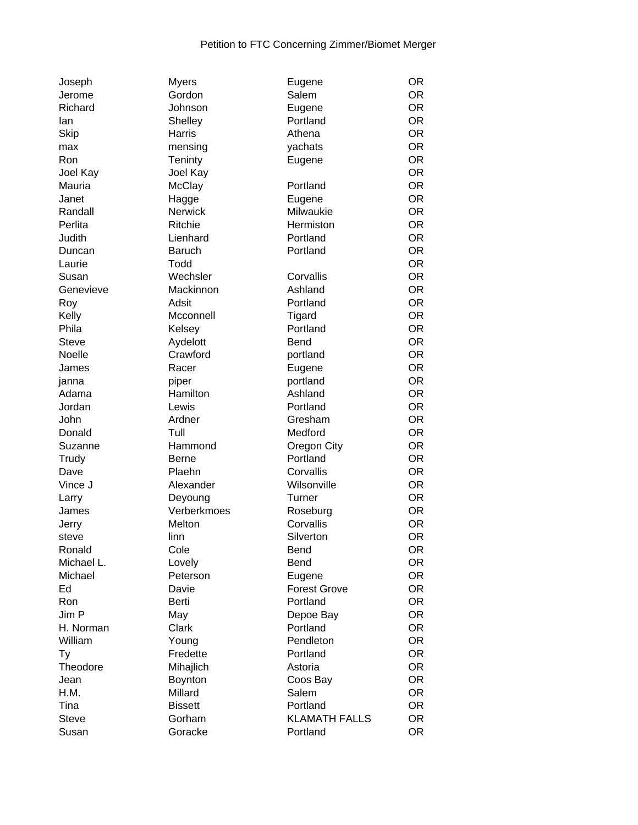| Joseph       | <b>Myers</b>       | Eugene               | <b>OR</b> |
|--------------|--------------------|----------------------|-----------|
| Jerome       | Gordon             | Salem                | OR.       |
| Richard      | Johnson            | Eugene               | <b>OR</b> |
| lan          | Shelley            | Portland             | <b>OR</b> |
| Skip         | Harris             | Athena               | <b>OR</b> |
| max          | mensing            | yachats              | <b>OR</b> |
| Ron          | Teninty            | Eugene               | <b>OR</b> |
| Joel Kay     | Joel Kay           |                      | <b>OR</b> |
| Mauria       | McClay             | Portland             | <b>OR</b> |
| Janet        | Hagge              | Eugene               | <b>OR</b> |
| Randall      | <b>Nerwick</b>     | Milwaukie            | <b>OR</b> |
|              |                    |                      | <b>OR</b> |
| Perlita      | Ritchie            | Hermiston            |           |
| Judith       | Lienhard           | Portland             | <b>OR</b> |
| Duncan       | <b>Baruch</b>      | Portland             | <b>OR</b> |
| Laurie       | Todd               |                      | <b>OR</b> |
| Susan        | Wechsler           | Corvallis            | <b>OR</b> |
| Genevieve    | Mackinnon          | Ashland              | <b>OR</b> |
| Roy          | Adsit              | Portland             | <b>OR</b> |
| Kelly        | Mcconnell          | Tigard               | <b>OR</b> |
| Phila        | Kelsey             | Portland             | <b>OR</b> |
| <b>Steve</b> | Aydelott           | <b>Bend</b>          | <b>OR</b> |
| Noelle       | Crawford           | portland             | <b>OR</b> |
| James        | Racer              | Eugene               | <b>OR</b> |
| janna        | piper              | portland             | <b>OR</b> |
| Adama        | Hamilton           | Ashland              | <b>OR</b> |
| Jordan       | Lewis              | Portland             | <b>OR</b> |
| John         | Ardner             | Gresham              | OR.       |
|              | Tull               | Medford              | <b>OR</b> |
| Donald       |                    |                      |           |
| Suzanne      | Hammond            | Oregon City          | <b>OR</b> |
| Trudy        | <b>Berne</b>       | Portland             | <b>OR</b> |
| Dave         | Plaehn             | Corvallis            | <b>OR</b> |
| Vince J      | Alexander          | Wilsonville          | <b>OR</b> |
| Larry        | Deyoung            | Turner               | <b>OR</b> |
| James        | Verberkmoes        | Roseburg             | <b>OR</b> |
| Jerry        | Melton             | Corvallis            | <b>OR</b> |
| steve        | linn               | Silverton            | <b>OR</b> |
| Ronald       | Cole               | Bend                 | OR        |
| Michael L.   | Lovely             | Bend                 | <b>OR</b> |
| Michael      | Peterson           | Eugene               | OR        |
| Ed           | Davie              | <b>Forest Grove</b>  | OR.       |
| Ron          | Berti              | Portland             | <b>OR</b> |
| Jim P        | May                | Depoe Bay            | <b>OR</b> |
| H. Norman    | Clark              | Portland             | <b>OR</b> |
| William      | Young              | Pendleton            | OR.       |
| Ty           | Fredette           | Portland             | <b>OR</b> |
| Theodore     | Mihajlich          | Astoria              | OR        |
|              |                    |                      | <b>OR</b> |
| Jean         | Boynton<br>Millard | Coos Bay<br>Salem    | <b>OR</b> |
| H.M.         |                    |                      |           |
| Tina         | <b>Bissett</b>     | Portland             | OR        |
| <b>Steve</b> | Gorham             | <b>KLAMATH FALLS</b> | OR.       |
| Susan        | Goracke            | Portland             | OR.       |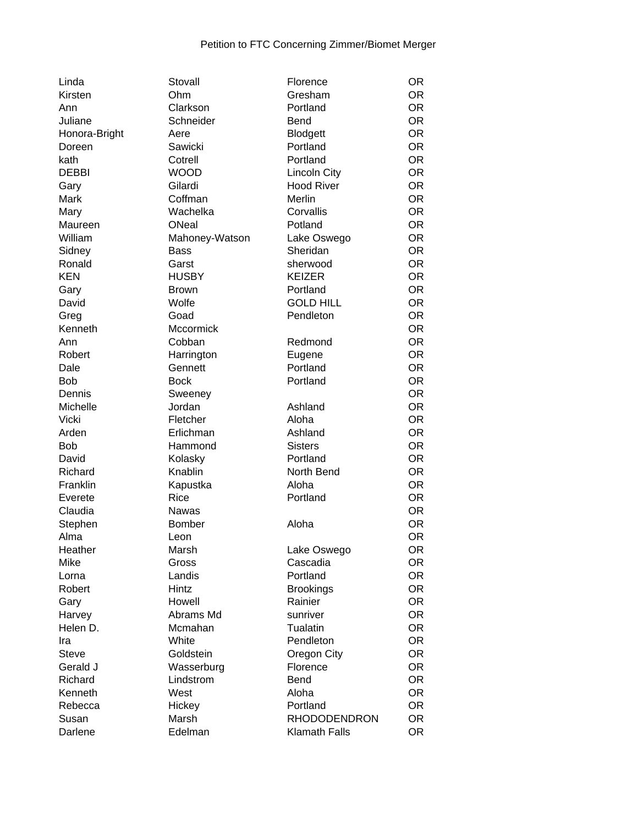| Linda           | Stovall         | Florence             | <b>OR</b> |
|-----------------|-----------------|----------------------|-----------|
| Kirsten         | Ohm             | Gresham              | <b>OR</b> |
| Ann             | Clarkson        | Portland             | <b>OR</b> |
| Juliane         | Schneider       | <b>Bend</b>          | <b>OR</b> |
| Honora-Bright   | Aere            | <b>Blodgett</b>      | <b>OR</b> |
| Doreen          | Sawicki         | Portland             | <b>OR</b> |
| kath            | Cotrell         | Portland             | <b>OR</b> |
| <b>DEBBI</b>    | <b>WOOD</b>     | <b>Lincoln City</b>  | <b>OR</b> |
| Gary            | Gilardi         | <b>Hood River</b>    | <b>OR</b> |
| Mark            | Coffman         | Merlin               | <b>OR</b> |
| Mary            | Wachelka        | Corvallis            | <b>OR</b> |
| Maureen         | ONeal           | Potland              | <b>OR</b> |
| William         | Mahoney-Watson  | Lake Oswego          | <b>OR</b> |
| Sidney          | <b>Bass</b>     | Sheridan             | <b>OR</b> |
| Ronald          | Garst           | sherwood             | <b>OR</b> |
| <b>KEN</b>      | <b>HUSBY</b>    | <b>KEIZER</b>        | <b>OR</b> |
| Gary            | <b>Brown</b>    | Portland             | <b>OR</b> |
| David           | Wolfe           | <b>GOLD HILL</b>     | <b>OR</b> |
| Greg            | Goad            | Pendleton            | <b>OR</b> |
| Kenneth         | Mccormick       |                      | <b>OR</b> |
| Ann             | Cobban          | Redmond              | <b>OR</b> |
| Robert          | Harrington      | Eugene               | <b>OR</b> |
| Dale            | Gennett         | Portland             | <b>OR</b> |
| <b>Bob</b>      | <b>Bock</b>     | Portland             | <b>OR</b> |
| Dennis          | Sweeney         |                      | <b>OR</b> |
| Michelle        | Jordan          | Ashland              | <b>OR</b> |
| Vicki           | Fletcher        | Aloha                | <b>OR</b> |
| Arden           | Erlichman       | Ashland              | <b>OR</b> |
| <b>Bob</b>      | Hammond         | <b>Sisters</b>       | <b>OR</b> |
| David           | Kolasky         | Portland             | <b>OR</b> |
| Richard         | Knablin         | North Bend           | <b>OR</b> |
| Franklin        | Kapustka        | Aloha                | <b>OR</b> |
| Everete         | Rice            | Portland             | <b>OR</b> |
| Claudia         | Nawas           |                      | <b>OR</b> |
| Stephen         | <b>Bomber</b>   | Aloha                | <b>OR</b> |
| Alma            |                 |                      | <b>OR</b> |
| Heather         | Leon<br>Marsh   | Lake Oswego          | <b>OR</b> |
| Mike            | Gross           | Cascadia             | <b>OR</b> |
|                 |                 | Portland             | <b>OR</b> |
| Lorna<br>Robert | Landis<br>Hintz | <b>Brookings</b>     | <b>OR</b> |
|                 | Howell          | Rainier              | <b>OR</b> |
| Gary            | Abrams Md       |                      | <b>OR</b> |
| Harvey          |                 | sunriver             |           |
| Helen D.        | Mcmahan         | Tualatin             | <b>OR</b> |
| Ira             | White           | Pendleton            | <b>OR</b> |
| <b>Steve</b>    | Goldstein       | Oregon City          | <b>OR</b> |
| Gerald J        | Wasserburg      | Florence             | <b>OR</b> |
| Richard         | Lindstrom       | <b>Bend</b>          | <b>OR</b> |
| Kenneth         | West            | Aloha                | <b>OR</b> |
| Rebecca         | Hickey          | Portland             | <b>OR</b> |
| Susan           | Marsh           | <b>RHODODENDRON</b>  | <b>OR</b> |
| Darlene         | Edelman         | <b>Klamath Falls</b> | <b>OR</b> |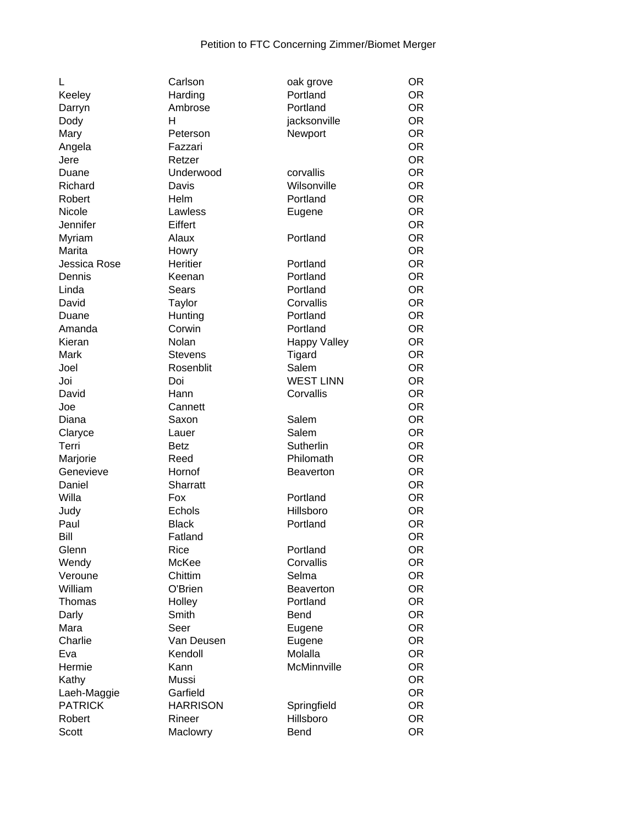| L              | Carlson         | oak grove           | <b>OR</b> |
|----------------|-----------------|---------------------|-----------|
| Keeley         | Harding         | Portland            | <b>OR</b> |
| Darryn         | Ambrose         | Portland            | <b>OR</b> |
| Dody           | н               | jacksonville        | <b>OR</b> |
| Mary           | Peterson        | Newport             | <b>OR</b> |
| Angela         | Fazzari         |                     | <b>OR</b> |
| Jere           | Retzer          |                     | <b>OR</b> |
| Duane          | Underwood       | corvallis           | <b>OR</b> |
| Richard        | Davis           | Wilsonville         | <b>OR</b> |
| Robert         | Helm            | Portland            | <b>OR</b> |
| Nicole         | Lawless         | Eugene              | <b>OR</b> |
| Jennifer       | Eiffert         |                     | <b>OR</b> |
| Myriam         | Alaux           | Portland            | <b>OR</b> |
| Marita         | Howry           |                     | <b>OR</b> |
| Jessica Rose   | Heritier        | Portland            | <b>OR</b> |
| Dennis         | Keenan          | Portland            | <b>OR</b> |
| Linda          | <b>Sears</b>    | Portland            | <b>OR</b> |
|                |                 | Corvallis           | <b>OR</b> |
| David          | Taylor          | Portland            | <b>OR</b> |
| Duane          | Hunting         |                     |           |
| Amanda         | Corwin          | Portland            | <b>OR</b> |
| Kieran         | Nolan           | <b>Happy Valley</b> | <b>OR</b> |
| <b>Mark</b>    | <b>Stevens</b>  | Tigard              | <b>OR</b> |
| Joel           | Rosenblit       | Salem               | <b>OR</b> |
| Joi            | Doi             | <b>WEST LINN</b>    | <b>OR</b> |
| David          | Hann            | Corvallis           | <b>OR</b> |
| Joe            | Cannett         |                     | <b>OR</b> |
| Diana          | Saxon           | Salem               | <b>OR</b> |
| Claryce        | Lauer           | Salem               | <b>OR</b> |
| Terri          | <b>Betz</b>     | Sutherlin           | <b>OR</b> |
| Marjorie       | Reed            | Philomath           | <b>OR</b> |
| Genevieve      | Hornof          | <b>Beaverton</b>    | <b>OR</b> |
| Daniel         | Sharratt        |                     | <b>OR</b> |
| Willa          | Fox             | Portland            | <b>OR</b> |
| Judy           | Echols          | Hillsboro           | <b>OR</b> |
| Paul           | <b>Black</b>    | Portland            | <b>OR</b> |
| Bill           | Fatland         |                     | <b>OR</b> |
| Glenn          | Rice            | Portland            | <b>OR</b> |
| Wendy          | McKee           | Corvallis           | <b>OR</b> |
| Veroune        | Chittim         | Selma               | <b>OR</b> |
| William        | O'Brien         | <b>Beaverton</b>    | <b>OR</b> |
| Thomas         | Holley          | Portland            | <b>OR</b> |
| Darly          | Smith           | Bend                | <b>OR</b> |
| Mara           | Seer            | Eugene              | <b>OR</b> |
| Charlie        | Van Deusen      | Eugene              | <b>OR</b> |
| Eva            | Kendoll         | Molalla             | <b>OR</b> |
| Hermie         | Kann            | McMinnville         | <b>OR</b> |
| Kathy          | Mussi           |                     | <b>OR</b> |
| Laeh-Maggie    | Garfield        |                     | <b>OR</b> |
| <b>PATRICK</b> | <b>HARRISON</b> | Springfield         | <b>OR</b> |
| Robert         | Rineer          | Hillsboro           | <b>OR</b> |
| Scott          | Maclowry        | Bend                | <b>OR</b> |
|                |                 |                     |           |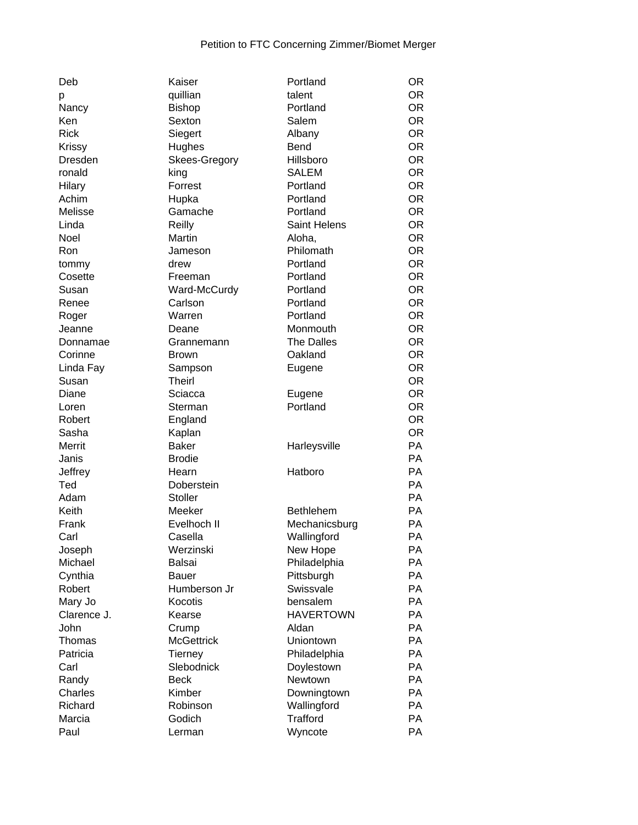| Deb         |
|-------------|
| р           |
| Nancy       |
| Ken         |
| Rick        |
| Krissy      |
| Dresden     |
| ronald      |
|             |
| Hilary      |
| Achim       |
| Melisse     |
| Linda       |
| Noel        |
| Ron         |
| tommy       |
| Cosette     |
| Susan       |
|             |
| Renee       |
| Roger       |
| Jeanne      |
| Donnamae    |
| Corinne     |
| Linda Fay   |
| Susan       |
| Diane       |
| Loren       |
| Robert      |
| Sasha       |
| Merrit      |
|             |
| Janis       |
| Jeffrey     |
| Ted         |
| Adam        |
| Keith       |
| Frank       |
| Carl        |
| Joseph      |
| Michael     |
| Cynthia     |
|             |
| Robert      |
| Mary Jo     |
| Clarence J. |
| John        |
| Thomas      |
| Patricia    |
| Carl        |
| Randy       |
| Charles     |
| Richard     |
| Marcia      |
| D.          |

| Deb         | Kaiser            | Portland            | <b>OR</b> |
|-------------|-------------------|---------------------|-----------|
|             | quillian          | talent              | OR.       |
| р<br>Nancy  | <b>Bishop</b>     | Portland            | <b>OR</b> |
| Ken         | Sexton            | Salem               | <b>OR</b> |
| <b>Rick</b> | Siegert           | Albany              | OR.       |
| Krissy      | Hughes            | Bend                | OR.       |
| Dresden     | Skees-Gregory     | Hillsboro           | <b>OR</b> |
| ronald      | king              | SALEM               | <b>OR</b> |
| Hilary      | Forrest           | Portland            | <b>OR</b> |
| Achim       | Hupka             | Portland            | <b>OR</b> |
| Melisse     | Gamache           | Portland            | <b>OR</b> |
| Linda       | Reilly            | <b>Saint Helens</b> | <b>OR</b> |
| <b>Noel</b> | Martin            |                     | <b>OR</b> |
|             |                   | Aloha,              |           |
| Ron         | Jameson           | Philomath           | <b>OR</b> |
| tommy       | drew              | Portland            | <b>OR</b> |
| Cosette     | Freeman           | Portland            | <b>OR</b> |
| Susan       | Ward-McCurdy      | Portland            | <b>OR</b> |
| Renee       | Carlson           | Portland            | OR.       |
| Roger       | Warren            | Portland            | <b>OR</b> |
| Jeanne      | Deane             | Monmouth            | <b>OR</b> |
| Donnamae    | Grannemann        | <b>The Dalles</b>   | <b>OR</b> |
| Corinne     | <b>Brown</b>      | Oakland             | <b>OR</b> |
| Linda Fay   | Sampson           | Eugene              | <b>OR</b> |
| Susan       | <b>Theirl</b>     |                     | <b>OR</b> |
| Diane       | Sciacca           | Eugene              | <b>OR</b> |
| Loren       | Sterman           | Portland            | <b>OR</b> |
| Robert      | England           |                     | <b>OR</b> |
| Sasha       | Kaplan            |                     | <b>OR</b> |
| Merrit      | <b>Baker</b>      | Harleysville        | PA        |
| Janis       | <b>Brodie</b>     |                     | PA        |
| Jeffrey     | Hearn             | Hatboro             | PA        |
| Ted         | Doberstein        |                     | PA        |
| Adam        | Stoller           |                     | PA        |
| Keith       | Meeker            | <b>Bethlehem</b>    | PA        |
| Frank       | Evelhoch II       | Mechanicsburg       | <b>PA</b> |
| Carl        | Casella           | Wallingford         | PA        |
| Joseph      | Werzinski         | New Hope            | PA        |
| Michael     | <b>Balsai</b>     | Philadelphia        | PA        |
| Cynthia     | <b>Bauer</b>      | Pittsburgh          | PA        |
| Robert      | Humberson Jr      | Swissvale           | PA        |
| Mary Jo     | Kocotis           | bensalem            | PA        |
| Clarence J. | Kearse            | <b>HAVERTOWN</b>    | PA        |
| John        | Crump             | Aldan               | PA        |
| Thomas      | <b>McGettrick</b> | Uniontown           | PA        |
| Patricia    | <b>Tierney</b>    | Philadelphia        | PA        |
| Carl        | Slebodnick        | Doylestown          | PA        |
| Randy       | <b>Beck</b>       | Newtown             | PA        |
| Charles     | Kimber            | Downingtown         | PA        |
| Richard     | Robinson          | Wallingford         | PA        |
| Marcia      | Godich            | <b>Trafford</b>     | PA        |
| Paul        | Lerman            | Wyncote             | PA        |
|             |                   |                     |           |

| р           | quillian          | talent            | OR        |
|-------------|-------------------|-------------------|-----------|
| Nancy       | Bishop            | Portland          | OR        |
| Ken         | Sexton            | Salem             | <b>OR</b> |
| <b>Rick</b> | Siegert           | Albany            | <b>OR</b> |
| Krissy      | Hughes            | <b>Bend</b>       | <b>OR</b> |
| Dresden     | Skees-Gregory     | Hillsboro         | <b>OR</b> |
| ronald      | king              | <b>SALEM</b>      | <b>OR</b> |
| Hilary      | Forrest           | Portland          | <b>OR</b> |
| Achim       | Hupka             | Portland          | <b>OR</b> |
| Melisse     | Gamache           | Portland          | OR        |
| Linda       | Reilly            | Saint Helens      | <b>OR</b> |
| Noel        | Martin            | Aloha,            | <b>OR</b> |
| Ron         | Jameson           | Philomath         | <b>OR</b> |
| tommy       | drew              | Portland          | <b>OR</b> |
| Cosette     | Freeman           | Portland          | <b>OR</b> |
| Susan       | Ward-McCurdy      | Portland          | <b>OR</b> |
| Renee       | Carlson           | Portland          | <b>OR</b> |
| Roger       | Warren            | Portland          | <b>OR</b> |
| Jeanne      | Deane             | Monmouth          | <b>OR</b> |
| Donnamae    | Grannemann        | <b>The Dalles</b> | <b>OR</b> |
| Corinne     | <b>Brown</b>      | Oakland           | OR        |
| Linda Fay   | Sampson           | Eugene            | OR        |
| Susan       | <b>Theirl</b>     |                   | <b>OR</b> |
| Diane       | Sciacca           | Eugene            | <b>OR</b> |
| Loren       | Sterman           | Portland          | <b>OR</b> |
| Robert      | England           |                   | <b>OR</b> |
| Sasha       | Kaplan            |                   | <b>OR</b> |
| Merrit      | <b>Baker</b>      | Harleysville      | PA        |
| Janis       | <b>Brodie</b>     |                   | <b>PA</b> |
| Jeffrey     | Hearn             | Hatboro           | PA        |
| Ted         | Doberstein        |                   | <b>PA</b> |
| Adam        | Stoller           |                   | <b>PA</b> |
| Keith       | Meeker            | <b>Bethlehem</b>  | <b>PA</b> |
| Frank       | Evelhoch II       | Mechanicsburg     | <b>PA</b> |
| Carl        | Casella           | Wallingford       | <b>PA</b> |
| Joseph      | Werzinski         | New Hope          | PA        |
| Michael     | Balsai            | Philadelphia      | PA        |
| Cynthia     | <b>Bauer</b>      | Pittsburgh        | PA        |
| Robert      | Humberson Jr      | Swissvale         | <b>PA</b> |
| Mary Jo     | Kocotis           | bensalem          | <b>PA</b> |
| Clarence J. | Kearse            | <b>HAVERTOWN</b>  | PA        |
| John        | Crump             | Aldan             | PA        |
| Thomas      | <b>McGettrick</b> | Uniontown         | <b>PA</b> |
| Patricia    | <b>Tierney</b>    | Philadelphia      | PA        |
| Carl        | Slebodnick        | Doylestown        | PA        |
| Randy       | <b>Beck</b>       | Newtown           | <b>PA</b> |
| Charles     | Kimber            | Downingtown       | <b>PA</b> |
| Richard     | Robinson          | Wallingford       | PA        |
| Marcia      | Godich            | <b>Trafford</b>   | PA        |
| Paul        | Lerman            | Wyncote           | <b>PA</b> |
|             |                   |                   |           |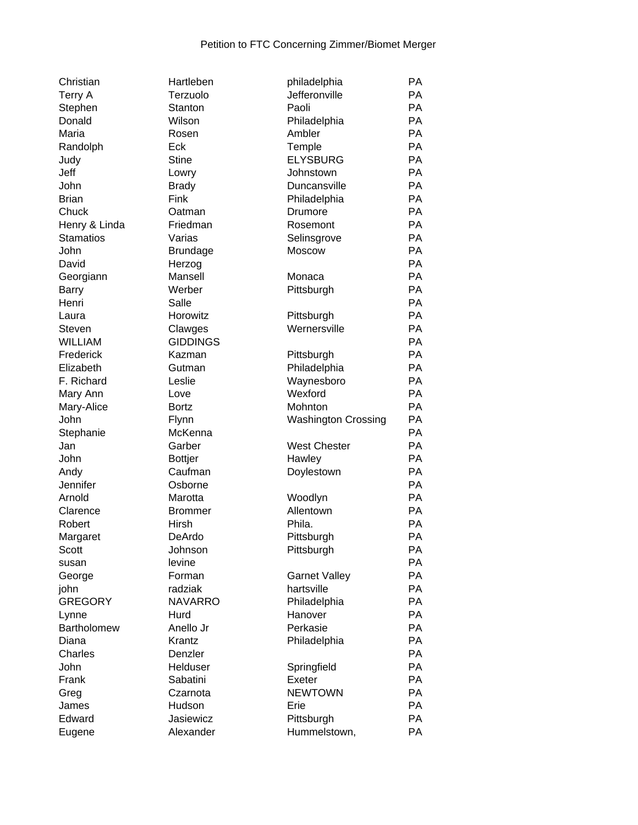| Christian                         | Hartleben       |
|-----------------------------------|-----------------|
| Terry A                           | Terzuolo        |
| Stephen                           | Stanton         |
| Donald                            | Wilson          |
| Maria                             | Rosen           |
| Randolph                          | Eck             |
| Judy                              | <b>Stine</b>    |
| Jeff                              | Lowry           |
| John                              | <b>Brady</b>    |
| <b>Brian</b>                      | Fink            |
| Chuck                             | Oatman          |
|                                   | Friedman        |
| Henry & Linda<br><b>Stamatios</b> | Varias          |
|                                   |                 |
| John                              | <b>Brundage</b> |
| David                             | Herzog          |
| Georgiann                         | Mansell         |
| <b>Barry</b>                      | Werber          |
| Henri                             | Salle           |
| Laura                             | Horowitz        |
| Steven                            | Clawges         |
| <b>WILLIAM</b>                    | <b>GIDDINGS</b> |
| Frederick                         | Kazman          |
| Elizabeth                         | Gutman          |
| F. Richard                        | Leslie          |
| Mary Ann                          | Love            |
| Mary-Alice                        | <b>Bortz</b>    |
| John                              | Flynn           |
| Stephanie                         | McKenna         |
| Jan                               | Garber          |
| John                              | <b>Bottjer</b>  |
| Andy                              | Caufman         |
| Jennifer                          | Osborne         |
| Arnold                            | Marotta         |
| Clarence                          | Brommer         |
| Robert                            | Hirsh           |
|                                   |                 |
| Margaret                          | DeArdo          |
| Scott                             | Johnson         |
| susan                             | levine          |
| George                            | Forman          |
| john                              | radziak         |
| <b>GREGORY</b>                    | <b>NAVARRC</b>  |
| Lynne                             | Hurd            |
| <b>Bartholomew</b>                | Anello Jr       |
| Diana                             | Krantz          |
| Charles                           | Denzler         |
| John                              | Helduser        |
| Frank                             | Sabatini        |
| Greg                              | Czarnota        |
| James                             | Hudson          |
| Edward                            | Jasiewicz       |
| Eugene                            | Alexander       |
|                                   |                 |

| Christian          | Hartleben       | philadelphia               | PA |
|--------------------|-----------------|----------------------------|----|
| Terry A            | Terzuolo        | Jefferonville              | PA |
| Stephen            | Stanton         | Paoli                      | PA |
| Donald             | Wilson          | Philadelphia               | PA |
| Maria              | Rosen           | Ambler                     | PA |
| Randolph           | Eck             | Temple                     | PA |
| Judy               | <b>Stine</b>    | <b>ELYSBURG</b>            | PA |
| Jeff               | Lowry           | Johnstown                  | PA |
| John               | <b>Brady</b>    | Duncansville               | PA |
| <b>Brian</b>       | Fink            | Philadelphia               | PA |
| Chuck              | Oatman          | Drumore                    | PA |
| Henry & Linda      | Friedman        | Rosemont                   | PA |
| <b>Stamatios</b>   | Varias          | Selinsgrove                | PA |
| John               | <b>Brundage</b> | Moscow                     | PA |
| David              | Herzog          |                            | PA |
| Georgiann          | Mansell         | Monaca                     | PA |
| Barry              | Werber          | Pittsburgh                 | PA |
|                    |                 |                            | PA |
| Henri              | Salle           |                            | PA |
| Laura              | Horowitz        | Pittsburgh                 |    |
| Steven             | Clawges         | Wernersville               | PA |
| <b>WILLIAM</b>     | <b>GIDDINGS</b> |                            | PA |
| Frederick          | Kazman          | Pittsburgh                 | PA |
| Elizabeth          | Gutman          | Philadelphia               | PA |
| F. Richard         | Leslie          | Waynesboro                 | PA |
| Mary Ann           | Love            | Wexford                    | PA |
| Mary-Alice         | <b>Bortz</b>    | Mohnton                    | PA |
| John               | Flynn           | <b>Washington Crossing</b> | PA |
| Stephanie          | McKenna         |                            | PA |
| Jan                | Garber          | <b>West Chester</b>        | PA |
| John               | <b>Bottjer</b>  | Hawley                     | PA |
| Andy               | Caufman         | Doylestown                 | PA |
| Jennifer           | Osborne         |                            | PA |
| Arnold             | Marotta         | Woodlyn                    | PA |
| Clarence           | <b>Brommer</b>  | Allentown                  | PA |
| Robert             | Hirsh           | Phila.                     | PA |
| Margaret           | DeArdo          | Pittsburgh                 | PA |
| Scott              | Johnson         | Pittsburgh                 | PA |
| susan              | levine          |                            | PA |
| George             | Forman          | <b>Garnet Valley</b>       | PA |
| john               | radziak         | hartsville                 | PA |
| <b>GREGORY</b>     | <b>NAVARRO</b>  | Philadelphia               | PA |
| Lynne              | Hurd            | Hanover                    | PA |
| <b>Bartholomew</b> | Anello Jr       | Perkasie                   | PA |
| Diana              | Krantz          | Philadelphia               | PA |
| Charles            | Denzler         |                            | PA |
| John               | Helduser        | Springfield                | PA |
| Frank              | Sabatini        | Exeter                     | PA |
| Greg               | Czarnota        | <b>NEWTOWN</b>             | PA |
| James              | Hudson          | Erie                       | PA |
| Edward             | Jasiewicz       | Pittsburgh                 | PA |
| Eugene             | Alexander       | Hummelstown,               | PA |
|                    |                 |                            |    |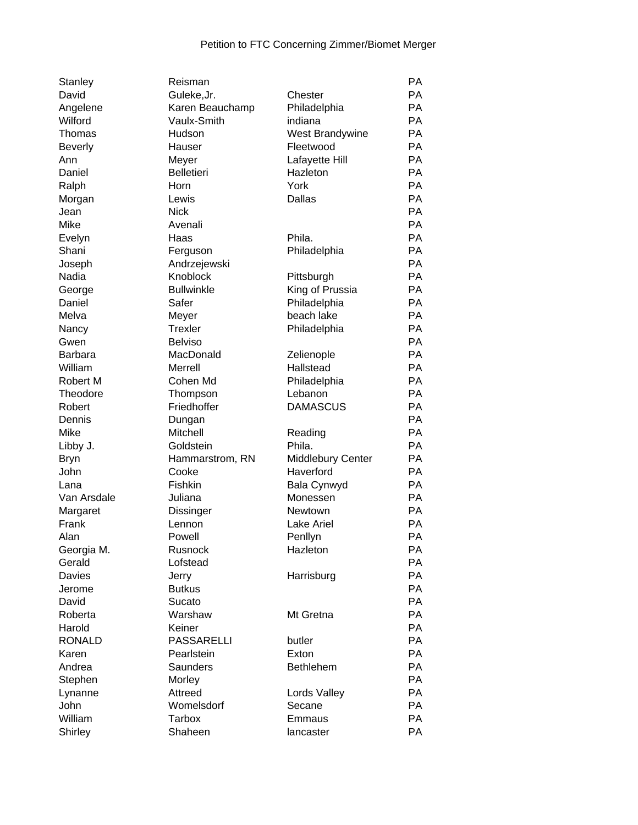| Stanley         | Reisman                |                   | <b>PA</b> |
|-----------------|------------------------|-------------------|-----------|
| David           | Guleke, Jr.            | Chester           | <b>PA</b> |
| Angelene        | Karen Beauchamp        | Philadelphia      | <b>PA</b> |
| Wilford         | Vaulx-Smith            | indiana           | <b>PA</b> |
| Thomas          | Hudson                 | West Brandywine   | <b>PA</b> |
| <b>Beverly</b>  | Hauser                 | Fleetwood         | <b>PA</b> |
| Ann             | Meyer                  | Lafayette Hill    | <b>PA</b> |
| Daniel          | <b>Belletieri</b>      | Hazleton          | <b>PA</b> |
| Ralph           | Horn                   | York              | <b>PA</b> |
| Morgan          | Lewis                  | Dallas            | <b>PA</b> |
| Jean            | <b>Nick</b>            |                   | <b>PA</b> |
| Mike            | Avenali                |                   | PA        |
| Evelyn          | Haas                   | Phila.            | PA        |
| Shani           | Ferguson               | Philadelphia      | PA        |
| Joseph          | Andrzejewski           |                   | <b>PA</b> |
| Nadia           | Knoblock               | Pittsburgh        | <b>PA</b> |
| George          | <b>Bullwinkle</b>      | King of Prussia   | PA        |
| Daniel          | Safer                  | Philadelphia      | <b>PA</b> |
| Melva           | Meyer                  | beach lake        | <b>PA</b> |
| Nancy           | <b>Trexler</b>         | Philadelphia      | PA        |
| Gwen            | <b>Belviso</b>         |                   | <b>PA</b> |
| <b>Barbara</b>  | MacDonald              | Zelienople        | <b>PA</b> |
| William         | <b>Merrell</b>         | Hallstead         | <b>PA</b> |
| Robert M        | Cohen Md               | Philadelphia      | <b>PA</b> |
| Theodore        | Thompson               | Lebanon           | PA        |
| Robert          | Friedhoffer            | <b>DAMASCUS</b>   | PA        |
| Dennis          | Dungan                 |                   | PA        |
| Mike            | Mitchell               | Reading           | <b>PA</b> |
| Libby J.        | Goldstein              | Phila.            | <b>PA</b> |
| <b>Bryn</b>     | Hammarstrom, RN        | Middlebury Center | <b>PA</b> |
| John            | Cooke                  | Haverford         | <b>PA</b> |
| Lana            | Fishkin                | Bala Cynwyd       | PA        |
| Van Arsdale     | Juliana                | Monessen          | <b>PA</b> |
| Margaret        | Dissinger              | Newtown           | <b>PA</b> |
| Frank           | Lennon                 | Lake Ariel        | <b>PA</b> |
| Alan            | Powell                 | Penllyn           | PA        |
| Georgia M.      | Rusnock                | Hazleton          | PA        |
| Gerald          | Lofstead               |                   | PA        |
| Davies          |                        | Harrisburg        | <b>PA</b> |
|                 | Jerry<br><b>Butkus</b> |                   | <b>PA</b> |
| Jerome<br>David | Sucato                 |                   | <b>PA</b> |
| Roberta         | Warshaw                | Mt Gretna         | <b>PA</b> |
| Harold          | Keiner                 |                   | <b>PA</b> |
| <b>RONALD</b>   | <b>PASSARELLI</b>      |                   | <b>PA</b> |
|                 | Pearlstein             | butler<br>Exton   | PA        |
| Karen           |                        |                   | <b>PA</b> |
| Andrea          | Saunders               | Bethlehem         |           |
| Stephen         | Morley                 |                   | PA        |
| Lynanne         | Attreed                | Lords Valley      | PA        |
| John            | Womelsdorf             | Secane            | PA        |
| William         | <b>Tarbox</b>          | Emmaus            | PA        |
| Shirley         | Shaheen                | lancaster         | PA        |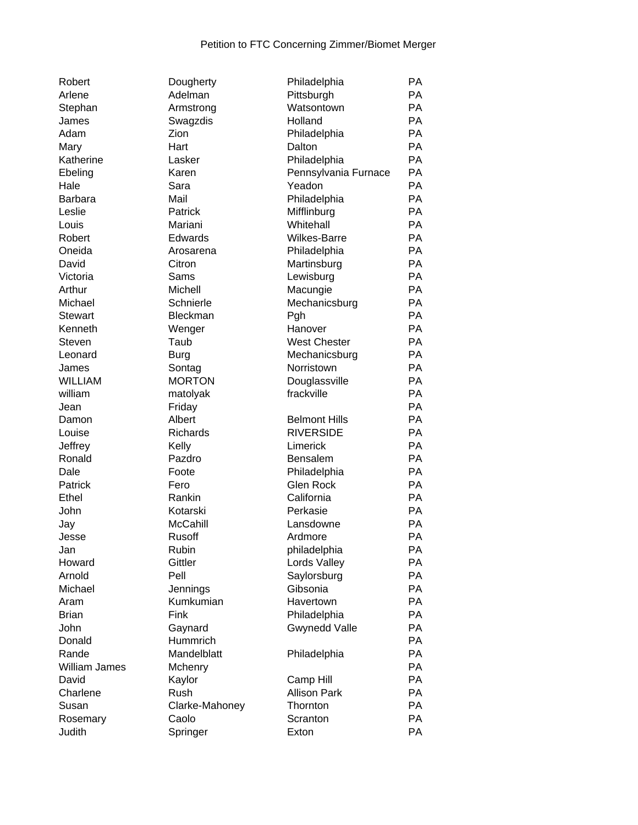| Robert             |
|--------------------|
| Arlene             |
| Stephan            |
| James              |
| Adam               |
| Mary               |
| Katherine          |
| Ebeling            |
| Hale               |
| Barbara            |
| Leslie             |
| Louis              |
| Robert             |
| Oneida             |
| David              |
| Victoria           |
| Arthur             |
| Michael            |
| <b>Stewart</b>     |
| Kenneth            |
| <b>Steven</b>      |
| Leonard            |
| James              |
| <b>WILLIAM</b>     |
| william            |
| Jean               |
| Damon              |
| Louise             |
| Jeffrey            |
| Ronald             |
| Dale               |
| Patrick            |
| <b>Ethel</b>       |
| John               |
| Jay                |
| Jesse              |
| Jan                |
| Howard             |
| Arnold             |
| Michael            |
| Aram               |
| <b>Brian</b>       |
| John               |
| Donald             |
| Rande              |
| William James      |
| David              |
| Charlene           |
| Susan              |
|                    |
| Rosemary<br>1.1414 |

|                      | Philadelphia         | РA        |
|----------------------|----------------------|-----------|
| Dougherty<br>Adelman | Pittsburgh           | <b>PA</b> |
|                      |                      | <b>PA</b> |
| Armstrong            | Watsontown           |           |
| Swagzdis             | Holland              | <b>PA</b> |
| Zion                 | Philadelphia         | <b>PA</b> |
| Hart                 | Dalton               | <b>PA</b> |
| Lasker               | Philadelphia         | <b>PA</b> |
| Karen                | Pennsylvania Furnace | <b>PA</b> |
| Sara                 | Yeadon               | <b>PA</b> |
| Mail                 | Philadelphia         | <b>PA</b> |
| Patrick              | Mifflinburg          | <b>PA</b> |
| Mariani              | Whitehall            | <b>PA</b> |
| Edwards              | Wilkes-Barre         | <b>PA</b> |
| Arosarena            | Philadelphia         | <b>PA</b> |
| Citron               | Martinsburg          | <b>PA</b> |
| Sams                 | Lewisburg            | <b>PA</b> |
| Michell              | Macungie             | <b>PA</b> |
| Schnierle            | Mechanicsburg        | <b>PA</b> |
| Bleckman             | Pgh                  | <b>PA</b> |
| Wenger               | Hanover              | <b>PA</b> |
| Taub                 | <b>West Chester</b>  | <b>PA</b> |
| <b>Burg</b>          | Mechanicsburg        | <b>PA</b> |
| Sontag               | Norristown           | <b>PA</b> |
|                      |                      | <b>PA</b> |
| <b>MORTON</b>        | Douglassville        |           |
| matolyak             | frackville           | <b>PA</b> |
| Friday               |                      | <b>PA</b> |
| Albert               | <b>Belmont Hills</b> | <b>PA</b> |
| Richards             | <b>RIVERSIDE</b>     | <b>PA</b> |
| Kelly                | Limerick             | <b>PA</b> |
| Pazdro               | <b>Bensalem</b>      | <b>PA</b> |
| Foote                | Philadelphia         | PA        |
| Fero                 | <b>Glen Rock</b>     | <b>PA</b> |
| Rankin               | California           | <b>PA</b> |
| Kotarski             | Perkasie             | <b>PA</b> |
| McCahill             | Lansdowne            | <b>PA</b> |
| Rusoff               | Ardmore              | PA        |
| Rubin                | philadelphia         | PА        |
| Gittler              | Lords Valley         | РA        |
| Pell                 | Saylorsburg          | <b>PA</b> |
| Jennings             | Gibsonia             | <b>PA</b> |
| Kumkumian            | Havertown            | <b>PA</b> |
| Fink                 | Philadelphia         | PA        |
| Gaynard              | <b>Gwynedd Valle</b> | <b>PA</b> |
| Hummrich             |                      | <b>PA</b> |
| Mandelblatt          |                      | <b>PA</b> |
|                      | Philadelphia         |           |
| Mchenry              |                      | <b>PA</b> |
| Kaylor               | Camp Hill            | <b>PA</b> |
| Rush                 | <b>Allison Park</b>  | <b>PA</b> |
| Clarke-Mahoney       | Thornton             | PA        |
| Caolo                | Scranton             | <b>PA</b> |
| Springer             | Exton                | <b>PA</b> |

| nuudit         | Doughelty       | <b>Filliduelpilla</b> | гд        |
|----------------|-----------------|-----------------------|-----------|
| Arlene         | Adelman         | Pittsburgh            | PA        |
| Stephan        | Armstrong       | Watsontown            | PA        |
| James          | Swagzdis        | Holland               | PA        |
| Adam           | Zion            | Philadelphia          | PA        |
| Mary           | Hart            | Dalton                | PA        |
| Katherine      | Lasker          | Philadelphia          | PA        |
| Ebeling        | Karen           | Pennsylvania Furnace  | PA        |
| Hale           | Sara            | Yeadon                | PA        |
| Barbara        | Mail            | Philadelphia          | PA        |
| Leslie         | Patrick         | Mifflinburg           | PA        |
| Louis          | Mariani         | Whitehall             | PA        |
| Robert         | Edwards         | <b>Wilkes-Barre</b>   | PA        |
| Oneida         | Arosarena       | Philadelphia          | PA        |
| David          | Citron          | Martinsburg           | PA        |
| Victoria       | Sams            | Lewisburg             | PA        |
| Arthur         | Michell         | Macungie              | PA        |
| Michael        | Schnierle       | Mechanicsburg         | PA        |
| <b>Stewart</b> | Bleckman        | Pgh                   | PA        |
| Kenneth        | Wenger          | Hanover               | PA        |
| Steven         | Taub            | <b>West Chester</b>   | PA        |
| Leonard        | <b>Burg</b>     | Mechanicsburg         | PA        |
| James          | Sontag          | Norristown            | PA        |
| <b>WILLIAM</b> | <b>MORTON</b>   | Douglassville         | PA        |
| william        | matolyak        | frackville            | PA        |
| Jean           | Friday          |                       | PA        |
| Damon          | Albert          | <b>Belmont Hills</b>  | PA        |
| Louise         | <b>Richards</b> | <b>RIVERSIDE</b>      | PA        |
| Jeffrey        | Kelly           | Limerick              | PA        |
| Ronald         | Pazdro          | Bensalem              | PA        |
| Dale           | Foote           | Philadelphia          | PA        |
| Patrick        | Fero            | <b>Glen Rock</b>      | PA        |
| Ethel          | Rankin          | California            | PA        |
| John           | Kotarski        | Perkasie              | PA        |
| Jay            | McCahill        | Lansdowne             | PA        |
| Jesse          | <b>Rusoff</b>   | Ardmore               | PA        |
| Jan            | Rubin           | philadelphia          | PA        |
| Howard         | Gittler         | Lords Valley          | PA        |
| Arnold         | Pell            | Saylorsburg           | PA        |
| Michael        | Jennings        | Gibsonia              | PA        |
| Aram           | Kumkumian       | Havertown             | PA        |
| <b>Brian</b>   | Fink            | Philadelphia          | PA        |
|                |                 |                       | PA        |
| John           | Gaynard         | <b>Gwynedd Valle</b>  | PA        |
| Donald         | Hummrich        |                       | PA        |
| Rande          | Mandelblatt     | Philadelphia          |           |
| William James  | Mchenry         |                       | PA        |
| David          | Kaylor          | Camp Hill             | PA        |
| Charlene       | Rush            | <b>Allison Park</b>   | PA        |
| Susan          | Clarke-Mahoney  | Thornton              | PA        |
| Rosemary       | Caolo           | Scranton              | <b>PA</b> |
| Judith         | Springer        | Exton                 | PA        |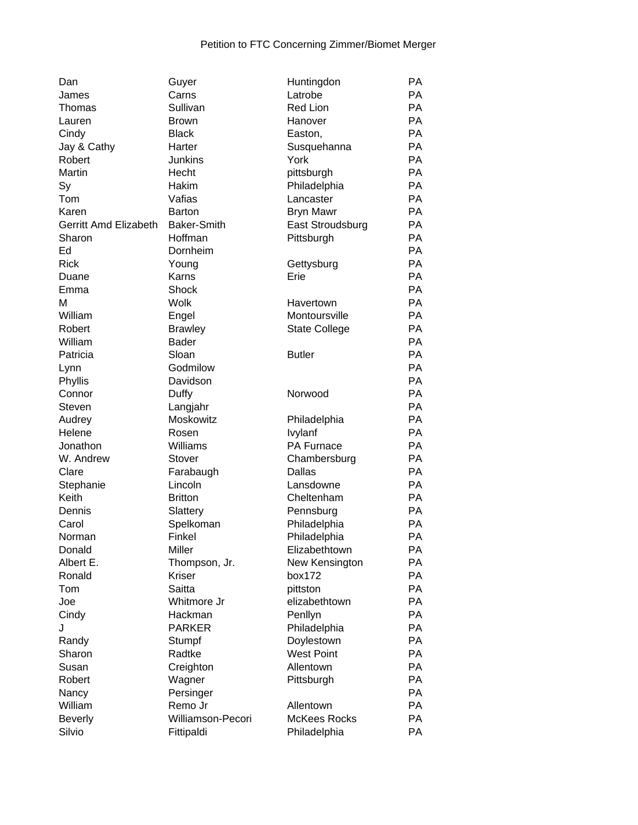| Dan                   | Guyer                    | Huntingdon           | PA        |
|-----------------------|--------------------------|----------------------|-----------|
| James                 | Carns                    | Latrobe              | PA        |
| Thomas                | Sullivan                 | <b>Red Lion</b>      | PA        |
| Lauren                | <b>Brown</b>             | Hanover              | <b>PA</b> |
| Cindy                 | <b>Black</b>             | Easton,              | <b>PA</b> |
| Jay & Cathy           | Harter                   | Susquehanna          | <b>PA</b> |
| Robert                | <b>Junkins</b>           | York                 | <b>PA</b> |
| Martin                | Hecht                    | pittsburgh           | PA        |
| Sy                    | Hakim                    | Philadelphia         | PA        |
| Tom                   | Vafias                   | Lancaster            | <b>PA</b> |
| Karen                 | <b>Barton</b>            | <b>Bryn Mawr</b>     | <b>PA</b> |
| Gerritt Amd Elizabeth | <b>Baker-Smith</b>       | East Stroudsburg     | PA        |
| Sharon                | Hoffman                  | Pittsburgh           | PA        |
| Ed                    | Dornheim                 |                      | <b>PA</b> |
| <b>Rick</b>           | Young                    | Gettysburg           | PA        |
| Duane                 | Karns                    | Erie                 | PA        |
| Emma                  | Shock                    |                      | PA        |
| М                     | <b>Wolk</b>              | Havertown            | PA        |
| William               | Engel                    | Montoursville        | PA        |
| Robert                | <b>Brawley</b>           | <b>State College</b> | PA        |
| William               | Bader                    |                      | PA        |
| Patricia              | Sloan                    | <b>Butler</b>        | PA        |
| Lynn                  | Godmilow                 |                      | PA        |
| Phyllis               | Davidson                 |                      | PA        |
| Connor                | Duffy                    | Norwood              | PA        |
| Steven                | Langjahr                 |                      | <b>PA</b> |
| Audrey                | Moskowitz                | Philadelphia         | PA        |
| Helene                | Rosen                    | Ivylanf              | PA        |
| Jonathon              | Williams                 | PA Furnace           | PA        |
| W. Andrew             | Stover                   | Chambersburg         | PA        |
| Clare                 | Farabaugh                | Dallas               | PA        |
| Stephanie             | Lincoln                  | Lansdowne            | PA        |
| Keith                 | <b>Britton</b>           | Cheltenham           | <b>PA</b> |
| Dennis                | Slattery                 | Pennsburg            | <b>PA</b> |
| Carol                 | Spelkoman                | Philadelphia         | PA        |
| Norman                | Finkel                   | Philadelphia         | PA        |
| Donald                | Miller                   | Elizabethtown        | PA        |
| Albert E.             | Thompson, Jr.            | New Kensington       | PA        |
| Ronald                | Kriser                   | box172               | PA        |
| Tom                   | Saitta                   | pittston             | PA        |
| Joe                   | Whitmore Jr              | elizabethtown        | PA        |
| Cindy                 | Hackman                  | Penllyn              | PA        |
| J                     | <b>PARKER</b>            | Philadelphia         | PA        |
| Randy                 | Stumpf                   | Doylestown           | PA        |
| Sharon                | Radtke                   | <b>West Point</b>    | PA        |
| Susan                 | Creighton                | Allentown            | <b>PA</b> |
| Robert                | Wagner                   | Pittsburgh           | PA        |
| Nancy                 | Persinger                |                      | PA        |
| William               | Remo Jr                  | Allentown            | PA        |
| <b>Beverly</b>        | <b>Williamson-Pecori</b> | <b>McKees Rocks</b>  | PA        |
| Silvio                | Fittipaldi               | Philadelphia         | PA        |
|                       |                          |                      |           |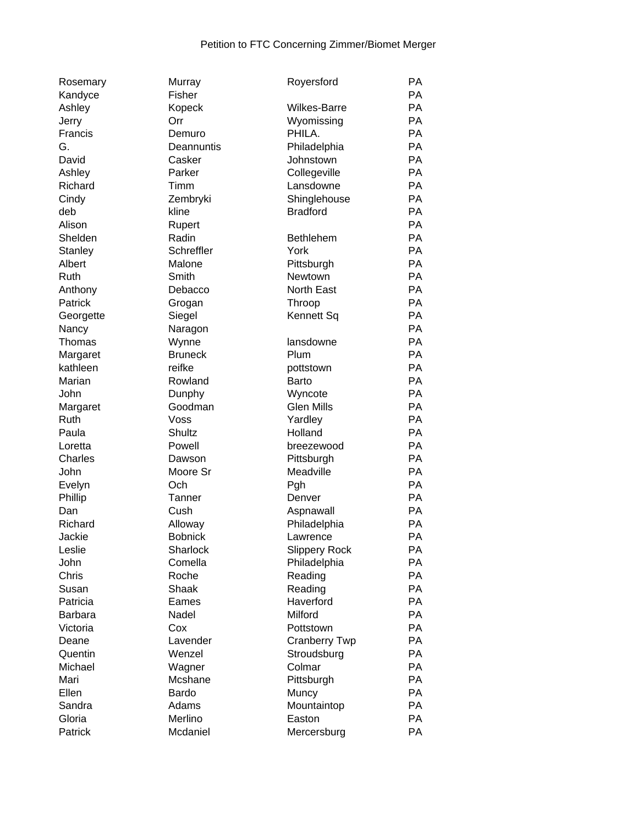| Rosemary       | Murray          | Royersford           | PA        |
|----------------|-----------------|----------------------|-----------|
| Kandyce        | Fisher          |                      | <b>PA</b> |
| Ashley         | Kopeck          | <b>Wilkes-Barre</b>  | <b>PA</b> |
| Jerry          | Orr             | Wyomissing           | <b>PA</b> |
| Francis        | Demuro          | PHILA.               | <b>PA</b> |
| G.             | Deannuntis      | Philadelphia         | PA        |
| David          | Casker          | Johnstown            | <b>PA</b> |
| Ashley         | Parker          | Collegeville         | PA        |
| Richard        | Timm            | Lansdowne            | PA        |
| Cindy          | Zembryki        | Shinglehouse         | PA        |
| deb            | kline           | <b>Bradford</b>      | PA        |
| Alison         | Rupert          |                      | PA        |
| Shelden        | Radin           | <b>Bethlehem</b>     | PA        |
| Stanley        | Schreffler      | York                 | PA        |
| Albert         | Malone          | Pittsburgh           | PA        |
| Ruth           | Smith           | Newtown              | <b>PA</b> |
| Anthony        | Debacco         | North East           | <b>PA</b> |
| Patrick        | Grogan          | Throop               | PA        |
| Georgette      | Siegel          | Kennett Sq           | PA        |
| Nancy          | Naragon         |                      | PA        |
| Thomas         | Wynne           | lansdowne            | PA        |
| Margaret       | <b>Bruneck</b>  | Plum                 | PA        |
| kathleen       | reifke          | pottstown            | PA        |
| Marian         | Rowland         | Barto                | PA        |
| John           | Dunphy          | Wyncote              | PA        |
| Margaret       | Goodman         | <b>Glen Mills</b>    | PA        |
| Ruth           | Voss            | Yardley              | PA        |
| Paula          | <b>Shultz</b>   | Holland              | <b>PA</b> |
| Loretta        | Powell          | breezewood           | <b>PA</b> |
| Charles        | Dawson          | Pittsburgh           | PA        |
| John           | Moore Sr        | Meadville            | PA        |
| Evelyn         | Och             | Pgh                  | PA        |
| Phillip        | Tanner          | Denver               | PA        |
| Dan            | Cush            | Aspnawall            | PA        |
| Richard        | Alloway         | Philadelphia         | PA        |
| Jackie         | <b>Bobnick</b>  | Lawrence             | <b>PA</b> |
| Leslie         | <b>Sharlock</b> | <b>Slippery Rock</b> | PA        |
| John           | Comella         | Philadelphia         | PA        |
| Chris          | Roche           | Reading              | PA        |
| Susan          | Shaak           | Reading              | PA        |
| Patricia       | Eames           | Haverford            | PA        |
| <b>Barbara</b> | Nadel           | Milford              | PA        |
| Victoria       | Cox             | Pottstown            | PA        |
| Deane          | Lavender        | <b>Cranberry Twp</b> | PA        |
| Quentin        | Wenzel          | Stroudsburg          | PA        |
| Michael        | Wagner          | Colmar               | PA        |
| Mari           | Mcshane         | Pittsburgh           | PA        |
| Ellen          | Bardo           | Muncy                | PA        |
| Sandra         | Adams           | Mountaintop          | PA        |
| Gloria         | Merlino         | Easton               | PA        |
| Patrick        | Mcdaniel        | Mercersburg          | PA        |
|                |                 |                      |           |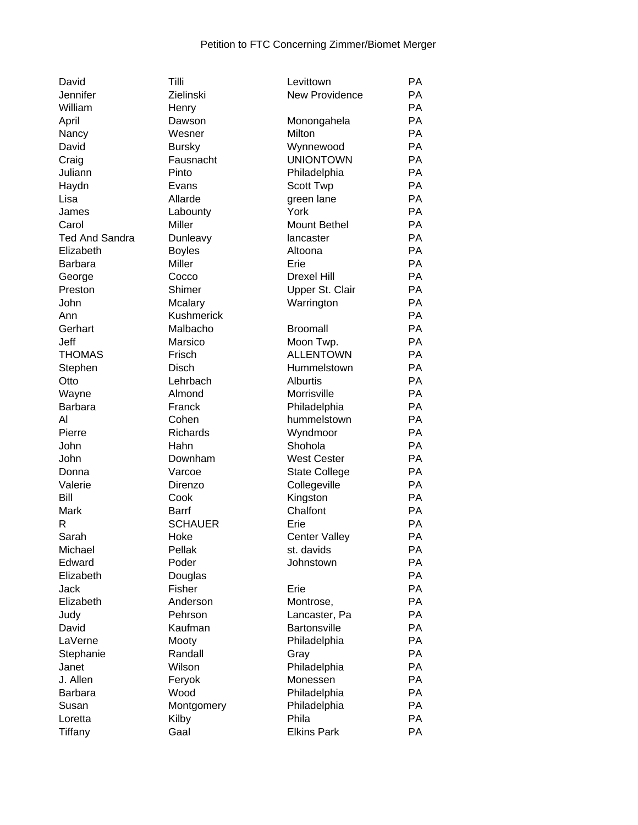| David                 | Tilli             | Levittown                   | РA        |
|-----------------------|-------------------|-----------------------------|-----------|
| Jennifer              | Zielinski         | New Providence              | PA        |
| William               | Henry             |                             | PA        |
| April                 | Dawson            | Monongahela                 | PA        |
| Nancy                 | Wesner            | Milton                      | PA        |
| David                 | <b>Bursky</b>     | Wynnewood                   | <b>PA</b> |
| Craig                 | Fausnacht         | <b>UNIONTOWN</b>            | <b>PA</b> |
| Juliann               | Pinto             | Philadelphia                | <b>PA</b> |
| Haydn                 | Evans             | Scott Twp                   | <b>PA</b> |
| Lisa                  | Allarde           | green lane                  | PA        |
| James                 | Labounty          | York                        | PA        |
| Carol                 | Miller            | Mount Bethel                | PA        |
| <b>Ted And Sandra</b> | Dunleavy          | lancaster                   | PA        |
| Elizabeth             | <b>Boyles</b>     | Altoona                     | PA        |
| <b>Barbara</b>        | Miller            | Erie                        | PA        |
| George                | Cocco             | <b>Drexel Hill</b>          | PA        |
| Preston               | Shimer            | Upper St. Clair             | PA        |
| John                  | Mcalary           | Warrington                  | PA        |
| Ann                   | <b>Kushmerick</b> |                             | PA        |
| Gerhart               | Malbacho          | <b>Broomall</b>             | PA        |
| Jeff                  | Marsico           | Moon Twp.                   | PA        |
| <b>THOMAS</b>         | Frisch            | <b>ALLENTOWN</b>            | PA        |
| Stephen               | <b>Disch</b>      | Hummelstown                 | PA        |
| Otto                  | Lehrbach          | <b>Alburtis</b>             | PA        |
| Wayne                 | Almond            | Morrisville                 | PA        |
|                       | Franck            |                             | PA        |
| <b>Barbara</b><br>AI  | Cohen             | Philadelphia<br>hummelstown | PA        |
|                       |                   |                             | PA        |
| Pierre                | Richards          | Wyndmoor                    |           |
| John                  | Hahn              | Shohola                     | PA        |
| John                  | Downham           | <b>West Cester</b>          | PA        |
| Donna                 | Varcoe            | <b>State College</b>        | PA        |
| Valerie               | Direnzo           | Collegeville                | PA        |
| Bill                  | Cook              | Kingston                    | <b>PA</b> |
| Mark                  | <b>Barrf</b>      | Chalfont                    | <b>PA</b> |
| R                     | <b>SCHAUER</b>    | Erie                        | PA        |
| Sarah                 | Hoke              | <b>Center Valley</b>        | PA        |
| Michael               | Pellak            | st. davids                  | PA        |
| Edward                | Poder             | Johnstown                   | PA        |
| Elizabeth             | Douglas           |                             | PA        |
| Jack                  | Fisher            | Erie                        | <b>PA</b> |
| Elizabeth             | Anderson          | Montrose,                   | PA        |
| Judy                  | Pehrson           | Lancaster, Pa               | PA        |
| David                 | Kaufman           | <b>Bartonsville</b>         | <b>PA</b> |
| LaVerne               | Mooty             | Philadelphia                | PA        |
| Stephanie             | Randall           | Gray                        | PA        |
| Janet                 | Wilson            | Philadelphia                | <b>PA</b> |
| J. Allen              | Feryok            | Monessen                    | PA        |
| <b>Barbara</b>        | Wood              | Philadelphia                | PA        |
| Susan                 | Montgomery        | Philadelphia                | PA        |
| Loretta               | Kilby             | Phila                       | PA        |
| Tiffany               | Gaal              | <b>Elkins Park</b>          | PA        |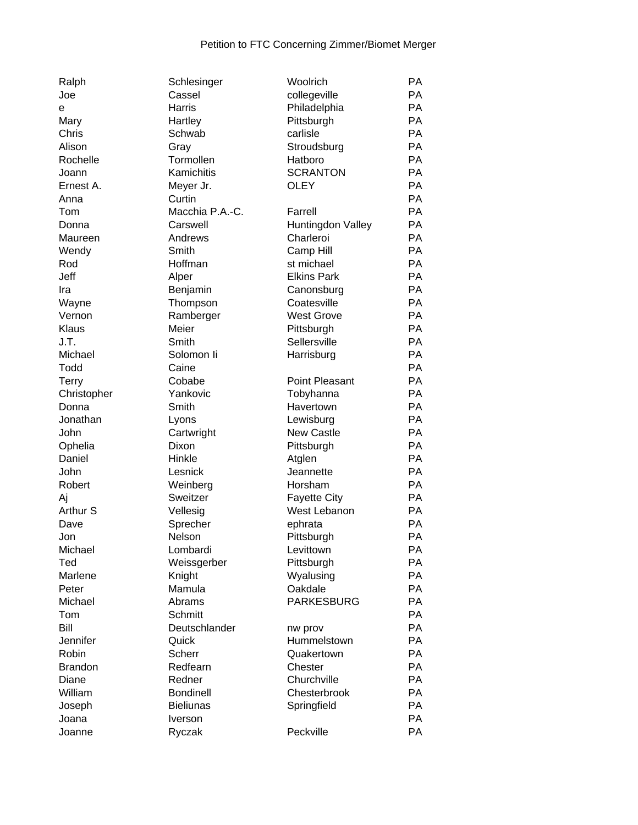| Ralph          | Schlesinger      | Woolrich               | PA        |
|----------------|------------------|------------------------|-----------|
| Joe            | Cassel           | collegeville           | PA        |
| е              | Harris           | Philadelphia           | PA        |
| Mary           | Hartley          | Pittsburgh             | PA        |
| Chris          | Schwab           | carlisle               | <b>PA</b> |
| Alison         | Gray             | Stroudsburg            | PA        |
| Rochelle       | Tormollen        | Hatboro                | <b>PA</b> |
| Joann          | Kamichitis       | <b>SCRANTON</b>        | <b>PA</b> |
| Ernest A.      | Meyer Jr.        | <b>OLEY</b>            | <b>PA</b> |
| Anna           | Curtin           |                        | PA        |
| Tom            | Macchia P.A.-C.  | Farrell                | <b>PA</b> |
| Donna          | Carswell         | Huntingdon Valley      | PA        |
| Maureen        | Andrews          | Charleroi              | PA        |
| Wendy          | Smith            | Camp Hill              | PA        |
| Rod            | Hoffman          | st michael             | PA        |
| Jeff           | Alper            | <b>Elkins Park</b>     | PA        |
| Ira            | Benjamin         | Canonsburg             | PA        |
| Wayne          | Thompson         | Coatesville            | PA        |
| Vernon         | Ramberger        | <b>West Grove</b>      | PA        |
| Klaus          | Meier            | Pittsburgh             | PA        |
| J.T.           | Smith            | Sellersville           | <b>PA</b> |
| Michael        | Solomon li       | Harrisburg             | PA        |
| Todd           | Caine            |                        | PA        |
|                | Cobabe           | Point Pleasant         | PA        |
| <b>Terry</b>   | Yankovic         |                        | PA        |
| Christopher    |                  | Tobyhanna<br>Havertown |           |
| Donna          | Smith            |                        | PA        |
| Jonathan       | Lyons            | Lewisburg              | PA        |
| John           | Cartwright       | <b>New Castle</b>      | PA        |
| Ophelia        | Dixon            | Pittsburgh             | PA        |
| Daniel         | Hinkle           | Atglen                 | PA        |
| John           | Lesnick          | Jeannette              | PA        |
| Robert         | Weinberg         | Horsham                | <b>PA</b> |
| Aj             | Sweitzer         | <b>Fayette City</b>    | <b>PA</b> |
| Arthur S       | Vellesig         | West Lebanon           | PA        |
| Dave           | Sprecher         | ephrata                | PA        |
| Jon            | Nelson           | Pittsburgh             | PA        |
| Michael        | Lombardi         | Levittown              | PA        |
| Ted            | Weissgerber      | Pittsburgh             | PA        |
| Marlene        | Knight           | Wyalusing              | PA        |
| Peter          | Mamula           | Oakdale                | PA        |
| Michael        | Abrams           | <b>PARKESBURG</b>      | PA        |
| Tom            | Schmitt          |                        | PA        |
| Bill           | Deutschlander    | nw prov                | PA        |
| Jennifer       | Quick            | Hummelstown            | PA        |
| Robin          | Scherr           | Quakertown             | PA        |
| <b>Brandon</b> | Redfearn         | Chester                | <b>PA</b> |
| Diane          | Redner           | Churchville            | PA        |
| William        | <b>Bondinell</b> | Chesterbrook           | PA        |
| Joseph         | <b>Bieliunas</b> | Springfield            | PA        |
| Joana          | Iverson          |                        | PA        |
| Joanne         | Ryczak           | Peckville              | PA        |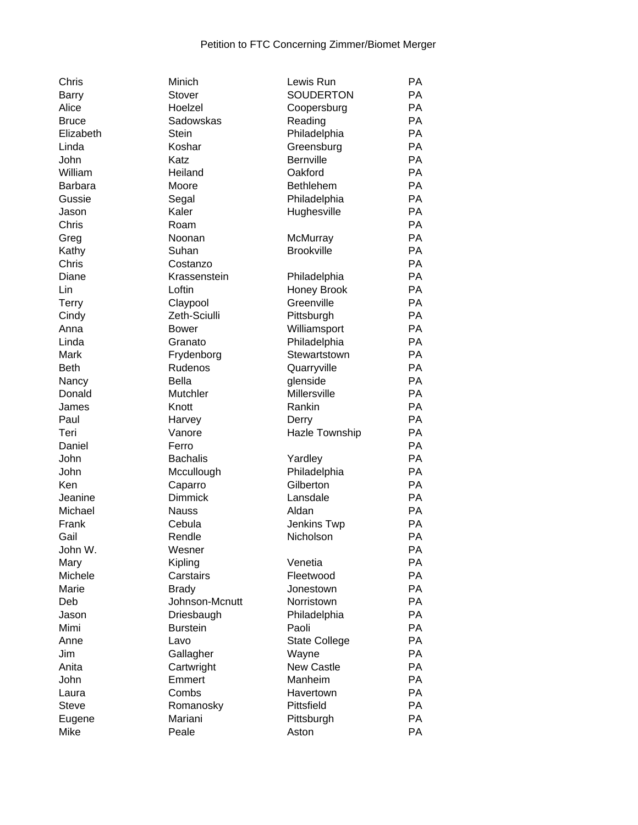| Chris          | Minich          | Lewis Run            | PA        |
|----------------|-----------------|----------------------|-----------|
| Barry          | Stover          | <b>SOUDERTON</b>     | <b>PA</b> |
| Alice          | Hoelzel         | Coopersburg          | PA        |
| <b>Bruce</b>   | Sadowskas       | Reading              | <b>PA</b> |
| Elizabeth      | <b>Stein</b>    | Philadelphia         | <b>PA</b> |
| Linda          | Koshar          | Greensburg           | <b>PA</b> |
| John           | Katz            | Bernville            | <b>PA</b> |
| William        | Heiland         | Oakford              | <b>PA</b> |
| <b>Barbara</b> | Moore           | <b>Bethlehem</b>     | <b>PA</b> |
| Gussie         | Segal           | Philadelphia         | <b>PA</b> |
| Jason          | Kaler           | Hughesville          | <b>PA</b> |
| Chris          | Roam            |                      | <b>PA</b> |
| Greg           | Noonan          | McMurray             | PA        |
| Kathy          | Suhan           | <b>Brookville</b>    | PA        |
| Chris          | Costanzo        |                      | PA        |
| Diane          | Krassenstein    |                      | PA        |
|                |                 | Philadelphia         | PA        |
| Lin            | Loftin          | Honey Brook          |           |
| <b>Terry</b>   | Claypool        | Greenville           | <b>PA</b> |
| Cindy          | Zeth-Sciulli    | Pittsburgh           | PA        |
| Anna           | <b>Bower</b>    | Williamsport         | PA        |
| Linda          | Granato         | Philadelphia         | PA        |
| Mark           | Frydenborg      | Stewartstown         | PA        |
| <b>Beth</b>    | Rudenos         | Quarryville          | <b>PA</b> |
| Nancy          | Bella           | glenside             | PA        |
| Donald         | Mutchler        | Millersville         | <b>PA</b> |
| James          | Knott           | Rankin               | <b>PA</b> |
| Paul           | Harvey          | Derry                | PA        |
| Teri           | Vanore          | Hazle Township       | PA        |
| Daniel         | Ferro           |                      | PA        |
| John           | <b>Bachalis</b> | Yardley              | PA        |
| John           | Mccullough      | Philadelphia         | PA        |
| Ken            | Caparro         | Gilberton            | <b>PA</b> |
| Jeanine        | <b>Dimmick</b>  | Lansdale             | <b>PA</b> |
| Michael        | <b>Nauss</b>    | Aldan                | <b>PA</b> |
| Frank          | Cebula          | Jenkins Twp          | PA        |
| Gail           | Rendle          | Nicholson            | PA        |
| John W.        | Wesner          |                      | PA        |
| Mary           | Kipling         | Venetia              | PA        |
| Michele        | Carstairs       | Fleetwood            | PA        |
| Marie          | <b>Brady</b>    | Jonestown            | PA        |
| Deb            | Johnson-Mcnutt  | Norristown           | PA        |
| Jason          | Driesbaugh      | Philadelphia         | PA        |
| Mimi           | <b>Burstein</b> | Paoli                | <b>PA</b> |
| Anne           | Lavo            | <b>State College</b> | <b>PA</b> |
| Jim            | Gallagher       | Wayne                | <b>PA</b> |
| Anita          | Cartwright      | <b>New Castle</b>    | <b>PA</b> |
|                |                 |                      | PA        |
| John           | Emmert          | Manheim              |           |
| Laura          | Combs           | Havertown            | <b>PA</b> |
| <b>Steve</b>   | Romanosky       | Pittsfield           | PA        |
| Eugene         | Mariani         | Pittsburgh           | PA        |
| Mike           | Peale           | Aston                | PA        |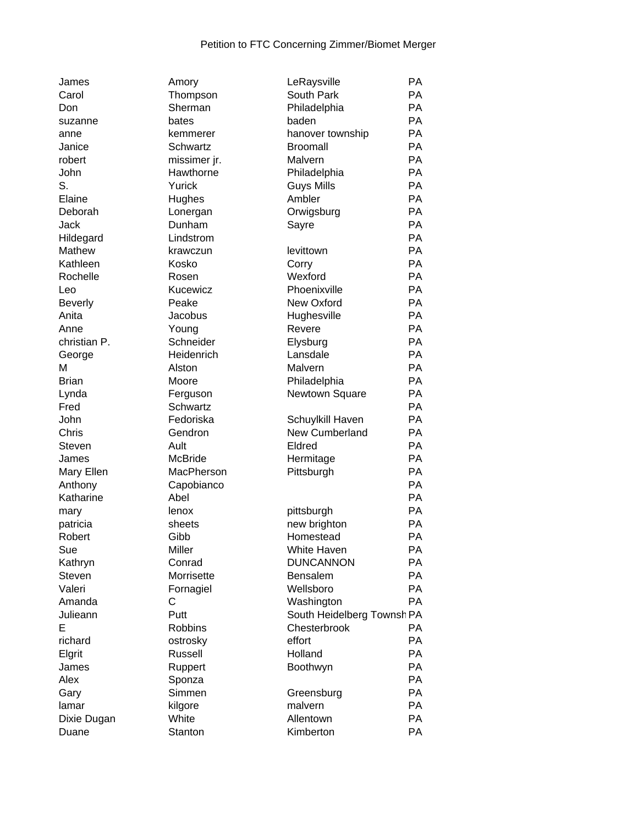| James          | Amory          | LeRaysville                | <b>PA</b> |
|----------------|----------------|----------------------------|-----------|
| Carol          | Thompson       | South Park                 | PA        |
| Don            | Sherman        | Philadelphia               | PA        |
| suzanne        | bates          | baden                      | <b>PA</b> |
| anne           | kemmerer       | hanover township           | <b>PA</b> |
| Janice         | Schwartz       | <b>Broomall</b>            | <b>PA</b> |
| robert         | missimer jr.   | Malvern                    | PA        |
| John           | Hawthorne      | Philadelphia               | PA        |
| S.             | Yurick         | <b>Guys Mills</b>          | PA        |
| Elaine         | Hughes         | Ambler                     | PA        |
| Deborah        | Lonergan       | Orwigsburg                 | PA        |
| Jack           | Dunham         | Sayre                      | PA        |
| Hildegard      | Lindstrom      |                            | PA        |
| Mathew         |                |                            | PA        |
|                | krawczun       | levittown                  |           |
| Kathleen       | Kosko          | Corry                      | PA        |
| Rochelle       | Rosen          | Wexford                    | PA        |
| Leo            | Kucewicz       | Phoenixville               | PA        |
| <b>Beverly</b> | Peake          | New Oxford                 | <b>PA</b> |
| Anita          | Jacobus        | Hughesville                | <b>PA</b> |
| Anne           | Young          | Revere                     | PA        |
| christian P.   | Schneider      | Elysburg                   | <b>PA</b> |
| George         | Heidenrich     | Lansdale                   | PA        |
| м              | Alston         | Malvern                    | <b>PA</b> |
| <b>Brian</b>   | Moore          | Philadelphia               | PA        |
| Lynda          | Ferguson       | Newtown Square             | PA        |
| Fred           | Schwartz       |                            | PA        |
| John           | Fedoriska      | Schuylkill Haven           | PA        |
| Chris          | Gendron        | New Cumberland             | PA        |
| Steven         | Ault           | Eldred                     | <b>PA</b> |
| James          | McBride        | Hermitage                  | <b>PA</b> |
| Mary Ellen     | MacPherson     | Pittsburgh                 | PA        |
| Anthony        | Capobianco     |                            | PA        |
| Katharine      | Abel           |                            | PA        |
| mary           | lenox          | pittsburgh                 | PA        |
| patricia       | sheets         | new brighton               | PA        |
| Robert         | Gibb           | Homestead                  | PA        |
| Sue            | Miller         | White Haven                | <b>PA</b> |
| Kathryn        | Conrad         | <b>DUNCANNON</b>           | PA        |
| Steven         | Morrisette     | Bensalem                   | PA        |
| Valeri         | Fornagiel      | Wellsboro                  | PA        |
| Amanda         | C              | Washington                 | PA        |
| Julieann       | Putt           | South Heidelberg Townsh PA |           |
| E              | <b>Robbins</b> | Chesterbrook               | PA        |
| richard        |                | effort                     | PA        |
|                | ostrosky       | Holland                    | PA        |
| Elgrit         | Russell        |                            |           |
| James          | Ruppert        | Boothwyn                   | PA        |
| Alex           | Sponza         |                            | PA        |
| Gary           | Simmen         | Greensburg                 | PA        |
| lamar          | kilgore        | malvern                    | PA        |
| Dixie Dugan    | White          | Allentown                  | PA        |
| Duane          | Stanton        | Kimberton                  | PA        |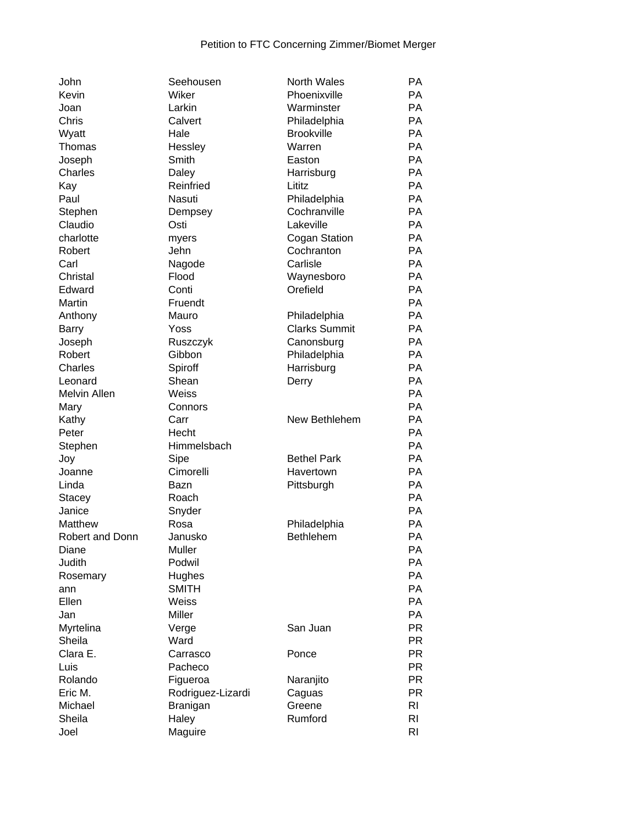| John                   | Seehousen         | <b>North Wales</b>   | <b>PA</b>      |
|------------------------|-------------------|----------------------|----------------|
| Kevin                  | Wiker             | Phoenixville         | <b>PA</b>      |
| Joan                   | Larkin            | Warminster           | <b>PA</b>      |
| Chris                  | Calvert           | Philadelphia         | <b>PA</b>      |
| Wyatt                  | Hale              | <b>Brookville</b>    | <b>PA</b>      |
| Thomas                 | Hessley           | Warren               | PA             |
| Joseph                 | Smith             | Easton               | <b>PA</b>      |
| Charles                | Daley             | Harrisburg           | PA             |
| Kay                    | Reinfried         | Lititz               | PA             |
| Paul                   | Nasuti            | Philadelphia         | PA             |
| Stephen                | Dempsey           | Cochranville         | PA             |
| Claudio                | Osti              | Lakeville            | PA             |
| charlotte              | myers             | Cogan Station        | PA             |
| Robert                 | Jehn              | Cochranton           | PA             |
| Carl                   | Nagode            | Carlisle             | PA             |
| Christal               | Flood             | Waynesboro           | PA             |
| Edward                 | Conti             | Orefield             | <b>PA</b>      |
| Martin                 | Fruendt           |                      | PA             |
| Anthony                | Mauro             | Philadelphia         | PA             |
| <b>Barry</b>           | Yoss              | <b>Clarks Summit</b> | PA             |
| Joseph                 | Ruszczyk          | Canonsburg           | PA             |
| Robert                 | Gibbon            | Philadelphia         | PA             |
| Charles                | Spiroff           | Harrisburg           | PA             |
| Leonard                | Shean             | Derry                | PA             |
| Melvin Allen           | Weiss             |                      | PA             |
| Mary                   | Connors           |                      | PA             |
| Kathy                  | Carr              | New Bethlehem        | PA             |
| Peter                  | Hecht             |                      | <b>PA</b>      |
| Stephen                | Himmelsbach       |                      | <b>PA</b>      |
| Joy                    | Sipe              | <b>Bethel Park</b>   | PA             |
| Joanne                 | Cimorelli         | Havertown            | PA             |
| Linda                  | Bazn              | Pittsburgh           | PA             |
| Stacey                 | Roach             |                      | PA             |
| Janice                 | Snyder            |                      | PA             |
| Matthew                | Rosa              | Philadelphia         | PA             |
| <b>Robert and Donn</b> | Janusko           | <b>Bethlehem</b>     | PA             |
| Diane                  | Muller            |                      | PA             |
| Judith                 | Podwil            |                      | PA             |
| Rosemary               | Hughes            |                      | PA             |
| ann                    | <b>SMITH</b>      |                      | PA             |
| Ellen                  | Weiss             |                      | PA             |
| Jan                    | Miller            |                      | PA             |
| Myrtelina              | Verge             | San Juan             | <b>PR</b>      |
| Sheila                 | Ward              |                      | <b>PR</b>      |
| Clara E.               | Carrasco          | Ponce                | <b>PR</b>      |
| Luis                   | Pacheco           |                      | <b>PR</b>      |
| Rolando                | Figueroa          | Naranjito            | <b>PR</b>      |
| Eric M.                | Rodriguez-Lizardi | Caguas               | <b>PR</b>      |
| Michael                | Branigan          | Greene               | R <sub>l</sub> |
| Sheila                 | Haley             | Rumford              | R <sub>l</sub> |
| Joel                   |                   |                      | R <sub>l</sub> |
|                        | Maguire           |                      |                |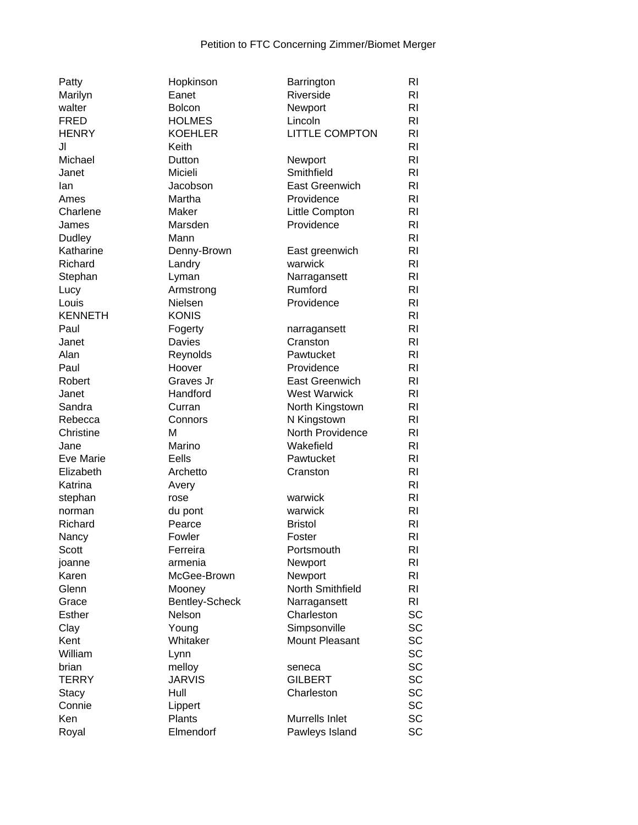| Patty          | Hopkinson         | Barrington            | RI             |
|----------------|-------------------|-----------------------|----------------|
| Marilyn        | Eanet             | Riverside             | R <sub>l</sub> |
| walter         | <b>Bolcon</b>     | Newport               | RI             |
| <b>FRED</b>    | <b>HOLMES</b>     | Lincoln               | R <sub>l</sub> |
| <b>HENRY</b>   | <b>KOEHLER</b>    | LITTLE COMPTON        | R <sub>l</sub> |
| JI             | Keith             |                       | R <sub>l</sub> |
| Michael        | Dutton            | Newport               | R <sub>l</sub> |
| Janet          | Micieli           | Smithfield            | R <sub>l</sub> |
| lan            | Jacobson          | East Greenwich        | R <sub>l</sub> |
| Ames           | Martha            | Providence            | RI             |
| Charlene       | Maker             | Little Compton        | R <sub>l</sub> |
| James          | Marsden           | Providence            | R <sub>l</sub> |
|                | Mann              |                       | R <sub>l</sub> |
| Dudley         |                   |                       |                |
| Katharine      | Denny-Brown       | East greenwich        | R <sub>l</sub> |
| Richard        | Landry            | warwick               | R <sub>l</sub> |
| Stephan        | Lyman             | Narragansett          | RI             |
| Lucy           | Armstrong         | Rumford               | R <sub>l</sub> |
| Louis          | Nielsen           | Providence            | R <sub>l</sub> |
| <b>KENNETH</b> | <b>KONIS</b>      |                       | R <sub>l</sub> |
| Paul           | Fogerty           | narragansett          | R <sub>l</sub> |
| Janet          | Davies            | Cranston              | R <sub>l</sub> |
| Alan           | Reynolds          | Pawtucket             | R <sub>l</sub> |
| Paul           | Hoover            | Providence            | R <sub>l</sub> |
| Robert         | Graves Jr         | <b>East Greenwich</b> | R <sub>l</sub> |
| Janet          | Handford          | <b>West Warwick</b>   | R <sub>l</sub> |
| Sandra         | Curran            | North Kingstown       | R <sub>l</sub> |
| Rebecca        | Connors           | N Kingstown           | R <sub>l</sub> |
| Christine      | М                 | North Providence      | R <sub>l</sub> |
| Jane           | Marino            | Wakefield             | R <sub>l</sub> |
| Eve Marie      | Eells             | Pawtucket             | R <sub>l</sub> |
| Elizabeth      | Archetto          | Cranston              | R <sub>l</sub> |
| Katrina        | Avery             |                       | R <sub>l</sub> |
| stephan        | rose              | warwick               | R <sub>l</sub> |
| norman         |                   | warwick               | RI             |
| Richard        | du pont<br>Pearce | <b>Bristol</b>        | RI             |
|                |                   |                       |                |
| Nancy          | Fowler            | Foster                | R <sub>l</sub> |
| Scott          | Ferreira          | Portsmouth            | RI             |
| joanne         | armenia           | Newport               | RI             |
| Karen          | McGee-Brown       | Newport               | R <sub>l</sub> |
| Glenn          | Mooney            | North Smithfield      | R <sub>l</sub> |
| Grace          | Bentley-Scheck    | Narragansett          | R <sub>l</sub> |
| <b>Esther</b>  | Nelson            | Charleston            | <b>SC</b>      |
| Clay           | Young             | Simpsonville          | SC             |
| Kent           | Whitaker          | Mount Pleasant        | <b>SC</b>      |
| William        | Lynn              |                       | <b>SC</b>      |
| brian          | melloy            | seneca                | <b>SC</b>      |
| TERRY          | <b>JARVIS</b>     | <b>GILBERT</b>        | <b>SC</b>      |
| Stacy          | Hull              | Charleston            | <b>SC</b>      |
| Connie         | Lippert           |                       | <b>SC</b>      |
| Ken            | Plants            | Murrells Inlet        | SC             |
| Royal          | Elmendorf         | Pawleys Island        | SC             |
|                |                   |                       |                |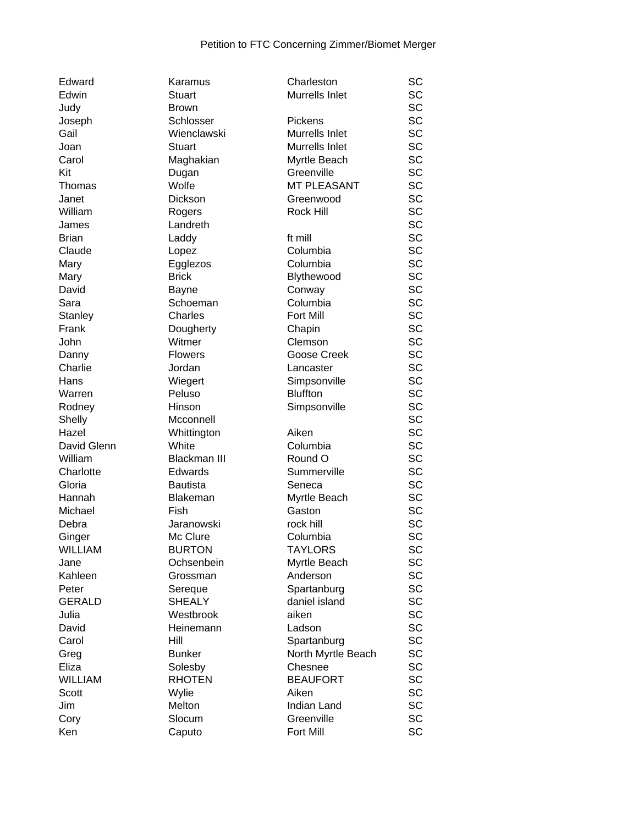| Edward         | Karamus             | Charleston         | SC        |
|----------------|---------------------|--------------------|-----------|
| Edwin          | <b>Stuart</b>       | Murrells Inlet     | <b>SC</b> |
| Judy           | <b>Brown</b>        |                    | <b>SC</b> |
| Joseph         | Schlosser           | Pickens            | <b>SC</b> |
| Gail           | Wienclawski         | Murrells Inlet     | <b>SC</b> |
| Joan           | <b>Stuart</b>       | Murrells Inlet     | <b>SC</b> |
| Carol          | Maghakian           | Myrtle Beach       | <b>SC</b> |
| Kit            | Dugan               | Greenville         | <b>SC</b> |
| Thomas         | Wolfe               | <b>MT PLEASANT</b> | <b>SC</b> |
| Janet          | Dickson             | Greenwood          | <b>SC</b> |
| William        | Rogers              | Rock Hill          | <b>SC</b> |
| James          | Landreth            |                    | <b>SC</b> |
| <b>Brian</b>   | Laddy               | ft mill            | <b>SC</b> |
| Claude         | Lopez               | Columbia           | <b>SC</b> |
| Mary           | Egglezos            | Columbia           | SC        |
| Mary           | <b>Brick</b>        | Blythewood         | SC        |
| David          | <b>Bayne</b>        | Conway             | <b>SC</b> |
| Sara           | Schoeman            | Columbia           | <b>SC</b> |
| Stanley        | Charles             | Fort Mill          | <b>SC</b> |
| Frank          | Dougherty           | Chapin             | <b>SC</b> |
| John           | Witmer              | Clemson            | <b>SC</b> |
| Danny          | <b>Flowers</b>      | Goose Creek        | <b>SC</b> |
| Charlie        | Jordan              | Lancaster          | <b>SC</b> |
| Hans           | Wiegert             | Simpsonville       | SC        |
| Warren         | Peluso              | <b>Bluffton</b>    | <b>SC</b> |
| Rodney         | Hinson              | Simpsonville       | <b>SC</b> |
| Shelly         | Mcconnell           |                    | <b>SC</b> |
| Hazel          | Whittington         | Aiken              | <b>SC</b> |
| David Glenn    | White               | Columbia           | <b>SC</b> |
| William        | <b>Blackman III</b> | Round O            | <b>SC</b> |
| Charlotte      | <b>Edwards</b>      | Summerville        | SC        |
| Gloria         | <b>Bautista</b>     | Seneca             | <b>SC</b> |
| Hannah         | Blakeman            | Myrtle Beach       | <b>SC</b> |
| Michael        | Fish                | Gaston             | SC        |
| Debra          | Jaranowski          | rock hill          | <b>SC</b> |
| Ginger         | Mc Clure            | Columbia           | SC        |
| <b>WILLIAM</b> | <b>BURTON</b>       | <b>TAYLORS</b>     | SC        |
| Jane           | Ochsenbein          | Myrtle Beach       | SC        |
| Kahleen        | Grossman            | Anderson           | SC        |
| Peter          | Sereque             | Spartanburg        | SC        |
| <b>GERALD</b>  | <b>SHEALY</b>       | daniel island      | SC        |
| Julia          | Westbrook           | aiken              | SC        |
| David          | Heinemann           | Ladson             | SC        |
| Carol          | Hill                | Spartanburg        | SC        |
| Greg           | <b>Bunker</b>       | North Myrtle Beach | <b>SC</b> |
| Eliza          | Solesby             | Chesnee            | <b>SC</b> |
| <b>WILLIAM</b> | <b>RHOTEN</b>       | <b>BEAUFORT</b>    | SC        |
| Scott          | Wylie               | Aiken              | <b>SC</b> |
| Jim            | Melton              | Indian Land        | SC        |
| Cory           | Slocum              | Greenville         | SC        |
| Ken            | Caputo              | Fort Mill          | SC        |
|                |                     |                    |           |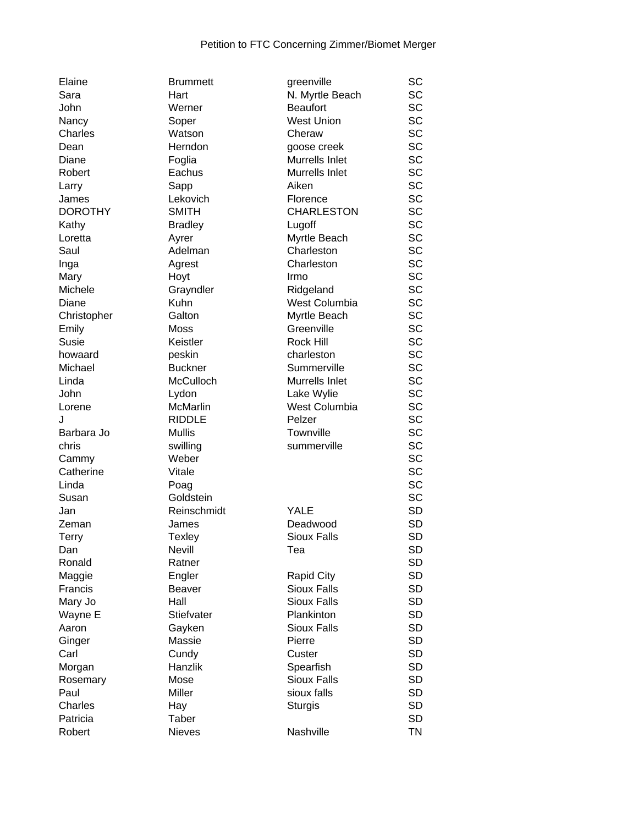| Elaine         | <b>Brummett</b> | greenville         | SC        |
|----------------|-----------------|--------------------|-----------|
| Sara           | Hart            | N. Myrtle Beach    | SC        |
| John           | Werner          | <b>Beaufort</b>    | SC        |
| Nancy          | Soper           | <b>West Union</b>  | SC        |
| Charles        | Watson          | Cheraw             | SC        |
| Dean           | Herndon         | goose creek        | SC        |
| Diane          | Foglia          | Murrells Inlet     | SC        |
| Robert         | Eachus          | Murrells Inlet     | SC        |
| Larry          | Sapp            | Aiken              | SC        |
| James          | Lekovich        | Florence           | SC        |
| <b>DOROTHY</b> | <b>SMITH</b>    | <b>CHARLESTON</b>  | SC        |
| Kathy          | <b>Bradley</b>  | Lugoff             | SC        |
| Loretta        | Ayrer           | Myrtle Beach       | SC        |
| Saul           | Adelman         | Charleston         | SC        |
| Inga           | Agrest          | Charleston         | SC        |
| Mary           | Hoyt            | Irmo               | SC        |
| Michele        | Grayndler       | Ridgeland          | SC        |
| Diane          | Kuhn            | West Columbia      | SC        |
| Christopher    | Galton          | Myrtle Beach       | SC        |
| Emily          | Moss            | Greenville         | SC        |
| Susie          | Keistler        | <b>Rock Hill</b>   | SC        |
| howaard        | peskin          | charleston         | SC        |
| Michael        | <b>Buckner</b>  | Summerville        | SC        |
| Linda          | McCulloch       | Murrells Inlet     | SC        |
| John           | Lydon           | Lake Wylie         | SC        |
| Lorene         | McMarlin        | West Columbia      | SC        |
| J              | <b>RIDDLE</b>   | Pelzer             | SC        |
| Barbara Jo     | <b>Mullis</b>   | Townville          | SC        |
|                |                 |                    | SC        |
| chris          | swilling        | summerville        |           |
| Cammy          | Weber           |                    | SC<br>SC  |
| Catherine      | Vitale          |                    |           |
| Linda          | Poag            |                    | SC        |
| Susan          | Goldstein       |                    | SC        |
| Jan            | Reinschmidt     | YALE               | <b>SD</b> |
| Zeman          | James           | Deadwood           | <b>SD</b> |
| Terry          | <b>Texley</b>   | <b>Sioux Falls</b> | <b>SD</b> |
| Dan            | <b>Nevill</b>   | Tea                | <b>SD</b> |
| Ronald         | Ratner          |                    | <b>SD</b> |
| Maggie         | Engler          | Rapid City         | <b>SD</b> |
| Francis        | <b>Beaver</b>   | Sioux Falls        | <b>SD</b> |
| Mary Jo        | Hall            | <b>Sioux Falls</b> | <b>SD</b> |
| Wayne E        | Stiefvater      | Plankinton         | <b>SD</b> |
| Aaron          | Gayken          | <b>Sioux Falls</b> | <b>SD</b> |
| Ginger         | Massie          | Pierre             | <b>SD</b> |
| Carl           | Cundy           | Custer             | <b>SD</b> |
| Morgan         | <b>Hanzlik</b>  | Spearfish          | <b>SD</b> |
| Rosemary       | Mose            | <b>Sioux Falls</b> | <b>SD</b> |
| Paul           | Miller          | sioux falls        | <b>SD</b> |
| Charles        | Hay             | <b>Sturgis</b>     | <b>SD</b> |
| Patricia       | Taber           |                    | <b>SD</b> |
| Robert         | <b>Nieves</b>   | Nashville          | ΤN        |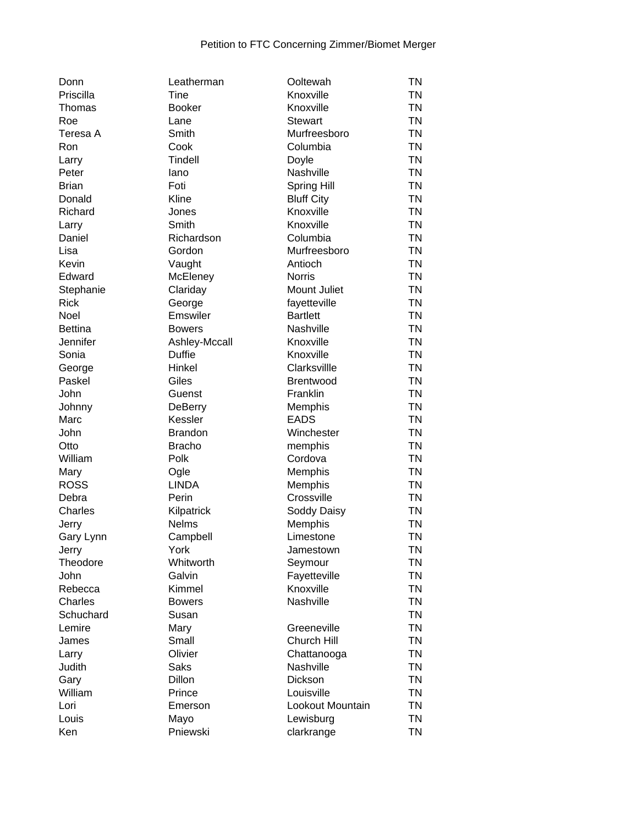| Donn           | Leatherman     | Ooltewah          | ΤN        |
|----------------|----------------|-------------------|-----------|
| Priscilla      | Tine           | Knoxville         | <b>TN</b> |
| Thomas         | <b>Booker</b>  | Knoxville         | <b>TN</b> |
| Roe            | Lane           | <b>Stewart</b>    | <b>TN</b> |
| Teresa A       | Smith          | Murfreesboro      | <b>TN</b> |
| Ron            | Cook           | Columbia          | <b>TN</b> |
| Larry          | <b>Tindell</b> | Doyle             | <b>TN</b> |
| Peter          | lano           | Nashville         | <b>TN</b> |
| <b>Brian</b>   | Foti           | Spring Hill       | <b>TN</b> |
| Donald         | Kline          | <b>Bluff City</b> | <b>TN</b> |
| Richard        | Jones          | Knoxville         | <b>TN</b> |
| Larry          | Smith          | Knoxville         | <b>TN</b> |
| Daniel         | Richardson     | Columbia          | <b>TN</b> |
| Lisa           | Gordon         | Murfreesboro      | <b>TN</b> |
| Kevin          | Vaught         | Antioch           | <b>TN</b> |
| Edward         | McEleney       | <b>Norris</b>     | <b>TN</b> |
| Stephanie      | Clariday       | Mount Juliet      | <b>TN</b> |
| <b>Rick</b>    | George         | fayetteville      | <b>TN</b> |
| Noel           | Emswiler       | <b>Bartlett</b>   | <b>TN</b> |
| <b>Bettina</b> | <b>Bowers</b>  | Nashville         | <b>TN</b> |
| Jennifer       | Ashley-Mccall  | Knoxville         | <b>TN</b> |
|                | <b>Duffie</b>  | Knoxville         | <b>TN</b> |
| Sonia          |                | Clarksvillle      | <b>TN</b> |
| George         | Hinkel         |                   | <b>TN</b> |
| Paskel         | Giles          | <b>Brentwood</b>  |           |
| John           | Guenst         | Franklin          | <b>TN</b> |
| Johnny         | <b>DeBerry</b> | Memphis           | <b>TN</b> |
| Marc           | Kessler        | <b>EADS</b>       | <b>TN</b> |
| John           | <b>Brandon</b> | Winchester        | <b>TN</b> |
| Otto           | <b>Bracho</b>  | memphis           | <b>TN</b> |
| William        | Polk           | Cordova           | <b>TN</b> |
| Mary           | Ogle           | Memphis           | <b>TN</b> |
| <b>ROSS</b>    | <b>LINDA</b>   | Memphis           | <b>TN</b> |
| Debra          | Perin          | Crossville        | <b>TN</b> |
| Charles        | Kilpatrick     | Soddy Daisy       | <b>TN</b> |
| Jerry          | <b>Nelms</b>   | Memphis           | <b>TN</b> |
| Gary Lynn      | Campbell       | Limestone         | <b>TN</b> |
| Jerry          | York           | Jamestown         | ΤN        |
| Theodore       | Whitworth      | Seymour           | <b>TN</b> |
| John           | Galvin         | Fayetteville      | <b>TN</b> |
| Rebecca        | Kimmel         | Knoxville         | <b>TN</b> |
| Charles        | <b>Bowers</b>  | Nashville         | <b>TN</b> |
| Schuchard      | Susan          |                   | <b>TN</b> |
| Lemire         | Mary           | Greeneville       | <b>TN</b> |
| James          | Small          | Church Hill       | <b>TN</b> |
| Larry          | Olivier        | Chattanooga       | <b>TN</b> |
| Judith         | <b>Saks</b>    | Nashville         | <b>TN</b> |
| Gary           | <b>Dillon</b>  | Dickson           | <b>TN</b> |
| William        | Prince         | Louisville        | <b>TN</b> |
| Lori           | Emerson        | Lookout Mountain  | <b>TN</b> |
| Louis          | Mayo           | Lewisburg         | <b>TN</b> |
| Ken            | Pniewski       | clarkrange        | <b>TN</b> |
|                |                |                   |           |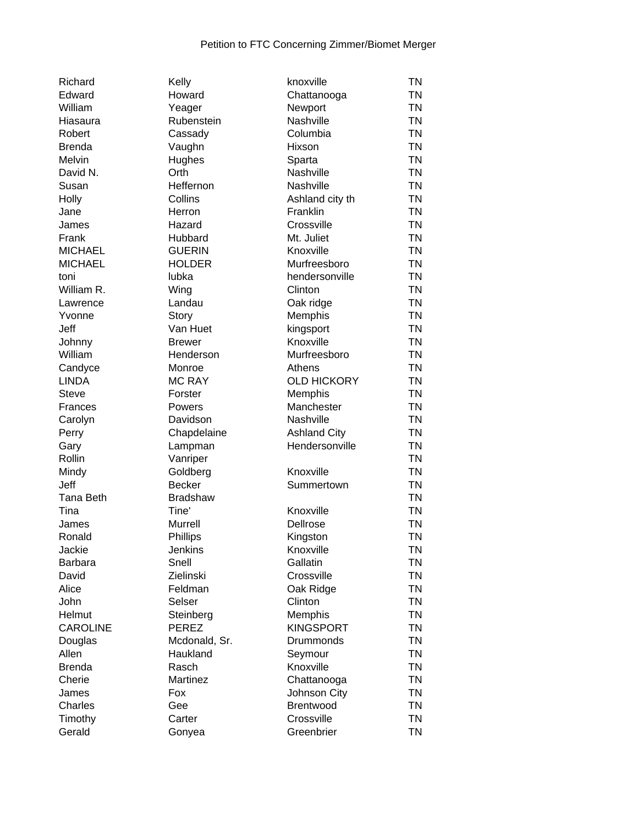| Richard         | Kelly           | knoxville           | <b>TN</b> |
|-----------------|-----------------|---------------------|-----------|
| Edward          | Howard          | Chattanooga         | ΤN        |
| William         | Yeager          | Newport             | TN        |
| Hiasaura        | Rubenstein      | Nashville           | TN        |
| Robert          | Cassady         | Columbia            | TN        |
| Brenda          | Vaughn          | Hixson              | TN        |
| Melvin          | Hughes          | Sparta              | <b>TN</b> |
| David N.        | Orth            | Nashville           | <b>TN</b> |
| Susan           | Heffernon       | Nashville           | <b>TN</b> |
| Holly           | Collins         | Ashland city th     | <b>TN</b> |
| Jane            | Herron          | Franklin            | <b>TN</b> |
| James           | Hazard          | Crossville          | <b>TN</b> |
| Frank           | Hubbard         | Mt. Juliet          | <b>TN</b> |
| <b>MICHAEL</b>  | <b>GUERIN</b>   | Knoxville           | TN        |
| <b>MICHAEL</b>  | <b>HOLDER</b>   | Murfreesboro        | TN        |
| toni            | lubka           | hendersonville      | TN        |
| William R.      | Wing            | Clinton             | TN        |
| Lawrence        | Landau          | Oak ridge           | <b>TN</b> |
| Yvonne          | Story           | Memphis             | <b>TN</b> |
| Jeff            | Van Huet        | kingsport           | <b>TN</b> |
| Johnny          | <b>Brewer</b>   | Knoxville           | <b>TN</b> |
| William         | Henderson       | Murfreesboro        | <b>TN</b> |
| Candyce         | Monroe          | Athens              | <b>TN</b> |
| <b>LINDA</b>    | <b>MC RAY</b>   | <b>OLD HICKORY</b>  | <b>TN</b> |
| Steve           | Forster         | Memphis             | <b>TN</b> |
| Frances         | Powers          | Manchester          | <b>TN</b> |
| Carolyn         | Davidson        | Nashville           | TN        |
| Perry           | Chapdelaine     | <b>Ashland City</b> | TN        |
| Gary            | Lampman         | Hendersonville      | TN        |
| Rollin          | Vanriper        |                     | TN        |
| Mindy           | Goldberg        | Knoxville           | <b>TN</b> |
| Jeff            | <b>Becker</b>   | Summertown          | <b>TN</b> |
| Tana Beth       | <b>Bradshaw</b> |                     | <b>TN</b> |
| Tina            | Tine'           | Knoxville           | <b>TN</b> |
| James           | <b>Murrell</b>  | Dellrose            | <b>TN</b> |
| Ronald          | Phillips        | Kingston            | <b>TN</b> |
| Jackie          | Jenkins         | Knoxville           | ΤN        |
| Barbara         | Snell           | Gallatin            | ΤN        |
| David           | Zielinski       | Crossville          | ΤN        |
| Alice           | Feldman         | Oak Ridge           | TN        |
| John            | Selser          | Clinton             | TN        |
| Helmut          | Steinberg       | Memphis             | TN        |
| <b>CAROLINE</b> | <b>PEREZ</b>    | <b>KINGSPORT</b>    | TN        |
| Douglas         | Mcdonald, Sr.   | <b>Drummonds</b>    | <b>TN</b> |
| Allen           | Haukland        | Seymour             | <b>TN</b> |
| Brenda          | Rasch           | Knoxville           | <b>TN</b> |
| Cherie          | Martinez        | Chattanooga         | <b>TN</b> |
| James           | Fox             | Johnson City        | <b>TN</b> |
| Charles         | Gee             | <b>Brentwood</b>    | <b>TN</b> |
| Timothy         | Carter          | Crossville          | <b>TN</b> |
| Gerald          | Gonyea          | Greenbrier          | <b>TN</b> |
|                 |                 |                     |           |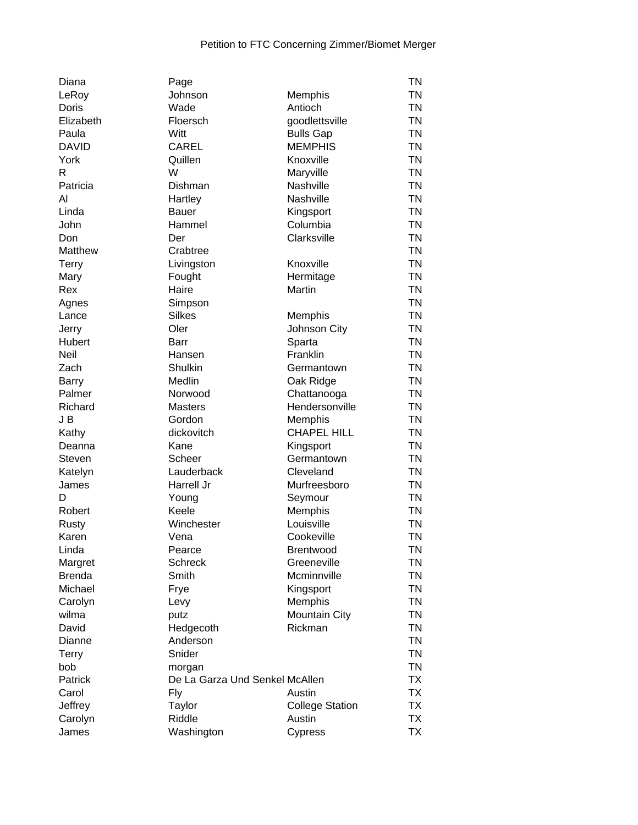| Diana            | Page                           |                        | <b>TN</b> |
|------------------|--------------------------------|------------------------|-----------|
| LeRoy            | Johnson                        | Memphis                | <b>TN</b> |
| Doris            | Wade                           | Antioch                | <b>TN</b> |
| Elizabeth        | Floersch                       | goodlettsville         | <b>TN</b> |
| Paula            | Witt                           | <b>Bulls Gap</b>       | <b>TN</b> |
| <b>DAVID</b>     | <b>CAREL</b>                   | <b>MEMPHIS</b>         | <b>TN</b> |
| York             | Quillen                        | Knoxville              | <b>TN</b> |
| R                | W                              | Maryville              | <b>TN</b> |
| Patricia         | Dishman                        | Nashville              | <b>TN</b> |
| Al               | Hartley                        | Nashville              | <b>TN</b> |
| Linda            | <b>Bauer</b>                   | Kingsport              | <b>TN</b> |
| John             | Hammel                         | Columbia               | <b>TN</b> |
| Don              | Der                            | Clarksville            | <b>TN</b> |
| Matthew          | Crabtree                       |                        | <b>TN</b> |
| <b>Terry</b>     | Livingston                     | Knoxville              | <b>TN</b> |
| Mary             | Fought                         | Hermitage              | <b>TN</b> |
| Rex              | Haire                          | Martin                 | <b>TN</b> |
| Agnes            | Simpson                        |                        | <b>TN</b> |
| Lance            | <b>Silkes</b>                  | Memphis                | <b>TN</b> |
| Jerry            | Oler                           | Johnson City           | <b>TN</b> |
| Hubert           | Barr                           | Sparta                 | <b>TN</b> |
| <b>Neil</b>      | Hansen                         | Franklin               | <b>TN</b> |
| Zach             | Shulkin                        | Germantown             | <b>TN</b> |
| <b>Barry</b>     | Medlin                         | Oak Ridge              | <b>TN</b> |
| Palmer           | Norwood                        | Chattanooga            | <b>TN</b> |
| Richard          | <b>Masters</b>                 | Hendersonville         | <b>TN</b> |
| J B              | Gordon                         | Memphis                | <b>TN</b> |
| Kathy            | dickovitch                     | <b>CHAPEL HILL</b>     | <b>TN</b> |
| Deanna           | Kane                           | Kingsport              | <b>TN</b> |
| Steven           | Scheer                         | Germantown             | <b>TN</b> |
| Katelyn          | Lauderback                     | Cleveland              | <b>TN</b> |
| James            | Harrell Jr                     | Murfreesboro           | <b>TN</b> |
| D                | Young                          | Seymour                | <b>TN</b> |
| Robert           | Keele                          | Memphis                | <b>TN</b> |
| Rusty            | Winchester                     | Louisville             | <b>TN</b> |
| Karen            | Vena                           | Cookeville             | <b>TN</b> |
| Linda            | Pearce                         | <b>Brentwood</b>       | TN        |
| Margret          | <b>Schreck</b>                 | Greeneville            | <b>TN</b> |
| <b>Brenda</b>    | Smith                          | Mcminnville            | <b>TN</b> |
| Michael          | Frye                           | Kingsport              | <b>TN</b> |
| Carolyn          | Levy                           | Memphis                | <b>TN</b> |
| wilma            | putz                           | <b>Mountain City</b>   | <b>TN</b> |
| David            | Hedgecoth                      | Rickman                | <b>TN</b> |
| Dianne           | Anderson                       |                        | <b>TN</b> |
| <b>Terry</b>     | Snider                         |                        | <b>TN</b> |
| bob              | morgan                         |                        | <b>TN</b> |
|                  |                                |                        | <b>TX</b> |
| Patrick<br>Carol | De La Garza Und Senkel McAllen | Austin                 | <b>TX</b> |
|                  | <b>Fly</b>                     |                        | <b>TX</b> |
| Jeffrey          | Taylor<br>Riddle               | <b>College Station</b> |           |
| Carolyn          |                                | Austin                 | <b>TX</b> |
| James            | Washington                     | Cypress                | <b>TX</b> |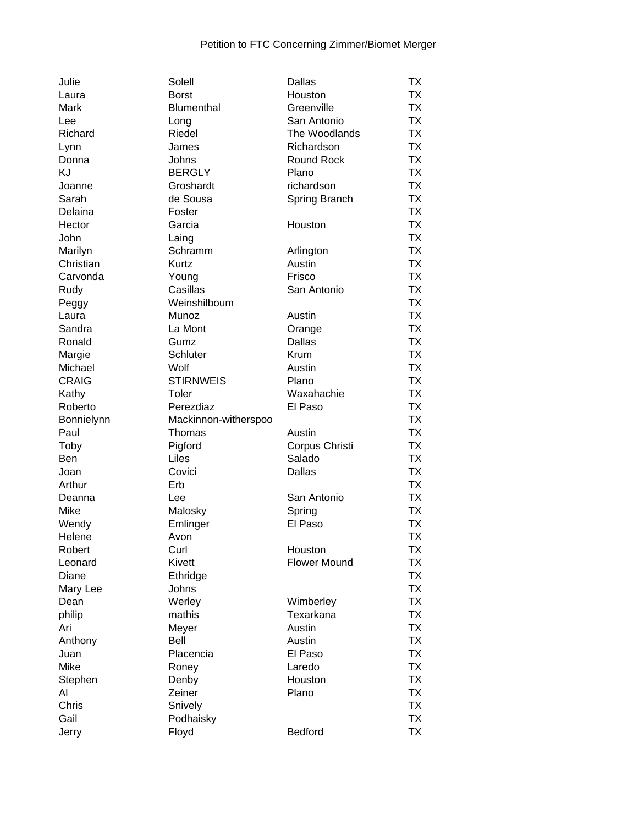| Julie              | Solell                         | Dallas              | ТX        |
|--------------------|--------------------------------|---------------------|-----------|
| Laura              | <b>Borst</b>                   | Houston             | <b>TX</b> |
| Mark               | Blumenthal                     | Greenville          | <b>TX</b> |
| Lee                | Long                           | San Antonio         | <b>TX</b> |
| Richard            | Riedel                         | The Woodlands       | <b>TX</b> |
| Lynn               | James                          | Richardson          | <b>TX</b> |
| Donna              | Johns                          | Round Rock          | <b>TX</b> |
| KJ                 | <b>BERGLY</b>                  | Plano               | <b>TX</b> |
| Joanne             | Groshardt                      | richardson          | <b>TX</b> |
| Sarah              | de Sousa                       | Spring Branch       | <b>TX</b> |
| Delaina            | Foster                         |                     | <b>TX</b> |
| Hector             | Garcia                         | Houston             | <b>TX</b> |
| John               | Laing                          |                     | <b>TX</b> |
| Marilyn            | Schramm                        | Arlington           | <b>TX</b> |
| Christian          | Kurtz                          | Austin              | <b>TX</b> |
| Carvonda           | Young                          | Frisco              | <b>TX</b> |
| Rudy               | Casillas                       | San Antonio         | <b>TX</b> |
| Peggy              | Weinshilboum                   |                     | <b>TX</b> |
| Laura              | Munoz                          | Austin              | <b>TX</b> |
| Sandra             | La Mont                        | Orange              | <b>TX</b> |
| Ronald             | Gumz                           | <b>Dallas</b>       | <b>TX</b> |
| Margie             | Schluter                       | Krum                | <b>TX</b> |
| Michael            | Wolf                           | Austin              | <b>TX</b> |
| <b>CRAIG</b>       | <b>STIRNWEIS</b>               | Plano               | <b>TX</b> |
| Kathy              | Toler                          | Waxahachie          | <b>TX</b> |
| Roberto            | Perezdiaz                      | El Paso             | <b>TX</b> |
|                    |                                |                     | <b>TX</b> |
| Bonnielynn<br>Paul | Mackinnon-witherspoo<br>Thomas | Austin              | <b>TX</b> |
|                    |                                |                     | <b>TX</b> |
| Toby               | Pigford<br>Liles               | Corpus Christi      | <b>TX</b> |
| Ben                |                                | Salado              | <b>TX</b> |
| Joan               | Covici                         | Dallas              |           |
| Arthur             | Erb                            |                     | <b>TX</b> |
| Deanna             | Lee                            | San Antonio         | <b>TX</b> |
| Mike               | Malosky                        | Spring              | TX        |
| Wendy              | Emlinger                       | El Paso             | <b>TX</b> |
| Helene             | Avon                           |                     | <b>TX</b> |
| Robert             | Curl                           | Houston             | TX        |
| Leonard            | <b>Kivett</b>                  | <b>Flower Mound</b> | <b>TX</b> |
| Diane              | Ethridge                       |                     | <b>TX</b> |
| Mary Lee           | Johns                          |                     | <b>TX</b> |
| Dean               | Werley                         | Wimberley           | <b>TX</b> |
| philip             | mathis                         | Texarkana           | <b>TX</b> |
| Ari                | Meyer                          | Austin              | <b>TX</b> |
| Anthony            | Bell                           | Austin              | <b>TX</b> |
| Juan               | Placencia                      | El Paso             | <b>TX</b> |
| Mike               | Roney                          | Laredo              | <b>TX</b> |
| Stephen            | Denby                          | Houston             | <b>TX</b> |
| Al                 | Zeiner                         | Plano               | <b>TX</b> |
| Chris              | Snively                        |                     | <b>TX</b> |
| Gail               | Podhaisky                      |                     | <b>TX</b> |
| Jerry              | Floyd                          | Bedford             | <b>TX</b> |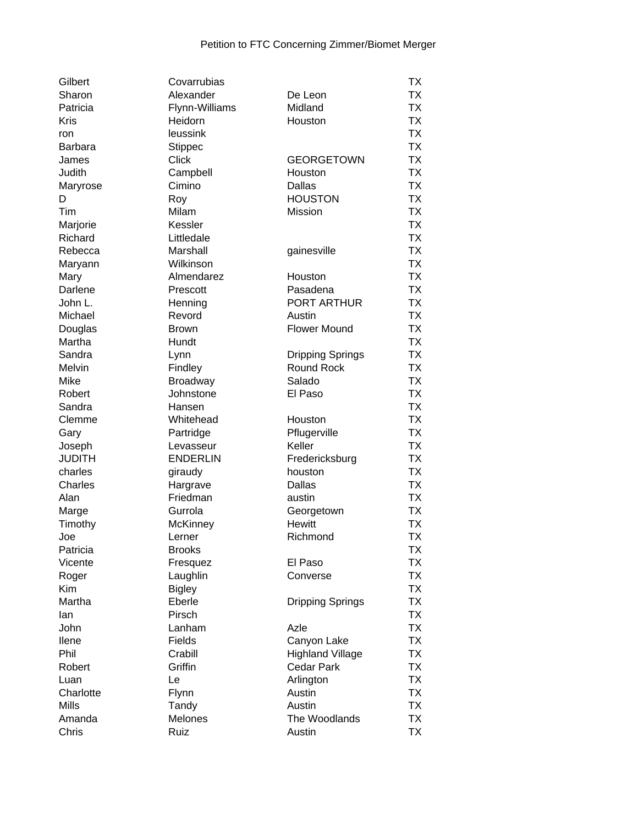| Gilbert           | Covarrubias     |                         | ТX        |
|-------------------|-----------------|-------------------------|-----------|
| Sharon            | Alexander       | De Leon                 | <b>TX</b> |
| Patricia          | Flynn-Williams  | Midland                 | <b>TX</b> |
| <b>Kris</b>       | Heidorn         | Houston                 | <b>TX</b> |
| ron               | leussink        |                         | <b>TX</b> |
| <b>Barbara</b>    | <b>Stippec</b>  |                         | <b>TX</b> |
| James             | <b>Click</b>    | <b>GEORGETOWN</b>       | <b>TX</b> |
| Judith            | Campbell        | Houston                 | <b>TX</b> |
| Maryrose          | Cimino          | Dallas                  | <b>TX</b> |
| D                 | Roy             | <b>HOUSTON</b>          | <b>TX</b> |
| Tim               | Milam           | Mission                 | <b>TX</b> |
| Marjorie          | Kessler         |                         | <b>TX</b> |
| Richard           | Littledale      |                         | <b>TX</b> |
| Rebecca           | Marshall        | gainesville             | <b>TX</b> |
| Maryann           | Wilkinson       |                         | <b>TX</b> |
| Mary              | Almendarez      | Houston                 | <b>TX</b> |
| Darlene           | Prescott        | Pasadena                | <b>TX</b> |
| John L.           | Henning         | PORT ARTHUR             | <b>TX</b> |
| Michael           | Revord          | Austin                  | <b>TX</b> |
| Douglas           | <b>Brown</b>    | <b>Flower Mound</b>     | <b>TX</b> |
| Martha            | Hundt           |                         | <b>TX</b> |
| Sandra            | Lynn            | <b>Dripping Springs</b> | <b>TX</b> |
| Melvin            | Findley         | Round Rock              | <b>TX</b> |
| Mike              | <b>Broadway</b> | Salado                  | <b>TX</b> |
| Robert            | Johnstone       | El Paso                 | <b>TX</b> |
| Sandra            | Hansen          |                         | <b>TX</b> |
| Clemme            | Whitehead       | Houston                 | <b>TX</b> |
| Gary              | Partridge       | Pflugerville            | <b>TX</b> |
| Joseph            | Levasseur       | Keller                  | <b>TX</b> |
| <b>JUDITH</b>     | <b>ENDERLIN</b> | Fredericksburg          | <b>TX</b> |
| charles           | giraudy         | houston                 | <b>TX</b> |
| Charles           | Hargrave        | <b>Dallas</b>           | <b>TX</b> |
| Alan              | Friedman        | austin                  | <b>TX</b> |
| Marge             | Gurrola         | Georgetown              | <b>TX</b> |
| Timothy           | McKinney        | <b>Hewitt</b>           | <b>TX</b> |
| Joe               | Lerner          | Richmond                | <b>TX</b> |
| Patricia          | <b>Brooks</b>   |                         | TX        |
| Vicente           | Fresquez        | El Paso                 | TX        |
| Roger             | Laughlin        | Converse                | <b>TX</b> |
| Kim               | <b>Bigley</b>   |                         | <b>TX</b> |
| Martha            | Eberle          | <b>Dripping Springs</b> | <b>TX</b> |
| lan               | Pirsch          |                         | <b>TX</b> |
| John              | Lanham          | Azle                    | <b>TX</b> |
| llene             | Fields          | Canyon Lake             | <b>TX</b> |
| Phil              | Crabill         | <b>Highland Village</b> | <b>TX</b> |
| Robert            | Griffin         | <b>Cedar Park</b>       | <b>TX</b> |
|                   | Le              |                         | <b>TX</b> |
| Luan<br>Charlotte |                 | Arlington<br>Austin     | <b>TX</b> |
| <b>Mills</b>      | Flynn           | Austin                  | <b>TX</b> |
|                   | Tandy           |                         |           |
| Amanda            | Melones         | The Woodlands           | <b>TX</b> |
| Chris             | Ruiz            | Austin                  | <b>TX</b> |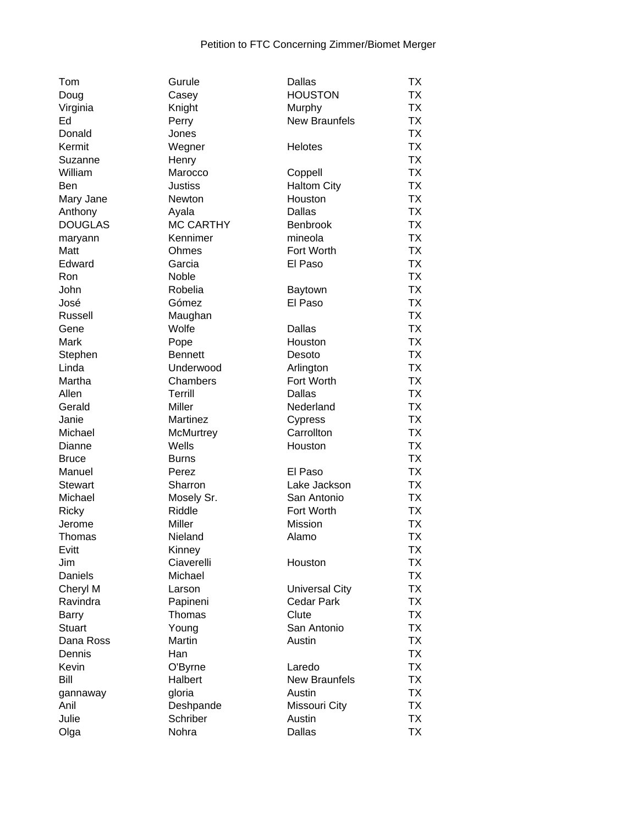| Tom            | Gurule           | <b>Dallas</b>         | TX        |
|----------------|------------------|-----------------------|-----------|
| Doug           | Casey            | <b>HOUSTON</b>        | TX        |
| Virginia       | Knight           | Murphy                | <b>TX</b> |
| Ed             | Perry            | <b>New Braunfels</b>  | <b>TX</b> |
| Donald         | Jones            |                       | <b>TX</b> |
| Kermit         | Wegner           | Helotes               | <b>TX</b> |
| Suzanne        | Henry            |                       | <b>TX</b> |
| William        | Marocco          | Coppell               | <b>TX</b> |
| <b>Ben</b>     | <b>Justiss</b>   | <b>Haltom City</b>    | <b>TX</b> |
| Mary Jane      | Newton           | Houston               | <b>TX</b> |
| Anthony        | Ayala            | <b>Dallas</b>         | <b>TX</b> |
| <b>DOUGLAS</b> | <b>MC CARTHY</b> | Benbrook              | <b>TX</b> |
| maryann        | Kennimer         | mineola               | <b>TX</b> |
| Matt           | Ohmes            | Fort Worth            | <b>TX</b> |
| Edward         | Garcia           | El Paso               | <b>TX</b> |
| Ron            | Noble            |                       | <b>TX</b> |
|                |                  |                       | <b>TX</b> |
| John           | Robelia          | Baytown               |           |
| José           | Gómez            | El Paso               | <b>TX</b> |
| Russell        | Maughan          |                       | <b>TX</b> |
| Gene           | Wolfe            | Dallas                | <b>TX</b> |
| Mark           | Pope             | Houston               | <b>TX</b> |
| Stephen        | <b>Bennett</b>   | Desoto                | <b>TX</b> |
| Linda          | Underwood        | Arlington             | <b>TX</b> |
| Martha         | Chambers         | Fort Worth            | <b>TX</b> |
| Allen          | Terrill          | <b>Dallas</b>         | <b>TX</b> |
| Gerald         | Miller           | Nederland             | <b>TX</b> |
| Janie          | Martinez         | Cypress               | <b>TX</b> |
| Michael        | <b>McMurtrey</b> | Carrollton            | <b>TX</b> |
| Dianne         | Wells            | Houston               | <b>TX</b> |
| <b>Bruce</b>   | <b>Burns</b>     |                       | <b>TX</b> |
| Manuel         | Perez            | El Paso               | <b>TX</b> |
| <b>Stewart</b> | Sharron          | Lake Jackson          | <b>TX</b> |
| Michael        | Mosely Sr.       | San Antonio           | <b>TX</b> |
| Ricky          | Riddle           | Fort Worth            | <b>TX</b> |
| Jerome         | Miller           | <b>Mission</b>        | <b>TX</b> |
| Thomas         | Nieland          | Alamo                 | <b>TX</b> |
| Evitt          | Kinney           |                       | <b>TX</b> |
| Jim            | Ciaverelli       | Houston               | <b>TX</b> |
| Daniels        | Michael          |                       | TX        |
| Cheryl M       | Larson           | <b>Universal City</b> | TX        |
| Ravindra       | Papineni         | <b>Cedar Park</b>     | <b>TX</b> |
| Barry          | Thomas           | Clute                 | <b>TX</b> |
| <b>Stuart</b>  | Young            | San Antonio           | <b>TX</b> |
| Dana Ross      | Martin           | Austin                | <b>TX</b> |
|                | Han              |                       | <b>TX</b> |
| Dennis         |                  |                       |           |
| Kevin          | O'Byrne          | Laredo                | <b>TX</b> |
| Bill           | Halbert          | <b>New Braunfels</b>  | <b>TX</b> |
| gannaway       | gloria           | Austin                | <b>TX</b> |
| Anil           | Deshpande        | Missouri City         | <b>TX</b> |
| Julie          | Schriber         | Austin                | <b>TX</b> |
| Olga           | Nohra            | Dallas                | <b>TX</b> |
|                |                  |                       |           |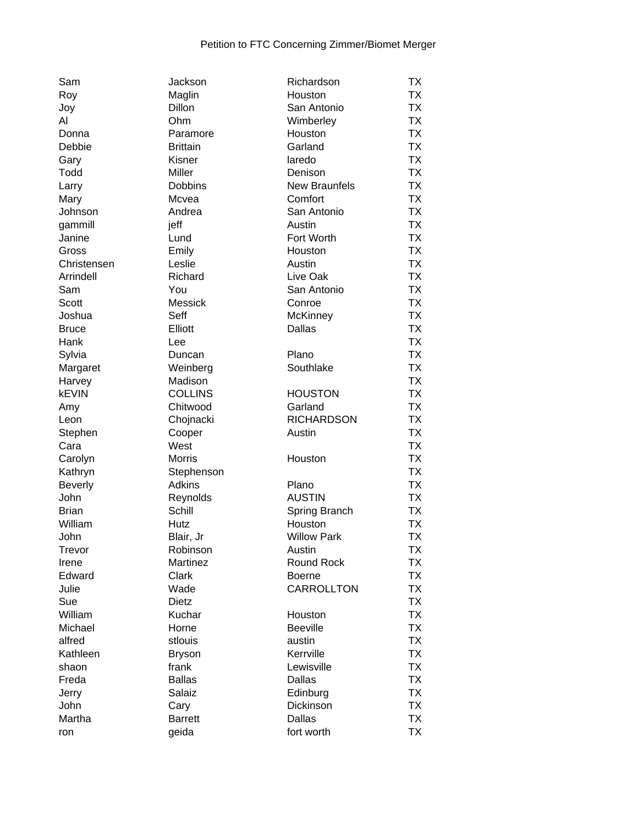| Sam            | Jackson         | Richardson           | TX        |
|----------------|-----------------|----------------------|-----------|
| Roy            | Maglin          | Houston              | <b>TX</b> |
| Joy            | Dillon          | San Antonio          | <b>TX</b> |
| Al             | Ohm             | Wimberley            | <b>TX</b> |
| Donna          | Paramore        | Houston              | <b>TX</b> |
| Debbie         | <b>Brittain</b> | Garland              | <b>TX</b> |
| Gary           | Kisner          | laredo               | <b>TX</b> |
| Todd           | Miller          | Denison              | <b>TX</b> |
| Larry          | <b>Dobbins</b>  | <b>New Braunfels</b> | <b>TX</b> |
| Mary           | Mcvea           | Comfort              | <b>TX</b> |
| Johnson        | Andrea          | San Antonio          | <b>TX</b> |
| gammill        | jeff            | Austin               | <b>TX</b> |
| Janine         | Lund            | Fort Worth           | <b>TX</b> |
| Gross          | Emily           | Houston              | <b>TX</b> |
| Christensen    | Leslie          | Austin               | <b>TX</b> |
| Arrindell      | Richard         | Live Oak             | <b>TX</b> |
| Sam            | You             | San Antonio          | <b>TX</b> |
| <b>Scott</b>   | Messick         | Conroe               | <b>TX</b> |
| Joshua         | Seff            | <b>McKinney</b>      | <b>TX</b> |
| <b>Bruce</b>   | Elliott         | <b>Dallas</b>        | <b>TX</b> |
| Hank           | Lee             |                      | <b>TX</b> |
| Sylvia         | Duncan          | Plano                | <b>TX</b> |
| Margaret       | Weinberg        | Southlake            | <b>TX</b> |
| Harvey         | Madison         |                      | <b>TX</b> |
| <b>kEVIN</b>   | <b>COLLINS</b>  | <b>HOUSTON</b>       | <b>TX</b> |
| Amy            | Chitwood        | Garland              | <b>TX</b> |
| Leon           | Chojnacki       | <b>RICHARDSON</b>    | <b>TX</b> |
| Stephen        | Cooper          | Austin               | <b>TX</b> |
| Cara           | West            |                      | <b>TX</b> |
| Carolyn        | <b>Morris</b>   | Houston              | <b>TX</b> |
| Kathryn        | Stephenson      |                      | <b>TX</b> |
| <b>Beverly</b> | <b>Adkins</b>   | Plano                | <b>TX</b> |
| John           | Reynolds        | <b>AUSTIN</b>        | <b>TX</b> |
| <b>Brian</b>   | Schill          | Spring Branch        | <b>TX</b> |
| William        | Hutz            | Houston              | <b>TX</b> |
| John           | Blair, Jr       | <b>Willow Park</b>   | <b>TX</b> |
| Trevor         | Robinson        | Austin               | <b>TX</b> |
| Irene          | Martinez        | Round Rock           | <b>TX</b> |
| Edward         | Clark           | <b>Boerne</b>        | <b>TX</b> |
| Julie          | Wade            | <b>CARROLLTON</b>    | <b>TX</b> |
| Sue            | <b>Dietz</b>    |                      | <b>TX</b> |
| William        | Kuchar          | Houston              | <b>TX</b> |
| Michael        | Horne           | <b>Beeville</b>      | <b>TX</b> |
| alfred         | stlouis         | austin               | <b>TX</b> |
| Kathleen       | <b>Bryson</b>   | Kerrville            | <b>TX</b> |
| shaon          | frank           | Lewisville           | <b>TX</b> |
| Freda          | <b>Ballas</b>   | <b>Dallas</b>        | <b>TX</b> |
| Jerry          | Salaiz          | Edinburg             | <b>TX</b> |
| John           | Cary            | Dickinson            | <b>TX</b> |
| Martha         | <b>Barrett</b>  | <b>Dallas</b>        | <b>TX</b> |
| ron            | geida           | fort worth           | <b>TX</b> |
|                |                 |                      |           |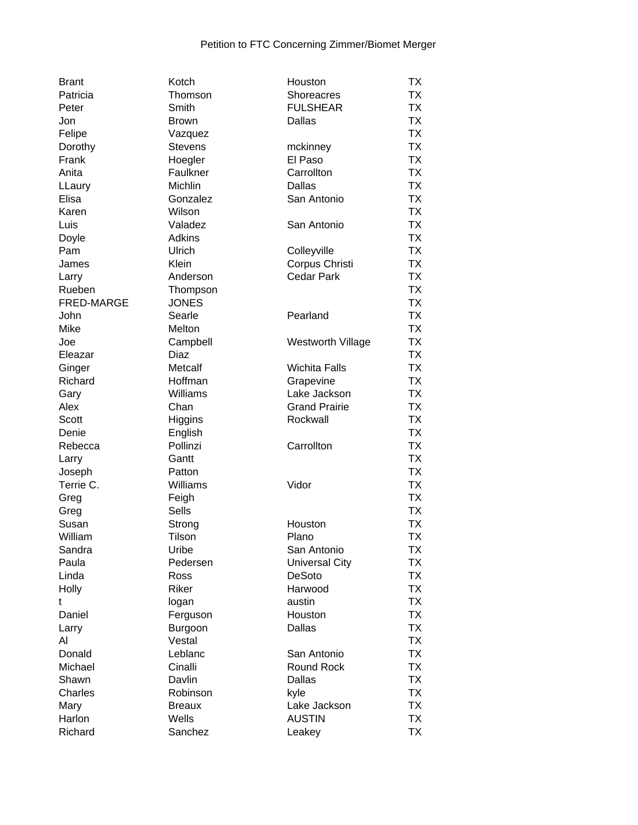| <b>Brant</b> | Kotch            | Houston                  | ТX        |
|--------------|------------------|--------------------------|-----------|
| Patricia     | Thomson          | Shoreacres               | TX        |
| Peter        | Smith            | <b>FULSHEAR</b>          | <b>TX</b> |
| Jon          | <b>Brown</b>     | <b>Dallas</b>            | <b>TX</b> |
| Felipe       | Vazquez          |                          | <b>TX</b> |
| Dorothy      | <b>Stevens</b>   | mckinney                 | <b>TX</b> |
| Frank        | Hoegler          | El Paso                  | <b>TX</b> |
| Anita        | Faulkner         | Carrollton               | <b>TX</b> |
| LLaury       | Michlin          | Dallas                   | <b>TX</b> |
| Elisa        | Gonzalez         | San Antonio              | <b>TX</b> |
| Karen        | Wilson           |                          | <b>TX</b> |
| Luis         | Valadez          | San Antonio              | <b>TX</b> |
| Doyle        | Adkins           |                          | <b>TX</b> |
| Pam          | Ulrich           | Colleyville              | <b>TX</b> |
| James        | Klein            | Corpus Christi           | <b>TX</b> |
| Larry        | Anderson         | <b>Cedar Park</b>        | <b>TX</b> |
| Rueben       | Thompson         |                          | <b>TX</b> |
| FRED-MARGE   | <b>JONES</b>     |                          | <b>TX</b> |
| John         | Searle           | Pearland                 | <b>TX</b> |
| Mike         | Melton           |                          | <b>TX</b> |
| Joe          |                  | <b>Westworth Village</b> | <b>TX</b> |
|              | Campbell<br>Diaz |                          | <b>TX</b> |
| Eleazar      |                  | <b>Wichita Falls</b>     | <b>TX</b> |
| Ginger       | Metcalf          |                          | <b>TX</b> |
| Richard      | Hoffman          | Grapevine                |           |
| Gary         | Williams         | Lake Jackson             | <b>TX</b> |
| Alex         | Chan             | <b>Grand Prairie</b>     | <b>TX</b> |
| <b>Scott</b> | Higgins          | Rockwall                 | <b>TX</b> |
| Denie        | English          |                          | <b>TX</b> |
| Rebecca      | Pollinzi         | Carrollton               | <b>TX</b> |
| Larry        | Gantt            |                          | <b>TX</b> |
| Joseph       | Patton           |                          | <b>TX</b> |
| Terrie C.    | Williams         | Vidor                    | <b>TX</b> |
| Greg         | Feigh            |                          | <b>TX</b> |
| Greg         | Sells            |                          | <b>TX</b> |
| Susan        | Strong           | Houston                  | <b>TX</b> |
| William      | Tilson           | Plano                    | <b>TX</b> |
| Sandra       | Uribe            | San Antonio              | ТX        |
| Paula        | Pedersen         | <b>Universal City</b>    | <b>TX</b> |
| Linda        | Ross             | <b>DeSoto</b>            | <b>TX</b> |
| Holly        | Riker            | Harwood                  | TX        |
| t            | logan            | austin                   | <b>TX</b> |
| Daniel       | Ferguson         | Houston                  | <b>TX</b> |
| Larry        | Burgoon          | Dallas                   | <b>TX</b> |
| Al           | Vestal           |                          | <b>TX</b> |
| Donald       | Leblanc          | San Antonio              | <b>TX</b> |
| Michael      | Cinalli          | <b>Round Rock</b>        | <b>TX</b> |
| Shawn        | Davlin           | <b>Dallas</b>            | <b>TX</b> |
| Charles      | Robinson         | kyle                     | <b>TX</b> |
| Mary         | <b>Breaux</b>    | Lake Jackson             | <b>TX</b> |
| Harlon       | Wells            | <b>AUSTIN</b>            | <b>TX</b> |
| Richard      | Sanchez          | Leakey                   | <b>TX</b> |
|              |                  |                          |           |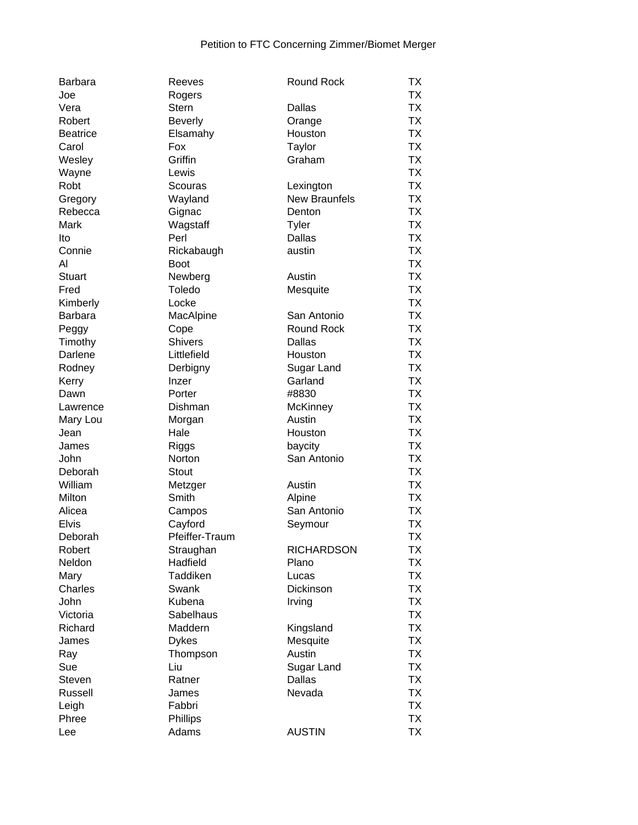| <b>Barbara</b>  | Reeves         | <b>Round Rock</b>    | TX        |
|-----------------|----------------|----------------------|-----------|
| Joe             | Rogers         |                      | TX        |
| Vera            | Stern          | Dallas               | <b>TX</b> |
| Robert          | <b>Beverly</b> | Orange               | TX        |
| <b>Beatrice</b> | Elsamahy       | Houston              | <b>TX</b> |
| Carol           | Fox            | Taylor               | <b>TX</b> |
| Wesley          | Griffin        | Graham               | <b>TX</b> |
| Wayne           | Lewis          |                      | <b>TX</b> |
| Robt            | Scouras        | Lexington            | <b>TX</b> |
| Gregory         | Wayland        | <b>New Braunfels</b> | <b>TX</b> |
| Rebecca         | Gignac         | Denton               | <b>TX</b> |
| Mark            | Wagstaff       | Tyler                | <b>TX</b> |
| Ito             | Perl           | <b>Dallas</b>        | <b>TX</b> |
| Connie          | Rickabaugh     | austin               | <b>TX</b> |
| Al              | <b>Boot</b>    |                      | <b>TX</b> |
| <b>Stuart</b>   | Newberg        | Austin               | <b>TX</b> |
| Fred            | Toledo         |                      | <b>TX</b> |
|                 |                | Mesquite             |           |
| Kimberly        | Locke          |                      | <b>TX</b> |
| <b>Barbara</b>  | MacAlpine      | San Antonio          | <b>TX</b> |
| Peggy           | Cope           | <b>Round Rock</b>    | <b>TX</b> |
| Timothy         | <b>Shivers</b> | Dallas               | <b>TX</b> |
| Darlene         | Littlefield    | Houston              | <b>TX</b> |
| Rodney          | Derbigny       | Sugar Land           | <b>TX</b> |
| Kerry           | Inzer          | Garland              | <b>TX</b> |
| Dawn            | Porter         | #8830                | <b>TX</b> |
| Lawrence        | Dishman        | McKinney             | TX        |
| Mary Lou        | Morgan         | Austin               | <b>TX</b> |
| Jean            | Hale           | Houston              | <b>TX</b> |
| James           | Riggs          | baycity              | <b>TX</b> |
| John            | Norton         | San Antonio          | <b>TX</b> |
| Deborah         | <b>Stout</b>   |                      | <b>TX</b> |
| William         | Metzger        | Austin               | <b>TX</b> |
| Milton          | Smith          | Alpine               | <b>TX</b> |
| Alicea          | Campos         | San Antonio          | <b>TX</b> |
| <b>Elvis</b>    | Cayford        | Seymour              | <b>TX</b> |
| Deborah         | Pfeiffer-Traum |                      | <b>TX</b> |
| Robert          | Straughan      | <b>RICHARDSON</b>    | ТX        |
| Neldon          | Hadfield       | Plano                | <b>TX</b> |
| Mary            | Taddiken       | Lucas                | <b>TX</b> |
| Charles         | Swank          | Dickinson            | <b>TX</b> |
| John            | Kubena         | Irving               | <b>TX</b> |
| Victoria        | Sabelhaus      |                      | <b>TX</b> |
| Richard         | Maddern        | Kingsland            | <b>TX</b> |
| James           | <b>Dykes</b>   | Mesquite             | <b>TX</b> |
| Ray             | Thompson       | Austin               | <b>TX</b> |
| Sue             | Liu            | Sugar Land           | <b>TX</b> |
| Steven          | Ratner         | Dallas               | <b>TX</b> |
| Russell         |                | Nevada               | <b>TX</b> |
|                 | James          |                      | <b>TX</b> |
| Leigh           | Fabbri         |                      |           |
| Phree           | Phillips       |                      | <b>TX</b> |
| Lee             | Adams          | <b>AUSTIN</b>        | <b>TX</b> |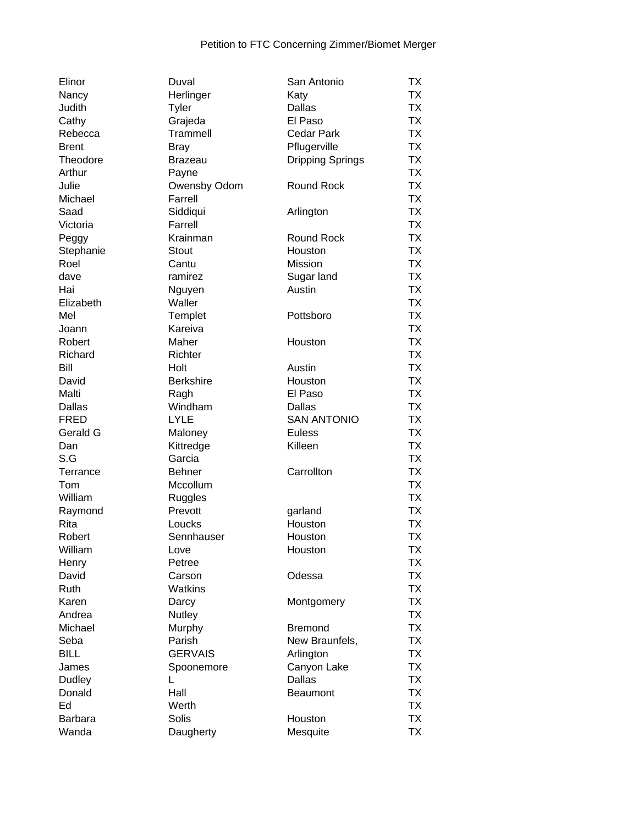| Elinor       | Duval            | San Antonio        | ТX        |
|--------------|------------------|--------------------|-----------|
| Nancy        | Herlinger        | Katy               | <b>TX</b> |
| Judith       | Tyler            | Dallas             | <b>TX</b> |
| Cathy        | Grajeda          | El Paso            | <b>TX</b> |
| Rebecca      | Trammell         | <b>Cedar Park</b>  | <b>TX</b> |
| <b>Brent</b> | <b>Bray</b>      | Pflugerville       | <b>TX</b> |
| Theodore     | <b>Brazeau</b>   | Dripping Springs   | <b>TX</b> |
| Arthur       | Payne            |                    | <b>TX</b> |
| Julie        | Owensby Odom     | Round Rock         | <b>TX</b> |
| Michael      | Farrell          |                    | <b>TX</b> |
| Saad         | Siddiqui         | Arlington          | <b>TX</b> |
| Victoria     | Farrell          |                    | <b>TX</b> |
| Peggy        | Krainman         | <b>Round Rock</b>  | <b>TX</b> |
| Stephanie    | <b>Stout</b>     | Houston            | <b>TX</b> |
| Roel         | Cantu            | Mission            | <b>TX</b> |
| dave         | ramirez          | Sugar land         | <b>TX</b> |
| Hai          |                  | Austin             | <b>TX</b> |
|              | Nguyen           |                    | <b>TX</b> |
| Elizabeth    | Waller           |                    | <b>TX</b> |
| Mel          | Templet          | Pottsboro          |           |
| Joann        | Kareiva          |                    | <b>TX</b> |
| Robert       | Maher            | Houston            | <b>TX</b> |
| Richard      | Richter          |                    | <b>TX</b> |
| Bill         | Holt             | Austin             | <b>TX</b> |
| David        | <b>Berkshire</b> | Houston            | <b>TX</b> |
| Malti        | Ragh             | El Paso            | <b>TX</b> |
| Dallas       | Windham          | Dallas             | <b>TX</b> |
| <b>FRED</b>  | <b>LYLE</b>      | <b>SAN ANTONIO</b> | <b>TX</b> |
| Gerald G     | Maloney          | <b>Euless</b>      | <b>TX</b> |
| Dan          | Kittredge        | Killeen            | <b>TX</b> |
| S.G          | Garcia           |                    | <b>TX</b> |
| Terrance     | <b>Behner</b>    | Carrollton         | <b>TX</b> |
| Tom          | Mccollum         |                    | <b>TX</b> |
| William      | Ruggles          |                    | <b>TX</b> |
| Raymond      | Prevott          | garland            | <b>TX</b> |
| Rita         | Loucks           | Houston            | <b>TX</b> |
| Robert       | Sennhauser       | Houston            | <b>TX</b> |
| William      | Love             | Houston            | TХ        |
| Henry        | Petree           |                    | <b>TX</b> |
| David        | Carson           | Odessa             | <b>TX</b> |
| <b>Ruth</b>  | <b>Watkins</b>   |                    | <b>TX</b> |
| Karen        | Darcy            | Montgomery         | <b>TX</b> |
| Andrea       | <b>Nutley</b>    |                    | <b>TX</b> |
| Michael      | Murphy           | <b>Bremond</b>     | <b>TX</b> |
| Seba         | Parish           | New Braunfels,     | <b>TX</b> |
| <b>BILL</b>  | <b>GERVAIS</b>   | Arlington          | <b>TX</b> |
| James        | Spoonemore       | Canyon Lake        | <b>TX</b> |
| Dudley       | L                | Dallas             | <b>TX</b> |
| Donald       | Hall             | Beaumont           | <b>TX</b> |
| Ed           | Werth            |                    | <b>TX</b> |
|              |                  |                    |           |
| Barbara      | <b>Solis</b>     | Houston            | <b>TX</b> |
| Wanda        | Daugherty        | Mesquite           | <b>TX</b> |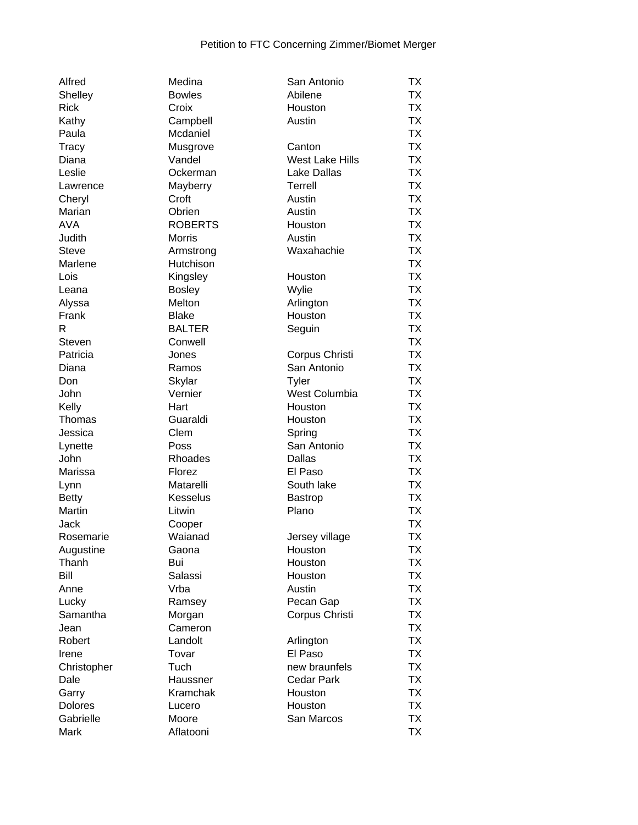| Alfred         | Medina         | San Antonio            | <b>TX</b> |
|----------------|----------------|------------------------|-----------|
| Shelley        | <b>Bowles</b>  | Abilene                | <b>TX</b> |
| <b>Rick</b>    | Croix          | Houston                | <b>TX</b> |
| Kathy          | Campbell       | Austin                 | <b>TX</b> |
| Paula          | Mcdaniel       |                        | <b>TX</b> |
|                |                |                        |           |
| <b>Tracy</b>   | Musgrove       | Canton                 | <b>TX</b> |
| Diana          | Vandel         | <b>West Lake Hills</b> | <b>TX</b> |
| Leslie         | Ockerman       | <b>Lake Dallas</b>     | <b>TX</b> |
| Lawrence       | Mayberry       | Terrell                | <b>TX</b> |
| Cheryl         | Croft          | Austin                 | <b>TX</b> |
| Marian         | Obrien         | Austin                 | <b>TX</b> |
| <b>AVA</b>     | <b>ROBERTS</b> | Houston                | <b>TX</b> |
| Judith         | <b>Morris</b>  | Austin                 | <b>TX</b> |
| <b>Steve</b>   |                | Waxahachie             | <b>TX</b> |
|                | Armstrong      |                        |           |
| Marlene        | Hutchison      |                        | <b>TX</b> |
| Lois           | Kingsley       | Houston                | <b>TX</b> |
| Leana          | <b>Bosley</b>  | Wylie                  | <b>TX</b> |
| Alyssa         | Melton         | Arlington              | <b>TX</b> |
| Frank          | <b>Blake</b>   | Houston                | <b>TX</b> |
| R              | <b>BALTER</b>  | Seguin                 | <b>TX</b> |
| Steven         | Conwell        |                        | <b>TX</b> |
| Patricia       | Jones          | Corpus Christi         | <b>TX</b> |
| Diana          | Ramos          | San Antonio            | <b>TX</b> |
| Don            | Skylar         | <b>Tyler</b>           | <b>TX</b> |
| John           | Vernier        | West Columbia          | <b>TX</b> |
|                |                |                        | <b>TX</b> |
| Kelly          | Hart           | Houston                |           |
| Thomas         | Guaraldi       | Houston                | <b>TX</b> |
| Jessica        | Clem           | Spring                 | <b>TX</b> |
| Lynette        | Poss           | San Antonio            | <b>TX</b> |
| John           | Rhoades        | Dallas                 | <b>TX</b> |
| Marissa        | Florez         | El Paso                | <b>TX</b> |
| Lynn           | Matarelli      | South lake             | <b>TX</b> |
| <b>Betty</b>   | Kesselus       | <b>Bastrop</b>         | <b>TX</b> |
| Martin         | Litwin         | Plano                  | <b>TX</b> |
| Jack           | Cooper         |                        | <b>TX</b> |
| Rosemarie      | Waianad        | Jersey village         | <b>TX</b> |
| Augustine      | Gaona          | Houston                | TX        |
| Thanh          | Bui            | Houston                | <b>TX</b> |
| Bill           | Salassi        | Houston                | <b>TX</b> |
|                |                |                        |           |
| Anne           | Vrba           | Austin                 | <b>TX</b> |
| Lucky          | Ramsey         | Pecan Gap              | <b>TX</b> |
| Samantha       | Morgan         | Corpus Christi         | <b>TX</b> |
| Jean           | Cameron        |                        | <b>TX</b> |
| Robert         | Landolt        | Arlington              | <b>TX</b> |
| Irene          | Tovar          | El Paso                | <b>TX</b> |
| Christopher    | Tuch           | new braunfels          | <b>TX</b> |
| Dale           | Haussner       | <b>Cedar Park</b>      | <b>TX</b> |
| Garry          | Kramchak       | Houston                | <b>TX</b> |
| <b>Dolores</b> | Lucero         | Houston                | <b>TX</b> |
| Gabrielle      | Moore          | San Marcos             | <b>TX</b> |
| Mark           | Aflatooni      |                        | <b>TX</b> |
|                |                |                        |           |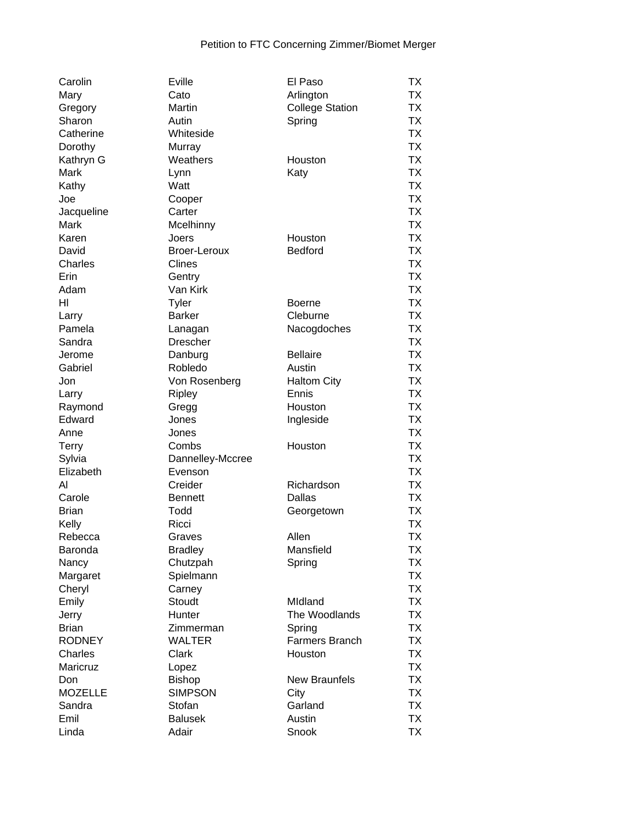| Carolin        | Eville           | El Paso                | ТX        |
|----------------|------------------|------------------------|-----------|
| Mary           | Cato             | Arlington              | <b>TX</b> |
| Gregory        | Martin           | <b>College Station</b> | <b>TX</b> |
| Sharon         | Autin            | Spring                 | <b>TX</b> |
| Catherine      | Whiteside        |                        | <b>TX</b> |
| Dorothy        | Murray           |                        | <b>TX</b> |
| Kathryn G      | Weathers         | Houston                | <b>TX</b> |
| Mark           | Lynn             | Katy                   | <b>TX</b> |
| Kathy          | Watt             |                        | <b>TX</b> |
| Joe            | Cooper           |                        | <b>TX</b> |
| Jacqueline     | Carter           |                        | <b>TX</b> |
| Mark           | Mcelhinny        |                        | <b>TX</b> |
| Karen          | Joers            | Houston                | <b>TX</b> |
| David          | Broer-Leroux     | <b>Bedford</b>         | <b>TX</b> |
| Charles        | Clines           |                        | <b>TX</b> |
| Erin           | Gentry           |                        | <b>TX</b> |
| Adam           | Van Kirk         |                        | <b>TX</b> |
| HI             |                  |                        | <b>TX</b> |
|                | <b>Tyler</b>     | <b>Boerne</b>          | <b>TX</b> |
| Larry          | <b>Barker</b>    | Cleburne               |           |
| Pamela         | Lanagan          | Nacogdoches            | <b>TX</b> |
| Sandra         | <b>Drescher</b>  |                        | <b>TX</b> |
| Jerome         | Danburg          | <b>Bellaire</b>        | <b>TX</b> |
| Gabriel        | Robledo          | Austin                 | <b>TX</b> |
| Jon            | Von Rosenberg    | <b>Haltom City</b>     | <b>TX</b> |
| Larry          | Ripley           | Ennis                  | <b>TX</b> |
| Raymond        | Gregg            | Houston                | <b>TX</b> |
| Edward         | Jones            | Ingleside              | <b>TX</b> |
| Anne           | Jones            |                        | <b>TX</b> |
| Terry          | Combs            | Houston                | <b>TX</b> |
| Sylvia         | Dannelley-Mccree |                        | <b>TX</b> |
| Elizabeth      | Evenson          |                        | <b>TX</b> |
| Al             | Creider          | Richardson             | <b>TX</b> |
| Carole         | <b>Bennett</b>   | Dallas                 | <b>TX</b> |
| <b>Brian</b>   | Todd             | Georgetown             | <b>TX</b> |
| Kelly          | Ricci            |                        | <b>TX</b> |
| Rebecca        | Graves           | Allen                  | <b>TX</b> |
| Baronda        | <b>Bradley</b>   | Mansfield              | TХ        |
| Nancy          | Chutzpah         | Spring                 | TX        |
| Margaret       | Spielmann        |                        | <b>TX</b> |
| Cheryl         | Carney           |                        | <b>TX</b> |
| Emily          | Stoudt           | Midland                | <b>TX</b> |
| Jerry          | Hunter           | The Woodlands          | <b>TX</b> |
| <b>Brian</b>   | Zimmerman        | Spring                 | <b>TX</b> |
| <b>RODNEY</b>  | <b>WALTER</b>    | Farmers Branch         | <b>TX</b> |
| Charles        | Clark            | Houston                | <b>TX</b> |
| Maricruz       | Lopez            |                        | <b>TX</b> |
| Don            | <b>Bishop</b>    | <b>New Braunfels</b>   | <b>TX</b> |
| <b>MOZELLE</b> | <b>SIMPSON</b>   | City                   | <b>TX</b> |
| Sandra         | Stofan           | Garland                | <b>TX</b> |
|                |                  |                        |           |
| Emil           | <b>Balusek</b>   | Austin                 | <b>TX</b> |
| Linda          | Adair            | Snook                  | <b>TX</b> |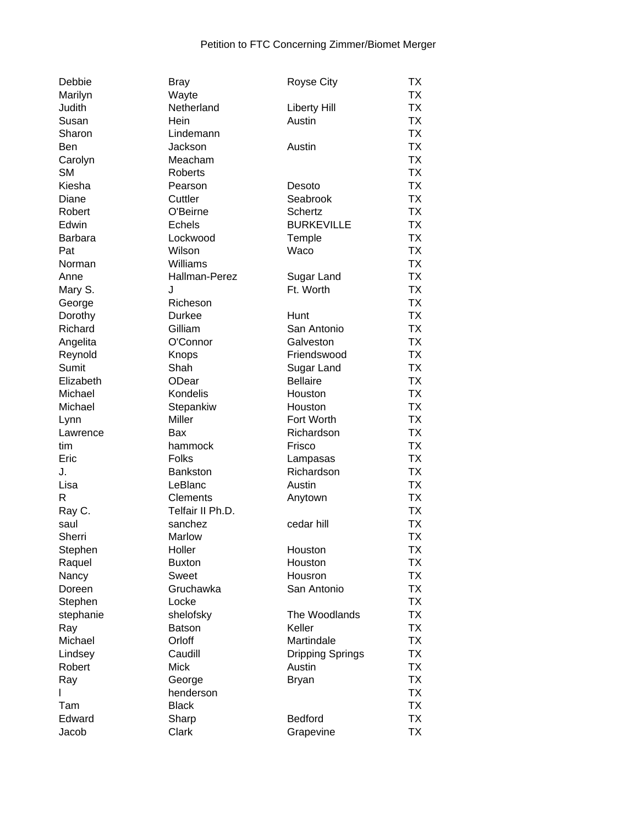| Debbie         | <b>Bray</b>      | <b>Royse City</b>       | ТX              |
|----------------|------------------|-------------------------|-----------------|
| Marilyn        | Wayte            |                         | <b>TX</b>       |
| Judith         | Netherland       | <b>Liberty Hill</b>     | <b>TX</b>       |
| Susan          | Hein             | Austin                  | <b>TX</b>       |
| Sharon         | Lindemann        |                         | <b>TX</b>       |
| <b>Ben</b>     | Jackson          | Austin                  | <b>TX</b>       |
| Carolyn        | Meacham          |                         | <b>TX</b>       |
| <b>SM</b>      | <b>Roberts</b>   |                         | <b>TX</b>       |
| Kiesha         | Pearson          | Desoto                  | <b>TX</b>       |
| Diane          | Cuttler          | Seabrook                | <b>TX</b>       |
| Robert         | O'Beirne         | <b>Schertz</b>          | <b>TX</b>       |
| Edwin          | <b>Echels</b>    | <b>BURKEVILLE</b>       | <b>TX</b>       |
| <b>Barbara</b> | Lockwood         | Temple                  | <b>TX</b>       |
| Pat            | Wilson           | Waco                    | <b>TX</b>       |
| Norman         | Williams         |                         | <b>TX</b>       |
| Anne           | Hallman-Perez    | Sugar Land              | <b>TX</b>       |
| Mary S.        | J                | Ft. Worth               | <b>TX</b>       |
| George         | Richeson         |                         | <b>TX</b>       |
| Dorothy        | <b>Durkee</b>    | Hunt                    | <b>TX</b>       |
| Richard        | Gilliam          | San Antonio             | <b>TX</b>       |
| Angelita       | O'Connor         | Galveston               | <b>TX</b>       |
| Reynold        | Knops            | Friendswood             | <b>TX</b>       |
| Sumit          | Shah             | Sugar Land              | <b>TX</b>       |
| Elizabeth      | ODear            | <b>Bellaire</b>         | <b>TX</b>       |
| Michael        | Kondelis         | Houston                 | <b>TX</b>       |
| Michael        | Stepankiw        | Houston                 | <b>TX</b>       |
| Lynn           | <b>Miller</b>    | Fort Worth              | <b>TX</b>       |
| Lawrence       | Bax              | Richardson              | <b>TX</b>       |
| tim            |                  | Frisco                  | <b>TX</b>       |
| Eric           | hammock<br>Folks |                         | <b>TX</b>       |
| J.             | <b>Bankston</b>  | Lampasas<br>Richardson  | <b>TX</b>       |
| Lisa           | LeBlanc          | Austin                  | <b>TX</b>       |
| R              | <b>Clements</b>  |                         | <b>TX</b>       |
|                | Telfair II Ph.D. | Anytown                 | <b>TX</b>       |
| Ray C.<br>saul | sanchez          | cedar hill              | <b>TX</b>       |
| Sherri         |                  |                         | <b>TX</b>       |
|                | Marlow<br>Holler | Houston                 |                 |
| Stephen        |                  | Houston                 | TХ<br><b>TX</b> |
| Raquel         | <b>Buxton</b>    |                         | <b>TX</b>       |
| Nancy          | Sweet            | Housron                 |                 |
| Doreen         | Gruchawka        | San Antonio             | <b>TX</b>       |
| Stephen        | Locke            |                         | <b>TX</b>       |
| stephanie      | shelofsky        | The Woodlands           | <b>TX</b>       |
| Ray            | <b>Batson</b>    | Keller                  | <b>TX</b>       |
| Michael        | Orloff           | Martindale              | <b>TX</b>       |
| Lindsey        | Caudill          | <b>Dripping Springs</b> | <b>TX</b>       |
| Robert         | <b>Mick</b>      | Austin                  | <b>TX</b>       |
| Ray            | George           | <b>Bryan</b>            | <b>TX</b>       |
|                | henderson        |                         | <b>TX</b>       |
| Tam            | <b>Black</b>     |                         | <b>TX</b>       |
| Edward         | Sharp            | Bedford                 | <b>TX</b>       |
| Jacob          | Clark            | Grapevine               | <b>TX</b>       |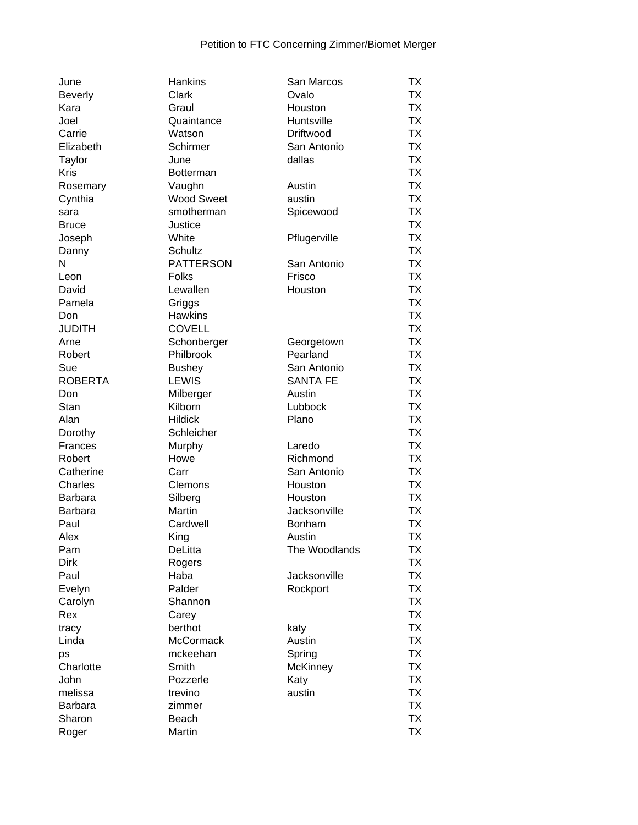| June           | Hankins              | San Marcos      | ТX        |
|----------------|----------------------|-----------------|-----------|
| <b>Beverly</b> | Clark                | Ovalo           | <b>TX</b> |
| Kara           | Graul                | Houston         | TX        |
| Joel           | Quaintance           | Huntsville      | <b>TX</b> |
| Carrie         | Watson               | Driftwood       | <b>TX</b> |
| Elizabeth      | Schirmer             | San Antonio     | <b>TX</b> |
| Taylor         | June                 | dallas          | <b>TX</b> |
| <b>Kris</b>    | <b>Botterman</b>     |                 | <b>TX</b> |
| Rosemary       | Vaughn               | Austin          | <b>TX</b> |
| Cynthia        | <b>Wood Sweet</b>    | austin          | <b>TX</b> |
| sara           | smotherman           | Spicewood       | <b>TX</b> |
| <b>Bruce</b>   | Justice              |                 | <b>TX</b> |
| Joseph         | White                | Pflugerville    | <b>TX</b> |
| Danny          | <b>Schultz</b>       |                 | <b>TX</b> |
| $\mathsf{N}$   | <b>PATTERSON</b>     | San Antonio     | <b>TX</b> |
| Leon           | Folks                | Frisco          | <b>TX</b> |
| David          | Lewallen             | Houston         | <b>TX</b> |
| Pamela         | Griggs               |                 | <b>TX</b> |
| Don            | <b>Hawkins</b>       |                 | <b>TX</b> |
| <b>JUDITH</b>  | <b>COVELL</b>        |                 | <b>TX</b> |
| Arne           | Schonberger          | Georgetown      | <b>TX</b> |
| Robert         | Philbrook            | Pearland        | <b>TX</b> |
| Sue            | <b>Bushey</b>        | San Antonio     | <b>TX</b> |
| <b>ROBERTA</b> | <b>LEWIS</b>         | <b>SANTA FE</b> | <b>TX</b> |
|                |                      |                 | <b>TX</b> |
| Don<br>Stan    | Milberger<br>Kilborn | Austin          | <b>TX</b> |
|                |                      | Lubbock         |           |
| Alan           | <b>Hildick</b>       | Plano           | <b>TX</b> |
| Dorothy        | Schleicher           |                 | <b>TX</b> |
| Frances        | Murphy               | Laredo          | <b>TX</b> |
| Robert         | Howe                 | Richmond        | <b>TX</b> |
| Catherine      | Carr                 | San Antonio     | <b>TX</b> |
| Charles        | Clemons              | Houston         | <b>TX</b> |
| <b>Barbara</b> | Silberg              | Houston         | <b>TX</b> |
| <b>Barbara</b> | Martin               | Jacksonville    | <b>TX</b> |
| Paul           | Cardwell             | <b>Bonham</b>   | <b>TX</b> |
| Alex           | King                 | Austin          | <b>TX</b> |
| Pam            | DeLitta              | The Woodlands   | <b>TX</b> |
| <b>Dirk</b>    | Rogers               |                 | <b>TX</b> |
| Paul           | Haba                 | Jacksonville    | TX        |
| Evelyn         | Palder               | Rockport        | <b>TX</b> |
| Carolyn        | Shannon              |                 | <b>TX</b> |
| Rex            | Carey                |                 | <b>TX</b> |
| tracy          | berthot              | katy            | <b>TX</b> |
| Linda          | <b>McCormack</b>     | Austin          | <b>TX</b> |
| ps             | mckeehan             | Spring          | <b>TX</b> |
| Charlotte      | Smith                | <b>McKinney</b> | <b>TX</b> |
| John           | Pozzerle             | Katy            | <b>TX</b> |
| melissa        | trevino              | austin          | <b>TX</b> |
| Barbara        | zimmer               |                 | <b>TX</b> |
| Sharon         | Beach                |                 | <b>TX</b> |
| Roger          | Martin               |                 | <b>TX</b> |
|                |                      |                 |           |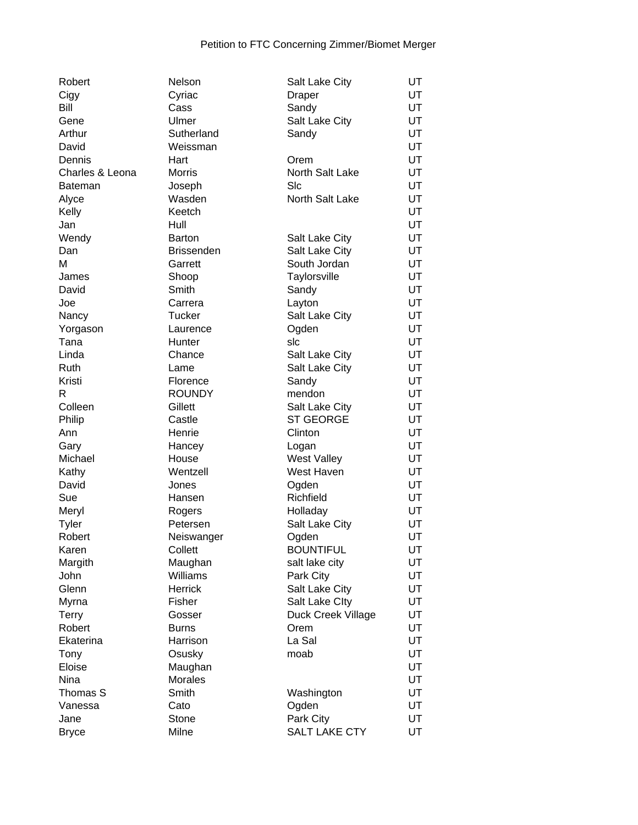| Robert          | Nelson            | Salt Lake City       | UT        |
|-----------------|-------------------|----------------------|-----------|
| Cigy            | Cyriac            | <b>Draper</b>        | UT        |
| Bill            | Cass              | Sandy                | UT        |
| Gene            | Ulmer             | Salt Lake City       | UT        |
| Arthur          | Sutherland        | Sandy                | UT        |
| David           | Weissman          |                      | UT        |
| Dennis          | Hart              | Orem                 | UT        |
| Charles & Leona | <b>Morris</b>     | North Salt Lake      | UT        |
| <b>Bateman</b>  | Joseph            | SIc                  | UT        |
| Alyce           | Wasden            | North Salt Lake      | UT        |
| Kelly           | Keetch            |                      | <b>UT</b> |
| Jan             | Hull              |                      | UT        |
| Wendy           | Barton            | Salt Lake City       | UT        |
| Dan             | <b>Brissenden</b> | Salt Lake City       | UT        |
| M               | Garrett           | South Jordan         | UT        |
| James           | Shoop             | Taylorsville         | UT        |
| David           | Smith             | Sandy                | UT        |
| Joe             | Carrera           | Layton               | UT        |
| Nancy           | <b>Tucker</b>     | Salt Lake City       | UT        |
| Yorgason        | Laurence          | Ogden                | UT        |
| Tana            | Hunter            | slc                  | UT        |
| Linda           | Chance            | Salt Lake City       | UT        |
| Ruth            | Lame              | Salt Lake City       | <b>UT</b> |
| Kristi          | Florence          | Sandy                | <b>UT</b> |
| R               | <b>ROUNDY</b>     | mendon               | <b>UT</b> |
| Colleen         | Gillett           | Salt Lake City       | UT        |
| Philip          | Castle            | <b>ST GEORGE</b>     | UT        |
| Ann             | Henrie            | Clinton              | UT        |
| Gary            | Hancey            | Logan                | UT        |
| Michael         | House             | West Valley          | UT        |
| Kathy           | Wentzell          | West Haven           | UT        |
| David           | Jones             | Ogden                | UT        |
| Sue             | Hansen            | Richfield            | UT        |
| Meryl           | Rogers            | Holladay             | UT        |
| Tyler           | Petersen          | Salt Lake City       | UT        |
| Robert          | Neiswanger        | Ogden                | UT        |
| Karen           | Collett           | <b>BOUNTIFUL</b>     | UT        |
| Margith         | Maughan           | salt lake city       | UT        |
| John            | Williams          | Park City            | UT        |
| Glenn           | <b>Herrick</b>    | Salt Lake City       | UT        |
| Myrna           | Fisher            | Salt Lake Clty       | UT        |
| <b>Terry</b>    | Gosser            | Duck Creek Village   | UT        |
| Robert          | <b>Burns</b>      | Orem                 | UT        |
| Ekaterina       | Harrison          | La Sal               | UT        |
| Tony            | Osusky            | moab                 | UT        |
| Eloise          | Maughan           |                      | UT        |
|                 |                   |                      |           |
| Nina            | <b>Morales</b>    |                      | UT        |
| Thomas S        | Smith             | Washington           | UT        |
| Vanessa         | Cato              | Ogden                | UT        |
| Jane            | Stone             | Park City            | UT        |
| <b>Bryce</b>    | Milne             | <b>SALT LAKE CTY</b> | UT        |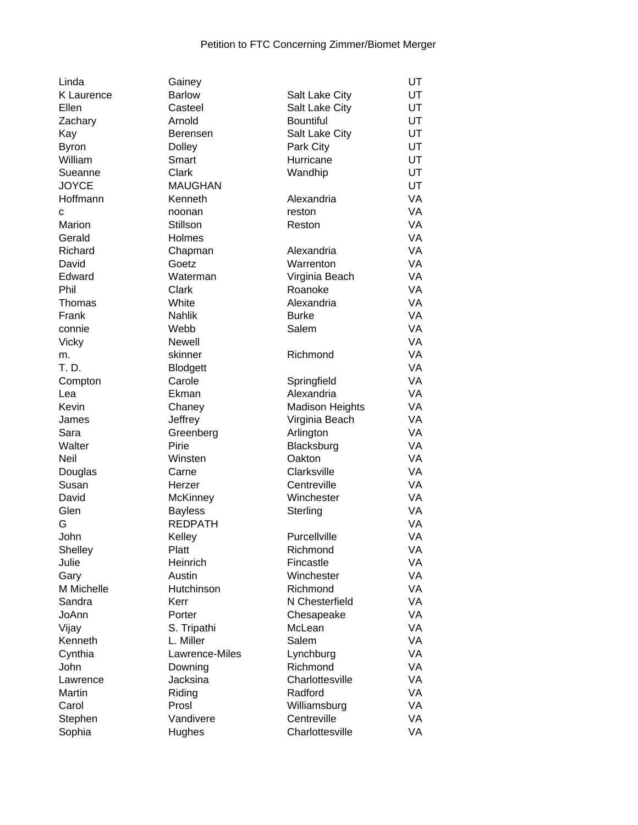| Linda        | Gainey          |                        | UT |
|--------------|-----------------|------------------------|----|
| K Laurence   | <b>Barlow</b>   | Salt Lake City         | UT |
| Ellen        | Casteel         | Salt Lake City         | UT |
| Zachary      | Arnold          | <b>Bountiful</b>       | UT |
| Kay          | <b>Berensen</b> | Salt Lake City         | UT |
| <b>Byron</b> | <b>Dolley</b>   | Park City              | UT |
| William      | Smart           | Hurricane              | UT |
| Sueanne      | Clark           | Wandhip                | UT |
| <b>JOYCE</b> | <b>MAUGHAN</b>  |                        | UT |
| Hoffmann     | Kenneth         | Alexandria             | VA |
| C            | noonan          | reston                 | VA |
| Marion       | Stillson        | Reston                 | VA |
| Gerald       | Holmes          |                        | VA |
| Richard      | Chapman         | Alexandria             | VA |
| David        | Goetz           | Warrenton              | VA |
| Edward       | Waterman        | Virginia Beach         | VA |
| Phil         | Clark           | Roanoke                | VA |
| Thomas       | White           | Alexandria             | VA |
| Frank        | <b>Nahlik</b>   | <b>Burke</b>           | VA |
|              |                 | Salem                  | VA |
| connie       | Webb            |                        |    |
| <b>Vicky</b> | Newell          |                        | VA |
| m.           | skinner         | Richmond               | VA |
| T. D.        | <b>Blodgett</b> |                        | VA |
| Compton      | Carole          | Springfield            | VA |
| Lea          | Ekman           | Alexandria             | VA |
| Kevin        | Chaney          | <b>Madison Heights</b> | VA |
| James        | Jeffrey         | Virginia Beach         | VA |
| Sara         | Greenberg       | Arlington              | VA |
| Walter       | Pirie           | Blacksburg             | VA |
| <b>Neil</b>  | Winsten         | Oakton                 | VA |
| Douglas      | Carne           | Clarksville            | VA |
| Susan        | Herzer          | Centreville            | VA |
| David        | <b>McKinney</b> | Winchester             | VA |
| Glen         | <b>Bayless</b>  | Sterling               | VA |
| G            | <b>REDPATH</b>  |                        | VA |
| John         | Kelley          | Purcellville           | VA |
| Shelley      | Platt           | Richmond               | VA |
| Julie        | Heinrich        | Fincastle              | VA |
| Gary         | Austin          | Winchester             | VA |
| M Michelle   | Hutchinson      | Richmond               | VA |
| Sandra       | Kerr            | N Chesterfield         | VA |
| JoAnn        | Porter          | Chesapeake             | VA |
| Vijay        | S. Tripathi     | McLean                 | VA |
| Kenneth      | L. Miller       | Salem                  | VA |
| Cynthia      | Lawrence-Miles  | Lynchburg              | VA |
| John         | Downing         | Richmond               | VA |
| Lawrence     | Jacksina        | Charlottesville        | VA |
| Martin       | Riding          | Radford                | VA |
| Carol        | Prosl           | Williamsburg           | VA |
| Stephen      | Vandivere       | Centreville            | VA |
| Sophia       | Hughes          | Charlottesville        | VA |
|              |                 |                        |    |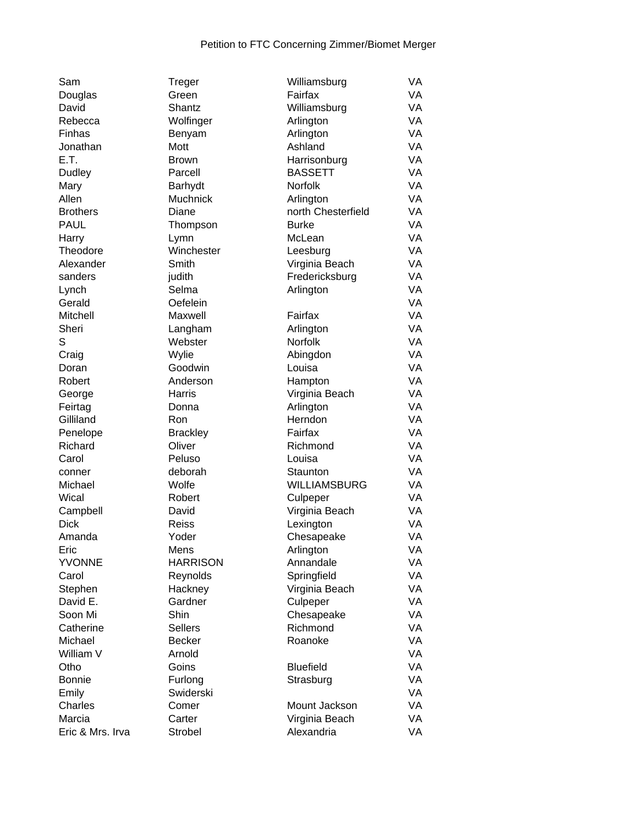| Sam              | Treger             | Williamsburg        | VA        |
|------------------|--------------------|---------------------|-----------|
| Douglas          | Green              | Fairfax             | VA        |
| David            | Shantz             | Williamsburg        | VA        |
| Rebecca          | Wolfinger          | Arlington           | VA        |
| Finhas           | Benyam             | Arlington           | VA        |
| Jonathan         | Mott               | Ashland             | VA        |
| E.T.             | <b>Brown</b>       | Harrisonburg        | VA        |
| Dudley           | Parcell            | <b>BASSETT</b>      | VA        |
| Mary             | Barhydt            | <b>Norfolk</b>      | VA        |
| Allen            | Muchnick           | Arlington           | VA        |
| <b>Brothers</b>  | Diane              | north Chesterfield  | VA        |
| <b>PAUL</b>      | Thompson           | <b>Burke</b>        | VA        |
| Harry            | Lymn               | McLean              | VA        |
| Theodore         | Winchester         | Leesburg            | VA        |
| Alexander        | Smith              | Virginia Beach      | VA        |
| sanders          | judith             | Fredericksburg      | VA        |
| Lynch            | Selma              | Arlington           | VA        |
| Gerald           | Oefelein           |                     | VA        |
| Mitchell         | Maxwell            | Fairfax             | VA        |
| Sheri            |                    | Arlington           | VA        |
| S                | Langham<br>Webster | Norfolk             | VA        |
|                  | Wylie              |                     | VA        |
| Craig            | Goodwin            | Abingdon            | VA        |
| Doran            |                    | Louisa              | VA        |
| Robert           | Anderson           | Hampton             |           |
| George           | Harris             | Virginia Beach      | <b>VA</b> |
| Feirtag          | Donna              | Arlington           | VA        |
| Gilliland        | Ron                | Herndon             | VA        |
| Penelope         | <b>Brackley</b>    | Fairfax             | VA        |
| Richard          | Oliver             | Richmond            | VA        |
| Carol            | Peluso             | Louisa              | VA        |
| conner           | deborah            | Staunton            | VA        |
| Michael          | Wolfe              | <b>WILLIAMSBURG</b> | VA        |
| Wical            | Robert             | Culpeper            | VA        |
| Campbell         | David              | Virginia Beach      | VA        |
| <b>Dick</b>      | <b>Reiss</b>       | Lexington           | VA        |
| Amanda           | Yoder              | Chesapeake          | VA        |
| Eric             | Mens               | Arlington           | VA        |
| <b>YVONNE</b>    | <b>HARRISON</b>    | Annandale           | VA        |
| Carol            | Reynolds           | Springfield         | VA        |
| Stephen          | Hackney            | Virginia Beach      | VA        |
| David E.         | Gardner            | Culpeper            | VA        |
| Soon Mi          | Shin               | Chesapeake          | VA        |
| Catherine        | <b>Sellers</b>     | Richmond            | VA        |
| Michael          | <b>Becker</b>      | Roanoke             | VA        |
| William V        | Arnold             |                     | VA        |
| Otho             | Goins              | <b>Bluefield</b>    | VA        |
| <b>Bonnie</b>    | Furlong            | Strasburg           | VA        |
| Emily            | Swiderski          |                     | VA        |
| Charles          | Comer              | Mount Jackson       | VA        |
| Marcia           | Carter             | Virginia Beach      | VA        |
| Eric & Mrs. Irva | Strobel            | Alexandria          | VA        |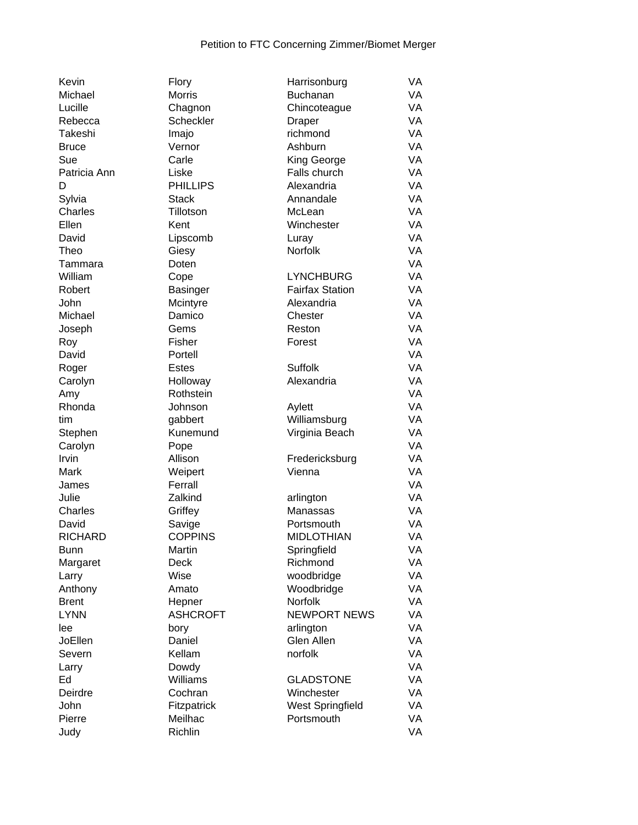| Kevin          | Flory               | Harrisonburg           | VA |
|----------------|---------------------|------------------------|----|
| Michael        | Morris              | Buchanan               | VA |
| Lucille        | Chagnon             | Chincoteague           | VA |
| Rebecca        | Scheckler           | Draper                 | VA |
| Takeshi        | Imajo               | richmond               | VA |
| <b>Bruce</b>   | Vernor              | Ashburn                | VA |
| Sue            | Carle               | King George            | VA |
| Patricia Ann   | Liske               | Falls church           | VA |
| D              | <b>PHILLIPS</b>     | Alexandria             | VA |
| Sylvia         | <b>Stack</b>        | Annandale              | VA |
| Charles        | Tillotson           | McLean                 | VA |
| Ellen          | Kent                | Winchester             | VA |
| David          | Lipscomb            | Luray                  | VA |
| Theo           | Giesy               | Norfolk                | VA |
| Tammara        | Doten               |                        | VA |
| William        | Cope                | <b>LYNCHBURG</b>       | VA |
| Robert         | <b>Basinger</b>     | <b>Fairfax Station</b> | VA |
| John           | Mcintyre            | Alexandria             | VA |
| Michael        | Damico              | Chester                | VA |
| Joseph         | Gems                | Reston                 | VA |
| Roy            | Fisher              | Forest                 | VA |
| David          | Portell             |                        | VA |
| Roger          | Estes               | Suffolk                | VA |
| Carolyn        | Holloway            | Alexandria             | VA |
|                | Rothstein           |                        | VA |
| Amy<br>Rhonda  |                     |                        | VA |
|                | Johnson             | Aylett                 | VA |
| tim            | gabbert<br>Kunemund | Williamsburg           | VA |
| Stephen        |                     | Virginia Beach         |    |
| Carolyn        | Pope                |                        | VA |
| Irvin          | Allison             | Fredericksburg         | VA |
| Mark           | Weipert             | Vienna                 | VA |
| James          | Ferrall             |                        | VA |
| Julie          | Zalkind             | arlington              | VA |
| Charles        | Griffey             | Manassas               | VA |
| David          | Savige              | Portsmouth             | VA |
| <b>RICHARD</b> | <b>COPPINS</b>      | <b>MIDLOTHIAN</b>      | VA |
| <b>Bunn</b>    | Martin              | Springfield            | VA |
| Margaret       | Deck                | Richmond               | VA |
| Larry          | Wise                | woodbridge             | VA |
| Anthony        | Amato               | Woodbridge             | VA |
| <b>Brent</b>   | Hepner              | <b>Norfolk</b>         | VA |
| <b>LYNN</b>    | <b>ASHCROFT</b>     | <b>NEWPORT NEWS</b>    | VA |
| lee            | bory                | arlington              | VA |
| JoEllen        | Daniel              | Glen Allen             | VA |
| Severn         | Kellam              | norfolk                | VA |
| Larry          | Dowdy               |                        | VA |
| Ed             | <b>Williams</b>     | <b>GLADSTONE</b>       | VA |
| Deirdre        | Cochran             | Winchester             | VA |
| John           | Fitzpatrick         | West Springfield       | VA |
| Pierre         | Meilhac             | Portsmouth             | VA |
| Judy           | Richlin             |                        | VA |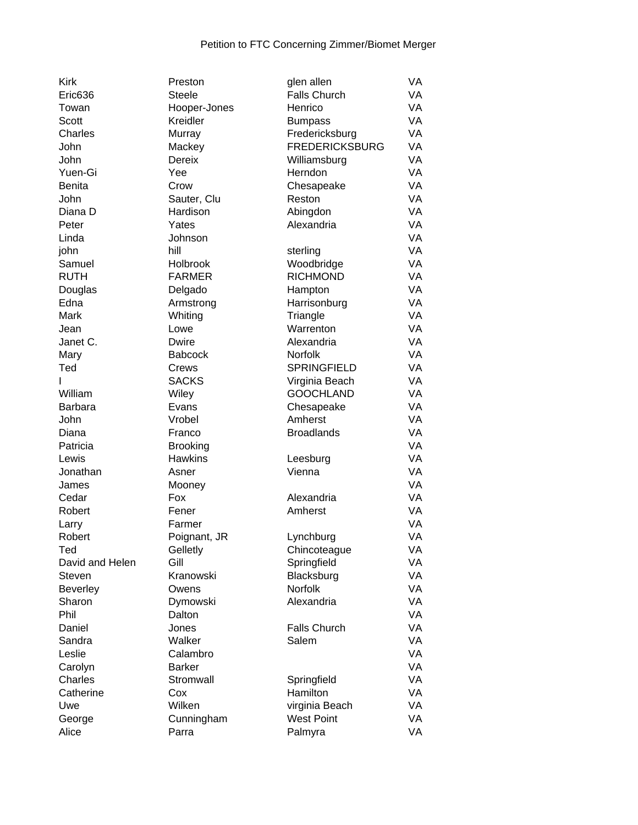| <b>Kirk</b>     | Preston         | glen allen            | VA |
|-----------------|-----------------|-----------------------|----|
| Eric636         | <b>Steele</b>   | <b>Falls Church</b>   | VA |
| Towan           | Hooper-Jones    | Henrico               | VA |
| Scott           | Kreidler        | <b>Bumpass</b>        | VA |
| Charles         | Murray          | Fredericksburg        | VA |
| John            | Mackey          | <b>FREDERICKSBURG</b> | VA |
| John            | <b>Dereix</b>   | Williamsburg          | VA |
| Yuen-Gi         | Yee             | Herndon               | VA |
| Benita          | Crow            | Chesapeake            | VA |
| John            | Sauter, Clu     | Reston                | VA |
| Diana D         | Hardison        | Abingdon              | VA |
| Peter           | Yates           | Alexandria            | VA |
| Linda           | Johnson         |                       | VA |
| john            | hill            | sterling              | VA |
| Samuel          | Holbrook        | Woodbridge            | VA |
| <b>RUTH</b>     | <b>FARMER</b>   | <b>RICHMOND</b>       | VA |
|                 |                 |                       | VA |
| Douglas         | Delgado         | Hampton               |    |
| Edna            | Armstrong       | Harrisonburg          | VA |
| Mark            | Whiting         | Triangle              | VA |
| Jean            | Lowe            | Warrenton             | VA |
| Janet C.        | <b>Dwire</b>    | Alexandria            | VA |
| Mary            | <b>Babcock</b>  | Norfolk               | VA |
| Ted             | Crews           | <b>SPRINGFIELD</b>    | VA |
| I               | <b>SACKS</b>    | Virginia Beach        | VA |
| William         | Wiley           | <b>GOOCHLAND</b>      | VA |
| <b>Barbara</b>  | Evans           | Chesapeake            | VA |
| John            | Vrobel          | Amherst               | VA |
| Diana           | Franco          | <b>Broadlands</b>     | VA |
| Patricia        | <b>Brooking</b> |                       | VA |
| Lewis           | <b>Hawkins</b>  | Leesburg              | VA |
| Jonathan        | Asner           | Vienna                | VA |
| James           | Mooney          |                       | VA |
| Cedar           | Fox             | Alexandria            | VA |
| Robert          | Fener           | Amherst               | VA |
| Larry           | Farmer          |                       | VA |
| Robert          | Poignant, JR    | Lynchburg             | VA |
| Ted             | Gelletly        | Chincoteague          | VA |
| David and Helen | Gill            | Springfield           | VA |
| <b>Steven</b>   | Kranowski       | Blacksburg            | VA |
| <b>Beverley</b> | Owens           | Norfolk               | VA |
| Sharon          | Dymowski        | Alexandria            | VA |
| Phil            | Dalton          |                       | VA |
| Daniel          | Jones           | <b>Falls Church</b>   | VA |
| Sandra          | Walker          | Salem                 | VA |
| Leslie          | Calambro        |                       | VA |
| Carolyn         | <b>Barker</b>   |                       | VA |
| Charles         | Stromwall       | Springfield           | VA |
| Catherine       | Cox             | Hamilton              | VA |
| Uwe             | Wilken          | virginia Beach        | VA |
|                 |                 | <b>West Point</b>     | VA |
| George          | Cunningham      |                       |    |
| Alice           | Parra           | Palmyra               | VA |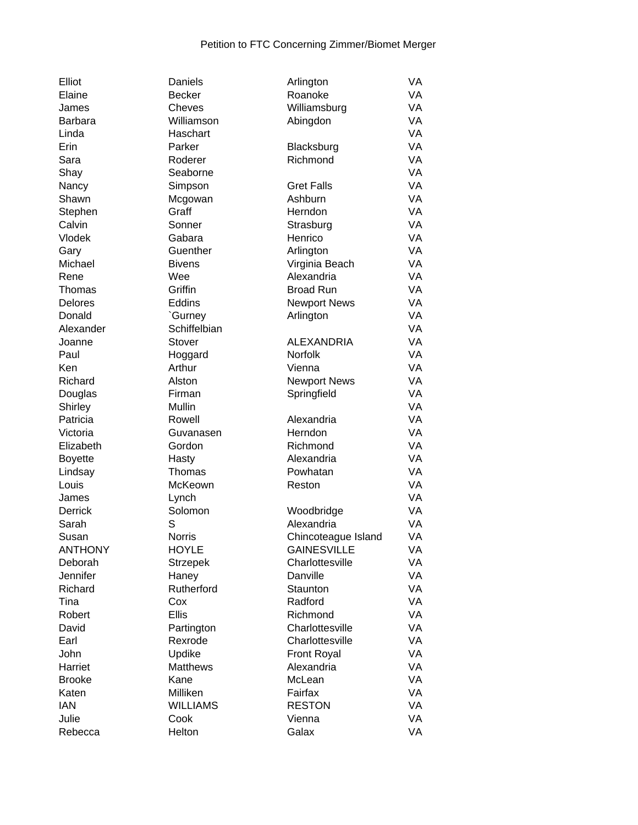| Elliot         | Daniels                 | Arlington           | VA |
|----------------|-------------------------|---------------------|----|
| Elaine         | <b>Becker</b>           | Roanoke             | VA |
| James          | Cheves                  | Williamsburg        | VA |
| <b>Barbara</b> | Williamson              | Abingdon            | VA |
| Linda          | Haschart                |                     | VA |
| Erin           | Parker                  | Blacksburg          | VA |
| Sara           | Roderer                 | Richmond            | VA |
| Shay           | Seaborne                |                     | VA |
| Nancy          | Simpson                 | <b>Gret Falls</b>   | VA |
| Shawn          | Mcgowan                 | Ashburn             | VA |
| Stephen        | Graff                   | Herndon             | VA |
| Calvin         | Sonner                  | Strasburg           | VA |
| Vlodek         | Gabara                  | Henrico             | VA |
| Gary           | Guenther                | Arlington           | VA |
| Michael        | <b>Bivens</b>           | Virginia Beach      | VA |
| Rene           | Wee                     | Alexandria          | VA |
| Thomas         | Griffin                 | <b>Broad Run</b>    | VA |
| Delores        | Eddins                  |                     | VA |
|                |                         | <b>Newport News</b> | VA |
| Donald         | `Gurney<br>Schiffelbian | Arlington           | VA |
| Alexander      |                         | <b>ALEXANDRIA</b>   | VA |
| Joanne         | Stover                  |                     |    |
| Paul           | Hoggard                 | Norfolk             | VA |
| Ken            | Arthur                  | Vienna              | VA |
| Richard        | Alston                  | <b>Newport News</b> | VA |
| Douglas        | Firman                  | Springfield         | VA |
| Shirley        | Mullin                  |                     | VA |
| Patricia       | Rowell                  | Alexandria          | VA |
| Victoria       | Guvanasen               | Herndon             | VA |
| Elizabeth      | Gordon                  | Richmond            | VA |
| <b>Boyette</b> | Hasty                   | Alexandria          | VA |
| Lindsay        | Thomas                  | Powhatan            | VA |
| Louis          | McKeown                 | Reston              | VA |
| James          | Lynch                   |                     | VA |
| Derrick        | Solomon                 | Woodbridge          | VA |
| Sarah          | S                       | Alexandria          | VA |
| Susan          | Norris                  | Chincoteague Island | VA |
| <b>ANTHONY</b> | <b>HOYLE</b>            | <b>GAINESVILLE</b>  | VA |
| Deborah        | <b>Strzepek</b>         | Charlottesville     | VA |
| Jennifer       | Haney                   | Danville            | VA |
| Richard        | Rutherford              | Staunton            | VA |
| Tina           | Cox                     | Radford             | VA |
| Robert         | <b>Ellis</b>            | Richmond            | VA |
| David          | Partington              | Charlottesville     | VA |
| Earl           | Rexrode                 | Charlottesville     | VA |
| John           | Updike                  | <b>Front Royal</b>  | VA |
| Harriet        | Matthews                | Alexandria          | VA |
| <b>Brooke</b>  | Kane                    | McLean              | VA |
| Katen          | Milliken                | Fairfax             | VA |
| <b>IAN</b>     | <b>WILLIAMS</b>         | <b>RESTON</b>       | VA |
| Julie          | Cook                    | Vienna              | VA |
| Rebecca        | Helton                  | Galax               | VA |
|                |                         |                     |    |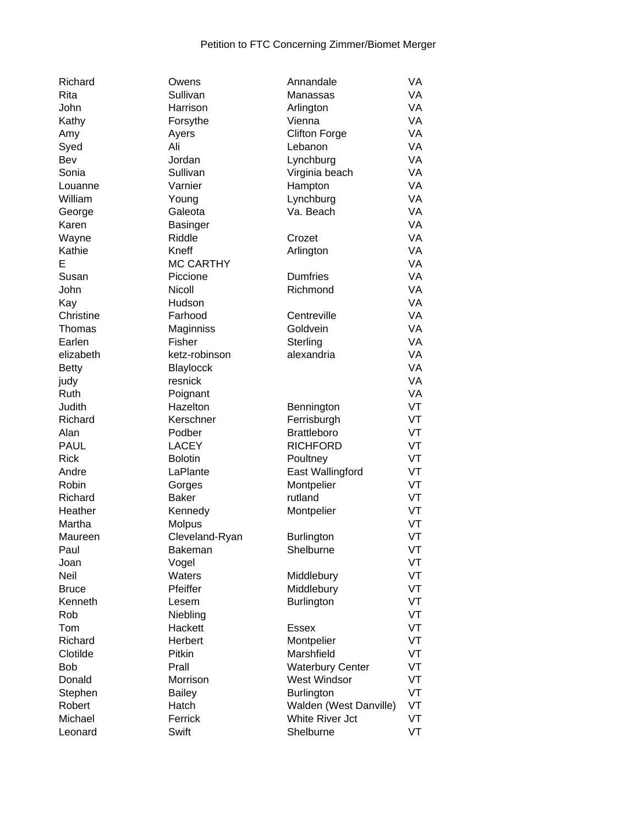| Richard      | Owens            | Annandale               | VA        |
|--------------|------------------|-------------------------|-----------|
| Rita         | Sullivan         | Manassas                | VA        |
| John         | Harrison         | Arlington               | VA        |
| Kathy        | Forsythe         | Vienna                  | VA        |
| Amy          | Ayers            | <b>Clifton Forge</b>    | VA        |
| Syed         | Ali              | Lebanon                 | <b>VA</b> |
| Bev          | Jordan           | Lynchburg               | VA        |
| Sonia        | Sullivan         | Virginia beach          | VA        |
| Louanne      | Varnier          | Hampton                 | <b>VA</b> |
| William      | Young            | Lynchburg               | VA        |
| George       | Galeota          | Va. Beach               | VA        |
| Karen        | Basinger         |                         | <b>VA</b> |
| Wayne        | Riddle           | Crozet                  | VA        |
| Kathie       | Kneff            | Arlington               | VA        |
| E            | <b>MC CARTHY</b> |                         | <b>VA</b> |
| Susan        | Piccione         | <b>Dumfries</b>         | VA        |
| John         | Nicoll           | Richmond                | VA        |
| Kay          | Hudson           |                         | <b>VA</b> |
| Christine    | Farhood          | Centreville             | <b>VA</b> |
| Thomas       | Maginniss        | Goldvein                | VA        |
| Earlen       | Fisher           |                         | VA        |
|              |                  | Sterling                |           |
| elizabeth    | ketz-robinson    | alexandria              | VA        |
| <b>Betty</b> | Blaylocck        |                         | VA        |
| judy         | resnick          |                         | VA        |
| Ruth         | Poignant         |                         | VA        |
| Judith       | Hazelton         | Bennington              | VT        |
| Richard      | Kerschner        | Ferrisburgh             | VT        |
| Alan         | Podber           | <b>Brattleboro</b>      | VT        |
| <b>PAUL</b>  | <b>LACEY</b>     | <b>RICHFORD</b>         | VT        |
| <b>Rick</b>  | <b>Bolotin</b>   | Poultney                | VT        |
| Andre        | LaPlante         | East Wallingford        | VT        |
| Robin        | Gorges           | Montpelier              | VT        |
| Richard      | <b>Baker</b>     | rutland                 | VT        |
| Heather      | Kennedy          | Montpelier              | VT        |
| Martha       | Molpus           |                         | VT        |
| Maureen      | Cleveland-Ryan   | Burlington              | VT        |
| Paul         | Bakeman          | Shelburne               | VT        |
| Joan         | Vogel            |                         | VT        |
| Neil         | Waters           | Middlebury              | VT        |
| <b>Bruce</b> | Pfeiffer         | Middlebury              | VT        |
| Kenneth      | Lesem            | <b>Burlington</b>       | VT        |
| Rob          | Niebling         |                         | VT        |
| Tom          | Hackett          | <b>Essex</b>            | VT        |
| Richard      | Herbert          | Montpelier              | VT        |
| Clotilde     | Pitkin           | Marshfield              | VT        |
| <b>Bob</b>   | Prall            | <b>Waterbury Center</b> | VT        |
| Donald       | Morrison         | <b>West Windsor</b>     | VT        |
| Stephen      | <b>Bailey</b>    | <b>Burlington</b>       | VT        |
| Robert       | Hatch            | Walden (West Danville)  | VT        |
| Michael      | Ferrick          | White River Jct         | VT        |
| Leonard      | Swift            | Shelburne               | VT        |
|              |                  |                         |           |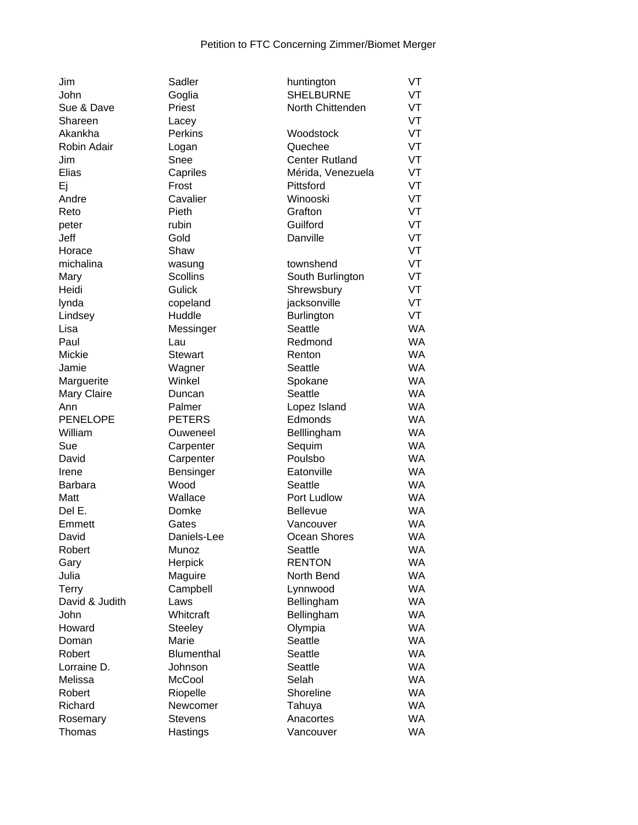| Jim              | Sadler             | huntington            | VT        |
|------------------|--------------------|-----------------------|-----------|
| John             | Goglia             | <b>SHELBURNE</b>      | VT        |
| Sue & Dave       | Priest             | North Chittenden      | VT        |
| Shareen          | Lacey              |                       | VT        |
| Akankha          | Perkins            | Woodstock             | VT        |
| Robin Adair      | Logan              | Quechee               | VT        |
| Jim              | Snee               | <b>Center Rutland</b> | VT        |
| Elias            | Capriles           | Mérida, Venezuela     | VT        |
| Ej               | Frost              | Pittsford             | VT        |
| Andre            | Cavalier           | Winooski              | VT        |
| Reto             | Pieth              | Grafton               | VT        |
| peter            | rubin              | Guilford              | VT        |
| Jeff             | Gold               | Danville              | VT        |
| Horace           | Shaw               |                       | VT        |
| michalina        | wasung             | townshend             | VT        |
| Mary             | <b>Scollins</b>    | South Burlington      | VT        |
| Heidi            | <b>Gulick</b>      | Shrewsbury            | VT        |
|                  |                    | jacksonville          | VT        |
| lynda<br>Lindsey | copeland<br>Huddle |                       | VT        |
|                  |                    | Burlington<br>Seattle | <b>WA</b> |
| Lisa             | Messinger          | Redmond               | <b>WA</b> |
| Paul             | Lau                |                       |           |
| Mickie           | <b>Stewart</b>     | Renton                | <b>WA</b> |
| Jamie            | Wagner             | Seattle               | <b>WA</b> |
| Marguerite       | Winkel             | Spokane               | <b>WA</b> |
| Mary Claire      | Duncan             | Seattle               | <b>WA</b> |
| Ann              | Palmer             | Lopez Island          | <b>WA</b> |
| <b>PENELOPE</b>  | <b>PETERS</b>      | Edmonds               | <b>WA</b> |
| William          | Ouweneel           | Belllingham           | <b>WA</b> |
| Sue              | Carpenter          | Sequim                | <b>WA</b> |
| David            | Carpenter          | Poulsbo               | <b>WA</b> |
| Irene            | Bensinger          | Eatonville            | <b>WA</b> |
| <b>Barbara</b>   | Wood               | Seattle               | <b>WA</b> |
| Matt             | Wallace            | Port Ludlow           | <b>WA</b> |
| Del E.           | Domke              | Bellevue              | <b>WA</b> |
| Emmett           | Gates              | Vancouver             | WA        |
| David            | Daniels-Lee        | Ocean Shores          | <b>WA</b> |
| Robert           | Munoz              | Seattle               | <b>WA</b> |
| Gary             | Herpick            | <b>RENTON</b>         | <b>WA</b> |
| Julia            | Maguire            | North Bend            | WA        |
| Terry            | Campbell           | Lynnwood              | WA        |
| David & Judith   | Laws               | Bellingham            | <b>WA</b> |
| John             | Whitcraft          | Bellingham            | <b>WA</b> |
| Howard           | <b>Steeley</b>     | Olympia               | <b>WA</b> |
| Doman            | Marie              | <b>Seattle</b>        | <b>WA</b> |
| Robert           | <b>Blumenthal</b>  | Seattle               | <b>WA</b> |
| Lorraine D.      | Johnson            | Seattle               | <b>WA</b> |
| Melissa          | McCool             | Selah                 | <b>WA</b> |
| Robert           | Riopelle           | Shoreline             | <b>WA</b> |
| Richard          | Newcomer           | Tahuya                | <b>WA</b> |
| Rosemary         | <b>Stevens</b>     | Anacortes             | <b>WA</b> |
| Thomas           | Hastings           | Vancouver             | <b>WA</b> |
|                  |                    |                       |           |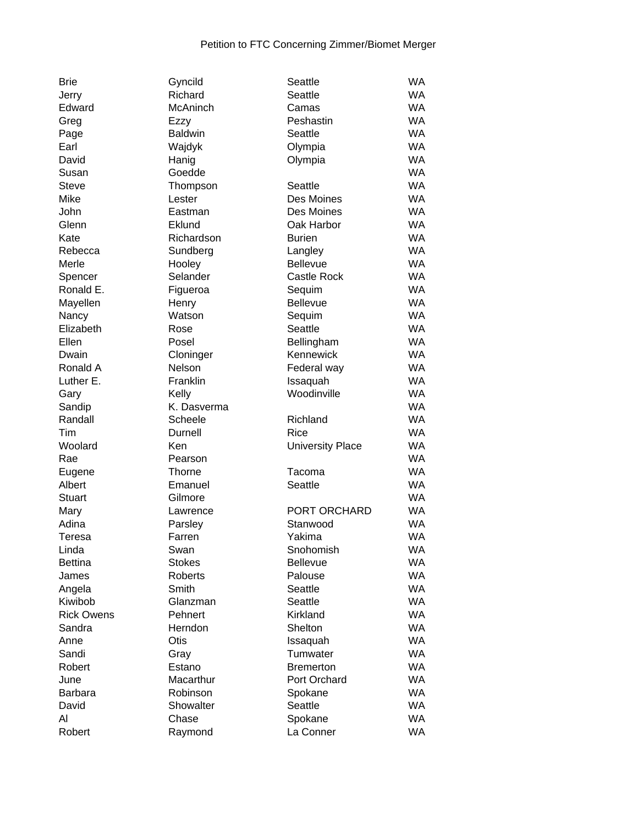| <b>Brie</b>       | Gyncild         | Seattle                 | <b>WA</b> |
|-------------------|-----------------|-------------------------|-----------|
| Jerry             | Richard         | Seattle                 | <b>WA</b> |
| Edward            | <b>McAninch</b> | Camas                   | <b>WA</b> |
| Greg              | Ezzy            | Peshastin               | <b>WA</b> |
| Page              | <b>Baldwin</b>  | Seattle                 | <b>WA</b> |
| Earl              | Wajdyk          | Olympia                 | <b>WA</b> |
| David             | Hanig           | Olympia                 | <b>WA</b> |
| Susan             | Goedde          |                         | <b>WA</b> |
| <b>Steve</b>      | Thompson        | Seattle                 | <b>WA</b> |
| Mike              | Lester          | Des Moines              | <b>WA</b> |
| John              | Eastman         | Des Moines              | <b>WA</b> |
| Glenn             | Eklund          | Oak Harbor              | <b>WA</b> |
| Kate              | Richardson      | <b>Burien</b>           | <b>WA</b> |
| Rebecca           | Sundberg        | Langley                 | <b>WA</b> |
| Merle             | Hooley          | <b>Bellevue</b>         | <b>WA</b> |
| Spencer           | Selander        | Castle Rock             | <b>WA</b> |
| Ronald E.         | Figueroa        | Sequim                  | <b>WA</b> |
| Mayellen          | Henry           | <b>Bellevue</b>         | <b>WA</b> |
| Nancy             | Watson          | Sequim                  | <b>WA</b> |
| Elizabeth         | Rose            | Seattle                 | <b>WA</b> |
| Ellen             | Posel           | Bellingham              | <b>WA</b> |
| Dwain             | Cloninger       | Kennewick               | <b>WA</b> |
| Ronald A          | Nelson          | Federal way             | <b>WA</b> |
| Luther E.         | Franklin        | Issaquah                | <b>WA</b> |
| Gary              | Kelly           | Woodinville             | <b>WA</b> |
| Sandip            | K. Dasverma     |                         | <b>WA</b> |
| Randall           | Scheele         | Richland                | <b>WA</b> |
| Tim               | Durnell         | Rice                    | <b>WA</b> |
| Woolard           | Ken             | <b>University Place</b> | <b>WA</b> |
| Rae               | Pearson         |                         | <b>WA</b> |
| Eugene            | Thorne          | Tacoma                  | <b>WA</b> |
| Albert            | Emanuel         | Seattle                 | <b>WA</b> |
| <b>Stuart</b>     | Gilmore         |                         | <b>WA</b> |
| Mary              | Lawrence        | PORT ORCHARD            | <b>WA</b> |
| Adina             | Parsley         | Stanwood                | WA        |
| Teresa            | Farren          | Yakima                  | <b>WA</b> |
| Linda             | Swan            | Snohomish               | <b>WA</b> |
| <b>Bettina</b>    | <b>Stokes</b>   | <b>Bellevue</b>         | <b>WA</b> |
|                   | <b>Roberts</b>  |                         | <b>WA</b> |
| James             |                 | Palouse<br>Seattle      | <b>WA</b> |
| Angela<br>Kiwibob | Smith           |                         | <b>WA</b> |
| <b>Rick Owens</b> | Glanzman        | Seattle<br>Kirkland     | <b>WA</b> |
|                   | Pehnert         | Shelton                 |           |
| Sandra            | Herndon         |                         | <b>WA</b> |
| Anne              | Otis            | Issaquah                | <b>WA</b> |
| Sandi             | Gray            | Tumwater                | <b>WA</b> |
| Robert            | Estano          | <b>Bremerton</b>        | <b>WA</b> |
| June              | Macarthur       | Port Orchard            | <b>WA</b> |
| <b>Barbara</b>    | Robinson        | Spokane                 | <b>WA</b> |
| David             | Showalter       | Seattle                 | <b>WA</b> |
| Al                | Chase           | Spokane                 | WA        |
| Robert            | Raymond         | La Conner               | <b>WA</b> |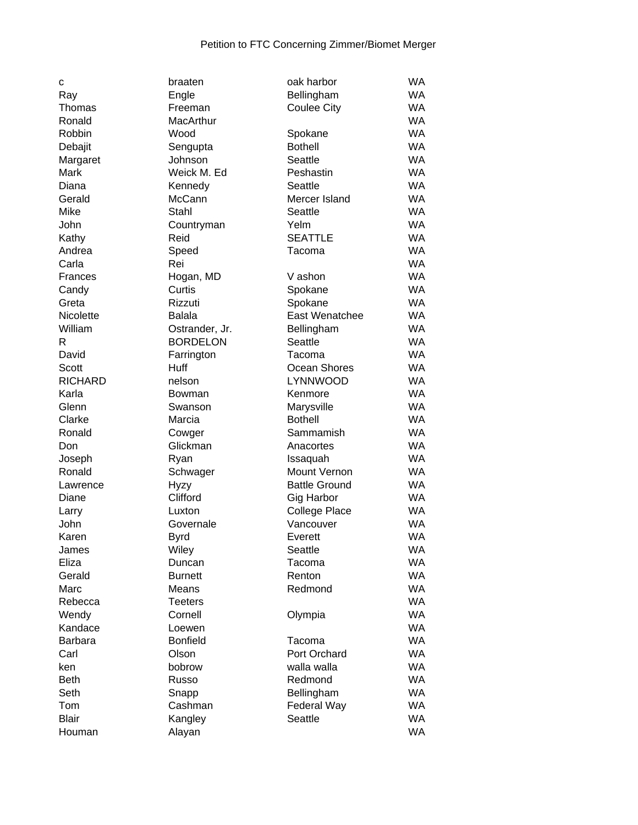| C                | braaten         | oak harbor           | WA        |
|------------------|-----------------|----------------------|-----------|
| Ray              | Engle           | Bellingham           | <b>WA</b> |
| Thomas           | Freeman         | <b>Coulee City</b>   | <b>WA</b> |
| Ronald           | MacArthur       |                      | <b>WA</b> |
| Robbin           | Wood            |                      | <b>WA</b> |
|                  |                 | Spokane              |           |
| Debajit          | Sengupta        | <b>Bothell</b>       | <b>WA</b> |
| Margaret         | Johnson         | Seattle              | <b>WA</b> |
| Mark             | Weick M. Ed     | Peshastin            | <b>WA</b> |
| Diana            | Kennedy         | Seattle              | <b>WA</b> |
| Gerald           | McCann          | Mercer Island        | <b>WA</b> |
| Mike             | Stahl           | Seattle              | <b>WA</b> |
| John             | Countryman      | Yelm                 | <b>WA</b> |
| Kathy            | Reid            | <b>SEATTLE</b>       | <b>WA</b> |
|                  |                 |                      | <b>WA</b> |
| Andrea           | Speed           | Tacoma               |           |
| Carla            | Rei             |                      | <b>WA</b> |
| Frances          | Hogan, MD       | V ashon              | <b>WA</b> |
| Candy            | Curtis          | Spokane              | <b>WA</b> |
| Greta            | Rizzuti         | Spokane              | <b>WA</b> |
| <b>Nicolette</b> | <b>Balala</b>   | East Wenatchee       | <b>WA</b> |
| William          | Ostrander, Jr.  | Bellingham           | WA        |
| R                | <b>BORDELON</b> | Seattle              | WA        |
| David            | Farrington      | Tacoma               | <b>WA</b> |
| Scott            | Huff            | Ocean Shores         | <b>WA</b> |
| <b>RICHARD</b>   | nelson          | LYNNWOOD             | <b>WA</b> |
|                  |                 |                      | <b>WA</b> |
| Karla            | Bowman          | Kenmore              |           |
| Glenn            | Swanson         | Marysville           | <b>WA</b> |
| Clarke           | Marcia          | <b>Bothell</b>       | <b>WA</b> |
| Ronald           | Cowger          | Sammamish            | <b>WA</b> |
| Don              | Glickman        | Anacortes            | <b>WA</b> |
| Joseph           | Ryan            | Issaquah             | <b>WA</b> |
| Ronald           | Schwager        | <b>Mount Vernon</b>  | <b>WA</b> |
| Lawrence         | <b>Hyzy</b>     | <b>Battle Ground</b> | <b>WA</b> |
| Diane            | Clifford        | Gig Harbor           | <b>WA</b> |
| Larry            | Luxton          | <b>College Place</b> | WA        |
| John             | Governale       | Vancouver            | <b>WA</b> |
| Karen            | Byrd            | Everett              | <b>WA</b> |
| James            | Wiley           | Seattle              | <b>WA</b> |
| Eliza            | Duncan          | Tacoma               | <b>WA</b> |
| Gerald           |                 | Renton               | <b>WA</b> |
|                  | <b>Burnett</b>  |                      |           |
| Marc             | Means           | Redmond              | <b>WA</b> |
| Rebecca          | <b>Teeters</b>  |                      | <b>WA</b> |
| Wendy            | Cornell         | Olympia              | <b>WA</b> |
| Kandace          | Loewen          |                      | <b>WA</b> |
| Barbara          | <b>Bonfield</b> | Tacoma               | <b>WA</b> |
| Carl             | Olson           | Port Orchard         | <b>WA</b> |
| ken              | bobrow          | walla walla          | <b>WA</b> |
| <b>Beth</b>      | Russo           | Redmond              | <b>WA</b> |
| Seth             | Snapp           | Bellingham           | <b>WA</b> |
| Tom              | Cashman         | Federal Way          | <b>WA</b> |
| <b>Blair</b>     | Kangley         | Seattle              | <b>WA</b> |
| Houman           | Alayan          |                      | <b>WA</b> |
|                  |                 |                      |           |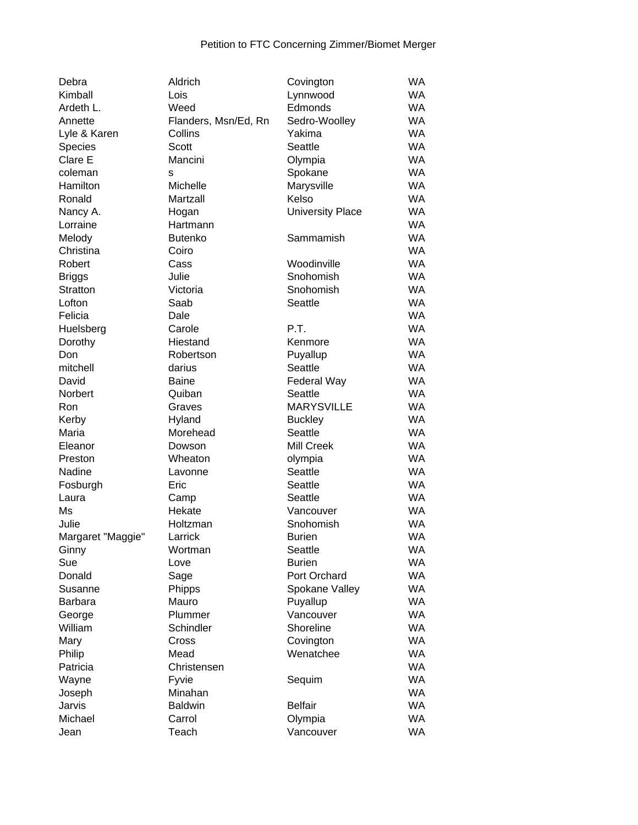| Debra             | Aldrich              | Covington               | <b>WA</b> |
|-------------------|----------------------|-------------------------|-----------|
| Kimball           | Lois                 | Lynnwood                | <b>WA</b> |
| Ardeth L.         | Weed                 | Edmonds                 | <b>WA</b> |
| Annette           | Flanders, Msn/Ed, Rn | Sedro-Woolley           | <b>WA</b> |
| Lyle & Karen      | Collins              | Yakima                  | <b>WA</b> |
| Species           | Scott                | Seattle                 | <b>WA</b> |
| Clare E           | Mancini              | Olympia                 | <b>WA</b> |
| coleman           | s                    | Spokane                 | <b>WA</b> |
| Hamilton          | Michelle             | Marysville              | <b>WA</b> |
| Ronald            | Martzall             | Kelso                   | <b>WA</b> |
| Nancy A.          | Hogan                | <b>University Place</b> | <b>WA</b> |
| Lorraine          | Hartmann             |                         | <b>WA</b> |
| Melody            | <b>Butenko</b>       | Sammamish               | <b>WA</b> |
| Christina         | Coiro                |                         | <b>WA</b> |
| Robert            | Cass                 | Woodinville             | <b>WA</b> |
| <b>Briggs</b>     | Julie                | Snohomish               | <b>WA</b> |
| Stratton          | Victoria             | Snohomish               | <b>WA</b> |
| Lofton            | Saab                 | Seattle                 | <b>WA</b> |
| Felicia           | Dale                 |                         | <b>WA</b> |
| Huelsberg         | Carole               | P.T.                    | <b>WA</b> |
| Dorothy           | Hiestand             | Kenmore                 | <b>WA</b> |
| Don               | Robertson            | Puyallup                | <b>WA</b> |
| mitchell          | darius               | Seattle                 | <b>WA</b> |
| David             | <b>Baine</b>         | Federal Way             | <b>WA</b> |
| Norbert           | Quiban               | Seattle                 | <b>WA</b> |
| Ron               | Graves               | <b>MARYSVILLE</b>       | <b>WA</b> |
| Kerby             | Hyland               | <b>Buckley</b>          | <b>WA</b> |
| Maria             | Morehead             | Seattle                 | <b>WA</b> |
| Eleanor           | Dowson               | Mill Creek              | <b>WA</b> |
| Preston           | Wheaton              | olympia                 | <b>WA</b> |
| Nadine            | Lavonne              | Seattle                 | <b>WA</b> |
| Fosburgh          | Eric                 | Seattle                 | <b>WA</b> |
| Laura             | Camp                 | Seattle                 | <b>WA</b> |
| Ms                | Hekate               | Vancouver               | <b>WA</b> |
| Julie             | Holtzman             | Snohomish               | <b>WA</b> |
| Margaret "Maggie" | Larrick              | <b>Burien</b>           | <b>WA</b> |
| Ginny             | Wortman              | Seattle                 | <b>WA</b> |
| Sue               | Love                 | <b>Burien</b>           | <b>WA</b> |
| Donald            | Sage                 | Port Orchard            | <b>WA</b> |
| Susanne           | Phipps               | Spokane Valley          | <b>WA</b> |
| Barbara           | Mauro                | Puyallup                | <b>WA</b> |
| George            | Plummer              | Vancouver               | <b>WA</b> |
| William           | Schindler            | Shoreline               | <b>WA</b> |
| Mary              | Cross                | Covington               | <b>WA</b> |
| Philip            | Mead                 | Wenatchee               | <b>WA</b> |
| Patricia          | Christensen          |                         | <b>WA</b> |
| Wayne             | Fyvie                | Sequim                  | <b>WA</b> |
| Joseph            | Minahan              |                         | <b>WA</b> |
| Jarvis            | <b>Baldwin</b>       | <b>Belfair</b>          | WA        |
| Michael           | Carrol               | Olympia                 | WA        |
| Jean              | Teach                | Vancouver               | WA        |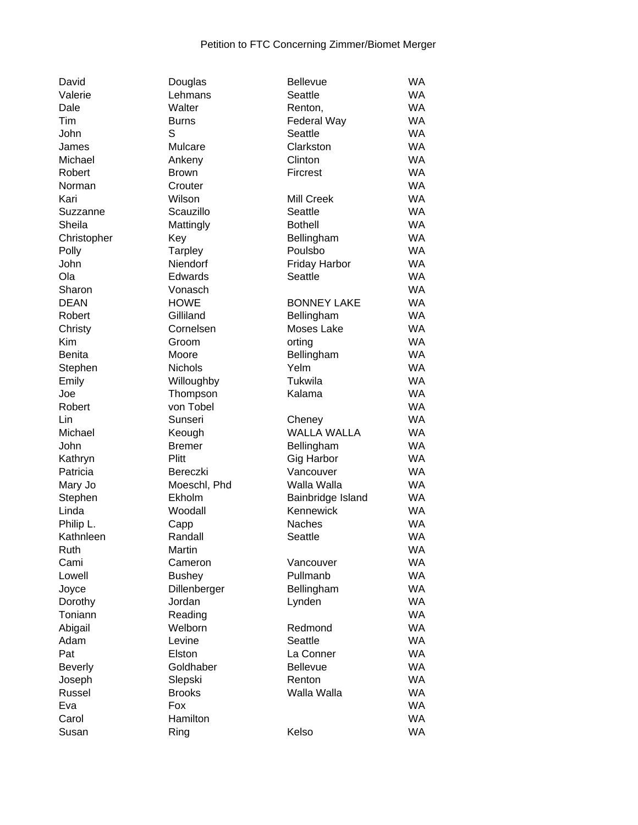| David               | Douglas                | <b>Bellevue</b>                | <b>WA</b>       |
|---------------------|------------------------|--------------------------------|-----------------|
| Valerie             | Lehmans                | Seattle                        | <b>WA</b>       |
| Dale                | Walter                 | Renton,                        | <b>WA</b>       |
| Tim                 | <b>Burns</b>           | Federal Way                    | <b>WA</b>       |
| John                | S                      | Seattle                        | <b>WA</b>       |
| James               | Mulcare                | Clarkston                      | <b>WA</b>       |
| Michael             | Ankeny                 | Clinton                        | <b>WA</b>       |
| Robert              | <b>Brown</b>           | Fircrest                       | <b>WA</b>       |
| Norman              | Crouter                |                                | <b>WA</b>       |
| Kari                | Wilson                 | Mill Creek                     | <b>WA</b>       |
| Suzzanne            | Scauzillo              | Seattle                        | <b>WA</b>       |
| Sheila              | Mattingly              | <b>Bothell</b>                 | <b>WA</b>       |
| Christopher         | Key                    | Bellingham                     | <b>WA</b>       |
| Polly               | Tarpley                | Poulsbo                        | <b>WA</b>       |
| John                | Niendorf               | Friday Harbor                  | <b>WA</b>       |
| Ola                 | Edwards                | Seattle                        | <b>WA</b>       |
| Sharon              | Vonasch                |                                | <b>WA</b>       |
| <b>DEAN</b>         | <b>HOWE</b>            | <b>BONNEY LAKE</b>             | <b>WA</b>       |
| Robert              | Gilliland              | Bellingham                     | <b>WA</b>       |
| Christy             | Cornelsen              | Moses Lake                     | <b>WA</b>       |
| Kim                 | Groom                  | orting                         | <b>WA</b>       |
| <b>Benita</b>       | Moore                  | Bellingham                     | <b>WA</b>       |
| Stephen             | Nichols                | Yelm                           | <b>WA</b>       |
| Emily               | Willoughby             | Tukwila                        | <b>WA</b>       |
| Joe                 | Thompson               | Kalama                         | <b>WA</b>       |
| Robert              | von Tobel              |                                | <b>WA</b>       |
| Lin                 | Sunseri                | Cheney                         | <b>WA</b>       |
| Michael             | Keough                 | <b>WALLA WALLA</b>             | <b>WA</b>       |
| John                | <b>Bremer</b>          |                                | <b>WA</b>       |
|                     | Plitt                  | Bellingham                     | <b>WA</b>       |
| Kathryn<br>Patricia | Bereczki               | Gig Harbor                     | <b>WA</b>       |
|                     |                        | Vancouver                      | <b>WA</b>       |
| Mary Jo             | Moeschl, Phd<br>Ekholm | Walla Walla                    | <b>WA</b>       |
| Stephen<br>Linda    | Woodall                | Bainbridge Island<br>Kennewick | <b>WA</b>       |
| Philip L.           |                        | Naches                         | <b>WA</b>       |
|                     | Capp                   | Seattle                        | <b>WA</b>       |
| Kathnleen           | Randall                |                                |                 |
| Ruth                | Martin                 |                                | WA<br><b>WA</b> |
| Cami                | Cameron                | Vancouver                      | <b>WA</b>       |
| Lowell              | <b>Bushey</b>          | Pullmanb                       |                 |
| Joyce               | Dillenberger           | Bellingham                     | <b>WA</b>       |
| Dorothy             | Jordan                 | Lynden                         | <b>WA</b>       |
| Toniann             | Reading                |                                | <b>WA</b>       |
| Abigail             | Welborn                | Redmond                        | <b>WA</b>       |
| Adam                | Levine                 | Seattle                        | <b>WA</b>       |
| Pat                 | Elston                 | La Conner                      | <b>WA</b>       |
| <b>Beverly</b>      | Goldhaber              | <b>Bellevue</b>                | <b>WA</b>       |
| Joseph              | Slepski                | Renton                         | <b>WA</b>       |
| Russel              | <b>Brooks</b>          | Walla Walla                    | <b>WA</b>       |
| Eva                 | Fox                    |                                | <b>WA</b>       |
| Carol               | Hamilton               |                                | <b>WA</b>       |
| Susan               | Ring                   | Kelso                          | <b>WA</b>       |

| Valerie        | Lehmans       | Seattle              | <b>WA</b> |
|----------------|---------------|----------------------|-----------|
| Dale           | Walter        | Renton,              | <b>WA</b> |
| Tim            | <b>Burns</b>  | Federal Way          | <b>WA</b> |
| John           | S             | Seattle              | <b>WA</b> |
| James          | Mulcare       | Clarkston            | <b>WA</b> |
| Michael        | Ankeny        | Clinton              | <b>WA</b> |
| Robert         | <b>Brown</b>  | Fircrest             | <b>WA</b> |
| Norman         | Crouter       |                      | <b>WA</b> |
| Kari           | Wilson        | Mill Creek           | <b>WA</b> |
| Suzzanne       | Scauzillo     | Seattle              | <b>WA</b> |
| Sheila         | Mattingly     | <b>Bothell</b>       | <b>WA</b> |
| Christopher    | Key           | Bellingham           | <b>WA</b> |
| Polly          | Tarpley       | Poulsbo              | <b>WA</b> |
| John           | Niendorf      | <b>Friday Harbor</b> | <b>WA</b> |
| Ola            | Edwards       | Seattle              | <b>WA</b> |
| Sharon         | Vonasch       |                      | <b>WA</b> |
| <b>DEAN</b>    | <b>HOWE</b>   | <b>BONNEY LAKE</b>   | <b>WA</b> |
| Robert         | Gilliland     | Bellingham           | <b>WA</b> |
| Christy        | Cornelsen     | Moses Lake           | WA        |
| Kim            | Groom         | orting               | <b>WA</b> |
| <b>Benita</b>  | Moore         | Bellingham           | <b>WA</b> |
| Stephen        | Nichols       | Yelm                 | <b>WA</b> |
| Emily          | Willoughby    | Tukwila              | <b>WA</b> |
| Joe            | Thompson      | Kalama               | <b>WA</b> |
| Robert         | von Tobel     |                      | <b>WA</b> |
| Lin            | Sunseri       | Cheney               | <b>WA</b> |
| Michael        | Keough        | <b>WALLA WALLA</b>   | <b>WA</b> |
| John           | <b>Bremer</b> | Bellingham           | <b>WA</b> |
| Kathryn        | Plitt         | Gig Harbor           | <b>WA</b> |
| Patricia       | Bereczki      | Vancouver            | <b>WA</b> |
| Mary Jo        | Moeschl, Phd  | Walla Walla          | WA        |
| Stephen        | Ekholm        | Bainbridge Island    | WA        |
| Linda          | Woodall       | Kennewick            | <b>WA</b> |
| Philip L.      | Capp          | <b>Naches</b>        | <b>WA</b> |
| Kathnleen      | Randall       | Seattle              | <b>WA</b> |
| Ruth           | Martin        |                      | WA        |
| Cami           | Cameron       | Vancouver            | WA        |
| Lowell         | <b>Bushey</b> | Pullmanb             | <b>WA</b> |
| Joyce          | Dillenberger  | Bellingham           | <b>WA</b> |
| Dorothy        | Jordan        | Lynden               | <b>WA</b> |
| Toniann        | Reading       |                      | <b>WA</b> |
| Abigail        | Welborn       | Redmond              | <b>WA</b> |
| Adam           | Levine        | Seattle              | <b>WA</b> |
| Pat            | Elston        | La Conner            | <b>WA</b> |
| <b>Beverly</b> | Goldhaber     | <b>Bellevue</b>      | <b>WA</b> |
| Joseph         | Slepski       | Renton               | <b>WA</b> |
| Russel         | <b>Brooks</b> | Walla Walla          | <b>WA</b> |
| Eva            | Fox           |                      | <b>WA</b> |
| Carol          | Hamilton      |                      | <b>WA</b> |
| Susan          | Ring          | Kelso                | <b>WA</b> |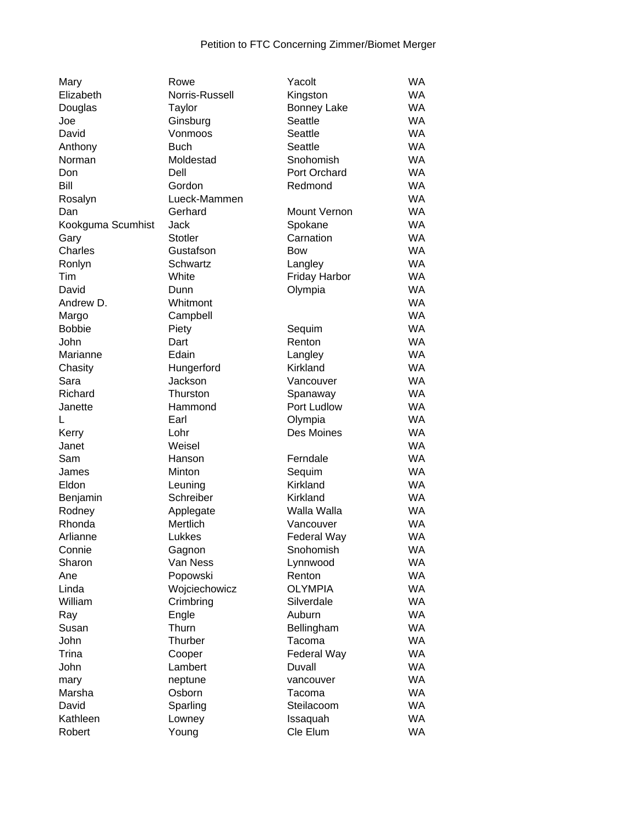| Mary              | Rowe           | Yacolt               | <b>WA</b> |
|-------------------|----------------|----------------------|-----------|
| Elizabeth         | Norris-Russell | Kingston             | <b>WA</b> |
| Douglas           | <b>Taylor</b>  | <b>Bonney Lake</b>   | <b>WA</b> |
| Joe               | Ginsburg       | Seattle              | <b>WA</b> |
| David             | Vonmoos        | Seattle              | <b>WA</b> |
| Anthony           | <b>Buch</b>    | Seattle              | <b>WA</b> |
| Norman            | Moldestad      | Snohomish            | <b>WA</b> |
| Don               | Dell           | Port Orchard         | <b>WA</b> |
| Bill              | Gordon         | Redmond              | <b>WA</b> |
| Rosalyn           | Lueck-Mammen   |                      | <b>WA</b> |
| Dan               | Gerhard        | Mount Vernon         | <b>WA</b> |
| Kookguma Scumhist | <b>Jack</b>    | Spokane              | <b>WA</b> |
| Gary              | <b>Stotler</b> | Carnation            | <b>WA</b> |
| Charles           | Gustafson      | <b>Bow</b>           | <b>WA</b> |
| Ronlyn            | Schwartz       | Langley              | <b>WA</b> |
| Tim               | White          | <b>Friday Harbor</b> | <b>WA</b> |
| David             | Dunn           | Olympia              | <b>WA</b> |
| Andrew D.         | Whitmont       |                      | <b>WA</b> |
| Margo             | Campbell       |                      | <b>WA</b> |
| <b>Bobbie</b>     | Piety          | Sequim               | <b>WA</b> |
| John              | Dart           | Renton               | <b>WA</b> |
| Marianne          | Edain          | Langley              | <b>WA</b> |
| Chasity           | Hungerford     | Kirkland             | <b>WA</b> |
| Sara              | Jackson        |                      | <b>WA</b> |
|                   |                | Vancouver            | <b>WA</b> |
| Richard           | Thurston       | Spanaway             | <b>WA</b> |
| Janette           | Hammond        | Port Ludlow          |           |
| L                 | Earl           | Olympia              | <b>WA</b> |
| Kerry             | Lohr           | Des Moines           | <b>WA</b> |
| Janet             | Weisel         |                      | <b>WA</b> |
| Sam               | Hanson         | Ferndale             | <b>WA</b> |
| James             | Minton         | Sequim               | <b>WA</b> |
| Eldon             | Leuning        | Kirkland             | <b>WA</b> |
| Benjamin          | Schreiber      | Kirkland             | <b>WA</b> |
| Rodney            | Applegate      | Walla Walla          | <b>WA</b> |
| Rhonda            | Mertlich       | Vancouver            | <b>WA</b> |
| Arlianne          | Lukkes         | Federal Way          | <b>WA</b> |
| Connie            | Gagnon         | Snohomish            | <b>WA</b> |
| Sharon            | Van Ness       | Lynnwood             | WA        |
| Ane               | Popowski       | Renton               | <b>WA</b> |
| Linda             | Wojciechowicz  | <b>OLYMPIA</b>       | <b>WA</b> |
| William           | Crimbring      | Silverdale           | <b>WA</b> |
| Ray               | Engle          | Auburn               | <b>WA</b> |
| Susan             | Thurn          | Bellingham           | <b>WA</b> |
| John              | Thurber        | Tacoma               | <b>WA</b> |
| Trina             | Cooper         | Federal Way          | <b>WA</b> |
| John              | Lambert        | Duvall               | <b>WA</b> |
| mary              | neptune        | vancouver            | <b>WA</b> |
| Marsha            | Osborn         | Tacoma               | <b>WA</b> |
| David             | Sparling       | Steilacoom           | <b>WA</b> |
| Kathleen          | Lowney         | Issaquah             | WA        |
| Robert            | Young          | Cle Elum             | <b>WA</b> |
|                   |                |                      |           |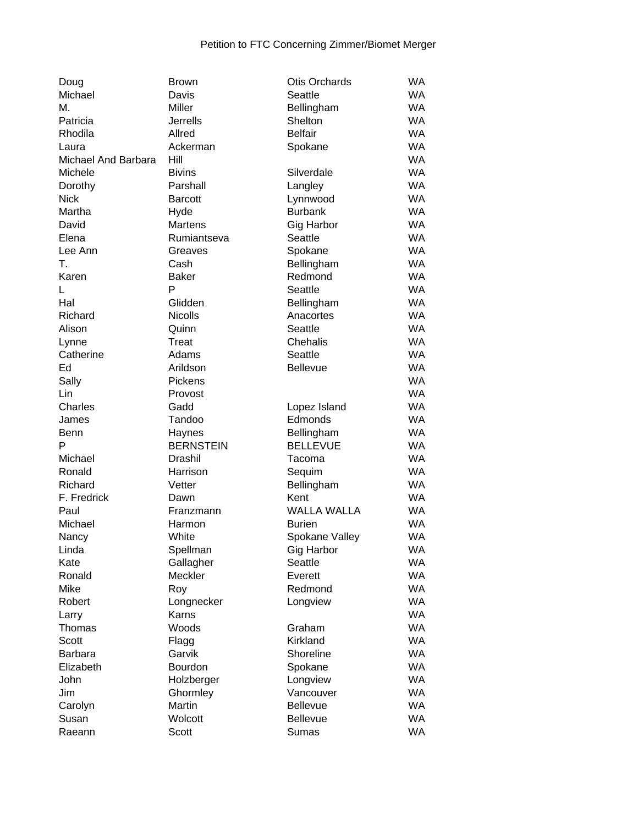| Doug                | <b>Brown</b>     | <b>Otis Orchards</b> | <b>WA</b>       |
|---------------------|------------------|----------------------|-----------------|
| Michael             | Davis            | Seattle              | <b>WA</b>       |
| М.                  | <b>Miller</b>    | Bellingham           | WA.             |
| Patricia            | <b>Jerrells</b>  | Shelton              | <b>WA</b>       |
| Rhodila             | Allred           | <b>Belfair</b>       | <b>WA</b>       |
| Laura               | Ackerman         | Spokane              | WA              |
| Michael And Barbara | Hill             |                      | <b>WA</b>       |
| Michele             | <b>Bivins</b>    | Silverdale           | <b>WA</b>       |
| Dorothy             | Parshall         | Langley              | <b>WA</b>       |
| <b>Nick</b>         | <b>Barcott</b>   | Lynnwood             | <b>WA</b>       |
| Martha              | Hyde             | <b>Burbank</b>       | <b>WA</b>       |
| David               | Martens          | Gig Harbor           | <b>WA</b>       |
| Elena               | Rumiantseva      | Seattle              | <b>WA</b>       |
| Lee Ann             | Greaves          | Spokane              | <b>WA</b>       |
| Τ.                  | Cash             | Bellingham           | <b>WA</b>       |
| Karen               | <b>Baker</b>     | Redmond              | <b>WA</b>       |
| L                   | P                | Seattle              | <b>WA</b>       |
|                     | Glidden          |                      |                 |
| Hal                 | <b>Nicolls</b>   | Bellingham           | WA<br><b>WA</b> |
| Richard             |                  | Anacortes            |                 |
| Alison              | Quinn            | Seattle              | <b>WA</b>       |
| Lynne               | Treat            | Chehalis             | <b>WA</b>       |
| Catherine           | Adams            | Seattle              | <b>WA</b>       |
| Ed                  | Arildson         | <b>Bellevue</b>      | <b>WA</b>       |
| Sally               | Pickens          |                      | <b>WA</b>       |
| Lin                 | Provost          |                      | <b>WA</b>       |
| Charles             | Gadd             | Lopez Island         | <b>WA</b>       |
| James               | Tandoo           | Edmonds              | <b>WA</b>       |
| <b>Benn</b>         | Haynes           | Bellingham           | <b>WA</b>       |
| P                   | <b>BERNSTEIN</b> | <b>BELLEVUE</b>      | <b>WA</b>       |
| Michael             | <b>Drashil</b>   | Tacoma               | WA              |
| Ronald              | Harrison         | Sequim               | <b>WA</b>       |
| Richard             | Vetter           | Bellingham           | <b>WA</b>       |
| F. Fredrick         | Dawn             | Kent                 | WA              |
| Paul                | Franzmann        | <b>WALLA WALLA</b>   | <b>WA</b>       |
| Michael             | Harmon           | <b>Burien</b>        | <b>WA</b>       |
| Nancy               | White            | Spokane Valley       | WA              |
| Linda               | Spellman         | <b>Gig Harbor</b>    | <b>WA</b>       |
| Kate                | Gallagher        | Seattle              | <b>WA</b>       |
| Ronald              | Meckler          | Everett              | <b>WA</b>       |
| Mike                | Roy              | Redmond              | <b>WA</b>       |
| Robert              | Longnecker       | Longview             | <b>WA</b>       |
| Larry               | Karns            |                      | <b>WA</b>       |
| Thomas              | Woods            | Graham               | <b>WA</b>       |
| Scott               | Flagg            | Kirkland             | <b>WA</b>       |
| <b>Barbara</b>      | Garvik           | Shoreline            | <b>WA</b>       |
| Elizabeth           | Bourdon          | Spokane              | <b>WA</b>       |
| John                | Holzberger       | Longview             | <b>WA</b>       |
| Jim                 | Ghormley         | Vancouver            | <b>WA</b>       |
| Carolyn             | Martin           | <b>Bellevue</b>      | WA              |
| Susan               | Wolcott          | <b>Bellevue</b>      | <b>WA</b>       |
| Raeann              | Scott            | Sumas                | WA              |
|                     |                  |                      |                 |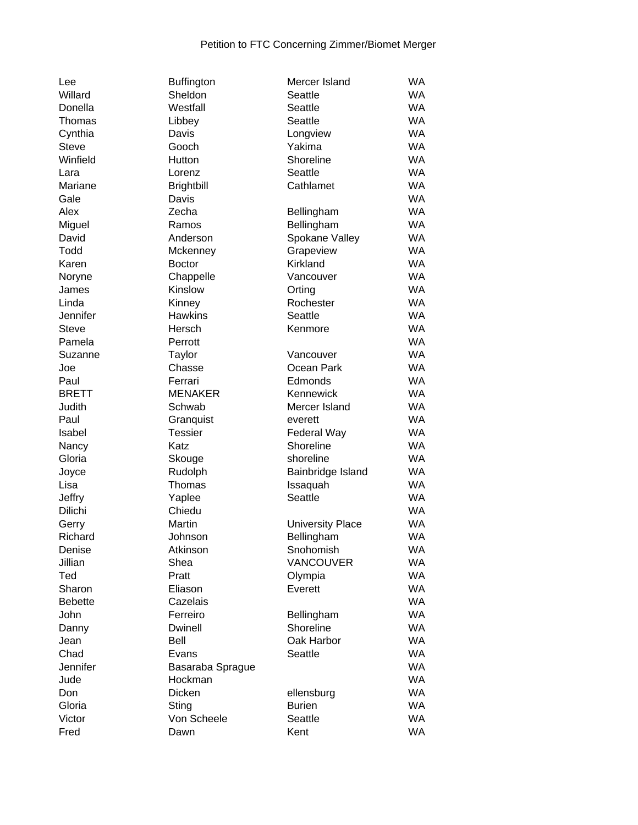| Lee            | Buffington        | Mercer Island           | WA        |
|----------------|-------------------|-------------------------|-----------|
| Willard        | Sheldon           | Seattle                 | WA        |
| Donella        | Westfall          | Seattle                 | <b>WA</b> |
| Thomas         | Libbey            | Seattle                 | WA        |
| Cynthia        | Davis             | Longview                | WA        |
| <b>Steve</b>   | Gooch             | Yakima                  | <b>WA</b> |
| Winfield       | Hutton            | Shoreline               | <b>WA</b> |
| Lara           | Lorenz            | Seattle                 | <b>WA</b> |
| Mariane        | <b>Brightbill</b> | Cathlamet               | <b>WA</b> |
| Gale           | Davis             |                         | <b>WA</b> |
| Alex           | Zecha             | Bellingham              | WA        |
| Miguel         | Ramos             | Bellingham              | <b>WA</b> |
| David          | Anderson          | Spokane Valley          | <b>WA</b> |
| Todd           | Mckenney          | Grapeview               | <b>WA</b> |
| Karen          | <b>Boctor</b>     | Kirkland                | <b>WA</b> |
| Noryne         | Chappelle         | Vancouver               | <b>WA</b> |
| James          | Kinslow           | Orting                  | <b>WA</b> |
| Linda          | Kinney            | Rochester               | <b>WA</b> |
| Jennifer       | <b>Hawkins</b>    | Seattle                 | <b>WA</b> |
| <b>Steve</b>   | Hersch            | Kenmore                 | <b>WA</b> |
| Pamela         | Perrott           |                         | WA        |
| Suzanne        | <b>Taylor</b>     | Vancouver               | <b>WA</b> |
| Joe            | Chasse            | Ocean Park              | WA        |
| Paul           | Ferrari           | Edmonds                 | <b>WA</b> |
| <b>BRETT</b>   | <b>MENAKER</b>    | Kennewick               | <b>WA</b> |
| Judith         | Schwab            | Mercer Island           | <b>WA</b> |
| Paul           | Granquist         | everett                 | <b>WA</b> |
| Isabel         | <b>Tessier</b>    | Federal Way             | <b>WA</b> |
| Nancy          | Katz              | Shoreline               | WA        |
| Gloria         | Skouge            | shoreline               | WA        |
| Joyce          | Rudolph           | Bainbridge Island       | WA        |
| Lisa           | Thomas            | Issaquah                | <b>WA</b> |
| Jeffry         | Yaplee            | Seattle                 | WA        |
| Dilichi        | Chiedu            |                         | WA        |
| Gerry          | Martin            | <b>University Place</b> | <b>WA</b> |
| Richard        | Johnson           | Bellingham              | WA        |
| Denise         | Atkinson          | Snohomish               | WA        |
| Jillian        | Shea              | VANCOUVER               | WA        |
| Ted            | Pratt             | Olympia                 | WA        |
| Sharon         | Eliason           | Everett                 | <b>WA</b> |
| <b>Bebette</b> | Cazelais          |                         | WA        |
| John           | Ferreiro          | Bellingham              | WA        |
| Danny          | <b>Dwinell</b>    | Shoreline               | <b>WA</b> |
| Jean           | Bell              | Oak Harbor              | WA        |
| Chad           | Evans             | Seattle                 | WA        |
| Jennifer       | Basaraba Sprague  |                         | WA        |
| Jude           | Hockman           |                         | WA        |
| Don            | Dicken            | ellensburg              | WA        |
| Gloria         | Sting             | <b>Burien</b>           | WA        |
| Victor         | Von Scheele       | Seattle                 | WA        |
| Fred           |                   | Kent                    | WA        |
|                | Dawn              |                         |           |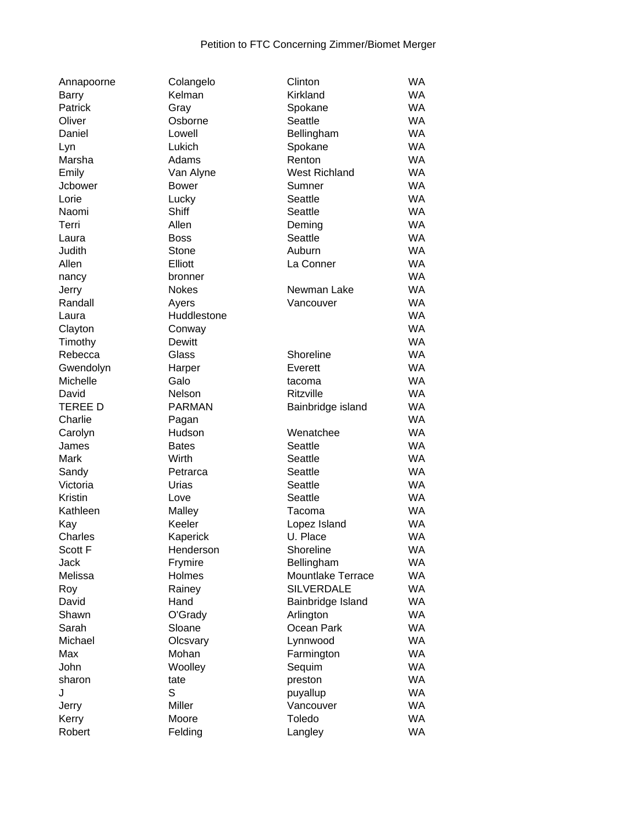| Annapoorne     | Colangelo     | Clinton              | <b>WA</b> |
|----------------|---------------|----------------------|-----------|
| <b>Barry</b>   | Kelman        | Kirkland             | <b>WA</b> |
| Patrick        | Gray          | Spokane              | <b>WA</b> |
| Oliver         | Osborne       | Seattle              | <b>WA</b> |
| Daniel         | Lowell        | Bellingham           | <b>WA</b> |
| Lyn            | Lukich        | Spokane              | <b>WA</b> |
| Marsha         | Adams         | Renton               | <b>WA</b> |
| Emily          | Van Alyne     | <b>West Richland</b> | <b>WA</b> |
| <b>Jcbower</b> | Bower         | Sumner               | <b>WA</b> |
| Lorie          | Lucky         | Seattle              | <b>WA</b> |
| Naomi          | Shiff         | Seattle              | <b>WA</b> |
| Terri          | Allen         | Deming               | <b>WA</b> |
| Laura          | <b>Boss</b>   | Seattle              | <b>WA</b> |
| Judith         | Stone         | Auburn               | <b>WA</b> |
| Allen          | Elliott       | La Conner            | <b>WA</b> |
| nancy          | bronner       |                      | <b>WA</b> |
| Jerry          | <b>Nokes</b>  | Newman Lake          | <b>WA</b> |
| Randall        | Ayers         | Vancouver            | <b>WA</b> |
| Laura          | Huddlestone   |                      | <b>WA</b> |
| Clayton        | Conway        |                      | <b>WA</b> |
| Timothy        | Dewitt        |                      | <b>WA</b> |
| Rebecca        | Glass         | Shoreline            | <b>WA</b> |
| Gwendolyn      | Harper        | Everett              | <b>WA</b> |
| Michelle       | Galo          | tacoma               | <b>WA</b> |
| David          | Nelson        | Ritzville            | <b>WA</b> |
| <b>TEREE D</b> | <b>PARMAN</b> | Bainbridge island    | <b>WA</b> |
| Charlie        | Pagan         |                      | <b>WA</b> |
| Carolyn        | Hudson        | Wenatchee            | <b>WA</b> |
| James          | <b>Bates</b>  | Seattle              | <b>WA</b> |
| Mark           | Wirth         | Seattle              | <b>WA</b> |
| Sandy          | Petrarca      | Seattle              | <b>WA</b> |
| Victoria       | Urias         | Seattle              | <b>WA</b> |
| Kristin        | Love          | Seattle              | <b>WA</b> |
| Kathleen       | Malley        | Tacoma               | <b>WA</b> |
| Kay            | Keeler        | Lopez Island         | <b>WA</b> |
| Charles        | Kaperick      | U. Place             | <b>WA</b> |
| Scott F        | Henderson     | Shoreline            | <b>WA</b> |
| <b>Jack</b>    | Frymire       | Bellingham           | <b>WA</b> |
| Melissa        | Holmes        | Mountlake Terrace    | <b>WA</b> |
| Roy            | Rainey        | <b>SILVERDALE</b>    | <b>WA</b> |
| David          | Hand          | Bainbridge Island    | <b>WA</b> |
| Shawn          | O'Grady       | Arlington            | WA        |
| Sarah          | Sloane        | Ocean Park           | <b>WA</b> |
| Michael        | Olcsvary      | Lynnwood             | <b>WA</b> |
| Max            | Mohan         | Farmington           | <b>WA</b> |
| John           | Woolley       | Sequim               | <b>WA</b> |
| sharon         | tate          | preston              | <b>WA</b> |
| J              | S             | puyallup             | <b>WA</b> |
| Jerry          | Miller        | Vancouver            | <b>WA</b> |
| Kerry          | Moore         | Toledo               | <b>WA</b> |
| Robert         | Felding       |                      | <b>WA</b> |
|                |               | Langley              |           |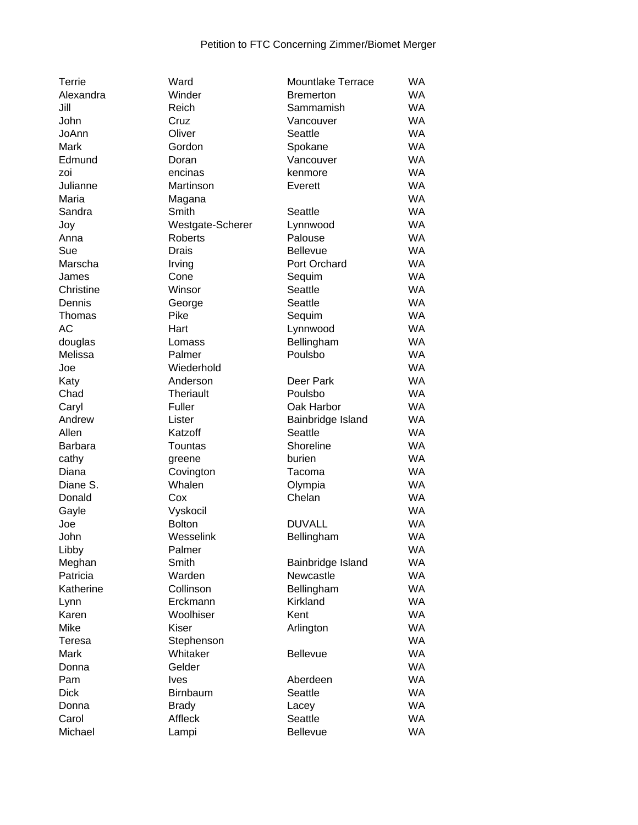| Terrie         | Ward             | <b>Mountlake Terrace</b> | WA        |
|----------------|------------------|--------------------------|-----------|
| Alexandra      | Winder           | <b>Bremerton</b>         | <b>WA</b> |
| Jill           | Reich            | Sammamish                | <b>WA</b> |
| John           | Cruz             | Vancouver                | <b>WA</b> |
| JoAnn          | Oliver           | Seattle                  | <b>WA</b> |
| Mark           | Gordon           | Spokane                  | <b>WA</b> |
| Edmund         | Doran            | Vancouver                | <b>WA</b> |
| zoi            | encinas          | kenmore                  | <b>WA</b> |
| Julianne       | Martinson        | Everett                  | <b>WA</b> |
| Maria          | Magana           |                          | <b>WA</b> |
| Sandra         | Smith            | Seattle                  | <b>WA</b> |
| Joy            | Westgate-Scherer | Lynnwood                 | <b>WA</b> |
| Anna           | <b>Roberts</b>   | Palouse                  | <b>WA</b> |
| Sue            | Drais            | <b>Bellevue</b>          | <b>WA</b> |
| Marscha        | Irving           | Port Orchard             | <b>WA</b> |
| James          | Cone             | Sequim                   | <b>WA</b> |
| Christine      | Winsor           | Seattle                  | <b>WA</b> |
| Dennis         | George           | Seattle                  | <b>WA</b> |
| Thomas         | Pike             | Sequim                   | <b>WA</b> |
| <b>AC</b>      | Hart             |                          | <b>WA</b> |
|                |                  | Lynnwood                 | <b>WA</b> |
| douglas        | Lomass           | Bellingham               |           |
| Melissa        | Palmer           | Poulsbo                  | <b>WA</b> |
| Joe            | Wiederhold       |                          | <b>WA</b> |
| Katy           | Anderson         | Deer Park                | <b>WA</b> |
| Chad           | Theriault        | Poulsbo                  | <b>WA</b> |
| Caryl          | Fuller           | Oak Harbor               | <b>WA</b> |
| Andrew         | Lister           | Bainbridge Island        | <b>WA</b> |
| Allen          | Katzoff          | Seattle                  | <b>WA</b> |
| <b>Barbara</b> | Tountas          | Shoreline                | <b>WA</b> |
| cathy          | greene           | burien                   | <b>WA</b> |
| Diana          | Covington        | Tacoma                   | <b>WA</b> |
| Diane S.       | Whalen           | Olympia                  | <b>WA</b> |
| Donald         | Cox              | Chelan                   | <b>WA</b> |
| Gayle          | Vyskocil         |                          | <b>WA</b> |
| Joe            | <b>Bolton</b>    | <b>DUVALL</b>            | <b>WA</b> |
| John           | Wesselink        | Bellingham               | <b>WA</b> |
| Libby          | Palmer           |                          | WA        |
| Meghan         | Smith            | Bainbridge Island        | WA        |
| Patricia       | Warden           | Newcastle                | <b>WA</b> |
| Katherine      | Collinson        | Bellingham               | WA        |
| Lynn           | Erckmann         | Kirkland                 | WA        |
| Karen          | Woolhiser        | Kent                     | WA        |
| Mike           | <b>Kiser</b>     | Arlington                | <b>WA</b> |
| Teresa         | Stephenson       |                          | <b>WA</b> |
| Mark           | Whitaker         | <b>Bellevue</b>          | <b>WA</b> |
| Donna          | Gelder           |                          | <b>WA</b> |
| Pam            | <b>Ives</b>      | Aberdeen                 | <b>WA</b> |
| <b>Dick</b>    | Birnbaum         | Seattle                  | <b>WA</b> |
| Donna          |                  |                          | <b>WA</b> |
|                | <b>Brady</b>     | Lacey                    |           |
| Carol          | Affleck          | Seattle                  | <b>WA</b> |
| Michael        | Lampi            | Bellevue                 | WA        |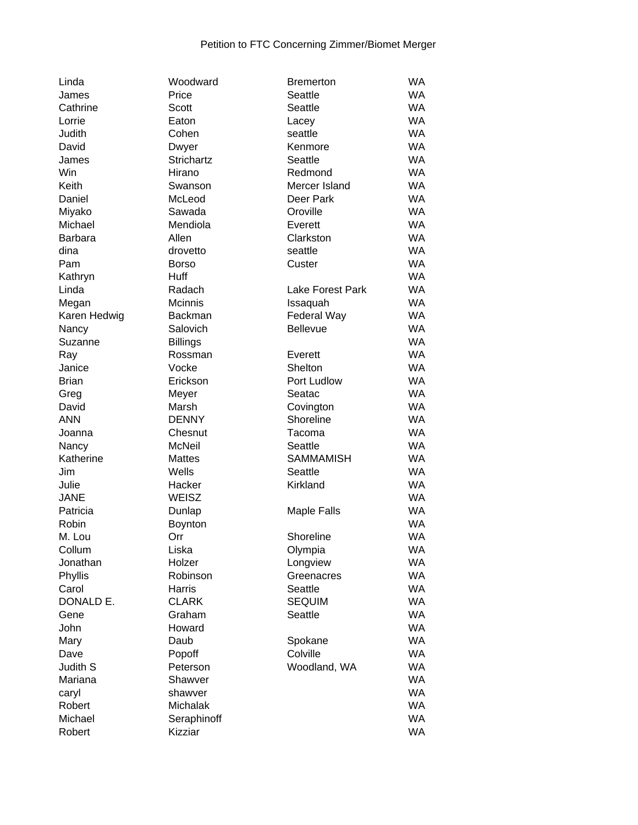| Linda              |
|--------------------|
| James              |
| Cathrine           |
| Lorrie             |
| Judith             |
| David              |
| James              |
| Win                |
| Keith              |
| Daniel             |
| Miyako             |
| Michael            |
| Barbara            |
| dina               |
| Pam                |
| Kathryn            |
| Linda              |
| Megan              |
| Karen Hedwig       |
|                    |
| Nancy<br>Suzanne   |
|                    |
| Ray<br>Janice      |
| <b>Brian</b>       |
|                    |
| Greg               |
| David<br>ANN       |
|                    |
| Joanna             |
| Nancy<br>Katherine |
| Jim                |
|                    |
| Julie              |
| <b>JANE</b>        |
| Patricia           |
| Robin              |
| M. Lou             |
| Collum             |
| Jonathan           |
| Phyllis            |
| Carol              |
| DONALD E.          |
| Gene               |
| John               |
| Mary               |
| Dave               |
| Judith S           |
| Mariana            |
| caryl              |
| Robert             |
| Michael            |
| Rohart             |

| Linda               | Woodward        | <b>Bremerton</b>        | <b>WA</b> |
|---------------------|-----------------|-------------------------|-----------|
| James               | Price           | Seattle                 | <b>WA</b> |
| Cathrine            | Scott           | Seattle                 | <b>WA</b> |
| Lorrie              | Eaton           | Lacey                   | <b>WA</b> |
| Judith              | Cohen           | seattle                 | <b>WA</b> |
| David               | Dwyer           | Kenmore                 | <b>WA</b> |
| James               | Strichartz      | Seattle                 | <b>WA</b> |
| Win                 | Hirano          | Redmond                 | <b>WA</b> |
| Keith               | Swanson         | Mercer Island           | <b>WA</b> |
| Daniel              | McLeod          | Deer Park               | <b>WA</b> |
| Miyako              | Sawada          | Oroville                | <b>WA</b> |
| Michael             | Mendiola        | Everett                 | <b>WA</b> |
| <b>Barbara</b>      | Allen           | Clarkston               | <b>WA</b> |
| dina                | drovetto        | seattle                 | <b>WA</b> |
| Pam                 | <b>Borso</b>    | Custer                  | <b>WA</b> |
| Kathryn             | Huff            |                         | <b>WA</b> |
| Linda               | Radach          | <b>Lake Forest Park</b> | <b>WA</b> |
| Megan               | Mcinnis         | Issaquah                | <b>WA</b> |
| Karen Hedwig        | <b>Backman</b>  | Federal Way             | <b>WA</b> |
| Nancy               | Salovich        | Bellevue                | <b>WA</b> |
| Suzanne             | <b>Billings</b> |                         | <b>WA</b> |
|                     | Rossman         | Everett                 | <b>WA</b> |
| Ray<br>Janice       | Vocke           | Shelton                 | <b>WA</b> |
| <b>Brian</b>        | Erickson        | Port Ludlow             | <b>WA</b> |
|                     |                 |                         | <b>WA</b> |
| Greg                | Meyer           | Seatac                  | <b>WA</b> |
| David<br><b>ANN</b> | Marsh           | Covington               | <b>WA</b> |
|                     | <b>DENNY</b>    | Shoreline               | <b>WA</b> |
| Joanna              | Chesnut         | Tacoma                  |           |
| Nancy               | <b>McNeil</b>   | Seattle                 | <b>WA</b> |
| Katherine           | <b>Mattes</b>   | <b>SAMMAMISH</b>        | <b>WA</b> |
| Jim                 | Wells           | Seattle                 | <b>WA</b> |
| Julie               | Hacker          | Kirkland                | <b>WA</b> |
| <b>JANE</b>         | WEISZ           |                         | <b>WA</b> |
| Patricia            | Dunlap          | <b>Maple Falls</b>      | <b>WA</b> |
| Robin               | Boynton         |                         | <b>WA</b> |
| M. Lou              | Orr             | Shoreline               | <b>WA</b> |
| Collum              | Liska           | Olympia                 | WA.       |
| Jonathan            | Holzer          | Longview                | <b>WA</b> |
| Phyllis             | Robinson        | Greenacres              | <b>WA</b> |
| Carol               | Harris          | Seattle                 | <b>WA</b> |
| DONALD E.           | <b>CLARK</b>    | <b>SEQUIM</b>           | <b>WA</b> |
| Gene                | Graham          | Seattle                 | <b>WA</b> |
| John                | Howard          |                         | <b>WA</b> |
| Mary                | Daub            | Spokane                 | <b>WA</b> |
| Dave                | Popoff          | Colville                | <b>WA</b> |
| Judith S            | Peterson        | Woodland, WA            | <b>WA</b> |
| Mariana             | Shawver         |                         | <b>WA</b> |
| caryl               | shawver         |                         | <b>WA</b> |
| Robert              | Michalak        |                         | <b>WA</b> |
| Michael             | Seraphinoff     |                         | <b>WA</b> |
| Robert              | Kizziar         |                         | WA        |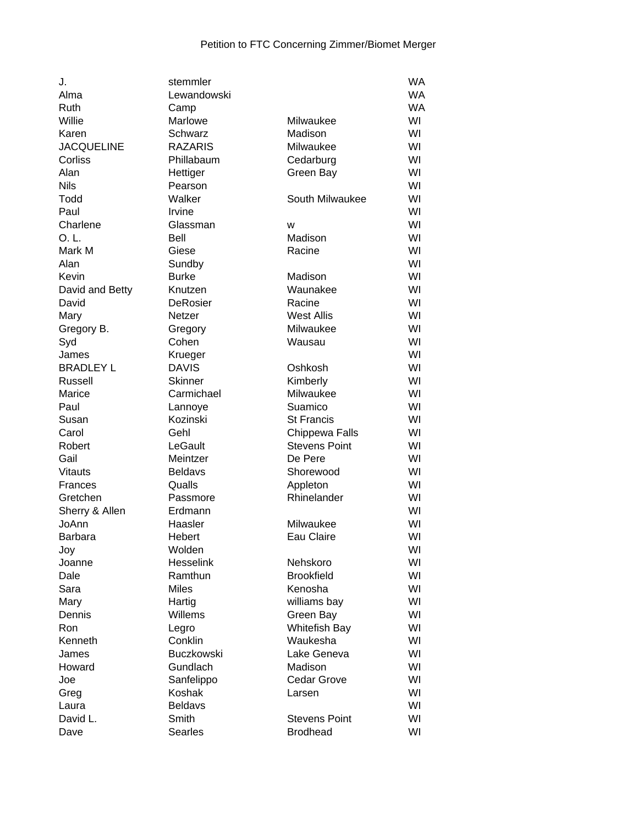| J.                | stemmler          |                           | WA        |
|-------------------|-------------------|---------------------------|-----------|
| Alma              | Lewandowski       |                           | WA        |
| Ruth              | Camp              |                           | <b>WA</b> |
| Willie            | Marlowe           | Milwaukee                 | WI        |
| Karen             | Schwarz           | Madison                   | WI        |
| <b>JACQUELINE</b> | <b>RAZARIS</b>    | Milwaukee                 | WI        |
| Corliss           | Phillabaum        | Cedarburg                 | WI        |
| Alan              | Hettiger          | Green Bay                 | WI        |
| <b>Nils</b>       | Pearson           |                           | WI        |
| Todd              | Walker            | South Milwaukee           | WI        |
| Paul              | Irvine            |                           | WI        |
| Charlene          | Glassman          | W                         | WI        |
| O. L.             | Bell              | Madison                   | WI        |
| Mark M            | Giese             | Racine                    | WI        |
| Alan              | Sundby            |                           | WI        |
| Kevin             | <b>Burke</b>      | Madison                   | WI        |
| David and Betty   | Knutzen           | Waunakee                  | WI        |
| David             | <b>DeRosier</b>   | Racine                    | WI        |
| Mary              | Netzer            | <b>West Allis</b>         | WI        |
| Gregory B.        | Gregory           | Milwaukee                 | WI        |
| Syd               | Cohen             | Wausau                    | WI        |
| James             | Krueger           |                           | WI        |
| <b>BRADLEY L</b>  | <b>DAVIS</b>      | Oshkosh                   | WI        |
| Russell           | <b>Skinner</b>    | Kimberly                  | WI        |
| Marice            | Carmichael        | Milwaukee                 | WI        |
| Paul              | Lannoye           | Suamico                   | WI        |
| Susan             | Kozinski          | <b>St Francis</b>         | WI        |
| Carol             | Gehl              | Chippewa Falls            | WI        |
| Robert            | LeGault           | <b>Stevens Point</b>      | WI        |
| Gail              | Meintzer          | De Pere                   | WI        |
| <b>Vitauts</b>    | <b>Beldavs</b>    | Shorewood                 | WI        |
| <b>Frances</b>    | Qualls            | Appleton                  | WI        |
| Gretchen          | Passmore          | Rhinelander               | WI        |
| Sherry & Allen    | Erdmann           |                           | WI        |
| JoAnn             | Haasler           | Milwaukee                 | WI        |
| <b>Barbara</b>    | Hebert            | Eau Claire                | WI        |
| Joy               | Wolden            |                           | WI        |
| Joanne            | Hesselink         | Nehskoro                  | WI        |
| Dale              | Ramthun           | <b>Brookfield</b>         | WI        |
| Sara              | <b>Miles</b>      | Kenosha                   | WI        |
|                   | Hartig            | williams bay              | WI        |
| Mary<br>Dennis    | Willems           | Green Bay                 | WI        |
| <b>Ron</b>        |                   |                           | WI        |
| Kenneth           | Legro<br>Conklin  | Whitefish Bay<br>Waukesha | WI        |
| James             | <b>Buczkowski</b> | Lake Geneva               | WI        |
|                   | Gundlach          | Madison                   | WI        |
| Howard            |                   |                           |           |
| Joe               | Sanfelippo        | <b>Cedar Grove</b>        | WI        |
| Greg              | Koshak            | Larsen                    | WI        |
| Laura             | <b>Beldavs</b>    |                           | WI        |
| David L.          | Smith             | <b>Stevens Point</b>      | WI        |
| Dave              | Searles           | <b>Brodhead</b>           | WI        |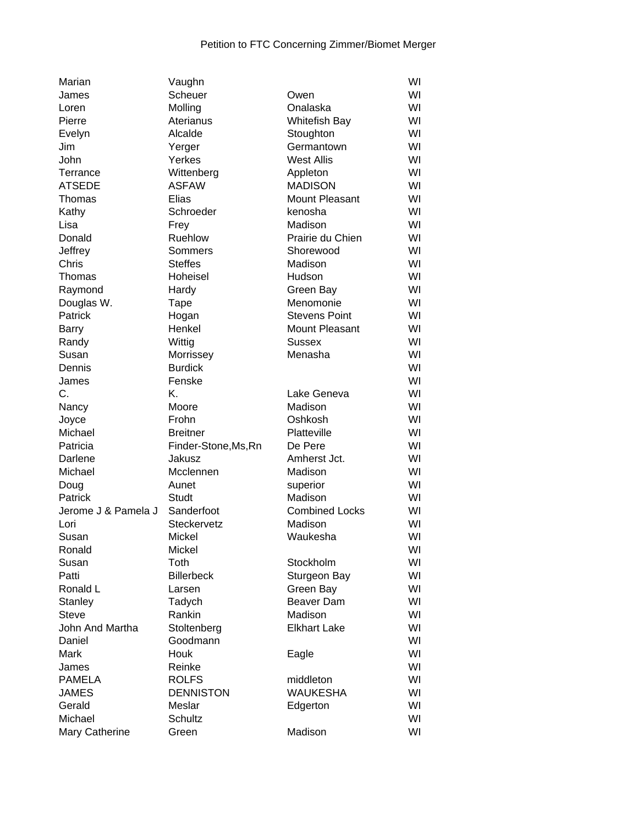| Marian              | Vaughn               |                       | WI |
|---------------------|----------------------|-----------------------|----|
| James               | Scheuer              | Owen                  | WI |
| Loren               | Molling              | Onalaska              | WI |
| Pierre              | Aterianus            | <b>Whitefish Bay</b>  | WI |
| Evelyn              | Alcalde              | Stoughton             | WI |
| Jim                 | Yerger               | Germantown            | WI |
| John                | Yerkes               | <b>West Allis</b>     | WI |
| Terrance            | Wittenberg           | Appleton              | WI |
| <b>ATSEDE</b>       | <b>ASFAW</b>         | <b>MADISON</b>        | WI |
| Thomas              | Elias                | <b>Mount Pleasant</b> | WI |
| Kathy               | Schroeder            | kenosha               | WI |
| Lisa                | Frey                 | Madison               | WI |
| Donald              | <b>Ruehlow</b>       | Prairie du Chien      | WI |
| Jeffrey             | Sommers              | Shorewood             | WI |
| Chris               | <b>Steffes</b>       | Madison               | WI |
| Thomas              | Hoheisel             | Hudson                | WI |
| Raymond             | Hardy                | Green Bay             | WI |
| Douglas W.          | Tape                 | Menomonie             | WI |
| Patrick             | Hogan                | <b>Stevens Point</b>  | WI |
| Barry               | Henkel               | Mount Pleasant        | WI |
| Randy               | Wittig               | <b>Sussex</b>         | WI |
| Susan               | Morrissey            | Menasha               | WI |
| Dennis              | <b>Burdick</b>       |                       | WI |
| James               | Fenske               |                       | WI |
| C.                  | Κ.                   | Lake Geneva           | WI |
| Nancy               | Moore                | Madison               | WI |
| Joyce               | Frohn                | Oshkosh               | WI |
| Michael             | <b>Breitner</b>      | Platteville           | WI |
| Patricia            | Finder-Stone, Ms, Rn | De Pere               | WI |
| Darlene             | Jakusz               | Amherst Jct.          | WI |
| Michael             | Mcclennen            | Madison               | WI |
| Doug                | Aunet                | superior              | WI |
| Patrick             | Studt                | Madison               | WI |
| Jerome J & Pamela J | Sanderfoot           | <b>Combined Locks</b> | WI |
| Lori                | Steckervetz          | Madison               | WI |
| Susan               | <b>Mickel</b>        | Waukesha              | WI |
| Ronald              | Mickel               |                       | WI |
| Susan               | Toth                 | Stockholm             | WI |
|                     |                      |                       | WI |
| Patti<br>Ronald L   | <b>Billerbeck</b>    | Sturgeon Bay          | WI |
|                     | Larsen               | Green Bay             | WI |
| Stanley             | Tadych<br>Rankin     | Beaver Dam<br>Madison | WI |
| <b>Steve</b>        |                      |                       |    |
| John And Martha     | Stoltenberg          | <b>Elkhart Lake</b>   | WI |
| Daniel              | Goodmann             |                       | WI |
| Mark                | Houk                 | Eagle                 | WI |
| James               | Reinke               |                       | WI |
| <b>PAMELA</b>       | <b>ROLFS</b>         | middleton             | WI |
| <b>JAMES</b>        | <b>DENNISTON</b>     | <b>WAUKESHA</b>       | WI |
| Gerald              | Meslar               | Edgerton              | WI |
| Michael             | <b>Schultz</b>       |                       | WI |
| Mary Catherine      | Green                | Madison               | WI |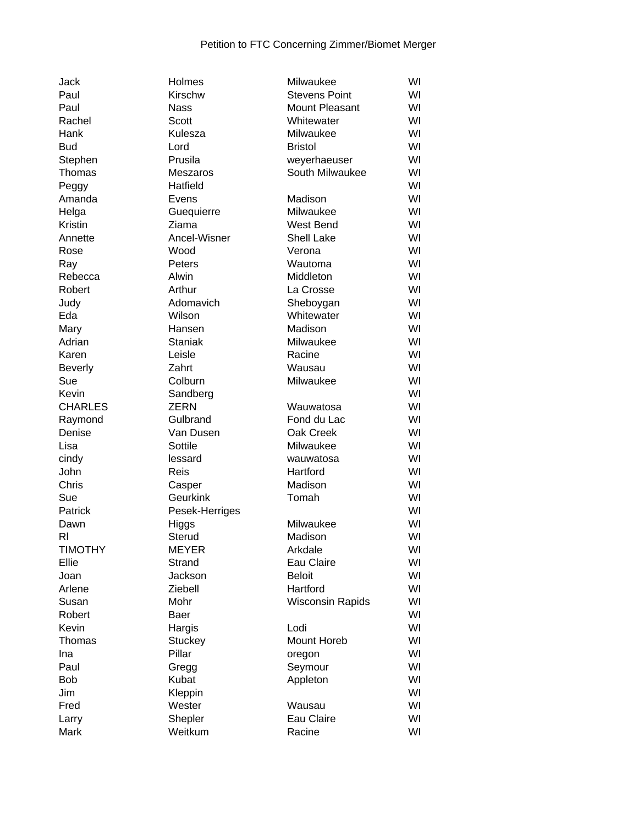| <b>Jack</b>    | Holmes                  | Milwaukee               | WI |
|----------------|-------------------------|-------------------------|----|
| Paul           | Kirschw                 | <b>Stevens Point</b>    | WI |
| Paul           | <b>Nass</b>             | <b>Mount Pleasant</b>   | WI |
| Rachel         | Scott                   | Whitewater              | WI |
| Hank           | Kulesza                 | Milwaukee               | WI |
| <b>Bud</b>     | Lord                    | <b>Bristol</b>          | WI |
| Stephen        | Prusila                 | weyerhaeuser            | WI |
| Thomas         | <b>Meszaros</b>         | South Milwaukee         | WI |
| Peggy          | Hatfield                |                         | WI |
| Amanda         | Evens                   | Madison                 | WI |
| Helga          | Guequierre              | Milwaukee               | WI |
| Kristin        | Ziama                   | West Bend               | WI |
| Annette        | Ancel-Wisner            | <b>Shell Lake</b>       | WI |
| Rose           | Wood                    | Verona                  | WI |
| Ray            | Peters                  | Wautoma                 | WI |
| Rebecca        | Alwin                   | Middleton               | WI |
| Robert         | Arthur                  | La Crosse               | WI |
| Judy           | Adomavich               | Sheboygan               | WI |
| Eda            | Wilson                  | Whitewater              | WI |
| Mary           | Hansen                  | Madison                 | WI |
| Adrian         | <b>Staniak</b>          | Milwaukee               | WI |
| Karen          | Leisle                  | Racine                  | WI |
| <b>Beverly</b> | Zahrt                   | Wausau                  | WI |
| Sue            | Colburn                 | Milwaukee               | WI |
| Kevin          |                         |                         | WI |
| <b>CHARLES</b> | Sandberg<br><b>ZERN</b> |                         | WI |
|                |                         | Wauwatosa               |    |
| Raymond        | Gulbrand                | Fond du Lac             | WI |
| Denise         | Van Dusen               | Oak Creek               | WI |
| Lisa           | Sottile                 | Milwaukee               | WI |
| cindy          | lessard                 | wauwatosa               | WI |
| John           | Reis                    | Hartford                | WI |
| Chris          | Casper                  | Madison                 | WI |
| Sue            | Geurkink                | Tomah                   | WI |
| Patrick        | Pesek-Herriges          |                         | WI |
| Dawn           | Higgs                   | Milwaukee               | WI |
| RI.            | Sterud                  | Madison                 | WI |
| <b>TIMOTHY</b> | <b>MEYER</b>            | Arkdale                 | WI |
| Ellie          | Strand                  | Eau Claire              | WI |
| Joan           | Jackson                 | <b>Beloit</b>           | WI |
| Arlene         | Ziebell                 | Hartford                | WI |
| Susan          | Mohr                    | <b>Wisconsin Rapids</b> | WI |
| Robert         | Baer                    |                         | WI |
| Kevin          | Hargis                  | Lodi                    | WI |
| Thomas         | Stuckey                 | Mount Horeb             | WI |
| Ina            | Pillar                  | oregon                  | WI |
| Paul           | Gregg                   | Seymour                 | WI |
| <b>Bob</b>     | Kubat                   | Appleton                | WI |
| Jim            | Kleppin                 |                         | WI |
| Fred           | Wester                  | Wausau                  | WI |
| Larry          | Shepler                 | Eau Claire              | WI |
| Mark           | Weitkum                 | Racine                  | WI |
|                |                         |                         |    |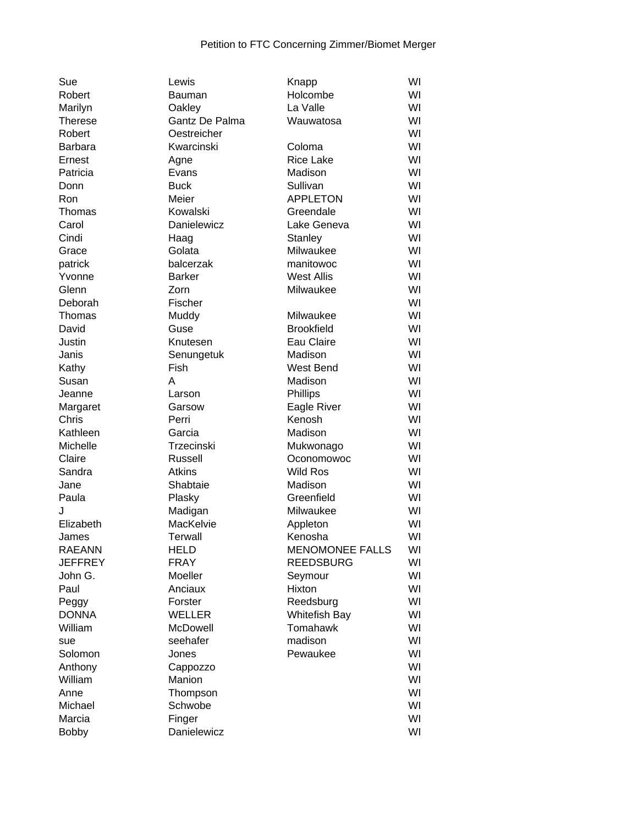| Sue            | Lewis             | Knapp                  | WI |
|----------------|-------------------|------------------------|----|
| Robert         | Bauman            | Holcombe               | WI |
| Marilyn        | Oakley            | La Valle               | WI |
| <b>Therese</b> | Gantz De Palma    | Wauwatosa              | WI |
| Robert         | Oestreicher       |                        | WI |
| Barbara        | Kwarcinski        | Coloma                 | WI |
| Ernest         | Agne              | <b>Rice Lake</b>       | WI |
| Patricia       | Evans             | Madison                | WI |
| Donn           | <b>Buck</b>       | Sullivan               | WI |
| Ron            | Meier             | <b>APPLETON</b>        | WI |
| Thomas         | Kowalski          | Greendale              | WI |
| Carol          | Danielewicz       | Lake Geneva            | WI |
| Cindi          | Haag              | Stanley                | WI |
| Grace          | Golata            | Milwaukee              | WI |
| patrick        | balcerzak         | manitowoc              | WI |
| Yvonne         | <b>Barker</b>     | <b>West Allis</b>      | WI |
| Glenn          | Zorn              | Milwaukee              | WI |
| Deborah        | Fischer           |                        | WI |
| Thomas         | Muddy             | Milwaukee              | WI |
| David          | Guse              | <b>Brookfield</b>      | WI |
| Justin         | Knutesen          | Eau Claire             | WI |
| Janis          | Senungetuk        | Madison                | WI |
| Kathy          | Fish              | West Bend              | WI |
| Susan          | А                 | Madison                | WI |
| Jeanne         | Larson            | Phillips               | WI |
| Margaret       | Garsow            | Eagle River            | WI |
| Chris          | Perri             | Kenosh                 | WI |
| Kathleen       | Garcia            | Madison                | WI |
| Michelle       | <b>Trzecinski</b> | Mukwonago              | WI |
| Claire         | Russell           | Oconomowoc             | WI |
| Sandra         | <b>Atkins</b>     | <b>Wild Ros</b>        | WI |
| Jane           | Shabtaie          | Madison                | WI |
| Paula          | Plasky            | Greenfield             | WI |
| J              | Madigan           | Milwaukee              | WI |
| Elizabeth      | MacKelvie         | Appleton               | WI |
| James          | <b>Terwall</b>    | Kenosha                | WI |
| <b>RAEANN</b>  | <b>HELD</b>       | <b>MENOMONEE FALLS</b> | WI |
| <b>JEFFREY</b> | <b>FRAY</b>       | <b>REEDSBURG</b>       | WI |
| John G.        | Moeller           | Seymour                | WI |
| Paul           | Anciaux           | Hixton                 | WI |
| Peggy          | Forster           | Reedsburg              | WI |
| <b>DONNA</b>   | <b>WELLER</b>     | <b>Whitefish Bay</b>   | WI |
| William        | McDowell          | Tomahawk               | WI |
| sue            | seehafer          | madison                | WI |
| Solomon        | Jones             | Pewaukee               | WI |
| Anthony        | Cappozzo          |                        | WI |
| William        | Manion            |                        | WI |
| Anne           | Thompson          |                        | WI |
| Michael        | Schwobe           |                        | WI |
| Marcia         | Finger            |                        | WI |
| <b>Bobby</b>   | Danielewicz       |                        | WI |
|                |                   |                        |    |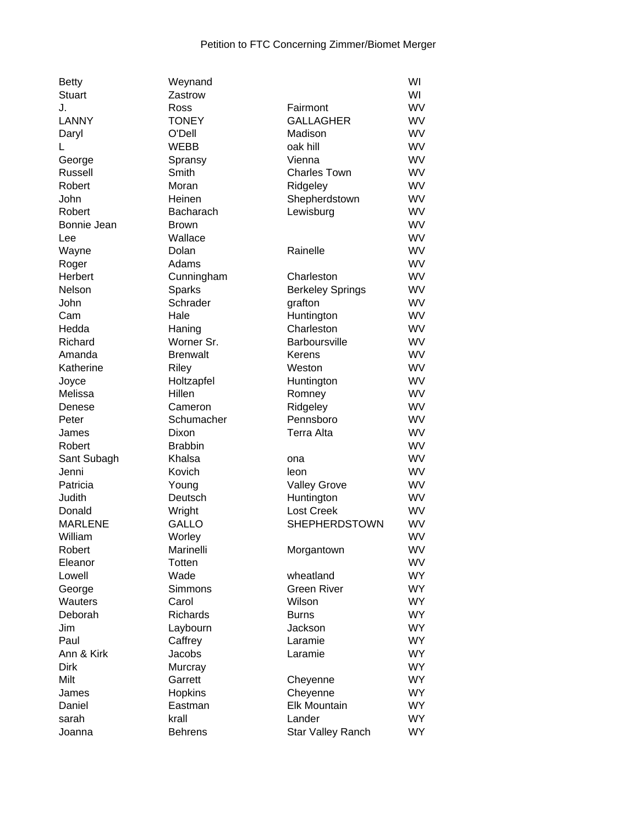| <b>Betty</b>   | Weynand              |                          | WI        |
|----------------|----------------------|--------------------------|-----------|
| <b>Stuart</b>  | Zastrow              |                          | WI        |
| J.             | Ross                 | Fairmont                 | WV        |
| <b>LANNY</b>   | <b>TONEY</b>         | <b>GALLAGHER</b>         | WV        |
| Daryl          | O'Dell               | Madison                  | WV        |
|                | <b>WEBB</b>          | oak hill                 | WV        |
| George         | Spransy              | Vienna                   | WV        |
| Russell        | Smith                | <b>Charles Town</b>      | <b>WV</b> |
| Robert         | Moran                | Ridgeley                 | WV        |
| John           | Heinen               | Shepherdstown            | WV        |
| Robert         | Bacharach            | Lewisburg                | WV        |
| Bonnie Jean    | <b>Brown</b>         |                          | WV        |
| Lee            | Wallace              |                          | WV        |
| Wayne          | Dolan                | Rainelle                 | WV        |
| Roger          | Adams                |                          | WV        |
| Herbert        | Cunningham           | Charleston               | WV        |
| Nelson         | Sparks               | <b>Berkeley Springs</b>  | WV        |
| John           | Schrader             | grafton                  | WV        |
| Cam            | Hale                 |                          | <b>WV</b> |
|                |                      | Huntington<br>Charleston | WV        |
| Hedda          | Haning<br>Worner Sr. |                          | WV        |
| Richard        |                      | <b>Barboursville</b>     | <b>WV</b> |
| Amanda         | <b>Brenwalt</b>      | Kerens                   |           |
| Katherine      | Riley                | Weston                   | WV        |
| Joyce          | Holtzapfel           | Huntington               | WV        |
| Melissa        | Hillen               | Romney                   | WV        |
| Denese         | Cameron              | Ridgeley                 | WV        |
| Peter          | Schumacher           | Pennsboro                | WV        |
| James          | Dixon                | <b>Terra Alta</b>        | WV        |
| Robert         | <b>Brabbin</b>       |                          | WV        |
| Sant Subagh    | Khalsa               | ona                      | WV        |
| Jenni          | Kovich               | leon                     | WV        |
| Patricia       | Young                | <b>Valley Grove</b>      | WV        |
| Judith         | Deutsch              | Huntington               | WV        |
| Donald         | Wright               | <b>Lost Creek</b>        | WV        |
| <b>MARLENE</b> | <b>GALLO</b>         | <b>SHEPHERDSTOWN</b>     | WV        |
| William        | Worley               |                          | WV        |
| Robert         | Marinelli            | Morgantown               | WV        |
| Eleanor        | Totten               |                          | <b>WV</b> |
| Lowell         | Wade                 | wheatland                | <b>WY</b> |
| George         | Simmons              | <b>Green River</b>       | <b>WY</b> |
| Wauters        | Carol                | Wilson                   | <b>WY</b> |
| Deborah        | <b>Richards</b>      | <b>Burns</b>             | <b>WY</b> |
| Jim            | Laybourn             | Jackson                  | <b>WY</b> |
| Paul           | Caffrey              | Laramie                  | <b>WY</b> |
| Ann & Kirk     | Jacobs               | Laramie                  | <b>WY</b> |
| Dirk           | Murcray              |                          | <b>WY</b> |
| Milt           | Garrett              | Cheyenne                 | <b>WY</b> |
| James          | Hopkins              | Cheyenne                 | <b>WY</b> |
| Daniel         | Eastman              | <b>Elk Mountain</b>      | <b>WY</b> |
| sarah          | krall                | Lander                   | <b>WY</b> |
| Joanna         | <b>Behrens</b>       | Star Valley Ranch        | <b>WY</b> |
|                |                      |                          |           |